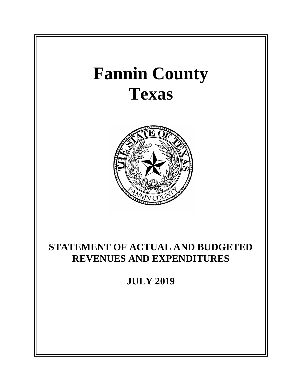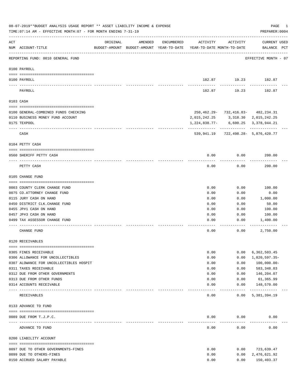|     | 08-07-2019**BUDGET ANALYSIS USAGE REPORT ** ASSET LIABILITY INCOME & EXPENSE<br>TIME: 07:14 AM - EFFECTIVE MONTH: 07 - FOR MONTH ENDING 7-31-19 |          |         |            |                                                                                 |               | PAGE<br>1<br>PREPARER: 0004                |
|-----|-------------------------------------------------------------------------------------------------------------------------------------------------|----------|---------|------------|---------------------------------------------------------------------------------|---------------|--------------------------------------------|
| ACT | NUM ACCOUNT-TITLE                                                                                                                               | ORIGINAL | AMENDED | ENCUMBERED | ACTIVITY<br>BUDGET-AMOUNT BUDGET-AMOUNT YEAR-TO-DATE YEAR-TO-DATE MONTH-TO-DATE | ACTIVITY      | CURRENT USED<br>BALANCE PCT                |
|     | REPORTING FUND: 0010 GENERAL FUND                                                                                                               |          |         |            |                                                                                 |               | EFFECTIVE MONTH - 07                       |
|     | 0100 PAYROLL                                                                                                                                    |          |         |            |                                                                                 |               |                                            |
|     | 0100 PAYROLL<br>----- -------                                                                                                                   |          |         |            |                                                                                 | -----------   | 182.87 19.23 182.87                        |
|     | PAYROLL                                                                                                                                         |          |         |            | 182.87                                                                          | 19.23         | 182.87                                     |
|     | 0103 CASH                                                                                                                                       |          |         |            |                                                                                 |               |                                            |
|     | 0100 GENERAL-COMBINED FUNDS CHECKING                                                                                                            |          |         |            |                                                                                 |               | 250, 462. 29 - 732, 416. 83 - 482, 234. 31 |
|     | 0110 BUSINESS MONEY FUND ACCOUNT                                                                                                                |          |         |            | 2, 015, 242. 25 3, 318. 30 2, 015, 242. 25                                      |               |                                            |
|     | 0175 TEXPOOL                                                                                                                                    |          |         |            | $1,224,838.77 - 6,600.25$ 3,378,944.21                                          |               |                                            |
|     | CASH                                                                                                                                            |          |         |            |                                                                                 | ------------  | 539,941.19 722,498.28- 5,876,420.77        |
|     | 0104 PETTY CASH                                                                                                                                 |          |         |            |                                                                                 |               |                                            |
|     | 0560 SHERIFF PETTY CASH                                                                                                                         |          |         |            | 0.00                                                                            | 0.00          | 200.00                                     |
|     | PETTY CASH                                                                                                                                      |          |         |            | 0.00                                                                            | 0.00          | 200.00                                     |
|     | 0105 CHANGE FUND                                                                                                                                |          |         |            |                                                                                 |               |                                            |
|     |                                                                                                                                                 |          |         |            |                                                                                 |               |                                            |
|     | 0003 COUNTY CLERK CHANGE FUND                                                                                                                   |          |         |            | 0.00                                                                            | 0.00          | 100.00                                     |
|     | 0075 CO.ATTORNEY CHANGE FUND                                                                                                                    |          |         |            | 0.00                                                                            | 0.00          | 0.00                                       |
|     | 0115 JURY CASH ON HAND<br>0450 DISTRICT CLK. CHANGE FUND                                                                                        |          |         |            | 0.00<br>0.00                                                                    | 0.00<br>0.00  | 1,000.00<br>50.00                          |
|     | 0455 JP#1 CASH ON HAND                                                                                                                          |          |         |            | 0.00                                                                            | 0.00          | 100.00                                     |
|     | 0457 JP#3 CASH ON HAND                                                                                                                          |          |         |            | 0.00                                                                            | 0.00          | 100.00                                     |
|     | 0499 TAX ASSESSOR CHANGE FUND                                                                                                                   |          |         |            | 0.00                                                                            | 0.00          | 1,400.00                                   |
|     |                                                                                                                                                 |          |         |            |                                                                                 |               |                                            |
|     | CHANGE FUND                                                                                                                                     |          |         |            | 0.00                                                                            | 0.00          | 2,750.00                                   |
|     | 0120 RECEIVABLES                                                                                                                                |          |         |            |                                                                                 |               |                                            |
|     | 0305 FINES RECEIVABLE                                                                                                                           |          |         |            | 0.00                                                                            | 0.00          | 6,362,503.45                               |
|     | 0306 ALLOWANCE FOR UNCOLLECTIBLES                                                                                                               |          |         |            | 0.00                                                                            | 0.00          | 1,820,597.35-                              |
|     | 0307 ALOWANCE FOR UNCOLLECTIBLES HOSPIT                                                                                                         |          |         |            | 0.00                                                                            | 0.00          | $100,000.00 -$                             |
|     | 0311 TAXES RECEIVABLE                                                                                                                           |          |         |            | 0.00                                                                            | 0.00          | 583,348.03                                 |
|     | 0312 DUE FROM OTHER GOVERNMENTS                                                                                                                 |          |         |            | 0.00                                                                            | 0.00          | 146,204.07                                 |
|     | 0313 DUE FROM OTHER FUNDS                                                                                                                       |          |         |            | 0.00                                                                            | 0.00          | 61,365.99                                  |
|     | 0314 ACCOUNTS RECEIVABLE                                                                                                                        |          |         |            | 0.00                                                                            | 0.00<br>----- | 148,570.00<br>---------                    |
|     | RECEIVABLES                                                                                                                                     |          |         |            | 0.00                                                                            | 0.00          | 5,381,394.19                               |
|     | 0133 ADVANCE TO FUND                                                                                                                            |          |         |            |                                                                                 |               |                                            |
|     | 0089 DUE FROM T.J.P.C.                                                                                                                          |          |         |            | 0.00                                                                            | 0.00          | 0.00                                       |
|     |                                                                                                                                                 |          |         |            |                                                                                 |               |                                            |
|     | ADVANCE TO FUND                                                                                                                                 |          |         |            | 0.00                                                                            | 0.00          | 0.00                                       |
|     | 0200 LIABILITY ACCOUNT                                                                                                                          |          |         |            |                                                                                 |               |                                            |
|     | 0097 DUE TO OTHER GOVERNMENTS-FINES                                                                                                             |          |         |            | 0.00                                                                            | 0.00          | 723,639.47                                 |
|     | 0099 DUE TO OTHERS-FINES                                                                                                                        |          |         |            | 0.00                                                                            | 0.00          | 2,476,621.92                               |
|     | 0150 ACCRUED SALARY PAYABLE                                                                                                                     |          |         |            | 0.00                                                                            | 0.00          | 150,403.37                                 |
|     |                                                                                                                                                 |          |         |            |                                                                                 |               |                                            |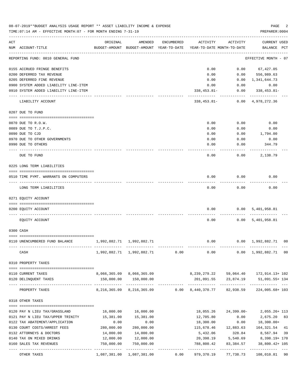|     | 08-07-2019**BUDGET ANALYSIS USAGE REPORT ** ASSET LIABILITY INCOME & EXPENSE<br>TIME: 07:14 AM - EFFECTIVE MONTH: 07 - FOR MONTH ENDING 7-31-19 |                           |                                                                               |            |                                        |                      | PAGE<br>PREPARER: 0004                        | 2              |
|-----|-------------------------------------------------------------------------------------------------------------------------------------------------|---------------------------|-------------------------------------------------------------------------------|------------|----------------------------------------|----------------------|-----------------------------------------------|----------------|
| ACT | NUM ACCOUNT-TITLE                                                                                                                               | ORIGINAL                  | AMENDED<br>BUDGET-AMOUNT BUDGET-AMOUNT YEAR-TO-DATE                           | ENCUMBERED | ACTIVITY<br>YEAR-TO-DATE MONTH-TO-DATE | ACTIVITY             | CURRENT USED<br>BALANCE PCT                   |                |
|     | REPORTING FUND: 0010 GENERAL FUND                                                                                                               |                           |                                                                               |            |                                        |                      | EFFECTIVE MONTH - 07                          |                |
|     | 0155 ACCRUED FRINGE BENEFITS                                                                                                                    |                           |                                                                               |            | 0.00                                   |                      | $0.00$ 67,427.05                              |                |
|     | 0200 DEFERRED TAX REVENUE                                                                                                                       |                           |                                                                               |            | 0.00                                   | 0.00                 | 556,989.63                                    |                |
|     | 0205 DEFERRED FINE REVENUE                                                                                                                      |                           |                                                                               |            | 0.00                                   | 0.00                 | 1,341,644.73                                  |                |
|     | 0900 SYSTEM ADDED LIABILITY LINE-ITEM                                                                                                           |                           |                                                                               |            | 0.00                                   | 0.00                 | 0.00                                          |                |
|     | 0910 SYSTEM ADDED LIABILITY LINE-ITEM                                                                                                           |                           |                                                                               |            | $338, 453.81 -$                        | 0.00                 | 338,453.81-                                   |                |
|     | LIABILITY ACCOUNT                                                                                                                               |                           |                                                                               |            | $338,453.81-$                          | 0.00                 | 4,978,272.36                                  |                |
|     | 0207 DUE TO FUND                                                                                                                                |                           |                                                                               |            |                                        |                      |                                               |                |
|     | 0070 DUE TO R.O.W.                                                                                                                              |                           |                                                                               |            | 0.00                                   | 0.00                 | 0.00                                          |                |
|     | 0089 DUE TO T.J.P.C.                                                                                                                            |                           |                                                                               |            | 0.00                                   | 0.00                 | 0.00                                          |                |
|     | 0090 DUE TO CJD                                                                                                                                 |                           |                                                                               |            | 0.00                                   | 0.00                 | 1,794.00                                      |                |
|     | 0970 DUE TO OTHER GOVERNMENTS                                                                                                                   |                           |                                                                               |            | 0.00                                   | 0.00                 | 0.00                                          |                |
|     | 0990 DUE TO OTHERS                                                                                                                              |                           |                                                                               |            | 0.00                                   | 0.00                 | 344.79                                        |                |
|     | DUE TO FUND                                                                                                                                     |                           |                                                                               |            | 0.00                                   | 0.00                 | 2,138.79                                      |                |
|     | 0225 LONG TERM LIABILITIES                                                                                                                      |                           |                                                                               |            |                                        |                      |                                               |                |
|     | 0510 TIME PYMT. WARRANTS ON COMPUTERS                                                                                                           |                           |                                                                               |            | 0.00                                   | 0.00                 | 0.00                                          |                |
|     | LONG TERM LIABILITIES                                                                                                                           |                           |                                                                               |            | 0.00                                   | 0.00                 | 0.00                                          |                |
|     | 0271 EQUITY ACCOUNT                                                                                                                             |                           |                                                                               |            |                                        |                      |                                               |                |
|     | 0200 EQUITY ACCOUNT                                                                                                                             |                           |                                                                               |            | 0.00                                   | 0.00                 | 5,401,958.81                                  |                |
|     | EQUITY ACCOUNT                                                                                                                                  |                           |                                                                               |            | 0.00                                   |                      | 0.00 5,401,958.81                             |                |
|     | 0300 CASH                                                                                                                                       |                           |                                                                               |            |                                        |                      |                                               |                |
|     | 0110 UNENCUMBERED FUND BALANCE                                                                                                                  | 1,992,882.71 1,992,882.71 |                                                                               |            | 0.00                                   |                      | $0.00 \quad 1,992,882.71$                     | 0 <sub>0</sub> |
|     | CASH                                                                                                                                            | . <u>.</u> .              | $1,992,882.71$ $1,992,882.71$ 0.00 0.00 0.00 1,992,882.71 00                  |            |                                        |                      |                                               |                |
|     | 0310 PROPERTY TAXES                                                                                                                             |                           |                                                                               |            |                                        |                      |                                               |                |
|     | 0110 CURRENT TAXES                                                                                                                              |                           | 8,066,365.09 8,066,365.09                                                     |            |                                        |                      | 8, 239, 279. 22 59, 064. 40 172, 914. 13+ 102 |                |
|     | 0120 DELINQUENT TAXES                                                                                                                           |                           | 150,000.00 150,000.00                                                         |            |                                        |                      | 201,091.55 23,874.19 51,091.55+134            |                |
|     | PROPERTY TAXES                                                                                                                                  |                           | 8, 216, 365.09 8, 216, 365.09 0.00 8, 440, 370.77 82, 938.59 224, 005.68+ 103 |            |                                        |                      |                                               |                |
|     | 0318 OTHER TAXES                                                                                                                                |                           |                                                                               |            |                                        |                      |                                               |                |
|     |                                                                                                                                                 |                           |                                                                               |            |                                        |                      |                                               |                |
|     | 0120 PAY N LIEU TAX/GRASSLAND                                                                                                                   | 16,000.00                 | 16,000.00                                                                     |            | 18,055.26                              |                      | 24,399.00-2,055.26+113                        |                |
|     | 0121 PAY N LIEU TAX/UPPER TRINITY                                                                                                               | 15,381.00                 | 15,381.00                                                                     |            | 12,705.80                              | 0.00                 | 2,675.20 83                                   |                |
|     | 0122 TAX ABATEMENT/APPLICATION                                                                                                                  | 0.00                      | 0.00                                                                          |            | 18,300.00                              | 0.00                 | 18,300.00+                                    |                |
|     | 0130 COURT COSTS/ARREST FEES                                                                                                                    | 280,000.00                | 280,000.00                                                                    |            |                                        | 115,678.46 12,883.63 | 164,321.54                                    | 41             |
|     | 0132 ATTORNEYS & DOCTORS                                                                                                                        | 14,000.00                 | 14,000.00                                                                     |            | 5,432.06                               | 328.84               | 8,567.94                                      | 39             |
|     | 0140 TAX ON MIXED DRINKS<br>0160 SALES TAX REVENUES                                                                                             | 12,000.00<br>750,000.00   | 12,000.00<br>750,000.00                                                       |            | 20,398.19<br>788,800.42                | 83,384.57            | 5,540.69 8,398.19+ 170<br>38,800.42+ 105      |                |
|     |                                                                                                                                                 | . <u>.</u> .              |                                                                               |            | -----------                            |                      | -----------                                   |                |
|     | OTHER TAXES                                                                                                                                     |                           | 1,087,381.00 1,087,381.00                                                     | 0.00       | 979,370.19                             | 77,738.73            | 108,010.81 90                                 |                |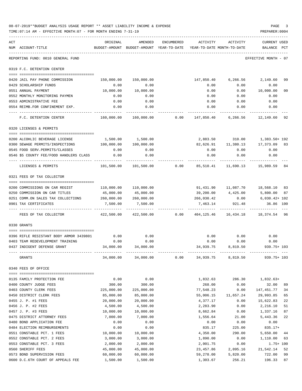|     | 08-07-2019**BUDGET ANALYSIS USAGE REPORT ** ASSET LIABILITY INCOME & EXPENSE<br>TIME: 07:14 AM - EFFECTIVE MONTH: 07 - FOR MONTH ENDING 7-31-19 |                      |                                                                                |            |                      |                      | PAGE<br>PREPARER: 0004                                                             | 3  |
|-----|-------------------------------------------------------------------------------------------------------------------------------------------------|----------------------|--------------------------------------------------------------------------------|------------|----------------------|----------------------|------------------------------------------------------------------------------------|----|
| ACT | NUM ACCOUNT-TITLE                                                                                                                               | ORIGINAL             | AMENDED<br>BUDGET-AMOUNT BUDGET-AMOUNT YEAR-TO-DATE YEAR-TO-DATE MONTH-TO-DATE | ENCUMBERED | ACTIVITY             | ACTIVITY             | CURRENT USED<br>BALANCE PCT                                                        |    |
|     | REPORTING FUND: 0010 GENERAL FUND                                                                                                               |                      |                                                                                |            |                      |                      | EFFECTIVE MONTH - 07                                                               |    |
|     | 0319 F.C. DETENTION CENTER                                                                                                                      |                      |                                                                                |            |                      |                      |                                                                                    |    |
|     | 0420 JAIL PAY PHONE COMMISSION                                                                                                                  |                      | 150,000.00 150,000.00                                                          |            |                      |                      | 147,850.40 6,266.56 2,149.60                                                       | 99 |
|     | 0429 SCHOLARSHIP FUNDS                                                                                                                          | 0.00                 | 0.00                                                                           |            | 0.00                 | 0.00                 | 0.00                                                                               |    |
|     | 0551 ANNUAL PAYMENT                                                                                                                             | 10,000.00            | 10,000.00                                                                      |            | 0.00                 |                      | 0.00 10,000.00                                                                     | 00 |
|     | 0552 MONTHLY MONITORING PAYMEN                                                                                                                  | 0.00                 | 0.00                                                                           |            | 0.00                 | 0.00                 | 0.00                                                                               |    |
|     | 0553 ADMINISTRATIVE FEE                                                                                                                         | 0.00                 | 0.00                                                                           |            |                      | $0.00$ $0.00$ $0.00$ |                                                                                    |    |
|     | 0554 REIMB.FOR CONFINEMENT EXP.                                                                                                                 | 0.00                 | 0.00                                                                           |            |                      | $0.00$ 0.00          | 0.00                                                                               |    |
|     | F.C. DETENTION CENTER                                                                                                                           |                      |                                                                                |            |                      |                      | $160,000.00$ $160,000.00$ 0.00 $147,850.40$ 6,266.56 $12,149.60$                   | 92 |
|     | 0320 LICENSES & PERMITS                                                                                                                         |                      |                                                                                |            |                      |                      |                                                                                    |    |
|     |                                                                                                                                                 |                      |                                                                                |            |                      |                      |                                                                                    |    |
|     | 0200 ALCOHLIC BEVERAGE LICENSE                                                                                                                  |                      | 1,500.00 1,500.00                                                              |            |                      |                      | 2,883.50 310.00 1,383.50+ 192                                                      |    |
|     | 0300 SEWAGE PERMITS/INSPECTIONS 100,000.00 100,000.00<br>0545 FOOD SERV. PERMITS/CLASSES                                                        | 0.00                 | 0.00                                                                           |            | 0.00                 | 0.00                 | 82,626.91   11,380.13   17,373.09<br>0.00                                          | 83 |
|     | 0546 \$5 COUNTY FEE/FOOD HANDLERS CLASS                                                                                                         | 0.00                 | 0.00                                                                           |            | 0.00                 | 0.00                 | 0.00                                                                               |    |
|     |                                                                                                                                                 |                      |                                                                                |            |                      | ----------           |                                                                                    |    |
|     | LICENSES & PERMITS                                                                                                                              |                      |                                                                                |            |                      |                      | $101,500.00$ $101,500.00$ $0.00$ $85,510.41$ $11,690.13$ $15,989.59$               | 84 |
|     | 0321 FEES OF TAX COLLECTOR                                                                                                                      |                      |                                                                                |            |                      |                      |                                                                                    |    |
|     | 0200 COMMISSIONS ON CAR REGIST                                                                                                                  |                      | 110,000.00    110,000.00                                                       |            |                      |                      | 91,431.90    11,087.70    18,568.10                                                | 83 |
|     | 0250 COMMISSION ON CAR TITLES                                                                                                                   | 45,000.00            | 45,000.00                                                                      |            |                      |                      | 39,200.00  4,425.00  5,800.00                                                      | 87 |
|     | 0251 COMM.ON SALES TAX COLLECTIONS 260,000.00 260,000.00                                                                                        |                      |                                                                                |            |                      |                      | 266,030.42   0.00   6,030.42+ 102                                                  |    |
|     | 0901 TAX CERTIFICATES                                                                                                                           | 7,500.00             | 7,500.00                                                                       |            |                      | 7,463.14 921.48      | 36.86 100                                                                          |    |
|     | FEES OF TAX COLLECTOR                                                                                                                           |                      |                                                                                |            |                      | -----------          | -----------<br>422,500.00  422,500.00   0.00  404,125.46  16,434.18  18,374.54  96 |    |
|     | 0330 GRANTS                                                                                                                                     |                      |                                                                                |            |                      |                      |                                                                                    |    |
|     | 0396 RIFLE RESISTANT BODY ARMOR 3439801                                                                                                         | 0.00                 | 0.00                                                                           |            |                      | $0.00$ 0.00          | 0.00                                                                               |    |
|     | 0403 TEAM REDEVELOPMENT TRAINING                                                                                                                | 0.00                 | 0.00                                                                           |            | 0.00                 | 0.00                 | 0.00                                                                               |    |
|     | 0437 INDIGENT DEFENSE GRANT                                                                                                                     | 34,000.00            | 34,000.00                                                                      |            | 34,939.75            | 8,819.50             | 939.75+ 103                                                                        |    |
|     | GRANTS                                                                                                                                          | 34,000.00            | 34,000.00                                                                      | 0.00       |                      | 34,939.75 8,819.50   | $939.75 + 103$                                                                     |    |
|     | 0340 FEES OF OFFICE                                                                                                                             |                      |                                                                                |            |                      |                      |                                                                                    |    |
|     | 0135 FAMILY PROTECTION FEE                                                                                                                      | 0.00                 | 0.00                                                                           |            | 1,832.63             | 286.30               | 1,832.63+                                                                          |    |
|     | 0400 COUNTY JUDGE FEES                                                                                                                          | 300.00               | 300.00                                                                         |            | 268.00               | 0.00                 | 32.00                                                                              | 89 |
|     | 0403 COUNTY CLERK FEES                                                                                                                          | 225,000.00           | 225,000.00                                                                     |            | 77,548.23            | 0.00                 | 147,451.77                                                                         | 34 |
|     | 0450 DISTRICT CLERK FEES                                                                                                                        | 85,000.00            | 85,000.00                                                                      |            | 55,006.15            | 11,657.24            | 29,993.85                                                                          | 65 |
|     | 0455 J. P. #1 FEES                                                                                                                              | 20,000.00            | 20,000.00                                                                      |            | 4,377.17             | 0.00                 | 15,622.83                                                                          | 22 |
|     | 0456 J. P. #2 FEES                                                                                                                              | 4,500.00             | 4,500.00                                                                       |            | 2,283.90             | 0.00                 | 2,216.10                                                                           | 51 |
|     | 0457 J. P. #3 FEES                                                                                                                              | 10,000.00            | 10,000.00                                                                      |            | 8,662.84             | 0.00                 | 1,337.16                                                                           | 87 |
|     | 0475 DISTRICT ATTORNEY FEES                                                                                                                     | 7,000.00             | 7,000.00                                                                       |            | 1,556.64             | 21.00                | 5,443.36                                                                           | 22 |
|     | 0480 BOND APPLICATION FEE                                                                                                                       | 0.00                 | 0.00                                                                           |            | 0.00                 | 0.00                 | 0.00                                                                               |    |
|     | 0484 ELECTION REIMBURSEMENTS                                                                                                                    | 0.00                 | 0.00                                                                           |            | 835.17               | 225.00               | $835.17+$                                                                          |    |
|     | 0551 CONSTABLE PCT. 1 FEES                                                                                                                      | 10,000.00            | 10,000.00                                                                      |            | 4,350.00             | 290.00               | 5,650.00                                                                           | 44 |
|     | 0552 CONSTABLE PCT. 2 FEES<br>0553 CONSTABLE PCT. 3 FEES                                                                                        | 3,000.00<br>2,000.00 | 3,000.00<br>2,000.00                                                           |            | 1,890.00<br>2,001.75 | 0.00<br>0.00         | 1,110.00<br>$1.75 + 100$                                                           | 63 |
|     | 0560 SHERIFF FEES                                                                                                                               | 45,000.00            | 45,000.00                                                                      |            | 23,457.86            | 2,095.16             | 21,542.14                                                                          | 52 |
|     | 0573 BOND SUPERVISION FEES                                                                                                                      | 60,000.00            | 60,000.00                                                                      |            | 59,278.00            | 5,820.00             | 722.00                                                                             | 99 |
|     | 0600 D.C.6TH COURT OF APPEALS FEE                                                                                                               | 1,500.00             | 1,500.00                                                                       |            | 1,303.67             | 256.21               | 196.33                                                                             | 87 |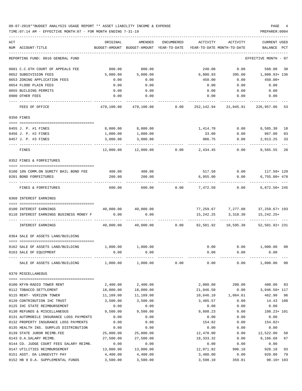## 08-07-2019\*\*BUDGET ANALYSIS USAGE REPORT \*\* ASSET LIABILITY INCOME & EXPENSE PAGE 4 TIME:07:14 AM - EFFECTIVE MONTH:07 - FOR MONTH ENDING 7-31-19 PREPARER:0004

| ACT | NUM ACCOUNT-TITLE                                           | ORIGINAL<br>BUDGET-AMOUNT | AMENDED<br>BUDGET-AMOUNT YEAR-TO-DATE | ENCUMBERED | ACTIVITY<br>YEAR-TO-DATE MONTH-TO-DATE | ACTIVITY                | CURRENT USED<br>BALANCE PCT |          |
|-----|-------------------------------------------------------------|---------------------------|---------------------------------------|------------|----------------------------------------|-------------------------|-----------------------------|----------|
|     |                                                             |                           |                                       |            |                                        |                         |                             |          |
|     | REPORTING FUND: 0010 GENERAL FUND                           |                           |                                       |            |                                        |                         | EFFECTIVE MONTH - 07        |          |
|     | 0601 C.C.6TH COURT OF APPEALS FEE                           | 800.00                    | 800.00                                |            | 240.00                                 | 0.00                    | 560.00                      | 30       |
|     | 0652 SUBDIVISION FEES                                       | 5,000.00                  | 5,000.00                              |            | 6,800.93                               | 395.00                  | 1,800.93+ 136               |          |
|     | 0653 ZONING APPLICATION FEES                                | 0.00                      | 0.00                                  |            | 450.00                                 | 0.00                    | 450.00+                     |          |
|     | 0654 FLOOD PLAIN FEES                                       | 0.00                      | 0.00                                  |            | 0.00                                   | 0.00                    | 0.00                        |          |
|     | 0655 BUILDING PERMITS                                       | 0.00                      | 0.00                                  |            | 0.00                                   | 0.00                    | 0.00                        |          |
|     | 0900 OTHER FEES                                             | 0.00                      | 0.00                                  |            | 0.00                                   | 0.00                    | 0.00                        |          |
|     | FEES OF OFFICE                                              | 479,100.00                | 479,100.00                            | 0.00       | 252,142.94                             | 21,045.91               | 226,957.06                  | 53       |
|     | 0350 FINES                                                  |                           |                                       |            |                                        |                         |                             |          |
|     |                                                             |                           |                                       |            |                                        |                         |                             |          |
|     | 0455 J. P. #1 FINES                                         | 8,000.00                  | 8,000.00                              |            | 1,414.70                               | 0.00                    | 6,585.30                    | 18       |
|     | 0456 J. P. #2 FINES                                         | 1,000.00                  | 1,000.00                              |            | 33.00                                  | 0.00                    | 967.00                      | 03       |
|     | 0457 J. P. #3 FINES<br>.                                    | 3,000.00                  | 3,000.00                              |            | 986.75                                 | 0.00                    | 2,013.25                    | 33       |
|     | FINES                                                       | 12,000.00                 | 12,000.00                             | 0.00       | 2,434.45                               | 0.00                    | 9,565.55                    | 20       |
|     | 0352 FINES & FORFEITURES                                    |                           |                                       |            |                                        |                         |                             |          |
|     |                                                             |                           |                                       |            |                                        |                         |                             |          |
|     | 0100 10% COMM.ON SURETY BAIL BOND FEE                       | 400.00                    | 400.00                                |            |                                        | 517.50 0.00 117.50+ 129 |                             |          |
|     | 0201 BOND FORFEITURES                                       | 200.00                    | 200.00                                |            | 6,955.00                               | 0.00                    | $6,755.00+478$              |          |
|     | FINES & FORFEITURES                                         | 600.00                    | 600.00                                | 0.00       | 7,472.50                               | 0.00                    | $6,872.50+245$              |          |
|     | 0360 INTEREST EARNINGS                                      |                           |                                       |            |                                        |                         |                             |          |
|     | 0100 INTEREST EARNINGS                                      | 40,000.00                 | 40,000.00                             |            |                                        | 77,259.67 7,277.08      | 37,259.67+ 193              |          |
|     | 0110 INTEREST EARNINGS BUSINESS MONEY F                     | 0.00                      | 0.00                                  |            | 15,242.25                              | 3,318.30                | $15,242.25+$                |          |
|     |                                                             |                           |                                       |            |                                        |                         |                             |          |
|     | INTEREST EARNINGS                                           | 40,000.00                 | 40,000.00                             | 0.00       | 92,501.92                              | 10,595.38               | 52,501.92+ 231              |          |
|     | 0364 SALE OF ASSETS LAND/BUILDING                           |                           |                                       |            |                                        |                         |                             |          |
|     | 0162 SALE OF ASSETS LAND/BUILDING                           | 1,000.00                  | 1,000.00                              |            | 0.00                                   |                         | $0.00$ 1,000.00             | 00       |
|     | 0163 SALE OF EQUIPMENT                                      | 0.00                      | 0.00                                  |            | 0.00                                   | 0.00                    | 0.00                        |          |
|     | SALE OF ASSETS LAND/BUILDING $1,000.00$ $1,000.00$ 0.00     |                           |                                       |            |                                        | 0.00<br>0.00            | 1,000.00 00                 |          |
|     | 0370 MISCELLANEOUS                                          |                           |                                       |            |                                        |                         |                             |          |
|     |                                                             |                           |                                       |            |                                        |                         |                             |          |
|     | 0100 KFYN-RADIO TOWER RENT                                  | 2,400.00                  | 2,400.00                              |            | 2,000.00                               | 200.00                  | 400.00                      | 83       |
|     | 0112 TOBACCO SETTLEMENT                                     | 18,000.00                 | 18,000.00                             |            | 21,046.50                              | 0.00                    | 3,046.50+ 117               |          |
|     | 0115 RENT- VERIZON TOWER                                    | 11,109.00                 | 11,109.00                             |            | 10,646.10                              | 1,064.61                | 462.90                      | 96       |
|     | 0120 CONTRIBUTION IHC TRUST                                 | 3,500.00                  | 3,500.00                              |            | 3,485.57                               | 0.00                    | 14.43 100                   |          |
|     | 0125 IHC STATE REIMBURSEMENT                                | 0.00                      | 0.00                                  |            | 0.00                                   | 0.00                    | 0.00                        |          |
|     | 0130 REFUNDS & MISCELLANEOUS                                | 9,500.00                  | 9,500.00                              |            | 9,608.23                               | 0.00                    | 108.23+ 101                 |          |
|     | 0131 AUTOMOBILE INSURANCE LOSS PAYMENTS                     | 0.00                      | 0.00                                  |            | 0.00                                   | 0.00                    | 0.00                        |          |
|     | 0132 PROPERTY INSURANCE LOSS PAYMENTS                       | 0.00                      | 0.00                                  |            | 154.82                                 | 0.00                    | $154.82+$                   |          |
|     | 0135 HEALTH INS. SURPLUS DISTRIBUTION                       | 0.00                      | 0.00                                  |            | 0.00                                   | 0.00                    | 0.00                        |          |
|     | 0139 STATE JUROR REIMB.FEE                                  | 25,000.00                 | 25,000.00                             |            | 12,478.00                              | 0.00                    | 12,522.00                   | 50       |
|     | 0143 D.A.SALARY REIMB.                                      | 27,500.00                 | 27,500.00                             |            | 18,333.32                              | 0.00                    | 9,166.68                    | 67       |
|     | 0144 CO. JUDGE COURT FEES SALARY REIMB.                     | 0.00<br>13,000.00         | 0.00                                  |            | 0.00                                   | 0.00                    | 0.00                        |          |
|     | 0147 UTILITIES REIMBURSEMENT<br>0151 ASST. DA LONGEVITY PAY | 4,400.00                  | 13,000.00<br>4,400.00                 |            | 12,071.82<br>3,480.00                  | 996.18<br>0.00          | 928.18<br>920.00            | 93<br>79 |
|     |                                                             |                           |                                       |            |                                        |                         |                             |          |

0152 HB 9 D.A. SUPPLEMENTAL FUNDS 3,500.00 3,500.00 3,598.10 359.81 98.10+ 103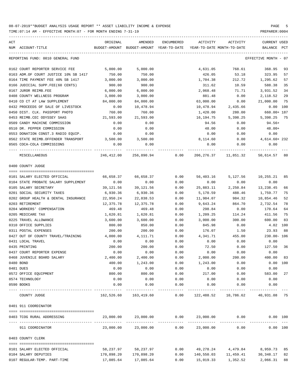| ACT<br>NUM ACCOUNT-TITLE              | ORIGINAL   | AMENDED<br>BUDGET-AMOUNT BUDGET-AMOUNT YEAR-TO-DATE | ENCUMBERED | ACTIVITY         | ACTIVITY<br>YEAR-TO-DATE MONTH-TO-DATE                       | CURRENT USED<br>BALANCE | PCT |
|---------------------------------------|------------|-----------------------------------------------------|------------|------------------|--------------------------------------------------------------|-------------------------|-----|
| REPORTING FUND: 0010 GENERAL FUND     |            |                                                     |            |                  |                                                              | EFFECTIVE MONTH - 07    |     |
| 0162 COURT REPORTER SERVICE FEE       | 5,000.00   | 5,000.00                                            |            | 4,631.05         | 768.61                                                       | 368.95                  | 93  |
| 0163 ADM.OF COURT JUSTICE 10% SB 1417 | 750.00     | 750.00                                              |            | 426.05           | 53.18                                                        | 323.95                  | 57  |
| 0164 TIME PAYMENT FEE 40% SB 1417     | 3,000.00   | 3,000.00                                            |            | 1,704.38         | 212.72                                                       | 1,295.62                | 57  |
| 0166 JUDICIAL SUPP.FEE(60 CENTS)      | 900.00     | 900.00                                              |            | 311.62           | 10.59                                                        | 588.38                  | 35  |
| 0167 JUROR REIMB.FEE                  | 6,000.00   | 6,000.00                                            |            | 2,068.48         | 71.71                                                        | 3,931.52                | 34  |
| 0408 COUNTY WELLNESS PROGRAM          | 3,000.00   | 3,000.00                                            |            | 881.48           | 0.00                                                         | 2,118.52                | 29  |
| 0410 CO CT AT LAW SUPPLEMENT          | 84,000.00  | 84,000.00                                           |            | 63,000.00        | 0.00                                                         | 21,000.00               | 75  |
| 0432 PROCEEDS OF SALE OF LIVESTOCK    | 0.00       | 10,478.94                                           |            | 10,478.94        | 2,435.66                                                     | $0.00$ 100              |     |
| 0450 DIST. CLK. PASSPORT PHOTO        | 760.00     | 760.00                                              |            | 1,420.00         | 280.00                                                       | 660.00+ 187             |     |
| 0453 REIMB.CEC ODYSSEY SAAS           | 21,593.00  | 21,593.00                                           |            | 16,194.75        | 5,398.25                                                     | 5,398.25                | 75  |
| 0509 CANDY MACHINE COMMISSION         | 0.00       | 0.00                                                |            | 94.56            | 0.00                                                         | $94.56+$                |     |
| 0510 DR. PEPPER COMMISSION            | 0.00       | 0.00                                                |            | 48.00            | 0.00                                                         | 48.00+                  |     |
| 0553 DONATION CONST.3 RADIO EQUIP.    | 0.00       | 0.00                                                |            | 0.00             | 0.00                                                         | 0.00                    |     |
| 0562 STATE REIMB.OFFENDER TRANSPORT   | 3,500.00   | 3,500.00                                            |            | 8,114.60         | 0.00                                                         | 4,614.60+232            |     |
| 0565 COCA-COLA COMMISSIONS            | 0.00       | 0.00                                                |            | 0.00             | 0.00                                                         | 0.00                    |     |
| MISCELLANEOUS                         |            | 246,412.00 256,890.94 0.00                          |            |                  | 206, 276.37 11, 851.32                                       | 50,614.57               | 80  |
| 0400 COUNTY JUDGE                     |            |                                                     |            |                  |                                                              |                         |     |
| 0101 SALARY ELECTED OFFICIAL          | 66,658.37  | 66,658.37                                           | 0.00       | 56,403.16        | 5,127.56                                                     | 10,255.21               | 85  |
| 0104 STATE PROBATE SALARY SUPPLEMENT  | 0.00       | 0.00                                                | 0.00       | 0.00             | 0.00                                                         | 0.00                    |     |
| 0105 SALARY SECRETARY                 | 39,121.56  | 39,121.56                                           | 0.00       | 25,883.11        | 2,250.84                                                     | 13,238.45               | 66  |
| 0201 SOCIAL SECURITY TAXES            | 6,930.36   | 6,930.36                                            | 0.00       | 5,170.59         | 488.46                                                       | 1,759.77                | 75  |
| 0202 GROUP HEALTH & DENTAL INSURANCE  | 22,950.24  | 22,838.53                                           | 0.00       | 11,984.07        | 984.32                                                       | 10,854.46               | 52  |
| 0203 RETIREMENT                       | 12,375.78  | 12,375.78                                           | 0.00       | 9,643.24         | 864.70                                                       | 2,732.54                | 78  |
| 0204 WORKERS' COMPENSATION            | 469.48     | 469.48                                              | 0.00       | 298.84           | 0.00                                                         | 170.64                  | 64  |
| 0205 MEDICARE TAX                     | 1,620.81   | 1,620.81                                            | 0.00       | 1,209.25         | 114.24                                                       | 411.56                  | 75  |
| 0225 TRAVEL ALLOWANCE                 | 3,600.00   | 3,600.00                                            | 0.00       | 3,000.00         | 300.00                                                       | 600.00                  | 83  |
| 0310 OFFICE SUPPLIES                  | 800.00     | 850.00                                              | 0.00       | 845.98           | 0.00                                                         | 4.02 100                |     |
| 0311 POSTAL EXPENSES                  | 200.00     | 200.00                                              | 0.00       | 176.07           | 1.50                                                         | 23.93                   | 88  |
| 0427 OUT OF COUNTY TRAVEL/TRAINING    | 4,000.00   | 4, 111. 71                                          | 0.00       | 4,341.71         | 455.00                                                       | 230.00- 106             |     |
| 0431 LOCAL TRAVEL                     | 0.00       | 0.00                                                | 0.00       | 0.00             | 0.00                                                         | 0.00                    |     |
| 0435 PRINTING                         | 200.00     | 200.00                                              | 0.00       | 72.50            | 0.00                                                         | 127.50                  | 36  |
| 0437 COURT REPORTER EXPENSE           | 0.00       | 0.00                                                | 0.00       | 0.00             | 0.00                                                         | 0.00                    |     |
| 0468 JUVENILE BOARD SALARY            | 2,400.00   | 2,400.00                                            | 0.00       | 2,000.00         | 200.00                                                       | 400.00 83               |     |
| 0480 BOND                             | 400.00     | 1,243.00                                            | 0.00       | 1,243.00         | 0.00                                                         | 0.00 100                |     |
| 0481 DUES                             | 0.00       | 0.00                                                | 0.00       | 0.00             | 0.00                                                         | 0.00                    |     |
| 0572 OFFICE EQUIPMENT                 | 800.00     | 800.00                                              | 0.00       | 217.00           | 0.00                                                         | 583.00                  | 27  |
| 0574 TECHNOLOGY                       | 0.00       | 0.00                                                | 0.00       | 0.00             | 0.00                                                         | 0.00                    |     |
| 0590 BOOKS                            | 0.00       | 0.00                                                | 0.00       | 0.00             | 0.00                                                         | 0.00                    |     |
| COUNTY JUDGE                          |            |                                                     |            |                  | 162,526.60 163,419.60 0.00 122,488.52 10,786.62 40,931.08 75 |                         |     |
| 0401 911 COORDINATOR                  |            |                                                     |            |                  |                                                              |                         |     |
| 0403 TCOG RURAL ADDRESSING            |            | 23,000.00 23,000.00                                 | 0.00       |                  | 23,000.00 0.00                                               | 0.00 100                |     |
| 911 COORDINATOR                       | 23,000.00  | 23,000.00                                           | 0.00       | 23,000.00        | 0.00                                                         | 0.00 100                |     |
| 0403 COUNTY CLERK                     |            |                                                     |            |                  |                                                              |                         |     |
| 0101 SALARY ELECTED OFFICIAL          |            | 58,237.97 58,237.97                                 |            | $0.00$ 49,278.24 | 4,479.84                                                     | 8,959.73                | 85  |
| 0104 SALARY DEPUTIES                  | 170,898.20 | 170,898.20                                          | 0.00       |                  | 140,550.03   11,459.41                                       | 30,348.17               | 82  |
| 0107 REGULAR-TEMP. PART-TIME          |            | 17,085.64 17,085.64                                 |            |                  | $0.00$ 15,019.33 1,352.52 2,066.31                           |                         | 88  |
|                                       |            |                                                     |            |                  |                                                              |                         |     |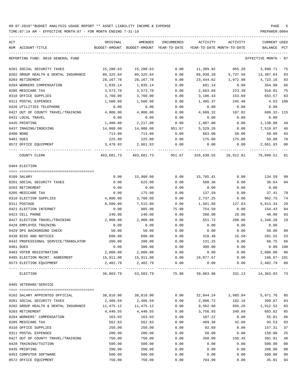| ACT | NUM ACCOUNT-TITLE                    | ORIGINAL  | AMENDED<br>BUDGET-AMOUNT BUDGET-AMOUNT YEAR-TO-DATE | ENCUMBERED | ACTIVITY        | ACTIVITY<br>YEAR-TO-DATE MONTH-TO-DATE | CURRENT USED<br>BALANCE | PCT            |
|-----|--------------------------------------|-----------|-----------------------------------------------------|------------|-----------------|----------------------------------------|-------------------------|----------------|
|     | REPORTING FUND: 0010 GENERAL FUND    |           |                                                     |            |                 |                                        | EFFECTIVE MONTH - 07    |                |
|     | 0201 SOCIAL SECURITY TAXES           | 15,280.63 | 15,280.63                                           | 0.00       | 11,389.92       | 955.20                                 | 3,890.71                | 75             |
|     | 0202 GROUP HEALTH & DENTAL INSURANCE | 80,325.84 | 80,325.84                                           | 0.00       | 66,938.20       | 5,737.56                               | 13,387.64               | 83             |
|     | 0203 RETIREMENT                      | 28,167.78 | 28,167.78                                           | 0.00       | 23,444.62       | 1,972.98                               | 4,723.16                | 83             |
|     | 0204 WORKERS COMPENSATION            | 1,035.14  | 1,035.14                                            | 0.00       | 681.14          | 0.00                                   | 354.00                  | 66             |
|     | 0205 MEDICARE TAX                    | 3,573.70  | 3,573.70                                            | 0.00       | 2,663.69        | 223.39                                 | 910.01                  | 75             |
|     | 0310 OFFICE SUPPLIES                 | 3,760.00  | 3,760.00                                            | 0.00       | 3,106.43        | 153.69                                 | 653.57                  | 83             |
|     | 0311 POSTAL EXPENSES                 | 1,500.00  | 1,500.00                                            | 0.00       | 1,495.37        | 245.40                                 | 4.63 100                |                |
|     | 0420 UTILITIES TELEPHONE             | 0.00      | 0.00                                                | 0.00       | 0.00            | 0.00                                   | 0.00                    |                |
|     | 0427 OUT OF COUNTY TRAVEL/TRAINING   | 4,000.00  | 4,000.00                                            | 0.00       | 4,609.32        | 107.82                                 | 609.32- 115             |                |
|     | 0431 LOCAL TRAVEL                    | 0.00      | 0.00                                                | 0.00       | 0.00            | 0.00                                   | 0.00                    |                |
|     | 0435 PRINTING                        | 1,400.00  | 2,217.00                                            | 0.00       | 1,087.00        | 0.00                                   | 1,130.00                | 49             |
|     | 0437 IMAGING/INDEXING                | 14,000.00 | 14,000.00                                           | 951.67     | 5,529.26        | 0.00                                   | 7,519.07                | 46             |
|     | 0480 BOND                            | 713.00    | 713.00                                              | 0.00       | 663.00          | 50.00                                  | 50.00                   | 93             |
|     | 0481 DUES                            | 225.00    | 225.00                                              | 0.00       | 175.00          | 175.00                                 | 50.00                   | 78             |
|     |                                      | 3,478.83  |                                                     |            |                 |                                        |                         | 00             |
|     | 0572 OFFICE EQUIPMENT                |           | 2,661.83                                            | 0.00       | 0.00            | 0.00                                   | 2,661.83                |                |
|     | COUNTY CLERK                         |           | 403,681.73    403,681.73    951.67                  |            |                 | 326,630.55 26,912.81 76,099.51 81      |                         |                |
|     | 0404 ELECTION                        |           |                                                     |            |                 |                                        |                         |                |
|     |                                      |           |                                                     |            |                 |                                        | 134.59                  |                |
|     | 0109 SALARY                          | 0.00      | 15,900.00                                           | 0.00       | 15,765.41       | 0.00                                   |                         | 99             |
|     | 0201 SOCIAL SECURITY TAXES           | 0.00      | 625.00                                              | 0.00       | 588.36          | 0.00                                   | 36.64                   | 94             |
|     | 0203 RETIREMENT                      | 0.00      | 0.00                                                | 0.00       | 0.00            | 0.00                                   | 0.00                    |                |
|     | 0205 MEDICARE TAX                    | 0.00      | 175.00                                              | 0.00       | 137.59          | 0.00                                   | 37.41                   | 79             |
|     | 0310 ELECTION SUPPLIES               | 4,000.00  | 3,700.00                                            | 0.00       | 2,737.25        | 0.00                                   | 962.75                  | 74             |
|     | 0311 POSTAGE                         | 8,500.00  | 7,515.00                                            | 0.00       | 1,501.66        | 127.63                                 | 6,013.34                | 20             |
|     | 0421 ELECTION INTERNET               | 0.00      | 985.00                                              | 75.98      | 754.59          | 0.00                                   | 154.43                  | 84             |
|     | 0423 CELL PHONE                      | 240.00    | 240.00                                              | 0.00       | 200.00          | 20.00                                  | 40.00                   | 83             |
|     | 0427 ELECTION TRAVEL/TRAINING        | 2,900.00  | 2,900.00                                            | 0.00       | 551.72          | 200.00                                 | 2,348.28                | 19             |
|     | 0428 EMPLOYEE TRAINING               | 0.00      | 0.00                                                | 0.00       | 0.00            | 0.00                                   | 0.00                    |                |
|     | 0429 DPS BACKGROUND CHECK            | 50.00     | 50.00                                               | 0.00       | 0.00            | 0.00                                   | 50.00                   | 0 <sub>0</sub> |
|     | 0430 BIDS AND NOTICES                | 600.00    | 600.00                                              | 0.00       | 318.48          | $16.50 -$                              | 281.52                  | 53             |
|     | 0442 PROFESSIONAL SERVICE/TRANSLATOR | 200.00    | 200.00                                              | 0.00       | 131.25          | 0.00                                   | 68.75                   | 66             |
|     | 0481 DUES                            | 0.00      | 300.00                                              | 0.00       | 300.00          | 0.00                                   | $0.00$ 100              |                |
|     | 0483 VOTER REGISTRATION              | 2,000.00  | 2,000.00                                            | 0.00       | 0.00            | 0.00                                   | 2,000.00                | 00             |
|     | 0485 ELECTION MAINT. AGREEMENT       | 15,911.00 | 15,911.00                                           | 0.00       | 16,077.67       | 0.00                                   | $166.67 - 101$          |                |
|     | 0573 ELECTION EQUIPMENT              | 2,402.79  | 2,402.79                                            | 0.00       | 0.00            | 0.00                                   | 2,402.79 00             |                |
|     | ELECTION                             | 36,803.79 | 53,503.79                                           |            | 75.98 39,063.98 | 331.13                                 | 14, 363. 83 73          |                |
|     | 0405 VETERANS'SERVICE                |           |                                                     |            |                 |                                        |                         |                |
|     |                                      |           |                                                     |            |                 |                                        |                         |                |
|     | 0102 SALARY APPOINTED OFFICIAL       | 38,816.00 | 38,816.00                                           | 0.00       | 32,844.24       | 2,985.84                               | 5,971.76                | 85             |
|     | 0201 SOCIAL SECURITY TAXES           | 2,406.59  | 2,406.59                                            | 0.00       | 2,006.72        | 182.16                                 | 399.87                  | 83             |
|     | 0202 GROUP HEALTH & DENTAL INSURANCE | 11,475.12 | 11, 475.12                                          | 0.00       | 9,562.60        | 956.26                                 | 1,912.52                | 83             |
|     | 0203 RETIREMENT                      | 4,440.55  | 4,440.55                                            | 0.00       | 3,756.93        | 340.68                                 | 683.62                  | 85             |
|     | 0204 WORKERS' COMPENSATION           | 163.03    | 163.03                                              | 0.00       | 107.22          | 0.00                                   | 55.81                   | 66             |
|     | 0205 MEDICARE TAX                    | 562.83    | 562.83                                              | 0.00       | 469.30          | 42.60                                  | 93.53                   | 83             |
|     | 0310 OFFICE SUPPLIES                 | 250.00    | 250.00                                              | 0.00       | 92.69           | 0.00                                   | 157.31                  | 37             |
|     | 0311 POSTAL EXPENSES                 | 200.00    | 200.00                                              | 0.00       | 50.00           | 0.00                                   | 150.00                  | 25             |
|     | 0427 OUT OF COUNTY TRAVEL/TRAINING   | 750.00    | 750.00                                              | 0.00       | 358.09          | 150.45                                 | 391.91                  | 48             |
|     | 0428 TRAINING/TUITION                | 500.00    | 500.00                                              | 0.00       | 0.00            | 0.00                                   | 500.00                  | 00             |
|     | 0435 PRINTING                        | 200.00    | 200.00                                              | 0.00       | 0.00            | 0.00                                   | 200.00                  | 00             |
|     | 0453 COMPUTER SOFTWARE               | 500.00    | 500.00                                              | 0.00       | 0.00            | 0.00                                   | 500.00                  | 0 <sub>0</sub> |
|     | 0572 OFFICE EQUIPMENT                | 750.00    | 750.00                                              | 0.00       | 704.99          | 0.00                                   | 45.01                   | 94             |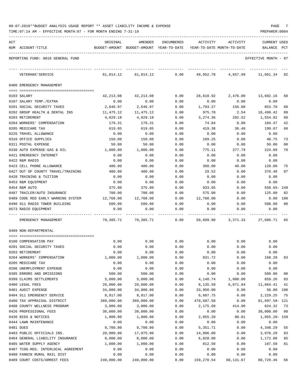| 08-07-2019**BUDGET ANALYSIS USAGE REPORT ** ASSET LIABILITY INCOME & EXPENSE |  |  |  |  |  |  |  |  | PAGE |  |
|------------------------------------------------------------------------------|--|--|--|--|--|--|--|--|------|--|
|------------------------------------------------------------------------------|--|--|--|--|--|--|--|--|------|--|

TIME:07:14 AM - EFFECTIVE MONTH:07 - FOR MONTH ENDING 7-31-19 PREPARER:0004

| ACT |                                     | ORIGINAL   | AMENDED                                  | ENCUMBERED | ACTIVITY                   | ACTIVITY | <b>CURRENT USED</b>  |                |
|-----|-------------------------------------|------------|------------------------------------------|------------|----------------------------|----------|----------------------|----------------|
|     | NUM ACCOUNT-TITLE                   |            | BUDGET-AMOUNT BUDGET-AMOUNT YEAR-TO-DATE |            | YEAR-TO-DATE MONTH-TO-DATE |          | BALANCE              | PCT            |
|     |                                     |            |                                          |            |                            |          |                      |                |
|     | REPORTING FUND: 0010 GENERAL FUND   |            |                                          |            |                            |          | EFFECTIVE MONTH - 07 |                |
|     |                                     |            |                                          |            |                            |          |                      |                |
|     |                                     |            |                                          |            |                            |          |                      |                |
|     | VETERANS ' SERVICE                  | 61,014.12  | 61,014.12                                | 0.00       | 49,952.78                  | 4,657.99 | 11,061.34            | -82            |
|     |                                     |            |                                          |            |                            |          |                      |                |
|     | 0406 EMERGENCY MANAGEMENT           |            |                                          |            |                            |          |                      |                |
|     |                                     |            |                                          |            |                            |          |                      |                |
|     | 0103 SALARY                         | 42,213.08  | 42, 213, 08                              | 0.00       | 28,610.92                  | 2,476.00 | 13,602.16            | 68             |
|     | 0107 SALARY TEMP./EXTRA             | 0.00       | 0.00                                     | 0.00       | 0.00                       | 0.00     | 0.00                 |                |
|     | 0201 SOCIAL SECURITY TAXES          | 2,646.97   | 2,646.97                                 | 0.00       | 1,793.27                   | 156.00   | 853.70               | 68             |
|     | 0202 GROUP HEALTH & DENTAL INS      | 11,475.12  | 11,475.12                                | 0.00       | 975.70                     | 2.54     | 10,499.42            | 09             |
|     | 0203 RETIREMENT                     | 4,829.18   | 4,829.18                                 | 0.00       | 3,274.36                   | 282.52   | 1,554.82             | 68             |
|     | 0204 WORKERS' COMPENSATION          | 179.31     | 179.31                                   | 0.00       | 74.84                      | 0.00     | 104.47               | 42             |
|     | 0205 MEDICARE TAX                   | 619.05     | 619.05                                   | 0.00       | 419.38                     | 36.48    | 199.67               | 68             |
|     | 0225 TRAVEL ALLOWANCE               | 0.00       | 0.00                                     | 0.00       | 0.00                       | 0.00     | 0.00                 |                |
|     | 0310 OFFICE SUPPLIES                | 150.00     | 150.00                                   | 0.00       | 109.25                     | 0.00     | 40.75                | 73             |
|     | 0311 POSTAL EXPENSE                 | 50.00      | 50.00                                    | 0.00       | 0.00                       | 0.00     | 50.00                | 00             |
|     | 0330 AUTO EXPENSE-GAS & OIL         | 1,000.00   | 1,000.00                                 | 0.00       | 775.11                     | 377.79   | 224.89               | 78             |
|     | 0421 EMERGENCY INTERNET             | 0.00       | 0.00                                     | 0.00       | 0.00                       | 0.00     | 0.00                 |                |
|     | 0422 R&M RADIO                      | 0.00       | 0.00                                     | 0.00       | 0.00                       | 0.00     | 0.00                 |                |
|     | 0423 CELL PHONE ALLOWANCE           | 480.00     | 480.00                                   | 0.00       | 360.00                     | 40.00    | 120.00               | 75             |
|     | 0427 OUT OF COUNTY TRAVEL/TRAINING  | 400.00     | 400.00                                   | 0.00       | 29.52                      | 0.00     | 370.48               | 07             |
|     | 0428 TRAINING & TUITION             | 0.00       | 0.00                                     | 0.00       | 0.00                       | 0.00     | 0.00                 |                |
|     | 0453 R&M EQUIPMENT                  | 0.00       | 0.00                                     | 0.00       | 0.00                       | 0.00     | 0.00                 |                |
|     | 0454 R&M AUTO                       | 375.00     | 375.00                                   | 0.00       | 933.65                     | 0.00     | 558.65-249           |                |
|     | 0487 TRAILER/AUTO INSURANCE         | 700.00     | 700.00                                   | 0.00       | 575.00                     | 0.00     | 125.00               | 82             |
|     | 0489 CODE RED EARLY WARNING SYSTEM  | 12,768.00  | 12,768.00                                | 0.00       | 12,768.00                  | 0.00     | $0.00$ 100           |                |
|     | 0490 911 RADIO TOWER BUILDING       | 500.00     | 500.00                                   | 0.00       | 0.00                       | 0.00     | 500.00               | 0 <sup>0</sup> |
|     | 0573 RADIO EQUIPMENT                | 0.00       | 0.00                                     | 0.00       | 0.00                       | 0.00     | 0.00                 |                |
|     |                                     |            |                                          |            |                            |          |                      |                |
|     | EMERGENCY MANAGEMENT                |            | 78,385.71 78,385.71                      | 0.00       | 50,699.00                  | 3,371.33 | 27,686.71 65         |                |
|     | 0409 NON-DEPARTMENTAL               |            |                                          |            |                            |          |                      |                |
|     |                                     |            |                                          |            |                            |          |                      |                |
|     | 0100 COMPENSATION PAY               | 0.00       | 0.00                                     | 0.00       | 0.00                       | 0.00     | 0.00                 |                |
|     | 0201 SOCIAL SECURITY TAXES          | 0.00       | 0.00                                     | 0.00       | 0.00                       | 0.00     | 0.00                 |                |
|     | 0203 RETIREMENT                     | 0.00       | 0.00                                     | 0.00       | 0.00                       | 0.00     | 0.00                 |                |
|     | 0204 WORKERS' COMPENSATION          | 1,000.00   | 1,000.00                                 | 0.00       | 831.72                     | 0.00     | 168.28               | 83             |
|     | 0205 MEDICARE TAX                   | 0.00       | 0.00                                     | 0.00       | 0.00                       | 0.00     | 0.00                 |                |
|     | 0206 UNEMPLOYMENT EXPENSE           | 0.00       | 0.00                                     | 0.00       | 0.00                       | 0.00     | 0.00                 |                |
|     | 0395 ERRORS AND OMISSIONS           | 500.00     | 500.00                                   | 0.00       | 0.00                       | 0.00     | 500.00               | 00             |
|     | 0399 CLAIMS SETTLEMENTS             | 5,000.00   | 5,000.00                                 | 0.00       | 4,140.74                   | 1,000.00 | 859.26               | 83             |
|     | 0400 LEGAL FEES                     | 20,000.00  | 20,000.00                                | 0.00       | 8,135.59                   | 6,071.94 | 11,864.41            | 41             |
|     | 0401 AUDIT EXPENSE                  | 34,000.00  | 34,000.00                                | 0.00       | 33,950.00                  | 0.00     | 50.00                | 100            |
|     | 0404 911 EMERGENCY SERVICE          | 8,917.00   | 8,917.00                                 | 0.00       | 6,687.75                   | 0.00     | 2,229.25             | 75             |
|     | 0406 TAX APPRAISAL DISTRICT         | 389,000.00 | 389,000.00                               | 0.00       | 470,697.58                 | 0.00     | 81,697.58- 121       |                |
|     | 0408 COUNTY WELLNESS PROGRAM        | 3,000.00   | 3,000.00                                 | 0.00       | 2,175.68                   | 414.90   | 824.32               | 73             |
|     | 0426 PROFESSIONAL FEES              | 30,000.00  | 30,000.00                                | 0.00       | 0.00                       | 0.00     | 30,000.00            | 0 <sub>0</sub> |
|     | 0430 BIDS & NOTICES                 | 1,800.00   | 1,800.00                                 | 0.00       | 2,855.20                   | 90.81    | $1,055.20 - 159$     |                |
|     | 0444 LAWN MAINTENANCE               | 0.00       | 0.00                                     | 0.00       | 0.00                       | 0.00     | 0.00                 |                |
|     | 0481 DUES                           | 9,700.00   | 9,700.00                                 | 0.00       | 5,351.71                   | 0.00     | 4,348.29             | 55             |
|     | 0483 PUBLIC OFFICIALS INS.          | 20,000.00  | 17,975.00                                | 0.00       | 14,896.80                  | 0.00     | 3,078.20             | 83             |
|     | 0484 GENERAL LIABILITY INSURANCE    | 8,000.00   | 8,000.00                                 | 0.00       | 6,828.00                   | 0.00     | 1,172.00             | 85             |
|     | 0485 WATER SUPPLY AGENCY            | 1,000.00   | 1,000.00                                 | 0.00       | 812.50                     | 0.00     | 187.50               | 81             |
|     | 0487 TCOG-REG. INTERLOCAL AGREEMENT | 0.00       | 0.00                                     | 0.00       | 0.00                       | 0.00     | 0.00                 |                |
|     | 0488 FANNIN RURAL RAIL DIST         | 0.00       | 0.00                                     | 0.00       | 0.00                       | 0.00     | 0.00                 |                |
|     |                                     |            |                                          |            |                            |          |                      |                |

0489 COURT COSTS/ARREST FEES  $240,000.00$   $240,000.00$   $0.00$   $159,270.54$   $60,131.67$   $80,729.46$   $66$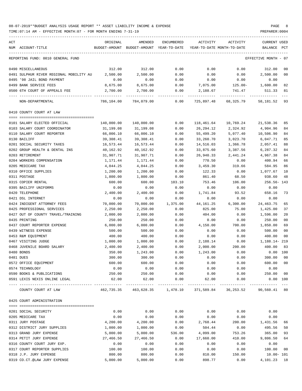| ACT                                     | ORIGINAL   | AMENDED                                  | ENCUMBERED                           | ACTIVITY                     | ACTIVITY                   | <b>CURRENT USED</b>                    |                |
|-----------------------------------------|------------|------------------------------------------|--------------------------------------|------------------------------|----------------------------|----------------------------------------|----------------|
| NUM ACCOUNT-TITLE                       |            | BUDGET-AMOUNT BUDGET-AMOUNT YEAR-TO-DATE |                                      |                              | YEAR-TO-DATE MONTH-TO-DATE | BALANCE<br>PCT                         |                |
|                                         |            |                                          |                                      |                              |                            |                                        |                |
| REPORTING FUND: 0010 GENERAL FUND       |            |                                          |                                      |                              |                            | EFFECTIVE MONTH - 07                   |                |
| 0490 MISCELLANEOUS                      | 312.00     | 312.00                                   | 0.00                                 | 0.00                         | 0.00                       | 312.00                                 | 00             |
| 0491 SULPHUR RIVER REGIONAL MOBILITY AU | 2,500.00   | 2,500.00                                 | 0.00                                 | 0.00                         | 0.00                       | 2,500.00                               | 00             |
| 0495 '98 JAIL BOND PAYMENT              | 0.00       | 0.00                                     | 0.00                                 | 0.00                         | 0.00                       | 0.00                                   |                |
| 0499 BANK SERVICE FEES                  | 8,675.00   | 8,675.00                                 | 0.00                                 | 7,075.00                     | $125.00 -$                 | 1,600.00                               | 82             |
| 0500 6TH COURT OF APPEALS FEE           | 2,700.00   | 2,700.00                                 | 0.00                                 | 2,188.67                     | 741.47                     | 511.33                                 | 81             |
| NON-DEPARTMENTAL                        | 786,104.00 | 784,079.00                               | 0.00                                 | 725,897.48                   | 68,325.79                  | $---$<br>58, 181. 52 93                |                |
| 0410 COUNTY COURT AT LAW                |            |                                          |                                      |                              |                            |                                        |                |
|                                         |            |                                          |                                      |                              |                            |                                        |                |
| 0101 SALARY ELECTED OFFICIAL            | 140,000.00 | 140,000.00                               | 0.00                                 | 118,461.64                   | 10,769.24                  | 21,538.36                              | 85             |
| 0103 SALARY COURT COORDINATOR           | 31,199.08  | 31,199.08                                | 0.00                                 | 26,294.12                    | 2,324.92                   | 4,904.96                               | 84             |
| 0110 SALARY COURT REPORTER              | 66,006.10  | 66,006.10                                | 0.00                                 | 55,499.20                    | 5,077.40                   | 10,506.90                              | 84             |
| 0130 BAILIFF                            | 39,308.41  | 39,308.41                                | 0.00                                 | 33,260.70                    | 3,023.70                   | 6,047.71                               | 85             |
| 0201 SOCIAL SECURITY TAXES              | 16,573.44  | 16,573.44                                | 0.00                                 | 14,516.03                    | 1,366.78                   | 2,057.41                               | 88             |
| 0202 GROUP HEALTH & DENTAL INS          | 40,162.92  | 40,162.92                                | 0.00                                 | 33,875.60                    | 3,387.56                   | 6,287.32                               | 84             |
| 0203 RETIREMENT                         | 31,907.71  | 31,907.71                                | 0.00                                 | 26,940.33                    | 2,441.24                   | 4,967.38                               | 84             |
| 0204 WORKERS COMPENSATION               | 1,171.44   | 1,171.44                                 | 0.00                                 | 770.50                       | 0.00                       | 400.94                                 | 66             |
| 0205 MEDICARE TAX                       | 4,044.25   | 4,044.25                                 | 0.00                                 | 3,459.30                     | 319.66                     | 584.95                                 | 86             |
| 0310 OFFICE SUPPLIES                    | 1,200.00   | 1,200.00                                 | 0.00                                 | 122.33                       | 0.00                       | 1,077.67                               | 10             |
| 0311 POSTAGE                            | 1,800.00   | 1,800.00                                 | 0.00                                 | 861.40                       | 68.50                      | 938.60                                 | 48             |
| 0315 COPIER RENTAL                      | 600.00     | 600.00                                   | 103.10                               | 753.46                       | 106.00                     | 256.56- 143                            |                |
| 0395 BAILIFF UNIFORMS                   | 0.00       | 0.00                                     | 0.00                                 | 0.00                         | 0.00                       | 0.00                                   |                |
| 0420 TELEPHONE                          | 2,400.00   | 2,400.00                                 |                                      | 1,741.84                     |                            | 658.16                                 | 73             |
|                                         |            |                                          | 0.00                                 |                              | 93.52                      |                                        |                |
| 0421 DSL INTERNET                       | 0.00       | 0.00                                     | 0.00                                 | 0.00                         | 0.00                       | 0.00                                   |                |
| 0424 INDIGENT ATTORNEY FEES             | 70,000.00  | 70,000.00                                | 1,375.00                             | 44,161.25                    | 6,300.00                   | 24, 463. 75                            | 65             |
| 0425 PROFESSIONAL SERVICES              | 2,250.00   | 2,250.00                                 | 0.00                                 | 825.00                       | 75.00                      | 1,425.00                               | 37             |
| 0427 OUT OF COUNTY TRAVEL/TRAINING      | 2,000.00   | 2,000.00                                 | 0.00                                 | 404.00                       | 0.00                       | 1,596.00                               | 20             |
| 0435 PRINTING                           | 250.00     | 250.00                                   | 0.00                                 | 0.00                         | 0.00                       | 250.00                                 | 00             |
| 0437 COURT REPORTER EXPENSE             | 6,000.00   | 6,000.00                                 | 0.00                                 | 4,150.00                     | 700.00                     | 1,850.00                               | 69             |
| 0439 WITNESS EXPENSE                    | 500.00     | 500.00                                   | 0.00                                 | 0.00                         | 0.00                       | 500.00                                 | 00             |
| 0453 R&M EQUIPMENT                      | 400.00     | 400.00                                   | 0.00                                 | 0.00                         | 0.00                       | 400.00                                 | 0 <sub>0</sub> |
| 0467 VISITING JUDGE                     | 1,000.00   | 1,000.00                                 | 0.00                                 | 2,188.14                     | 0.00                       | 1,188.14-219                           |                |
| 0468 JUVENILE BOARD SALARY              | 2,400.00   | 2,400.00                                 | 0.00                                 | 2,000.00                     | 200.00                     | 400.00                                 | 83             |
| 0480 BONDS                              | 350.00     | 1,243.00                                 | 0.00                                 | 1,243.00                     | 0.00                       | 0.00 100                               |                |
| 0481 DUES                               | 300.00     | 300.00                                   | 0.00                                 | 0.00                         | 0.00                       | 300.00                                 | 00             |
| 0572 OFFICE EQUIPMENT                   | 600.00     | 600.00                                   | 0.00                                 | 0.00                         | 0.00                       | 600.00                                 | 00             |
| 0574 TECHNOLOGY                         | 0.00       | 0.00                                     | 0.00                                 | 0.00                         | 0.00                       | 0.00                                   |                |
| 0590 BOOKS & PUBLICATIONS               | 250.00     | 250.00                                   | 0.00                                 | 0.00                         | 0.00                       | 250.00                                 | 00             |
| 0591 LEXIS NEXIS ONLINE LEGAL           | 62.00      | 62.00                                    | 0.00                                 | 62.00                        | 0.00                       | 0.00 100                               |                |
| COUNTY COURT AT LAW                     | 462,735.35 | -------------                            | -------------<br>463,628.35 1,478.10 | --------------<br>371,589.84 | _____________<br>36,253.52 | -----------<br>$- - -$<br>90,560.41 80 |                |
| 0425 COURT ADMINISTRATION               |            |                                          |                                      |                              |                            |                                        |                |
|                                         |            |                                          |                                      |                              |                            |                                        |                |
| 0201 SOCIAL SECURITY                    | 0.00       | 0.00                                     | 0.00                                 | 0.00                         | 0.00                       | 0.00                                   |                |
| 0205 MEDICARE TAX                       | 0.00       | 0.00                                     | 0.00                                 | 0.00                         | 0.00                       | 0.00                                   |                |
| 0311 JURY POSTAGE                       | 4,200.00   | 4,200.00                                 | 0.00                                 | 2,768.44                     | 200.00                     | 1,431.56                               | 66             |
| 0312 DISTRICT JURY SUPPLIES             | 1,000.00   | 1,000.00                                 | 0.00                                 | 504.44                       | 0.00                       | 495.56                                 | 50             |
| 0313 GRAND JURY EXPENSE                 | 5,000.00   | 5,000.00                                 | 536.00                               | 4,099.00                     | 753.26                     | 365.00                                 | 93             |
| 0314 PETIT JURY EXPENSE                 | 27,466.50  | 27,466.50                                | 0.00                                 | 17,660.00                    | 410.00                     | 9,806.50                               | 64             |
| 0316 COUNTY COURT JURY EXP.             | 0.00       | 0.00                                     | 0.00                                 | 0.00                         | 0.00                       | 0.00                                   |                |
| 0317 COURT REPORTER SUPPLIES            | 100.00     | 100.00                                   | 0.00                                 | 0.00                         | 0.00                       | 100.00                                 | 00             |
| 0318 J.P. JURY EXPENSE                  | 800.00     | 800.00                                   | 0.00                                 | 810.00                       | 150.00                     | $10.00 - 101$                          |                |
| 0319 CO.CT.@LAW JURY EXPENSE            | 5,000.00   | 5,000.00                                 | 0.00                                 | 898.77                       | 0.00                       | 4,101.23<br>18                         |                |
|                                         |            |                                          |                                      |                              |                            |                                        |                |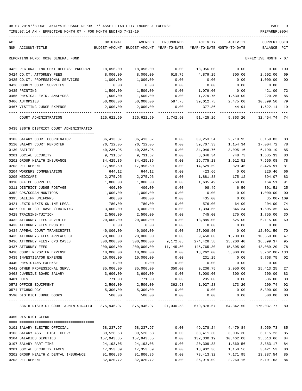| ACT                                     | ORIGINAL   | AMENDED                                  | ENCUMBERED | ACTIVITY              | ACTIVITY                   | CURRENT USED         |               |
|-----------------------------------------|------------|------------------------------------------|------------|-----------------------|----------------------------|----------------------|---------------|
| NUM ACCOUNT-TITLE                       |            | BUDGET-AMOUNT BUDGET-AMOUNT YEAR-TO-DATE |            |                       | YEAR-TO-DATE MONTH-TO-DATE | BALANCE              | PCT           |
| REPORTING FUND: 0010 GENERAL FUND       |            |                                          |            |                       |                            | EFFECTIVE MONTH - 07 |               |
| 0422 REGIONAL INDIGENT DEFENSE PROGRAM  | 18,056.00  | 18,056.00                                | 0.00       | 18,056.00             | 0.00                       | 0.00 100             |               |
| 0424 CO.CT. ATTORNEY FEES               | 8,000.00   | 8,000.00                                 | 618.75     | 4,879.25              | 300.00                     | 2,502.00             | 69            |
| 0425 CO.CT. PROFESSIONAL SERVICES       | 1,000.00   | 1,000.00                                 | 0.00       | 0.00                  | 0.00                       | 1,000.00             | 00            |
| 0426 COUNTY COURT SUPPLIES              | 0.00       | 0.00                                     | 0.00       | 0.00                  | 0.00                       | 0.00                 |               |
| 0435 PRINTING                           | 1,500.00   | 1,500.00                                 | 0.00       | 1,079.00              | 0.00                       | 421.00               | 72            |
| 0465 PHYSICAL EVID. ANALYSES            | 1,500.00   | 1,500.00                                 | 0.00       | 1,279.75              | 1,530.00                   | 220.25               | 85            |
| 0466 AUTOPSIES                          | 50,000.00  | 50,000.00                                | 587.75     | 39,012.75             | 2,475.00                   | 10,399.50            | 79            |
| 0467 VISITING JUDGE EXPENSE             | 2,000.00   | 2,000.00                                 | 0.00       | 377.86                | 44.94                      | 1,622.14             | 19            |
| COURT ADMINISTRATION                    | 125,622.50 | 125,622.50                               | 1,742.50   | 91,425.26             | 5,863.20                   | 32, 454. 74 74       |               |
| 0435 336TH DISTRICT COURT ADMINISTRATIO |            |                                          |            |                       |                            |                      |               |
| 0103 SALARY COURT COORDINATOR           | 36, 413.37 | 36,413.37                                | 0.00       | 30,253.54             | 2,719.95                   | 6,159.83             | 83            |
| 0110 SALARY COURT REPORTER              | 76,712.05  | 76,712.05                                | 0.00       | 59,707.33             | 1,154.34                   | 17,004.72            | 78            |
| 0130 BAILIFF                            | 40,236.95  | 40,236.95                                | 0.00       | 34,046.76             | 3,095.16                   | 6,190.19             | 85            |
| 0201 SOCIAL SECURITY                    | 9,731.67   | 9,731.67                                 | 0.00       | 8,046.34              | 748.73                     | 1,685.33             | 83            |
| 0202 GROUP HEALTH INSURANCE             | 34,425.36  | 34,425.36                                | 0.00       | 26,775.28             | 1,912.52                   | 7,650.08             | 78            |
| 0203 RETIREMENT                         | 17,956.50  | 17,956.50                                | 0.00       | 14,529.59             | 829.46                     | 3,426.91             | 81            |
| 0204 WORKERS COMPENSATION               | 644.12     | 644.12                                   | 0.00       | 423.66                | 0.00                       | 220.46               | 66            |
| 0205 MEDICARE                           | 2,275.95   | 2,275.95                                 | 0.00       | 1,881.88              | 175.12                     | 394.07               | 83            |
| 0310 OFFICE SUPPLIES                    | 1,800.00   | 1,800.00                                 | 0.00       | 1,635.49              | 760.88                     | 164.51               | 91            |
| 0311 DISTRICT JUDGE POSTAGE             | 400.00     | 400.00                                   | 0.00       | 98.49                 | 6.50                       | 301.51               | 25            |
| 0352 GPS/SCRAM MONITORS                 | 1,000.00   | 1,000.00                                 | 0.00       | 0.00                  | 0.00                       | 1,000.00             | 00            |
| 0395 BAILIFF UNIFORMS                   | 400.00     | 400.00                                   | 0.00       | 435.00                | 0.00                       | $35.00 - 109$        |               |
| 0421 LEXIS NEXIS ONLINE LEGAL           | 780.00     | 780.00                                   | 0.00       | 576.00                | 64.00                      | 204.00               | 74            |
| 0427 OUT OF CO TRAVEL/TRAINING          | 3,000.00   | 3,000.00                                 | 0.00       | 1,394.65              | 846.34                     | 1,605.35             | 46            |
| 0428 TRAINING/TUITION                   | 2,500.00   | 2,500.00                                 | 0.00       | 745.00                | 275.00                     | 1,755.00             | 30            |
| 0432 ATTORNEY FEES JUVENILE             | 20,000.00  | 20,000.00                                | 0.00       | 13,885.00             | 625.00                     | 6, 115.00            | 69            |
| 0433 ATTORNEY FEES DRUG CT              | 0.00       | 0.00                                     | 0.00       | 0.00                  | 0.00                       | 0.00                 |               |
| 0434 APPEAL COURT TRANSCRIPTS           | 40,000.00  | 40,000.00                                | 0.00       | 27,908.50             | 0.00                       | 12,091.50            | 70            |
| 0435 ATTORNEYS FEES APPEALS CT          | 20,000.00  | 20,000.00                                | 0.00       | 9,450.00              | 1,700.00                   | 10,550.00            | 47            |
| 0436 ATTORNEY FEES- CPS CASES           | 300,000.00 | 300,000.00                               | 9,172.05   | 274,428.58            | 25,200.40                  | 16,399.37            | 95            |
| 0437 ATTORNEY FEES                      | 200,000.00 | 200,000.00                               | 11,145.50  | 145,765.30            | 15,805.90                  | 43,089.20            | 78            |
| 0438 COURT REPORTER EXPENSE             | 10,000.00  | 10,000.00                                | 0.00       | 13,262.00             | 5,000.00                   | $3,262.00 - 133$     |               |
| 0439 INVESTIGATOR EXPENSE               | 10,000.00  | 10,000.00                                | 0.00       | 231.25                | 0.00                       | 9,768.75 02          |               |
| 0440 PHYSICIANS EXPENSE                 | 0.00       | 0.00                                     | 0.00       | 0.00                  | 0.00                       | 0.00                 |               |
| 0442 OTHER PROFESSIONAL SERV.           | 35,000.00  | 35,000.00                                | 350.00     | 9,236.75              | 2,950.00                   | 25, 413. 25          | 27            |
| 0468 JUVENILE BOARD SALARY              | 3,600.00   | 3,600.00                                 | 0.00       | 3,000.00              | 300.00                     | 600.00               | 83            |
| 0481 DUES                               | 771.00     | 771.00                                   | 0.00       | 235.00                | 0.00                       | 536.00               | 30            |
| 0572 OFFICE EQUIPMENT                   | 2,500.00   | 2,500.00                                 | 362.98     | 1,927.28              | 173.20                     | 209.74               | 92            |
| 0574 TECHNOLOGY                         | 5,300.00   | 5,300.00                                 | 0.00       | 0.00                  | 0.00                       | 5,300.00             | $00\,$        |
| 0590 DISTRICT JUDGE BOOKS               | 500.00     | 500.00                                   | 0.00       | 0.00<br>------------- | 0.00<br>.                  | 500.00               | 00<br>$- - -$ |
| 336TH DISTRICT COURT ADMINISTRATIO      |            | 875,946.97 875,946.97 21,030.53          |            |                       | 679,878.67 64,342.50       | 175,037.77 80        |               |
| 0450 DISTRICT CLERK                     |            |                                          |            |                       |                            |                      |               |
| 0101 SALARY ELECTED OFFICIAL            | 58,237.97  | 58,237.97                                | 0.00       | 49,278.24             | 4,479.84                   | 8,959.73             | 85            |
| 0103 SALARY ASST. DIST. CLERK           | 39,526.53  | 39,526.53                                | 0.00       | 33,411.30             | 3,006.30                   | 6,115.23             | 85            |
| 0104 SALARIES DEPUTIES                  | 157,943.85 | 157,943.85                               | 0.00       | 132,330.19            | 10,462.08                  | 25,613.66            | 84            |
| 0107 SALARY PART-TIME                   | 24, 193.05 | 24, 193.05                               | 0.00       | 20,309.88             | 1,860.56                   | 3,883.17             | 84            |
| 0201 SOCIAL SECURITY TAXES              | 17,353.89  | 17,353.89                                | 0.00       | 13,932.36             | 1,150.56                   | 3,421.53             | 80            |
| 0202 GROUP HEALTH & DENTAL INSURANCE    | 91,800.86  | 91,800.86                                | 0.00       | 78,413.32             | 7,171.95                   | 13,387.54            | 85            |
| 0203 RETIREMENT                         | 32,020.72  | 32,020.72                                | 0.00       | 26,919.09             | 2,260.16                   | 5,101.63             | 84            |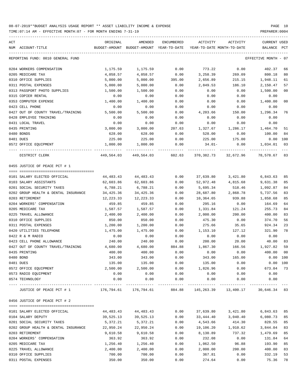| ACT<br>NUM ACCOUNT-TITLE             | ORIGINAL                                                                     | AMENDED<br>BUDGET-AMOUNT BUDGET-AMOUNT YEAR-TO-DATE | ENCUMBERED            | ACTIVITY  | ACTIVITY<br>YEAR-TO-DATE MONTH-TO-DATE | CURRENT USED<br>BALANCE | PCT |
|--------------------------------------|------------------------------------------------------------------------------|-----------------------------------------------------|-----------------------|-----------|----------------------------------------|-------------------------|-----|
| REPORTING FUND: 0010 GENERAL FUND    |                                                                              |                                                     |                       |           |                                        | EFFECTIVE MONTH - 07    |     |
| 0204 WORKERS COMPENSATION            | 1,175.59                                                                     | 1,175.59                                            | 0.00                  | 773.22    | 0.00                                   | 402.37                  | 66  |
| 0205 MEDICARE TAX                    | 4,058.57                                                                     | 4,058.57                                            | 0.00                  | 3,258.39  | 269.09                                 | 800.18                  | 80  |
| 0310 OFFICE SUPPLIES                 | 5,000.00                                                                     | 5,000.00                                            | 395.00                | 2,656.89  | 215.15                                 | 1,948.11                | 61  |
| 0311 POSTAL EXPENSES                 | 5,000.00                                                                     | 5,000.00                                            | 0.00                  | 2,849.53  | 186.10                                 | 2,150.47                | 57  |
| 0313 PASSPORT PHOTO SUPPLIES         | 1,500.00                                                                     | 1,500.00                                            | 0.00                  | 0.00      | 0.00                                   | 1,500.00                | 00  |
| 0315 COPIER RENTAL                   | 0.00                                                                         | 0.00                                                | 0.00                  | 0.00      | 0.00                                   | 0.00                    |     |
| 0353 COMPUTER EXPENSE                | 1,400.00                                                                     | 1,400.00                                            | 0.00                  | 0.00      | 0.00                                   | 1,400.00                | 00  |
| 0423 CELL PHONE                      | 0.00                                                                         | 0.00                                                | 0.00                  | 0.00      | 0.00                                   | 0.00                    |     |
| 0427 OUT OF COUNTY TRAVEL/TRAINING   | 5,500.00                                                                     | 5,500.00                                            | 0.00                  | 4,203.66  | 150.00                                 | 1,296.34                | 76  |
| 0428 EMPLOYEE TRAINING               | 0.00                                                                         | 0.00                                                | 0.00                  | 0.00      | 0.00                                   | 0.00                    |     |
| 0431 LOCAL TRAVEL                    | 0.00                                                                         | 0.00                                                | 0.00                  | 0.00      | 0.00                                   | 0.00                    |     |
| 0435 PRINTING                        | 3,000.00                                                                     | 3,000.00                                            | 207.63                | 1,327.67  | 1,286.17                               | 1,464.70                | 51  |
| 0480 BONDS                           | 628.00                                                                       | 628.00                                              | 0.00                  | 528.00    | 0.00                                   | 100.00                  | 84  |
| 0481 DUES                            | 225.00                                                                       | 225.00                                              | 0.00                  | 225.00    | 175.00                                 | 0.00 100                |     |
| 0572 OFFICE EQUIPMENT                | 1,000.00                                                                     | 1,000.00                                            | 0.00                  | 34.01-    | 0.00                                   | 1,034.01                | 03  |
|                                      |                                                                              |                                                     |                       |           |                                        |                         |     |
| DISTRICT CLERK                       | 449,564.03                                                                   | 449,564.03                                          | 602.63                |           | 370,382.73 32,672.96                   | 78,578.67 83            |     |
| 0455 JUSTICE OF PEACE PCT # 1        |                                                                              |                                                     |                       |           |                                        |                         |     |
| 0101 SALARY ELECTED OFFICIAL         | 44,483.43                                                                    | 44,483.43                                           | 0.00                  | 37,639.80 | 3,421.80                               | 6,843.63                | 85  |
| 0103 SALARY ASSISTANTS               | 62,603.86                                                                    | 62,603.86                                           |                       |           | 4,815.68                               | 9,631.38                | 85  |
|                                      |                                                                              |                                                     | 0.00                  | 52,972.48 | 518.46                                 |                         |     |
| 0201 SOCIAL SECURITY TAXES           | 6,788.21                                                                     | 6,788.21                                            | 0.00                  | 5,695.34  |                                        | 1,092.87                | 84  |
| 0202 GROUP HEALTH & DENTAL INSURANCE | 34,425.36                                                                    | 34,425.36                                           | 0.00                  | 28,687.80 | 2,868.78                               | 5,737.56                | 83  |
| 0203 RETIREMENT                      | 12,223.33                                                                    | 12,223.33                                           | 0.00                  | 10,364.65 | 939.88                                 | 1,858.68                | 85  |
| 0204 WORKERS' COMPENSATION           | 459.85                                                                       | 459.85                                              | 0.00                  | 295.16    | 0.00                                   | 164.69                  | 64  |
| 0205 MEDICARE TAX                    | 1,587.57                                                                     | 1,587.57                                            | 0.00                  | 1,331.84  | 121.24                                 | 255.73                  | 84  |
| 0225 TRAVEL ALLOWANCE                | 2,400.00                                                                     | 2,400.00                                            | 0.00                  | 2,000.00  | 200.00                                 | 400.00                  | 83  |
| 0310 OFFICE SUPPLIES                 | 850.00                                                                       | 850.00                                              | 0.00                  | 475.30    | 0.00                                   | 374.70                  | 56  |
| 0311 POSTAL EXPENSES                 | 1,200.00                                                                     | 1,200.00                                            | 0.00                  | 275.66    | 35.65                                  | 924.34                  | 23  |
| 0420 UTILITIES TELEPHONE             | 1,475.00                                                                     | 1,475.00                                            | 0.00                  | 1,153.10  | 127.12                                 | 321.90                  | 78  |
| 0422 R & M RADIO                     | 0.00                                                                         | 0.00                                                | 0.00                  | 0.00      | 0.00                                   | 0.00                    |     |
| 0423 CELL PHONE ALLOWANCE            | 240.00                                                                       | 240.00                                              | 0.00                  | 200.00    | 20.00                                  | 40.00                   | 83  |
| 0427 OUT OF COUNTY TRAVEL/TRAINING   | 4,680.00                                                                     | 4,680.00                                            | 884.88                | 1,867.30  | 166.56                                 | 1,927.82                | 59  |
| 0435 PRINTING                        | 400.00                                                                       | 400.00                                              | 0.00                  | 0.00      | 0.00                                   | 400.00                  | 00  |
| 0480 BOND                            | 343.00                                                                       | 343.00                                              | 0.00                  | 343.00    | 165.00                                 | 0.00 100                |     |
| 0481 DUES                            | 135.00                                                                       | 135.00                                              | 0.00                  | 135.00    | 0.00                                   | 0.00 100                |     |
| 0572 OFFICE EQUIPMENT                | 2,500.00                                                                     | 2,500.00                                            | 0.00                  | 1,826.96  | 0.00                                   | 673.04 73               |     |
| 0573 RADIO EQUIPMENT                 | 0.00                                                                         | 0.00                                                | 0.00                  | 0.00      | 0.00                                   | 0.00                    |     |
| 0574 TECHNOLOGY                      | 0.00                                                                         | 0.00                                                | 0.00<br>------------- | 0.00      | 0.00                                   | 0.00<br>--------------  |     |
| JUSTICE OF PEACE PCT # 1             | $176,794.61$ $176,794.61$ $884.88$ $145,263.39$ $13,400.17$ $30,646.34$ $83$ |                                                     |                       |           |                                        |                         |     |
| 0456 JUSTICE OF PEACE PCT # 2        |                                                                              |                                                     |                       |           |                                        |                         |     |
|                                      |                                                                              |                                                     |                       |           |                                        |                         |     |
| 0101 SALARY ELECTED OFFICIAL         | 44,483.43                                                                    | 44,483.43                                           | 0.00                  | 37,639.80 | 3,421.80                               | 6,843.63                | 85  |
| 0104 SALARY DEPUTY                   | 39,525.13                                                                    | 39,525.13                                           | 0.00                  | 33,444.40 | 3,040.40                               | 6,080.73                | 85  |
| 0201 SOCIAL SECURITY TAXES           | 5,372.21                                                                     | 5,372.21                                            | 0.00                  | 4,543.66  | 414.30                                 | 828.55                  | 85  |
| 0202 GROUP HEALTH & DENTAL INSURANCE | 22,950.24                                                                    | 22,950.24                                           | 0.00                  | 19,106.20 | 1,910.62                               | 3,844.04                | 83  |
| 0203 RETIREMENT                      | 9,610.58                                                                     | 9,610.58                                            | 0.00                  | 8,130.89  | 737.32                                 | 1,479.69                | 85  |
| 0204 WORKERS' COMPENSATION           | 363.92                                                                       | 363.92                                              | 0.00                  | 232.08    | 0.00                                   | 131.84                  | 64  |
| 0205 MEDICARE TAX                    | 1,256.40                                                                     | 1,256.40                                            | 0.00                  | 1,062.50  | 96.88                                  | 193.90                  | 85  |
| 0225 TRAVEL ALLOWANCE                | 2,400.00                                                                     | 2,400.00                                            | 0.00                  | 2,000.00  | 200.00                                 | 400.00                  | 83  |
| 0310 OFFICE SUPPLIES                 | 700.00                                                                       | 700.00                                              | 0.00                  | 367.81    | 0.00                                   | 332.19                  | 53  |
| 0311 POSTAL EXPENSES                 | 350.00                                                                       | 350.00                                              | 0.00                  | 274.64    | 0.00                                   | 75.36                   | 78  |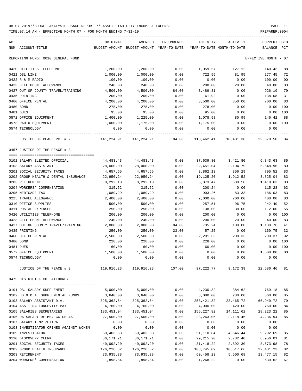| ACT                                    | ORIGINAL                     | AMENDED                                  | ENCUMBERED | ACTIVITY    | ACTIVITY                   | CURRENT USED         |     |
|----------------------------------------|------------------------------|------------------------------------------|------------|-------------|----------------------------|----------------------|-----|
| NUM ACCOUNT-TITLE                      |                              | BUDGET-AMOUNT BUDGET-AMOUNT YEAR-TO-DATE |            |             | YEAR-TO-DATE MONTH-TO-DATE | BALANCE              | PCT |
| REPORTING FUND: 0010 GENERAL FUND      |                              |                                          |            |             |                            | EFFECTIVE MONTH - 07 |     |
| 0420 UTILITIES TELEPHONE               | 1,200.00                     | 1,200.00                                 | 0.00       | 1,059.57    | 127.12                     | 140.43               | 88  |
| 0421 DSL LINE                          | 1,000.00                     | 1,000.00                                 | 0.00       | 722.55      | 81.95                      | 277.45               | 72  |
| 0422 R & M RADIO                       | 100.00                       | 100.00                                   | 0.00       | 0.00        | 0.00                       | 100.00               | 00  |
| 0423 CELL PHONE ALLOWANCE              | 240.00                       | 240.00                                   | 0.00       | 200.00      | 20.00                      | 40.00                | 83  |
| 0427 OUT OF COUNTY TRAVEL/TRAINING     | 4,500.00                     | 4,500.00                                 | 84.00      | 3,489.81    | 0.00                       | 926.19               | 79  |
| 0435 PRINTING                          | 200.00                       | 200.00                                   | 0.00       | 61.92       | 0.00                       | 138.08               | 31  |
| 0460 OFFICE RENTAL                     | 4,200.00                     | 4,200.00                                 | 0.00       | 3,500.00    | 350.00                     | 700.00               | 83  |
| 0480 BOND                              | 278.00                       | 278.00                                   | 0.00       | 278.00      | 0.00                       | 0.00                 | 100 |
| 0481 DUES                              | 95.00                        | 95.00                                    | 0.00       | 95.00       | 0.00                       | 0.00                 | 100 |
| 0572 OFFICE EQUIPMENT                  | 1,400.00                     | 1,225.00                                 | 0.00       | 1,078.58    | 80.99                      | 146.42               | 88  |
| 0573 RADIO EQUIPMENT                   | 1,000.00                     | 1,175.00                                 | 0.00       | 1,175.00    | 0.00                       | $0.00$ 100           |     |
| 0574 TECHNOLOGY                        | 0.00                         | 0.00                                     | 0.00       | 0.00        | 0.00                       | 0.00                 |     |
| JUSTICE OF PEACE PCT # 2               |                              |                                          | 84.00      |             | 118,462.41 10,481.38       | 22,678.50 84         |     |
| 0457 JUSTICE OF THE PEACE # 3          |                              |                                          |            |             |                            |                      |     |
| 0101 SALARY ELECTED OFFICIAL           | 44,483.43                    | 44,483.43                                | 0.00       | 37,639.80   | 3,421.80                   | 6,843.63             | 85  |
| 0103 SALARY ASSISTANT                  | 28,000.00                    | 28,000.00                                | 0.00       | 22,451.04   | 2,104.79                   | 5,548.96             | 80  |
| 0201 SOCIAL SECURITY TAXES             | 4,657.65                     | 4,657.65                                 | 0.00       | 3,862.13    | 356.29                     | 795.52               | 83  |
| 0202 GROUP HEALTH & DENTAL INSURANCE   | 22,950.24                    | 22,950.24                                | 0.00       | 19,125.20   | 1,912.52                   | 3,825.04             | 83  |
| 0203 RETIREMENT                        | 8,292.10                     | 8,292.10                                 | 0.00       | 6,873.47    | 630.58                     | 1,418.63             | 83  |
| 0204 WORKERS' COMPENSATION             | 315.52                       | 315.52                                   | 0.00       | 200.24      | 0.00                       | 115.28               | 63  |
| 0205 MEDICARE TAX                      | 1,089.29                     | 1,089.29                                 | 0.00       | 903.26      | 83.33                      | 186.03               | 83  |
| 0225 TRAVEL ALLOWANCE                  | 2,400.00                     | 2,400.00                                 | 0.00       | 2,000.00    | 200.00                     | 400.00               | 83  |
| 0310 OFFICE SUPPLIES                   | 500.00                       | 500.00                                   | 0.00       | 257.51      | 96.75                      | 242.49               | 52  |
| 0311 POSTAL EXPENSES                   | 250.00                       | 250.00                                   | 0.00       | 138.00      | 38.00                      | 112.00               | 55  |
| 0420 UTILITIES TELEPHONE               | 200.00                       | 200.00                                   | 0.00       | 200.00      | 0.00                       | 0.00                 | 100 |
| 0423 CELL PHONE ALLOWANCE              | 240.00                       | 240.00                                   | 0.00       | 200.00      | 20.00                      | 40.00                | 83  |
| 0427 OUT OF COUNTY TRAVEL/TRAINING     | 2,000.00                     | 2,000.00                                 | 84.00      | 735.24      | 100.00                     | 1,180.76             | 41  |
| 0435 PRINTING                          | 250.00                       | 250.00                                   | 23.00      | 57.25       | 0.00                       | 169.75               | 32  |
| 0460 OFFICE RENTAL                     | 2,500.00                     | 2,500.00                                 | 0.00       | 2,291.63    | 208.33                     | 208.37               | 92  |
| 0480 BOND                              | 228.00                       | 228.00                                   | 0.00       | 228.00      | 0.00                       | $0.00$ 100           |     |
| 0481 DUES                              | 60.00                        | 60.00                                    | 0.00       | 60.00       | 0.00                       | 0.00                 | 100 |
| 0572 OFFICE EQUIPMENT                  | 1,500.00                     | 1,500.00                                 | 0.00       | 0.00        | 0.00                       | 1,500.00             | 00  |
| 0574 TECHNOLOGY                        | 0.00                         | 0.00                                     | 0.00       | 0.00        | 0.00                       | 0.00                 |     |
| JUSTICE OF THE PEACE # 3               | ------------- -------------- | 119,916.23 119,916.23                    | 107.00     |             | 97,222.77 9,172.39         | 22,586.46 81         |     |
| 0475 DISTRICT & CO. ATTORNEY           |                              |                                          |            |             |                            |                      |     |
|                                        |                              |                                          |            |             |                            |                      |     |
| 0101 DA. SALARY SUPPLEMENT             | 5,000.00                     | 5,000.00                                 | 0.00       | 4,230.82    | 384.62                     | 769.18               | 85  |
| 0102 HB 9 D.A. SUPPLEMENTAL FUNDS      | 3,640.00                     | 3,640.00                                 | 0.00       | 3,080.00    | 280.00                     | 560.00               | 85  |
| 0103 SALARY ASSISTANT D.A.             | 325,362.54                   | 325, 362.54                              | 0.00       | 258,421.82  | 23,465.72                  | 66,940.72            | 79  |
| 0104 ASST. DA LONGEVITY PAY            | 4,760.00                     | 4,760.00                                 | 0.00       | 4,000.00    | 420.00                     | 760.00               | 84  |
| 0105 SALARIES SECRETARIES              | 183,451.04                   | 183,451.04                               | 0.00       | 155,227.82  | 14,111.62                  | 28, 223. 22          | 85  |
| 0106 DA SALARY REIMB. GC CH 46         | 27,500.00                    | 27,500.00                                | 0.00       | 23, 263.06  | 2,118.46                   | 4,236.94             | 85  |
| 0107 SALARY TEMP./EXTRA                | 0.00                         | 0.00                                     | 0.00       | 0.00        | 0.00                       | 0.00                 |     |
| 0108 INVESTIGATOR CRIMES AGAINST WOMEN | 0.00                         | 0.00                                     | 0.00       | 0.00        | 0.00                       | 0.00                 |     |
| 0109 INVESTIGATOR                      | 60,403.53                    | 60,403.53                                | 0.00       | 51,110.84   | 4,646.44                   | 9,292.69             | 85  |
| 0110 DISCOVERY CLERK                   | 36,171.21                    | 36, 171. 21                              | 0.00       | 29, 215. 20 | 2,782.40                   | 6,956.01             | 81  |
| 0201 SOCIAL SECURITY TAXES             | 40,092.20                    | 40,092.20                                | 0.00       | 31,418.22   | 2,892.30                   | 8,673.98             | 78  |
| 0202 GROUP HEALTH INSURANCE            | 126,226.32                   | 126,226.32                               | 0.00       | 103,745.09  | 10,517.66                  | 22,481.23            | 82  |
| 0203 RETIREMENT                        | 73,935.38                    | 73,935.38                                | 0.00       | 60,458.23   | 5,500.68                   | 13, 477. 15          | 82  |
| 0204 WORKERS' COMPENSATION             | 1,898.84                     | 1,898.84                                 | 0.00       | 1,268.22    | 0.00                       | 630.62               | 67  |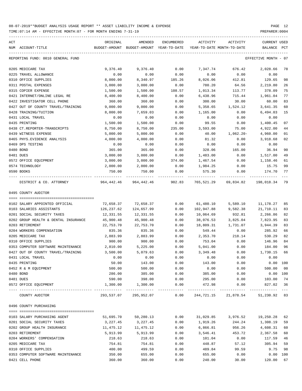TIME:07:14 AM - EFFECTIVE MONTH:07 - FOR MONTH ENDING 7-31-19 PREPARER:0004

| ACT           |                                      | ORIGINAL   | AMENDED                                                             | ENCUMBERED           | ACTIVITY   | ACTIVITY             | <b>CURRENT USED</b>     |                |
|---------------|--------------------------------------|------------|---------------------------------------------------------------------|----------------------|------------|----------------------|-------------------------|----------------|
|               | NUM ACCOUNT-TITLE                    |            | BUDGET-AMOUNT BUDGET-AMOUNT YEAR-TO-DATE YEAR-TO-DATE MONTH-TO-DATE |                      |            |                      | BALANCE PCT             |                |
|               |                                      |            |                                                                     |                      |            |                      |                         |                |
|               | REPORTING FUND: 0010 GENERAL FUND    |            |                                                                     |                      |            |                      | EFFECTIVE MONTH - 07    |                |
|               | 0205 MEDICARE TAX                    | 9,376.40   | 9,376.40                                                            | 0.00                 | 7,347.74   | 676.42               | 2,028.66                | 78             |
|               | 0225 TRAVEL ALLOWANCE                | 0.00       | 0.00                                                                | 0.00                 | 0.00       | 0.00                 | 0.00                    |                |
|               | 0310 OFFICE SUPPLIES                 | 8,000.00   | 8,340.97                                                            | 185.26               | 8,026.06   | 412.81               | 129.65                  | 98             |
|               | 0311 POSTAL EXPENSES                 | 3,000.00   | 3,000.00                                                            | 0.00                 | 780.20     | 64.56                | 2,219.80                | 26             |
|               | 0315 COPIER EXPENSE                  | 1,500.00   | 1,500.00                                                            | 108.57               | 1,013.34   | 113.77               | 378.09                  | 75             |
|               | 0421 INTERNET/ONLINE LEGAL RE        | 8,400.00   | 8,400.00                                                            | 0.00                 | 6,438.96   | 715.44               | 1,961.04                | 77             |
|               | 0422 INVESTIGATOR CELL PHONE         | 360.00     | 360.00                                                              | 0.00                 | 300.00     | 30.00                | 60.00                   | 83             |
|               | 0427 OUT OF COUNTY TRAVEL/TRAINING   | 9,000.00   | 9,000.00                                                            | 0.00                 | 5,358.65   | 1,524.12             | 3,641.35                | 60             |
|               | 0428 TRAINING/TUITION                | 8,000.00   | 7,659.03                                                            | 0.00                 | 1,165.00   | 0.00                 | 6,494.03                | 15             |
|               | 0431 LOCAL TRAVEL                    | 0.00       | 0.00                                                                | 0.00                 | 0.00       | 0.00                 | 0.00                    |                |
| 0435 PRINTING |                                      | 1,500.00   | 1,500.00                                                            | 0.00                 | 99.55      | 0.00                 | 1,400.45                | 07             |
|               | 0438 CT.REPORTER-TRANSCRIPTS         | 8,750.00   | 8,750.00                                                            | 235.00               | 3,593.00   | 75.00                | 4,922.00                | 44             |
|               | 0439 WITNESS EXPENSE                 | 5,000.00   | 5,000.00                                                            | 0.00                 | 40.00      | 1,062.20-            | 4,960.00                | 01             |
|               | 0465 PHYS. EVIDENCE ANALYSIS         | 4,000.00   | 4,000.00                                                            | 0.00                 | 81.32      | 0.00                 | 3,918.68                | 02             |
|               | 0469 DPS TESTING                     | 0.00       | 0.00                                                                | 0.00                 | 0.00       | 0.00                 | 0.00                    |                |
| 0480 BOND     |                                      |            |                                                                     |                      |            |                      |                         | 90             |
|               |                                      | 365.00     | 365.00                                                              | 0.00                 | 328.06     | 165.00               | 36.94                   |                |
| 0481 DUES     |                                      | 3,000.00   | 3,000.00                                                            | 0.00                 | 1,483.00   | 0.00                 | 1,517.00                | 49             |
|               | 0572 OFFICE EQUIPMENT                | 3,000.00   | 3,000.00                                                            | 374.00               | 1,467.54   | 0.00                 | 1,158.46                | 61             |
|               | 0574 TECHNOLOGY                      | 2,000.00   | 2,000.00                                                            | 0.00                 | 1,984.25   | 0.00                 | 15.75                   | 99             |
| 0590 BOOKS    |                                      | 750.00     | 750.00                                                              | 0.00                 | 575.30     | 0.00                 | 174.70                  | 77             |
|               | DISTRICT & CO. ATTORNEY              |            | 964,442.46 964,442.46 902.83                                        |                      |            | 765,521.29 69,834.82 | 198,018.34              | 79             |
|               | 0495 COUNTY AUDITOR                  |            |                                                                     |                      |            |                      |                         |                |
|               |                                      |            |                                                                     |                      |            |                      |                         |                |
|               | 0102 SALARY APPOINTED OFFICIAL       | 72,658.37  | 72,658.37                                                           | 0.00                 | 61,480.10  | 5,589.10             | 11,178.27               | 85             |
|               | 0103 SALARIES ASSISTANTS             | 126,237.62 | 124,657.99                                                          | 0.00                 | 102,947.88 | 9,582.38             | 21,710.11               | 83             |
|               | 0201 SOCIAL SECURITY TAXES           | 12,331.55  | 12,331.55                                                           | 0.00                 | 10,064.69  | 932.81               | 2,266.86                | 82             |
|               | 0202 GROUP HEALTH & DENTAL INSURANCE | 45,900.48  | 45,900.48                                                           | 0.00                 | 38,076.53  | 3,825.04             | 7,823.95                | 83             |
|               | 0203 RETIREMENT                      |            | 22,753.70                                                           |                      |            |                      |                         | 83             |
|               |                                      | 22,753.70  |                                                                     | 0.00                 | 18,809.31  | 1,731.07             | 3,944.39                |                |
|               | 0204 WORKERS COMPENSATION            | 835.36     | 835.36                                                              | 0.00                 | 549.44     | 0.00                 | 285.92                  | 66             |
|               | 0205 MEDICARE TAX                    | 2,883.99   | 2,883.99                                                            | 0.00                 | 2,353.70   | 218.14               | 530.29                  | 82             |
|               | 0310 OFFICE SUPPLIES                 | 900.00     | 900.00                                                              | 0.00                 | 753.04     | 0.00                 | 146.96                  | 84             |
|               | 0353 COMPUTER SOFTWARE MAINTENANCE   | 2,810.00   | 5,225.00                                                            | 0.00                 | 5,041.00   | 0.00                 | 184.00                  | 96             |
|               | 0427 OUT OF COUNTY TRAVEL/TRAINING   | 3,500.00   | 5,079.63                                                            | 0.00                 | 3,349.48   | 0.00                 | 1,730.15                | 66             |
|               | 0431 LOCAL TRAVEL                    | 0.00       | 0.00                                                                | 0.00                 | 0.00       | 0.00                 | 0.00                    |                |
| 0435 PRINTING |                                      | 50.00      | 143.00                                                              | 0.00                 | 143.00     | 0.00                 | 0.00 100                |                |
|               | 0452 R & M EQUIPMENT                 | 500.00     | 500.00                                                              | 0.00                 | 0.00       | 0.00                 | 500.00                  | 0 <sub>0</sub> |
| 0480 BOND     |                                      | 286.00     | 385.00                                                              | 0.00                 | 385.00     | 0.00                 | 0.00 100                |                |
| 0481 DUES     |                                      | 590.00     | 398.00                                                              | 0.00                 | 295.00     | 0.00                 | 103.00                  | 74             |
|               | 0572 OFFICE EQUIPMENT                | 1,300.00   | 1,300.00                                                            | 0.00<br>____________ | 472.98     | 0.00                 | 827.02<br>------------- | 36             |
|               | COUNTY AUDITOR                       |            | 293,537.07 295,952.07                                               | 0.00                 |            | 244,721.15 21,878.54 | 51,230.92 83            |                |
|               | 0496 COUNTY PURCHASING               |            |                                                                     |                      |            |                      |                         |                |
|               |                                      |            |                                                                     |                      |            |                      |                         |                |
|               | 0103 SALARY PURCHASING AGENT         | 51,695.70  | 50,280.13                                                           | 0.00                 | 31,029.85  | 3,976.52             | 19,250.28               | 62             |
|               | 0201 SOCIAL SECURITY TAXES           | 3,227.45   | 3,227.45                                                            | 0.00                 | 1,919.26   | 244.24               | 1,308.19                | 59             |
|               | 0202 GROUP HEALTH INSURANCE          | 11,475.12  | 11,475.12                                                           | 0.00                 | 6,866.81   | 956.26               | 4,608.31                | 60             |
|               | 0203 RETIREMENT                      | 5,913.99   | 5,913.99                                                            | 0.00                 | 3,546.41   | 453.72               | 2,367.58                | 60             |
|               | 0204 WORKERS' COMPENSATION           | 218.63     | 218.63                                                              | 0.00                 | 101.04     | 0.00                 | 117.59                  | 46             |
|               | 0205 MEDICARE TAX                    | 754.81     | 754.81                                                              | 0.00                 | 448.87     | 57.12                | 305.94                  | 59             |
|               | 0310 OFFICE SUPPLIES                 | 400.00     | 499.59                                                              | 0.00                 | 489.84     | 99.59                | 9.75                    | 98             |
|               | 0353 COMPUTER SOFTWARE MAINTENANCE   | 350.00     | 655.00                                                              | 0.00                 | 655.00     | 0.00                 | 0.00 100                |                |
|               |                                      |            |                                                                     |                      |            |                      |                         |                |

0421 CELL PHONE 360.00 360.00 0.00 240.00 30.00 120.00 67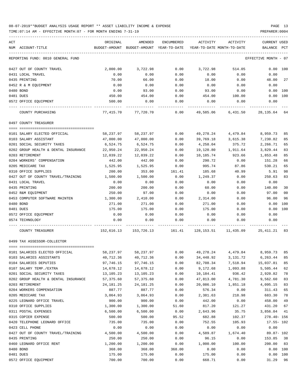TIME:07:14 AM - EFFECTIVE MONTH:07 - FOR MONTH ENDING 7-31-19 PREPARER:0004

| ACT<br>NUM ACCOUNT-TITLE                             | ORIGINAL              | AMENDED             | ENCUMBERED    | ACTIVITY<br>BUDGET-AMOUNT BUDGET-AMOUNT YEAR-TO-DATE YEAR-TO-DATE MONTH-TO-DATE | ACTIVITY           | <b>CURRENT USED</b><br>BALANCE PCT |                      |
|------------------------------------------------------|-----------------------|---------------------|---------------|---------------------------------------------------------------------------------|--------------------|------------------------------------|----------------------|
| REPORTING FUND: 0010 GENERAL FUND                    |                       |                     |               |                                                                                 |                    | EFFECTIVE MONTH - 07               |                      |
|                                                      |                       |                     |               |                                                                                 |                    |                                    |                      |
| 0427 OUT OF COUNTY TRAVEL                            | 2,000.00              | 3,722.98            | 0.00          | 3,722.98                                                                        | 514.05             |                                    | $0.00$ 100           |
| 0431 LOCAL TRAVEL                                    | 0.00                  | 0.00                | 0.00          | 0.00                                                                            | 0.00               | 0.00                               |                      |
| 0435 PRINTING                                        | 70.00                 | 66.00               | 0.00          | 18.00                                                                           | 0.00               | 48.00                              | 27                   |
| 0452 R & M EQUIPMENT<br>0480 BOND                    | 0.00<br>0.00          | 0.00                | 0.00<br>0.00  | 0.00                                                                            | 0.00               | 0.00<br>0.00 100                   |                      |
| 0481 DUES                                            | 450.00                | 93.00<br>454.00     | 0.00          | 93.00<br>454.00                                                                 | 0.00<br>100.00     |                                    | 0.00 100             |
| 0572 OFFICE EQUIPMENT                                | 500.00                | 0.00                | 0.00          | 0.00                                                                            | 0.00               | 0.00                               |                      |
| COUNTY PURCHASING                                    |                       | 77,415.70 77,720.70 | 0.00          |                                                                                 | 49,585.06 6,431.50 | 28,135.64                          | 64                   |
| 0497 COUNTY TREASURER                                |                       |                     |               |                                                                                 |                    |                                    |                      |
| 0101 SALARY ELECTED OFFICIAL                         | 58,237.97             | 58,237.97           | 0.00          | 49,278.24                                                                       | 4,479.84           | 8,959.73                           | 85                   |
| 0103 SALARY ASSISTANT                                | 47,000.00             | 47,000.00           | 0.00          | 39,769.18                                                                       | 3,615.38           | 7,230.82                           | 85                   |
| 0201 SOCIAL SECURITY TAXES                           | 6,524.75              | 6,524.75            | 0.00          | 4,258.04                                                                        | 375.72             | 2,266.71                           | 65                   |
| 0202 GROUP HEALTH & DENTAL INSURANCE                 | 22,950.24             | 22,950.24           | 0.00          | 19,120.80                                                                       | 1,911.64           | 3,829.44                           | 83                   |
| 0203 RETIREMENT                                      | 12,039.22             | 12,039.22           | 0.00          | 10,185.74                                                                       | 923.66             | 1,853.48                           | 85                   |
| 0204 WORKERS' COMPENSATION                           | 442.00                | 442.00              | 0.00          | 290.72                                                                          | 0.00               | 151.28                             | 66                   |
| 0205 MEDICARE TAX                                    | 1,525.95              | 1,525.95            | 0.00          | 995.74                                                                          | 87.86              | 530.21                             | 65                   |
| 0310 OFFICE SUPPLIES                                 | 200.00                | 353.00              | 161.41        | 185.68                                                                          | 40.99              | 5.91                               | 98                   |
| 0427 OUT OF COUNTY TRAVEL/TRAINING                   | 1,500.00              | 1,500.00            | 0.00          | 1,249.37                                                                        | 0.00               | 250.63                             | 83                   |
| 0431 LOCAL TRAVEL                                    | 0.00                  | 0.00                | 0.00          | 0.00                                                                            | 0.00               | 0.00                               |                      |
| 0435 PRINTING                                        | 200.00                | 200.00              | 0.00          | 60.00<br>0.00                                                                   | 0.00               | 140.00                             | 30<br>0 <sub>0</sub> |
| 0452 R&M EQUIPMENT<br>0453 COMPUTER SOFTWARE MAINTEN | 250.00<br>1,300.00    | 97.00<br>2,410.00   | 0.00<br>0.00  | 2,314.00                                                                        | 0.00<br>0.00       | 97.00<br>96.00                     | 96                   |
| 0480 BOND                                            | 271.00                | 271.00              | 0.00          | 271.00                                                                          | 0.00               | 0.00                               | 100                  |
| 0481 DUES                                            | 175.00                | 175.00              | 0.00          | 175.00                                                                          | 0.00               | 0.00 100                           |                      |
| 0572 OFFICE EQUIPMENT                                | 0.00                  | 0.00                | 0.00          | 0.00                                                                            | 0.00               | 0.00                               |                      |
| 0574 TECHNOLOGY                                      | 0.00                  | 0.00                | 0.00          | 0.00                                                                            | 0.00               | 0.00                               |                      |
| COUNTY TREASURER                                     | 152,616.13 153,726.13 |                     |               | 161.41 128,153.51 11,435.09                                                     |                    | 25,411.21                          | 83                   |
| 0499 TAX ASSESSOR-COLLECTOR                          |                       |                     |               |                                                                                 |                    |                                    |                      |
| 0101 SALARIES ELECTED OFFICIAL                       | 58,237.97             |                     |               | 58, 237.97 0.00 49, 278.24 4, 479.84                                            |                    | 8,959.73                           | 85                   |
| 0103 SALARIES ASSISTANTS                             | 40,712.36             | 40,712.36           | 0.00          | 34,448.92                                                                       | 3,131.72           | 6,263.44                           | 85                   |
| 0104 SALARIES DEPUTIES                               | 97,746.15             | 97,746.15           | 0.00          | 82,708.34                                                                       | 7,518.94           | 15,037.81                          | 85                   |
| 0107 SALARY TEMP./EXTRA                              | 14,678.12             | 14,678.12           | 0.00          | 9,172.68                                                                        | 1,093.88           | 5,505.44                           | 62                   |
| 0201 SOCIAL SECURITY TAXES                           | 13,105.23             | 13,105.23           | 0.00          | 10,184.41                                                                       | 936.42             | 2,920.82                           | 78                   |
| 0202 GROUP HEALTH & DENTAL INSURANCE                 | 57,375.60             | 57,375.60           | 0.00          | 47,813.00                                                                       | 4,781.30           | 9,562.60                           | 83                   |
| 0203 RETIREMENT                                      | 24, 181. 25           | 24, 181. 25         | 0.00          | 20,086.10                                                                       | 1,851.18           | 4,095.15                           | 83                   |
| 0204 WORKERS COMPENSATION                            | 887.77                | 887.77              | 0.00          | 576.34                                                                          | 0.00               | 311.43                             | 65                   |
| 0205 MEDICARE TAX                                    | 3,064.93              | 3,064.93            | 0.00          | 2,381.63                                                                        | 218.98             | 683.30                             | 78                   |
| 0225 LEONARD OFFICE TRAVEL                           | 900.00                | 900.00              | 0.00          | 442.00                                                                          | 0.00               | 458.00                             | 49                   |
| 0310 OFFICE SUPPLIES                                 | 1,300.00              | 1,300.00            | 51.60         | 817.20                                                                          | 121.27             | 431.20                             | 67                   |
| 0311 POSTAL EXPENSES<br>0315 COPIER EXPENSE          | 6,500.00<br>500.00    | 6,500.00<br>500.00  | 0.00<br>95.52 | 2,643.96<br>682.88                                                              | 35.75<br>102.37    | 3,856.04<br>278.40- 156            | 41                   |
| 0420 TELEPHONE LEONARD OFFICE                        | 735.00                | 735.00              | 0.00          | 752.55                                                                          | 105.93             | $17.55 - 102$                      |                      |
| 0423 CELL PHONE                                      | 0.00                  | 0.00                | 0.00          | 0.00                                                                            | 0.00               | 0.00                               |                      |
| 0427 OUT OF COUNTY TRAVEL/TRAINING                   | 4,500.00              | 4,500.00            | 0.00          | 4,589.87                                                                        | 1,674.40           | 89.87- 102                         |                      |
| 0435 PRINTING                                        | 250.00                | 250.00              | 0.00          | 96.15                                                                           | 0.00               | 153.85                             | 38                   |
| 0460 LEONARD OFFICE RENT                             | 1,200.00              | 1,200.00            | 0.00          | 1,000.00                                                                        | 100.00             | 200.00                             | 83                   |
| 0480 BOND                                            | 368.00                | 368.00              | 368.00        | 0.00                                                                            | 0.00               |                                    | 0.00 100             |
| 0481 DUES                                            | 175.00                | 175.00              | 0.00          | 175.00                                                                          | 0.00               |                                    | 0.00 100             |

0572 OFFICE EQUIPMENT 700.00 700.00 0.00 668.71 0.00 31.29 96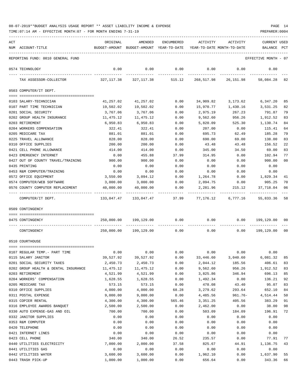TIME:07:14 AM - EFFECTIVE MONTH:07 - FOR MONTH ENDING 7-31-19 PREPARER:0004

| ACT |                                                     | ORIGINAL       | AMENDED                                                             | ENCUMBERED     | ACTIVITY         | ACTIVITY           | <b>CURRENT USED</b>  |                |
|-----|-----------------------------------------------------|----------------|---------------------------------------------------------------------|----------------|------------------|--------------------|----------------------|----------------|
|     | NUM ACCOUNT-TITLE                                   |                | BUDGET-AMOUNT BUDGET-AMOUNT YEAR-TO-DATE YEAR-TO-DATE MONTH-TO-DATE |                |                  |                    | BALANCE PCT          |                |
|     | REPORTING FUND: 0010 GENERAL FUND                   |                |                                                                     |                |                  |                    | EFFECTIVE MONTH - 07 |                |
|     | 0574 TECHNOLOGY                                     | 0.00           | 0.00                                                                | 0.00           | 0.00             | 0.00               | 0.00                 |                |
|     | TAX ASSESSOR-COLLECTOR                              | 327,117.38     | 327,117.38                                                          | 515.12         | 268,517.98       | 26,151.98          | 58,084.28            | 82             |
|     | 0503 COMPUTER/IT DEPT.                              |                |                                                                     |                |                  |                    |                      |                |
|     | 0103 SALARY-TECHNICIAN                              | 41,257.02      | 41,257.02                                                           | 0.00           | 34,909.82        | 3,173.62           | 6,347.20             | 85             |
|     | 0107 PART TIME TECHNICIAN                           | 19,502.02      | 19,502.02                                                           | 0.00           | 15,970.77        | 1,430.16           | 3,531.25             | 82             |
|     | 0201 SOCIAL SECURITY                                | 3,767.06       | 3,767.06                                                            | 0.00           | 2,975.19         | 267.23             | 791.87               | 79             |
|     | 0202 GROUP HEALTH INSURANCE                         | 11,475.12      | 11,475.12                                                           | 0.00           | 9,562.60         | 956.26             | 1,912.52             | 83             |
|     | 0203 RETIREMENT                                     | 6,950.83       | 6,950.83                                                            | 0.00           | 5,820.09         | 525.30             | 1,130.74             | 84             |
|     | 0204 WORKERS COMPENSATION                           | 322.41         | 322.41                                                              | 0.00           | 207.00           | 0.00               | 115.41               | 64             |
|     | 0205 MEDICARE TAX                                   | 881.01         | 881.01                                                              | 0.00           | 695.73           | 62.49              | 185.28               | 79             |
|     | 0225 TRAVEL ALLOWANCE                               | 828.00         | 828.00                                                              | 0.00           | 690.00           | 69.00              | 138.00               | 83             |
|     | 0310 OFFICE SUPPLIES                                | 200.00         | 200.00                                                              | 0.00           | 43.48            | 43.48              | 156.52               | 22             |
|     | 0421 CELL PHONE ALLOWANCE                           | 414.00         | 414.00                                                              | 0.00           | 345.00           | 34.50              | 69.00                | 83             |
|     | 0423 EMERGENCY INTERNET                             | 0.00           | 455.88                                                              | 37.99          | 314.95           | 0.00               | 102.94               | 77             |
|     | 0427 OUT OF COUNTY TRAVEL/TRAINING<br>0435 PRINTING | 900.00         | 900.00                                                              | 0.00           | 0.00             | 0.00               | 900.00               | 0 <sub>0</sub> |
|     | 0453 R&M COMPUTER/TRAINING                          | 0.00<br>0.00   | 0.00<br>0.00                                                        | 0.00<br>0.00   | 0.00<br>0.00     | 0.00<br>0.00       | 0.00<br>0.00         |                |
|     | 0572 OFFICE EQUIPMENT                               | 3,550.00       | 3,094.12                                                            | 0.00           | 1,264.78         | 0.00               | 1,829.34             | 41             |
|     | 0574 COMPUTER/WEB SOFTWARE                          | 3,000.00       | 3,000.00                                                            | 0.00           | 2,094.75         | 0.00               | 905.25               | 70             |
|     | 0576 COUNTY COMPUTER REPLACEMENT                    | 40,000.00      | 40,000.00                                                           | 0.00           | 2,281.96         | 215.12             | 37,718.04            | 06             |
|     |                                                     |                |                                                                     |                |                  |                    |                      |                |
|     | COMPUTER/IT DEPT.                                   |                |                                                                     |                |                  | 77,176.12 6,777.16 | 55,833.36            | 58             |
|     | 0509 CONTINGENCY                                    |                |                                                                     |                |                  |                    |                      |                |
|     | 0475 CONTINGENCY                                    | 250,000.00     | 199,129.00                                                          | 0.00           | 0.00             | 0.00               | 199,129.00           | 00             |
|     | CONTINGENCY                                         |                | 250,000.00 199,129.00                                               | 0.00           | 0.00             | 0.00               | 199,129.00           | 00             |
|     | 0510 COURTHOUSE                                     |                |                                                                     |                |                  |                    |                      |                |
|     | 0107 REGULAR TEMP. - PART TIME                      | 0.00           | 0.00                                                                | 0.00           | 0.00             | 0.00               | 0.00                 |                |
|     | 0115 SALARY JANITOR                                 | 39,527.92      | 39,527.92                                                           | 0.00           | 33,446.60        | 3,040.60           | 6,081.32             | 85             |
|     | 0201 SOCIAL SECURITY TAXES                          | 2,450.73       | 2,450.73                                                            | 0.00           | 2,044.12         | 185.56             | 406.61               | 83             |
|     | 0202 GROUP HEALTH & DENTAL INSURANCE                | 11,475.12      | 11,475.12                                                           | 0.00           | 9,562.60         | 956.26             | 1,912.52             | 83             |
|     | 0203 RETIREMENT                                     | 4,521.99       | 4,521.99                                                            | 0.00           | 3,825.86         | 346.94             | 696.13               | 85             |
|     | 0204 WORKERS' COMPENSATION                          | 1,628.55       | 1,628.55                                                            | 0.00           | 1,492.34         | 0.00               | 136.21               | 92             |
|     | 0205 MEDICARE TAX                                   | 573.15         | 573.15                                                              | 0.00           | 478.08           | 43.40              | 95.07                | 83             |
|     | 0310 OFFICE SUPPLIES                                | 4,000.00       | 4,000.00                                                            | 68.28          | 3,279.62         | 293.64             | 652.10               | 84             |
|     | 0311 POSTAL EXPENSE                                 | 9,000.00       | 9,000.00                                                            | 0.00           | 4,485.56         | 961.76-            | 4,514.44             | 50             |
|     | 0315 COPIER RENTAL                                  | 4,300.00       | 4,300.00                                                            | 565.46         | 3,351.25         | 405.56             | 383.29               | 91             |
|     | 0316 EMPLOYEE AWARDS BANQUET                        | 2,500.00       | 2,500.00                                                            | 0.00           | 2,462.00         | 0.00               | 38.00                | 98             |
|     | 0330 AUTO EXPENSE-GAS AND OIL                       | 700.00         | 700.00                                                              | 0.00           | 503.09           | 184.09             | 196.91               | 72             |
|     | 0332 JANITOR SUPPLIES                               | 0.00           | 0.00                                                                | 0.00           | 0.00             | 0.00               | 0.00                 |                |
|     | 0353 R&M COMPUTER                                   | 0.00           | 0.00                                                                | 0.00           | 0.00             | 0.00               | 0.00                 |                |
|     | 0420 TELEPHONE                                      | 0.00           | 0.00                                                                | 0.00           | 0.00             | 0.00               | 0.00                 |                |
|     | 0421 INTERNET LINES<br>0423 CELL PHONE              | 0.00<br>340.00 | 0.00                                                                | 0.00           | 0.00             | 0.00               | 0.00                 | 77             |
|     | 0440 UTILITIES ELECTRICITY                          | 7,000.00       | 340.00<br>2,000.00                                                  | 26.52<br>37.58 | 235.57<br>825.67 | 0.00<br>44.91      | 77.91<br>1,136.75    | 43             |
|     | 0441 UTILITIES GAS                                  | 0.00           | 0.00                                                                | 0.00           | 0.00             | 0.00               | 0.00                 |                |
|     | 0442 UTILITIES WATER                                | 3,600.00       | 3,600.00                                                            | 0.00           | 1,962.10         | 0.00               | 1,637.90             | 55             |

0443 TRASH PICK-UP 1,000.00 1,000.00 0.00 656.64 0.00 343.36 66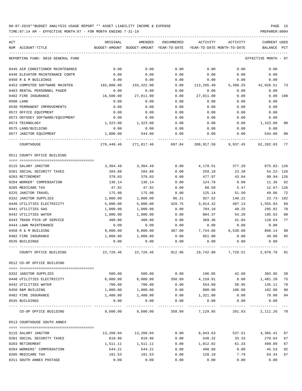TIME:07:14 AM - EFFECTIVE MONTH:07 - FOR MONTH ENDING 7-31-19 PREPARER:0004

| ACT<br>NUM ACCOUNT-TITLE          | ORIGINAL   | AMENDED<br>BUDGET-AMOUNT BUDGET-AMOUNT YEAR-TO-DATE | ENCUMBERED               | ACTIVITY   | ACTIVITY<br>YEAR-TO-DATE MONTH-TO-DATE | CURRENT USED<br>BALANCE | PCT            |
|-----------------------------------|------------|-----------------------------------------------------|--------------------------|------------|----------------------------------------|-------------------------|----------------|
|                                   |            |                                                     |                          |            |                                        |                         |                |
| REPORTING FUND: 0010 GENERAL FUND |            |                                                     |                          |            |                                        | EFFECTIVE MONTH - 07    |                |
| 0445 AIR CONDITIONER MAINTENANCE  | 0.00       | 0.00                                                | 0.00                     | 0.00       | 0.00                                   | 0.00                    |                |
| 0446 ELEVATOR MAINTENANCE CONTR   | 0.00       | 0.00                                                | 0.00                     | 0.00       | 0.00                                   | 0.00                    |                |
| 0450 R & M BUILDINGS              | 0.00       | 0.00                                                | 0.00                     | 0.00       | 0.00                                   | 0.00                    |                |
| 0453 COMPUTER SOFTWARE MAINTEN    | 165,000.00 | 155,322.00                                          | 0.00                     | 113,295.49 | 5,398.25                               | 42,026.51               | 73             |
| 0463 RENTAL PERSONNEL PAGER       | 0.00       | 0.00                                                | 0.00                     | 0.00       | 0.00                                   | 0.00                    |                |
| 0482 FIRE INSURANCE               | 16,500.00  | 27,011.00                                           | 0.00                     | 27,011.00  | 0.00                                   | 0.00 100                |                |
| 0500 LAND                         | 0.00       | 0.00                                                | 0.00                     | 0.00       | 0.00                                   | 0.00                    |                |
| 0530 PERMANENT IMPROVEMENTS       | 0.00       | 0.00                                                | 0.00                     | 0.00       | 0.00                                   | 0.00                    |                |
| 0572 OFFICE EQUIPMENT             | 0.00       | 0.00                                                | 0.00                     | 0.00       | 0.00                                   | 0.00                    |                |
| 0573 ODYSSEY SOFTWARE/EQUIPMENT   | 0.00       | 0.00                                                | 0.00                     | 0.00       | 0.00                                   | 0.00                    |                |
| 0574 TECHNOLOGY                   | 1,323.00   | 1,323.00                                            | 0.00                     | 0.00       | 0.00                                   | 1,323.00                | 00             |
| 0575 LAND/BUILDING                | 0.00       | 0.00                                                | 0.00                     | 0.00       | 0.00                                   | 0.00                    |                |
| 0577 JANITOR EQUIPMENT            | 1,000.00   | 544.00                                              | 0.00                     | 0.00       | 0.00                                   | 544.00                  | 0 <sup>0</sup> |
| COURTHOUSE                        |            | 276,440.46 271,817.46                               | 697.84                   | 208,917.59 | 9,937.45                               | 62,202.03               | 77             |
| 0511 COUNTY OFFICE BUILDING       |            |                                                     |                          |            |                                        |                         |                |
|                                   |            |                                                     |                          |            |                                        |                         |                |
| 0115 SALARY JANITOR               | 3,304.49   | 3,304.49                                            | 0.00                     | 4,179.51   | 377.20                                 | 875.02- 126             |                |
| 0201 SOCIAL SECURITY TAXES        | 204.88     | 204.88                                              | 0.00                     | 259.10     | 23.38                                  | 54.22- 126              |                |
| 0203 RETIREMENT                   | 378.03     | 378.03                                              | 0.00                     | 477.97     | 43.04                                  | $99.94 - 126$           |                |
| 0204 WORKER' COMPENSATION         | 136.14     | 136.14                                              | 0.00                     | 124.78     | 0.00                                   | 11.36                   | 92             |
| 0205 MEDICARE TAX                 | 47.92      | 47.92                                               | 0.00                     | 60.59      | 5.47                                   | $12.67 - 126$           |                |
| 0225 JANITOR TRAVEL               | 175.00     | 175.00                                              | 0.00                     | 125.14     | 51.50                                  | 49.86                   | 72             |
| 0332 JANITOR SUPPLIES             | 1,000.00   | 1,000.00                                            | 96.21                    | 927.52     | 148.22                                 | $23.73 - 102$           |                |
| 0440 UTILITIES ELECTRICITY        | 5,000.00   | 5,000.00                                            | 429.75                   | 3,014.42   | 407.13                                 | 1,555.83                | 69             |
| 0441 UTILITIES GAS                | 1,000.00   | 1,000.00                                            | 0.00                     | 704.18     | 48.25                                  | 295.82                  | 70             |
| 0442 UTILITIES WATER              | 1,000.00   | 1,000.00                                            | 0.00                     | 804.37     | 54.28                                  | 195.63                  | 80             |
| 0443 TRASH PICK-UP SERVICE        | 480.00     | 480.00                                              | 0.00                     | 369.36     | 41.04                                  | 110.64                  | 77             |
| 0444 LAWN MAINTENANCE             | 0.00       | 0.00                                                | 0.00                     | 0.00       | 0.00                                   | 0.00                    |                |
| 0450 R & M BUILDING               | 9,000.00   | 9,000.00                                            | 387.00                   | 7,744.86   | 6,530.00                               | 868.14                  | 90             |
| 0482 FIRE INSURANCE               | 1,000.00   | 1,000.00                                            | 0.00                     | 951.00     | 0.00                                   | 49.00                   | 95             |
| 0535 BUILDINGS                    | 0.00       | 0.00                                                | 0.00                     | 0.00       | 0.00                                   | 0.00                    |                |
| COUNTY OFFICE BUILDING            | 22,726.46  | 22,726.46                                           | 912.96                   | 19,742.80  | 7,729.51                               | 2,070.70                | 91             |
| 0512 CO-OP OFFICE BUILDING        |            |                                                     |                          |            |                                        |                         |                |
|                                   |            |                                                     |                          |            |                                        |                         |                |
| 0332 JANITOR SUPPLIES             | 500.00     |                                                     |                          |            | $500.00$ 0.00 $196.05$ 42.68 303.95    |                         | 39             |
| 0440 UTILITIES ELECTRICITY        | 6,000.00   |                                                     | 6,000.00 358.89 4,159.91 |            |                                        | $0.00$ 1,481.20         | 75             |
| 0442 UTILITIES WATER              | 700.00     | 700.00                                              | 0.00                     | 554.89     | 58.95                                  | 145.11                  | 79             |
| 0450 R&M BUILDING                 | 1,000.00   | 1,000.00                                            | 0.00                     | 898.00     | 100.00                                 | 102.00                  | 90             |
| 0482 FIRE INSURANCE               | 1,400.00   | 1,400.00                                            | 0.00                     | 1,321.00   | 0.00                                   | 79.00                   | 94             |
| 0535 BUILDINGS                    | 0.00       | 0.00                                                | 0.00                     | 0.00       | 0.00<br>----------                     | 0.00                    |                |
| CO-OP OFFICE BUILDING             |            | 9,600.00 9,600.00                                   | 358.89                   | 7,129.85   | 201.63                                 | 2, 111.26 78            |                |
| 0513 COURTHOUSE SOUTH ANNEX       |            |                                                     |                          |            |                                        |                         |                |
| 0115 SALARY JANITOR               |            | 13,209.04 13,209.04                                 |                          |            | $0.00$ $8,843.63$ $537.51$ $4,365.41$  |                         | 67             |
| 0201 SOCIAL SECURITY TAXES        | 818.96     | 818.96                                              | 0.00                     | 548.32     | 33.33                                  | 270.64                  | 67             |
| 0203 RETIREMENT                   | 1,511.11   | 1,511.11                                            | 0.00                     | 1,012.02   | 61.33                                  | 499.09                  | 67             |
| 0204 WORKERS' COMPENSATION        | 544.21     | 544.21                                              | 0.00                     | 498.68     | 0.00                                   | 45.53                   | 92             |
| 0205 MEDICARE TAX                 | 191.53     | 191.53                                              | 0.00                     | 128.19     | 7.79                                   | 63.34                   | 67             |
|                                   |            |                                                     |                          |            |                                        |                         |                |

0311 SOUTH ANNEX POSTAGE 0.00 0.00 0.00 0.00 0.00 0.00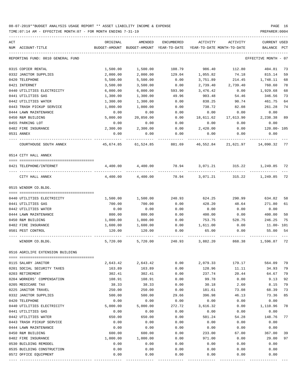TIME:07:14 AM - EFFECTIVE MONTH:07 - FOR MONTH ENDING 7-31-19 PREPARER:0004

| ACT |                                   | ORIGINAL                                                            | AMENDED   | ENCUMBERED | ACTIVITY  | ACTIVITY                                                         | CURRENT USED         |    |
|-----|-----------------------------------|---------------------------------------------------------------------|-----------|------------|-----------|------------------------------------------------------------------|----------------------|----|
|     | NUM ACCOUNT-TITLE                 | BUDGET-AMOUNT BUDGET-AMOUNT YEAR-TO-DATE YEAR-TO-DATE MONTH-TO-DATE |           |            |           |                                                                  | BALANCE PCT          |    |
|     | REPORTING FUND: 0010 GENERAL FUND |                                                                     |           |            |           |                                                                  | EFFECTIVE MONTH - 07 |    |
|     | 0315 COPIER RENTAL                | 1,500.00                                                            | 1,500.00  | 108.79     | 986.40    | 112.80                                                           | 404.81               | 73 |
|     | 0332 JANITOR SUPPLIES             | 2,000.00                                                            | 2,000.00  | 129.04     | 1,055.82  | 74.18                                                            | 815.14               | 59 |
|     | 0420 TELEPHONE                    | 5,500.00                                                            | 5,500.00  | 0.00       | 3,751.89  | 214.45                                                           | 1,748.11             | 68 |
|     | 0421 INTERNET                     | 3,500.00                                                            | 3,500.00  | 0.00       | 2,739.40  | 2,739.40                                                         | 760.60               | 78 |
|     | 0440 UTILITIES ELECTRICITY        | 6,000.00                                                            | 6,000.00  | 593.90     | 3,476.42  | 0.00                                                             | 1,929.68             | 68 |
|     | 0441 UTILITIES GAS                | 1,300.00                                                            | 1,300.00  | 49.96      | 903.48    | 54.46                                                            | 346.56               | 73 |
|     | 0442 UTILITIES WATER              | 1,300.00                                                            | 1,300.00  | 0.00       | 838.25    | 90.74                                                            | 461.75               | 64 |
|     | 0443 TRASH PICKUP SERVICE         | 1,000.00                                                            | 1,000.00  | 0.00       | 738.72    | 82.08                                                            | 261.28               | 74 |
|     | 0444 LAWN MAINTENANCE             | 0.00                                                                | 0.00      | 0.00       | 0.00      | 0.00                                                             | 0.00                 |    |
|     | 0450 R&M BUILDING                 | 5,000.00                                                            | 20,850.00 | 0.00       | 18,611.62 | 17,613.90                                                        | 2,238.38             | 89 |
|     | 0455 PARKING LOT                  | 0.00                                                                | 0.00      | 0.00       | 0.00      | 0.00                                                             | 0.00                 |    |
|     | 0482 FIRE INSURANCE               | 2,300.00                                                            | 2,300.00  | 0.00       | 2,420.00  | 0.00                                                             | 120.00- 105          |    |
|     | 0531 ANNEX                        | 0.00                                                                | 0.00      | 0.00       | 0.00      | 0.00                                                             | 0.00                 |    |
|     | COURTHOUSE SOUTH ANNEX            | 45,674.85                                                           |           |            |           | -----------<br>61,524.85 881.69 46,552.84 21,621.97 14,090.32 77 |                      |    |
|     | 0514 CITY HALL ANNEX              |                                                                     |           |            |           |                                                                  |                      |    |
|     | 0421 TELEPHONE/INTERNET           |                                                                     |           |            |           | $4,400.00$ $4,400.00$ $78.94$ $3,071.21$ $315.22$ $1,249.85$     |                      | 72 |
|     | CITY HALL ANNEX                   |                                                                     |           |            |           | 4,400.00 4,400.00 78.94 3,071.21 315.22 1,249.85                 |                      | 72 |
|     | 0515 WINDOM CO.BLDG.              |                                                                     |           |            |           |                                                                  |                      |    |
|     |                                   |                                                                     |           |            |           |                                                                  |                      |    |
|     | 0440 UTILITIES ELECTRICITY        | 1,500.00                                                            | 1,500.00  | 240.93     | 624.25    | 290.99                                                           | 634.82               | 58 |
|     | 0441 UTILITIES GAS                | 700.00                                                              | 700.00    | 0.00       | 428.20    | 48.64                                                            | 271.80               | 61 |
|     | 0442 UTILITIES WATER              | 0.00                                                                | 0.00      | 0.00       | 0.00      | 0.00                                                             | 0.00                 |    |
|     | 0444 LAWN MAINTENANCE             | 800.00                                                              | 800.00    | 0.00       | 400.00    | 0.00                                                             | 400.00               | 50 |
|     | 0450 R&M BUILDING                 | 1,000.00                                                            | 1,000.00  | 0.00       | 753.75    | 528.75                                                           | 246.25               | 75 |
|     | 0482 FIRE INSURANCE               | 1,600.00                                                            | 1,600.00  | 0.00       | 1,611.00  | 0.00                                                             | 11.00-101            |    |
|     | 0501 PEST CONTROL                 | 120.00                                                              | 120.00    | 0.00       | 65.00     | 0.00                                                             | 55.00                | 54 |
|     | WINDOM CO.BLDG.                   |                                                                     |           |            |           | 5,720.00 5,720.00 240.93 3,882.20 868.38 1,596.87                |                      | 72 |
|     | 0516 AGRILIFE EXTENSION BUILDING  |                                                                     |           |            |           |                                                                  |                      |    |
|     | 0115 SALARY JANITOR               | 2,643.42                                                            | 2,643.42  | 0.00       | 2,079.33  | 179.17                                                           | 564.09               | 79 |
|     | 0201 SOCIAL SECURITY TAXES        | 163.89                                                              | 163.89    | 0.00       | 128.96    | 11.11                                                            | 34.93                | 79 |
|     | 0203 RETIREMENT                   | 302.41                                                              | 302.41    | 0.00       | 237.74    | 20.44                                                            | 64.67                | 79 |
|     | 0204 WORKERS' COMPENSATION        | 108.91                                                              | 108.91    | 0.00       | 99.78     | 0.00                                                             | 9.13                 | 92 |
|     | 0205 MEDICARE TAX                 | 38.33                                                               | 38.33     | 0.00       | 30.18     | 2.60                                                             | 8.15                 | 79 |
|     | 0225 JANITOR TRAVEL               | 250.00                                                              | 250.00    | 0.00       | 181.61    | 73.08                                                            | 68.39                | 73 |
|     | 0332 JANITOR SUPPLIES             | 500.00                                                              | 500.00    | 29.66      | 396.98    | 46.13                                                            | 73.36                | 85 |
|     | 0420 TELEPHONE                    | 0.00                                                                | 0.00      | 0.00       | 0.00      | 0.00                                                             | 0.00                 |    |
|     | 0440 UTILITIES ELECTRICITY        | 5,000.00                                                            | 5,000.00  | 272.72     | 3,616.32  | 0.00                                                             | 1,110.96             | 78 |
|     | 0441 UTILITIES GAS                | 0.00                                                                | 0.00      | 0.00       | 0.00      | 0.00                                                             | 0.00                 |    |
|     | 0442 UTILITIES WATER              | 650.00                                                              | 650.00    | 0.00       | 501.24    | 54.28                                                            | 148.76               | 77 |
|     | 0443 TRASH PICKUP SERVICE         | 0.00                                                                | 0.00      | 0.00       | 0.00      | 0.00                                                             | 0.00                 |    |
|     | 0444 LAWN MAINTENANCE             | 0.00                                                                | 0.00      | 0.00       | 0.00      | 0.00                                                             | 0.00                 |    |
|     | 0450 R&M BUILDING                 | 600.00                                                              | 600.00    | 0.00       | 233.00    | 67.00                                                            | 367.00               | 39 |
|     | 0482 FIRE INSURANCE               | 1,000.00                                                            | 1,000.00  | 0.00       | 971.00    | 0.00                                                             | 29.00                | 97 |
|     | 0530 BUILDING REMODEL             | 0.00                                                                | 0.00      | 0.00       | 0.00      | 0.00                                                             | 0.00                 |    |
|     | 0535 BUILDING CONSTRUCTION        | 0.00                                                                | 0.00      | 0.00       | 0.00      | 0.00                                                             | 0.00                 |    |

0572 OFFICE EQUIPMENT 0.00 0.00 0.00 0.00 0.00 0.00 ---- ---------------------------------- ------------- ------------- ------------ ------------- ------------ ------------- ---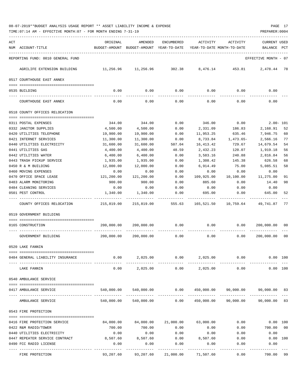| ACT |                                                   | ORIGINAL                                             | AMENDED                                                             | ENCUMBERED   | ACTIVITY                    | ACTIVITY                            | <b>CURRENT USED</b>  |          |
|-----|---------------------------------------------------|------------------------------------------------------|---------------------------------------------------------------------|--------------|-----------------------------|-------------------------------------|----------------------|----------|
|     | NUM ACCOUNT-TITLE                                 |                                                      | BUDGET-AMOUNT BUDGET-AMOUNT YEAR-TO-DATE YEAR-TO-DATE MONTH-TO-DATE |              |                             |                                     | BALANCE PCT          |          |
|     | REPORTING FUND: 0010 GENERAL FUND                 |                                                      |                                                                     |              |                             |                                     | EFFECTIVE MONTH - 07 |          |
|     | AGRILIFE EXTENSION BUILDING                       | $11,256.96$ $11,256.96$ $302.38$ $8,476.14$ $453.81$ |                                                                     |              |                             |                                     | 2,478.44 78          |          |
|     | 0517 COURTHOUSE EAST ANNEX                        |                                                      |                                                                     |              |                             |                                     |                      |          |
|     | 0535 BUILDING                                     | 0.00                                                 | 0.00                                                                | 0.00         |                             | $0.00$ 0.00                         | 0.00                 |          |
|     | COURTHOUSE EAST ANNEX                             | 0.00                                                 | 0.00                                                                | 0.00         | 0.00                        | 0.00                                | 0.00                 |          |
|     | 0518 COUNTY OFFICES RELOCATION                    |                                                      |                                                                     |              |                             |                                     |                      |          |
|     |                                                   |                                                      |                                                                     |              |                             |                                     |                      |          |
|     | 0311 POSTAL EXPENSES                              |                                                      | 344.00 344.00                                                       |              |                             | $0.00$ $346.00$ $0.00$ $2.00 - 101$ |                      |          |
|     | 0332 JANITOR SUPPLIES                             | 4,500.00                                             | 4,500.00                                                            | 0.00         |                             | 2,331.09 186.83                     | 2,168.91             | 52       |
|     | 0420 UTILITIES TELEPHONE                          | 19,900.00                                            | 19,900.00                                                           | 0.00         | 11,953.25                   | 635.46                              | 7,946.75             | 60       |
|     | 0421 INTERNET SERVICES                            | 11,300.00                                            | 11,300.00<br>31,600.00                                              | 0.00         | 8,733.84                    | 1,473.65-                           | 2,566.16             | 77       |
|     | 0440 UTILITIES ELECTRICITY                        | 31,600.00                                            |                                                                     | 507.04       | 16,413.42                   | 729.67<br>120.07                    | 14,679.54            | 54       |
|     | 0441 UTILITIES GAS                                | 4,400.00                                             | 4,400.00                                                            | 48.59        | 2,432.23                    |                                     | 1,919.18             | 56       |
|     | 0442 UTILITIES WATER<br>0443 TRASH PICKUP SERVICE | 6,400.00<br>1,935.00                                 | 6,400.00<br>1,935.00                                                | 0.00<br>0.00 |                             | 3,583.16 240.88                     | 2,816.84<br>626.58   | 56<br>68 |
|     | 0450 R & M BUILDING                               | 12,000.00                                            | 12,000.00                                                           | 0.00         | 1,308.42 145.38<br>6,914.49 | 75.00                               | 5,085.51             | 58       |
|     | 0460 MOVING EXPENSES                              | 0.00                                                 | 0.00                                                                | 0.00         | 0.00                        | 0.00                                | 0.00                 |          |
|     | 0470 OFFICE SPACE LEASE                           | 121,200.00                                           | 121,200.00                                                          | 0.00         | 109,925.00                  | 10,100.00                           | 11,275.00            | 91       |
|     | 0483 ALARM MONITORING                             | 900.00                                               | 900.00                                                              | 0.00         | 885.60                      | 0.00                                | 14.40                | 98       |
|     | 0484 CLEANING SERVICES                            | 0.00                                                 | 0.00                                                                | 0.00         | 0.00                        | 0.00                                | 0.00                 |          |
|     | 0501 PEST CONTROL                                 | 1,340.00                                             | 1,340.00                                                            | 0.00         | 695.00                      | 0.00                                | 645.00               | 52       |
|     |                                                   |                                                      |                                                                     |              |                             |                                     |                      |          |
|     | COUNTY OFFICES RELOCATION                         |                                                      | 215,819.00 215,819.00 555.63 165,521.50 10,759.64 49,741.87         |              |                             |                                     |                      | 77       |
|     | 0519 GOVERNMENT BUILDING                          |                                                      |                                                                     |              |                             |                                     |                      |          |
|     | 0165 CONSTRUCTION                                 |                                                      | $200,000.00$ $200,000.00$ $0.00$ $0.00$ $0.00$ $0.00$               |              |                             |                                     | 200,000.00           | 00       |
|     |                                                   |                                                      |                                                                     |              |                             |                                     |                      |          |
|     | GOVERNMENT BUILDING                               |                                                      | 200,000.00 200,000.00                                               | 0.00         | 0.00                        | 0.00                                | 200,000.00 00        |          |
|     | 0520 LAKE FANNIN                                  |                                                      |                                                                     |              |                             |                                     |                      |          |
|     | 0484 GENERAL LIABILITY INSURANCE                  | 0.00                                                 | 2,025.00                                                            | 0.00         | 2,025.00                    | 0.00                                |                      | 0.00 100 |
|     |                                                   |                                                      |                                                                     |              |                             |                                     |                      |          |
|     | LAKE FANNIN                                       | 0.00                                                 | 2,025.00                                                            | 0.00         | 2,025.00                    | 0.00                                |                      | 0.00 100 |
|     | 0540 AMBULANCE SERVICE                            |                                                      |                                                                     |              |                             |                                     |                      |          |
|     | 0417 AMBULANCE SERVICE                            | 540,000.00                                           | 540,000.00                                                          | 0.00         | 450,000.00                  | 90,000.00                           | 90,000.00 83         |          |
|     | AMBULANCE SERVICE                                 | 540,000.00                                           | 540,000.00                                                          | 0.00         | 450,000.00                  | 90,000.00                           | 90,000.00 83         |          |
|     | 0543 FIRE PROTECTION                              |                                                      |                                                                     |              |                             |                                     |                      |          |
|     |                                                   |                                                      |                                                                     |              |                             |                                     |                      |          |
|     | 0416 FIRE PROTECTION SERVICE                      | 84,000.00                                            | 84,000.00                                                           | 21,000.00    | 63,000.00                   | 0.00                                | $0.00$ 100           |          |
|     | 0422 R&M RADIO/TOWER                              | 700.00                                               | 700.00                                                              | 0.00         | 0.00                        | 0.00                                | 700.00 00            |          |
|     | 0440 UTILITIES ELECTRICITY                        | 0.00                                                 | 0.00                                                                | 0.00         | 0.00                        | 0.00                                | 0.00                 |          |
|     | 0447 REPEATER SERVICE CONTRACT                    | 8,507.60                                             | 8,507.60                                                            | 0.00         | 8,507.60                    | 0.00                                | 0.00                 | 100      |
|     | 0490 FCC RADIO LICENSE                            | 0.00                                                 | 0.00                                                                | 0.00         | 0.00                        | 0.00                                | 0.00                 |          |
|     | FIRE PROTECTION                                   | 93,207.60                                            | 93,207.60                                                           | 21,000.00    | 71,507.60                   | 0.00                                | 700.00               | 99       |
|     |                                                   |                                                      |                                                                     |              |                             |                                     |                      |          |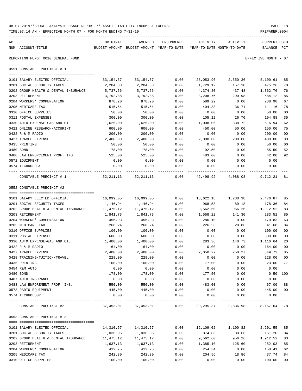| 08-07-2019**BUDGET ANALYSIS USAGE REPORT ** ASSET LIABILITY INCOME & EXPENSE | PAGE 18        |
|------------------------------------------------------------------------------|----------------|
| TIME:07:14 AM - EFFECTIVE MONTH:07 - FOR MONTH ENDING 7-31-19                | PREPARER: 0004 |

| ACT<br>NUM ACCOUNT-TITLE                                   | ORIGINAL                                                       | AMENDED<br>BUDGET-AMOUNT BUDGET-AMOUNT YEAR-TO-DATE YEAR-TO-DATE MONTH-TO-DATE | ENCUMBERED | ACTIVITY  | ACTIVITY                                                            | CURRENT USED<br>BALANCE | $_{\rm PCT}$ |
|------------------------------------------------------------|----------------------------------------------------------------|--------------------------------------------------------------------------------|------------|-----------|---------------------------------------------------------------------|-------------------------|--------------|
|                                                            |                                                                |                                                                                |            |           |                                                                     |                         |              |
| REPORTING FUND: 0010 GENERAL FUND                          |                                                                |                                                                                |            |           |                                                                     | EFFECTIVE MONTH - 07    |              |
| 0551 CONSTABLE PRECINCT # 1                                |                                                                |                                                                                |            |           |                                                                     |                         |              |
| 0101 SALARY ELECTED OFFICIAL                               |                                                                | 33, 154.57 33, 154.57                                                          | 0.00       |           | 28,053.96 2,550.36                                                  | 5,100.61                | 85           |
| 0201 SOCIAL SECURITY TAXES                                 | 2,204.38                                                       | 2,204.38                                                                       | 0.00       | 1,729.12  | 157.10                                                              | 475.26                  | 78           |
| 0202 GROUP HEALTH & DENTAL INSURANCE                       | 5,737.56                                                       | 5,737.56                                                                       | 0.00       | 4,374.80  | 437.48                                                              | 1,362.76                | 76           |
| 0203 RETIREMENT                                            | 3,792.88                                                       | 3,792.88                                                                       | 0.00       | 3,208.76  | 290.98                                                              | 584.12                  | 85           |
| 0204 WORKERS' COMPENSATION                                 | 878.20                                                         | 878.20                                                                         | 0.00       | 589.22    | 0.00                                                                | 288.98                  | 67           |
| 0205 MEDICARE TAX                                          | 515.54                                                         | 515.54                                                                         | 0.00       | 404.38    | 36.74                                                               | 111.16                  | 78           |
| 0310 OFFICE SUPPLIES                                       | 50.00                                                          | 50.00                                                                          | 0.00       | 0.00      | 0.00                                                                | 50.00                   | 00           |
| 0311 POSTAL EXPENSES                                       | 300.00                                                         | 300.00                                                                         | 0.00       | 105.12    | 26.70                                                               | 194.88                  | 35           |
| 0330 AUTO EXPENSE-GAS AND OIL                              | 1,625.00                                                       | 1,625.00                                                                       | 0.00       | 1,008.06  | 338.72                                                              | 616.94                  | 62           |
| 0421 ONLINE RESEARCH/ACCURINT                              | 600.00                                                         | 600.00                                                                         | 0.00       | 450.00    | 50.00                                                               | 150.00                  | 75           |
| 0422 R & M RADIO                                           | 200.00                                                         | 200.00                                                                         | 0.00       | 0.00      | 0.00                                                                | 200.00                  | 00           |
| 0427 TRAVEL EXPENSE                                        | 2,400.00                                                       | 2,400.00                                                                       | 0.00       | 2,000.00  | 200.00                                                              | 400.00                  | 83           |
| 0435 PRINTING                                              | 50.00                                                          | 50.00                                                                          | 0.00       | 0.00      | 0.00                                                                | 50.00                   | 00           |
| 0480 BOND                                                  | 178.00                                                         | 178.00                                                                         | 0.00       | 92.50     | 0.00                                                                | 85.50                   | 52           |
| 0488 LAW ENFORCEMENT PROF. INS                             | 525.00                                                         | 525.00                                                                         | 0.00       | 483.00    | 0.00                                                                | 42.00                   | 92           |
| 0572 EQUIPMENT                                             | 0.00                                                           | 0.00                                                                           | 0.00       | 0.00      | 0.00                                                                | 0.00                    |              |
| 0574 TECHNOLOGY                                            | 0.00                                                           | 0.00                                                                           | 0.00       | 0.00      | 0.00                                                                | 0.00                    |              |
| CONSTABLE PRECINCT # 1                                     | 52,211.13   52,211.13   0.00   42,498.92   4,088.08   9,712.21 |                                                                                |            |           |                                                                     |                         | 81           |
| 0552 CONSTABLE PRECINCT #2                                 |                                                                |                                                                                |            |           |                                                                     |                         |              |
|                                                            |                                                                |                                                                                | 0.00       |           |                                                                     |                         | 85           |
| 0101 SALARY ELECTED OFFICIAL<br>0201 SOCIAL SECURITY TAXES | 16,099.05                                                      | 16,099.05                                                                      | 0.00       | 968.58    | 13,622.18 1,238.38 2,476.87                                         | 178.36                  | 84           |
| 0202 GROUP HEALTH & DENTAL INSURANCE                       | 1,146.94<br>11,475.12                                          | 1,146.94<br>11,475.12                                                          | 0.00       | 9,562.60  | 89.18<br>956.26                                                     | 1,912.52                | 83           |
| 0203 RETIREMENT                                            | 1,841.73                                                       | 1,841.73                                                                       | 0.00       | 1,558.22  | 141.30                                                              | 283.51                  | 85           |
| 0204 WORKERS' COMPENSATION                                 | 456.93                                                         | 456.93                                                                         | 0.00       | 286.10    | 0.00                                                                | 170.83                  | 63           |
| 0205 MEDICARE TAX                                          | 268.24                                                         | 268.24                                                                         | 0.00       | 226.56    | 20.86                                                               | 41.68                   | 84           |
| 0310 OFFICE SUPPLIES                                       | 100.00                                                         | 100.00                                                                         | 0.00       | 0.00      | 0.00                                                                | 100.00                  | 00           |
| 0311 POSTAL EXPENSES                                       | 600.00                                                         | 600.00                                                                         | 0.00       | 0.00      | 0.00                                                                | 600.00                  | 00           |
| 0330 AUTO EXPENSE-GAS AND OIL                              | 1,400.00                                                       | 1,400.00                                                                       | 0.00       | 283.36    | 140.73                                                              | 1,116.64                | 20           |
| 0422 R & M RADIO                                           | 164.00                                                         | 164.00                                                                         | 0.00       | 0.00      | 0.00                                                                | 164.00                  | 00           |
| 0427 TRAVEL EXPENSE                                        | 2,400.00                                                       | 2,400.00                                                                       | 0.00       | 2,050.27  | 250.27                                                              | 349.73                  | 85           |
| 0428 TRAINING/TUITION/TRAVEL                               | 228.00                                                         | 228.00                                                                         | 0.00       | 0.00      | 0.00                                                                | 228.00                  | 00           |
| 0435 PRINTING                                              | 100.00                                                         | 100.00                                                                         | 0.00       | 77.00     | 0.00                                                                | 23.00                   | 77           |
| 0454 R&M AUTO                                              | 0.00                                                           | 0.00                                                                           | 0.00       | 0.00      | 0.00                                                                | 0.00                    |              |
| 0480 BOND                                                  | 178.00                                                         | 178.00                                                                         | 0.00       | 177.50    | 0.00                                                                | 0.50                    | 100          |
| 0487 AUTO INSURANCE                                        | 0.00                                                           | 0.00                                                                           | 0.00       | 0.00      | 0.00                                                                | 0.00                    |              |
| 0488 LAW ENFOREMENT PROF. INS.                             | 550.00                                                         | 550.00                                                                         | 0.00       | 483.00    | 0.00                                                                | 67.00                   | 88           |
| 0573 RADIO EQUIPMENT                                       | 445.00                                                         | 445.00                                                                         | 0.00       | 0.00      | 0.00                                                                | 445.00                  | $00\,$       |
| 0574 TECHNOLOGY                                            | 0.00                                                           | 0.00                                                                           | 0.00       | 0.00      | 0.00                                                                | 0.00                    |              |
| CONSTABLE PRECINCT #2                                      |                                                                |                                                                                |            |           | $37,453.01$ $37,453.01$ $0.00$ $29,295.37$ $2,836.98$ $8,157.64$ 78 |                         |              |
| 0553 CONSTABLE PRECINCT # 3                                |                                                                |                                                                                |            |           |                                                                     |                         |              |
|                                                            |                                                                |                                                                                |            |           |                                                                     |                         |              |
| 0101 SALARY ELECTED OFFICIAL                               | 14,310.57                                                      | 14,310.57                                                                      | 0.00       | 12,109.02 | 1,100.82                                                            | 2,201.55                | 85           |
| 0201 SOCIAL SECURITY TAXES                                 | 1,036.06                                                       | 1,036.06                                                                       | 0.00       | 874.86    | 80.66                                                               | 161.20                  | 84           |
| 0202 GROUP HEALTH & DENTAL INSURANCE                       | 11,475.12                                                      | 11,475.12                                                                      | 0.00       | 9,562.60  | 956.26                                                              | 1,912.52                | 83           |
| 0203 RETIREMENT                                            | 1,637.13                                                       | 1,637.13                                                                       | 0.00       | 1,385.10  | 125.60                                                              | 252.03                  | 85           |
| 0204 WORKERS' COMPENSATION                                 | 412.75                                                         | 412.75                                                                         | 0.00       | 254.34    | 0.00                                                                | 158.41                  | 62           |
| 0205 MEDICARE TAX                                          | 242.30                                                         | 242.30                                                                         | 0.00       | 204.56    | 18.86                                                               | 37.74                   | 84           |
| 0310 OFFICE SUPPLIES                                       | 100.00                                                         | 100.00                                                                         | 0.00       | 0.00      | 0.00                                                                | 100.00                  | 00           |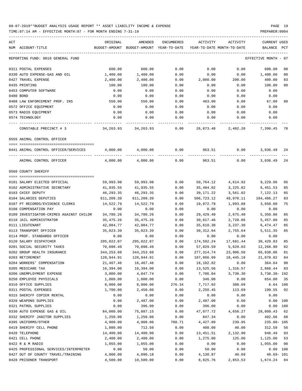TIME:07:14 AM - EFFECTIVE MONTH:07 - FOR MONTH ENDING 7-31-19 PREPARER:0004

| ACT                                     | ORIGINAL   | AMENDED                                  | ENCUMBERED | ACTIVITY   | ACTIVITY                   | CURRENT USED         |                |
|-----------------------------------------|------------|------------------------------------------|------------|------------|----------------------------|----------------------|----------------|
| NUM ACCOUNT-TITLE                       |            | BUDGET-AMOUNT BUDGET-AMOUNT YEAR-TO-DATE |            |            | YEAR-TO-DATE MONTH-TO-DATE | BALANCE              | PCT            |
| REPORTING FUND: 0010 GENERAL FUND       |            |                                          |            |            |                            | EFFECTIVE MONTH - 07 |                |
| 0311 POSTAL EXPENSES                    | 600.00     | 600.00                                   | 0.00       | 0.00       | 0.00                       | 600.00               | 00             |
| 0330 AUTO EXPENSE-GAS AND OIL           | 1,400.00   | 1,400.00                                 | 0.00       | 0.00       | 0.00                       | 1,400.00             | 0 <sub>0</sub> |
| 0427 TRAVEL EXPENSE                     | 2,400.00   | 2,400.00                                 | 0.00       | 2,000.00   | 200.00                     | 400.00               | 83             |
| 0435 PRINTING                           | 100.00     | 100.00                                   | 0.00       | 0.00       | 0.00                       | 100.00               | 0 <sub>0</sub> |
| 0453 COMPUTER SOFTWARE                  | 0.00       | 0.00                                     | 0.00       | 0.00       | 0.00                       | 0.00                 |                |
| 0480 BOND                               | 0.00       | 0.00                                     | 0.00       | 0.00       | 0.00                       | 0.00                 |                |
| 0488 LAW ENFORCEMENT PROF. INS          | 550.00     | 550.00                                   | 0.00       | 483.00     | 0.00                       | 67.00                | 88             |
| 0572 OFFICE EQUIPMENT                   | 0.00       | 0.00                                     | 0.00       | 0.00       | 0.00                       | 0.00                 |                |
| 0573 RADIO EQUIPMENT                    | 0.00       | 0.00                                     | 0.00       | 0.00       | 0.00                       | 0.00                 |                |
| 0574 TECHNOLOGY                         | 0.00       | 0.00                                     | 0.00       | 0.00       | 0.00                       | 0.00                 |                |
| CONSTABLE PRECINCT # 3                  |            | 34, 263. 93 34, 263. 93                  | 0.00       | 26,873.48  | 2,482.20                   | 7,390.45             | 78             |
| 0555 ANIMAL CONTROL OFFICER             |            |                                          |            |            |                            |                      |                |
| 0441 ANIMAL CONTROL OFFICER/SERVICES    |            | 4,000.00 4,000.00                        | 0.00       | 963.51     | 0.00                       | 3,036.49             | 24             |
| ANIMAL CONTROL OFFICER                  | 4,000.00   | 4,000.00                                 | 0.00       | 963.51     | 0.00                       | 3,036.49             | 24             |
| 0560 COUNTY SHERIFF                     |            |                                          |            |            |                            |                      |                |
|                                         |            |                                          |            |            |                            |                      |                |
| 0101 SALARY ELECTED OFFICIAL            | 59,993.98  | 59,993.98                                | 0.00       | 50,764.12  | 4,614.92                   | 9,229.86             | 85             |
| 0102 ADMINISTRATIVE SECRETARY           | 41,935.55  | 41,935.55                                | 0.00       | 35,484.02  | 3,225.82                   | 6,451.53             | 85             |
| 0103 CHIEF DEPUTY                       | 46,293.35  | 46,293.35                                | 0.00       | 39,171.22  | 3,561.02                   | 7,122.13             | 85             |
| 0104 SALARIES DEPUTIES                  | 611,209.39 | 611,209.39                               | 0.00       | 506,723.12 | 49,970.11                  | 104,486.27           | 83             |
| 0107 PT RECORDS/EVIDENCE CLERKS         | 14,522.79  | 14,522.79                                | 0.00       | 10,872.79  | 1,093.88                   | 3,650.00             | 75             |
| 0108 COMPENSATION PAY                   | 0.00       | 0.00                                     | 0.00       | 0.00       | 0.00                       | 0.00                 |                |
| 0109 INVESTIGATOR-CRIMES AGAINST CHILDR | 34,780.26  | 34,780.26                                | 0.00       | 29,429.40  | 2,675.40                   | 5,350.86             | 85             |
| 0110 JAIL ADMINISTRATOR                 | 35,475.26  | 35,475.26                                | 0.00       | 30,017.46  | 2,728.86                   | 5,457.80             | 85             |
| 0111 LIEUTENANT                         | 42,084.77  | 42,084.77                                | 0.00       | 35,610.30  | 3,237.30                   | 6,474.47             | 85             |
| 0113 TRANSPORT OFFICER                  | 35,823.39  | 35,823.39                                | 0.00       | 30,312.04  | 2,755.64                   | 5,511.35             | 85             |
| 0114 PROF. STANDARDS OFFICER            | 0.00       | 0.00                                     | 0.00       | 0.00       | 0.00                       | 0.00                 |                |
| 0120 SALARY DISPATCHER                  | 205,022.07 | 205,022.07                               | 0.00       | 174,592.24 | 17,681.44                  | 30,429.83            | 85             |
| 0201 SOCIAL SECURITY TAXES              | 70,098.49  | 70,098.49                                | 0.00       | 57,829.59  | 5,629.03                   | 12,268.90            | 82             |
| 0202 GROUP HEALTH INSURANCE             | 344,253.60 | 344, 253.60                              | 0.00       | 277,314.74 | 23,906.50                  | 66,938.86            | 81             |
| 0203 RETIREMENT                         | 128,944.91 | 128,944.91                               | 0.00       | 107,866.09 | 10,445.18                  | 21,078.82            | 84             |
| 0204 WORKERS' COMPENSATION              | 21,467.46  | 16,467.46                                | 0.00       | 16,102.82  | 0.00                       | 364.64               | 98             |
| 0205 MEDICARE TAX                       | 16,394.00  | 16,394.00                                | 0.00       | 13,525.56  | 1,316.57                   | 2,868.44             | 83             |
| 0206 UNEMPLOYMENT EXPENSE               | 3,000.00   | 4,047.74                                 | 0.00       | 7,786.04   | 3,738.30                   | 3,738.30- 192        |                |
| 0250 EMPLOYEE PHYSICALS                 | 1,000.00   | 1,000.00                                 | 0.00       | 346.00     | 0.00                       | 654.00               | 35             |
| 0310 OFFICE SUPPLIES                    | 8,000.00   | 8,000.00                                 | 276.34     | 7,717.02   | 388.09                     | 6.64 100             |                |
| 0311 POSTAL EXPENSES                    | 1,700.00   | 2,450.00                                 | 0.00       | 2,250.45   | 113.69                     | 199.55               | 92             |
| 0315 SHERIFF COPIER RENTAL              | 0.00       | 0.00                                     | 0.00       | 0.00       | 0.00                       | 0.00                 |                |
| 0320 WEAPONS SUPPLIES                   | 0.00       | 2,487.00                                 | 0.00       | 2,487.00   | 0.00                       | 0.00 100             |                |
| 0321 PATROL SUPPLIES                    | 0.00       | 396.00                                   | 0.00       | 396.00     | 0.00                       | 0.00 100             |                |
| 0330 AUTO EXPENSE GAS & OIL             | 84,000.00  | 75,887.15                                | 0.00       | 47,077.72  | 4,658.27                   | 28,809.43            | 62             |
| 0332 SHERIFF JANITOR SUPPLIES           | 1,250.00   | 1,250.00                                 | 0.00       | 847.34     | 0.00                       | 402.66               | 68             |
| 0395 UNIFORMS/OTHER                     | 4,900.00   | 4,900.00                                 | 708.71     | 4,427.09   | 239.95                     | $235.80 - 105$       |                |
| 0419 SHERIFF CELL PHONE                 | 1,080.00   | 712.50                                   | 0.00       | 400.00     | 40.00                      | 312.50               | 56             |
| 0420 TELEPHONE                          | 14,400.00  | 14,400.00                                | 0.00       | 13,451.51  | 2,132.90                   | 948.49               | 93             |
| 0421 CELL PHONE                         | 2,400.00   | 2,400.00                                 | 0.00       | 1,275.00   | 125.00                     | 1,125.00             | 53             |
| 0422 R & M RADIO                        | 1,055.00   | 1,055.00                                 | 0.00       | 0.00       | 0.00                       | 1,055.00             | 0 <sub>0</sub> |
| 0425 PROFESSIONAL SERVICES/INTERPRETER  | 0.00       | 50.00                                    | 0.00       | 50.00      | 0.00                       | 0.00 100             |                |
| 0427 OUT OF COUNTY TRAVEL/TRAINING      | 4,000.00   | 4,090.18                                 | 0.00       | 4,130.87   | 40.69                      | $40.69 - 101$        |                |

0428 PRISONER TRANSPORT 4,500.00 10,500.00 0.00 8,825.76 2,853.53 1,674.24 84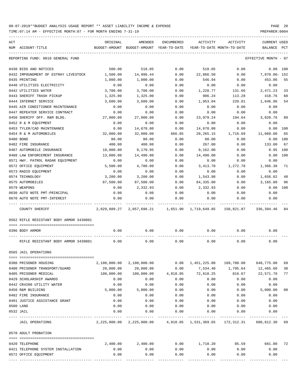TIME:07:14 AM - EFFECTIVE MONTH:07 - FOR MONTH ENDING 7-31-19 PREPARER:0004

| ACT | NUM ACCOUNT-TITLE                       | ORIGINAL   | AMENDED<br>BUDGET-AMOUNT BUDGET-AMOUNT YEAR-TO-DATE        | ENCUMBERED                         | ACTIVITY                  | ACTIVITY<br>YEAR-TO-DATE MONTH-TO-DATE                                   | CURRENT USED<br>BALANCE PCT |     |
|-----|-----------------------------------------|------------|------------------------------------------------------------|------------------------------------|---------------------------|--------------------------------------------------------------------------|-----------------------------|-----|
|     |                                         |            |                                                            |                                    |                           |                                                                          |                             |     |
|     | REPORTING FUND: 0010 GENERAL FUND       |            |                                                            |                                    |                           |                                                                          | EFFECTIVE MONTH - 07        |     |
|     | 0430 BIDS AND NOTICES                   | 500.00     | 518.05                                                     | 0.00                               | 518.05                    | 0.00                                                                     | 0.00 100                    |     |
|     | 0432 IMPOUNDMENT OF ESTRAY LIVESTOCK    | 1,500.00   | 14,996.44                                                  | 0.00                               | 22,866.50                 | 0.00                                                                     | 7,870.06- 152               |     |
|     | 0435 PRINTING                           | 1,000.00   | 1,000.00                                                   | 0.00                               | 546.94                    | 0.00                                                                     | 453.06                      | 55  |
|     | 0440 UTILITIES ELECTRICITY              | 0.00       | 0.00                                                       | 0.00                               | 0.00                      | 0.00                                                                     | 0.00                        |     |
|     | 0442 UTILITIES WATER                    | 3,700.00   | 3,700.00                                                   | 0.00                               | 1,228.77                  | 131.66                                                                   | 2,471.23                    | 33  |
|     | 0443 SHERIFF TRASH PICKUP               | 1,325.00   | 1,325.00                                                   | 0.00                               | 906.24                    | 113.28                                                                   | 418.76                      | 68  |
|     | 0444 INTERNET SERVICE                   | 3,600.00   | 3,600.00                                                   | 0.00                               | 1,953.04                  | 220.81                                                                   | 1,646.96                    | 54  |
|     | 0445 AIR CONDITIONER MAINTENANCE        | 0.00       | 0.00                                                       | 0.00                               | 0.00                      | 0.00                                                                     | 0.00                        |     |
|     | 0447 REPEATER SERVICE CONTRACT          | 0.00       | 0.00                                                       | 0.00                               | 0.00                      | 0.00                                                                     | 0.00                        |     |
|     | 0450 SHERIFF OFF. R&M BLDG.             | 27,000.00  | 27,000.00                                                  | 0.00                               | 23,979.24                 | 194.64                                                                   | 3,020.76                    | 89  |
|     | 0452 R & M EQUIPMENT                    | 0.00       | 0.00                                                       | 0.00                               | 0.00                      | 0.00                                                                     | 0.00                        |     |
|     | 0453 TYLER/CAD MAINTENANCE              | 0.00       | 14,678.00                                                  | 0.00                               | 14,678.00                 | 0.00                                                                     | 0.00 100                    |     |
|     | 0454 R & M AUTOMOBILES                  | 32,000.00  | 32,000.00                                                  | 666.85                             | 20,265.15                 | 1,716.69                                                                 | 11,068.00                   | 65  |
|     | 0480 BOND                               | 80.00      | 80.00                                                      | 0.00                               | 80.00                     | 0.00                                                                     | 0.00 100                    |     |
|     | 0482 FIRE INSURANCE                     | 400.00     | 400.00                                                     | 0.00                               | 267.00                    | 0.00                                                                     | 133.00                      | 67  |
|     | 0487 AUTOMOBILE INSURANCE               | 10,000.00  | 9,170.95                                                   | 0.00                               | 9,162.00                  | 0.00                                                                     | 8.95 100                    |     |
|     | 0488 LAW ENFORCEMENT INSURANCE          | 13,000.00  | 14,490.00                                                  | 0.00                               | 14,490.00                 | 0.00                                                                     | 0.00                        | 100 |
|     | 0571 HWY. PATROL RADAR EOUIPMENT        | 0.00       | 0.00                                                       | 0.00                               | 0.00                      | 0.00                                                                     | 0.00                        |     |
|     | 0572 OFFICE EQUIPMENT                   | 5,500.00   | 4,780.00                                                   | 0.00                               | 3,413.70                  | 1,272.70                                                                 | 1,366.30                    | 71  |
|     | 0573 RADIO EQUIPMENT                    | 0.00       | 0.00                                                       | 0.00                               | 0.00                      | 0.00                                                                     | 0.00                        |     |
|     | 0574 TECHNOLOGY                         | 3,200.00   | 3,200.00                                                   | 0.00                               | 1,543.98                  | 0.00                                                                     | 1,656.02                    | 48  |
|     | 0575 AUTOMOBILES                        | 87,500.00  | 87,500.00                                                  | 0.00                               | 84,335.00                 | 0.00                                                                     | 3,165.00                    | 96  |
|     | 0579 WEAPONS                            | 0.00       | 2,332.93                                                   | 0.00                               | 2,332.93                  | 0.00                                                                     | 0.00                        | 100 |
|     | 0630 AUTO NOTE PMT-PRINCIPAL            | 0.00       | 0.00                                                       | 0.00                               | 0.00                      | 0.00                                                                     | 0.00                        |     |
|     | 0670 AUTO NOTE PMT-INTEREST             | 0.00       | 0.00                                                       | 0.00                               | 0.00                      | 0.00                                                                     | 0.00                        |     |
|     |                                         |            |                                                            |                                    |                           |                                                                          |                             |     |
|     | COUNTY SHERIFF                          |            | 2,029,889.27 2,057,696.21 1,651.90 1,719,649.85 150,821.87 |                                    |                           |                                                                          | 336,394.46                  | 84  |
|     | 0562 RIFLE RESISTANT BODY ARMOR 3439801 |            |                                                            |                                    |                           |                                                                          |                             |     |
|     | 0396 BODY ARMOR                         | 0.00       | 0.00                                                       | 0.00                               | 0.00                      | 0.00                                                                     | 0.00                        |     |
|     |                                         |            |                                                            |                                    |                           |                                                                          |                             |     |
|     | RIFLE RESISTANT BODY ARMOR 3439801 0.00 |            | 0.00                                                       | 0.00                               | 0.00                      | 0.00                                                                     | 0.00                        |     |
|     | 0565 JAIL OPERATIONS                    |            |                                                            |                                    |                           |                                                                          |                             |     |
|     |                                         |            |                                                            |                                    |                           |                                                                          |                             |     |
|     | 0380 PRISONER HOUSING                   |            | 2,100,000.00 2,100,000.00                                  |                                    | $0.00 \quad 1,451,225.00$ | 169,700.00                                                               | 648,775.00                  | 69  |
|     | 0400 PRISONER TRANSPORT/GUARD           | 20,000.00  | 20,000.00                                                  | 0.00                               | 7,534.40                  | 1,795.64                                                                 | 12,465.60                   | 38  |
|     | 0405 PRISONER MEDICAL                   | 100,000.00 | 100,000.00                                                 |                                    | 4,818.05 72,610.25        | 816.67                                                                   | 22,571.70                   | 77  |
|     | 0429 SCHOLARSHIP AWARDS                 | 0.00       | 0.00                                                       | 0.00                               | 0.00                      | 0.00                                                                     | 0.00                        |     |
|     | 0442 CR4200 UTILITY WATER               | 0.00       | 0.00                                                       | 0.00                               | 0.00                      | 0.00                                                                     | 0.00                        |     |
|     | 0450 R&M BUILDING                       | 5,000.00   | 5,000.00                                                   | 0.00                               | 0.00                      | 0.00                                                                     | 5,000.00                    | 00  |
|     | 0482 FIRE INSURANCE                     | 0.00       | 0.00                                                       | 0.00                               | 0.00                      | 0.00                                                                     | 0.00                        |     |
|     | 0491 JUSTICE ASSISTANCE GRANT           | 0.00       | 0.00                                                       | 0.00                               | 0.00                      | 0.00                                                                     | 0.00                        |     |
|     | 0500 LAND                               | 0.00       | 0.00                                                       | 0.00                               | 0.00                      | 0.00                                                                     | 0.00                        |     |
|     | 0532 JAIL                               | 0.00       | 0.00                                                       | 0.00<br>------------ ------------- | 0.00<br>-------------     | 0.00<br>_____________                                                    | 0.00                        |     |
|     | JAIL OPERATIONS                         |            |                                                            |                                    |                           | 2,225,000.00 2,225,000.00 4,818.05 1,531,369.65 172,312.31 688,812.30 69 |                             |     |
|     | 0570 ADULT PROBATION                    |            |                                                            |                                    |                           |                                                                          |                             |     |
|     |                                         |            |                                                            |                                    |                           |                                                                          |                             |     |
|     | 0420 TELEPHONE                          | 2,400.00   | 2,400.00                                                   | 0.00                               | 1,718.20                  | 85.59                                                                    | 681.80                      | 72  |
|     | 0421 TELEPHONE SYSTEM INSTALLATION      | 0.00       | 0.00                                                       | 0.00                               | 0.00                      | 0.00                                                                     | 0.00                        |     |
|     | 0572 OFFICE EQUIPMENT                   | 0.00       | 0.00                                                       | 0.00                               | 0.00                      | 0.00                                                                     | 0.00                        |     |

---- ---------------------------------- ------------- ------------- ------------ ------------- ------------ ------------- ---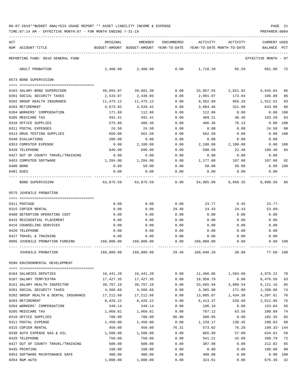TIME:07:14 AM - EFFECTIVE MONTH:07 - FOR MONTH ENDING 7-31-19 PREPARER:0004

| ACT | NUM ACCOUNT-TITLE                                                    | ORIGINAL         | AMENDED<br>BUDGET-AMOUNT BUDGET-AMOUNT YEAR-TO-DATE YEAR-TO-DATE MONTH-TO-DATE | ENCUMBERED   | ACTIVITY           | ACTIVITY           | <b>CURRENT USED</b><br>BALANCE PCT                                     |                |
|-----|----------------------------------------------------------------------|------------------|--------------------------------------------------------------------------------|--------------|--------------------|--------------------|------------------------------------------------------------------------|----------------|
|     |                                                                      |                  |                                                                                |              |                    |                    |                                                                        |                |
|     | REPORTING FUND: 0010 GENERAL FUND                                    |                  |                                                                                |              |                    |                    | EFFECTIVE MONTH - 07                                                   |                |
|     | ADULT PROBATION                                                      | 2,400.00         | 2,400.00                                                                       | 0.00         | 1,718.20           | 85.59              | 681.80                                                                 | -72            |
|     | 0573 BOND SUPERVISION                                                |                  |                                                                                |              |                    |                    |                                                                        |                |
|     |                                                                      |                  |                                                                                |              |                    |                    |                                                                        |                |
|     | 0103 SALARY-BOND SUPERVISOR                                          | 40,855.97        | 39,601.39                                                                      | 0.00         |                    | 33,957.55 2,821.92 | 5,643.84                                                               | 86             |
|     | 0201 SOCIAL SECURITY TAXES                                           | 2,533.07         | 2,438.05                                                                       | 0.00         | 2,091.97           | 173.04             | 346.08                                                                 | 86             |
|     | 0202 GROUP HEALTH INSURANCE                                          | 11,475.12        | 11,475.12                                                                      | 0.00         | 9,562.60           | 956.26             | 1,912.52                                                               | 83             |
|     | 0203 RETIREMENT<br>0204 WORKERS' COMPENSATION                        | 4,673.92         | 4,528.42<br>112.86                                                             | 0.00<br>0.00 | 3,884.46<br>112.86 | 321.98<br>0.00     | 643.96<br>$0.00$ 100                                                   | 86             |
|     | 0205 MEDICARE TAX                                                    | 171.60<br>592.41 | 592.41                                                                         | 0.00         | 489.21             | 40.46              | 103.20                                                                 | 83             |
|     | 0310 OFFICE SUPPLIES                                                 | 575.00           | 406.36                                                                         | 0.00         | 406.36             | 76.13              | 0.00                                                                   | 100            |
|     | 0311 POSTAL EXPENSES                                                 | 24.50            | 24.50                                                                          | 0.00         | 0.00               | 0.00               | 24.50                                                                  | 00             |
|     | 0313 DRUG TESTING SUPPLIES                                           | 650.00           | 562.50                                                                         | 0.00         | 562.50             | 0.00               | 0.00                                                                   | 100            |
|     | 0340 EVALUATIONS                                                     | 200.00           | 0.00                                                                           | 0.00         | 0.00               | 0.00               | 0.00                                                                   |                |
|     | 0353 COMPUTER EXPENSE                                                | 0.00             | 2,100.08                                                                       | 0.00         | 2,100.08           | 2,100.08           |                                                                        | 0.00 100       |
|     | 0420 TELEPHONE                                                       | 840.00           | 699.90                                                                         | 0.00         | 590.50             | 22.48              | 109.40                                                                 | 84             |
|     | 0427 OUT OF COUNTY TRAVEL/TRAINING                                   | 0.00             | 0.00                                                                           | 0.00         | 0.00               | 0.00               | 0.00                                                                   |                |
|     | 0453 COMPUTER SOFTWARE                                               | 1,284.00         | 1,284.00                                                                       | 0.00         | 1,177.00           | 107.00             | 107.00                                                                 | 92             |
|     | 0480 BOND                                                            | 0.00             | 50.00                                                                          | 0.00         | 50.00              | 50.00              | $0.00$ 100                                                             |                |
|     | 0481 DUES                                                            | 0.00             | 0.00                                                                           | 0.00         | 0.00               | 0.00               | 0.00                                                                   |                |
|     | BOND SUPERVISION                                                     |                  |                                                                                |              |                    |                    | 63,875.59   63,875.59      0.00   54,985.09   6,669.35    8,890.50  86 |                |
|     |                                                                      |                  |                                                                                |              |                    |                    |                                                                        |                |
|     | 0575 JUVENILE PROBATION                                              |                  |                                                                                |              |                    |                    |                                                                        |                |
|     |                                                                      |                  |                                                                                |              |                    |                    |                                                                        |                |
|     | 0311 POSTAGE                                                         | 0.00             | 0.00                                                                           | 0.00         | 23.77              | 6.45               | $23.77-$                                                               |                |
|     | 0315 COPIER RENTAL                                                   | 0.00             | 0.00                                                                           | 29.46        | 24.43              | 24.43              | $53.89-$                                                               |                |
|     | 0408 DETENTION OPERATING COST                                        | 0.00             | 0.00                                                                           | 0.00         | 0.00               | 0.00               | 0.00                                                                   |                |
|     | 0415 RESIDENTIAL PLACEMENT                                           | 0.00             | 0.00                                                                           | 0.00         | 0.00               | 0.00               | 0.00                                                                   |                |
|     | 0416 COUNSELING SERVICES                                             | 0.00             | 0.00                                                                           | 0.00         | 0.00               | 0.00               | 0.00                                                                   |                |
|     | 0420 TELEPHONE                                                       | 0.00             | 0.00                                                                           | 0.00         | 0.00               | 0.00               | 0.00                                                                   |                |
|     | 0427 TRAVEL & TRAINING<br>0995 JUVENILE PROBATION FUNDING 160,000.00 | 0.00             | 0.00<br>160,000.00                                                             | 0.00<br>0.00 | 0.00<br>160,000.00 | 0.00<br>0.00       | 0.00                                                                   | 0.00 100       |
|     |                                                                      |                  |                                                                                |              |                    |                    |                                                                        |                |
|     | JUVENILE PROBATION                                                   | 160,000.00       | 160,000.00                                                                     | 29.46        | 160,048.20         | 30.88              | 77.66- 100                                                             |                |
|     | 0590 ENVIRONMENTAL DEVELOPMENT                                       |                  |                                                                                |              |                    |                    |                                                                        |                |
|     | 0104 SALARIES DEPUTIES                                               | 16,441.28        | 16, 441.28                                                                     | 0.00         | 11,466.06          | 1,504.68           | 4,975.22                                                               | 70             |
|     | 0107 SALARY TEMP/EXTRA                                               | 17,427.35        | 17,427.35                                                                      | 0.00         | 10,950.79          | 0.00               | 6,476.56                                                               | 63             |
|     | 0151 SALARY HEALTH INSPECTOR                                         | 39,787.10        | 39,787.10                                                                      | 0.00         | 33,665.94          | 3,060.54           | 6,121.16                                                               | 85             |
|     | 0201 SOCIAL SECURITY TAXES                                           | 4,566.66         | 4,566.66                                                                       | 0.00         | 3,365.80           | 271.80             | 1,200.86                                                               | 74             |
|     | 0202 GROUP HEALTH & DENTAL INSURANCE                                 | 17,212.68        | 17,212.68                                                                      | 0.00         | 13,005.07          | 1,434.38           | 4,207.61                                                               | 76             |
|     | 0203 RETIREMENT                                                      | 8,426.22         | 8,426.22                                                                       | 0.00         | 6,413.37           | 520.88             | 2,012.85                                                               | 76             |
|     | 0204 WORKERS' COMPENSATION                                           | 349.14           | 349.14                                                                         | 0.00         | 196.10             | 0.00               | 153.04                                                                 | 56             |
|     | 0205 MEDICARE TAX                                                    | 1,068.01         | 1,068.01                                                                       | 0.00         | 787.12             | 63.56              | 280.89                                                                 | 74             |
|     | 0310 OFFICE SUPPLIES                                                 | 700.00           | 700.00                                                                         | 96.80        | 500.85             | 0.00               | 102.35                                                                 | 85             |
|     | 0311 POSTAL EXPENSE                                                  | 1,450.00         | 1,450.00                                                                       | 0.00         | 1,159.17           | 130.45             | 290.83                                                                 | 80             |
|     | 0315 COPIER RENTAL                                                   | 450.00           | 450.00                                                                         | 76.31        | 573.02             | 76.28              | 199.33-144                                                             |                |
|     | 0330 AUTO EXPENSE GAS & OIL                                          | 1,500.00         | 1,500.00                                                                       | 0.00         | 865.99             | 57.00              | 634.01                                                                 | 58             |
|     | 0420 TELEPHONE                                                       | 750.00           | 750.00                                                                         | 0.00         | 541.21             | 42.89              | 208.79                                                                 | 72             |
|     | 0427 OUT OF COUNTY TRAVEL/TRAINING                                   | 600.00           | 600.00                                                                         | 0.00         | 387.98             | 0.00               | 212.02                                                                 | 65             |
|     | 0435 PRINTING                                                        | 100.00           | 100.00                                                                         | 0.00         | 0.00               | 0.00               | 100.00                                                                 | 0 <sub>0</sub> |
|     | 0453 SOFTWARE MAINTENANCE SAFE                                       | 400.00           | 400.00                                                                         | 0.00         | 400.00             | 0.00               |                                                                        | 0.00 100       |

0454 R&M AUTO 1,000.00 1,000.00 0.00 324.61 0.00 675.39 32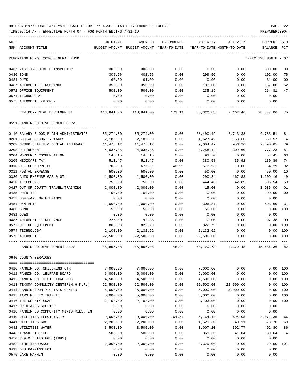TIME:07:14 AM - EFFECTIVE MONTH:07 - FOR MONTH ENDING 7-31-19 PREPARER:0004

| ACT | NUM ACCOUNT-TITLE                       | ORIGINAL   | AMENDED                                  | ENCUMBERED | ACTIVITY<br>YEAR-TO-DATE MONTH-TO-DATE | ACTIVITY           | <b>CURRENT USED</b>  |                |
|-----|-----------------------------------------|------------|------------------------------------------|------------|----------------------------------------|--------------------|----------------------|----------------|
|     |                                         |            | BUDGET-AMOUNT BUDGET-AMOUNT YEAR-TO-DATE |            |                                        |                    | BALANCE PCT          |                |
|     | REPORTING FUND: 0010 GENERAL FUND       |            |                                          |            |                                        |                    | EFFECTIVE MONTH - 07 |                |
|     | 0467 VISITING HEALTH INSPECTOR          | 300.00     | 300.00                                   | 0.00       | 0.00                                   | 0.00               | 300.00               | 00             |
|     | 0480 BOND                               | 302.56     | 401.56                                   | 0.00       | 299.56                                 | 0.00               | 102.00               | 75             |
|     | 0481 DUES                               | 160.00     | 61.00                                    | 0.00       | 0.00                                   | 0.00               | 61.00                | 0 <sub>0</sub> |
|     | 0487 AUTOMOBILE INSURANCE               | 350.00     | 350.00                                   | 0.00       | 183.00                                 | 0.00               | 167.00               | 52             |
|     | 0572 OFFICE EQUIPMENT                   | 500.00     | 500.00                                   | 0.00       | 235.19                                 | 0.00               | 264.81               | 47             |
|     | 0574 TECHNOLOGY                         | 0.00       | 0.00                                     | 0.00       | 0.00                                   | 0.00               | 0.00                 |                |
|     | 0575 AUTOMOBILE/PICKUP                  | 0.00       | 0.00                                     | 0.00       | 0.00                                   | 0.00               | 0.00                 |                |
|     | ENVIRONMENTAL DEVELOPMENT               | 113,841.00 | 113,841.00                               | 173.11     |                                        | 85,320.83 7,162.46 | 28,347.06            | 75             |
|     | 0591 FANNIN CO DEVELOPMENT SERV.        |            |                                          |            |                                        |                    |                      |                |
|     | 0110 SALARY FLOOD PLAIN ADMINISTRATOR   | 35,274.00  | 35,274.00                                | 0.00       | 28,490.49                              | 2,713.38           | 6,783.51             | 81             |
|     | 0201 SOCIAL SECURITY TAXES              | 2,186.99   | 2,186.99                                 | 0.00       | 1,627.42                               | 153.60             | 559.57               | 74             |
|     | 0202 GROUP HEALTH & DENTAL INSURANCE    | 11,475.12  | 11,475.12                                | 0.00       | 9,084.47                               | 956.26             | 2,390.65             | 79             |
|     | 0203 RETIREMENT                         | 4,035.35   | 4,035.35                                 | 0.00       | 3,258.12                               | 309.60             | 777.23               | 81             |
|     | 0204 WORKERS' COMPENSATION              | 148.15     | 148.15                                   | 0.00       | 93.70                                  | 0.00               | 54.45                | 63             |
|     | 0205 MEDICARE TAX                       | 511.47     | 511.47                                   | 0.00       | 380.58                                 | 35.92              | 130.89               | 74             |
|     | 0310 OFFICE SUPPLIES                    | 700.00     | 677.21                                   | 48.99      | 573.93                                 | 0.00               | 54.29                | 92             |
|     | 0311 POSTAL EXPENSE                     | 500.00     | 500.00                                   | 0.00       | 50.00                                  | 0.00               | 450.00               | 10             |
|     | 0330 AUTO EXPENSE GAS & OIL             | 1,500.00   | 1,500.00                                 | 0.00       | 290.84                                 | 167.83             | 1,209.16             | 19             |
|     | 0420 TELEPHONE                          | 750.00     | 750.00                                   | 0.00       | 444.46                                 | 42.89              | 305.54               | 59             |
|     | 0427 OUT OF COUNTY TRAVEL/TRAINING      | 2,000.00   | 2,000.00                                 | 0.00       | 15.00                                  | 0.00               | 1,985.00             | 01             |
|     | 0435 PRINTING                           | 100.00     | 100.00                                   | 0.00       | 0.00                                   | 0.00               | 100.00               | 0 <sub>0</sub> |
|     | 0453 SOFTWARE MAINTENANCE               | 0.00       | 0.00                                     | 0.00       | 0.00                                   | 0.00               | 0.00                 |                |
|     | 0454 R&M AUTO                           | 1,000.00   | 1,000.00                                 | 0.00       | 306.31                                 | 0.00               | 693.69               | 31             |
|     | 0480 BOND                               | 50.00      | 50.00                                    | 0.00       | 50.00                                  | 0.00               | 0.00                 | 100            |
|     | 0481 DUES                               | 0.00       | 0.00                                     | 0.00       | 0.00                                   | 0.00               | 0.00                 |                |
|     | 0487 AUTOMOBILE INSURANCE               | 225.00     | 192.38                                   | 0.00       | 0.00                                   | 0.00               | 192.38               | 0 <sub>0</sub> |
|     | 0572 OFFICE EQUIPMENT                   | 800.00     | 822.79                                   | 0.00       | 822.79                                 | 0.00               | 0.00                 | 100            |
|     | 0574 TECHNOLOGY                         | 2,100.00   | 2,132.62                                 | 0.00       | 2,132.62                               | 0.00               | 0.00                 | 100            |
|     | 0575 AUTOMOBILE                         | 22,500.00  | 22,500.00                                | 0.00       | 22,500.00                              | 0.00               | 0.00 100             |                |
|     | FANNIN CO DEVELOPMENT SERV.             | 85,856.08  | 85,856.08                                | 48.99      |                                        | 70,120.73 4,379.48 | 15,686.36            | 82             |
|     | 0640 COUNTY SERVICES                    |            |                                          |            |                                        |                    |                      |                |
|     | 0410 FANNIN CO. CHILDRENS CTR           | 7,000.00   | 7,000.00                                 | 0.00       | 7,000.00                               | 0.00               | 0.00 100             |                |
|     | 0411 FANNIN CO. WELFARE BOARD           | 6,000.00   | 6,000.00                                 | 0.00       | 6,000.00                               | 0.00               | 0.00                 | 100            |
|     | 0412 FANNIN CO. HISTORICAL SOC          | 4,500.00   | 4,500.00                                 | 0.00       | 4,500.00                               | 0.00               | 0.00 100             |                |
|     | 0413 TEXOMA COMMUNITY CENTER(M.H.M.R.)  | 22,500.00  | 22,500.00                                | 0.00       | 22,500.00                              | 22,500.00          | 0.00                 | 100            |
|     | 0414 FANNIN COUNTY CRISIS CENTER        | 5,000.00   | 5,000.00                                 | 0.00       | 5,000.00                               | 5,000.00           | 0.00                 | 100            |
|     | 0415 TAPS PUBLIC TRANSIT                | 5,000.00   | 5,000.00                                 | 0.00       | 5,000.00                               | 0.00               | 0.00                 | 100            |
|     | 0416 TRI-COUNTY SNAP                    | 2,103.00   | 2,103.00                                 | 0.00       | 2,103.00                               | 0.00               | 0.00                 | 100            |
|     | 0417 OPEN ARMS SHELTER                  | 0.00       | 0.00                                     | 0.00       | 0.00                                   | 0.00               | 0.00                 |                |
|     | 0418 FANNIN CO COMMUNITY MINISTRIES, IN | 0.00       | 0.00                                     | 0.00       | 0.00                                   | 0.00               | 0.00                 |                |
|     | 0440 UTILITIES ELECTRICITY              | 9,000.00   | 9,000.00                                 | 764.51     | 5,164.14                               | 694.08             | 3,071.35             | 66             |
|     | 0441 UTILITIES GAS                      | 2,200.00   | 2,200.00                                 | 0.00       | 1,521.30                               | 40.11              | 678.70               | 69             |
|     | 0442 UTILITIES WATER                    | 3,500.00   | 3,500.00                                 | 0.00       | 3,007.20                               | 302.77             | 492.80               | 86             |
|     | 0443 TRASH PICK-UP                      | 500.00     | 500.00                                   | 0.00       | 369.36                                 | 41.04              | 130.64               | 74             |
|     | 0450 R & M BUILDINGS (TDHS)             | 0.00       | 0.00                                     | 0.00       | 0.00                                   | 0.00               | 0.00                 |                |
|     | 0482 FIRE INSURANCE                     | 2,300.00   | 2,300.00                                 | 0.00       | 2,329.00                               | 0.00               | 29.00- 101           |                |
|     | 0493 DHS PARKING LOT                    | 0.00       | 0.00                                     | 0.00       | 0.00                                   | 0.00               | 0.00                 |                |
|     | 0575 LAKE FANNIN                        | 0.00       | 0.00                                     | 0.00       | 0.00                                   | 0.00               | 0.00                 |                |

---- ---------------------------------- ------------- ------------- ------------ ------------- ------------ ------------- ---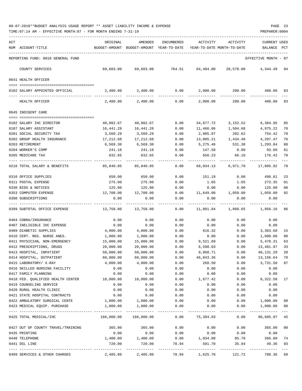| ACT<br>NUM ACCOUNT-TITLE                            | ORIGINAL              | AMENDED<br>BUDGET-AMOUNT BUDGET-AMOUNT YEAR-TO-DATE | ENCUMBERED            | ACTIVITY              | ACTIVITY<br>YEAR-TO-DATE MONTH-TO-DATE | <b>CURRENT USED</b><br>BALANCE | $_{\rm PCT}$   |
|-----------------------------------------------------|-----------------------|-----------------------------------------------------|-----------------------|-----------------------|----------------------------------------|--------------------------------|----------------|
|                                                     |                       |                                                     |                       |                       |                                        |                                |                |
| REPORTING FUND: 0010 GENERAL FUND                   |                       |                                                     |                       |                       |                                        | EFFECTIVE MONTH - 07           |                |
| COUNTY SERVICES                                     | 69,603.00             | 69,603.00                                           | 764.51                | 64,494.00             | 28,578.00                              | 4,344.49                       | 94             |
| 0641 HEALTH OFFICER                                 |                       |                                                     |                       |                       |                                        |                                |                |
| 0102 SALARY APPOINTED OFFICIAL                      | 2,400.00              | 2,400.00                                            | 0.00                  | 2,000.00              | 200.00                                 | 400.00                         | 83             |
| HEALTH OFFICER                                      | 2,400.00              | 2,400.00                                            | 0.00                  | 2,000.00              | 200.00                                 | 400.00                         | 83             |
| 0645 INDIGENT CARE                                  |                       |                                                     |                       |                       |                                        |                                |                |
|                                                     |                       |                                                     |                       |                       |                                        |                                |                |
| 0102 SALARY IHC DIRECTOR                            | 40,982.67             | 40,982.67                                           | 0.00                  | 34,677.72             | 3,152.52                               | 6,304.95                       | 85<br>70       |
| 0107 SALARY ASSISTANT<br>0201 SOCIAL SECURITY TAX   | 16,441.28<br>3,560.29 | 16,441.28<br>3,560.29                               | 0.00<br>0.00          | 11,466.06<br>2,805.87 | 1,504.68<br>282.62                     | 4,975.22<br>754.42             | 79             |
| 0202 GROUP HEALTH INSURANCE                         | 17,212.68             | 17,212.68                                           | 0.00                  | 13,005.21             | 1,434.40                               | 4,207.47                       | 76             |
| 0203 RETIREMENT                                     | 6,569.30              | 6,569.30                                            | 0.00                  | 5,275.46              | 531.38                                 | 1,293.84                       | 80             |
| 0204 WORKER'S COMP                                  | 241.18                | 241.18                                              | 0.00                  | 147.58                | 0.00                                   | 93.60                          | 61             |
| 0205 MEDICARE TAX                                   | 832.65                | 832.65                                              | 0.00                  | 656.23                | 66.10                                  | 176.42                         | 79             |
| 0210 TOTAL SALARY & BENEFITS                        | 85,840.05             | 85,840.05                                           | 0.00                  | 68,034.13             | 6,971.70                               | 17,805.92                      | $- - -$<br>79  |
| 0310 OFFICE SUPPLIES                                | 650.00                | 650.00                                              | 0.00                  | 151.19                | 0.00                                   | 498.81                         | 23             |
| 0311 POSTAL EXPENSE                                 | 275.00                | 275.00                                              | 0.00                  | 1.65                  | 1.65                                   | 273.35                         | 01             |
| 0330 BIDS & NOTICES                                 | 125.00                | 125.00                                              | 0.00                  | 0.00                  | 0.00                                   | 125.00                         | 0 <sub>0</sub> |
| 0353 COMPUTER EXPENSE                               | 12,708.00             | 12,708.00                                           | 0.00                  | 11,649.00             | 1,059.00                               | 1,059.00                       | 92             |
| 0390 SUBSCRIPTIONS                                  | 0.00                  | 0.00                                                | 0.00                  | 0.00                  | 0.00                                   | 0.00                           |                |
| 0399 SUBTOTAL OFFICE EXPENSE                        | 13,758.00             | 13,758.00                                           | 0.00                  | 11,801.84             | 1,060.65                               | 1,956.16                       | 86             |
| 0404 COBRA/INSURANCE                                | 0.00                  | 0.00                                                | 0.00                  | 0.00                  | 0.00                                   | 0.00                           |                |
| 0407 INELIGIBLE IHC EXPENSE                         | 0.00                  | 0.00                                                | 0.00                  | 0.00                  | 0.00                                   | 0.00                           |                |
| 0409 DIABETIC SUPPLIES                              | 4,000.00              | 4,000.00                                            | 0.00                  | 616.32                | 0.00                                   | 3,383.68                       | 15             |
| 0410 CERT. REG. NURSE ANES.                         | 1,000.00              | 1,000.00                                            | 0.00                  | 0.00                  | 0.00                                   | 1,000.00                       | 0 <sub>0</sub> |
| 0411 PHYSICIAN, NON-EMERGENCY                       | 15,000.00             | 15,000.00                                           | 0.00                  | 9,521.69              | 0.00                                   | 5,478.31                       | 63             |
| 0412 PRESCRIPTIONS, DRUGS                           | 20,000.00             | 20,000.00                                           | 0.00                  | 6,598.03              | 0.00                                   | 13,401.97                      | 33             |
| 0413 HOSPITAL, INPATIENT                            | 50,000.00             | 50,000.00                                           | 0.00                  | 9,868.71              | 0.00                                   | 40,131.29                      | 20             |
| 0414 HOSPITAL, OUTPATIENT<br>0415 LABORATORY/ X-RAY | 60,000.00             | 60,000.00                                           | 0.00                  | 46,843.36<br>268.50   | 0.00                                   | 13, 156. 64 78                 |                |
| 0416 SKILLED NURSING FACILITY                       | 4,000.00<br>0.00      | 4,000.00<br>0.00                                    | 0.00<br>0.00          | 0.00                  | 0.00<br>0.00                           | 3,731.50<br>0.00               | 07             |
| 0417 FAMILY PLANNING                                | 0.00                  | 0.00                                                | 0.00                  | 0.00                  | 0.00                                   | 0.00                           |                |
| 0418 FED. QUALIFIED HEALTH CENTER                   | 10,000.00             | 10,000.00                                           | 0.00                  | 1,677.42              | 0.00                                   | 8,322.58                       | 17             |
| 0419 COUNSELING SERVICE                             | 0.00                  | 0.00                                                | 0.00                  | 0.00                  | 0.00                                   | 0.00                           |                |
| 0420 RURAL HEALTH CLINIC                            | 0.00                  | 0.00                                                | 0.00                  | 0.00                  | 0.00                                   | 0.00                           |                |
| 0421 STATE HOSPITAL CONTRACTS                       | 0.00                  | 0.00                                                | 0.00                  | 0.00                  | 0.00                                   | 0.00                           |                |
| 0422 AMBULATORY SURGICAL CENTE                      | 1,000.00              | 1,000.00                                            | 0.00                  | 0.00                  | 0.00                                   | 1,000.00                       | 00             |
| 0423 MEDICAL EQUIP. PURCHASE                        | 1,000.00              | 1,000.00                                            | 0.00                  | 0.00                  | 0.00                                   | 1,000.00                       | 00             |
| 0425 TOTAL MEDICAL/IHC                              |                       |                                                     | 0.00                  | 75,394.03             | 0.00                                   | 90,605.97 45                   |                |
| 0427 OUT OF COUNTY TRAVEL/TRAINING                  | 365.00                | 365.00                                              | 0.00                  | 0.00                  | 0.00                                   | 365.00                         | 00             |
| 0435 PRINTING                                       | 0.00                  | 0.00                                                | 0.00                  | 0.00                  | 0.00                                   | 0.00                           |                |
| 0440 TELEPHONE                                      | 1,400.00              | 1,400.00                                            | 0.00                  | 1,034.00              | 85.78                                  | 366.00                         | 74             |
| 0441 DSL LINE                                       | 720.00                | 720.00                                              | 78.94                 | 591.70                | 35.94                                  | 49.36                          | 93             |
| 0499 SERVICES & OTHER CHARGES                       | 2,485.00              | -------------<br>2,485.00                           | ------------<br>78.94 | 1,625.70              | ----------------------------<br>121.72 | 780.36                         | 69             |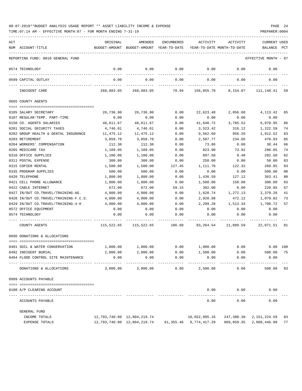| 08-07-2019**BUDGET ANALYSIS USAGE REPORT ** ASSET LIABILITY INCOME & EXPENSE |  |  |  |  |  | PAGE | 24 |
|------------------------------------------------------------------------------|--|--|--|--|--|------|----|
|                                                                              |  |  |  |  |  |      |    |

| ACT | NUM ACCOUNT-TITLE                                           | ORIGINAL             | AMENDED<br>BUDGET-AMOUNT BUDGET-AMOUNT YEAR-TO-DATE YEAR-TO-DATE MONTH-TO-DATE | <b>ENCUMBERED</b>     | ACTIVITY                  | ACTIVITY                 | <b>CURRENT USED</b><br>BALANCE PCT |          |
|-----|-------------------------------------------------------------|----------------------|--------------------------------------------------------------------------------|-----------------------|---------------------------|--------------------------|------------------------------------|----------|
|     | REPORTING FUND: 0010 GENERAL FUND                           |                      |                                                                                |                       |                           |                          | EFFECTIVE MONTH - 07               |          |
|     | 0574 TECHNOLOGY                                             | 0.00                 | 0.00                                                                           | 0.00                  | 0.00                      | 0.00                     | 0.00                               |          |
|     | 0599 CAPITAL OUTLAY                                         | 0.00                 | ---------<br>0.00                                                              | --------<br>0.00      | 0.00                      | 0.00                     | 0.00                               |          |
|     | INDIGENT CARE                                               | 268,083.05           | ------------<br>268,083.05                                                     | ------------<br>78.94 | ----------<br>156,855.70  | ------------<br>8,154.07 | 111,148.41                         | 59       |
|     | 0665 COUNTY AGENTS                                          |                      |                                                                                |                       |                           |                          |                                    |          |
|     |                                                             |                      |                                                                                |                       |                           |                          |                                    |          |
|     | 0105 SALARY SECRETARY                                       | 26,736.90            | 26,736.90                                                                      | 0.00                  | 22,623.48                 | 2,056.68                 | 4,113.42                           | 85       |
|     | 0107 REGULAR-TEMP. PART-TIME                                | 0.00                 | 0.00                                                                           | 0.00                  | 0.00                      | 0.00                     | 0.00                               |          |
|     | 0150 CO. AGENTS SALARIES                                    | 48,611.67            | 48,611.67                                                                      | 0.00                  | 41,640.72                 | 3,785.52                 | 6,970.95                           | 86       |
|     | 0201 SOCIAL SECURITY TAXES                                  | 4,746.01             | 4,746.01                                                                       | 0.00                  | 3,523.42                  | 316.12                   | 1,222.59                           | 74       |
|     | 0202 GROUP HEALTH & DENTAL INSURANCE                        | 11,475.12            | 11,475.12                                                                      | 0.00                  | 9,562.60                  | 956.26                   | 1,912.52                           | 83       |
|     | 0203 RETIREMENT                                             | 3,058.70             | 3,058.70                                                                       | 0.00                  | 2,587.77                  | 234.66                   | 470.93                             | 85       |
|     | 0204 WORKERS' COMPENSATION                                  | 112.30               | 112.30                                                                         | 0.00                  | 73.86                     | 0.00                     | 38.44                              | 66       |
|     | 0205 MEDICARE TAX                                           | 1,109.95             | 1,109.95                                                                       | 0.00                  | 823.90                    | 73.92                    | 286.05                             | 74       |
|     | 0310 OFFICE SUPPLIES                                        | 1,100.00             | 1,100.00                                                                       | 0.00                  | 897.50                    | 9.40                     | 202.50                             | 82       |
|     | 0311 POSTAL EXPENSE                                         | 300.00               | 300.00                                                                         | 0.00                  | 250.00                    | 0.00                     | 50.00                              | 83       |
|     | 0315 COPIER RENTAL                                          | 1,500.00<br>500.00   | 1,500.00<br>500.00                                                             | 127.45                | 1,111.70                  | 122.32                   | 260.85                             | 83       |
|     | 0335 PROGRAM SUPPLIES                                       |                      |                                                                                | 0.00                  | 0.00                      | 0.00                     | 500.00                             | 00       |
|     | 0420 TELEPHONE                                              | 1,800.00             | 1,800.00                                                                       | 0.00                  | 1,436.59                  | 127.12                   | 363.41                             | 80       |
|     | 0421 CELL PHONE ALLOWANCE                                   | 1,800.00             | 1,800.00                                                                       | 0.00                  | 1,500.00                  | 150.00                   | 300.00                             | 83<br>67 |
|     | 0422 CABLE INTERNET                                         | 672.00               | 672.00                                                                         | 59.15                 | 392.00                    | 0.00                     | 220.85                             |          |
|     | 0427 IN/OUT CO.TRAVEL/TRAINING-AG.                          | 4,000.00             | 4,000.00                                                                       | 0.00                  | 1,620.74                  | 1,272.13                 | 2,379.26                           | 41<br>73 |
|     | 0428 IN/OUT CO.TRAVEL/TRAINING-F.C.S.                       | 4,000.00<br>4,000.00 | 4,000.00<br>4,000.00                                                           | 0.00<br>0.00          | 2,920.98<br>2,299.28      | 472.12<br>1,513.34       | 1,079.02<br>1,700.72               | 57       |
|     | 0429 IN/OUT CO.TRAVEL/TRAINING-4-H<br>0572 OFFICE EQUIPMENT | 0.00                 | 0.00                                                                           |                       |                           |                          | 0.00                               |          |
|     |                                                             | 0.00                 |                                                                                | 0.00                  | 0.00                      | 0.00                     |                                    |          |
|     | 0574 TECHNOLOGY                                             |                      | 0.00                                                                           | 0.00                  | 0.00                      | 0.00                     | 0.00                               |          |
|     | COUNTY AGENTS                                               | 115,522.65           | 115,522.65                                                                     | 186.60                | 93,264.54                 | 11,089.59                | 22,071.51 81                       |          |
|     | 0696 DONATIONS & ALLOCATIONS                                |                      |                                                                                |                       |                           |                          |                                    |          |
|     | 0491 SOIL & WATER CONSERVATION                              | 1,000.00             | 1,000.00                                                                       | 0.00                  | 1,000.00                  | 0.00                     | $0.00$ 100                         |          |
|     | 0492 INDIGENT BURIAL                                        | 2,000.00             | 2,000.00                                                                       | 0.00                  | 1,500.00                  | 0.00                     | 500.00                             | 75       |
|     | 0494 FLOOD CONTROL SITE MAINTENANCE                         | 0.00                 | 0.00                                                                           | 0.00                  | 0.00                      | 0.00                     | 0.00                               |          |
|     | DONATIONS & ALLOCATIONS                                     | 3,000.00             | 3,000.00                                                                       | 0.00                  | 2,500.00                  | 0.00                     | 500.00                             | 83       |
|     |                                                             |                      |                                                                                |                       |                           |                          |                                    |          |
|     | 0999 ACCOUNTS PAYABLE                                       |                      |                                                                                |                       |                           |                          |                                    |          |
|     |                                                             |                      |                                                                                |                       |                           |                          |                                    |          |
|     | 0100 A/P CLEARING ACCOUNT                                   |                      |                                                                                |                       | 0.00                      | 0.00                     | 0.00                               |          |
|     | ACCOUNTS PAYABLE                                            |                      |                                                                                |                       | 0.00                      | 0.00                     | 0.00                               |          |
|     | GENERAL FUND                                                |                      |                                                                                |                       |                           |                          |                                    |          |
|     | INCOME TOTALS                                               |                      | 12,793,740.80    12,804,219.74                                                 |                       | 10,652,995.16             |                          | 247,380.30 2,151,224.58            | 83       |
|     | EXPENSE TOTALS                                              |                      | 12, 793, 740.80 12, 804, 219.74                                                |                       | 61, 355.46 9, 774, 417.29 | 969,859.35               | 2,968,446.99                       | 77       |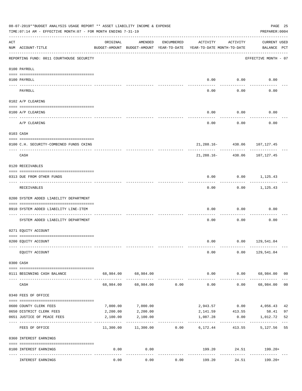|     | 08-07-2019**BUDGET ANALYSIS USAGE REPORT ** ASSET LIABILITY INCOME & EXPENSE<br>TIME: 07:14 AM - EFFECTIVE MONTH: 07 - FOR MONTH ENDING 7-31-19 |           |                                                     |            |                                        |                                      | PAGE 25<br>PREPARER: 0004            |    |
|-----|-------------------------------------------------------------------------------------------------------------------------------------------------|-----------|-----------------------------------------------------|------------|----------------------------------------|--------------------------------------|--------------------------------------|----|
| ACT | NUM ACCOUNT-TITLE                                                                                                                               | ORIGINAL  | AMENDED<br>BUDGET-AMOUNT BUDGET-AMOUNT YEAR-TO-DATE | ENCUMBERED | ACTIVITY<br>YEAR-TO-DATE MONTH-TO-DATE | ACTIVITY                             | <b>CURRENT USED</b><br>BALANCE PCT   |    |
|     | ----------------------------------<br>REPORTING FUND: 0011 COURTHOUSE SECURITY                                                                  |           |                                                     |            |                                        |                                      | EFFECTIVE MONTH - 07                 |    |
|     | 0100 PAYROLL                                                                                                                                    |           |                                                     |            |                                        |                                      |                                      |    |
|     | 0100 PAYROLL                                                                                                                                    |           |                                                     |            | 0.00                                   | 0.00                                 | 0.00                                 |    |
|     | ---- ----<br>PAYROLL                                                                                                                            |           |                                                     |            | 0.00                                   | -------<br>0.00                      | 0.00                                 |    |
|     | 0102 A/P CLEARING                                                                                                                               |           |                                                     |            |                                        |                                      |                                      |    |
|     | 0100 A/P CLEARING                                                                                                                               |           |                                                     |            | 0.00                                   | 0.00                                 | 0.00                                 |    |
|     | A/P CLEARING                                                                                                                                    |           |                                                     |            | 0.00                                   | 0.00                                 | 0.00                                 |    |
|     | 0103 CASH                                                                                                                                       |           |                                                     |            |                                        |                                      |                                      |    |
|     | 0100 C.H. SECURITY-COMBINED FUNDS CKING                                                                                                         |           |                                                     |            |                                        |                                      | 21, 288.16 - 438.06 107, 127.45      |    |
|     | CASH                                                                                                                                            |           |                                                     |            |                                        | ------------<br>$21,288.16 - 438.06$ | . <u>.</u><br>107,127.45             |    |
|     | 0120 RECEIVABLES                                                                                                                                |           |                                                     |            |                                        |                                      |                                      |    |
|     | 0313 DUE FROM OTHER FUNDS                                                                                                                       |           |                                                     |            | 0.00                                   |                                      | $0.00$ 1,125.43                      |    |
|     | RECEIVABLES                                                                                                                                     |           |                                                     |            | 0.00                                   | ---------                            | .<br>$0.00$ 1,125.43                 |    |
|     | 0200 SYSTEM ADDED LIABILITY DEPARTMENT                                                                                                          |           |                                                     |            |                                        |                                      |                                      |    |
|     | 0910 SYSTEM ADDED LIABILITY LINE-ITEM                                                                                                           |           |                                                     |            | 0.00                                   | 0.00                                 | 0.00                                 |    |
|     | SYSTEM ADDED LIABILITY DEPARTMENT                                                                                                               |           |                                                     |            | 0.00                                   | 0.00                                 | 0.00                                 |    |
|     | 0271 EQUITY ACCOUNT                                                                                                                             |           |                                                     |            |                                        |                                      |                                      |    |
|     | 0200 EQUITY ACCOUNT                                                                                                                             |           |                                                     |            |                                        |                                      | $0.00$ $0.00$ $129,541.04$           |    |
|     | EQUITY ACCOUNT                                                                                                                                  |           |                                                     |            | 0.00                                   |                                      | $0.00$ 129,541.04                    |    |
|     | 0300 CASH                                                                                                                                       |           |                                                     |            |                                        |                                      |                                      |    |
|     | 0111 BEGINNING CASH BALANCE                                                                                                                     |           | 68,984.00 68,984.00                                 |            |                                        |                                      | $0.00$ $0.00$ $68,984.00$ 00         |    |
|     | CASH                                                                                                                                            | 68,984.00 | 68,984.00                                           | 0.00       | --------------<br>0.00                 | -----------                          | -------------<br>$0.00$ 68,984.00 00 |    |
|     | 0340 FEES OF OFFICE                                                                                                                             |           |                                                     |            |                                        |                                      |                                      |    |
|     | 0600 COUNTY CLERK FEES                                                                                                                          | 7,000.00  | 7,000.00                                            |            |                                        | 2,943.57 0.00                        | 4,056.43                             | 42 |
|     | 0650 DISTRICT CLERK FEES                                                                                                                        | 2,200.00  | 2,200.00                                            |            |                                        | 2, 141.59 413.55                     | 58.41                                | 97 |
|     | 0651 JUSTICE OF PEACE FEES                                                                                                                      | 2,100.00  | 2,100.00<br>-------------                           |            | 1,087.28<br>_____________              | 0.00                                 | 1,012.72                             | 52 |
|     | FEES OF OFFICE                                                                                                                                  |           | $11,300.00$ $11,300.00$ 0.00                        |            | 6,172.44                               | 413.55                               | 5,127.56                             | 55 |
|     | 0360 INTEREST EARNINGS                                                                                                                          |           |                                                     |            |                                        |                                      |                                      |    |
|     | 0100 INTEREST EARNINGS                                                                                                                          | 0.00      | 0.00<br>$- - - - -$                                 |            |                                        | ------------                         | 199.20 24.51 199.20+                 |    |
|     | INTEREST EARNINGS                                                                                                                               | 0.00      | 0.00                                                | 0.00       | 199.20                                 | 24.51                                | 199.20+                              |    |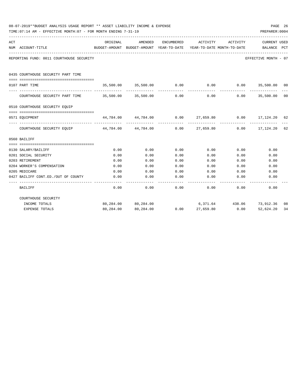|     | 08-07-2019**BUDGET ANALYSIS USAGE REPORT ** ASSET LIABILITY INCOME & EXPENSE<br>TIME: 07:14 AM - EFFECTIVE MONTH: 07 - FOR MONTH ENDING 7-31-19 |                                                                     |                                                                  |            |           |                              | PREPARER: 0004               | PAGE 26 |
|-----|-------------------------------------------------------------------------------------------------------------------------------------------------|---------------------------------------------------------------------|------------------------------------------------------------------|------------|-----------|------------------------------|------------------------------|---------|
| ACT |                                                                                                                                                 | ORIGINAL                                                            | AMENDED                                                          | ENCUMBERED | ACTIVITY  | ACTIVITY                     | <b>CURRENT USED</b>          |         |
|     | NUM ACCOUNT-TITLE                                                                                                                               | BUDGET-AMOUNT BUDGET-AMOUNT YEAR-TO-DATE YEAR-TO-DATE MONTH-TO-DATE |                                                                  |            |           |                              | BALANCE PCT                  |         |
|     | REPORTING FUND: 0011 COURTHOUSE SECURITY                                                                                                        |                                                                     |                                                                  |            |           |                              | EFFECTIVE MONTH - 07         |         |
|     | 0435 COURTHOUSE SECURITY PART TIME                                                                                                              |                                                                     |                                                                  |            |           |                              |                              |         |
|     | 0107 PART TIME                                                                                                                                  |                                                                     | $35,500.00$ $35,500.00$ $0.00$ 0.00 0.00 35,500.00 00            |            |           |                              |                              |         |
|     | COURTHOUSE SECURITY PART TIME $35,500.00$ $35,500.00$ 0.00 0.00 0.00 0.00 35,500.00 00                                                          |                                                                     |                                                                  |            |           |                              | _____________                |         |
|     | 0510 COURTHOUSE SECURITY EQUIP                                                                                                                  |                                                                     |                                                                  |            |           |                              |                              |         |
|     | 0571 EQUIPMENT                                                                                                                                  |                                                                     | $44,784.00$ $44,784.00$ $0.00$ $27,659.80$ $0.00$ $17,124.20$ 62 |            |           |                              |                              |         |
|     | COURTHOUSE SECURITY EQUIP 44,784.00 44,784.00 0.00 27,659.80 0.00 17,124.20 62                                                                  |                                                                     |                                                                  |            |           | -------------- ------------- | _____________                |         |
|     | 0560 BAILIFF                                                                                                                                    |                                                                     |                                                                  |            |           |                              |                              |         |
|     |                                                                                                                                                 |                                                                     |                                                                  |            |           |                              |                              |         |
|     | 0130 SALARY/BAILIFF                                                                                                                             | 0.00                                                                | 0.00                                                             | 0.00       | 0.00      |                              | 0.00<br>0.00                 |         |
|     | 0201 SOCIAL SECURITY                                                                                                                            | 0.00                                                                | 0.00                                                             | 0.00       | 0.00      | 0.00                         | 0.00                         |         |
|     | 0203 RETIREMENT                                                                                                                                 | 0.00                                                                | 0.00                                                             | 0.00       | 0.00      | 0.00                         | 0.00                         |         |
|     | 0204 WORKER'S COMPENSATION                                                                                                                      | 0.00                                                                | 0.00                                                             | 0.00       | 0.00      | 0.00                         | 0.00                         |         |
|     | 0205 MEDICARE                                                                                                                                   | 0.00                                                                | 0.00                                                             | 0.00       |           | $0.00$ 0.00                  | 0.00                         |         |
|     | 0427 BAILIFF CONT.ED./OUT OF COUNTY                                                                                                             | 0.00                                                                | 0.00                                                             | 0.00       | 0.00      | 0.00                         | 0.00                         |         |
|     | BAILIFF                                                                                                                                         | 0.00                                                                | 0.00                                                             | 0.00       | 0.00      | 0.00                         | 0.00                         |         |
|     | COURTHOUSE SECURITY                                                                                                                             |                                                                     |                                                                  |            |           |                              |                              |         |
|     | INCOME TOTALS                                                                                                                                   |                                                                     | 80,284.00 80,284.00                                              |            |           |                              | 6,371.64 438.06 73,912.36 08 |         |
|     | <b>EXPENSE TOTALS</b>                                                                                                                           | 80,284.00                                                           | 80,284.00                                                        | 0.00       | 27,659.80 | 0.00                         | 52,624.20                    | 34      |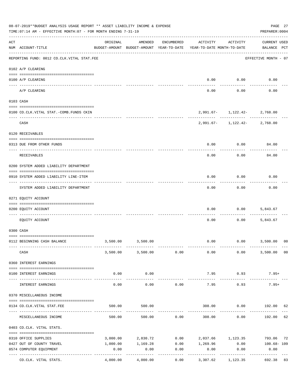|     | 08-07-2019**BUDGET ANALYSIS USAGE REPORT ** ASSET LIABILITY INCOME & EXPENSE<br>TIME: 07:14 AM - EFFECTIVE MONTH: 07 - FOR MONTH ENDING 7-31-19 |                                                      |                        |                   |                                        |                                                    | PAGE 27<br>PREPARER: 0004          |                |
|-----|-------------------------------------------------------------------------------------------------------------------------------------------------|------------------------------------------------------|------------------------|-------------------|----------------------------------------|----------------------------------------------------|------------------------------------|----------------|
| ACT | NUM ACCOUNT-TITLE                                                                                                                               | ORIGINAL<br>BUDGET-AMOUNT BUDGET-AMOUNT YEAR-TO-DATE | AMENDED                | ENCUMBERED        | ACTIVITY<br>YEAR-TO-DATE MONTH-TO-DATE | ACTIVITY                                           | <b>CURRENT USED</b><br>BALANCE PCT |                |
|     | REPORTING FUND: 0012 CO.CLK.VITAL STAT.FEE                                                                                                      |                                                      |                        |                   |                                        |                                                    | EFFECTIVE MONTH - 07               |                |
|     | 0102 A/P CLEARING                                                                                                                               |                                                      |                        |                   |                                        |                                                    |                                    |                |
|     | 0100 A/P CLEARING                                                                                                                               |                                                      |                        |                   | 0.00                                   | 0.00                                               | 0.00                               |                |
|     | ---- ----------<br>A/P CLEARING                                                                                                                 |                                                      |                        |                   | 0.00                                   | 0.00                                               | 0.00                               |                |
|     | 0103 CASH                                                                                                                                       |                                                      |                        |                   |                                        |                                                    |                                    |                |
|     | 0100 CO.CLK.VITAL STAT.-COMB.FUNDS CKIN                                                                                                         |                                                      |                        |                   |                                        | 2,991.67- 1,122.42- 2,768.00                       |                                    |                |
|     | CASH                                                                                                                                            |                                                      |                        |                   |                                        | $2,991.67 - 1,122.42 - 2,768.00$                   |                                    |                |
|     | 0120 RECEIVABLES                                                                                                                                |                                                      |                        |                   |                                        |                                                    |                                    |                |
|     | 0313 DUE FROM OTHER FUNDS                                                                                                                       |                                                      |                        |                   | 0.00                                   | 0.00                                               | 84.00                              |                |
|     | RECEIVABLES                                                                                                                                     |                                                      |                        |                   | 0.00                                   | 0.00                                               | 84.00                              |                |
|     | 0200 SYSTEM ADDED LIABILITY DEPARTMENT                                                                                                          |                                                      |                        |                   |                                        |                                                    |                                    |                |
|     | 0910 SYSTEM ADDED LIABILITY LINE-ITEM                                                                                                           |                                                      |                        |                   | 0.00                                   | 0.00                                               | 0.00                               |                |
|     | SYSTEM ADDED LIABILITY DEPARTMENT                                                                                                               |                                                      |                        |                   | 0.00                                   | 0.00                                               | 0.00                               |                |
|     | 0271 EQUITY ACCOUNT                                                                                                                             |                                                      |                        |                   |                                        |                                                    |                                    |                |
|     | 0200 EQUITY ACCOUNT                                                                                                                             |                                                      |                        |                   | 0.00                                   | 0.00                                               | 5,843.67                           |                |
|     | EQUITY ACCOUNT                                                                                                                                  |                                                      |                        |                   | 0.00                                   | 0.00                                               | 5,843.67                           |                |
|     | 0300 CASH                                                                                                                                       |                                                      |                        |                   |                                        |                                                    |                                    |                |
|     | 0112 BEGINNING CASH BALANCE                                                                                                                     |                                                      | 3,500.00 3,500.00      |                   | 0.00                                   | $0.00$ 3,500.00                                    |                                    | 0 <sup>0</sup> |
|     | CASH                                                                                                                                            |                                                      | 3,500.00 3,500.00 0.00 |                   | 0.00                                   | 0.00                                               | 3,500.00                           | 0 <sub>0</sub> |
|     | 0360 INTEREST EARNINGS                                                                                                                          |                                                      |                        |                   |                                        |                                                    |                                    |                |
|     | 0100 INTEREST EARNINGS                                                                                                                          | 0.00                                                 | 0.00                   |                   | 7.95                                   | 0.93                                               | $7.95+$                            |                |
|     | INTEREST EARNINGS                                                                                                                               | 0.00                                                 | .<br>0.00              | 0.00              | -------------<br>7.95                  | ------------<br>0.93                               | $7.95+$                            |                |
|     | 0370 MISCELLANEOUS INCOME                                                                                                                       |                                                      |                        |                   |                                        |                                                    |                                    |                |
|     | 0134 CO. CLK. VITAL STAT. FEE                                                                                                                   | 500.00                                               | 500.00                 |                   | 308.00                                 |                                                    | $0.00$ 192.00                      | 62             |
|     | MISCELLANEOUS INCOME                                                                                                                            | 500.00                                               | 500.00                 | 0.00              | 308.00                                 | 0.00                                               | 192.00                             | 62             |
|     | 0403 CO.CLK. VITAL STATS.                                                                                                                       |                                                      |                        |                   |                                        |                                                    |                                    |                |
|     | 0310 OFFICE SUPPLIES                                                                                                                            |                                                      |                        |                   |                                        | 3,000.00 2,830.72 0.00 2,037.66 1,123.35 793.06 72 |                                    |                |
|     | 0427 OUT OF COUNTY TRAVEL                                                                                                                       | 1,000.00                                             |                        |                   |                                        | $1,169.28$ $0.00$ $1,269.96$ $0.00$ $100.68$ $109$ |                                    |                |
|     | 0574 COMPUTER EQUIPMENT                                                                                                                         | 0.00                                                 | 0.00<br>----------     | 0.00<br>--------- | 0.00<br>----------                     | 0.00<br>.                                          | 0.00<br>----------                 |                |
|     | CO.CLK. VITAL STATS.                                                                                                                            | 4,000.00                                             | 4,000.00               | 0.00              |                                        | 3,307.62 1,123.35                                  | 692.38 83                          |                |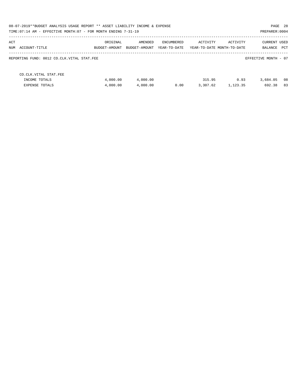| 08-07-2019**BUDGET ANALYSIS USAGE REPORT ** ASSET LIABILITY INCOME & EXPENSE<br>TIME: 07:14 AM - EFFECTIVE MONTH: 07 - FOR MONTH ENDING 7-31-19 |                           |                          |                            |                    |                                        | PREPARER: 0004                 | PAGE 28    |
|-------------------------------------------------------------------------------------------------------------------------------------------------|---------------------------|--------------------------|----------------------------|--------------------|----------------------------------------|--------------------------------|------------|
| ACT<br>NUM<br>ACCOUNT-TITLE                                                                                                                     | ORIGINAL<br>BUDGET-AMOUNT | AMENDED<br>BUDGET-AMOUNT | ENCUMBERED<br>YEAR-TO-DATE | ACTIVITY           | ACTIVITY<br>YEAR-TO-DATE MONTH-TO-DATE | <b>CURRENT USED</b><br>BALANCE | <b>PCT</b> |
| REPORTING FUND: 0012 CO.CLK.VITAL STAT.FEE                                                                                                      |                           |                          |                            |                    |                                        | EFFECTIVE MONTH - 07           |            |
| CO. CLK. VITAL STAT. FEE<br>INCOME TOTALS<br><b>EXPENSE TOTALS</b>                                                                              | 4,000.00<br>4,000.00      | 4,000.00<br>4,000.00     | 0.00                       | 315.95<br>3,307.62 | 0.93<br>1,123.35                       | 3,684.05<br>692.38             | 08<br>83   |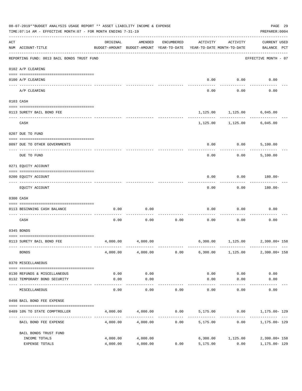|     | 08-07-2019**BUDGET ANALYSIS USAGE REPORT ** ASSET LIABILITY INCOME & EXPENSE<br>TIME: 07:14 AM - EFFECTIVE MONTH: 07 - FOR MONTH ENDING 7-31-19 |                      |                                                     |            |                     |                                        | PAGE 29<br>PREPARER: 0004                 |
|-----|-------------------------------------------------------------------------------------------------------------------------------------------------|----------------------|-----------------------------------------------------|------------|---------------------|----------------------------------------|-------------------------------------------|
| ACT | NUM ACCOUNT-TITLE                                                                                                                               | ORIGINAL             | AMENDED<br>BUDGET-AMOUNT BUDGET-AMOUNT YEAR-TO-DATE | ENCUMBERED | ACTIVITY            | ACTIVITY<br>YEAR-TO-DATE MONTH-TO-DATE | <b>CURRENT USED</b><br>BALANCE PCT        |
|     | REPORTING FUND: 0013 BAIL BONDS TRUST FUND                                                                                                      |                      |                                                     |            |                     |                                        | EFFECTIVE MONTH - 07                      |
|     | 0102 A/P CLEARING                                                                                                                               |                      |                                                     |            |                     |                                        |                                           |
|     | 0100 A/P CLEARING<br>---- ---------                                                                                                             |                      |                                                     |            | 0.00                | 0.00                                   | 0.00                                      |
|     | A/P CLEARING                                                                                                                                    |                      |                                                     |            | 0.00                | 0.00                                   | 0.00                                      |
|     | 0103 CASH                                                                                                                                       |                      |                                                     |            |                     |                                        |                                           |
|     | 0113 SURETY BAIL BOND FEE                                                                                                                       |                      |                                                     |            |                     |                                        | 1,125.00 1,125.00 6,045.00                |
|     |                                                                                                                                                 |                      |                                                     |            |                     | ----------                             |                                           |
|     | CASH                                                                                                                                            |                      |                                                     |            |                     |                                        | 1,125.00 1,125.00 6,045.00                |
|     | 0207 DUE TO FUND                                                                                                                                |                      |                                                     |            |                     |                                        |                                           |
|     | 0097 DUE TO OTHER GOVERNMENTS                                                                                                                   |                      |                                                     |            | 0.00                | 0.00                                   | 5,100.00                                  |
|     | DUE TO FUND                                                                                                                                     |                      |                                                     |            | 0.00                | 0.00                                   | 5,100.00                                  |
|     | 0271 EQUITY ACCOUNT                                                                                                                             |                      |                                                     |            |                     |                                        |                                           |
|     | 0200 EQUITY ACCOUNT                                                                                                                             |                      |                                                     |            | 0.00                | 0.00                                   | 180.00-                                   |
|     | EQUITY ACCOUNT                                                                                                                                  |                      |                                                     |            | 0.00                | 0.00                                   | 180.00-                                   |
|     | 0300 CASH                                                                                                                                       |                      |                                                     |            |                     |                                        |                                           |
|     | 0113 BEGINNING CASH BALANCE                                                                                                                     | 0.00                 | 0.00                                                |            | 0.00                | 0.00                                   | 0.00                                      |
|     | CASH                                                                                                                                            | 0.00                 | 0.00                                                | 0.00       | 0.00                | 0.00                                   | 0.00                                      |
|     | 0345 BONDS                                                                                                                                      |                      |                                                     |            |                     |                                        |                                           |
|     | 0113 SURETY BAIL BOND FEE                                                                                                                       | 4,000.00             | 4,000.00                                            |            |                     |                                        | 6,300.00 1,125.00 2,300.00+ 158           |
|     | <b>BONDS</b>                                                                                                                                    |                      | 4,000.00 4,000.00                                   |            |                     |                                        | $0.00$ 6,300.00 1,125.00 2,300.00+158     |
|     | 0370 MISCELLANEOUS                                                                                                                              |                      |                                                     |            |                     |                                        |                                           |
|     | 0130 REFUNDS & MISCELLANEOUS                                                                                                                    | 0.00                 | 0.00                                                |            | 0.00                | 0.00                                   | 0.00                                      |
|     | 0132 TEMPORARY BOND SECURITY                                                                                                                    | 0.00                 | 0.00                                                |            | 0.00                | 0.00                                   | 0.00                                      |
|     | MISCELLANEOUS                                                                                                                                   | 0.00                 | ----------<br>0.00                                  | 0.00       | -----------<br>0.00 | ---------<br>0.00                      | 0.00                                      |
|     | 0498 BAIL BOND FEE EXPENSE                                                                                                                      |                      |                                                     |            |                     |                                        |                                           |
|     | 0489 10% TO STATE COMPTROLLER                                                                                                                   |                      | 4,000.00 4,000.00                                   |            |                     |                                        | $0.00$ $5,175.00$ $0.00$ $1,175.00$ $129$ |
|     | BAIL BOND FEE EXPENSE                                                                                                                           | 4,000.00             | 4,000.00                                            | 0.00       |                     | 5,175.00 0.00                          | 1,175.00- 129                             |
|     | BAIL BONDS TRUST FUND                                                                                                                           |                      |                                                     |            |                     |                                        |                                           |
|     | INCOME TOTALS<br>EXPENSE TOTALS                                                                                                                 | 4,000.00<br>4,000.00 | 4,000.00<br>4,000.00                                | 0.00       | 5,175.00            | 6,300.00 1,125.00<br>0.00              | 2,300.00+ 158<br>1,175.00- 129            |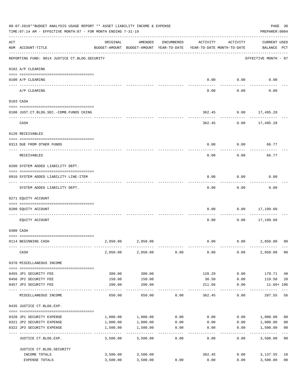|     | 08-07-2019**BUDGET ANALYSIS USAGE REPORT ** ASSET LIABILITY INCOME & EXPENSE<br>TIME: 07:14 AM - EFFECTIVE MONTH: 07 - FOR MONTH ENDING 7-31-19 |                           |                                                                                |                |                 |              | PAGE 30<br>PREPARER: 0004          |                         |
|-----|-------------------------------------------------------------------------------------------------------------------------------------------------|---------------------------|--------------------------------------------------------------------------------|----------------|-----------------|--------------|------------------------------------|-------------------------|
| ACT | NUM ACCOUNT-TITLE                                                                                                                               | ORIGINAL                  | AMENDED<br>BUDGET-AMOUNT BUDGET-AMOUNT YEAR-TO-DATE YEAR-TO-DATE MONTH-TO-DATE | ENCUMBERED     | ACTIVITY        | ACTIVITY     | <b>CURRENT USED</b><br>BALANCE PCT |                         |
|     | REPORTING FUND: 0014 JUSTICE CT. BLDG. SECURITY                                                                                                 |                           |                                                                                |                |                 |              | EFFECTIVE MONTH - 07               |                         |
|     | 0102 A/P CLEARING                                                                                                                               |                           |                                                                                |                |                 |              |                                    |                         |
|     | 0100 A/P CLEARING                                                                                                                               |                           |                                                                                |                | 0.00            | 0.00         | 0.00                               |                         |
|     | A/P CLEARING                                                                                                                                    |                           |                                                                                |                | 0.00            | 0.00         | 0.00                               |                         |
|     | 0103 CASH                                                                                                                                       |                           |                                                                                |                |                 |              |                                    |                         |
|     | 0100 JUST.CT.BLDG.SEC.-COMB.FUNDS CKING                                                                                                         |                           |                                                                                |                | 362.45          |              | $0.00$ 17,495.28                   |                         |
|     | ---------------------------------                                                                                                               |                           |                                                                                |                |                 |              |                                    |                         |
|     | CASH                                                                                                                                            |                           |                                                                                |                | 362.45          | 0.00         | 17,495.28                          |                         |
|     | 0120 RECEIVABLES                                                                                                                                |                           |                                                                                |                |                 |              |                                    |                         |
|     | 0313 DUE FROM OTHER FUNDS                                                                                                                       |                           |                                                                                |                | 0.00            | 0.00         | 66.77                              |                         |
|     |                                                                                                                                                 |                           |                                                                                |                |                 |              |                                    |                         |
|     | RECEIVABLES                                                                                                                                     |                           |                                                                                |                | 0.00            | 0.00         | 66.77                              |                         |
|     | 0200 SYSTEM ADDED LIABILITY DEPT.                                                                                                               |                           |                                                                                |                |                 |              |                                    |                         |
|     | 0910 SYSTEM ADDED LIABILITY LINE-ITEM                                                                                                           |                           |                                                                                |                | 0.00            | 0.00         | 0.00                               |                         |
|     | SYSTEM ADDED LIABILITY DEPT.                                                                                                                    |                           |                                                                                |                | 0.00            | 0.00         | 0.00                               |                         |
|     | 0271 EQUITY ACCOUNT                                                                                                                             |                           |                                                                                |                |                 |              |                                    |                         |
|     | 0200 EQUITY ACCOUNT                                                                                                                             |                           |                                                                                |                | 0.00            | 0.00         | 17,199.60                          |                         |
|     | ----- ----------<br>EOUITY ACCOUNT                                                                                                              |                           |                                                                                |                | 0.00            | 0.00         | ---------<br>17,199.60             |                         |
|     | 0300 CASH                                                                                                                                       |                           |                                                                                |                |                 |              |                                    |                         |
|     |                                                                                                                                                 |                           |                                                                                |                |                 |              |                                    |                         |
|     | 0114 BEGINNING CASH                                                                                                                             | 2,850.00                  | 2,850.00                                                                       |                | 0.00            | 0.00         | 2,850.00                           | 00                      |
|     | CASH                                                                                                                                            | 2,850.00                  | 2,850.00                                                                       | 0.00           | 0.00            | 0.00         | 2,850.00                           | 0 <sub>0</sub>          |
|     | 0370 MISCELLANEOUS INCOME                                                                                                                       |                           |                                                                                |                |                 |              |                                    |                         |
|     |                                                                                                                                                 |                           |                                                                                |                |                 |              |                                    |                         |
|     | 0455 JP1 SECURITY FEE<br>0456 JP2 SECURITY FEE                                                                                                  | 300.00<br>150.00          | 300.00<br>150.00                                                               |                | 120.29<br>30.50 | 0.00<br>0.00 | 179.71<br>119.50                   | 40<br>20                |
|     | 0457 JP3 SECURITY FEE                                                                                                                           | 200.00                    | 200.00                                                                         |                | 211.66          | 0.00         | 11.66+ 106                         |                         |
|     | MISCELLANEOUS INCOME                                                                                                                            | 650.00                    | 650.00                                                                         | 0.00           | 362.45          | 0.00         | 287.55                             | 56                      |
|     | 0435 JUSTICE CT.BLDG.EXP.                                                                                                                       |                           |                                                                                |                |                 |              |                                    |                         |
|     | 0320 JP1 SECURITY EXPENSE                                                                                                                       | 1,000.00                  | 1,000.00                                                                       | 0.00           | 0.00            |              | 0.00 1,000.00                      | 0 <sub>0</sub>          |
|     | 0321 JP2 SECURITY EXPENSE                                                                                                                       | 1,000.00                  | 1,000.00                                                                       | 0.00           | 0.00            | 0.00         | 1,000.00                           | 0 <sub>0</sub>          |
|     | 0322 JP3 SECURITY EXPENSE                                                                                                                       | 1,500.00<br>------------- | 1,500.00<br>----------                                                         | 0.00           | 0.00            | 0.00         | 1,500.00<br>-----------            | 0 <sub>0</sub><br>$---$ |
|     | JUSTICE CT.BLDG.EXP.                                                                                                                            | 3,500.00                  | 3,500.00                                                                       | ------<br>0.00 | 0.00            | 0.00         | 3,500.00                           | 0 <sub>0</sub>          |
|     | JUSTICE CT.BLDG.SECURITY                                                                                                                        |                           |                                                                                |                |                 |              |                                    |                         |
|     | INCOME TOTALS                                                                                                                                   | 3,500.00                  | 3,500.00                                                                       |                | 362.45          | 0.00         | 3,137.55                           | 10                      |
|     | EXPENSE TOTALS                                                                                                                                  | 3,500.00                  | 3,500.00                                                                       | 0.00           | 0.00            | 0.00         | 3,500.00                           | 0 <sub>0</sub>          |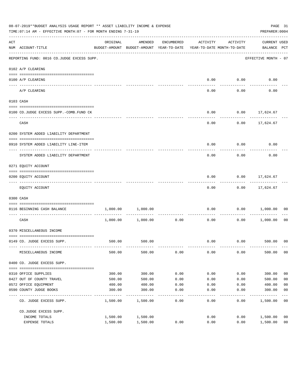|     | 08-07-2019**BUDGET ANALYSIS USAGE REPORT ** ASSET LIABILITY INCOME & EXPENSE<br>TIME: 07:14 AM - EFFECTIVE MONTH: 07 - FOR MONTH ENDING 7-31-19 |          |                                                     |            |                                        |                    | PREPARER: 0004                  | PAGE 31        |
|-----|-------------------------------------------------------------------------------------------------------------------------------------------------|----------|-----------------------------------------------------|------------|----------------------------------------|--------------------|---------------------------------|----------------|
| ACT | NUM ACCOUNT-TITLE                                                                                                                               | ORIGINAL | AMENDED<br>BUDGET-AMOUNT BUDGET-AMOUNT YEAR-TO-DATE | ENCUMBERED | ACTIVITY<br>YEAR-TO-DATE MONTH-TO-DATE | ACTIVITY           | CURRENT USED<br>BALANCE PCT     |                |
|     | ----------------------------------<br>REPORTING FUND: 0016 CO.JUDGE EXCESS SUPP.                                                                |          |                                                     |            |                                        |                    | EFFECTIVE MONTH - 07            |                |
|     | 0102 A/P CLEARING                                                                                                                               |          |                                                     |            |                                        |                    |                                 |                |
|     | 0100 A/P CLEARING                                                                                                                               |          |                                                     |            | 0.00                                   | 0.00               | 0.00                            |                |
|     | ---- -------<br>A/P CLEARING                                                                                                                    |          |                                                     |            | 0.00                                   | 0.00               | 0.00                            |                |
|     | 0103 CASH                                                                                                                                       |          |                                                     |            |                                        |                    |                                 |                |
|     | 0100 CO.JUDGE EXCESS SUPP.-COMB.FUND CK                                                                                                         |          |                                                     |            | 0.00                                   |                    | $0.00$ 17,624.67                |                |
|     | CASH                                                                                                                                            |          |                                                     |            | 0.00                                   |                    | -----------<br>$0.00$ 17,624.67 |                |
|     | 0200 SYSTEM ADDED LIABILITY DEPARTMENT                                                                                                          |          |                                                     |            |                                        |                    |                                 |                |
|     | 0910 SYSTEM ADDED LIABILITY LINE-ITEM                                                                                                           |          |                                                     |            | 0.00                                   | 0.00               | 0.00                            |                |
|     | SYSTEM ADDED LIABILITY DEPARTMENT                                                                                                               |          |                                                     |            | 0.00                                   | 0.00               | 0.00                            |                |
|     | 0271 EQUITY ACCOUNT                                                                                                                             |          |                                                     |            |                                        |                    |                                 |                |
|     | 0200 EQUITY ACCOUNT                                                                                                                             |          |                                                     |            | 0.00                                   |                    | $0.00$ 17,624.67                |                |
|     | EQUITY ACCOUNT                                                                                                                                  |          |                                                     |            | 0.00                                   |                    | $0.00$ 17,624.67                |                |
|     | 0300 CASH                                                                                                                                       |          |                                                     |            |                                        |                    |                                 |                |
|     | 0116 BEGINNING CASH BALANCE                                                                                                                     | 1,000.00 | 1,000.00                                            |            | 0.00                                   | 0.00               | 1,000.00                        | 00             |
|     | CASH                                                                                                                                            | 1,000.00 | 1,000.00                                            | 0.00       | ------------- -------------<br>0.00    | ----------<br>0.00 | 1,000.00                        | 00             |
|     | 0370 MISCELLANEOUS INCOME                                                                                                                       |          |                                                     |            |                                        |                    |                                 |                |
|     | 0149 CO. JUDGE EXCESS SUPP.                                                                                                                     |          | 500.00 500.00                                       |            | 0.00                                   |                    | $0.00$ 500.00 00                |                |
|     | MISCELLANEOUS INCOME                                                                                                                            | 500.00   | 500.00                                              | 0.00       | 0.00                                   | 0.00               | 500.00                          | 0 <sub>0</sub> |
|     | 0400 CO. JUDGE EXCESS SUPP.                                                                                                                     |          |                                                     |            |                                        |                    |                                 |                |
|     | 0310 OFFICE SUPPLIES                                                                                                                            | 300.00   | 300.00                                              | 0.00       | 0.00                                   | 0.00               | 300.00                          | 0 <sub>0</sub> |
|     | 0427 OUT OF COUNTY TRAVEL                                                                                                                       | 500.00   | 500.00                                              | 0.00       | 0.00                                   | 0.00               | 500.00                          | 0 <sub>0</sub> |
|     | 0572 OFFICE EQUIPMENT                                                                                                                           | 400.00   | 400.00                                              | 0.00       | 0.00                                   | 0.00               | 400.00                          | 0 <sub>0</sub> |
|     | 0590 COUNTY JUDGE BOOKS                                                                                                                         | 300.00   | 300.00                                              | 0.00       | 0.00                                   | 0.00               | 300.00                          | 0 <sub>0</sub> |
|     | CO. JUDGE EXCESS SUPP.                                                                                                                          | 1,500.00 | 1,500.00                                            | 0.00       | 0.00                                   | 0.00               | 1,500.00                        | 0 <sub>0</sub> |
|     | CO.JUDGE EXCESS SUPP.                                                                                                                           |          |                                                     |            |                                        |                    |                                 |                |
|     | INCOME TOTALS                                                                                                                                   | 1,500.00 | 1,500.00                                            |            | 0.00                                   | 0.00               | 1,500.00                        | 0 <sub>0</sub> |
|     | EXPENSE TOTALS                                                                                                                                  | 1,500.00 | 1,500.00                                            | 0.00       | 0.00                                   | 0.00               | 1,500.00                        | 0 <sub>0</sub> |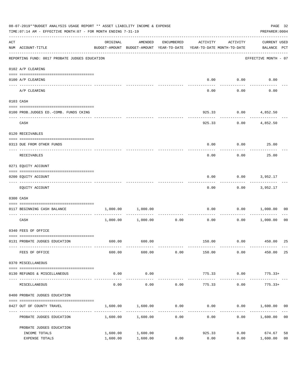|     | 08-07-2019**BUDGET ANALYSIS USAGE REPORT ** ASSET LIABILITY INCOME & EXPENSE<br>TIME: 07:14 AM - EFFECTIVE MONTH: 07 - FOR MONTH ENDING 7-31-19 |          |                                                                                |            |                          |                    | PREPARER: 0004                     | PAGE 32        |
|-----|-------------------------------------------------------------------------------------------------------------------------------------------------|----------|--------------------------------------------------------------------------------|------------|--------------------------|--------------------|------------------------------------|----------------|
| ACT | NUM ACCOUNT-TITLE                                                                                                                               | ORIGINAL | AMENDED<br>BUDGET-AMOUNT BUDGET-AMOUNT YEAR-TO-DATE YEAR-TO-DATE MONTH-TO-DATE | ENCUMBERED | ACTIVITY                 | ACTIVITY           | <b>CURRENT USED</b><br>BALANCE PCT |                |
|     | --------------------------------------<br>REPORTING FUND: 0017 PROBATE JUDGES EDUCATION                                                         |          |                                                                                |            |                          |                    | EFFECTIVE MONTH - 07               |                |
|     | 0102 A/P CLEARING                                                                                                                               |          |                                                                                |            |                          |                    |                                    |                |
|     | 0100 A/P CLEARING<br>_____ _____________                                                                                                        |          |                                                                                |            | 0.00                     | 0.00               | 0.00                               |                |
|     | A/P CLEARING                                                                                                                                    |          |                                                                                |            | 0.00                     | 0.00               | 0.00                               |                |
|     | 0103 CASH                                                                                                                                       |          |                                                                                |            |                          |                    |                                    |                |
|     | 0100 PROB.JUDGES ED.-COMB. FUNDS CKING                                                                                                          |          |                                                                                |            | 925.33                   |                    | $0.00$ 4,852.50                    |                |
|     | CASH                                                                                                                                            |          |                                                                                |            | 925.33                   |                    | 0.00<br>4,852.50                   |                |
|     | 0120 RECEIVABLES                                                                                                                                |          |                                                                                |            |                          |                    |                                    |                |
|     | 0313 DUE FROM OTHER FUNDS                                                                                                                       |          |                                                                                |            | 0.00                     | 0.00               | 25.00                              |                |
|     | RECEIVABLES                                                                                                                                     |          |                                                                                |            | 0.00                     | 0.00               | 25.00                              |                |
|     | 0271 EQUITY ACCOUNT                                                                                                                             |          |                                                                                |            |                          |                    |                                    |                |
|     | 0200 EQUITY ACCOUNT                                                                                                                             |          |                                                                                |            | 0.00                     | 0.00               | 3,952.17                           |                |
|     | EQUITY ACCOUNT                                                                                                                                  |          |                                                                                |            | 0.00                     |                    | 0.00<br>3,952.17                   |                |
|     | 0300 CASH                                                                                                                                       |          |                                                                                |            |                          |                    |                                    |                |
|     | 0117 BEGINNING CASH BALANCE                                                                                                                     | 1,000.00 | 1,000.00                                                                       |            | 0.00                     | 0.00               | 1,000.00                           | 00             |
|     | ------------------------------<br>CASH                                                                                                          |          | 1,000.00 1,000.00                                                              | 0.00       | 0.00                     | 0.00               | 1,000.00                           | 0 <sub>0</sub> |
|     | 0340 FEES OF OFFICE                                                                                                                             |          |                                                                                |            |                          |                    |                                    |                |
|     | 0131 PROBATE JUDGES EDUCATION                                                                                                                   | 600.00   | 600.00                                                                         |            |                          |                    | 150.00 0.00 450.00                 | 25             |
|     | FEES OF OFFICE                                                                                                                                  | 600.00   | 600.00                                                                         | 0.00       | 150.00                   | 0.00               | 450.00                             | 25             |
|     | 0370 MISCELLANEOUS                                                                                                                              |          |                                                                                |            |                          |                    |                                    |                |
|     | 0130 REFUNDS & MISCELLANEOUS                                                                                                                    | 0.00     | 0.00                                                                           |            | 775.33                   | 0.00               | $775.33+$                          |                |
|     | MISCELLANEOUS                                                                                                                                   | 0.00     | -----------<br>0.00                                                            | 0.00       | --------------<br>775.33 | ----------<br>0.00 | $775.33+$                          |                |
|     | 0400 PROBATE JUDGES EDUCATION                                                                                                                   |          |                                                                                |            |                          |                    |                                    |                |
|     | 0427 OUT OF COUNTY TRAVEL                                                                                                                       | 1,600.00 | 1,600.00                                                                       | 0.00       | 0.00                     |                    | $0.00$ 1,600.00 00                 |                |
|     | PROBATE JUDGES EDUCATION                                                                                                                        |          | 1,600.00 1,600.00                                                              | 0.00       | 0.00                     |                    | 0.00 1,600.00                      | 0 <sub>0</sub> |
|     | PROBATE JUDGES EDUCATION                                                                                                                        |          |                                                                                |            |                          |                    |                                    |                |
|     | INCOME TOTALS                                                                                                                                   | 1,600.00 | 1,600.00                                                                       |            | 925.33                   | 0.00               | 674.67                             | 58             |
|     | EXPENSE TOTALS                                                                                                                                  | 1,600.00 | 1,600.00                                                                       | 0.00       | 0.00                     | 0.00               | 1,600.00                           | 0 <sub>0</sub> |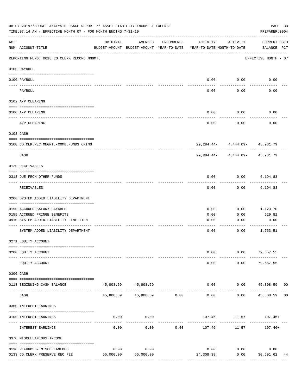|     | 08-07-2019**BUDGET ANALYSIS USAGE REPORT ** ASSET LIABILITY INCOME & EXPENSE<br>TIME: 07:14 AM - EFFECTIVE MONTH: 07 - FOR MONTH ENDING 7-31-19 |           |                                                     |               |                                        |                                                         | PAGE 33<br>PREPARER: 0004          |    |
|-----|-------------------------------------------------------------------------------------------------------------------------------------------------|-----------|-----------------------------------------------------|---------------|----------------------------------------|---------------------------------------------------------|------------------------------------|----|
| ACT | NUM ACCOUNT-TITLE                                                                                                                               | ORIGINAL  | AMENDED<br>BUDGET-AMOUNT BUDGET-AMOUNT YEAR-TO-DATE | ENCUMBERED    | ACTIVITY<br>YEAR-TO-DATE MONTH-TO-DATE | ACTIVITY                                                | <b>CURRENT USED</b><br>BALANCE PCT |    |
|     | REPORTING FUND: 0018 CO.CLERK RECORD MNGMT.                                                                                                     |           |                                                     |               |                                        |                                                         | EFFECTIVE MONTH - 07               |    |
|     | 0100 PAYROLL                                                                                                                                    |           |                                                     |               |                                        |                                                         |                                    |    |
|     | 0100 PAYROLL                                                                                                                                    |           |                                                     |               | 0.00                                   | 0.00                                                    | 0.00                               |    |
|     | PAYROLL                                                                                                                                         |           |                                                     |               | 0.00                                   | 0.00                                                    | 0.00                               |    |
|     | 0102 A/P CLEARING                                                                                                                               |           |                                                     |               |                                        |                                                         |                                    |    |
|     | 0100 A/P CLEARING                                                                                                                               |           |                                                     |               | 0.00                                   | 0.00                                                    | 0.00                               |    |
|     | A/P CLEARING                                                                                                                                    |           |                                                     |               | 0.00                                   | 0.00                                                    | 0.00                               |    |
|     | 0103 CASH                                                                                                                                       |           |                                                     |               |                                        |                                                         |                                    |    |
|     | 0100 CO.CLK.REC.MNGMT.-COMB.FUNDS CKING                                                                                                         |           |                                                     |               |                                        | 29, 284, 44- 4, 444, 09- 45, 931, 79                    |                                    |    |
|     | _________________________________<br>CASH                                                                                                       |           |                                                     |               | 29,284.44-                             | -------- ------------ ----------<br>4,444.09- 45,931.79 |                                    |    |
|     | 0120 RECEIVABLES                                                                                                                                |           |                                                     |               |                                        |                                                         |                                    |    |
|     | 0313 DUE FROM OTHER FUNDS                                                                                                                       |           |                                                     |               | 0.00                                   | 0.00                                                    | 6,194.83                           |    |
|     | RECEIVABLES                                                                                                                                     |           |                                                     |               | 0.00                                   | 0.00                                                    | 6,194.83                           |    |
|     | 0200 SYSTEM ADDED LIABILITY DEPARTMENT                                                                                                          |           |                                                     |               |                                        |                                                         |                                    |    |
|     | 0150 ACCRUED SALARY PAYABLE                                                                                                                     |           |                                                     |               | 0.00                                   | 0.00                                                    | 1,123.70                           |    |
|     | 0155 ACCRUED FRINGE BENEFITS                                                                                                                    |           |                                                     |               | 0.00                                   | 0.00                                                    | 629.81                             |    |
|     | 0910 SYSTEM ADDED LIABILITY LINE-ITEM                                                                                                           |           |                                                     |               | 0.00                                   | 0.00                                                    | 0.00                               |    |
|     | SYSTEM ADDED LIABILITY DEPARTMENT                                                                                                               |           |                                                     |               | 0.00                                   | 0.00                                                    | 1,753.51                           |    |
|     | 0271 EQUITY ACCOUNT                                                                                                                             |           |                                                     |               |                                        |                                                         |                                    |    |
|     | 0200 EQUITY ACCOUNT                                                                                                                             |           |                                                     |               | 0.00                                   |                                                         | $0.00$ 79,657.55                   |    |
|     | EQUITY ACCOUNT                                                                                                                                  |           |                                                     |               | 0.00                                   | 0.00                                                    | 79,657.55                          |    |
|     | 0300 CASH                                                                                                                                       |           |                                                     |               |                                        |                                                         |                                    |    |
|     | 0118 BEGINNING CASH BALANCE                                                                                                                     |           | 45,808.59 45,808.59<br>______________               | ------------- | 0.00<br>$- - - - - -$                  | ----------                                              | $0.00$ 45,808.59 00<br>___________ |    |
|     | CASH                                                                                                                                            |           | 45,808.59 45,808.59 0.00                            |               | 0.00                                   | 0.00                                                    | 45,808.59 00                       |    |
|     | 0360 INTEREST EARNINGS                                                                                                                          |           |                                                     |               |                                        |                                                         |                                    |    |
|     | 0100 INTEREST EARNINGS                                                                                                                          | 0.00      | 0.00                                                |               |                                        | 107.46 11.57 107.46+                                    |                                    |    |
|     | INTEREST EARNINGS                                                                                                                               | 0.00      | 0.00                                                | 0.00          | 107.46                                 | 11.57                                                   | 107.46+                            |    |
|     | 0370 MISCELLANEOUS INCOME                                                                                                                       |           |                                                     |               |                                        |                                                         |                                    |    |
|     | 0130 REFUNDS & MISCELLANEOUS                                                                                                                    | 0.00      | 0.00                                                |               | 0.00                                   | 0.00                                                    | 0.00                               |    |
|     | 0133 CO. CLERK PRESERVE REC FEE                                                                                                                 | 55,000.00 | 55,000.00                                           |               | 24,308.38                              | 0.00                                                    | 30,691.62                          | 44 |
|     |                                                                                                                                                 |           |                                                     |               |                                        | -------------                                           | --------------                     |    |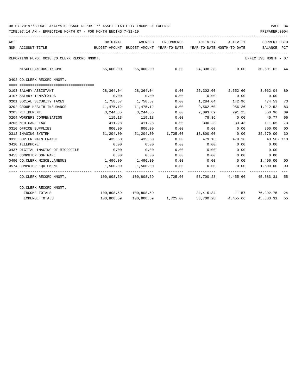| ACT | BUDGET-AMOUNT BUDGET-AMOUNT YEAR-TO-DATE YEAR-TO-DATE MONTH-TO-DATE<br>NUM ACCOUNT-TITLE<br>------------------------------------ | ORIGINAL                     | AMENDED                                                                 |      | ENCUMBERED ACTIVITY ACTIVITY   |       | CURRENT USED<br>BALANCE PCT    |    |
|-----|----------------------------------------------------------------------------------------------------------------------------------|------------------------------|-------------------------------------------------------------------------|------|--------------------------------|-------|--------------------------------|----|
|     | REPORTING FUND: 0018 CO.CLERK RECORD MNGMT.                                                                                      |                              |                                                                         |      |                                |       | EFFECTIVE MONTH - 07           |    |
|     | MISCELLANEOUS INCOME                                                                                                             |                              | 55,000.00 55,000.00 0.00 24,308.38 0.00 30,691.62 44                    |      |                                |       |                                |    |
|     | 0402 CO.CLERK RECORD MNGMT.                                                                                                      |                              |                                                                         |      |                                |       |                                |    |
|     | 0103 SALARY ASSISTANT                                                                                                            |                              | 28,364.04 28,364.04                                                     | 0.00 |                                |       | 25,302.00 2,552.60 3,062.04 89 |    |
|     | 0107 SALARY TEMP/EXTRA                                                                                                           | 0.00                         | 0.00                                                                    | 0.00 |                                |       | $0.00$ $0.00$ $0.00$ $0.00$    |    |
|     | 0201 SOCIAL SECURITY TAXES                                                                                                       | 1,758.57 1,758.57            |                                                                         | 0.00 | 1,284.04 142.96 474.53         |       |                                | 73 |
|     | 0202 GROUP HEALTH INSURANCE                                                                                                      | 11,475.12 11,475.12          |                                                                         | 0.00 | 9,562.60                       |       | 956.26 1,912.52                | 83 |
|     | 0203 RETIREMENT                                                                                                                  |                              | 3,244.85 3,244.85                                                       | 0.00 | 2,893.89                       |       | 291.25 350.96                  | 89 |
|     | 0204 WORKERS COMPENSATION                                                                                                        | 119.13                       | 119.13                                                                  | 0.00 | 78.36                          | 0.00  | 40.77                          | 66 |
|     | 0205 MEDICARE TAX                                                                                                                |                              | 411.28 411.28                                                           | 0.00 | 300.23                         | 33.43 | 111.05                         | 73 |
|     | 0310 OFFICE SUPPLIES                                                                                                             |                              | 800.00 800.00                                                           | 0.00 | 0.00                           | 0.00  | 800.00                         | 00 |
|     | 0312 IMAGING SYSTEM                                                                                                              |                              | $51,204.00$ $51,204.00$ $1,725.00$ $13,800.00$ $0.00$ $35,679.00$       |      |                                |       |                                | 30 |
|     | 0315 COPIER MAINTENANCE                                                                                                          | 435.60                       | 435.60                                                                  | 0.00 | 479.16                         |       | 479.16 43.56-110               |    |
|     | 0420 TELEPHONE                                                                                                                   | 0.00                         | 0.00                                                                    | 0.00 | 0.00                           | 0.00  | 0.00                           |    |
|     | 0437 DIGITAL IMAGING OF MICROFILM                                                                                                | 0.00                         | 0.00                                                                    | 0.00 | 0.00                           | 0.00  | 0.00                           |    |
|     | 0453 COMPUTER SOFTWARE                                                                                                           | 0.00                         | 0.00                                                                    | 0.00 | 0.00                           | 0.00  | 0.00                           |    |
|     | 0490 CO.CLERK MISCELLANEOUS                                                                                                      | $1,496.00$ $1,496.00$ $0.00$ |                                                                         |      | $0.00$ $0.00$ $1,496.00$       |       |                                | 00 |
|     | 0574 COMPUTER EQUIPMENT                                                                                                          |                              | 1,500.00 1,500.00 0.00                                                  |      | $0.00$ $0.00$ $1,500.00$ $00$  |       |                                |    |
|     | CO.CLERK RECORD MNGMT. 45,383.31 55                                                                                              |                              |                                                                         |      |                                |       |                                |    |
|     | CO.CLERK RECORD MNGMT.                                                                                                           |                              |                                                                         |      |                                |       |                                |    |
|     | INCOME TOTALS                                                                                                                    |                              | 100,808.59 100,808.59                                                   |      | 24, 415.84 11.57 76, 392.75 24 |       |                                |    |
|     | <b>EXPENSE TOTALS</b>                                                                                                            |                              | $100,808.59$ $100,808.59$ $1,725.00$ $53,700.28$ $4,455.66$ $45,383.31$ |      |                                |       |                                | 55 |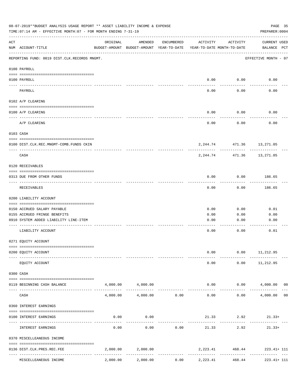|           | 08-07-2019**BUDGET ANALYSIS USAGE REPORT ** ASSET LIABILITY INCOME & EXPENSE<br>PAGE 35<br>TIME: 07:14 AM - EFFECTIVE MONTH: 07 - FOR MONTH ENDING 7-31-19<br>PREPARER: 0004 |          |                                                     |               |                                        |                             |                                     |  |  |  |  |
|-----------|------------------------------------------------------------------------------------------------------------------------------------------------------------------------------|----------|-----------------------------------------------------|---------------|----------------------------------------|-----------------------------|-------------------------------------|--|--|--|--|
| ACT       | NUM ACCOUNT-TITLE                                                                                                                                                            | ORIGINAL | AMENDED<br>BUDGET-AMOUNT BUDGET-AMOUNT YEAR-TO-DATE | ENCUMBERED    | ACTIVITY<br>YEAR-TO-DATE MONTH-TO-DATE | ACTIVITY                    | <b>CURRENT USED</b><br>BALANCE PCT  |  |  |  |  |
|           | REPORTING FUND: 0019 DIST.CLK.RECORDS MNGMT.                                                                                                                                 |          |                                                     |               |                                        |                             | EFFECTIVE MONTH - 07                |  |  |  |  |
|           | 0100 PAYROLL                                                                                                                                                                 |          |                                                     |               |                                        |                             |                                     |  |  |  |  |
| ---- ---- | 0100 PAYROLL                                                                                                                                                                 |          |                                                     |               | 0.00                                   | 0.00                        | 0.00                                |  |  |  |  |
|           | PAYROLL                                                                                                                                                                      |          |                                                     |               | 0.00                                   | 0.00                        | 0.00                                |  |  |  |  |
|           | 0102 A/P CLEARING                                                                                                                                                            |          |                                                     |               |                                        |                             |                                     |  |  |  |  |
|           | 0100 A/P CLEARING                                                                                                                                                            |          |                                                     |               | 0.00                                   | 0.00                        | 0.00                                |  |  |  |  |
|           | A/P CLEARING                                                                                                                                                                 |          |                                                     |               | 0.00                                   | 0.00                        | 0.00                                |  |  |  |  |
|           | 0103 CASH                                                                                                                                                                    |          |                                                     |               |                                        |                             |                                     |  |  |  |  |
|           | 0100 DIST.CLK.REC.MNGMT-COMB.FUNDS CKIN                                                                                                                                      |          |                                                     |               |                                        | 2, 244.74 471.36 13, 271.05 |                                     |  |  |  |  |
|           | CASH                                                                                                                                                                         |          |                                                     |               | 2,244.74                               | 471.36                      | .<br>13,271.05                      |  |  |  |  |
|           | 0120 RECEIVABLES                                                                                                                                                             |          |                                                     |               |                                        |                             |                                     |  |  |  |  |
|           | 0313 DUE FROM OTHER FUNDS                                                                                                                                                    |          |                                                     |               | 0.00                                   | 0.00                        | 186.65                              |  |  |  |  |
|           | RECEIVABLES                                                                                                                                                                  |          |                                                     |               | 0.00                                   | 0.00                        | 186.65                              |  |  |  |  |
|           | 0200 LIABILITY ACCOUNT                                                                                                                                                       |          |                                                     |               |                                        |                             |                                     |  |  |  |  |
|           | 0150 ACCRUED SALARY PAYABLE                                                                                                                                                  |          |                                                     |               | 0.00                                   | 0.00                        | 0.01                                |  |  |  |  |
|           | 0155 ACCRUED FRINGE BENEFITS                                                                                                                                                 |          |                                                     |               | 0.00                                   | 0.00                        | 0.00                                |  |  |  |  |
|           | 0910 SYSTEM ADDED LIABILITY LINE-ITEM                                                                                                                                        |          |                                                     |               | 0.00                                   | 0.00                        | 0.00                                |  |  |  |  |
|           | LIABILITY ACCOUNT                                                                                                                                                            |          |                                                     |               | 0.00                                   | 0.00                        | 0.01                                |  |  |  |  |
|           | 0271 EQUITY ACCOUNT                                                                                                                                                          |          |                                                     |               |                                        |                             |                                     |  |  |  |  |
|           | 0200 EQUITY ACCOUNT                                                                                                                                                          |          |                                                     |               | 0.00                                   |                             | $0.00$ 11, 212.95                   |  |  |  |  |
|           | EQUITY ACCOUNT                                                                                                                                                               |          |                                                     |               | 0.00                                   | 0.00                        | 11,212.95                           |  |  |  |  |
|           | 0300 CASH                                                                                                                                                                    |          |                                                     |               |                                        |                             |                                     |  |  |  |  |
|           | 0119 BEGINNING CASH BALANCE                                                                                                                                                  |          | 4,000.00 4,000.00                                   | ------------  | --------------                         | 0.00<br>------------        | $0.00$ 4,000.00 00<br>------------- |  |  |  |  |
|           | CASH                                                                                                                                                                         | 4,000.00 |                                                     | 4,000.00 0.00 | 0.00                                   | 0.00                        | 4,000.00 00                         |  |  |  |  |
|           | 0360 INTEREST EARNINGS                                                                                                                                                       |          |                                                     |               |                                        |                             |                                     |  |  |  |  |
|           | 0100 INTEREST EARNINGS                                                                                                                                                       | 0.00     | 0.00                                                |               |                                        | 21.33 2.92                  | $21.33+$                            |  |  |  |  |
|           | INTEREST EARNINGS                                                                                                                                                            | 0.00     | 0.00                                                | 0.00          | 21.33                                  | ---------<br>2.92           | $21.33+$                            |  |  |  |  |
|           | 0370 MISCELLEANEOUS INCOME                                                                                                                                                   |          |                                                     |               |                                        |                             |                                     |  |  |  |  |
|           |                                                                                                                                                                              |          |                                                     |               |                                        |                             |                                     |  |  |  |  |
|           | 0136 DIST.CLK.PRES.REC.FEE                                                                                                                                                   |          | 2,000.00 2,000.00                                   | -----------   |                                        | 2, 223.41 468.44            | $223.41 + 111$                      |  |  |  |  |
|           | MISCELLEANEOUS INCOME                                                                                                                                                        | 2,000.00 | 2,000.00                                            | 0.00          | 2,223.41                               | 468.44                      | $223.41 + 111$                      |  |  |  |  |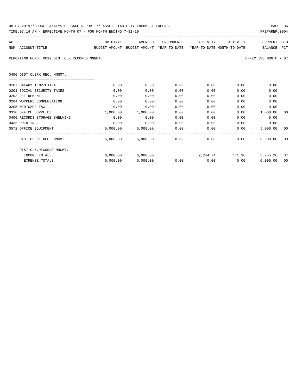| 08-07-2019**BUDGET ANALYSIS USAGE REPORT ** ASSET LIABILITY INCOME & EXPENSE | PAGE 36        |
|------------------------------------------------------------------------------|----------------|
| TIME:07:14 AM - EFFECTIVE MONTH:07 - FOR MONTH ENDING 7-31-19                | PREPARER: 0004 |

| ACT                                          | ORIGINAL                                                            | AMENDED                    | ENCUMBERED    | ACTIVITY                    | ACTIVITY     | <b>CURRENT USED</b>  |     |
|----------------------------------------------|---------------------------------------------------------------------|----------------------------|---------------|-----------------------------|--------------|----------------------|-----|
| NUM ACCOUNT-TITLE                            | BUDGET-AMOUNT BUDGET-AMOUNT YEAR-TO-DATE YEAR-TO-DATE MONTH-TO-DATE |                            |               |                             |              | BALANCE              | PCT |
| REPORTING FUND: 0019 DIST.CLK.RECORDS MNGMT. |                                                                     |                            |               |                             |              | EFFECTIVE MONTH - 07 |     |
| 0450 DIST.CLERK REC. MNGMT.                  |                                                                     |                            |               |                             |              |                      |     |
| ================================             |                                                                     |                            |               |                             |              |                      |     |
| 0107 SALARY TEMP/EXTRA                       | 0.00                                                                | 0.00                       | 0.00          | 0.00                        | 0.00         | 0.00                 |     |
| 0201 SOCIAL SECURITY TAXES                   | 0.00                                                                | 0.00                       | 0.00          | 0.00                        | 0.00         | 0.00                 |     |
| 0203 RETIREMENT                              | 0.00                                                                | 0.00                       | 0.00          | 0.00                        | 0.00         | 0.00                 |     |
| 0204 WORKERS COMPENSATION                    | 0.00                                                                | 0.00                       | 0.00          | 0.00                        | 0.00         | 0.00                 |     |
| 0205 MEDICARE TAX                            | 0.00                                                                | 0.00                       | 0.00          | 0.00                        | 0.00         | 0.00                 |     |
| 0310 OFFICE SUPPLIES                         | 1,000.00                                                            | 1,000.00                   | 0.00          | 0.00                        | 0.00         | 1,000.00             | 00  |
| 0400 RECORDS STORAGE SHELVING                | 0.00                                                                | 0.00                       | 0.00          | 0.00                        | 0.00         | 0.00                 |     |
| 0435 PRINTING                                | 0.00                                                                | 0.00                       | 0.00          | 0.00                        | 0.00         | 0.00                 |     |
| 0572 OFFICE EQUIPMENT                        | 5,000.00                                                            |                            | 5,000.00 0.00 |                             | 0.00<br>0.00 | 5,000.00 00          |     |
| DIST.CLERK REC. MNGMT.                       |                                                                     | $6,000.00$ $6,000.00$ 0.00 |               | 0.00                        | 0.00         | 6,000.00             | 00  |
| DIST.CLK.RECORDS MNGMT.                      |                                                                     |                            |               |                             |              |                      |     |
| INCOME TOTALS                                | 6.000.00                                                            | 6,000.00                   |               | 2, 244, 74 471, 36          |              | 3,755.26 37          |     |
| <b>EXPENSE TOTALS</b>                        | 6.000.00                                                            | 6.000.00                   |               | $0.00$ $0.00$ $0.00$ $0.00$ |              | 6.000.00             | 00  |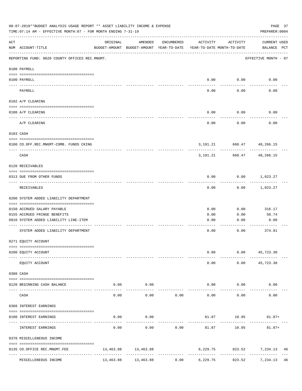|     | 08-07-2019**BUDGET ANALYSIS USAGE REPORT ** ASSET LIABILITY INCOME & EXPENSE<br>TIME: 07:14 AM - EFFECTIVE MONTH: 07 - FOR MONTH ENDING 7-31-19 |           |                                                     |                      |                                        |                        | PAGE 37<br>PREPARER: 0004       |
|-----|-------------------------------------------------------------------------------------------------------------------------------------------------|-----------|-----------------------------------------------------|----------------------|----------------------------------------|------------------------|---------------------------------|
| ACT | NUM ACCOUNT-TITLE                                                                                                                               | ORIGINAL  | AMENDED<br>BUDGET-AMOUNT BUDGET-AMOUNT YEAR-TO-DATE | ENCUMBERED           | ACTIVITY<br>YEAR-TO-DATE MONTH-TO-DATE | ACTIVITY               | CURRENT USED<br>BALANCE PCT     |
|     | REPORTING FUND: 0020 COUNTY OFFICES REC.MNGMT.                                                                                                  |           |                                                     |                      |                                        |                        | EFFECTIVE MONTH - 07            |
|     | 0100 PAYROLL                                                                                                                                    |           |                                                     |                      |                                        |                        |                                 |
|     | 0100 PAYROLL                                                                                                                                    |           |                                                     |                      | 0.00                                   | 0.00                   | 0.00                            |
|     | ---- -------<br>PAYROLL                                                                                                                         |           |                                                     |                      | 0.00                                   | 0.00                   | 0.00                            |
|     | 0102 A/P CLEARING                                                                                                                               |           |                                                     |                      |                                        |                        |                                 |
|     | 0100 A/P CLEARING                                                                                                                               |           |                                                     |                      | 0.00                                   | 0.00                   | 0.00                            |
|     | A/P CLEARING                                                                                                                                    |           |                                                     |                      | 0.00                                   | 0.00                   | 0.00                            |
|     | 0103 CASH                                                                                                                                       |           |                                                     |                      |                                        |                        |                                 |
|     | 0100 CO.OFF.REC.MNGMT-COMB. FUNDS CKING                                                                                                         |           |                                                     |                      |                                        |                        | 3, 191. 21 668. 47 48, 266. 15  |
|     | CASH                                                                                                                                            |           |                                                     |                      | 3,191.21                               | ----------<br>668.47   | ---------<br>48,266.15          |
|     | 0120 RECEIVABLES                                                                                                                                |           |                                                     |                      |                                        |                        |                                 |
|     | 0313 DUE FROM OTHER FUNDS                                                                                                                       |           |                                                     |                      | 0.00                                   |                        | $0.00$ 1,023.27                 |
|     | RECEIVABLES                                                                                                                                     |           |                                                     |                      | 0.00                                   | 0.00                   | 1,023.27                        |
|     | 0200 SYSTEM ADDED LIABILITY DEPARTMENT                                                                                                          |           |                                                     |                      |                                        |                        |                                 |
|     | 0150 ACCRUED SALARY PAYABLE                                                                                                                     |           |                                                     |                      | 0.00                                   | 0.00                   | 316.17                          |
|     | 0155 ACCRUED FRINGE BENEFITS                                                                                                                    |           |                                                     |                      | 0.00                                   | 0.00                   | 58.74                           |
|     | 0910 SYSTEM ADDED LIABILITY LINE-ITEM                                                                                                           |           |                                                     |                      | 0.00                                   | 0.00                   | 0.00                            |
|     | SYSTEM ADDED LIABILITY DEPARTMENT                                                                                                               |           |                                                     |                      | 0.00                                   | 0.00                   | --------<br>374.91              |
|     | 0271 EQUITY ACCOUNT                                                                                                                             |           |                                                     |                      |                                        |                        |                                 |
|     | 0200 EQUITY ACCOUNT                                                                                                                             |           |                                                     |                      | 0.00                                   |                        | $0.00$ 45,723.30                |
|     | EQUITY ACCOUNT                                                                                                                                  |           |                                                     |                      | 0.00                                   | 0.00                   | 45,723.30                       |
|     | 0300 CASH                                                                                                                                       |           |                                                     |                      |                                        |                        |                                 |
|     | 0120 BEGINNING CASH BALANCE                                                                                                                     | 0.00      | 0.00                                                |                      | 0.00                                   | 0.00                   | 0.00                            |
|     | CASH                                                                                                                                            | 0.00      | -------<br>0.00                                     | 0.00                 | 0.00                                   | 0.00                   | 0.00                            |
|     | 0360 INTEREST EARNINGS                                                                                                                          |           |                                                     |                      |                                        |                        |                                 |
|     | 0100 INTEREST EARNINGS                                                                                                                          | 0.00      | 0.00                                                |                      |                                        | 81.87 10.95            | $81.87+$                        |
|     | INTEREST EARNINGS                                                                                                                               | 0.00      | 0.00                                                | 0.00                 | 81.87                                  | 10.95                  | $81.87+$                        |
|     | 0370 MISCELLENEOUS INCOME                                                                                                                       |           |                                                     |                      |                                        |                        |                                 |
|     | 0135 CO.OFFICE REC.MNGMT.FEE                                                                                                                    |           | 13,463.88 13,463.88                                 |                      |                                        |                        | 6,229.75 823.52 7,234.13<br>46  |
|     | ----------------<br>MISCELLENEOUS INCOME                                                                                                        | 13,463.88 | -------------<br>13,463.88                          | ------------<br>0.00 | -------------<br>6,229.75              | ------------<br>823.52 | -------------<br>7,234.13<br>46 |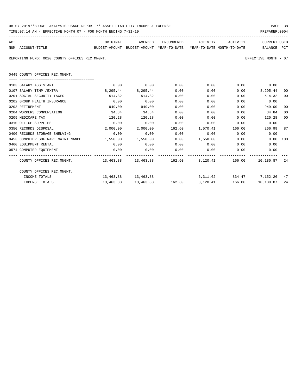| 08-07-2019**BUDGET ANALYSIS USAGE REPORT ** ASSET LIABILITY INCOME & EXPENSE |  |  |  |  | PAGE 38 |  |
|------------------------------------------------------------------------------|--|--|--|--|---------|--|
|                                                                              |  |  |  |  |         |  |

| ACT |                                                                                          | ORIGINAL | AMENDED           |      | ENCUMBERED ACTIVITY ACTIVITY                                     |        | CURRENT USED         |     |
|-----|------------------------------------------------------------------------------------------|----------|-------------------|------|------------------------------------------------------------------|--------|----------------------|-----|
|     | NUM ACCOUNT-TITLE<br>BUDGET-AMOUNT BUDGET-AMOUNT YEAR-TO-DATE YEAR-TO-DATE MONTH-TO-DATE |          |                   |      |                                                                  |        | BALANCE PCT          |     |
|     |                                                                                          |          |                   |      |                                                                  |        |                      |     |
|     | REPORTING FUND: 0020 COUNTY OFFICES REC.MNGMT.                                           |          |                   |      |                                                                  |        | EFFECTIVE MONTH - 07 |     |
|     |                                                                                          |          |                   |      |                                                                  |        |                      |     |
|     | 0449 COUNTY OFFICES REC.MNGMT.                                                           |          |                   |      |                                                                  |        |                      |     |
|     |                                                                                          |          |                   |      |                                                                  |        |                      |     |
|     | 0103 SALARY ASSISTANT                                                                    |          | $0.00$ 0.00       | 0.00 | 0.00                                                             |        | $0.00$ 0.00          |     |
|     | 0107 SALARY TEMP./EXTRA                                                                  |          | 8,295.44 8,295.44 | 0.00 | 0.00                                                             |        | $0.00$ 8,295.44      | 00  |
|     | 0201 SOCIAL SECURITY TAXES                                                               | 514.32   | 514.32            | 0.00 | 0.00                                                             | 0.00   | 514.32               | 00  |
|     | 0202 GROUP HEALTH INSURANCE                                                              | 0.00     | 0.00              | 0.00 | 0.00                                                             | 0.00   | 0.00                 |     |
|     | 0203 RETIREMENT                                                                          | 949.00   | 949.00            | 0.00 | 0.00                                                             | 0.00   | 949.00               | 00  |
|     | 0204 WORKERS COMPENSATION                                                                | 34.84    | 34.84             | 0.00 | 0.00                                                             | 0.00   | 34.84                | 00  |
|     | 0205 MEDICARE TAX                                                                        | 120.28   | 120.28            | 0.00 | 0.00                                                             |        | 0.00<br>120.28       | 00  |
|     | 0310 OFFICE SUPPLIES                                                                     | 0.00     | 0.00              | 0.00 | 0.00                                                             | 0.00   | 0.00                 |     |
|     | 0350 RECORDS DISPOSAL                                                                    | 2,000.00 |                   |      | 2,000.00 162.60 1,570.41                                         | 166.00 | 266.99               | 87  |
|     | 0400 RECORDS STORAGE SHELVING                                                            | 0.00     | 0.00              | 0.00 | 0.00                                                             |        | 0.00<br>0.00         |     |
|     | 0453 COMPUTER SOFTWARE MAINTENANCE 1,550.00 1,550.00                                     |          |                   |      | $0.00$ 1,550.00 0.00                                             |        | 0.00 100             |     |
|     | 0460 EQUIPMENT RENTAL                                                                    | 0.00     | 0.00              |      | $0.00$ $0.00$ $0.00$ $0.00$                                      |        | 0.00                 |     |
|     | 0574 COMPUTER EQUIPMENT                                                                  | 0.00     | 0.00              | 0.00 | $0.00$ 0.00                                                      |        | 0.00                 |     |
|     | COUNTY OFFICES REC.MNGMT. 463.88 13,463.88 162.60 3,120.41 166.00 10,180.87              |          |                   |      |                                                                  |        |                      | -24 |
|     | COUNTY OFFICES REC.MNGMT.                                                                |          |                   |      |                                                                  |        |                      |     |
|     | INCOME TOTALS                                                                            |          |                   |      | 13,463.88 13,463.88 6,311.62 834.47 7,152.26 47                  |        |                      |     |
|     | <b>EXPENSE TOTALS</b>                                                                    |          |                   |      | $13,463.88$ $13,463.88$ $162.60$ $3,120.41$ $166.00$ $10,180.87$ |        |                      | 24  |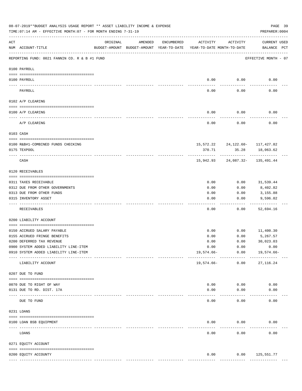|     | 08-07-2019**BUDGET ANALYSIS USAGE REPORT ** ASSET LIABILITY INCOME & EXPENSE<br>TIME: 07:14 AM - EFFECTIVE MONTH: 07 - FOR MONTH ENDING 7-31-19 |          |         |               |                                                                                 |                                                 | PAGE 39<br>PREPARER: 0004          |  |
|-----|-------------------------------------------------------------------------------------------------------------------------------------------------|----------|---------|---------------|---------------------------------------------------------------------------------|-------------------------------------------------|------------------------------------|--|
| ACT | NUM ACCOUNT-TITLE                                                                                                                               | ORIGINAL | AMENDED | ENCUMBERED    | ACTIVITY<br>BUDGET-AMOUNT BUDGET-AMOUNT YEAR-TO-DATE YEAR-TO-DATE MONTH-TO-DATE | ACTIVITY                                        | <b>CURRENT USED</b><br>BALANCE PCT |  |
|     | REPORTING FUND: 0021 FANNIN CO. R & B #1 FUND                                                                                                   |          |         |               |                                                                                 |                                                 | EFFECTIVE MONTH - 07               |  |
|     | 0100 PAYROLL                                                                                                                                    |          |         |               |                                                                                 |                                                 |                                    |  |
|     | 0100 PAYROLL<br>---- ----                                                                                                                       |          |         |               | 0.00<br>$---$                                                                   | 0.00<br>-------                                 | 0.00                               |  |
|     | PAYROLL                                                                                                                                         |          |         |               | 0.00                                                                            | 0.00                                            | 0.00                               |  |
|     | 0102 A/P CLEARING                                                                                                                               |          |         |               |                                                                                 |                                                 |                                    |  |
|     | 0100 A/P CLEARING                                                                                                                               |          |         |               | 0.00                                                                            | 0.00                                            | 0.00                               |  |
|     | A/P CLEARING                                                                                                                                    |          |         |               | 0.00                                                                            | 0.00                                            | 0.00                               |  |
|     | 0103 CASH                                                                                                                                       |          |         |               |                                                                                 |                                                 |                                    |  |
|     |                                                                                                                                                 |          |         |               |                                                                                 |                                                 |                                    |  |
|     | 0100 R&B#1-COMBINED FUNDS CHECKING<br>0175 TEXPOOL                                                                                              |          |         |               | 370.71                                                                          | 15, 572. 22 24, 122. 60 - 117, 427. 82<br>35.28 | 18,063.62                          |  |
|     | CASH                                                                                                                                            |          |         |               |                                                                                 | 15,942.93 24,087.32- 135,491.44                 |                                    |  |
|     | 0120 RECEIVABLES                                                                                                                                |          |         |               |                                                                                 |                                                 |                                    |  |
|     | 0311 TAXES RECEIVABLE                                                                                                                           |          |         |               | 0.00                                                                            | 0.00                                            | 31,539.44                          |  |
|     | 0312 DUE FROM OTHER GOVERNMENTS                                                                                                                 |          |         |               | 0.00                                                                            | 0.00                                            | 8,402.82                           |  |
|     | 0313 DUE FROM OTHER FUNDS                                                                                                                       |          |         |               | 0.00                                                                            | 0.00                                            | 3,155.88                           |  |
|     | 0315 INVENTORY ASSET                                                                                                                            |          |         |               | 0.00<br>----                                                                    | 0.00<br>-----                                   | 9,596.02<br>----------             |  |
|     | RECEIVABLES                                                                                                                                     |          |         |               | 0.00                                                                            | 0.00                                            | 52,694.16                          |  |
|     | 0200 LIABILITY ACCOUNT                                                                                                                          |          |         |               |                                                                                 |                                                 |                                    |  |
|     | 0150 ACCRUED SALARY PAYABLE                                                                                                                     |          |         |               | 0.00                                                                            | 0.00                                            | 11,400.30                          |  |
|     | 0155 ACCRUED FRINGE BENEFITS                                                                                                                    |          |         |               | 0.00                                                                            | 0.00                                            | 5,267.57                           |  |
|     | 0200 DEFERRED TAX REVENUE                                                                                                                       |          |         |               | 0.00                                                                            | 0.00                                            | 30,023.03                          |  |
|     | 0900 SYSTEM ADDED LIABILITY LINE-ITEM                                                                                                           |          |         |               | 0.00                                                                            | 0.00                                            | 0.00                               |  |
|     | 0910 SYSTEM ADDED LIABILITY LINE-ITEM                                                                                                           |          |         |               | $19,574.66-$                                                                    | 0.00                                            | 19,574.66-                         |  |
|     | LIABILITY ACCOUNT                                                                                                                               |          |         |               | 19,574.66-                                                                      | ------------<br>0.00                            | 27, 116.24                         |  |
|     | 0207 DUE TO FUND                                                                                                                                |          |         |               |                                                                                 |                                                 |                                    |  |
|     | 0070 DUE TO RIGHT OF WAY                                                                                                                        |          |         |               | 0.00                                                                            | 0.00                                            | 0.00                               |  |
|     | 0131 DUE TO RD. DIST. 17A                                                                                                                       |          |         |               | 0.00                                                                            | 0.00                                            | 0.00                               |  |
|     | ----------------------- -----------<br>DUE TO FUND                                                                                              |          |         |               | 0.00                                                                            | 0.00                                            | 0.00                               |  |
|     | 0231 LOANS                                                                                                                                      |          |         |               |                                                                                 |                                                 |                                    |  |
|     | 0100 LOAN BSB EQUIPMENT                                                                                                                         |          |         |               | 0.00                                                                            | 0.00                                            | 0.00                               |  |
|     | LOANS                                                                                                                                           |          |         |               | 0.00                                                                            | 0.00                                            | 0.00                               |  |
|     | 0271 EQUITY ACCOUNT                                                                                                                             |          |         |               |                                                                                 |                                                 |                                    |  |
|     |                                                                                                                                                 |          |         |               |                                                                                 |                                                 |                                    |  |
|     | 0200 EQUITY ACCOUNTY                                                                                                                            |          |         | ------------- | 0.00<br>-------------                                                           | 0.00<br>-------------                           | 125,551.77<br>-------------        |  |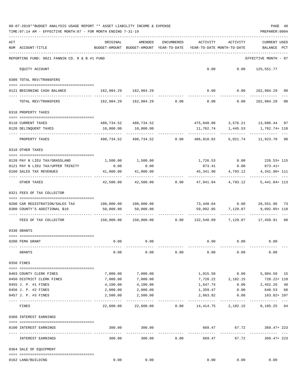|     | 08-07-2019**BUDGET ANALYSIS USAGE REPORT ** ASSET LIABILITY INCOME & EXPENSE<br>TIME: 07:14 AM - EFFECTIVE MONTH: 07 - FOR MONTH ENDING 7-31-19 |                                                      |                                           |                  |                                        |                            | PAGE 40<br>PREPARER: 0004                                                          |  |
|-----|-------------------------------------------------------------------------------------------------------------------------------------------------|------------------------------------------------------|-------------------------------------------|------------------|----------------------------------------|----------------------------|------------------------------------------------------------------------------------|--|
| ACT | NUM ACCOUNT-TITLE                                                                                                                               | ORIGINAL<br>BUDGET-AMOUNT BUDGET-AMOUNT YEAR-TO-DATE | AMENDED                                   | ENCUMBERED       | ACTIVITY<br>YEAR-TO-DATE MONTH-TO-DATE | ACTIVITY                   | <b>CURRENT USED</b><br>BALANCE PCT                                                 |  |
|     | REPORTING FUND: 0021 FANNIN CO. R & B #1 FUND                                                                                                   |                                                      |                                           |                  |                                        |                            | EFFECTIVE MONTH - 07                                                               |  |
|     | EQUITY ACCOUNT                                                                                                                                  |                                                      |                                           |                  |                                        | $0.00$ $0.00$ $125,551.77$ |                                                                                    |  |
|     | 0300 TOTAL REV/TRANSFERS                                                                                                                        |                                                      |                                           |                  |                                        |                            |                                                                                    |  |
|     | 0121 BEGINNING CASH BALANCE                                                                                                                     | 162,984.29 162,984.29                                |                                           |                  |                                        |                            | $0.00$ $0.00$ $162,984.29$ 00                                                      |  |
|     | TOTAL REV/TRANSFERS                                                                                                                             |                                                      |                                           |                  |                                        |                            | $162,984.29$ $162,984.29$ $0.00$ $0.00$ $0.00$ $162,984.29$<br>00                  |  |
|     | 0310 PROPERTY TAXES                                                                                                                             |                                                      |                                           |                  |                                        |                            |                                                                                    |  |
|     | 0110 CURRENT TAXES                                                                                                                              |                                                      | 488,734.52 488,734.52                     |                  |                                        |                            | 475,048.08 3,576.21 13,686.44 97                                                   |  |
|     | 0120 DELINQUENT TAXES                                                                                                                           | 10,000.00                                            | 10,000.00                                 |                  |                                        | 11,762.74 1,445.53         | 1,762.74+ 118                                                                      |  |
|     | PROPERTY TAXES                                                                                                                                  | ------------                                         | -----------<br>498,734.52 498,734.52 0.00 |                  | -------------                          | ------------               | ------------<br>486,810.82 5,021.74 11,923.70 98                                   |  |
|     | 0318 OTHER TAXES                                                                                                                                |                                                      |                                           |                  |                                        |                            |                                                                                    |  |
|     |                                                                                                                                                 |                                                      | 1,500.00 1,500.00                         |                  |                                        |                            | 1,726.53 0.00 226.53+ 115                                                          |  |
|     | 0120 PAY N LIEU TAX/GRASSLAND<br>0121 PAY N LIEU TAX/UPPER TRINITY                                                                              | 0.00                                                 | 0.00                                      |                  |                                        | 873.41 0.00                | $873.41+$                                                                          |  |
|     | 0160 SALES TAX REVENUES                                                                                                                         | 41,000.00                                            | 41,000.00                                 |                  | 45,341.90                              | 4,793.12                   | 4,341.90+ 111                                                                      |  |
|     | OTHER TAXES                                                                                                                                     | . <u>.</u><br>42,500.00                              |                                           | $42,500.00$ 0.00 |                                        |                            | 47,941.84  4,793.12  5,441.84+ 113                                                 |  |
|     | 0321 FEES OF TAX COLLECTOR                                                                                                                      |                                                      |                                           |                  |                                        |                            |                                                                                    |  |
|     | 0200 CAR REGISTRATION/SALES TAX                                                                                                                 | 100,000.00    100,000.00                             |                                           |                  |                                        |                            | 73,448.04   0.00   26,551.96   73                                                  |  |
|     | 0300 COUNTY'S ADDITIONAL \$10                                                                                                                   | 50,000.00                                            | 50,000.00                                 |                  |                                        | 59,092.05 7,129.07         | 9,092.05+ 118                                                                      |  |
|     | FEES OF TAX COLLECTOR                                                                                                                           |                                                      |                                           |                  |                                        | ------------               | 150,000.00 150,000.00      0.00      132,540.09      7,129.07      17,459.91    88 |  |
|     | 0330 GRANTS                                                                                                                                     |                                                      |                                           |                  |                                        |                            |                                                                                    |  |
|     |                                                                                                                                                 |                                                      |                                           |                  |                                        |                            |                                                                                    |  |
|     | 0200 FEMA GRANT                                                                                                                                 | 0.00                                                 | 0.00                                      |                  |                                        | $0.00$ $0.00$ $0.00$       |                                                                                    |  |
|     | GRANTS                                                                                                                                          | 0.00                                                 | 0.00                                      | 0.00             | 0.00                                   | 0.00                       | 0.00                                                                               |  |
|     | 0350 FINES                                                                                                                                      |                                                      |                                           |                  |                                        |                            |                                                                                    |  |
|     | 0403 COUNTY CLERK FINES                                                                                                                         | 7,000.00                                             | 7,000.00                                  |                  |                                        |                            | 1,015.50   0.00   5,984.50   15                                                    |  |
|     | 0450 DISTRICT CLERK FINES                                                                                                                       | 7,000.00                                             | 7,000.00                                  |                  |                                        | 7,728.22 2,182.15          | 728.22+ 110                                                                        |  |
|     | 0455 J. P. #1 FINES                                                                                                                             | 4,100.00                                             | 4,100.00                                  |                  | 1,647.74                               |                            | $0.00$ 2,452.26<br>40                                                              |  |
|     | 0456 J. P. #2 FINES                                                                                                                             | 2,000.00                                             | 2,000.00                                  |                  | 1,359.47                               | 0.00                       | 640.53<br>68                                                                       |  |
|     | 0457 J. P. #3 FINES                                                                                                                             | 2,500.00                                             | 2,500.00                                  |                  | 2,663.82                               | 0.00                       | 163.82+ 107                                                                        |  |
|     | FINES                                                                                                                                           | 22,600.00                                            | 22,600.00                                 |                  |                                        | $0.00$ 14,414.75 2,182.15  | 8,185.25 64                                                                        |  |
|     | 0360 INTEREST EARNINGS                                                                                                                          |                                                      |                                           |                  |                                        |                            |                                                                                    |  |
|     | 0100 INTEREST EARNINGS                                                                                                                          | 300.00                                               | 300.00                                    |                  |                                        | 669.47 67.72               | 369.47+ 223                                                                        |  |
|     | INTEREST EARNINGS                                                                                                                               | 300.00                                               | -------------<br>300.00                   | 0.00             | --------------<br>669.47               | ------------<br>67.72      | .<br>$369.47 + 223$                                                                |  |
|     | 0364 SALE OF EQUIPMENT                                                                                                                          |                                                      |                                           |                  |                                        |                            |                                                                                    |  |
|     | 0162 LAND/BUILDING                                                                                                                              | 0.00                                                 | 0.00                                      |                  | 0.00                                   | 0.00                       | 0.00                                                                               |  |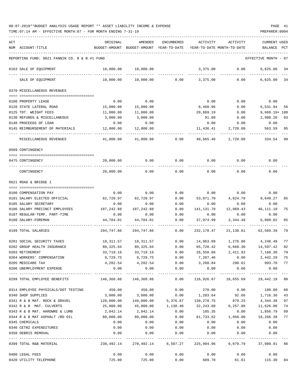| ACT |                                               | ORIGINAL      | <b>AMENDED</b>             | <b>ENCUMBERED</b>   | ACTIVITY                   | ACTIVITY                                                        | <b>CURRENT USED</b> |      |
|-----|-----------------------------------------------|---------------|----------------------------|---------------------|----------------------------|-----------------------------------------------------------------|---------------------|------|
|     | NUM ACCOUNT-TITLE                             | BUDGET-AMOUNT | BUDGET-AMOUNT YEAR-TO-DATE |                     | YEAR-TO-DATE MONTH-TO-DATE |                                                                 | BALANCE             | PCT  |
|     |                                               |               |                            |                     |                            |                                                                 |                     |      |
|     | REPORTING FUND: 0021 FANNIN CO. R & B #1 FUND |               |                            |                     |                            |                                                                 | EFFECTIVE MONTH     | - 07 |
|     | 0163 SALE OF EQUIPMENT                        | 10,000.00     | 10,000.00                  |                     | 3,375.00                   | 0.00                                                            | 6,625.00            | 34   |
|     | SALE OF EQUIPMENT                             | 10,000.00     | 10,000.00                  | 0.00                | 3,375.00                   | 0.00                                                            | 6,625.00            | -34  |
|     | 0370 MISCELLANEOUS REVENUES                   |               |                            |                     |                            |                                                                 |                     |      |
|     |                                               |               |                            |                     |                            |                                                                 |                     |      |
|     | 0100 PROPERTY LEASE                           | 0.00          | 0.00                       |                     | 0.00                       | 0.00                                                            | 0.00                |      |
|     | 0120 STATE LATERAL ROAD                       | 15,000.00     | 15,000.00                  |                     | 8,468.06                   | 0.00                                                            | 6,531.94            | 56   |
|     | 0125 TDT. WEIGHT FEES                         | 11,000.00     | 11,000.00                  |                     | 20,669.19                  | 0.00                                                            | $9,669.19 + 188$    |      |
|     | 0130 REFUNDS & MISCELLANEOUS                  | 3,000.00      | 3,000.00                   |                     | 91.80                      | 0.00                                                            | 2,908.20            | 03   |
|     | 0140 PROCEEDS OF LOAN                         | 0.00          | 0.00                       |                     | 0.00                       | 0.00                                                            | 0.00                |      |
|     | 0145 REIMBURSEMENT OF MATERIALS               | 12,000.00     | 12,000.00                  |                     | 11,436.41                  | 2,728.00                                                        | 563.59              | 95   |
|     | MISCELLANEOUS REVENUES                        | 41,000.00     | 41,000.00                  | 0.00                | 40,665.46                  | 2,728.00                                                        | 334.54              | 99   |
|     | 0509 CONTINGENCY                              |               |                            |                     |                            |                                                                 |                     |      |
|     |                                               |               |                            |                     |                            |                                                                 |                     |      |
|     | 0475 CONTINGENCY                              | 20,000.00     | 0.00                       | 0.00                | 0.00                       | 0.00                                                            | 0.00                |      |
|     | CONTINGENCY                                   | 20,000.00     | 0.00                       | 0.00                | 0.00                       | 0.00                                                            | 0.00                |      |
|     | 0621 ROAD & BRIDGE 1                          |               |                            |                     |                            |                                                                 |                     |      |
|     |                                               |               |                            |                     |                            |                                                                 |                     |      |
|     | 0100 COMPENSATION PAY                         | 0.00          | 0.00                       | 0.00                | 0.00                       | 0.00                                                            | 0.00                |      |
|     | 0101 SALARY ELECTED OFFICIAL                  | 62,720.97     | 62,720.97                  | 0.00                | 53,071.70                  | 4,824.70                                                        | 9,649.27            | 85   |
|     | 0105 SALARY SECRETARY                         | 0.00          | 0.00                       | 0.00                | 0.00                       | 0.00                                                            | 0.00                |      |
|     | 0106 SALARY PRECINCT EMPLOYEES                | 187,242.88    | 187, 242.88                | 0.00                | 141,131.78                 | 12,969.43                                                       | 46, 111.10          | 75   |
|     | 0107 REGULAR-TEMP. PART-TIME                  | 0.00          | 0.00                       | 0.00                | 0.00                       | 0.00                                                            | 0.00                |      |
|     | 0108 SALARY-FOREMAN                           | 44,784.01     | 44,784.01                  | 0.00                | 37,974.99                  | 3,344.48                                                        | 6,809.02            | 85   |
|     | 0199 TOTAL SALARIES                           | 294,747.86    | 294,747.86                 | 0.00                | 232,178.47                 | 21, 138.61                                                      | 62,569.39           | 79   |
|     | 0201 SOCIAL SECURITY TAXES                    | 18,311.57     | 18,311.57                  | 0.00                | 14,063.09                  | 1,276.86                                                        | 4,248.48            | 77   |
|     | 0202 GROUP HEALTH INSURANCE                   | 80,325.84     | 80,325.84                  | 0.00                | 65,728.42                  | 6,668.30                                                        | 14,597.42           | 82   |
|     | 0203 RETIREMENT                               | 33,719.16     | 33,719.16                  | 0.00                | 26,558.86                  | 2,411.92                                                        | 7,160.30            | 79   |
|     | 0204 WORKERS' COMPENSATION                    |               | 9,729.75 9,729.75          | 0.00                | 7,287.46                   | 0.00                                                            | 2,442.29 75         |      |
|     | 0205 MEDICARE TAX                             |               | 4, 282.54 4, 282.54        |                     | $0.00$ 3,288.84 298.61     |                                                                 | 993.70 77           |      |
|     | 0206 UNEMPLOYMENT EXPENSE                     | 0.00          | 0.00                       | 0.00                | 0.00                       | 0.00                                                            | 0.00                |      |
|     |                                               |               |                            | -------------       |                            |                                                                 |                     |      |
|     | 0299 TOTAL EMPLOYEE BENEFITS                  |               | 146,368.86 146,368.86      | 0.00                | 116,926.67                 | 10,655.69                                                       | 29,442.19           | 80   |
|     | 0314 EMPLOYEE PHYSICALS/DOT TESTING           | 450.00        | 450.00                     | 0.00                | 270.00                     |                                                                 | $0.00$ 180.00       | 60   |
|     | 0340 SHOP SUPPLIES                            | 3,000.00      | 3,000.00 0.00              |                     | 1,283.64                   |                                                                 | 92.66 1,716.36      | 43   |
|     | 0341 R & B MAT. ROCK & GRAVEL                 | 120,000.00    |                            | 140,000.00 5,376.87 | 130,278.75                 | 879.25                                                          | 4,344.38            | 97   |
|     | 0342 R & B MAT. CULVERTS                      | 25,000.00     | 45,000.00                  | 1,130.40            | 32,243.60                  | 6,257.88                                                        | 11,626.00           | 74   |
|     | 0343 R & B MAT. HARDWRE & LUMB                | 2,042.14      | 2,042.14                   | 0.00                | 185.35                     | 0.00                                                            | 1,856.79            | 09   |
|     | 0344 R & B MAT ASPHALT /RD OIL                | 80,000.00     | 80,000.00                  | 0.00                |                            | 61,733.62  1,850.00  18,266.38                                  |                     | 77   |
|     | 0345 CHEMICALS                                | 0.00          | 0.00                       | 0.00                | 0.00                       | 0.00                                                            | 0.00                |      |
|     | 0346 CETRZ EXPENDITURES                       | 0.00          | 0.00                       | 0.00                | 0.00                       | 0.00                                                            | 0.00                |      |
|     | 0350 DEBRIS REMOVAL                           | 0.00          | 0.00                       | 0.00                | 0.00                       | 0.00                                                            | 0.00                |      |
|     | 0399 TOTAL R&B MATERIAL                       |               | -----------                |                     | ------------               | 230,492.14 270,492.14 6,507.27 225,994.96 9,079.79 37,989.91 86 |                     |      |
|     |                                               |               |                            |                     |                            |                                                                 |                     |      |
|     | 0400 LEGAL FEES                               | 0.00          | 0.00                       | 0.00                | 0.00                       | 0.00                                                            | 0.00                |      |
|     | 0420 UTILITY TELEPHONE                        | 725.00        | 725.00                     | 0.00                | 609.70                     | 61.61                                                           | 115.30              | 84   |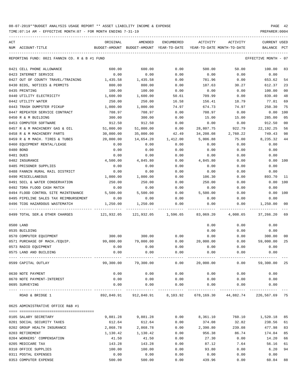| ACT                                           | ORIGINAL  | AMENDED                                  | ENCUMBERED | ACTIVITY  | ACTIVITY                                                          | <b>CURRENT USED</b> |      |
|-----------------------------------------------|-----------|------------------------------------------|------------|-----------|-------------------------------------------------------------------|---------------------|------|
| NUM ACCOUNT-TITLE                             |           | BUDGET-AMOUNT BUDGET-AMOUNT YEAR-TO-DATE |            |           | YEAR-TO-DATE MONTH-TO-DATE                                        | BALANCE             | PCT  |
| REPORTING FUND: 0021 FANNIN CO. R & B #1 FUND |           |                                          |            |           |                                                                   | EFFECTIVE MONTH     | - 07 |
| 0421 CELL PHONE ALLOWANCE                     | 600.00    | 600.00                                   | 0.00       | 500.00    | 50.00                                                             | 100.00              | 83   |
| 0423 INTERNET SERVICE                         | 0.00      | 0.00                                     | 0.00       | 0.00      | 0.00                                                              | 0.00                |      |
| 0427 OUT OF COUNTY TRAVEL/TRAINING            | 1,435.58  | 1,435.58                                 | 0.00       | 781.96    | 0.00                                                              | 653.62              | 54   |
| 0430 BIDS, NOTICES & PERMITS                  | 800.00    | 800.00                                   | 0.00       | 187.63    | 30.27                                                             | 612.37              | 23   |
| 0435 PRINTING                                 | 100.00    | 100.00                                   | 0.00       | 0.00      | 0.00                                                              | 100.00              | 00   |
| 0440 UTILITY ELECTRICITY                      | 1,600.00  | 1,600.00                                 | 50.61      | 709.99    | 0.00                                                              | 839.40              | 48   |
| 0442 UTILITY WATER                            | 250.00    | 250.00                                   | 16.58      | 156.41    | 18.79                                                             | 77.01               | 69   |
| 0443 TRASH DUMPSTER PICKUP                    | 1,000.00  | 1,000.00                                 | 74.97      | 674.73    | 74.97                                                             | 250.30              | 75   |
| 0447 REPEATER SERVICE CONTRACT                | 708.97    | 708.97                                   | 0.00       | 708.97    | 0.00                                                              | 0.00                | 100  |
| 0450 R & M BUILDING                           | 300.00    | 300.00                                   | 0.00       | 15.00     | 15.00                                                             | 285.00              | 05   |
| 0453 COMPUTER SOFTWARE                        | 912.50    | 912.50                                   | 0.00       | 0.00      | 0.00                                                              | 912.50              | 00   |
| 0457 R & M MACHINERY GAS & OIL                | 51,000.00 | 51,000.00                                | 0.00       | 28,807.75 | 922.79                                                            | 22, 192. 25         | 56   |
| 0458 R & M MACHINERY PARTS                    | 30,000.00 | 35,000.00                                | 42.49      | 34,208.08 | 2,760.22                                                          | 749.43              | 98   |
| 0459 R & M MACH. TIRES & TUBES                | 20,000.00 | 14,654.20                                | 1,412.00   | 5,006.88  | 75.00                                                             | 8,235.32            | 44   |
| 0460 EQUIPMENT RENTAL/LEASE                   | 0.00      | 0.00                                     | 0.00       | 0.00      | 0.00                                                              | 0.00                |      |
| 0480 BOND                                     | 0.00      | 0.00                                     | 0.00       | 0.00      | 0.00                                                              | 0.00                |      |
| 0481 DUES                                     | 0.00      | 0.00                                     | 0.00       | 0.00      | 0.00                                                              | 0.00                |      |
| 0482 INSURANCE                                | 4,500.00  | 4,845.80                                 | 0.00       | 4,845.80  | 0.00                                                              | 0.00                | 100  |
| 0485 PRISONER SUPPLIES                        | 0.00      | 0.00                                     | 0.00       | 0.00      | 0.00                                                              | 0.00                |      |
|                                               |           |                                          |            |           |                                                                   |                     |      |
| 0488 FANNIN RURAL RAIL DISTRICT               | 0.00      | 0.00                                     | 0.00       | 0.00      | 0.00                                                              | 0.00                |      |
| 0490 MISCELLANEOUS                            | 1,000.00  | 1,000.00                                 | 0.00       | 106.30    | 0.00                                                              | 893.70              | 11   |
| 0491 SOIL & WATER CONSERVATION                | 250.00    | 250.00                                   | 0.00       | 250.00    | 0.00                                                              | 0.00                | 100  |
| 0492 TDRA FLOOD CASH MATCH                    | 0.00      | 0.00                                     | 0.00       | 0.00      | 0.00                                                              | 0.00                |      |
| 0494 FLOOD CONTROL SITE MAINTENANCE           | 5,500.00  | 5,500.00                                 | 0.00       | 5,500.00  | 0.00                                                              | 0.00                | 100  |
| 0495 PIPELINE SALES TAX REIMBURSEMENT         | 0.00      | 0.00                                     | 0.00       | 0.00      | 0.00                                                              | 0.00                |      |
| 0496 TCOG HAZARDOUS WASTEMATCH                | 1,250.00  | 1,250.00                                 | 0.00       | 0.00      | 0.00                                                              | 1,250.00            | 00   |
| 0499 TOTAL SER.& OTHER CHARGES                |           |                                          |            |           | 4,008.65                                                          | 37,266.20           | 69   |
| 0500 LAND                                     |           |                                          |            | 0.00      | 0.00                                                              | 0.00                |      |
| 0535 BUILDING                                 |           |                                          |            | 0.00      | 0.00                                                              | 0.00                |      |
| 0570 COMPUTER EQUIPMENT                       | 300.00    | 300.00                                   | 0.00       | 0.00      | 0.00                                                              | 300.00              | 00   |
| 0571 PURCHASE OF MACH./EQUIP.                 | 99,000.00 | 79,000.00                                | 0.00       | 20,000.00 | 0.00                                                              | 59,000.00           | 25   |
| 0573 RADIO EQUIPMENT                          | 0.00      | 0.00                                     | 0.00       | 0.00      | 0.00                                                              | 0.00                |      |
| 0575 LAND AND BUILDING                        | 0.00      | 0.00                                     | 0.00       | 0.00      | 0.00                                                              | 0.00                |      |
| 0599 CAPITAL OUTLAY                           | 99,300.00 | 79,300.00                                | 0.00       | 20,000.00 | 0.00                                                              | 59,300.00 25        |      |
| 0630 NOTE PAYMENT                             | 0.00      | 0.00                                     | 0.00       | 0.00      | 0.00                                                              | 0.00                |      |
| 0670 NOTE PAYMENT-INTEREST                    | 0.00      | 0.00                                     | 0.00       | 0.00      | 0.00                                                              | 0.00                |      |
| 0695 SURVEYING                                | 0.00      | 0.00                                     | 0.00       | 0.00      | 0.00                                                              | 0.00                |      |
| ROAD & BRIDGE 1                               |           |                                          |            |           | 892,840.91 912,840.91 8,103.92 678,169.30 44,882.74 226,567.69 75 |                     |      |
| 0625 ADMINISTRATIVE OFFICE R&B #1             |           |                                          |            |           |                                                                   |                     |      |
|                                               |           |                                          |            |           |                                                                   |                     |      |
| 0105 SALARY SECRETARY                         | 9,881.28  | 9,881.28                                 | 0.00       | 8,361.10  | 760.10                                                            | 1,520.18            | 85   |
| 0201 SOCIAL SECURITY TAXES                    | 612.64    | 612.64                                   | 0.00       | 374.08    | 32.82                                                             | 238.56              | 61   |
| 0202 GROUP HEALTH INSURANCE                   | 2,868.78  | 2,868.78                                 | 0.00       | 2,390.80  | 239.08                                                            | 477.98              | 83   |
| 0203 RETIREMENT                               | 1,130.42  | 1,130.42                                 | 0.00       | 956.38    | 86.74                                                             | 174.04              | 85   |
| 0204 WORKERS' COMPENSATION                    | 41.50     | 41.50                                    | 0.00       | 27.30     | 0.00                                                              | 14.20               | 66   |
| 0205 MEDICARE TAX                             | 143.28    | 143.28                                   | 0.00       | 87.12     | 7.64                                                              | 56.16               | 61   |
| 0310 OFFICE SUPPLIES                          | 100.00    | 100.00                                   | 0.00       | 93.80     | 0.00                                                              | 6.20                | 94   |
| 0311 POSTAL EXPENSES                          | 0.00      | 0.00                                     | 0.00       | 0.00      | 0.00                                                              | 0.00                |      |
| 0353 COMPUTER EXPENSE                         | 500.00    | 500.00                                   | 0.00       | 439.96    | 0.00                                                              | 60.04               | 88   |
|                                               |           |                                          |            |           |                                                                   |                     |      |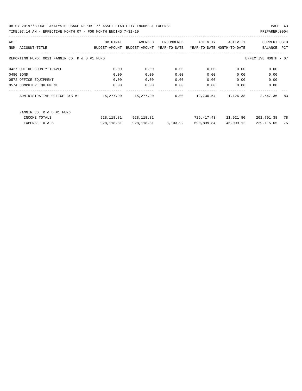| ACT |                                               | ORIGINAL      | AMENDED       | ENCUMBERED   | ACTIVITY   | ACTIVITY                   | <b>CURRENT USED</b>  |     |
|-----|-----------------------------------------------|---------------|---------------|--------------|------------|----------------------------|----------------------|-----|
| NUM | ACCOUNT-TITLE                                 | BUDGET-AMOUNT | BUDGET-AMOUNT | YEAR-TO-DATE |            | YEAR-TO-DATE MONTH-TO-DATE | BALANCE              | PCT |
|     |                                               |               |               |              |            |                            |                      |     |
|     | REPORTING FUND: 0021 FANNIN CO. R & B #1 FUND |               |               |              |            |                            | EFFECTIVE MONTH - 07 |     |
|     |                                               |               |               |              |            |                            |                      |     |
|     | 0427 OUT OF COUNTY TRAVEL                     | 0.00          | 0.00          | 0.00         | 0.00       | 0.00                       | 0.00                 |     |
|     | 0480 BOND                                     | 0.00          | 0.00          | 0.00         | 0.00       | 0.00                       | 0.00                 |     |
|     | 0572 OFFICE EQUIPMENT                         | 0.00          | 0.00          | 0.00         | 0.00       | 0.00                       | 0.00                 |     |
|     | 0574 COMPUTER EQUIPMENT                       | 0.00          | 0.00          | 0.00         | 0.00       | 0.00                       | 0.00                 |     |
|     |                                               |               |               |              |            |                            |                      |     |
|     | ADMINISTRATIVE OFFICE R&B #1                  | 15,277.90     | 15,277.90     | 0.00         | 12,730.54  | 1,126.38                   | 2,547.36             | 83  |
|     |                                               |               |               |              |            |                            |                      |     |
|     | FANNIN CO. R & B #1 FUND                      |               |               |              |            |                            |                      |     |
|     | INCOME TOTALS                                 | 928,118.81    | 928,118.81    |              | 726,417.43 | 21,921.80                  | 201,701.38           | 78  |
|     | <b>EXPENSE TOTALS</b>                         | 928,118.81    | 928,118.81    | 8,103.92     | 690,899.84 | 46,009.12                  | 229, 115.05          | 75  |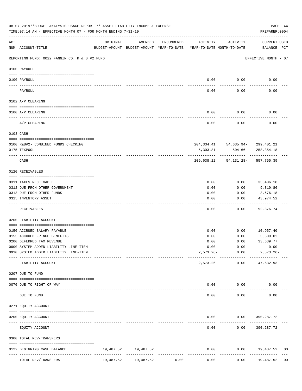|           | 08-07-2019**BUDGET ANALYSIS USAGE REPORT ** ASSET LIABILITY INCOME & EXPENSE<br>TIME: 07:14 AM - EFFECTIVE MONTH: 07 - FOR MONTH ENDING 7-31-19 |           |                                                     |            |                                        |                                                  | PAGE 44<br>PREPARER: 0004   |                |
|-----------|-------------------------------------------------------------------------------------------------------------------------------------------------|-----------|-----------------------------------------------------|------------|----------------------------------------|--------------------------------------------------|-----------------------------|----------------|
| ACT       | NUM ACCOUNT-TITLE                                                                                                                               | ORIGINAL  | AMENDED<br>BUDGET-AMOUNT BUDGET-AMOUNT YEAR-TO-DATE | ENCUMBERED | ACTIVITY<br>YEAR-TO-DATE MONTH-TO-DATE | ACTIVITY                                         | CURRENT USED<br>BALANCE PCT |                |
|           | REPORTING FUND: 0022 FANNIN CO. R & B #2 FUND                                                                                                   |           |                                                     |            |                                        |                                                  | EFFECTIVE MONTH - 07        |                |
|           | 0100 PAYROLL                                                                                                                                    |           |                                                     |            |                                        |                                                  |                             |                |
|           | 0100 PAYROLL                                                                                                                                    |           |                                                     |            | 0.00                                   | 0.00                                             | 0.00                        |                |
|           | PAYROLL                                                                                                                                         |           |                                                     |            | 0.00                                   | 0.00                                             | 0.00                        |                |
|           | 0102 A/P CLEARING                                                                                                                               |           |                                                     |            |                                        |                                                  |                             |                |
|           | 0100 A/P CLEARING                                                                                                                               |           |                                                     |            | 0.00                                   | 0.00                                             | 0.00                        |                |
|           | A/P CLEARING                                                                                                                                    |           |                                                     |            | 0.00                                   | 0.00                                             | 0.00                        |                |
|           | 0103 CASH                                                                                                                                       |           |                                                     |            |                                        |                                                  |                             |                |
|           |                                                                                                                                                 |           |                                                     |            |                                        |                                                  |                             |                |
|           | 0100 R&B#2- COMBINED FUNDS CHECKING<br>0175 TEXPOOL                                                                                             |           |                                                     |            | 5,303.81                               | 204, 334.41 54, 635.94- 299, 401.21<br>504.66    | 258,354.18                  |                |
|           | CASH                                                                                                                                            |           |                                                     |            |                                        | ------------<br>209,638.22 54,131.28- 557,755.39 |                             |                |
|           | 0120 RECEIVABLES                                                                                                                                |           |                                                     |            |                                        |                                                  |                             |                |
|           | 0311 TAXES RECEIVABLE                                                                                                                           |           |                                                     |            | 0.00                                   | 0.00                                             | 35,406.18                   |                |
|           | 0312 DUE FROM OTHER GOVERNMENT                                                                                                                  |           |                                                     |            | 0.00                                   | 0.00                                             | 9,319.86                    |                |
|           | 0313 DUE FROM OTHER FUNDS                                                                                                                       |           |                                                     |            | 0.00                                   | 0.00                                             | 3,676.18                    |                |
|           | 0315 INVENTORY ASSET                                                                                                                            |           |                                                     |            | 0.00                                   | 0.00<br>-----                                    | 43,974.52<br>----------     |                |
|           | RECEIVABLES                                                                                                                                     |           |                                                     |            | 0.00                                   | 0.00                                             | 92,376.74                   |                |
|           | 0200 LIABILITY ACCOUNT                                                                                                                          |           |                                                     |            |                                        |                                                  |                             |                |
|           | 0150 ACCRUED SALARY PAYABLE                                                                                                                     |           |                                                     |            | 0.00                                   | 0.00                                             | 10,957.40                   |                |
|           | 0155 ACCRUED FRINGE BENEFITS                                                                                                                    |           |                                                     |            | 0.00                                   | 0.00                                             | 5,609.02                    |                |
|           | 0200 DEFERRED TAX REVENUE                                                                                                                       |           |                                                     |            | 0.00                                   | 0.00                                             | 33,639.77                   |                |
|           | 0900 SYSTEM ADDED LIABILITY LINE-ITEM                                                                                                           |           |                                                     |            | 0.00                                   | 0.00                                             | 0.00                        |                |
|           | 0910 SYSTEM ADDED LIABILITY LINE-ITEM                                                                                                           |           |                                                     |            |                                        | $2,573.26 - 0.00$<br>------------                | $2,573.26 -$                |                |
|           | LIABILITY ACCOUNT                                                                                                                               |           |                                                     |            | $2,573.26-$                            |                                                  | $0.00$ $47,632.93$          |                |
|           | 0207 DUE TO FUND                                                                                                                                |           |                                                     |            |                                        |                                                  |                             |                |
|           | 0070 DUE TO RIGHT OF WAY                                                                                                                        |           |                                                     |            |                                        | $0.00$ $0.00$                                    | 0.00                        |                |
| $- - - -$ | DUE TO FUND                                                                                                                                     |           |                                                     |            | -----<br>0.00                          | ----------<br>0.00                               | 0.00                        |                |
|           | 0271 EQUITY ACCOUNT                                                                                                                             |           |                                                     |            |                                        |                                                  |                             |                |
|           | 0200 EQUITY ACCOUNT                                                                                                                             |           |                                                     |            |                                        | $0.00$ $0.00$ $390,287.72$                       |                             |                |
|           | EQUITY ACCOUNT                                                                                                                                  |           |                                                     |            | 0.00                                   | ---------                                        | $0.00$ 390, 287.72          |                |
|           | 0300 TOTAL REV/TRANSFERS                                                                                                                        |           |                                                     |            |                                        |                                                  |                             |                |
|           | 0122 BEGINNING CASH BALANCE                                                                                                                     |           | 19,487.52 19,487.52                                 |            | 0.00                                   |                                                  | $0.00$ 19,487.52            | 00             |
|           | TOTAL REV/TRANSFERS                                                                                                                             | 19,487.52 | 19,487.52                                           | 0.00       | 0.00                                   | 0.00                                             | 19,487.52                   | 0 <sub>0</sub> |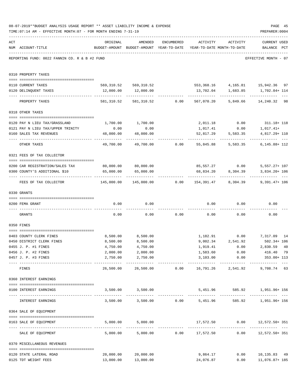|     | TIME: 07:14 AM - EFFECTIVE MONTH: 07 - FOR MONTH ENDING 7-31-19    |                                                                                 |                                             |            |                                    |                            | PREPARER: 0004                                              |  |
|-----|--------------------------------------------------------------------|---------------------------------------------------------------------------------|---------------------------------------------|------------|------------------------------------|----------------------------|-------------------------------------------------------------|--|
| ACT | NUM ACCOUNT-TITLE                                                  | ORIGINAL<br>BUDGET-AMOUNT BUDGET-AMOUNT YEAR-TO-DATE YEAR-TO-DATE MONTH-TO-DATE | AMENDED                                     | ENCUMBERED |                                    | ACTIVITY ACTIVITY          | CURRENT USED<br>BALANCE PCT                                 |  |
|     | REPORTING FUND: 0022 FANNIN CO. R & B #2 FUND                      |                                                                                 |                                             |            |                                    |                            | EFFECTIVE MONTH - 07                                        |  |
|     | 0310 PROPERTY TAXES                                                |                                                                                 |                                             |            |                                    |                            |                                                             |  |
|     | 0110 CURRENT TAXES                                                 |                                                                                 |                                             |            |                                    |                            | 569,310.52 569,310.52 553,368.16 4,165.81 15,942.36 97      |  |
|     | 0120 DELINQUENT TAXES                                              |                                                                                 | 12,000.00   12,000.00                       |            |                                    |                            | 13,702.04 1,683.85 1,702.04+114                             |  |
|     | PROPERTY TAXES                                                     |                                                                                 |                                             |            |                                    |                            | 581,310.52 581,310.52 0.00 567,070.20 5,849.66 14,240.32 98 |  |
|     | 0318 OTHER TAXES                                                   |                                                                                 |                                             |            |                                    |                            |                                                             |  |
|     |                                                                    |                                                                                 |                                             |            |                                    |                            |                                                             |  |
|     | 0120 PAY N LIEU TAX/GRASSLAND<br>0121 PAY N LIEU TAX/UPPER TRINITY | 0.00                                                                            | 1,700.00 1,700.00<br>0.00                   |            |                                    |                            | 2,011.18 0.00 311.18+118<br>$1,017.41+$                     |  |
|     | 0160 SALES TAX REVENUES                                            | 48,000.00                                                                       | 48,000.00                                   |            | 1,017.41                           | 0.00<br>52,817.29 5,583.35 | 4,817.29+ 110                                               |  |
|     | OTHER TAXES                                                        |                                                                                 | 49,700.00 49,700.00 0.00 55,845.88 5,583.35 |            |                                    |                            | . <u>.</u><br>$6, 145.88 + 112$                             |  |
|     | 0321 FEES OF TAX COLLECTOR                                         |                                                                                 |                                             |            |                                    |                            |                                                             |  |
|     |                                                                    |                                                                                 |                                             |            |                                    |                            |                                                             |  |
|     | 0200 CAR REGISTRATION/SALES TAX                                    | 80,000.00 80,000.00                                                             |                                             |            | 85, 557. 27 0.00                   |                            | $5,557.27+107$                                              |  |
|     | 0300 COUNTY'S ADDITIONAL \$10                                      | 65,000.00                                                                       | 65,000.00                                   |            | 68,834.20                          | 8,304.39                   | 3,834.20+ 106                                               |  |
|     | FEES OF TAX COLLECTOR                                              | $145,000.00$ $145,000.00$ $0.00$ $154,391.47$ $8,304.39$                        |                                             |            |                                    |                            | $9,391.47+106$                                              |  |
|     | 0330 GRANTS                                                        |                                                                                 |                                             |            |                                    |                            |                                                             |  |
|     | 0200 FEMA GRANT                                                    | 0.00                                                                            | 0.00                                        |            |                                    |                            | $0.00$ $0.00$ $0.00$ $0.00$                                 |  |
|     |                                                                    |                                                                                 |                                             |            |                                    |                            |                                                             |  |
|     | GRANTS                                                             | 0.00                                                                            |                                             |            | $0.00$ $0.00$ $0.00$ $0.00$ $0.00$ |                            | 0.00                                                        |  |
|     | 0350 FINES                                                         |                                                                                 |                                             |            |                                    |                            |                                                             |  |
|     | 0403 COUNTY CLERK FINES                                            |                                                                                 | 8,500.00 8,500.00                           |            |                                    |                            | 1,182.91 0.00 7,317.09 14                                   |  |
|     | 0450 DISTRICT CLERK FINES                                          | 8,500.00                                                                        | 8,500.00                                    |            |                                    | 9,002.34 2,541.92          | $502.34 + 106$                                              |  |
|     | 0455 J. P. #1 FINES                                                | 4,750.00                                                                        | 4,750.00                                    |            | 1,919.41                           | 0.00                       | 2,830.59 40                                                 |  |
|     | 0456 J. P. #2 FINES                                                | 2,000.00                                                                        | 2,000.00                                    |            | 1,583.60                           | 0.00                       | 416.40 79                                                   |  |
|     | 0457 J. P. #3 FINES                                                | 2,750.00                                                                        | 2,750.00<br>. <u>.</u>                      |            |                                    |                            | 3,103.00   0.00   353.00+ 113<br>-------------              |  |
|     | FINES                                                              | 26,500.00                                                                       |                                             |            |                                    |                            | 9,708.74 63                                                 |  |
|     | 0360 INTEREST EARNINGS                                             |                                                                                 |                                             |            |                                    |                            |                                                             |  |
|     | 0100 INTEREST EARNINGS                                             |                                                                                 | 3,500.00 3,500.00                           |            |                                    |                            | 5,451.96 585.92 1,951.96+156                                |  |
|     | INTEREST EARNINGS                                                  |                                                                                 |                                             |            |                                    |                            | 3,500.00 3,500.00 0.00 5,451.96 585.92 1,951.96 156         |  |
|     | 0364 SALE OF EQUIPMENT                                             |                                                                                 |                                             |            |                                    |                            |                                                             |  |
|     | --------------------------------------<br>0163 SALE OF EQUIPMENT   |                                                                                 | 5,000.00 5,000.00                           |            |                                    |                            | 17,572.50 0.00 12,572.50+351                                |  |
|     | SALE OF EQUIPMENT                                                  |                                                                                 |                                             |            |                                    |                            | 5,000.00 5,000.00 0.00 17,572.50 0.00 12,572.50 + 351       |  |
|     | 0370 MISCELLANEOUS REVENUES                                        |                                                                                 |                                             |            |                                    |                            |                                                             |  |
|     | 0120 STATE LATERAL ROAD                                            | 20,000.00                                                                       | 20,000.00                                   |            | 9,864.17                           |                            | $0.00$ 10,135.83 49                                         |  |
|     | 0125 TDT WEIGHT FEES                                               |                                                                                 | 13,000.00 13,000.00                         |            | 24,076.87                          |                            | $0.00$ 11,076.87+185                                        |  |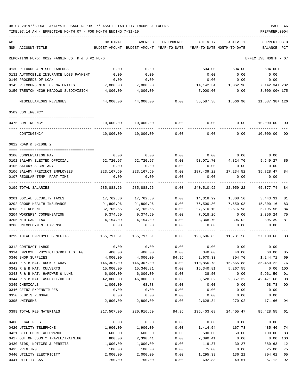| ACT<br>NUM ACCOUNT-TITLE                      | ORIGINAL<br>BUDGET-AMOUNT                                     | AMENDED<br>BUDGET-AMOUNT YEAR-TO-DATE | ENCUMBERED | ACTIVITY   | ACTIVITY<br>YEAR-TO-DATE MONTH-TO-DATE | <b>CURRENT USED</b><br>BALANCE | PCT      |
|-----------------------------------------------|---------------------------------------------------------------|---------------------------------------|------------|------------|----------------------------------------|--------------------------------|----------|
|                                               |                                                               |                                       |            |            |                                        |                                |          |
| REPORTING FUND: 0022 FANNIN CO. R & B #2 FUND |                                                               |                                       |            |            |                                        | EFFECTIVE MONTH - 07           |          |
| 0130 REFUNDS & MISCELLANEOUS                  | 0.00                                                          | 0.00                                  |            | 504.00     | 504.00                                 | $504.00+$                      |          |
| 0131 AUTOMOBILE INSURANCE LOSS PAYMENT        | 0.00                                                          | 0.00                                  |            | 0.00       | 0.00                                   | 0.00                           |          |
| 0140 PROCEEDS OF LOAN                         | 0.00                                                          | 0.00                                  |            | 0.00       | 0.00                                   | 0.00                           |          |
| 0145 REIMBURSEMENT OF MATERIALS               | 7,000.00                                                      | 7,000.00                              |            | 14,142.34  | 1,062.90                               | 7,142.34+202                   |          |
| 0150 TRENTON HIGH MEADOWS SUBDIVISION         | 4,000.00                                                      | 4,000.00                              |            | 7,000.00   | 0.00                                   | 3,000.00+ 175                  |          |
| MISCELLANEOUS REVENUES                        | 44,000.00                                                     | 44,000.00                             | 0.00       | 55,587.38  | 1,566.90                               | 11,587.38+ 126                 |          |
| 0509 CONTINGENCY                              |                                                               |                                       |            |            |                                        |                                |          |
| 0475 CONTINGENCY                              | 10,000.00                                                     | 10,000.00                             | 0.00       | 0.00       | 0.00                                   | 10,000.00 00                   |          |
|                                               |                                                               |                                       |            |            |                                        |                                |          |
| CONTINGENCY                                   | 10,000.00                                                     | 10,000.00                             | 0.00       | 0.00       | 0.00                                   | 10,000.00                      | 00       |
| 0622 ROAD & BRIDGE 2                          |                                                               |                                       |            |            |                                        |                                |          |
| 0100 COMPENSATION PAY                         | 0.00                                                          | 0.00                                  | 0.00       |            | $0.00$ 0.00                            | 0.00                           |          |
| 0101 SALARY ELECTED OFFICIAL                  | 62,720.97                                                     | 62,720.97                             | 0.00       | 53,071.70  | 4,824.70 9,649.27                      |                                | 85       |
| 0105 SALARY SECRETARY                         | 0.00                                                          | 0.00                                  | 0.00       | 0.00       | 0.00                                   | 0.00                           |          |
| 0106 SALARY PRECINCT EMPLOYEES                | 223,167.69                                                    | 223, 167.69                           | 0.00       | 187,439.22 | 17,234.52                              | 35,728.47                      | 84       |
| 0107 REGULAR-TEMP. PART-TIME                  | 0.00                                                          | 0.00                                  | 0.00       | 0.00       | 0.00                                   | 0.00                           |          |
| 0199 TOTAL SALARIES                           | 285,888.66                                                    | 285,888.66                            | 0.00       | 240,510.92 | 22,059.22                              | 45,377.74                      | 84       |
| 0201 SOCIAL SECURITY TAXES                    | 17,762.30                                                     | 17,762.30                             | 0.00       | 14,318.99  | 1,308.50                               | 3,443.31                       | 81       |
| 0202 GROUP HEALTH INSURANCE                   | 91,800.96                                                     | 91,800.96                             | 0.00       | 76,500.80  | 7,650.08                               | 15,300.16                      | 83       |
| 0203 RETIREMENT                               | 32,705.66                                                     | 32,705.66                             | 0.00       | 27,510.10  | 2,516.98                               | 5,195.56                       | 84       |
| 0204 WORKERS' COMPENSATION                    | 9,374.50                                                      | 9,374.50                              | 0.00       | 7,018.26   | 0.00                                   | 2,356.24                       | 75       |
| 0205 MEDICARE TAX                             | 4,154.09                                                      | 4,154.09                              | 0.00       | 3,348.70   | 306.02                                 | 805.39                         | 81       |
| 0206 UNEMPLOYMENT EXPENSE                     | 0.00                                                          | 0.00                                  | 0.00       | 0.00       | 0.00                                   | 0.00                           |          |
| 0299 TOTAL EMPLOYEE BENEFITS                  | 155,797.51                                                    | 155,797.51                            | 0.00       | 128,696.85 | 11,781.58                              | 27,100.66                      | 83       |
| 0312 CONTRACT LABOR                           | 0.00                                                          | 0.00                                  | 0.00       | 0.00       | 0.00                                   | 0.00                           |          |
| 0314 EMPLOYEE PHYSICALS/DOT TESTING           | 400.00                                                        | 400.00                                | 0.00       | 340.00     | 40.00                                  | 60.00                          | 85       |
| 0340 SHOP SUPPLIES                            |                                                               | $4,000.00$ $4,000.00$                 | 84.96      |            | 2,670.33 304.70                        | 1,244.71                       | 69       |
| 0341 R & B MAT. ROCK & GRAVEL                 | 146,307.00                                                    | 146,307.00                            | 0.00       | 110,856.78 |                                        | 15,665.88 35,450.22 76         |          |
| 0342 R & B MAT. CULVERTS                      | 15,000.00                                                     | 15,340.81                             | 0.00       | 15,340.81  | 5,267.55                               |                                | 0.00 100 |
| 0343 R & B MAT. HARDWRE & LUMB                | 6,000.00                                                      | 6,000.00                              | 0.00       | 38.50      | $0.00$ 5,961.50                        |                                | 01       |
| 0344 R & B MAT. ASPHALT/RD OIL 42,000.00      |                                                               | 46,000.00                             | 0.00       | 3,528.32   | 2,857.32 42,471.68 08                  |                                |          |
| 0345 CHEMICALS                                | 1,000.00                                                      | 68.78                                 | 0.00       | 0.00       | 0.00                                   | 68.78                          | $00\,$   |
| 0346 CETRZ EXPENDITURES                       | 0.00                                                          | 0.00                                  | 0.00       | 0.00       | 0.00                                   | 0.00                           |          |
| 0350 DEBRIS REMOVAL                           | 0.00                                                          | 0.00                                  | 0.00       | 0.00       | 0.00                                   | 0.00                           |          |
| 0395 UNIFORMS                                 | 2,800.00                                                      | 2,800.00                              | 0.00       | 2,628.34   | 270.02                                 | 171.66 94                      |          |
| 0399 TOTAL R&B MATERIALS                      | 217,507.00 220,916.59 84.96 135,403.08 24,405.47 85,428.55 61 |                                       |            |            |                                        |                                |          |
| 0400 LEGAL FEES                               | 0.00                                                          | 0.00                                  | 0.00       | 0.00       | 0.00                                   | 0.00                           |          |
| 0420 UTILITY TELEPHONE                        | 1,900.00                                                      | 1,900.00                              | 0.00       | 1,414.54   | 167.73                                 | 485.46 74                      |          |
| 0421 CELL PHONE ALLOWANCE                     | 600.00                                                        | 600.00                                | 0.00       | 500.00     | 50.00                                  | 100.00 83                      |          |
| 0427 OUT OF COUNTY TRAVEL/TRAINING            | 800.00                                                        | 2,390.41                              | 0.00       | 2,390.41   | 0.00                                   | $0.00$ 100                     |          |
| 0430 BIDS, NOTICES & PERMITS                  | 1,000.00                                                      | 1,000.00                              | 0.00       | 119.37     | 30.27                                  | 880.63                         | 12       |
| 0435 PRINTING                                 | 100.00                                                        | 100.00                                | 0.00       | 75.00      | 0.00                                   | 25.00                          | 75       |
| 0440 UTILITY ELECTRICITY                      | 2,000.00                                                      | 2,000.00                              | 0.00       | 1,295.39   | 136.21                                 | 704.61                         | 65       |
| 0441 UTILITY GAS                              | 750.00                                                        | 750.00                                | 0.00       | 692.88     | 49.51                                  | 57.12                          | 92       |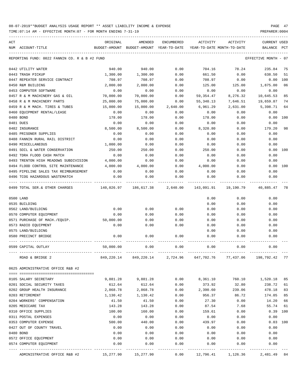| ACT |                                                  | ORIGINAL     | AMENDED                                  | <b>ENCUMBERED</b> | <b>ACTIVITY</b>            | ACTIVITY     | CURRENT USED            |     |
|-----|--------------------------------------------------|--------------|------------------------------------------|-------------------|----------------------------|--------------|-------------------------|-----|
|     | NUM ACCOUNT-TITLE                                |              | BUDGET-AMOUNT BUDGET-AMOUNT YEAR-TO-DATE |                   | YEAR-TO-DATE MONTH-TO-DATE |              | <b>BALANCE</b>          | PCT |
|     |                                                  |              |                                          |                   |                            |              |                         |     |
|     | REPORTING FUND: 0022 FANNIN CO. R & B #2 FUND    |              |                                          |                   |                            |              | EFFECTIVE MONTH - 07    |     |
|     | 0442 UTILITY WATER                               | 940.00       | 940.00                                   | 0.00              | 704.16                     | 78.24        | 235.84                  | 75  |
|     | 0443 TRASH PICKUP                                | 1,300.00     | 1,300.00                                 | 0.00              | 661.50                     | 0.00         | 638.50                  | 51  |
|     | 0447 REPEATER SERVICE CONTRACT                   | 708.97       | 708.97                                   | 0.00              | 708.97                     | 0.00         | 0.00                    | 100 |
|     | 0450 R&M BUILDING                                | 2,000.00     | 2,000.00                                 | 0.00              | 125.00                     | 125.00       | 1,875.00                | 06  |
|     | 0453 COMPUTER SOFTWARE                           | 0.00         | 0.00                                     | 0.00              | 0.00                       | 0.00         | 0.00                    |     |
|     | 0457 R & M MACHINERY GAS & OIL                   | 70,000.00    | 70,000.00                                | 0.00              | 59, 354.47                 | 8,276.32     | 10,645.53               | 85  |
|     | 0458 R & M MACHINERY PARTS                       | 25,000.00    | 75,000.00                                | 0.00              | 55,340.13                  | 7,646.51     | 19,659.87               | 74  |
|     | 0459 R & M MACH. TIRES & TUBES                   | 15,000.00    | 15,000.00                                | 2,640.00          | 6,961.29                   | 2,631.00     | 5,398.71                | 64  |
|     | 0460 EQUIPMENT RENTAL/LEASE                      | 0.00         | 0.00                                     | 0.00              | 0.00                       | 0.00         | 0.00                    |     |
|     | 0480 BOND                                        | 178.00       | 178.00                                   | 0.00              | 178.00                     | 0.00         | 0.00                    | 100 |
|     | 0481 DUES                                        | 0.00         | 0.00                                     | 0.00              | 0.00                       | 0.00         | 0.00                    |     |
|     | 0482 INSURANCE                                   | 8,500.00     | 8,500.00                                 | 0.00              | 8,320.80                   | 0.00         | 179.20                  | 98  |
|     | 0485 PRISONER SUPPLIES                           | 0.00         | 0.00                                     | 0.00              | 0.00                       | 0.00         | 0.00                    |     |
|     | 0488 FANNIN RURAL RAIL DISTRICT                  | 0.00         | 0.00                                     | 0.00              | 0.00                       | 0.00         | 0.00                    |     |
|     | 0490 MISCELLANEOUS                               | 1,000.00     | 0.00                                     | 0.00              | 0.00                       | 0.00         | 0.00                    |     |
|     | 0491 SOIL & WATER CONSERVATION                   | 250.00       | 250.00                                   | 0.00              | 250.00                     | 0.00         | 0.00                    | 100 |
|     | 0492 TDRA FLOOD CASH MATCH                       | 0.00         | 0.00                                     | 0.00              | 0.00                       | 0.00         | 0.00                    |     |
|     | 0493 TRENTON HIGH MEADOWS SUBDIVISION            | 4,000.00     | 0.00                                     | 0.00              | 0.00                       | 0.00         | 0.00                    |     |
|     | 0494 FLOOD CONTROL SITE MAINTENANCE              | 4,000.00     | 4,000.00                                 | 0.00              | 4,000.00                   | 0.00         | 0.00                    | 100 |
|     | 0495 PIPELINE SALES TAX REIMBURSEMENT            | 0.00         | 0.00                                     | 0.00              | 0.00                       | 0.00         | 0.00                    |     |
|     | 0496 TCOG HAZARDOUS WASTEMATCH                   | 0.00         | 0.00                                     | 0.00              | 0.00                       | 0.00         | 0.00                    |     |
|     | 0499 TOTAL SER.& OTHER CHARGES                   |              |                                          |                   | 143,091.91                 | 19,190.79    | 40,885.47               | 78  |
|     | 0500 LAND                                        |              |                                          |                   | 0.00                       | 0.00         | 0.00                    |     |
|     | 0535 BUILDING                                    |              |                                          |                   | 0.00                       | 0.00         | 0.00                    |     |
|     | 0562 LAND/BUILDING                               | 0.00         | 0.00                                     | 0.00              | 0.00                       | 0.00         | 0.00                    |     |
|     | 0570 COMPUTER EQUIPMENT                          | 0.00         | 0.00                                     | 0.00              | 0.00                       | 0.00         | 0.00                    |     |
|     | 0571 PURCHASE OF MACH./EQUIP.                    | 50,000.00    | 0.00                                     | 0.00              | 0.00                       | 0.00         | 0.00                    |     |
|     | 0573 RADIO EQUIPMENT                             | 0.00         | 0.00                                     | 0.00              | 0.00                       | 0.00         | 0.00                    |     |
|     | 0575 LAND/BUILDING                               |              |                                          |                   | 0.00                       | 0.00         | 0.00                    |     |
|     | 0580 PRECINCT BRIDGE                             | 0.00         | 0.00                                     | 0.00              | 0.00                       | 0.00         | 0.00                    |     |
|     | 0599 CAPITAL OUTLAY                              | 50,000.00    | 0.00                                     | 0.00              | 0.00                       | 0.00         | 0.00                    |     |
|     | ROAD & BRIDGE 2                                  |              | 849, 220. 14 849, 220. 14                | 2,724.96          | 647,702.76                 |              | 77,437.06 198,792.42 77 |     |
|     | 0625 ADMINISTRATIVE OFFICE R&B #2                |              |                                          |                   |                            |              |                         |     |
|     | 0105 SALARY SECRETARY                            | 9,881.28     | 9,881.28                                 | 0.00              | 8,361.10                   | 760.10       | 1,520.18                | 85  |
|     | 0201 SOCIAL SECURITY TAXES                       | 612.64       | 612.64                                   | 0.00              | 373.92                     | 32.80        | 238.72                  | 61  |
|     | 0202 GROUP HEALTH INSURANCE                      | 2,868.78     | 2,868.78                                 | 0.00              | 2,390.60                   | 239.06       | 478.18                  | 83  |
|     | 0203 RETIREMENT                                  | 1,130.42     | 1,130.42                                 | 0.00              | 956.37                     | 86.72        | 174.05                  | 85  |
|     |                                                  |              |                                          |                   |                            | 0.00         |                         | 66  |
|     | 0204 WORKERS' COMPENSATION                       | 41.50        | 41.50                                    | 0.00              | 27.30                      |              | 14.20                   |     |
|     | 0205 MEDICARE TAX<br>0310 OFFICE SUPPLIES        | 143.28       | 143.28                                   | 0.00              | 87.54                      | 7.68         | 55.74                   | 61  |
|     |                                                  | 100.00       | 160.00                                   | 0.00              | 159.61                     | 0.00         | 0.39                    | 100 |
|     | 0311 POSTAL EXPENSES                             | 0.00         | 0.00                                     | 0.00              | 0.00                       | 0.00         | 0.00                    |     |
|     | 0353 COMPUTER EXPENSE                            | 500.00       | 440.00                                   | 0.00              | 439.97                     | 0.00         | 0.03                    | 100 |
|     | 0427 OUT OF COUNTY TRAVEL                        | 0.00         | 0.00                                     | 0.00              | 0.00                       | 0.00         | 0.00                    |     |
|     | 0480 BOND                                        | 0.00         | 0.00                                     | 0.00              | 0.00                       | 0.00         | 0.00                    |     |
|     | 0572 OFFICE EQUIPMENT<br>0574 COMPUTER EQUIPMENT | 0.00<br>0.00 | 0.00<br>0.00                             | 0.00<br>0.00      | 0.00<br>0.00               | 0.00<br>0.00 | 0.00<br>0.00            |     |
|     |                                                  |              |                                          |                   |                            |              |                         |     |
|     | ADMINISTRATIVE OFFICE R&B #2                     | 15,277.90    | 15,277.90                                | 0.00              | 12,796.41                  | 1,126.36     | 2,481.49                | 84  |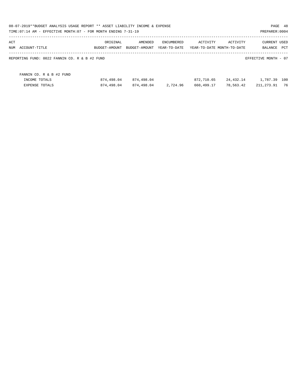| 08-07-2019**BUDGET ANALYSIS USAGE REPORT ** ASSET LIABILITY INCOME & EXPENSE<br>TIME: 07:14 AM - EFFECTIVE MONTH: 07 - FOR MONTH ENDING 7-31-19 |               |               |              |            |                            | PAGE 48<br>PREPARER: 0004 |      |
|-------------------------------------------------------------------------------------------------------------------------------------------------|---------------|---------------|--------------|------------|----------------------------|---------------------------|------|
| ACT                                                                                                                                             | ORIGINAL      | AMENDED       | ENCUMBERED   | ACTIVITY   | ACTIVITY                   | <b>CURRENT USED</b>       |      |
| NUM ACCOUNT-TITLE                                                                                                                               | BUDGET-AMOUNT | BUDGET-AMOUNT | YEAR-TO-DATE |            | YEAR-TO-DATE MONTH-TO-DATE | BALANCE                   | PCT  |
| REPORTING FUND: 0022 FANNIN CO. R & B #2 FUND                                                                                                   |               |               |              |            |                            | EFFECTIVE MONTH - 07      |      |
| FANNIN CO. R & B #2 FUND                                                                                                                        |               |               |              |            |                            |                           |      |
| INCOME TOTALS                                                                                                                                   | 874,498.04    | 874,498.04    |              | 872,710.65 | 24,432.14                  | 1,787.39                  | 100  |
| EXPENSE TOTALS                                                                                                                                  | 874,498.04    | 874,498.04    | 2,724.96     | 660,499.17 | 78,563.42                  | 211,273.91                | - 76 |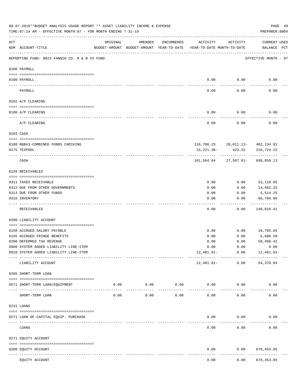|           | 08-07-2019**BUDGET ANALYSIS USAGE REPORT ** ASSET LIABILITY INCOME & EXPENSE<br>TIME: 07:14 AM - EFFECTIVE MONTH: 07 - FOR MONTH ENDING 7-31-19 |                                                                                 |                     |               |              |                      | PREPARER: 0004                   | PAGE 49 |
|-----------|-------------------------------------------------------------------------------------------------------------------------------------------------|---------------------------------------------------------------------------------|---------------------|---------------|--------------|----------------------|----------------------------------|---------|
| ACT       | NUM ACCOUNT-TITLE                                                                                                                               | ORIGINAL<br>BUDGET-AMOUNT BUDGET-AMOUNT YEAR-TO-DATE YEAR-TO-DATE MONTH-TO-DATE | AMENDED             | ENCUMBERED    | ACTIVITY     | ACTIVITY             | CURRENT USED<br>BALANCE PCT      |         |
|           | REPORTING FUND: 0023 FANNIN CO. R & B #3 FUND                                                                                                   |                                                                                 |                     |               |              |                      | EFFECTIVE MONTH - 07             |         |
|           | 0100 PAYROLL                                                                                                                                    |                                                                                 |                     |               |              |                      |                                  |         |
|           | 0100 PAYROLL                                                                                                                                    |                                                                                 |                     |               |              | $0.00$ 0.00          | 0.00                             |         |
| ---- ---- | PAYROLL                                                                                                                                         |                                                                                 |                     |               | 0.00         | 0.00                 | 0.00                             |         |
|           | 0102 A/P CLEARING                                                                                                                               |                                                                                 |                     |               |              |                      |                                  |         |
|           | 0100 A/P CLEARING                                                                                                                               |                                                                                 |                     |               | 0.00         | 0.00                 | 0.00                             |         |
|           | A/P CLEARING                                                                                                                                    |                                                                                 |                     |               | 0.00         | 0.00                 | 0.00                             |         |
|           | 0103 CASH                                                                                                                                       |                                                                                 |                     |               |              |                      |                                  |         |
|           |                                                                                                                                                 |                                                                                 |                     |               |              |                      |                                  |         |
|           | 0100 R&B#3-COMBINED FUNDS CHECKING                                                                                                              |                                                                                 |                     |               |              |                      | 116,786.23 28,011.13- 482,134.91 |         |
|           | 0175 TEXPOOL                                                                                                                                    |                                                                                 |                     |               | 15,221.39-   | 423.32               | 216,724.22                       |         |
|           | CASH                                                                                                                                            |                                                                                 |                     |               |              | -----------          | 101,564.84 27,587.81- 698,859.13 |         |
|           | 0120 RECEIVABLES                                                                                                                                |                                                                                 |                     |               |              |                      |                                  |         |
|           | 0311 TAXES RECEIVABLE                                                                                                                           |                                                                                 |                     |               | 0.00         | 0.00                 | 53,118.05                        |         |
|           | 0312 DUE FROM OTHER GOVERNMENTS                                                                                                                 |                                                                                 |                     |               | 0.00         | 0.00                 | 14,682.25                        |         |
|           | 0313 DUE FROM OTHER FUNDS                                                                                                                       |                                                                                 |                     |               | 0.00         | 0.00                 | 5,514.25                         |         |
|           | 0315 INVENTORY                                                                                                                                  |                                                                                 |                     |               | 0.00         | 0.00                 | 66,704.86                        |         |
|           |                                                                                                                                                 |                                                                                 |                     |               |              |                      | ----------                       |         |
|           | RECEIVABLES                                                                                                                                     |                                                                                 |                     |               | 0.00         | 0.00                 | 140,019.41                       |         |
|           | 0200 LIABILITY ACCOUNT                                                                                                                          |                                                                                 |                     |               |              |                      |                                  |         |
|           | 0150 ACCRUED SALARY PAYABLE                                                                                                                     |                                                                                 |                     |               | 0.00         |                      | $0.00$ 10,785.65                 |         |
|           | 0155 ACCRUED FRINGE BENEFITS                                                                                                                    |                                                                                 |                     |               |              | 0.00                 | 5,606.58                         |         |
|           | 0200 DEFERRED TAX REVENUE                                                                                                                       |                                                                                 |                     |               | 0.00<br>0.00 | 0.00                 | 50,468.42                        |         |
|           | 0900 SYSTEM ADDED LIABILITY LINE-ITEM                                                                                                           |                                                                                 |                     |               | 0.00         | 0.00                 | 0.00                             |         |
|           | 0910 SYSTEM ADDED LIABILITY LINE-ITEM                                                                                                           |                                                                                 |                     |               | 12,481.81-   | 0.00                 | 12,481.81-                       |         |
|           | LIABILITY ACCOUNT                                                                                                                               |                                                                                 |                     |               | 12,481.81-   | ------------<br>0.00 | 54, 378.84                       |         |
|           | 0205 SHORT-TERM LOAN                                                                                                                            |                                                                                 |                     |               |              |                      |                                  |         |
|           |                                                                                                                                                 |                                                                                 |                     |               |              |                      |                                  |         |
|           | 0571 SHORT-TERM LOAN/EQUIPMENT                                                                                                                  | 0.00                                                                            | 0.00<br>$- - - - -$ | 0.00<br>----- | 0.00         | 0.00                 | 0.00                             |         |
|           | SHORT-TERM LOAN                                                                                                                                 | 0.00                                                                            | 0.00                | 0.00          | 0.00         | 0.00                 | 0.00                             |         |
|           | 0231 LOANS                                                                                                                                      |                                                                                 |                     |               |              |                      |                                  |         |
|           | 0571 LOAN OF CAPITAL EQUIP. PURCHASE                                                                                                            |                                                                                 |                     |               | 0.00         | 0.00                 | 0.00                             |         |
|           | LOANS                                                                                                                                           |                                                                                 |                     |               | 0.00         | 0.00                 | 0.00                             |         |
|           | 0271 EQUITY ACCOUNT                                                                                                                             |                                                                                 |                     |               |              |                      |                                  |         |
|           | 0200 EQUITY ACCOUNT                                                                                                                             |                                                                                 |                     |               | 0.00         | 0.00                 | 670,453.05                       |         |
|           | ---- -----------<br>EQUITY ACCOUNT                                                                                                              |                                                                                 |                     |               | 0.00         | 0.00                 | .<br>670, 453.05                 |         |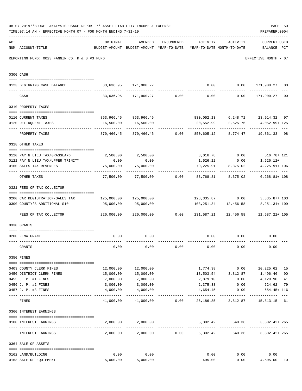|     | 08-07-2019**BUDGET ANALYSIS USAGE REPORT ** ASSET LIABILITY INCOME & EXPENSE<br>TIME: 07:14 AM - EFFECTIVE MONTH: 07 - FOR MONTH ENDING 7-31-19 |                                                                                                              |                                                       |               |          |                              | PAGE 50<br>PREPARER: 0004                                  |                |
|-----|-------------------------------------------------------------------------------------------------------------------------------------------------|--------------------------------------------------------------------------------------------------------------|-------------------------------------------------------|---------------|----------|------------------------------|------------------------------------------------------------|----------------|
| ACT | NUM ACCOUNT-TITLE                                                                                                                               | ORIGINAL<br>BUDGET-AMOUNT BUDGET-AMOUNT YEAR-TO-DATE YEAR-TO-DATE MONTH-TO-DATE                              | AMENDED                                               |               |          | ENCUMBERED ACTIVITY ACTIVITY | <b>CURRENT USED</b><br>BALANCE PCT                         |                |
|     | REPORTING FUND: 0023 FANNIN CO. R & B #3 FUND                                                                                                   |                                                                                                              |                                                       |               |          |                              | EFFECTIVE MONTH - 07                                       |                |
|     | 0300 CASH                                                                                                                                       |                                                                                                              |                                                       |               |          |                              |                                                            |                |
|     | 0123 BEGINNING CASH BALANCE                                                                                                                     |                                                                                                              | 33,636.95 171,900.27                                  |               |          |                              | $0.00$ $0.00$ $171,900.27$ 00                              |                |
|     | CASH                                                                                                                                            |                                                                                                              |                                                       |               |          |                              | $33,636.95$ $171,900.27$ $0.00$ $0.00$ $0.00$ $171,900.27$ | 0 <sub>0</sub> |
|     | 0310 PROPERTY TAXES                                                                                                                             |                                                                                                              |                                                       |               |          |                              |                                                            |                |
|     |                                                                                                                                                 |                                                                                                              |                                                       |               |          |                              |                                                            |                |
|     | 0110 CURRENT TAXES                                                                                                                              |                                                                                                              | 853,966.45 853,966.45                                 |               |          |                              | 830,052.13 6,248.71 23,914.32 97                           |                |
|     | 0120 DELINQUENT TAXES                                                                                                                           |                                                                                                              | 16,500.00 16,500.00                                   |               |          |                              | 20,552.99 2,525.76 4,052.99+125<br>-------------           |                |
|     | PROPERTY TAXES                                                                                                                                  | 870,466.45                                                                                                   |                                                       |               |          |                              | 870,466.45   0.00   850,605.12   8,774.47   19,861.33   98 |                |
|     | 0318 OTHER TAXES                                                                                                                                |                                                                                                              |                                                       |               |          |                              |                                                            |                |
|     | 0120 PAY N LIEU TAX/GRASSLAND                                                                                                                   |                                                                                                              | 2,500.00 2,500.00                                     |               |          |                              | $3,016.78$ 0.00 516.78+ 121                                |                |
|     | 0121 PAY N LIEU TAX/UPPER TRINITY                                                                                                               | 0.00                                                                                                         | 0.00                                                  |               |          |                              | $1,526.12$ 0.00 $1,526.12+$                                |                |
|     | 0160 SALES TAX REVENUES                                                                                                                         | 75,000.00                                                                                                    | 75,000.00                                             |               |          | 79,225.91 8,375.02           | 4, 225. 91+ 106                                            |                |
|     | OTHER TAXES                                                                                                                                     | ---------                                                                                                    | 77,500.00   77,500.00     0.00   83,768.81   8,375.02 |               |          |                              | $6,268.81+108$                                             |                |
|     | 0321 FEES OF TAX COLLECTOR                                                                                                                      |                                                                                                              |                                                       |               |          |                              |                                                            |                |
|     | 0200 CAR REGISTRATION/SALES TAX 125,000.00 125,000.00                                                                                           |                                                                                                              |                                                       |               |          |                              | 128,335.87   0.00   3,335.87+ 103                          |                |
|     | 0300 COUNTY'S ADDITIONAL \$10                                                                                                                   | 95,000.00                                                                                                    | 95,000.00                                             |               |          | 103, 251.34 12, 456.58       | 8,251.34+ 109                                              |                |
|     | FEES OF TAX COLLECTOR                                                                                                                           | -------------- --------------<br>220,000.00   220,000.00      0.00   231,587.21   12,456.58   11,587.21+ 105 |                                                       |               |          |                              | --------------                                             |                |
|     | 0330 GRANTS                                                                                                                                     |                                                                                                              |                                                       |               |          |                              |                                                            |                |
|     |                                                                                                                                                 |                                                                                                              |                                                       |               |          |                              |                                                            |                |
|     | 0200 FEMA GRANT<br>------------------- ------------                                                                                             | 0.00                                                                                                         | 0.00                                                  |               |          |                              | $0.00$ 0.00 0.00<br>-------------                          |                |
|     | GRANTS                                                                                                                                          | 0.00                                                                                                         | 0.00                                                  | 0.00          | 0.00     | 0.00                         | 0.00                                                       |                |
|     | 0350 FINES                                                                                                                                      |                                                                                                              |                                                       |               |          |                              |                                                            |                |
|     | 0403 COUNTY CLERK FINES                                                                                                                         | 12,000.00                                                                                                    | 12,000.00                                             |               |          |                              | 1,774.38 0.00 10,225.62                                    | 15             |
|     | 0450 DISTRICT CLERK FINES                                                                                                                       | 15,000.00                                                                                                    | 15,000.00                                             |               |          |                              | 13,503.54 3,812.87 1,496.46                                | 90             |
|     | 0455 J. P. #1 FINES                                                                                                                             | 7,000.00                                                                                                     | 7,000.00                                              |               | 2,879.10 | 0.00                         | 4,120.90                                                   | 41             |
|     | 0456 J. P. #2 FINES                                                                                                                             | 3,000.00                                                                                                     | 3,000.00                                              |               | 2,375.38 | 0.00                         | 624.62                                                     | 79             |
|     | 0457 J. P. #3 FINES                                                                                                                             | 4,000.00                                                                                                     | 4,000.00                                              |               | 4,654.45 | 0.00                         | 654.45+ 116                                                |                |
|     | FINES                                                                                                                                           |                                                                                                              | 41,000.00 41,000.00 0.00 25,186.85 3,812.87           |               |          |                              | 15,813.15 61                                               |                |
|     | 0360 INTEREST EARNINGS                                                                                                                          |                                                                                                              |                                                       |               |          |                              |                                                            |                |
|     | 0100 INTEREST EARNINGS                                                                                                                          |                                                                                                              | 2,000.00 2,000.00                                     |               |          | 5,302.42 540.36              | $3,302.42+265$                                             |                |
|     | INTEREST EARNINGS                                                                                                                               | 2,000.00                                                                                                     |                                                       | 2,000.00 0.00 | 5,302.42 | -------------<br>540.36      | $\frac{1}{2}$<br>$3,302.42+265$                            |                |
|     | 0364 SALE OF ASSETS                                                                                                                             |                                                                                                              |                                                       |               |          |                              |                                                            |                |
|     |                                                                                                                                                 |                                                                                                              |                                                       |               |          |                              |                                                            |                |
|     | 0162 LAND/BUILDING                                                                                                                              | 0.00                                                                                                         | 0.00                                                  |               | 0.00     | 0.00                         | 0.00                                                       |                |
|     | 0163 SALE OF EQUIPMENT                                                                                                                          | 5,000.00                                                                                                     | 5,000.00                                              |               | 495.00   |                              | 0.00<br>4,505.00                                           | 10             |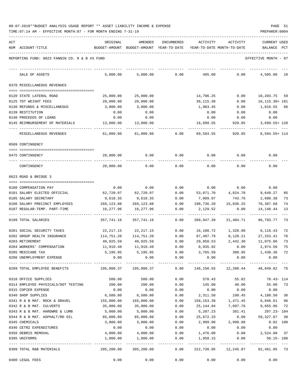| ACT |                                                       | ORIGINAL              | AMENDED                    | <b>ENCUMBERED</b> | ACTIVITY                   | ACTIVITY           | <b>CURRENT USED</b>                        |              |
|-----|-------------------------------------------------------|-----------------------|----------------------------|-------------------|----------------------------|--------------------|--------------------------------------------|--------------|
|     | NUM ACCOUNT-TITLE                                     | BUDGET-AMOUNT         | BUDGET-AMOUNT YEAR-TO-DATE |                   | YEAR-TO-DATE MONTH-TO-DATE |                    | BALANCE                                    | $_{\rm PCT}$ |
|     | REPORTING FUND: 0023 FANNIN CO. R & B #3 FUND         |                       |                            |                   |                            |                    | EFFECTIVE MONTH - 07                       |              |
|     | SALE OF ASSETS                                        | 5,000.00              | 5,000.00                   | 0.00              | 495.00                     | 0.00               | 4,505.00                                   | 10           |
|     | 0370 MISCELLANEOUS REVENUES                           |                       |                            |                   |                            |                    |                                            |              |
|     | 0120 STATE LATERAL ROAD                               | 25,000.00             | 25,000.00                  |                   | 14,796.25                  | 0.00               | 10,203.75                                  | 59           |
|     | 0125 TDT WEIGHT FEES                                  | 20,000.00             | 20,000.00                  |                   | 36, 115.30                 | 0.00               | 16, 115. 30+ 181                           |              |
|     | 0130 REFUNDS & MISCELLANEOUS                          | 3,000.00              | 3,000.00                   |                   | 1,983.45                   | 0.00               | 1,016.55                                   | 66           |
|     | 0139 RESTITUTION                                      | 0.00                  | 0.00                       |                   | 0.00                       | 0.00               | 0.00                                       |              |
|     | 0140 PROCEEDS OF LOANS                                | 0.00                  | 0.00                       |                   | 0.00                       | 0.00               | 0.00                                       |              |
|     | 0145 REIMBURSEMENT OF MATERIALS                       | 13,000.00             | 13,000.00                  |                   | 16,699.55                  | 920.95             | $3,699.55+128$                             |              |
|     | MISCELLANEOUS REVENUES                                | 61,000.00             | 61,000.00                  | 0.00              | 69,594.55                  | 920.95             | 8,594.55+ 114                              |              |
|     | 0509 CONTINGENCY                                      |                       |                            |                   |                            |                    |                                            |              |
|     | 0475 CONTINGENCY                                      | 20,000.00             | 0.00                       | 0.00              | 0.00                       | 0.00               | 0.00                                       |              |
|     | CONTINGENCY                                           | 20,000.00             | 0.00                       | 0.00              | 0.00                       | 0.00               | 0.00                                       |              |
|     | 0623 ROAD & BRIDGE 3                                  |                       |                            |                   |                            |                    |                                            |              |
|     |                                                       |                       |                            |                   |                            |                    |                                            |              |
|     | 0100 COMPENSATION PAY                                 | 0.00                  | 0.00                       | 0.00              | 0.00                       | 0.00               | 0.00                                       | 85           |
|     | 0101 SALARY ELECTED OFFICIAL<br>0105 SALARY SECRETARY | 62,720.97<br>9,618.35 | 62,720.97<br>9,618.35      | 0.00<br>0.00      | 53,071.70<br>7,009.97      | 4,824.70<br>743.76 | 9,649.27<br>2,608.38                       | 73           |
|     | 0106 SALARY PRECINCT EMPLOYEES                        | 269,123.88            | 269,123.88                 | 0.00              | 198,736.20                 | 15,836.25          | 70,387.68                                  | 74           |
|     | 0107 REGULAR-TEMP. PART-TIME                          | 16,277.96             | 16,277.96                  | 0.00              | 2,129.52                   | 0.00               | 14,148.44                                  | 13           |
|     | 0199 TOTAL SALARIES                                   | 357,741.16            | 357,741.16                 | 0.00              | 260,947.39                 | 21,404.71          | 96,793.77                                  | 73           |
|     |                                                       |                       |                            |                   |                            |                    |                                            |              |
|     | 0201 SOCIAL SECURITY TAXES                            | 22,217.15             | 22, 217.15                 | 0.00              | 16,100.72                  | 1,320.98           | 6,116.43                                   | 72           |
|     | 0202 GROUP HEALTH INSURANCE                           | 114,751.20            | 114,751.20                 | 0.00              | 87,497.79                  | 8,128.21           | 27, 253.41                                 | 76           |
|     | 0203 RETIREMENT                                       | 40,925.59             | 40,925.59                  | 0.00              | 29,850.53                  | 2,442.30           | 11,075.06                                  | 73           |
|     | 0204 WORKERS' COMPENSATION<br>0205 MEDICARE TAX       | 11,910.48<br>5,195.95 | 11,910.48<br>5,195.95      | 0.00<br>0.00      | 8,935.92<br>3,765.59       | 0.00<br>308.95     | 2,974.56<br>1,430.36                       | 75<br>72     |
|     | 0206 UNEMPLOYMENT EXPENSE                             | 0.00                  | 0.00                       | 0.00              | 0.00                       | 0.00               | 0.00                                       |              |
|     | 0299 TOTAL EMPLOYEE BENEFITS                          | 195,000.37            | 195,000.37                 | 0.00              |                            |                    | 146, 150.55   12, 200.44   48, 849.82   75 |              |
|     |                                                       |                       |                            |                   |                            |                    |                                            |              |
|     | 0310 OFFICE SUPPLIES                                  | 500.00                | 500.00                     | 0.00              | 570.43                     | 55.82              | 70.43- 114                                 |              |
|     | 0314 EMPLOYEE PHYSICALS/DOT TESTING                   | 200.00                | 200.00                     | 0.00              | 145.00                     | 40.00              | 55.00                                      | 73           |
|     | 0315 COPIER EXPENSE                                   | 0.00                  | 0.00                       | 0.00              | 0.00                       | 0.00               | 0.00                                       |              |
|     | 0340 SHOP SUPPLIES                                    | 6,500.00              | 6,500.00                   | 0.00              | 2,311.50                   | 199.45             | 4,188.50 36                                |              |
|     | 0341 R & B MAT. ROCK & GRAVEL                         | 155,000.00            | 165,000.00                 | 0.00              | 158,153.39                 | 1,471.45           | 6,846.61                                   | 96           |
|     | 0342 R & B MAT. CULVERTS                              | 35,000.00             | 35,000.00                  | 0.00              | 25,144.94                  | 7,097.76           | 9,855.06                                   | 72           |
|     | 0343 R & B MAT. HARDWRE & LUMB                        | 5,000.00              | 5,000.00                   | 0.00              | 5,207.23                   | 381.41             | 207.23- 104                                |              |
|     | 0344 R & B MAT. ASPHALT/RD OIL                        | 85,000.00             | 85,000.00                  | 0.00              | 25,672.33                  | 0.00               | 59, 327.67 30                              |              |
|     | 0345 CHEMICALS                                        | 3,000.00              | 3,000.00                   | 0.00              | 2,999.98                   | 2,999.98           | $0.02$ 100                                 |              |
|     | 0346 CETRZ EXPENDITURES                               | 0.00                  | 0.00                       | 0.00              | 0.00                       | 0.00               | 0.00                                       |              |
|     | 0350 DEBRIS REMOVAL<br>0395 UNIFORMS                  | 4,000.00<br>1,000.00  | 4,000.00<br>1,000.00       | 0.00<br>0.00      | 1,476.00<br>1,058.15       | 0.00<br>0.00       | 2,524.00 37<br>$58.15 - 106$               |              |
|     |                                                       |                       |                            |                   |                            |                    | ------------------                         |              |
|     | 0399 TOTAL R&B MATERIALS                              | 295,200.00            | 305,200.00                 | 0.00              | 222,738.95                 |                    | 12,245.87 82,461.05 73                     |              |
|     | 0400 LEGAL FEES                                       | 0.00                  | 0.00                       | 0.00              | 0.00                       | 0.00               | 0.00                                       |              |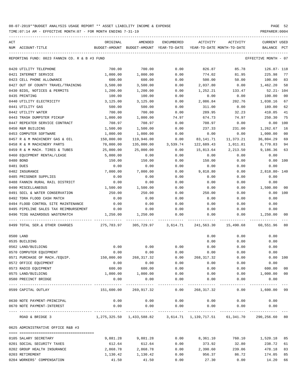TIME:07:14 AM - EFFECTIVE MONTH:07 - FOR MONTH ENDING 7-31-19 PREPARER:0004

| ACT                                                               | ORIGINAL                                                          | AMENDED                                   | <b>ENCUMBERED</b>    | ACTIVITY                   | ACTIVITY             | <b>CURRENT USED</b>   |                |
|-------------------------------------------------------------------|-------------------------------------------------------------------|-------------------------------------------|----------------------|----------------------------|----------------------|-----------------------|----------------|
| NUM ACCOUNT-TITLE                                                 | BUDGET-AMOUNT BUDGET-AMOUNT YEAR-TO-DATE                          |                                           |                      | YEAR-TO-DATE MONTH-TO-DATE |                      | BALANCE PCT           |                |
| REPORTING FUND: 0023 FANNIN CO. R & B #3 FUND                     |                                                                   |                                           |                      |                            |                      | EFFECTIVE MONTH - 07  |                |
| 0420 UTILITY TELEPHONE                                            | 700.00                                                            | 700.00                                    | 0.00                 | 826.87                     | 85.78                | 126.87- 118           |                |
| 0421 INTERNET SERVICE                                             | 1,000.00                                                          | 1,000.00                                  | 0.00                 | 774.02                     | 81.95                | 225.98                | 77             |
| 0423 CELL PHONE ALLOWANCE                                         | 600.00                                                            | 600.00                                    | 0.00                 | 500.00                     | 50.00                | 100.00                | 83             |
| 0427 OUT OF COUNTY TRAVEL/TRAINING                                | 3,500.00                                                          | 3,500.00                                  | 0.00                 | 2,037.80                   | 0.00                 | 1,462.20              | 58             |
| 0430 BIDS, NOTICES & PERMITS                                      | 1,200.00                                                          | 1,200.00                                  | 0.00                 | 1,252.21                   | 133.47               | $52.21 - 104$         |                |
| 0435 PRINTING                                                     | 100.00                                                            | 100.00                                    | 0.00                 | 0.00                       | 0.00                 | 100.00                | 0 <sub>0</sub> |
| 0440 UTILITY ELECTRICITY                                          | 3,125.00                                                          | 3,125.00                                  | 0.00                 | 2,086.84                   | 202.76               | 1,038.16              | 67             |
| 0441 UTILITY GAS                                                  | 500.00                                                            | 500.00                                    | 0.00                 | 311.00                     | 0.00                 | 189.00                | 62             |
| 0442 UTILITY WATER                                                | 700.00                                                            | 700.00                                    | 0.00                 | 289.95                     | 32.23                | 410.05                | 41             |
| 0443 TRASH DUMPSTER PICKUP                                        | 1,000.00                                                          | 1,000.00                                  | 74.97                | 674.73                     | 74.97                | 250.30                | 75             |
| 0447 REPEATER SERVICE CONTRACT                                    | 708.97                                                            | 708.97                                    | 0.00                 | 708.97                     | 0.00                 | 0.00                  | 100            |
| 0450 R&M BUILDING                                                 | 1,500.00                                                          | 1,500.00                                  | 0.00                 | 237.33                     | 231.00               | 1,262.67              | 16             |
| 0453 COMPUTER SOFTWARE                                            | 1,000.00                                                          | 1,000.00                                  | 0.00                 | 0.00                       | 0.00                 | 1,000.00              | 00             |
| 0457 R & M MACHINERY GAS & OIL                                    | 150,000.00                                                        | 119,946.00                                | 0.00                 | 83,141.71                  | 11,373.21            | 36,804.29             | 69             |
| 0458 R & M MACHINERY PARTS                                        | 70,000.00                                                         | 135,000.00                                | 3,539.74             | 122,689.43                 | 1,011.81             | 8,770.83              | 94             |
| 0459 R & M MACH. TIRES & TUBES                                    | 25,000.00                                                         | 25,000.00                                 | 0.00                 | 15,813.64                  | 2,213.50             | 9,186.36              | 63             |
| 0460 EQUIPMENT RENTAL/LEASE                                       | 5,000.00                                                          | 0.00                                      | 0.00                 | 0.00                       | 0.00                 | 0.00                  |                |
| 0480 BOND                                                         | 150.00                                                            | 150.00                                    | 0.00                 | 150.00                     | 0.00                 | 0.00 100              |                |
| 0481 DUES                                                         | 0.00                                                              | 0.00                                      | 0.00                 | 0.00                       | 0.00                 | 0.00                  |                |
| 0482 INSURANCE                                                    | 7,000.00                                                          | 7,000.00                                  | 0.00                 | 9,818.80                   | 0.00                 | 2,818.80- 140         |                |
| 0485 PRISONER SUPPLIES                                            | 0.00                                                              | 0.00                                      | 0.00                 | 0.00                       | 0.00                 | 0.00                  |                |
| 0488 FANNIN RURAL RAIL DISTRICT                                   | 0.00                                                              | 0.00                                      | 0.00                 | 0.00                       | 0.00                 | 0.00                  |                |
| 0490 MISCELLANEOUS                                                | 1,500.00                                                          | 1,500.00                                  | 0.00                 | 0.00                       | 0.00                 | 1,500.00              | 00             |
| 0491 SOIL & WATER CONSERVATION                                    | 250.00                                                            | 250.00                                    | 0.00                 | 250.00                     | 0.00                 | 0.00                  | 100            |
| 0492 TDRA FLOOD CASH MATCH                                        | 0.00                                                              | 0.00                                      | 0.00                 | 0.00                       | 0.00                 | 0.00                  |                |
| 0494 FLOOD CONTROL SITE MAINTENANCE                               | 0.00                                                              | 0.00                                      | 0.00                 | 0.00                       | 0.00                 | 0.00                  |                |
| 0495 PIPELINE SALES TAX REIMBURSEMENT                             | 0.00                                                              | 0.00                                      | 0.00                 | 0.00                       | 0.00                 | 0.00                  |                |
| 0496 TCOG HAZARDOUS WASTEMATCH                                    | 1,250.00                                                          | 1,250.00                                  | 0.00                 | 0.00                       | 0.00                 | 1,250.00              | 00             |
|                                                                   |                                                                   |                                           |                      |                            |                      |                       |                |
| 0499 TOTAL SER.& OTHER CHARGES                                    |                                                                   | 275,783.97 305,729.97 3,614.71 241,563.30 |                      |                            | 15,490.68            | 60,551.96             | 80             |
| 0500 LAND                                                         |                                                                   |                                           |                      | 0.00                       | 0.00                 | 0.00                  |                |
| 0535 BUILDING                                                     |                                                                   |                                           |                      | 0.00                       | 0.00                 | 0.00                  |                |
| 0562 LAND/BUILDING                                                | 0.00                                                              | 0.00                                      | 0.00                 | 0.00                       | 0.00                 | 0.00                  |                |
| 0570 COMPUTER EQUIPMENT                                           | 0.00                                                              | 0.00                                      | 0.00                 | 0.00                       | 0.00                 | 0.00                  |                |
| 0571 PURCHASE OF MACH./EQUIP.                                     | 150,000.00                                                        | 268, 317.32                               | 0.00                 | 268, 317.32                | 0.00                 | 0.00 100              |                |
| 0572 OFFICE EQUIPMENT                                             | 0.00                                                              | 0.00                                      | 0.00                 | 0.00                       | 0.00                 | 0.00                  |                |
| 0573 RADIO EQUIPMENT                                              | 600.00                                                            | 600.00                                    | 0.00                 | 0.00                       | 0.00                 | 600.00                | 0 <sub>0</sub> |
| 0575 LAND/BUILDING                                                | 1,000.00                                                          | 1,000.00                                  | 0.00                 | 0.00                       | 0.00                 | 1,000.00              | 0 <sub>0</sub> |
| 0580 PRECINCT BRIDGE                                              | 0.00                                                              | 0.00<br>-------------                     | 0.00<br>------------ | 0.00<br>------------       | 0.00<br>------------ | 0.00<br>------------- | $---$          |
| 0599 CAPITAL OUTLAY                                               | 151,600.00                                                        | 269,917.32                                | 0.00                 | 268,317.32                 | 0.00                 | 1,600.00 99           |                |
| 0630 NOTE PAYMENT-PRINCIPAL                                       | 0.00                                                              | 0.00                                      | 0.00                 | 0.00                       | 0.00                 | 0.00                  |                |
| 0670 NOTE PAYMENT-INTEREST<br>----------------------- ----------- | 0.00                                                              | 0.00                                      | 0.00                 | 0.00                       | 0.00                 | 0.00                  |                |
| ROAD & BRIDGE 3                                                   | 1, 275, 325.50 1, 433, 588.82 3, 614.71 1, 139, 717.51 61, 341.70 |                                           |                      |                            |                      | 290,256.60            | 80             |
| 0625 ADMINISTRATIVE OFFICE R&B #3                                 |                                                                   |                                           |                      |                            |                      |                       |                |
|                                                                   |                                                                   |                                           |                      |                            |                      |                       |                |
| 0105 SALARY SECRETARY                                             | 9,881.28                                                          | 9,881.28                                  | 0.00                 | 8,361.10                   | 760.10               | 1,520.18              | 85             |
| 0201 SOCIAL SECURITY TAXES                                        | 612.64                                                            | 612.64                                    | 0.00                 | 373.92                     | 32.80                | 238.72                | 61             |
| 0202 GROUP HEALTH INSURANCE                                       | 2,868.78                                                          | 2,868.78                                  | 0.00                 | 2,390.60                   | 239.06               | 478.18                | 83             |
| 0203 RETIREMENT                                                   | 1,130.42                                                          | 1,130.42                                  | 0.00                 | 956.37                     | 86.72                | 174.05                | 85             |

0204 WORKERS' COMPENSATION 41.50 41.50 0.00 27.30 0.00 14.20 66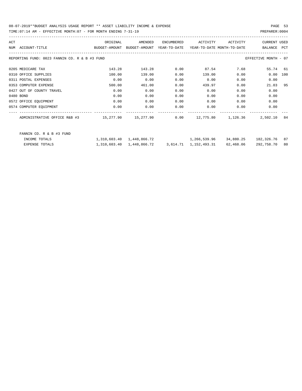TIME:07:14 AM - EFFECTIVE MONTH:07 - FOR MONTH ENDING 7-31-19 PREPARER:0004

| ACT | NUM ACCOUNT-TITLE                             | ORIGINAL<br>BUDGET-AMOUNT | AMENDED<br>BUDGET-AMOUNT | <b>ENCUMBERED</b><br>YEAR-TO-DATE | ACTIVITY<br>YEAR-TO-DATE MONTH-TO-DATE   | ACTIVITY | <b>CURRENT USED</b><br>BALANCE | <b>PCT</b> |
|-----|-----------------------------------------------|---------------------------|--------------------------|-----------------------------------|------------------------------------------|----------|--------------------------------|------------|
|     | REPORTING FUND: 0023 FANNIN CO. R & B #3 FUND |                           |                          |                                   |                                          |          | EFFECTIVE MONTH - 07           |            |
|     | 0205 MEDICARE TAX                             | 143.28                    | 143.28                   | 0.00                              | 87.54                                    | 7.68     | 55.74 61                       |            |
|     | 0310 OFFICE SUPPLIES                          | 100.00                    | 139.00                   | 0.00                              | 139.00                                   | 0.00     | 0.00                           | 100        |
|     | 0311 POSTAL EXPENSES                          | 0.00                      | 0.00                     | 0.00                              | 0.00                                     | 0.00     | 0.00                           |            |
|     | 0353 COMPUTER EXPENSE                         | 500.00                    | 461.00                   | 0.00                              | 439.97                                   | 0.00     | 21.03                          | 95         |
|     | 0427 OUT OF COUNTY TRAVEL                     | 0.00                      | 0.00                     | 0.00                              | 0.00                                     | 0.00     | 0.00                           |            |
|     | 0480 BOND                                     | 0.00                      | 0.00                     | 0.00                              | 0.00                                     | 0.00     | 0.00                           |            |
|     | 0572 OFFICE EQUIPMENT                         | 0.00                      | 0.00                     | 0.00                              | 0.00                                     | 0.00     | 0.00                           |            |
|     | 0574 COMPUTER EQUIPMENT                       | 0.00                      | 0.00                     | 0.00                              | 0.00                                     | 0.00     | 0.00                           |            |
|     | ADMINISTRATIVE OFFICE R&B #3                  |                           | 15,277.90 15,277.90      | 0.00                              | 12,775.80                                | 1,126.36 | 2,502.10                       | 84         |
|     | FANNIN CO. R & B #3 FUND                      |                           |                          |                                   |                                          |          |                                |            |
|     | INCOME TOTALS                                 | 1,310,603.40 1,448,866.72 |                          |                                   | 1, 266, 539.96 34, 880.25 182, 326.76 87 |          |                                |            |

EXPENSE TOTALS 1,310,603.40 1,448,866.72 3,614.71 1,152,493.31 62,468.06 292,758.70 80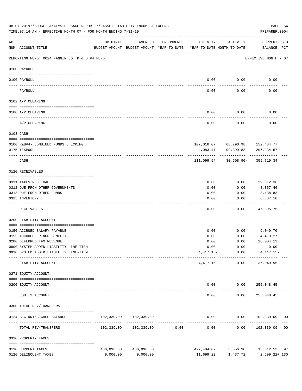|                 | 08-07-2019**BUDGET ANALYSIS USAGE REPORT ** ASSET LIABILITY INCOME & EXPENSE<br>TIME: 07:14 AM - EFFECTIVE MONTH: 07 - FOR MONTH ENDING 7-31-19 |          |                                                     |                               |                                        |                                     | PAGE 54<br>PREPARER: 0004               |  |
|-----------------|-------------------------------------------------------------------------------------------------------------------------------------------------|----------|-----------------------------------------------------|-------------------------------|----------------------------------------|-------------------------------------|-----------------------------------------|--|
| ACT             | NUM ACCOUNT-TITLE                                                                                                                               | ORIGINAL | AMENDED<br>BUDGET-AMOUNT BUDGET-AMOUNT YEAR-TO-DATE | ENCUMBERED                    | ACTIVITY<br>YEAR-TO-DATE MONTH-TO-DATE | ACTIVITY                            | <b>CURRENT USED</b><br>BALANCE PCT      |  |
|                 | REPORTING FUND: 0024 FANNIN CO. R & B #4 FUND                                                                                                   |          |                                                     |                               |                                        |                                     | EFFECTIVE MONTH - 07                    |  |
|                 | 0100 PAYROLL                                                                                                                                    |          |                                                     |                               |                                        |                                     |                                         |  |
|                 |                                                                                                                                                 |          |                                                     |                               |                                        |                                     |                                         |  |
| $- - - - - - -$ | 0100 PAYROLL                                                                                                                                    |          |                                                     |                               | 0.00                                   | 0.00                                | 0.00                                    |  |
|                 | PAYROLL                                                                                                                                         |          |                                                     |                               | 0.00                                   | 0.00                                | 0.00                                    |  |
|                 | 0102 A/P CLEARING                                                                                                                               |          |                                                     |                               |                                        |                                     |                                         |  |
|                 | 0100 A/P CLEARING                                                                                                                               |          |                                                     |                               | 0.00                                   | 0.00                                | 0.00                                    |  |
|                 | A/P CLEARING                                                                                                                                    |          |                                                     |                               | 0.00                                   | 0.00                                | 0.00                                    |  |
|                 | 0103 CASH                                                                                                                                       |          |                                                     |                               |                                        |                                     |                                         |  |
|                 | 0100 R&B#4- COMBINED FUNDS CHECKING                                                                                                             |          |                                                     |                               |                                        | 107,016.07 68,790.98 152,484.77     |                                         |  |
|                 | 0175 TEXPOOL                                                                                                                                    |          |                                                     |                               | 4,083.47                               | 99,399.88-                          | 207, 234.57                             |  |
|                 | CASH                                                                                                                                            |          |                                                     |                               | 111,099.54                             |                                     | 30,608.90- 359,719.34                   |  |
|                 | 0120 RECEIVABLES                                                                                                                                |          |                                                     |                               |                                        |                                     |                                         |  |
|                 | 0311 TAXES RECEIVABLE                                                                                                                           |          |                                                     |                               | 0.00                                   | 0.00                                | 29,512.36                               |  |
|                 | 0312 DUE FROM OTHER GOVERNMENTS                                                                                                                 |          |                                                     |                               | 0.00                                   | 0.00                                | 8,357.46                                |  |
|                 | 0313 DUE FROM OTHER FUNDS                                                                                                                       |          |                                                     |                               | 0.00                                   | 0.00                                | 3,138.83                                |  |
|                 | 0315 INVENTORY                                                                                                                                  |          |                                                     |                               | 0.00                                   | 0.00                                | 6,887.10                                |  |
|                 | RECEIVABLES                                                                                                                                     |          |                                                     |                               | 0.00                                   | 0.00                                | 47,895.75                               |  |
|                 | 0200 LIABILITY ACCOUNT                                                                                                                          |          |                                                     |                               |                                        |                                     |                                         |  |
|                 | 0150 ACCRUED SALARY PAYABLE                                                                                                                     |          |                                                     |                               | 0.00                                   | 0.00                                | 9,049.70                                |  |
|                 | 0155 ACCRUED FRINGE BENEFITS                                                                                                                    |          |                                                     |                               | 0.00                                   | 0.00                                | 4,413.27                                |  |
|                 | 0200 DEFERRED TAX REVENUE                                                                                                                       |          |                                                     |                               | 0.00                                   | 0.00                                | 28,004.13                               |  |
|                 | 0900 SYSTEM ADDED LIABILITY LINE-ITEM                                                                                                           |          |                                                     |                               |                                        | $0.00$ $0.00$                       | 0.00                                    |  |
|                 | 0910 SYSTEM ADDED LIABILITY LINE-ITEM                                                                                                           |          |                                                     |                               |                                        | --------- ------------ ------------ | $4,417.15-$ 0.00 $4,417.15-$            |  |
|                 | LIABILITY ACCOUNT                                                                                                                               |          |                                                     |                               |                                        | $4,417.15-$ 0.00                    | 37,049.95                               |  |
|                 | 0271 EQUITY ACCOUNT                                                                                                                             |          |                                                     |                               |                                        |                                     |                                         |  |
|                 | 0200 EQUITY ACCOUNT                                                                                                                             |          |                                                     |                               |                                        | $0.00$ $0.00$ $255,048.45$          |                                         |  |
|                 | ---- --------------<br>--------------------- --------------<br>EQUITY ACCOUNT                                                                   |          |                                                     |                               | $- - - - -$<br>0.00                    | 0.00                                | ----------- -------------<br>255,048.45 |  |
|                 | 0300 TOTAL REV/TRANSFERS                                                                                                                        |          |                                                     |                               |                                        |                                     |                                         |  |
|                 | 0124 BEGINNING CASH BALANCE                                                                                                                     |          | 102,339.09 102,339.09                               |                               |                                        |                                     | $0.00$ $0.00$ $102,339.09$ 00           |  |
|                 | TOTAL REV/TRANSFERS                                                                                                                             |          |                                                     | ----------------------------- | 0.00                                   | -----------                         | -------------<br>0.00 102,339.09 00     |  |
|                 | 0310 PROPERTY TAXES                                                                                                                             |          |                                                     |                               |                                        |                                     |                                         |  |
|                 | 0110 CURRENT TAXES                                                                                                                              |          | 486,096.60 486,096.60                               |                               |                                        |                                     | $472,484.07$ 3,556.90 13,612.53 97      |  |
|                 | 0120 DELINQUENT TAXES                                                                                                                           | 9,000.00 | 9,000.00                                            |                               |                                        |                                     | $11,699.22$ $1,437.72$ $2,699.22+130$   |  |
|                 |                                                                                                                                                 |          |                                                     |                               |                                        |                                     |                                         |  |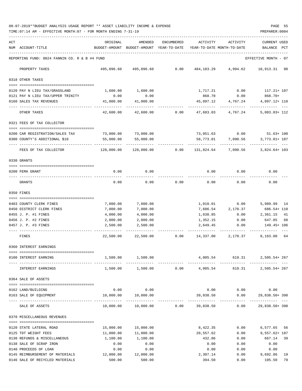08-07-2019\*\*BUDGET ANALYSIS USAGE REPORT \*\* ASSET LIABILITY INCOME & EXPENSE PAGE 55 TIME:07:14 AM - EFFECTIVE MONTH:07 - FOR MONTH ENDING 7-31-19 PREPARER:0004

| ACT |                                                          | ORIGINAL             | AMENDED                                  | ENCUMBERED | ACTIVITY                    | ACTIVITY                | <b>CURRENT USED</b>           |
|-----|----------------------------------------------------------|----------------------|------------------------------------------|------------|-----------------------------|-------------------------|-------------------------------|
|     | NUM ACCOUNT-TITLE                                        |                      | BUDGET-AMOUNT BUDGET-AMOUNT YEAR-TO-DATE |            | YEAR-TO-DATE MONTH-TO-DATE  |                         | BALANCE<br>PCT                |
|     | REPORTING FUND: 0024 FANNIN CO. R & B #4 FUND            |                      |                                          |            |                             |                         | EFFECTIVE MONTH - 07          |
|     | PROPERTY TAXES                                           |                      | 495,096.60 495,096.60                    | 0.00       |                             | 484, 183. 29 4, 994. 62 | 10,913.31 98                  |
|     | 0318 OTHER TAXES                                         |                      |                                          |            |                             |                         |                               |
|     | 0120 PAY N LIEU TAX/GRASSLAND                            | 1,600.00             | 1,600.00                                 |            | 1,717.21                    | 0.00                    | 117.21+ 107                   |
|     | 0121 PAY N LIEU TAX/UPPER TRINITY                        | 0.00                 | 0.00                                     |            | 868.70                      | 0.00                    | 868.70+                       |
|     | 0160 SALES TAX REVENUES                                  | 41,000.00            | 41,000.00                                |            | 45,097.12                   | 4,767.24                | 4,097.12+ 110                 |
|     | OTHER TAXES                                              | 42,600.00            | 42,600.00                                | 0.00       | ------<br>47,683.03         | 4,767.24                | $5,083.03+112$                |
|     | 0321 FEES OF TAX COLLECTOR                               |                      |                                          |            |                             |                         |                               |
|     | 0200 CAR REGISTRATION/SALES TAX                          | 73,000.00            | 73,000.00                                |            |                             |                         | 73,051.63 0.00 51.63+ 100     |
|     | 0300 COUNTY'S ADDITIONAL \$10                            | 55,000.00            | 55,000.00                                |            | 58,773.01                   | 7,090.56                | 3,773.01+ 107                 |
|     |                                                          |                      |                                          |            |                             |                         |                               |
|     | FEES OF TAX COLLECTOR                                    | 128,000.00           | 128,000.00                               | 0.00       | 131,824.64                  | 7,090.56                | 3,824.64+ 103                 |
|     | 0330 GRANTS                                              |                      |                                          |            |                             |                         |                               |
|     | 0200 FEMA GRANT                                          | 0.00                 | 0.00                                     |            | 0.00                        | 0.00                    | 0.00                          |
|     | GRANTS                                                   | 0.00                 | 0.00                                     | 0.00       | 0.00                        | 0.00                    | 0.00                          |
|     | 0350 FINES                                               |                      |                                          |            |                             |                         |                               |
|     |                                                          |                      |                                          |            |                             |                         |                               |
|     | 0403 COUNTY CLERK FINES                                  | 7,000.00             | 7,000.00                                 |            | 1,010.01                    | 0.00                    | 5,989.99 14                   |
|     | 0450 DISTRICT CLERK FINES<br>0455 J. P. #1 FINES         | 7,000.00<br>4,000.00 | 7,000.00<br>4,000.00                     |            | 7,686.54<br>1,638.85        | 2,170.37<br>0.00        | 686.54+ 110<br>2,361.15<br>41 |
|     | 0456 J. P. #2 FINES                                      | 2,000.00             | 2,000.00                                 |            | 1,352.15                    | 0.00                    | 647.85<br>68                  |
|     | 0457 J. P. #3 FINES                                      | 2,500.00             | 2,500.00                                 |            | 2,649.45                    | 0.00                    | 149.45+ 106                   |
|     | FINES                                                    | 22,500.00            | 22,500.00                                | 0.00       | 14,337.00                   | 2,170.37                | 8,163.00 64                   |
|     | 0360 INTEREST EARNINGS                                   |                      |                                          |            |                             |                         |                               |
|     | ------------------------------------                     |                      |                                          |            |                             |                         |                               |
|     | 0100 INTEREST EARNING                                    | 1,500.00             | 1,500.00                                 |            | 4,005.54                    |                         | 619.31 2,505.54+267           |
|     | INTEREST EARNINGS                                        |                      | 1,500.00 1,500.00                        |            | 0.00 4,005.54               | 619.31                  | 2,505.54+267                  |
|     | 0364 SALE OF ASSETS                                      |                      |                                          |            |                             |                         |                               |
|     | 0162 LAND/BUILDING                                       | 0.00                 | 0.00                                     |            | 0.00                        | 0.00                    | 0.00                          |
|     | 0163 SALE OF EQUIPMENT                                   | 10,000.00            | 10,000.00                                |            | 39,838.50                   | 0.00                    | 29,838.50+398                 |
|     | SALE OF ASSETS                                           | 10,000.00            | 10,000.00                                | 0.00       | ______________<br>39,838.50 | -------------<br>0.00   | 29,838.50+398                 |
|     | 0370 MISCELLANEOUS REVENUES                              |                      |                                          |            |                             |                         |                               |
|     |                                                          |                      |                                          |            |                             |                         |                               |
|     | 0120 STATE LATERAL ROAD                                  | 15,000.00            | 15,000.00                                |            | 8,422.35                    | 0.00                    | 6,577.65 56                   |
|     | 0125 TDT WEIGHT FEES                                     | 11,000.00            | 11,000.00                                |            | 20,557.62                   | 0.00                    | $9,557.62 + 187$              |
|     | 0130 REFUNDS & MISCELLANEOUS                             | 1,100.00             | 1,100.00                                 |            | 432.86                      | 0.00                    | 667.14<br>39                  |
|     | 0138 SALE OF SCRAP IRON                                  | 0.00                 | 0.00                                     |            | 0.00                        | 0.00                    | 0.00                          |
|     | 0140 PROCEEDS OF LOAN<br>0145 REIMBURSEMENT OF MATERIALS | 0.00<br>12,000.00    | 0.00<br>12,000.00                        |            | 0.00<br>2,307.14            | 0.00<br>0.00            | 0.00<br>9,692.86<br>19        |
|     | 0146 SALE OF RECYCLED MATERIALS                          | 500.00               | 500.00                                   |            | 394.50                      | 0.00                    | 105.50<br>79                  |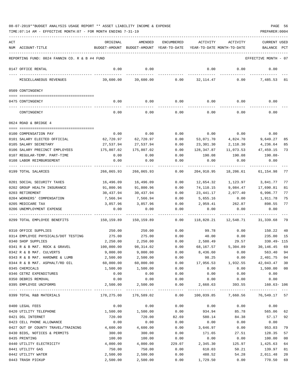| ACT |                                               | ORIGINAL   | AMENDED                                  | ENCUMBERED           | ACTIVITY   | ACTIVITY                   | <b>CURRENT USED</b>              |              |
|-----|-----------------------------------------------|------------|------------------------------------------|----------------------|------------|----------------------------|----------------------------------|--------------|
|     | NUM ACCOUNT-TITLE                             |            | BUDGET-AMOUNT BUDGET-AMOUNT YEAR-TO-DATE |                      |            | YEAR-TO-DATE MONTH-TO-DATE | BALANCE                          | $_{\rm PCT}$ |
|     | REPORTING FUND: 0024 FANNIN CO. R & B #4 FUND |            |                                          |                      |            |                            | EFFECTIVE MONTH - 07             |              |
|     | 0147 OFFICE RENTAL                            | 0.00       | 0.00                                     |                      | 0.00       | 0.00                       | 0.00                             |              |
|     | MISCELLANEOUS REVENUES                        | 39,600.00  | 39,600.00                                | 0.00                 | 32,114.47  |                            | 0.00<br>7,485.53                 | 81           |
|     | 0509 CONTINGENCY                              |            |                                          |                      |            |                            |                                  |              |
|     | 0475 CONTINGENCY                              | 0.00       | 0.00                                     | 0.00                 |            | $0.00$ 0.00                | 0.00                             |              |
|     | CONTINGENCY                                   | 0.00       | 0.00                                     | 0.00                 | 0.00       | 0.00                       | 0.00                             |              |
|     | 0624 ROAD & BRIDGE 4                          |            |                                          |                      |            |                            |                                  |              |
|     | 0100 COMPENSATION PAY                         | 0.00       | 0.00                                     | 0.00                 | 0.00       | 0.00                       | 0.00                             |              |
|     | 0101 SALARY ELECTED OFFICIAL                  | 62,720.97  | 62,720.97                                | 0.00                 | 53,071.70  | 4,824.70                   | 9,649.27                         | 85           |
|     | 0105 SALARY SECRETARY                         | 27,537.94  | 27,537.94                                | 0.00                 | 23,301.30  | 2,118.30                   | 4,236.64                         | 85           |
|     | 0106 SALARY PRECINCT EMPLOYEES                | 175,807.02 | 175,807.02                               | 0.00                 | 128,347.87 | 11,073.53                  | 47,459.15                        | 73           |
|     | 0107 REGULAR-TEMP. PART-TIME                  | 0.00       | 0.00                                     | 0.00                 | 190.08     | 190.08                     | 190.08-                          |              |
|     | 0108 LABOR REIMBURSEMENT                      | 0.00       | 0.00                                     | 0.00                 | 0.00       | 0.00                       | 0.00                             |              |
|     |                                               |            |                                          |                      |            |                            |                                  |              |
|     | 0199 TOTAL SALARIES                           | 266,065.93 | 266,065.93                               | 0.00                 | 204,910.95 | 18,206.61                  | 61,154.98                        | 77           |
|     | 0201 SOCIAL SECURITY TAXES                    | 16,496.09  | 16,496.09                                | 0.00                 | 12,654.32  | 1,123.97                   | 3,841.77                         | 77           |
|     | 0202 GROUP HEALTH INSURANCE                   | 91,800.96  | 91,800.96                                | 0.00                 | 74,110.15  | 9,084.47                   | 17,690.81                        | 81           |
|     | 0203 RETIREMENT                               | 30,437.94  | 30,437.94                                | 0.00                 | 23,441.17  | 2,077.40                   | 6,996.77                         | 77           |
|     | 0204 WORKERS' COMPENSATION                    | 7,566.94   | 7,566.94                                 | 0.00                 | 5,655.16   | 0.00                       | 1,911.78                         | 75           |
|     | 0205 MEDICARE TAX                             | 3,857.96   | 3,857.96                                 | 0.00                 | 2,959.41   | 262.87                     | 898.55                           | 77           |
|     | 0206 UNEMPLOYMENT EXPENSE                     | 0.00       | 0.00                                     | 0.00                 | 0.00       | 0.00                       | 0.00                             |              |
|     | 0299 TOTAL EMPLOYEE BENEFITS                  | 150,159.89 | 150,159.89                               | 0.00                 | 118,820.21 | 12,548.71                  | 31,339.68                        | 79           |
|     | 0310 OFFICE SUPPLIES                          | 250.00     | 250.00                                   | 0.00                 | 99.78      | 0.00                       | 150.22                           | 40           |
|     | 0314 EMPLOYEE PHYSICALS/DOT TESTING           | 275.00     | 275.00                                   | 0.00                 | 40.00      | 0.00                       | 235.00                           | 15           |
|     | 0340 SHOP SUPPLIES                            | 2,250.00   | 2,250.00                                 | 0.00                 | 2,580.49   | 29.57                      | 330.49-115                       |              |
|     | 0341 R & B MAT. ROCK & GRAVEL                 | 100,000.00 | 98,314.02                                | 0.00                 | 68,167.57  | 5,304.89                   | 30, 146. 45                      | 69           |
|     | 0342 R & B MAT. CULVERTS                      | 9,000.00   | 9,000.00                                 | 0.00                 | 8,436.60   | 0.00                       | 563.40                           | 94           |
|     | 0343 R & B MAT. HARDWRE & LUMB                | 2,500.00   | 2,500.00                                 | 0.00                 | 98.25      | 0.00                       | 2,401.75 04                      |              |
|     | 0344 R & B MAT. ASPHALT/RD OIL                | 60,000.00  | 60,000.00                                | 0.00                 | 17,956.53  | 1,932.55                   | 42,043.47 30                     |              |
|     | 0345 CHEMICALS                                | 1,500.00   | 1,500.00                                 | 0.00                 | 0.00       | 0.00                       | 1,500.00 00                      |              |
|     | 0346 CETRZ EXPENDITURES                       | 0.00       | 0.00                                     | 0.00                 | 0.00       | 0.00                       | 0.00                             |              |
|     | 0350 DEBRIS REMOVAL                           | 0.00       | 0.00                                     | 0.00                 | 0.00       | 0.00                       | 0.00                             |              |
|     | 0395 EMPLOYEE UNIFORMS                        | 2,500.00   | 2,500.00<br>-------------                | 0.00<br>------------ | 2,660.63   | 393.55                     | $160.63 - 106$                   |              |
|     | 0399 TOTAL R&B MATERIALS                      | 178,275.00 | 176,589.02                               | 0.00                 |            |                            | 100,039.85 7,660.56 76,549.17 57 |              |
|     | 0400 LEGAL FEES                               | 0.00       | 0.00                                     | 0.00                 | 0.00       | 0.00                       | 0.00                             |              |
|     | 0420 UTILITY TELEPHONE                        | 1,500.00   | 1,500.00                                 | 0.00                 | 934.94     | 85.78                      | 565.06 62                        |              |
|     | 0421 DSL INTERNET                             | 720.00     | 720.00                                   | 82.69                | 580.14     | 84.38                      | 57.17 92                         |              |
|     | 0423 CELL PHONE ALLOWANCE                     | 0.00       | 0.00                                     | 0.00                 | 0.00       | 0.00                       | 0.00                             |              |
|     | 0427 OUT OF COUNTY TRAVEL/TRAINING            | 4,600.00   | 4,600.00                                 | 0.00                 | 3,646.97   | 0.00                       | 953.03                           | 79           |
|     | 0430 BIDS, NOTICES & PERMITS                  | 300.00     | 300.00                                   | 0.00                 | 171.65     | 27.51                      | 128.35                           | 57           |
|     | 0435 PRINTING                                 | 100.00     | 100.00                                   | 0.00                 | 0.00       | 0.00                       | 100.00                           | 00           |
|     | 0440 UTILITY ELECTRICITY                      | 4,000.00   | 4,000.00                                 | 229.07               | 2,345.30   | 125.97                     | 1,425.63                         | 64           |
|     | 0441 UTILITY GAS                              | 750.00     | 750.00                                   | 0.00                 | 610.03     | 50.21                      | 139.97                           | 81           |
|     | 0442 UTILITY WATER                            | 2,500.00   | 2,500.00                                 | 0.00                 | 488.52     | 54.28                      | 2,011.48                         | 20           |
|     | 0443 TRASH PICKUP                             | 2,500.00   | 2,500.00                                 | 0.00                 | 1,729.50   | 0.00                       | 770.50                           | 69           |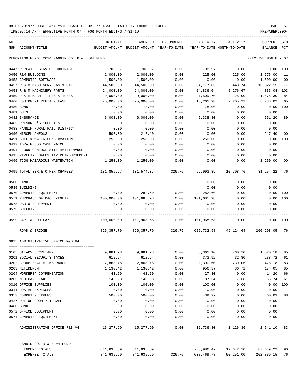| ACT |                                                                                           | ORIGINAL                                 | AMENDED               | ENCUMBERED | ACTIVITY                   | ACTIVITY                                                        | <b>CURRENT USED</b>  |                |
|-----|-------------------------------------------------------------------------------------------|------------------------------------------|-----------------------|------------|----------------------------|-----------------------------------------------------------------|----------------------|----------------|
|     | NUM ACCOUNT-TITLE                                                                         | BUDGET-AMOUNT BUDGET-AMOUNT YEAR-TO-DATE |                       |            | YEAR-TO-DATE MONTH-TO-DATE |                                                                 | BALANCE              | PCT            |
|     | REPORTING FUND: 0024 FANNIN CO. R & B #4 FUND                                             |                                          |                       |            |                            |                                                                 | EFFECTIVE MONTH - 07 |                |
|     | 0447 REPEATER SERVICE CONTRACT                                                            | 708.97                                   | 708.97                | 0.00       | 708.97                     | 0.00                                                            |                      | 0.00 100       |
|     | 0450 R&M BUILDING                                                                         | 2,000.00                                 | 2,000.00              | 0.00       | 225.00                     |                                                                 | 225.00 1,775.00      | - 11           |
|     | 0453 COMPUTER SOFTWARE                                                                    | 1,500.00                                 | 1,500.00              | 0.00       | 0.00                       | 0.00                                                            | 1,500.00             | 0 <sub>0</sub> |
|     | 0457 R & M MACHINERY GAS & OIL                                                            | 44,500.00                                | 44,500.00             | 0.00       | 34,177.85                  | 2,448.74                                                        | 10,322.15            | 77             |
|     | 0458 R & M MACHINERY PARTS                                                                | 24,000.00                                | 24,000.00             | 0.00       | 24,836.04                  | 5,276.67                                                        | $836.04 - 103$       |                |
|     | 0459 R & M MACH. TIRES & TUBES                                                            | 9,000.00                                 | 9,000.00              | 15.00      | 7,509.70                   | 125.00                                                          | 1,475.30             | 84             |
|     | 0460 EQUIPMENT RENTAL/LEASE                                                               | 25,000.00                                | 25,000.00             | 0.00       | 16,261.98                  | 2,205.22                                                        | 8,738.02             | 65             |
|     | 0480 BOND                                                                                 | 178.00                                   | 178.00                | 0.00       | 178.00                     | 0.00                                                            | 0.00                 | 100            |
|     | 0481 DUES                                                                                 | 0.00                                     | 0.00                  | 0.00       | 0.00                       | 0.00                                                            | 0.00                 |                |
|     | 0482 INSURANCE                                                                            | 6,000.00                                 | 6,000.00              | 0.00       | 5,338.80                   | 0.00                                                            | 661.20               | 89             |
|     | 0485 PRISONER'S SUPPLIES                                                                  | 0.00                                     | 0.00                  | 0.00       | 0.00                       | 0.00                                                            | 0.00                 |                |
|     | 0488 FANNIN RURAL RAIL DISTRICT                                                           | 0.00                                     | 0.00                  | 0.00       | 0.00                       | 0.00                                                            | 0.00                 |                |
|     | 0490 MISCELLANEOUS                                                                        | 500.00                                   | 217.40                | 0.00       | 0.00                       | 0.00                                                            | 217.40               | 00             |
|     | 0491 SOIL & WATER CONSERVATION                                                            | 250.00                                   | 250.00                | 0.00       | 250.00                     | 0.00                                                            | 0.00                 | 100            |
|     | 0492 TDRA FLOOD CASH MATCH                                                                | 0.00                                     | 0.00                  | 0.00       | 0.00                       | 0.00                                                            | 0.00                 |                |
|     | 0494 FLOOD CONTROL SITE MAINTENANCE                                                       | 0.00                                     | 0.00                  | 0.00       | 0.00                       | 0.00                                                            | 0.00                 |                |
|     | 0495 PIPELINE SALES TAX REIMBURSEMENT                                                     | 0.00                                     | 0.00                  | 0.00       | 0.00                       | 0.00                                                            | 0.00                 |                |
|     | 0496 TCOG HAZARDOUS WASTEMATCH                                                            |                                          | 1,250.00 1,250.00     | 0.00       | 0.00                       | 0.00                                                            | 1,250.00             | 00             |
|     | 0499 TOTAL SER.& OTHER CHARGES 131,856.97 131,574.37 326.76 99,993.39 10,708.76 31,254.22 |                                          |                       |            |                            |                                                                 |                      | 76             |
|     | 0500 LAND                                                                                 |                                          |                       |            | 0.00                       | 0.00                                                            | 0.00                 |                |
|     | 0535 BUILDING                                                                             |                                          |                       |            | 0.00                       | 0.00                                                            | 0.00                 |                |
|     | 0570 COMPUTER EQUIPMENT                                                                   | 0.00                                     | 282.60                | 0.00       | 282.60                     | 0.00                                                            | 0.00                 | 100            |
|     | 0571 PURCHASE OF MACH./EQUIP. 100,000.00                                                  |                                          | 101,685.98            | 0.00       | 101,685.98                 | 0.00                                                            | 0.00                 | 100            |
|     | 0573 RADIO EQUIPMENT                                                                      | 0.00                                     | 0.00                  | 0.00       | 0.00                       | 0.00                                                            | 0.00                 |                |
|     | 0575 BUILDING                                                                             | 0.00                                     | 0.00                  | 0.00       | 0.00                       | 0.00                                                            | 0.00                 |                |
|     | 0599 CAPITAL OUTLAY                                                                       |                                          |                       |            |                            | $100,000.00$ $101,968.58$ 0.00 $101,968.58$ 0.00                | $0.00$ 100           |                |
|     | ROAD & BRIDGE 4                                                                           |                                          |                       |            |                            | 826,357.79 826,357.79 326.76 625,732.98 49,124.64 200,298.05 76 |                      |                |
|     | 0625 ADMINISTRATIVE OFFICE R&B #4                                                         |                                          |                       |            |                            |                                                                 |                      |                |
|     |                                                                                           |                                          |                       |            |                            |                                                                 |                      |                |
|     | 0105 SALARY SECRETARY                                                                     |                                          |                       |            |                            | 9,881.28 9,881.28 0.00 8,361.10 760.10 1,520.18 85              |                      |                |
|     | 0201 SOCIAL SECURITY TAXES                                                                | 612.64                                   | 612.64                | 0.00       | 373.92                     | 32.80                                                           | 238.72               | 61             |
|     | 0202 GROUP HEALTH INSURANCE                                                               | 2,868.78                                 | 2,868.78              | 0.00       | 2,390.60                   | 239.06                                                          | 478.18               | 83             |
|     | 0203 RETIREMENT                                                                           | 1,130.42                                 | 1,130.42              | 0.00       | 956.37                     | 86.72                                                           | 174.05               | 85             |
|     | 0204 WORKERS' COMPENSATION                                                                | 41.50                                    | 41.50                 | 0.00       | 27.30                      | 0.00                                                            | 14.20                | 66             |
|     | 0205 MEDICARE TAX                                                                         | 143.28                                   | 143.28                | 0.00       | 87.54                      | 7.68                                                            | 55.74                | 61             |
|     | 0310 OFFICE SUPPLIES                                                                      | 100.00                                   | 100.00                | 0.00       | 100.00                     | 0.00                                                            | 0.00                 | 100            |
|     | 0311 POSTAL EXPENSES                                                                      | 0.00                                     | 0.00                  | 0.00       | 0.00                       | 0.00                                                            | 0.00                 |                |
|     | 0353 COMPUTER EXPENSE                                                                     | 500.00                                   | 500.00                | 0.00       | 439.97                     | 0.00                                                            | 60.03                | 88             |
|     | 0427 OUT OF COUNTY TRAVEL                                                                 | 0.00                                     | 0.00                  | 0.00       | 0.00                       | 0.00                                                            | 0.00                 |                |
|     | 0480 BOND                                                                                 | 0.00                                     | 0.00                  | 0.00       | 0.00                       | 0.00                                                            | 0.00                 |                |
|     | 0572 OFFICE EQUIPMENT                                                                     | 0.00                                     | 0.00                  | 0.00       | 0.00                       | 0.00                                                            | 0.00                 |                |
|     | 0574 COMPUTER EQUIPMENT                                                                   | 0.00                                     | 0.00                  | 0.00       | 0.00                       | 0.00                                                            | 0.00                 |                |
|     | ADMINISTRATIVE OFFICE R&B #4                                                              |                                          | 15,277.90 15,277.90   | 0.00       |                            | 12,736.80    1,126.36    2,541.10    83                         |                      |                |
|     | FANNIN CO. R & B #4 FUND                                                                  |                                          |                       |            |                            |                                                                 |                      |                |
|     | INCOME TOTALS                                                                             |                                          | 841,635.69 841,635.69 |            |                            | 753,986.47 19,642.10                                            | 87,649.22 90         |                |
|     | EXPENSE TOTALS                                                                            | 841,635.69                               | 841,635.69            | 326.76     | 638,469.78                 | 50,251.00                                                       | 202,839.15 76        |                |
|     |                                                                                           |                                          |                       |            |                            |                                                                 |                      |                |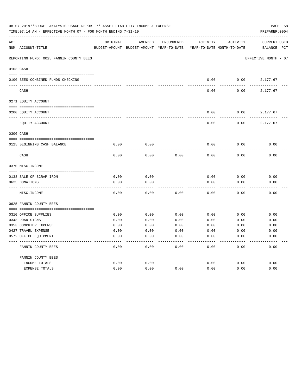|     | 08-07-2019**BUDGET ANALYSIS USAGE REPORT ** ASSET LIABILITY INCOME & EXPENSE<br>TIME: 07:14 AM - EFFECTIVE MONTH: 07 - FOR MONTH ENDING 7-31-19 |               |                            |                   |                            |                 | PAGE 58<br>PREPARER: 0004 |
|-----|-------------------------------------------------------------------------------------------------------------------------------------------------|---------------|----------------------------|-------------------|----------------------------|-----------------|---------------------------|
| ACT |                                                                                                                                                 | ORIGINAL      | AMENDED                    | <b>ENCUMBERED</b> | ACTIVITY                   | <b>ACTIVITY</b> | <b>CURRENT USED</b>       |
|     | NUM ACCOUNT-TITLE                                                                                                                               | BUDGET-AMOUNT | BUDGET-AMOUNT YEAR-TO-DATE |                   | YEAR-TO-DATE MONTH-TO-DATE |                 | BALANCE PCT               |
|     | REPORTING FUND: 0025 FANNIN COUNTY BEES                                                                                                         |               |                            |                   |                            |                 | EFFECTIVE MONTH - 07      |
|     | 0103 CASH                                                                                                                                       |               |                            |                   |                            |                 |                           |
|     | 0100 BEES-COMBINED FUNDS CHECKING                                                                                                               |               |                            |                   | 0.00                       | 0.00            | 2,177.67                  |
|     | CASH                                                                                                                                            |               |                            |                   | 0.00                       | 0.00            | 2,177.67                  |
|     | 0271 EQUITY ACCOUNT                                                                                                                             |               |                            |                   |                            |                 |                           |
|     |                                                                                                                                                 |               |                            |                   |                            |                 |                           |
|     | 0200 EQUITY ACCOUNT                                                                                                                             |               |                            |                   | 0.00                       | 0.00            | 2,177.67                  |
|     | EQUITY ACCOUNT                                                                                                                                  |               |                            |                   | 0.00                       | 0.00            | 2,177.67                  |
|     | 0300 CASH                                                                                                                                       |               |                            |                   |                            |                 |                           |
|     |                                                                                                                                                 |               |                            |                   |                            |                 |                           |
|     | 0125 BEGINNING CASH BALANCE                                                                                                                     | 0.00          | 0.00                       |                   | 0.00                       | 0.00            | 0.00                      |
|     | CASH                                                                                                                                            | 0.00          | 0.00                       | 0.00              | 0.00                       | 0.00            | 0.00                      |
|     | 0370 MISC. INCOME                                                                                                                               |               |                            |                   |                            |                 |                           |
|     |                                                                                                                                                 |               |                            |                   |                            |                 |                           |
|     | 0138 SALE OF SCRAP IRON                                                                                                                         | 0.00          | 0.00                       |                   | 0.00                       | 0.00            | 0.00                      |
|     | 0625 DONATIONS                                                                                                                                  | 0.00          | 0.00                       |                   | 0.00                       | 0.00            | 0.00                      |
|     | MISC. INCOME                                                                                                                                    | 0.00          | 0.00                       | 0.00              | 0.00                       | 0.00            | 0.00                      |
|     | 0625 FANNIN COUNTY BEES                                                                                                                         |               |                            |                   |                            |                 |                           |
|     | 0310 OFFICE SUPPLIES                                                                                                                            | 0.00          | 0.00                       | 0.00              | 0.00                       | 0.00            | 0.00                      |
|     | 0343 ROAD SIGNS                                                                                                                                 | 0.00          | 0.00                       | 0.00              | 0.00                       | 0.00            | 0.00                      |
|     | 0353 COMPUTER EXPENSE                                                                                                                           | 0.00          | 0.00                       | 0.00              | 0.00                       | 0.00            | 0.00                      |
|     | 0427 TRAVEL EXPENSE                                                                                                                             | 0.00          | 0.00                       | 0.00              | 0.00                       | 0.00            | 0.00                      |
|     | 0572 OFFICE EQUIPMENT                                                                                                                           | 0.00          | 0.00                       | 0.00              | 0.00                       | 0.00            | 0.00                      |
|     | FANNIN COUNTY BEES                                                                                                                              | 0.00          | 0.00                       | 0.00              | 0.00                       | 0.00            | 0.00                      |
|     | FANNIN COUNTY BEES                                                                                                                              |               |                            |                   |                            |                 |                           |
|     | INCOME TOTALS                                                                                                                                   | 0.00          | 0.00                       |                   | 0.00                       | 0.00            | 0.00                      |
|     | <b>EXPENSE TOTALS</b>                                                                                                                           | 0.00          | 0.00                       | 0.00              | 0.00                       | 0.00            | 0.00                      |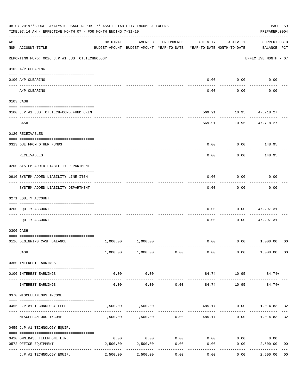|     | 08-07-2019**BUDGET ANALYSIS USAGE REPORT ** ASSET LIABILITY INCOME & EXPENSE<br>TIME: 07:14 AM - EFFECTIVE MONTH: 07 - FOR MONTH ENDING 7-31-19 |                                        |                                                                                |            |          |                     |                                    |                |  |  |
|-----|-------------------------------------------------------------------------------------------------------------------------------------------------|----------------------------------------|--------------------------------------------------------------------------------|------------|----------|---------------------|------------------------------------|----------------|--|--|
| ACT | NUM ACCOUNT-TITLE                                                                                                                               | ORIGINAL                               | AMENDED<br>BUDGET-AMOUNT BUDGET-AMOUNT YEAR-TO-DATE YEAR-TO-DATE MONTH-TO-DATE | ENCUMBERED | ACTIVITY | ACTIVITY            | <b>CURRENT USED</b><br>BALANCE PCT |                |  |  |
|     | REPORTING FUND: 0026 J.P.#1 JUST.CT.TECHNOLOGY                                                                                                  |                                        |                                                                                |            |          |                     | EFFECTIVE MONTH - 07               |                |  |  |
|     | 0102 A/P CLEARING                                                                                                                               |                                        |                                                                                |            |          |                     |                                    |                |  |  |
|     | 0100 A/P CLEARING                                                                                                                               |                                        |                                                                                |            |          | $0.00$ $0.00$       | 0.00                               |                |  |  |
|     | A/P CLEARING                                                                                                                                    |                                        |                                                                                |            | 0.00     | 0.00                | 0.00                               |                |  |  |
|     | 0103 CASH                                                                                                                                       |                                        |                                                                                |            |          |                     |                                    |                |  |  |
|     | 0100 J.P.#1 JUST.CT.TECH-COMB.FUND CKIN                                                                                                         |                                        |                                                                                |            | 569.91   |                     | 10.95 47,718.27                    |                |  |  |
|     | CASH                                                                                                                                            |                                        |                                                                                |            | 569.91   | -----------         | 10.95 47,718.27                    |                |  |  |
|     | 0120 RECEIVABLES                                                                                                                                |                                        |                                                                                |            |          |                     |                                    |                |  |  |
|     | 0313 DUE FROM OTHER FUNDS                                                                                                                       |                                        |                                                                                |            | 0.00     |                     | $0.00$ 148.95                      |                |  |  |
|     | RECEIVABLES                                                                                                                                     |                                        |                                                                                |            | 0.00     | 0.00                | 148.95                             |                |  |  |
|     | 0200 SYSTEM ADDED LIABILITY DEPARTMENT                                                                                                          |                                        |                                                                                |            |          |                     |                                    |                |  |  |
|     | 0910 SYSTEM ADDED LIABILITY LINE-ITEM                                                                                                           |                                        |                                                                                |            | 0.00     | 0.00                | 0.00                               |                |  |  |
|     | SYSTEM ADDED LIABILITY DEPARTMENT                                                                                                               |                                        |                                                                                |            | 0.00     | .<br>0.00           | 0.00                               |                |  |  |
|     | 0271 EQUITY ACCOUNT                                                                                                                             |                                        |                                                                                |            |          |                     |                                    |                |  |  |
|     | 0200 EQUITY ACCOUNT                                                                                                                             |                                        |                                                                                |            | 0.00     | 0.00                | 47,297.31                          |                |  |  |
|     | EQUITY ACCOUNT                                                                                                                                  |                                        |                                                                                |            | 0.00     | 0.00                | 47,297.31                          |                |  |  |
|     | 0300 CASH                                                                                                                                       |                                        |                                                                                |            |          |                     |                                    |                |  |  |
|     | 0126 BEGINNING CASH BALANCE                                                                                                                     |                                        | 1,000.00 1,000.00                                                              |            |          |                     | $0.00$ $0.00$ $1,000.00$           | 00             |  |  |
|     | CASH                                                                                                                                            |                                        | 1,000.00 1,000.00 0.00                                                         |            | 0.00     |                     | $0.00$ $1,000.00$ 00               |                |  |  |
|     | 0360 INTEREST EARNINGS                                                                                                                          |                                        |                                                                                |            |          |                     |                                    |                |  |  |
|     | 0100 INTEREST EARNINGS                                                                                                                          | 0.00                                   | 0.00                                                                           |            | 84.74    | 10.95<br>---------- | 84.74+                             |                |  |  |
|     | INTEREST EARNINGS                                                                                                                               | .<br>0.00                              | .<br>0.00                                                                      | 0.00       | 84.74    | 10.95               | $84.74+$                           |                |  |  |
|     | 0370 MISCELLANEOUS INCOME                                                                                                                       |                                        |                                                                                |            |          |                     |                                    |                |  |  |
|     | 0455 J.P.#1 TECHNOLOGY FEES                                                                                                                     | 1,500.00                               | 1,500.00                                                                       |            |          |                     | 485.17 0.00 1,014.83 32            |                |  |  |
|     | MISCELLANEOUS INCOME                                                                                                                            |                                        | $1,500.00$ $1,500.00$ 0.00                                                     |            |          | 485.17              | $0.00$ 1,014.83                    | 32             |  |  |
|     | 0455 J.P.#1 TECHNOLOGY EQUIP.                                                                                                                   |                                        |                                                                                |            |          |                     |                                    |                |  |  |
|     | 0420 OMNIBASE TELEPHONE LINE                                                                                                                    | 0.00                                   | 0.00                                                                           | 0.00       |          | $0.00$ 0.00         | 0.00                               |                |  |  |
|     | 0572 OFFICE EQUIPMENT                                                                                                                           | 2,500.00<br>------------ ------------- | 2,500.00                                                                       | 0.00       | 0.00     | 0.00                | 2,500.00                           | 0 <sub>0</sub> |  |  |
|     | J.P.#1 TECHNOLOGY EQUIP.                                                                                                                        | 2,500.00                               | 2,500.00                                                                       | 0.00       | 0.00     | 0.00                | 2,500.00                           | 0 <sub>0</sub> |  |  |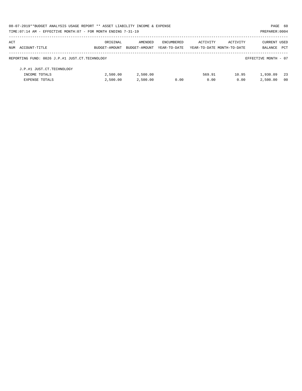|     | 08-07-2019**BUDGET ANALYSIS USAGE REPORT ** ASSET LIABILITY INCOME & EXPENSE |               |               |              |                            |          | PAGE 60              |            |
|-----|------------------------------------------------------------------------------|---------------|---------------|--------------|----------------------------|----------|----------------------|------------|
|     | TIME: 07:14 AM - EFFECTIVE MONTH: 07 - FOR MONTH ENDING 7-31-19              |               |               |              |                            |          | PREPARER: 0004       |            |
| ACT |                                                                              | ORIGINAL      | AMENDED       | ENCUMBERED   | ACTIVITY                   | ACTIVITY | <b>CURRENT USED</b>  |            |
|     | NUM ACCOUNT-TITLE                                                            | BUDGET-AMOUNT | BUDGET-AMOUNT | YEAR-TO-DATE | YEAR-TO-DATE MONTH-TO-DATE |          | BALANCE              | <b>PCT</b> |
|     | REPORTING FUND: 0026 J.P.#1 JUST.CT.TECHNOLOGY                               |               |               |              |                            |          | EFFECTIVE MONTH - 07 |            |
|     | J.P.#1 JUST.CT.TECHNOLOGY                                                    |               |               |              |                            |          |                      |            |
|     | INCOME TOTALS                                                                | 2,500.00      | 2,500.00      |              | 569.91                     | 10.95    | 1,930.09             | - 23       |
|     | <b>EXPENSE TOTALS</b>                                                        | 2.500.00      | 2,500.00      | 0.00         | 0.00                       | 0.00     | 2,500.00             | -00        |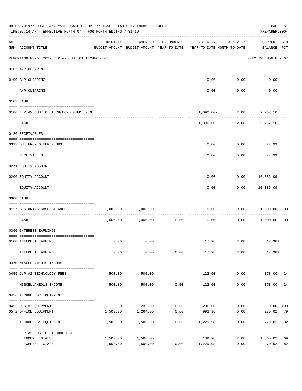| 08-07-2019**BUDGET ANALYSIS USAGE REPORT ** ASSET LIABILITY INCOME & EXPENSE<br>TIME: 07:14 AM - EFFECTIVE MONTH: 07 - FOR MONTH ENDING 7-31-19 |                                                |                      |                       |                      |                                                                                 |                       |                                    |                |  |
|-------------------------------------------------------------------------------------------------------------------------------------------------|------------------------------------------------|----------------------|-----------------------|----------------------|---------------------------------------------------------------------------------|-----------------------|------------------------------------|----------------|--|
| ACT                                                                                                                                             | NUM ACCOUNT-TITLE                              | ORIGINAL             | AMENDED               | ENCUMBERED           | ACTIVITY<br>BUDGET-AMOUNT BUDGET-AMOUNT YEAR-TO-DATE YEAR-TO-DATE MONTH-TO-DATE | ACTIVITY              | <b>CURRENT USED</b><br>BALANCE PCT |                |  |
|                                                                                                                                                 | REPORTING FUND: 0027 J.P.#2 JUST.CT.TECHNOLOGY |                      |                       |                      |                                                                                 |                       | EFFECTIVE MONTH - 07               |                |  |
|                                                                                                                                                 | 0102 A/P CLEARING                              |                      |                       |                      |                                                                                 |                       |                                    |                |  |
|                                                                                                                                                 | 0100 A/P CLEARING                              |                      |                       |                      |                                                                                 | $0.00$ $0.00$         | 0.00                               |                |  |
|                                                                                                                                                 | A/P CLEARING                                   |                      |                       |                      | 0.00                                                                            | 0.00                  | 0.00                               |                |  |
|                                                                                                                                                 | 0103 CASH                                      |                      |                       |                      |                                                                                 |                       |                                    |                |  |
|                                                                                                                                                 | 0100 J.P.#2 JUST.CT.TECH-COMB.FUND CKIN        |                      |                       |                      | $1,090.00 - 2.08$ 9,267.10                                                      |                       |                                    |                |  |
|                                                                                                                                                 | CASH                                           |                      |                       |                      | --------- ------------                                                          | $1,090.00 - 2.08$     | 9,267.10                           |                |  |
|                                                                                                                                                 | 0120 RECEIVABLES                               |                      |                       |                      |                                                                                 |                       |                                    |                |  |
|                                                                                                                                                 | 0313 DUE FROM OTHER FUNDS                      |                      |                       |                      | 0.00                                                                            | 0.00                  | 27.99                              |                |  |
|                                                                                                                                                 | RECEIVABLES                                    |                      |                       |                      | 0.00                                                                            | 0.00                  | 27.99                              |                |  |
|                                                                                                                                                 | 0271 EQUITY ACCOUNT                            |                      |                       |                      |                                                                                 |                       |                                    |                |  |
|                                                                                                                                                 | 0200 EQUITY ACCOUNT                            |                      |                       |                      | 0.00                                                                            | $0.00$ 10,385.09      |                                    |                |  |
|                                                                                                                                                 | EQUITY ACCOUNT                                 |                      |                       |                      | 0.00                                                                            | ---------             | -----------<br>$0.00$ 10,385.09    |                |  |
|                                                                                                                                                 | 0300 CASH                                      |                      |                       |                      |                                                                                 |                       |                                    |                |  |
|                                                                                                                                                 | 0127 BEGINNING CASH BALANCE                    | 1,000.00             | 1,000.00              |                      | 0.00                                                                            |                       | 0.00 1,000.00                      | 00             |  |
|                                                                                                                                                 | ----------------------------- ----<br>CASH     |                      | 1,000.00 1,000.00     | 0.00                 | 0.00                                                                            |                       | 0.00 1,000.00                      | 0 <sub>0</sub> |  |
|                                                                                                                                                 | 0360 INTEREST EARNINGS                         |                      |                       |                      |                                                                                 |                       |                                    |                |  |
|                                                                                                                                                 | 0100 INTEREST EARNINGS                         | 0.00                 | 0.00                  |                      |                                                                                 | $17.98$ 2.08 $17.98+$ |                                    |                |  |
|                                                                                                                                                 | INTEREST EARNINGS                              | 0.00                 | 0.00                  | 0.00                 | 17.98                                                                           | 2.08                  | 17.98+                             |                |  |
|                                                                                                                                                 | 0370 MISCELLANEOUS INCOME                      |                      |                       |                      |                                                                                 |                       |                                    |                |  |
|                                                                                                                                                 | 0456 J.P.#2 TECHNOLOGY FEES                    | 500.00               | 500.00                |                      | 122.00                                                                          | 0.00                  | 378.00 24                          |                |  |
|                                                                                                                                                 | MISCELLANEOUS INCOME                           | 500.00               | -----------<br>500.00 | 0.00                 | -------------<br>122.00                                                         | ---------<br>0.00     | 378.00                             | 24             |  |
|                                                                                                                                                 | 0456 TECHNOLOGY EQUIPMENT                      |                      |                       |                      |                                                                                 |                       |                                    |                |  |
|                                                                                                                                                 | 0452 R & M EQUIPMENT                           | 0.00                 | 236.00                | 0.00                 | 236.00                                                                          | 0.00                  | $0.00$ 100                         |                |  |
|                                                                                                                                                 | 0572 OFFICE EQUIPMENT<br>-----------------     | 1,500.00             | 1,264.00              | 0.00<br>. <u>.</u> . | 993.98                                                                          | 0.00<br>---------     | 270.02                             | 79             |  |
|                                                                                                                                                 | TECHNOLOGY EQUIPMENT                           | 1,500.00             | 1,500.00              | 0.00                 | 1,229.98                                                                        | 0.00                  | 270.02                             | 82             |  |
|                                                                                                                                                 | J.P.#2 JUST.CT.TECHNOLOGY                      |                      |                       |                      |                                                                                 |                       |                                    |                |  |
|                                                                                                                                                 | INCOME TOTALS<br>EXPENSE TOTALS                | 1,500.00<br>1,500.00 | 1,500.00<br>1,500.00  |                      | 139.98<br>$0.00$ 1,229.98                                                       | 2.08<br>0.00          | 1,360.02<br>270.02                 | 09<br>82       |  |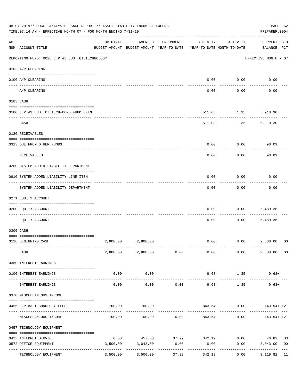|     | 08-07-2019**BUDGET ANALYSIS USAGE REPORT ** ASSET LIABILITY INCOME & EXPENSE<br>TIME: 07:14 AM - EFFECTIVE MONTH: 07 - FOR MONTH ENDING 7-31-19 |                                         |                                                     |              |                                        |                          | PREPARER: 0004                     | PAGE 62        |
|-----|-------------------------------------------------------------------------------------------------------------------------------------------------|-----------------------------------------|-----------------------------------------------------|--------------|----------------------------------------|--------------------------|------------------------------------|----------------|
| ACT | NUM ACCOUNT-TITLE                                                                                                                               | ORIGINAL                                | AMENDED<br>BUDGET-AMOUNT BUDGET-AMOUNT YEAR-TO-DATE | ENCUMBERED   | ACTIVITY<br>YEAR-TO-DATE MONTH-TO-DATE | ACTIVITY                 | <b>CURRENT USED</b><br>BALANCE PCT |                |
|     | REPORTING FUND: 0028 J.P.#3 JUST.CT.TECHNOLOGY                                                                                                  |                                         |                                                     |              |                                        |                          | EFFECTIVE MONTH - 07               |                |
|     | 0102 A/P CLEARING                                                                                                                               |                                         |                                                     |              |                                        |                          |                                    |                |
|     | 0100 A/P CLEARING                                                                                                                               |                                         |                                                     |              | 0.00                                   | 0.00                     | 0.00                               |                |
|     | A/P CLEARING                                                                                                                                    |                                         |                                                     |              | 0.00                                   | 0.00                     | 0.00                               |                |
|     | 0103 CASH                                                                                                                                       |                                         |                                                     |              |                                        |                          |                                    |                |
|     | 0100 J.P.#3 JUST.CT.TECH-COMB.FUND CKIN                                                                                                         |                                         |                                                     |              | 511.03                                 | 1.35                     | 5,910.30                           |                |
|     | -----------------------------------<br>CASH                                                                                                     |                                         |                                                     |              |                                        | ---------<br>511.03 1.35 | 5,910.30                           |                |
|     | 0120 RECEIVABLES                                                                                                                                |                                         |                                                     |              |                                        |                          |                                    |                |
|     | 0313 DUE FROM OTHER FUNDS                                                                                                                       |                                         |                                                     |              | 0.00                                   | 0.00                     | 90.09                              |                |
|     | RECEIVABLES                                                                                                                                     |                                         |                                                     |              | 0.00                                   | 0.00                     | 90.09                              |                |
|     | 0200 SYSTEM ADDED LIABILITY DEPARTMENT                                                                                                          |                                         |                                                     |              |                                        |                          |                                    |                |
|     | 0910 SYSTEM ADDED LIABILITY LINE-ITEM                                                                                                           |                                         |                                                     |              | 0.00                                   | 0.00                     | 0.00                               |                |
|     | SYSTEM ADDED LIABILITY DEPARTMENT                                                                                                               |                                         |                                                     |              | 0.00                                   | 0.00                     | 0.00                               |                |
|     | 0271 EQUITY ACCOUNT                                                                                                                             |                                         |                                                     |              |                                        |                          |                                    |                |
|     | 0200 EQUITY ACCOUNT                                                                                                                             |                                         |                                                     |              | 0.00                                   | 0.00                     | 5,489.36                           |                |
|     | EQUITY ACCOUNT                                                                                                                                  |                                         |                                                     |              | 0.00                                   | 0.00                     | 5,489.36                           |                |
|     | 0300 CASH                                                                                                                                       |                                         |                                                     |              |                                        |                          |                                    |                |
|     | 0128 BEGINNING CASH                                                                                                                             | 2,800.00                                | 2,800.00                                            |              |                                        | $0.00$ $0.00$ $2,800.00$ |                                    | 00             |
|     | CASH                                                                                                                                            |                                         | 2,800.00 2,800.00 0.00                              |              | 0.00                                   | 0.00                     | 2,800.00                           | 00             |
|     | 0360 INTEREST EARNINGS                                                                                                                          |                                         |                                                     |              |                                        |                          |                                    |                |
|     | 0100 INTEREST EARNINGS                                                                                                                          | 0.00<br>$- - - - - -$                   | 0.00                                                |              | 9.68                                   | 1.35                     | $9.68+$                            |                |
|     | INTEREST EARNINGS                                                                                                                               | 0.00                                    | ----------<br>0.00                                  | 0.00         | 9.68                                   | 1.35                     | $9.68+$                            |                |
|     | 0370 MISCELLANEOUS INCOME                                                                                                                       |                                         |                                                     |              |                                        |                          |                                    |                |
|     | 0456 J.P.#3 TECHNOLOGY FEES                                                                                                                     | 700.00                                  | 700.00                                              |              |                                        | 843.54 0.00              | 143.54+ 121                        |                |
|     | MISCELLANEOUS INCOME                                                                                                                            | 700.00                                  | 700.00                                              |              |                                        | $0.00$ 843.54 0.00       | 143.54+ 121                        |                |
|     | 0457 TECHNOLOGY EQUIPMENT                                                                                                                       |                                         |                                                     |              |                                        |                          |                                    |                |
|     | 0423 INTERNET SERVICE                                                                                                                           | 0.00                                    |                                                     | 457.00 37.99 | 342.19                                 | 0.00                     | 76.82                              | 83             |
|     | 0572 OFFICE EQUIPMENT                                                                                                                           | 3,500.00                                | 3,043.00                                            | 0.00         | 0.00                                   | 0.00                     | 3,043.00                           | 0 <sub>0</sub> |
|     | TECHNOLOGY EQUIPMENT                                                                                                                            | ------------- -------------<br>3,500.00 | 3,500.00                                            | 37.99        | 342.19                                 | 0.00                     | 3,119.82                           | 11             |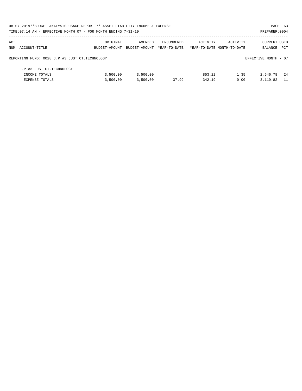|     | 08-07-2019**BUDGET ANALYSIS USAGE REPORT ** ASSET LIABILITY INCOME & EXPENSE |               |               |              |                            |          | PAGE 63              |      |
|-----|------------------------------------------------------------------------------|---------------|---------------|--------------|----------------------------|----------|----------------------|------|
|     | TIME: 07:14 AM - EFFECTIVE MONTH: 07 - FOR MONTH ENDING 7-31-19              |               |               |              |                            |          | PREPARER: 0004       |      |
| ACT |                                                                              | ORIGINAL      | AMENDED       | ENCUMBERED   | ACTIVITY                   | ACTIVITY | CURRENT USED         |      |
|     | NUM ACCOUNT-TITLE                                                            | BUDGET-AMOUNT | BUDGET-AMOUNT | YEAR-TO-DATE | YEAR-TO-DATE MONTH-TO-DATE |          | <b>BALANCE</b>       | PCT  |
|     | REPORTING FUND: 0028 J.P.#3 JUST.CT.TECHNOLOGY                               |               |               |              |                            |          | EFFECTIVE MONTH - 07 |      |
|     | J.P.#3 JUST.CT.TECHNOLOGY                                                    |               |               |              |                            |          |                      |      |
|     | INCOME TOTALS                                                                | 3,500.00      | 3,500.00      |              | 853.22                     | 1.35     | 2,646.78             | - 24 |
|     | <b>EXPENSE TOTALS</b>                                                        | 3,500.00      | 3,500.00      | 37.99        | 342.19                     | 0.00     | 3, 119, 82           | - 11 |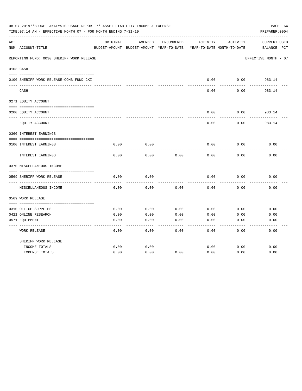|     | 08-07-2019**BUDGET ANALYSIS USAGE REPORT ** ASSET LIABILITY INCOME & EXPENSE<br>TIME: 07:14 AM - EFFECTIVE MONTH: 07 - FOR MONTH ENDING 7-31-19 |          |                                                     |            |          |                                        | PAGE 64<br>PREPARER: 0004          |
|-----|-------------------------------------------------------------------------------------------------------------------------------------------------|----------|-----------------------------------------------------|------------|----------|----------------------------------------|------------------------------------|
| ACT | NUM ACCOUNT-TITLE                                                                                                                               | ORIGINAL | AMENDED<br>BUDGET-AMOUNT BUDGET-AMOUNT YEAR-TO-DATE | ENCUMBERED | ACTIVITY | ACTIVITY<br>YEAR-TO-DATE MONTH-TO-DATE | <b>CURRENT USED</b><br>BALANCE PCT |
|     | REPORTING FUND: 0030 SHERIFF WORK RELEASE                                                                                                       |          |                                                     |            |          |                                        | EFFECTIVE MONTH - 07               |
|     | 0103 CASH                                                                                                                                       |          |                                                     |            |          |                                        |                                    |
|     | 0100 SHERIFF WORK RELEASE-COMB FUND CKI                                                                                                         |          |                                                     |            | 0.00     | 0.00                                   | 983.14                             |
|     | CASH                                                                                                                                            |          |                                                     |            | 0.00     | 0.00                                   | 983.14                             |
|     | 0271 EQUITY ACCOUNT                                                                                                                             |          |                                                     |            |          |                                        |                                    |
|     | 0200 EQUITY ACCOUNT                                                                                                                             |          |                                                     |            | 0.00     | 0.00                                   | 983.14                             |
|     | EQUITY ACCOUNT                                                                                                                                  |          |                                                     |            | 0.00     | 0.00                                   | 983.14                             |
|     | 0360 INTEREST EARNINGS                                                                                                                          |          |                                                     |            |          |                                        |                                    |
|     | 0100 INTEREST EARNINGS                                                                                                                          | 0.00     | 0.00                                                |            | 0.00     | 0.00                                   | 0.00                               |
|     | INTEREST EARNINGS                                                                                                                               | 0.00     | 0.00                                                | 0.00       | 0.00     | 0.00                                   | 0.00                               |
|     | 0370 MISCELLANEOUS INCOME                                                                                                                       |          |                                                     |            |          |                                        |                                    |
|     | 0569 SHERIFF WORK RELEASE                                                                                                                       | 0.00     | 0.00                                                |            | 0.00     | 0.00                                   | 0.00                               |
|     | MISCELLANEOUS INCOME                                                                                                                            | 0.00     | 0.00                                                | 0.00       | 0.00     | 0.00                                   | 0.00                               |
|     | 0569 WORK RELEASE                                                                                                                               |          |                                                     |            |          |                                        |                                    |
|     |                                                                                                                                                 |          |                                                     |            |          |                                        |                                    |
|     | 0310 OFFICE SUPPLIES                                                                                                                            | 0.00     | 0.00                                                | 0.00       | 0.00     | 0.00                                   | 0.00                               |
|     | 0421 ONLINE RESEARCH                                                                                                                            | 0.00     | 0.00                                                | 0.00       | 0.00     | 0.00                                   | 0.00                               |
|     | 0571 EQUIPMENT                                                                                                                                  | 0.00     | 0.00                                                | 0.00       | 0.00     | 0.00                                   | 0.00                               |
|     | <b>WORK RELEASE</b>                                                                                                                             | 0.00     | 0.00                                                | 0.00       | 0.00     | 0.00                                   | 0.00                               |
|     | SHERIFF WORK RELEASE                                                                                                                            |          |                                                     |            |          |                                        |                                    |
|     | INCOME TOTALS                                                                                                                                   | 0.00     | 0.00                                                |            | 0.00     | 0.00                                   | 0.00                               |
|     | <b>EXPENSE TOTALS</b>                                                                                                                           | 0.00     | 0.00                                                | 0.00       | 0.00     | 0.00                                   | 0.00                               |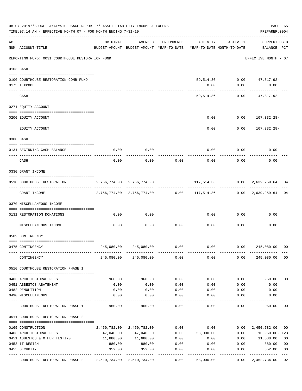|     | 08-07-2019**BUDGET ANALYSIS USAGE REPORT ** ASSET LIABILITY INCOME & EXPENSE<br>TIME: 07:14 AM - EFFECTIVE MONTH: 07 - FOR MONTH ENDING 7-31-19 |                                                                                 |                           |            |                                                             |          | PAGE 65<br>PREPARER: 0004                     |                |
|-----|-------------------------------------------------------------------------------------------------------------------------------------------------|---------------------------------------------------------------------------------|---------------------------|------------|-------------------------------------------------------------|----------|-----------------------------------------------|----------------|
| ACT | NUM ACCOUNT-TITLE                                                                                                                               | ORIGINAL<br>BUDGET-AMOUNT BUDGET-AMOUNT YEAR-TO-DATE YEAR-TO-DATE MONTH-TO-DATE | AMENDED                   | ENCUMBERED | ACTIVITY                                                    | ACTIVITY | <b>CURRENT USED</b><br>BALANCE PCT            |                |
|     | REPORTING FUND: 0031 COURTHOUSE RESTORATION FUND                                                                                                |                                                                                 |                           |            |                                                             |          | EFFECTIVE MONTH - 07                          |                |
|     | 0103 CASH                                                                                                                                       |                                                                                 |                           |            |                                                             |          |                                               |                |
|     | 0100 COURTHOUSE RESTORATION-COMB.FUND                                                                                                           |                                                                                 |                           |            |                                                             |          | 59,514.36 0.00 47,817.92-                     |                |
|     | 0175 TEXPOOL                                                                                                                                    |                                                                                 |                           |            | 0.00                                                        | 0.00     | 0.00                                          |                |
|     | CASH                                                                                                                                            |                                                                                 |                           |            | 59,514.36                                                   | 0.00     | 47,817.92-                                    |                |
|     | 0271 EQUITY ACCOUNT                                                                                                                             |                                                                                 |                           |            |                                                             |          |                                               |                |
|     |                                                                                                                                                 |                                                                                 |                           |            |                                                             |          |                                               |                |
|     | 0200 EQUITY ACCOUNT                                                                                                                             |                                                                                 |                           |            | 0.00                                                        |          | $0.00 107,332.28-$<br>. _ _ _ _ _ _ _ _ _ _ _ |                |
|     | EQUITY ACCOUNT                                                                                                                                  |                                                                                 |                           |            | 0.00                                                        | 0.00     | 107,332.28-                                   |                |
|     | 0300 CASH                                                                                                                                       |                                                                                 |                           |            |                                                             |          |                                               |                |
|     |                                                                                                                                                 |                                                                                 |                           |            |                                                             |          |                                               |                |
|     | 0131 BEGINNING CASH BALANCE<br>----------------------------                                                                                     | 0.00                                                                            | 0.00                      |            | 0.00                                                        | 0.00     | 0.00                                          |                |
|     | CASH                                                                                                                                            | 0.00                                                                            | 0.00                      | 0.00       | 0.00                                                        | 0.00     | 0.00                                          |                |
|     | 0330 GRANT INCOME                                                                                                                               |                                                                                 |                           |            |                                                             |          |                                               |                |
|     | 0510 COURTHOUSE RESTORATION                                                                                                                     | 2,756,774.00 2,756,774.00                                                       |                           |            |                                                             |          | 117,514.36 0.00 2,639,259.64                  | 04             |
|     | GRANT INCOME                                                                                                                                    |                                                                                 |                           |            | 2,756,774.00 2,756,774.00 0.00 117,514.36 0.00 2,639,259.64 |          |                                               | 04             |
|     | 0370 MISCELLANEOUS INCOME                                                                                                                       |                                                                                 |                           |            |                                                             |          |                                               |                |
|     | 0131 RESTORATION DONATIONS                                                                                                                      | 0.00                                                                            | 0.00                      |            | 0.00                                                        | 0.00     | 0.00                                          |                |
|     | MISCELLANEOUS INCOME                                                                                                                            | 0.00                                                                            | 0.00                      | 0.00       | 0.00                                                        | 0.00     | 0.00                                          |                |
|     | 0509 CONTINGENCY                                                                                                                                |                                                                                 |                           |            |                                                             |          |                                               |                |
|     | 0475 CONTINGENCY                                                                                                                                | 245,080.00                                                                      | 245,080.00                | 0.00       | 0.00                                                        | 0.00     | 245,080.00                                    | 00             |
|     | CONTINGENCY                                                                                                                                     |                                                                                 | 245,080.00 245,080.00     | 0.00       | 0.00                                                        | 0.00     | 245,080.00                                    | 0 <sub>0</sub> |
|     | 0510 COURTHOUSE RESTORATION PHASE 1                                                                                                             |                                                                                 |                           |            |                                                             |          |                                               |                |
|     |                                                                                                                                                 |                                                                                 |                           |            |                                                             |          |                                               |                |
|     | 0403 ARCHITECTURAL FEES                                                                                                                         | 960.00                                                                          | 960.00                    | 0.00       | 0.00                                                        | 0.00     | 960.00                                        | 0 <sub>0</sub> |
|     | 0451 ASBESTOS ABATEMENT                                                                                                                         | 0.00                                                                            | 0.00                      | 0.00       | 0.00                                                        | 0.00     | 0.00                                          |                |
|     | 0482 DEMOLITION                                                                                                                                 | 0.00                                                                            | 0.00                      | 0.00       | 0.00                                                        | 0.00     | 0.00                                          |                |
|     | 0490 MISCELLANEOUS                                                                                                                              | 0.00                                                                            | 0.00                      | 0.00       | 0.00                                                        | 0.00     | 0.00                                          |                |
|     | COURTHOUSE RESTORATION PHASE 1                                                                                                                  | 960.00                                                                          | 960.00                    | 0.00       | 0.00                                                        | 0.00     | 960.00                                        | 00             |
|     | 0511 COURTHOUSE RESTORATION PHASE 2                                                                                                             |                                                                                 |                           |            |                                                             |          |                                               |                |
|     | 0165 CONSTRUCTION                                                                                                                               |                                                                                 | 2,450,782.00 2,450,782.00 | 0.00       | 0.00                                                        | 0.00     | 2,450,782.00                                  | 00             |
|     | 0403 ARCHITECTURAL FEES                                                                                                                         | 47,040.00                                                                       | 47,040.00                 | 0.00       | 58,000.00                                                   | 0.00     | 10,960.00-123                                 |                |
|     | 0451 ASBESTOS & OTHER TESTING                                                                                                                   | 11,680.00                                                                       | 11,680.00                 | 0.00       | 0.00                                                        | 0.00     | 11,680.00                                     | 0 <sub>0</sub> |
|     | 0453 IT DESIGN                                                                                                                                  | 880.00                                                                          | 880.00                    | 0.00       | 0.00                                                        | 0.00     | 880.00                                        | 0 <sub>0</sub> |
|     | 0455 SECURITY                                                                                                                                   | 352.00                                                                          | 352.00                    | 0.00       | 0.00                                                        | 0.00     | 352.00                                        | 0 <sub>0</sub> |
|     | COURTHOUSE RESTORATION PHASE 2                                                                                                                  | 2,510,734.00 2,510,734.00                                                       |                           | 0.00       | 58,000.00                                                   | 0.00     | 2,452,734.00                                  | 02             |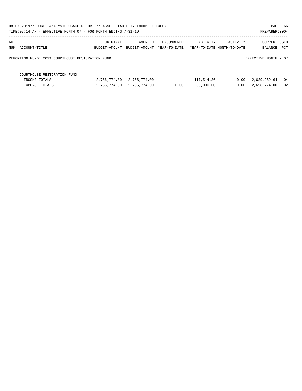| 08-07-2019**BUDGET ANALYSIS USAGE REPORT ** ASSET LIABILITY INCOME & EXPENSE<br>PAGE 66<br>TIME: 07:14 AM - EFFECTIVE MONTH: 07 - FOR MONTH ENDING 7-31-19<br>PREPARER: 0004 |               |               |              |            |                            |                      |    |  |  |
|------------------------------------------------------------------------------------------------------------------------------------------------------------------------------|---------------|---------------|--------------|------------|----------------------------|----------------------|----|--|--|
| ACT                                                                                                                                                                          | ORIGINAL      | AMENDED       | ENCUMBERED   | ACTIVITY   | ACTIVITY                   | <b>CURRENT USED</b>  |    |  |  |
| NUM ACCOUNT-TITLE                                                                                                                                                            | BUDGET-AMOUNT | BUDGET-AMOUNT | YEAR-TO-DATE |            | YEAR-TO-DATE MONTH-TO-DATE | BALANCE PCT          |    |  |  |
| REPORTING FUND: 0031 COURTHOUSE RESTORATION FUND                                                                                                                             |               |               |              |            |                            | EFFECTIVE MONTH - 07 |    |  |  |
| COURTHOUSE RESTORATION FUND                                                                                                                                                  |               |               |              |            |                            |                      |    |  |  |
| INCOME TOTALS                                                                                                                                                                | 2,756,774.00  | 2,756,774.00  |              | 117,514.36 | 0.00                       | 2,639,259.64         | 04 |  |  |
| EXPENSE TOTALS                                                                                                                                                               | 2,756,774.00  | 2,756,774.00  | 0.00         | 58,000.00  | 0.00                       | 2,698,774.00         | 02 |  |  |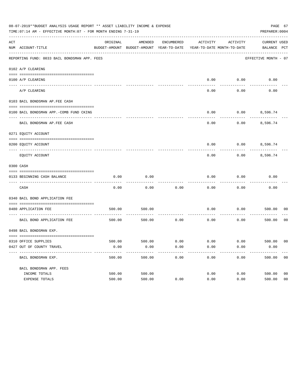|     | 08-07-2019**BUDGET ANALYSIS USAGE REPORT ** ASSET LIABILITY INCOME & EXPENSE<br>TIME: 07:14 AM - EFFECTIVE MONTH: 07 - FOR MONTH ENDING 7-31-19 |          |                                                     |            |                                        |          | PAGE 67<br>PREPARER: 0004          |                |
|-----|-------------------------------------------------------------------------------------------------------------------------------------------------|----------|-----------------------------------------------------|------------|----------------------------------------|----------|------------------------------------|----------------|
| ACT | NUM ACCOUNT-TITLE                                                                                                                               | ORIGINAL | AMENDED<br>BUDGET-AMOUNT BUDGET-AMOUNT YEAR-TO-DATE | ENCUMBERED | ACTIVITY<br>YEAR-TO-DATE MONTH-TO-DATE | ACTIVITY | <b>CURRENT USED</b><br>BALANCE PCT |                |
|     | REPORTING FUND: 0033 BAIL BONDSMAN APP. FEES                                                                                                    |          |                                                     |            |                                        |          | EFFECTIVE MONTH - 07               |                |
|     | 0102 A/P CLEARING                                                                                                                               |          |                                                     |            |                                        |          |                                    |                |
|     | 0100 A/P CLEARING                                                                                                                               |          |                                                     |            | 0.00                                   | 0.00     | 0.00                               |                |
|     | ---- --------<br>A/P CLEARING                                                                                                                   |          |                                                     |            | 0.00                                   | 0.00     | 0.00                               |                |
|     | 0103 BAIL BONDSMAN AP.FEE CASH                                                                                                                  |          |                                                     |            |                                        |          |                                    |                |
|     | 0100 BAIL BONDSMAN APP.-COMB FUND CKING                                                                                                         |          |                                                     |            | 0.00                                   | 0.00     | 8,596.74                           |                |
|     | BAIL BONDSMAN AP.FEE CASH                                                                                                                       |          |                                                     |            | 0.00                                   | 0.00     | 8,596.74                           |                |
|     | 0271 EQUITY ACCOUNT                                                                                                                             |          |                                                     |            |                                        |          |                                    |                |
|     | 0200 EQUITY ACCOUNT                                                                                                                             |          |                                                     |            | 0.00                                   |          | $0.00$ 8,596.74                    |                |
|     | EQUITY ACCOUNT                                                                                                                                  |          |                                                     |            | 0.00                                   | 0.00     | 8,596.74                           |                |
|     | 0300 CASH                                                                                                                                       |          |                                                     |            |                                        |          |                                    |                |
|     | 0133 BEGINNING CASH BALANCE                                                                                                                     | 0.00     | 0.00                                                |            | 0.00                                   | 0.00     | 0.00                               |                |
|     | CASH                                                                                                                                            | 0.00     | 0.00                                                | 0.00       | 0.00                                   | 0.00     | 0.00                               |                |
|     | 0340 BAIL BOND APPLICATION FEE                                                                                                                  |          |                                                     |            |                                        |          |                                    |                |
|     | 0480 APPLICATION FEE                                                                                                                            | 500.00   | 500.00                                              |            | 0.00                                   | 0.00     | 500.00                             | 00             |
|     | BAIL BOND APPLICATION FEE                                                                                                                       | 500.00   | 500.00                                              | 0.00       | 0.00                                   | 0.00     | 500.00                             | 0 <sub>0</sub> |
|     | 0498 BAIL BONDSMAN EXP.                                                                                                                         |          |                                                     |            |                                        |          |                                    |                |
|     | 0310 OFFICE SUPPLIES                                                                                                                            | 500.00   | 500.00 0.00                                         |            | $0.00$ $0.00$ $500.00$                 |          |                                    | 00             |
|     | 0427 OUT OF COUNTY TRAVEL                                                                                                                       | 0.00     | 0.00                                                | 0.00       | 0.00                                   | 0.00     | 0.00                               |                |
|     | BAIL BONDSMAN EXP.                                                                                                                              | 500.00   | 500.00                                              | 0.00       | 0.00                                   | 0.00     | 500.00                             | 0 <sub>0</sub> |
|     | BAIL BONDSMAN APP. FEES                                                                                                                         |          |                                                     |            |                                        |          |                                    |                |
|     | INCOME TOTALS                                                                                                                                   | 500.00   | 500.00                                              |            | 0.00                                   | 0.00     | 500.00                             | 0 <sub>0</sub> |
|     | EXPENSE TOTALS                                                                                                                                  | 500.00   | 500.00                                              | 0.00       | 0.00                                   | 0.00     | 500.00                             | 0 <sub>0</sub> |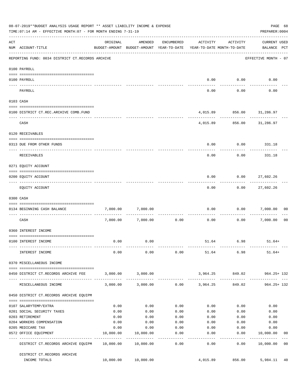|          | 08-07-2019**BUDGET ANALYSIS USAGE REPORT ** ASSET LIABILITY INCOME & EXPENSE<br>TIME: 07:14 AM - EFFECTIVE MONTH: 07 - FOR MONTH ENDING 7-31-19 |           |                                                     |            |                                        |                   | PREPARER: 0004                     | PAGE 68        |
|----------|-------------------------------------------------------------------------------------------------------------------------------------------------|-----------|-----------------------------------------------------|------------|----------------------------------------|-------------------|------------------------------------|----------------|
| ACT      | NUM ACCOUNT-TITLE                                                                                                                               | ORIGINAL  | AMENDED<br>BUDGET-AMOUNT BUDGET-AMOUNT YEAR-TO-DATE | ENCUMBERED | ACTIVITY<br>YEAR-TO-DATE MONTH-TO-DATE | ACTIVITY          | <b>CURRENT USED</b><br>BALANCE PCT |                |
|          | REPORTING FUND: 0034 DISTRICT CT.RECORDS ARCHIVE                                                                                                |           |                                                     |            |                                        |                   | EFFECTIVE MONTH - 07               |                |
|          | 0100 PAYROLL                                                                                                                                    |           |                                                     |            |                                        |                   |                                    |                |
|          |                                                                                                                                                 |           |                                                     |            |                                        |                   |                                    |                |
| ---- --- | 0100 PAYROLL                                                                                                                                    |           |                                                     |            | 0.00                                   | 0.00              | 0.00                               |                |
|          | PAYROLL                                                                                                                                         |           |                                                     |            | 0.00                                   | 0.00              | 0.00                               |                |
|          | 0103 CASH                                                                                                                                       |           |                                                     |            |                                        |                   |                                    |                |
|          | 0100 DISTRICT CT.REC.ARCHIVE COMB.FUND                                                                                                          |           |                                                     |            |                                        |                   | 4,015.89 856.00 31,286.97          |                |
|          | CASH                                                                                                                                            |           |                                                     |            |                                        |                   | 4,015.89 856.00 31,286.97          |                |
|          | 0120 RECEIVABLES                                                                                                                                |           |                                                     |            |                                        |                   |                                    |                |
|          | 0313 DUE FROM OTHER FUNDS                                                                                                                       |           |                                                     |            | 0.00                                   | 0.00              | 331.18                             |                |
|          | <b>RECEIVABLES</b>                                                                                                                              |           |                                                     |            | 0.00                                   | 0.00              | 331.18                             |                |
|          | 0271 EQUITY ACCOUNT                                                                                                                             |           |                                                     |            |                                        |                   |                                    |                |
|          | 0200 EQUITY ACCOUNT                                                                                                                             |           |                                                     |            | 0.00                                   | 0.00              | 27,602.26                          |                |
|          | EQUITY ACCOUNT                                                                                                                                  |           |                                                     |            | 0.00                                   | 0.00              | -----------<br>27,602.26           |                |
|          | 0300 CASH                                                                                                                                       |           |                                                     |            |                                        |                   |                                    |                |
|          | 0134 BEGINNING CASH BALANCE                                                                                                                     | 7,000.00  | 7,000.00                                            |            | 0.00                                   | 0.00              | 7,000.00                           | 00             |
|          | CASH                                                                                                                                            |           | 7,000.00 7,000.00                                   | 0.00       | 0.00                                   | 0.00              | 7,000.00                           | 0 <sub>0</sub> |
|          | 0360 INTEREST INCOME                                                                                                                            |           |                                                     |            |                                        |                   |                                    |                |
|          | 0100 INTEREST INCOME                                                                                                                            | 0.00      | 0.00                                                |            |                                        | 51.64 6.98        | $51.64+$                           |                |
|          | INTEREST INCOME                                                                                                                                 | 0.00      |                                                     |            | $0.00$ $0.00$ $51.64$ $6.98$           |                   | $51.64+$                           |                |
|          | 0370 MISCELLANEOUS INCOME                                                                                                                       |           |                                                     |            |                                        |                   |                                    |                |
|          | 0450 DISTRICT CT.RECORDS ARCHIVE FEE 3,000.00 3,000.00                                                                                          |           |                                                     |            |                                        |                   | 3,964.25 849.02 964.25+132         |                |
|          | MISCELLANEOUS INCOME                                                                                                                            |           | $3,000.00$ $3,000.00$ $0.00$ $3,964.25$             |            |                                        | 849.02            | -------------------<br>964.25+ 132 |                |
|          | 0450 DISTRICT CT.RECORDS ARCHIVE EQUIPM                                                                                                         |           |                                                     |            |                                        |                   |                                    |                |
|          | 0107 SALARYTEMP/EXTRA                                                                                                                           | 0.00      | 0.00                                                | 0.00       | 0.00                                   | 0.00              | 0.00                               |                |
|          | 0201 SOCIAL SECURITY TAXES                                                                                                                      | 0.00      | 0.00                                                | 0.00       | 0.00                                   | 0.00              | 0.00                               |                |
|          | 0203 RETIREMENT                                                                                                                                 | 0.00      | 0.00                                                | 0.00       | 0.00                                   | 0.00              | 0.00                               |                |
|          | 0204 WORKERS COMPENSATION                                                                                                                       | 0.00      | 0.00                                                | 0.00       | 0.00                                   | 0.00              | 0.00                               |                |
|          | 0205 MEDICARE TAX                                                                                                                               | 0.00      | 0.00                                                | 0.00       | 0.00                                   | 0.00              | 0.00                               |                |
|          | 0572 OFFICE EQUIPMENT                                                                                                                           | 10,000.00 | 10,000.00                                           | 0.00       | 0.00                                   | 0.00              | 10,000.00                          | 00             |
|          | DISTRICT CT.RECORDS ARCHIVE EQUIPM 10,000.00 10,000.00                                                                                          |           |                                                     | .<br>0.00  | ---------<br>0.00                      | ---------<br>0.00 | -----------<br>10,000.00 00        |                |
|          | DISTRICT CT.RECORDS ARCHIVE                                                                                                                     |           |                                                     |            |                                        |                   |                                    |                |
|          | INCOME TOTALS                                                                                                                                   |           | 10,000.00 10,000.00                                 |            | 4,015.89                               | 856.00            | 5,984.11 40                        |                |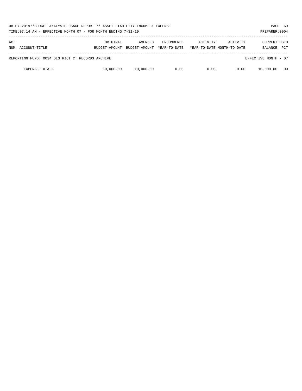| 08-07-2019**BUDGET ANALYSIS USAGE REPORT ** ASSET LIABILITY INCOME & EXPENSE<br>TIME: 07:14 AM - EFFECTIVE MONTH: 07 - FOR MONTH ENDING 7-31-19<br>PREPARER: 0004 |                           |                          |                                   |          |                                        |                                       |            |  |  |
|-------------------------------------------------------------------------------------------------------------------------------------------------------------------|---------------------------|--------------------------|-----------------------------------|----------|----------------------------------------|---------------------------------------|------------|--|--|
| ACT<br>NUM ACCOUNT-TITLE                                                                                                                                          | ORIGINAL<br>BUDGET-AMOUNT | AMENDED<br>BUDGET-AMOUNT | <b>ENCUMBERED</b><br>YEAR-TO-DATE | ACTIVITY | ACTIVITY<br>YEAR-TO-DATE MONTH-TO-DATE | <b>CURRENT USED</b><br><b>BALANCE</b> | <b>PCT</b> |  |  |
| REPORTING FUND: 0034 DISTRICT CT.RECORDS ARCHIVE                                                                                                                  |                           |                          |                                   |          |                                        | EFFECTIVE MONTH - 07                  |            |  |  |
| <b>EXPENSE TOTALS</b>                                                                                                                                             | 10,000.00                 | 10,000.00                | 0.00                              | 0.00     | 0.00                                   | 10,000.00                             | 00         |  |  |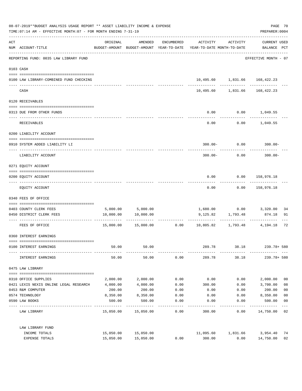| 08-07-2019**BUDGET ANALYSIS USAGE REPORT ** ASSET LIABILITY INCOME & EXPENSE<br>TIME: 07:14 AM - EFFECTIVE MONTH: 07 - FOR MONTH ENDING 7-31-19 |                                                                               |           |                     |            |                                                                                 |                                                             |                                    |                         |
|-------------------------------------------------------------------------------------------------------------------------------------------------|-------------------------------------------------------------------------------|-----------|---------------------|------------|---------------------------------------------------------------------------------|-------------------------------------------------------------|------------------------------------|-------------------------|
| ACT                                                                                                                                             | NUM ACCOUNT-TITLE                                                             | ORIGINAL  | AMENDED             | ENCUMBERED | ACTIVITY<br>BUDGET-AMOUNT BUDGET-AMOUNT YEAR-TO-DATE YEAR-TO-DATE MONTH-TO-DATE | ACTIVITY                                                    | <b>CURRENT USED</b><br>BALANCE PCT |                         |
|                                                                                                                                                 | ------------------------------------<br>REPORTING FUND: 0035 LAW LIBRARY FUND |           |                     |            |                                                                                 |                                                             | EFFECTIVE MONTH - 07               |                         |
|                                                                                                                                                 | 0103 CASH                                                                     |           |                     |            |                                                                                 |                                                             |                                    |                         |
|                                                                                                                                                 | 0100 LAW LIBRARY-COMBINED FUND CHECKING                                       |           |                     |            |                                                                                 | 10,495.60 1,831.66 168,422.23<br>------------ ------------- |                                    |                         |
|                                                                                                                                                 | CASH                                                                          |           |                     |            |                                                                                 | 10,495.60 1,831.66                                          | 168,422.23                         |                         |
|                                                                                                                                                 | 0120 RECEIVABLES                                                              |           |                     |            |                                                                                 |                                                             |                                    |                         |
|                                                                                                                                                 | 0313 DUE FROM OTHER FUNDS                                                     |           |                     |            | 0.00                                                                            | $0.00$ 1,049.55                                             |                                    |                         |
|                                                                                                                                                 | RECEIVABLES                                                                   |           |                     |            | 0.00                                                                            |                                                             | $0.00$ 1,049.55                    |                         |
|                                                                                                                                                 | 0200 LIABILITY ACCOUNT                                                        |           |                     |            |                                                                                 |                                                             |                                    |                         |
|                                                                                                                                                 | 0910 SYSTEM ADDED LIABILITY LI                                                |           |                     |            |                                                                                 | $300.00 - 0.00$                                             | $300.00 -$                         |                         |
|                                                                                                                                                 | LIABILITY ACCOUNT                                                             |           |                     |            | $300.00 -$                                                                      | 0.00                                                        | $300.00 -$                         |                         |
|                                                                                                                                                 | 0271 EQUITY ACCOUNT                                                           |           |                     |            |                                                                                 |                                                             |                                    |                         |
|                                                                                                                                                 | 0200 EQUITY ACCOUNT                                                           |           |                     |            | 0.00                                                                            | 0.00 158,976.18                                             |                                    |                         |
|                                                                                                                                                 | EQUITY ACCOUNT                                                                |           |                     |            | 0.00                                                                            | 0.00                                                        | 158,976.18                         |                         |
|                                                                                                                                                 | 0340 FEES OF OFFICE                                                           |           |                     |            |                                                                                 |                                                             |                                    |                         |
|                                                                                                                                                 | 0403 COUNTY CLERK FEES                                                        |           | 5,000.00 5,000.00   |            |                                                                                 | $1,680.00$ $0.00$ $3,320.00$                                |                                    | 34                      |
|                                                                                                                                                 | 0450 DISTRICT CLERK FEES                                                      | 10,000.00 | 10,000.00           |            | 9,125.82                                                                        | 1,793.48                                                    | 874.18                             | 91                      |
|                                                                                                                                                 | FEES OF OFFICE                                                                |           |                     |            | .<br>$15,000.00$ $15,000.00$ $0.00$ $10,805.82$ $1,793.48$                      |                                                             | ------------<br>4,194.18           | 72                      |
|                                                                                                                                                 | 0360 INTEREST EARNINGS                                                        |           |                     |            |                                                                                 |                                                             |                                    |                         |
|                                                                                                                                                 | 0100 INTEREST EARNINGS                                                        | 50.00     | 50.00               |            | 289.78                                                                          | 38.18                                                       | 239.78+ 580                        |                         |
|                                                                                                                                                 | INTEREST EARNINGS                                                             | 50.00     | 50.00               | 0.00       | 289.78                                                                          | 38.18                                                       | 239.78+ 580                        |                         |
|                                                                                                                                                 | 0475 LAW LIBRARY                                                              |           |                     |            |                                                                                 |                                                             |                                    |                         |
|                                                                                                                                                 | 0310 OFFICE SUPPLIES                                                          | 2,000.00  | 2,000.00            | 0.00       | 0.00                                                                            | 0.00                                                        | 2,000.00                           | 0 <sub>0</sub>          |
|                                                                                                                                                 | 0421 LEXIS NEXIS ONLINE LEGAL RESEARCH                                        | 4,000.00  | 4,000.00            | 0.00       | 300.00                                                                          | 0.00                                                        | 3,700.00                           | 08                      |
|                                                                                                                                                 | 0453 R&M COMPUTER                                                             | 200.00    | 200.00              | 0.00       | 0.00                                                                            | 0.00                                                        | 200.00                             | 0 <sub>0</sub>          |
|                                                                                                                                                 | 0574 TECHNOLOGY                                                               | 8,350.00  | 8,350.00            | 0.00       | 0.00                                                                            | 0.00                                                        | 8,350.00                           | 0 <sub>0</sub>          |
|                                                                                                                                                 | 0590 LAW BOOKS                                                                | 500.00    | 500.00              | 0.00       | 0.00                                                                            | 0.00                                                        | 500.00                             | 0 <sub>0</sub><br>$---$ |
|                                                                                                                                                 | LAW LIBRARY                                                                   |           | 15,050.00 15,050.00 | 0.00       | 300.00                                                                          | 0.00                                                        | 14,750.00 02                       |                         |
|                                                                                                                                                 | LAW LIBRARY FUND                                                              |           |                     |            |                                                                                 |                                                             |                                    |                         |
|                                                                                                                                                 | INCOME TOTALS                                                                 |           | 15,050.00 15,050.00 |            | 11,095.60                                                                       | 1,831.66                                                    | 3,954.40                           | 74                      |
|                                                                                                                                                 | EXPENSE TOTALS                                                                | 15,050.00 | 15,050.00           | 0.00       | 300.00                                                                          | 0.00                                                        | 14,750.00                          | 02                      |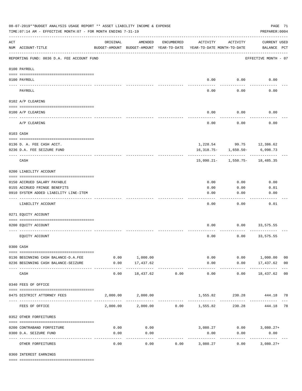| 08-07-2019**BUDGET ANALYSIS USAGE REPORT ** ASSET LIABILITY INCOME & EXPENSE<br>TIME: 07:14 AM - EFFECTIVE MONTH: 07 - FOR MONTH ENDING 7-31-19 |                                            |                                                      |                            |                       |                                        |                          |                                    |                |  |
|-------------------------------------------------------------------------------------------------------------------------------------------------|--------------------------------------------|------------------------------------------------------|----------------------------|-----------------------|----------------------------------------|--------------------------|------------------------------------|----------------|--|
| $\mathop{\rm ACT}$                                                                                                                              | NUM ACCOUNT-TITLE                          | ORIGINAL<br>BUDGET-AMOUNT BUDGET-AMOUNT YEAR-TO-DATE | AMENDED                    | ENCUMBERED            | ACTIVITY<br>YEAR-TO-DATE MONTH-TO-DATE | ACTIVITY                 | <b>CURRENT USED</b><br>BALANCE PCT |                |  |
|                                                                                                                                                 | REPORTING FUND: 0036 D.A. FEE ACCOUNT FUND |                                                      |                            |                       |                                        |                          | EFFECTIVE MONTH - 07               |                |  |
|                                                                                                                                                 | 0100 PAYROLL                               |                                                      |                            |                       |                                        |                          |                                    |                |  |
| ---- ---                                                                                                                                        | 0100 PAYROLL                               |                                                      |                            |                       |                                        | $0.00$ 0.00              | 0.00                               |                |  |
|                                                                                                                                                 | PAYROLL                                    |                                                      |                            |                       | 0.00                                   | 0.00                     | 0.00                               |                |  |
|                                                                                                                                                 | 0102 A/P CLEARING                          |                                                      |                            |                       |                                        |                          |                                    |                |  |
|                                                                                                                                                 | 0100 A/P CLEARING                          |                                                      |                            |                       | 0.00                                   | 0.00                     | 0.00                               |                |  |
|                                                                                                                                                 | A/P CLEARING                               |                                                      |                            |                       | 0.00                                   | 0.00                     | 0.00                               |                |  |
|                                                                                                                                                 | 0103 CASH                                  |                                                      |                            |                       |                                        |                          |                                    |                |  |
|                                                                                                                                                 |                                            |                                                      |                            |                       |                                        |                          |                                    |                |  |
|                                                                                                                                                 | 0136 D. A. FEE CASH ACCT.                  |                                                      |                            |                       |                                        |                          | 1,228.54 99.75 12,386.62           |                |  |
|                                                                                                                                                 | 0236 D.A. FEE SEIZURE FUND                 |                                                      |                            |                       |                                        | $16,318.75 - 1,650.50 -$ | 6,098.73                           |                |  |
|                                                                                                                                                 | CASH                                       |                                                      |                            |                       |                                        |                          | $15,090.21 - 1,550.75 - 18,485.35$ |                |  |
|                                                                                                                                                 | 0200 LIABILITY ACCOUNT                     |                                                      |                            |                       |                                        |                          |                                    |                |  |
|                                                                                                                                                 | 0150 ACCRUED SALARY PAYABLE                |                                                      |                            |                       | 0.00                                   | 0.00                     | 0.00                               |                |  |
|                                                                                                                                                 | 0155 ACCRUED FRINGE BENEFITS               |                                                      |                            |                       | 0.00                                   | 0.00                     | 0.01                               |                |  |
|                                                                                                                                                 | 0910 SYSTEM ADDED LIABILITY LINE-ITEM      |                                                      |                            |                       | 0.00                                   | 0.00                     | 0.00                               |                |  |
|                                                                                                                                                 | LIABILITY ACCOUNT                          |                                                      |                            |                       | 0.00                                   | 0.00                     | 0.01                               |                |  |
|                                                                                                                                                 | 0271 EQUITY ACCOUNT                        |                                                      |                            |                       |                                        |                          |                                    |                |  |
|                                                                                                                                                 |                                            |                                                      |                            |                       |                                        |                          |                                    |                |  |
|                                                                                                                                                 | 0200 EQUITY ACCOUNT                        |                                                      |                            |                       | 0.00                                   | 0.00                     | 33,575.55                          |                |  |
|                                                                                                                                                 | EQUITY ACCOUNT                             |                                                      |                            |                       | 0.00                                   | 0.00                     | 33,575.55                          |                |  |
|                                                                                                                                                 | 0300 CASH                                  |                                                      |                            |                       |                                        |                          |                                    |                |  |
|                                                                                                                                                 | 0136 BEGINNING CASH BALANCE-D.A.FEE        |                                                      | 0.00 1,000.00              |                       |                                        |                          | $0.00$ $0.00$ $1,000.00$           | 0 <sub>0</sub> |  |
|                                                                                                                                                 | 0236 BEGINNING CASH BALANCE-SEIZURE        | 0.00                                                 | 17,437.62                  |                       | 0.00                                   |                          | $0.00$ 17,437.62 00                |                |  |
|                                                                                                                                                 | CASH                                       | 0.00                                                 | -------------<br>18,437.62 | -------------<br>0.00 | -------------<br>0.00                  | -----------<br>0.00      | .<br>18,437.62 00                  |                |  |
|                                                                                                                                                 | 0340 FEES OF OFFICE                        |                                                      |                            |                       |                                        |                          |                                    |                |  |
|                                                                                                                                                 | 0475 DISTRICT ATTORNEY FEES                |                                                      | 2,000.00 2,000.00          |                       |                                        |                          | 1,555.82 230.28 444.18 78          |                |  |
|                                                                                                                                                 | FEES OF OFFICE                             |                                                      |                            |                       | 2,000.00 2,000.00 0.00 1,555.82        | 230.28                   | 444.18 78                          |                |  |
|                                                                                                                                                 | 0352 OTHER FORFEITURES                     |                                                      |                            |                       |                                        |                          |                                    |                |  |
|                                                                                                                                                 | 0200 CONTRABAND FORFEITURE                 | 0.00                                                 | 0.00                       |                       |                                        |                          | $3,080.27$ $0.00$ $3,080.27+$      |                |  |
|                                                                                                                                                 | 0300 D.A. SEIZURE FUND                     | 0.00                                                 | 0.00                       |                       | 0.00                                   | 0.00                     | 0.00                               |                |  |
|                                                                                                                                                 | OTHER FORFEITURES                          | 0.00                                                 | ----------<br>0.00         |                       | -----------<br>$0.00$ 3,080.27         | 0.00                     | -----------<br>$3,080.27+$         |                |  |

0360 INTEREST EARNINGS

==== ===================================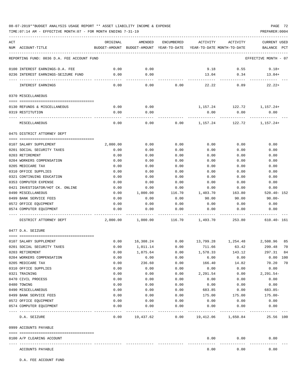TIME:07:14 AM - EFFECTIVE MONTH:07 - FOR MONTH ENDING 7-31-19 PREPARER:0004

| ACT<br>NUM ACCOUNT-TITLE                            | ORIGINAL | AMENDED<br>BUDGET-AMOUNT BUDGET-AMOUNT YEAR-TO-DATE YEAR-TO-DATE MONTH-TO-DATE | ENCUMBERED    | ACTIVITY   | ACTIVITY     | <b>CURRENT USED</b><br>BALANCE PCT |
|-----------------------------------------------------|----------|--------------------------------------------------------------------------------|---------------|------------|--------------|------------------------------------|
|                                                     |          |                                                                                |               |            |              |                                    |
| REPORTING FUND: 0036 D.A. FEE ACCOUNT FUND          |          |                                                                                |               |            |              | EFFECTIVE MONTH - 07               |
| 0100 INTEREST EARNINGS-D.A. FEE                     | 0.00     | 0.00                                                                           |               | 9.18       | 0.55         | $9.18+$                            |
| 0236 INTEREST EARNINGS-SEIZURE FUND                 | 0.00     | 0.00                                                                           |               | 13.04      | 0.34         | $13.04+$                           |
| INTEREST EARNINGS                                   | 0.00     | $- - - -$<br>0.00                                                              | 0.00          | 22.22      | 0.89         | $22.22+$                           |
| 0370 MISCELLANEOUS                                  |          |                                                                                |               |            |              |                                    |
| 0130 REFUNDS & MISCELLANEOUS                        | 0.00     | 0.00                                                                           |               | 1,157.24   | 122.72       | 1,157.24+                          |
| 0319 RESTITUTION                                    | 0.00     | 0.00                                                                           |               | 0.00       | 0.00         | 0.00                               |
| MISCELLANEOUS                                       | 0.00     | 0.00                                                                           | 0.00          | 1,157.24   | 122.72       | 1,157.24+                          |
|                                                     |          |                                                                                |               |            |              |                                    |
| 0475 DISTRICT ATTORNEY DEPT                         |          |                                                                                |               |            |              |                                    |
| 0107 SALARY SUPPLEMENT                              | 2,000.00 | 0.00                                                                           | 0.00          | 0.00       | 0.00         | 0.00                               |
| 0201 SOCIAL SECURITY TAXES                          | 0.00     | 0.00                                                                           | 0.00          | 0.00       | 0.00         | 0.00                               |
| 0203 RETIREMENT                                     | 0.00     | 0.00                                                                           | 0.00          | 0.00       | 0.00         | 0.00                               |
| 0204 WORKERS COMPENSATION                           | 0.00     | 0.00                                                                           | 0.00          | 0.00       | 0.00         | 0.00                               |
| 0205 MEDICARE TAX                                   | 0.00     | 0.00                                                                           | 0.00          | 0.00       | 0.00         | 0.00                               |
| 0310 OFFICE SUPPLIES                                | 0.00     | 0.00                                                                           | 0.00          | 0.00       | 0.00         | 0.00                               |
| 0321 CONTINUING EDUCATION                           | 0.00     | 0.00                                                                           | 0.00          | 0.00       | 0.00         | 0.00                               |
| 0353 COMPUTER EXPENSE                               | 0.00     | 0.00                                                                           | 0.00          | 0.00       | 0.00         | 0.00                               |
| 0421 INVESTIGATOR/HOT CK. ONLINE                    | 0.00     | 0.00                                                                           | 0.00          | 0.00       | 0.00         | 0.00                               |
| 0490 MISCELLANEOUS                                  | 0.00     | 1,000.00                                                                       | 116.70        | 1,403.70   | 163.80       | $520.40 - 152$                     |
| 0499 BANK SERVICE FEES                              | 0.00     | 0.00                                                                           | 0.00          | 90.00      | 90.00        | $90.00 -$                          |
| 0572 OFFICE EQUIPMENT                               | 0.00     | 0.00                                                                           | 0.00          | 0.00       | 0.00         | 0.00                               |
| 0574 COMPUTER EQUIPMENT                             | 0.00     | 0.00                                                                           | 0.00          | 0.00       | 0.00         | 0.00                               |
| DISTRICT ATTORNEY DEPT                              | 2,000.00 | 1,000.00                                                                       | 116.70        | 1,493.70   | 253.80       | $610.40 - 161$                     |
| 0477 D.A. SEIZURE                                   |          |                                                                                |               |            |              |                                    |
| 0107 SALARY SUPPLEMENT                              | 0.00     | 16,308.24                                                                      | 0.00          | 13,799.28  | 1,254.48     | 2,508.96<br>85                     |
| 0201 SOCIAL SECURITY TAXES                          | 0.00     | 1,011.14                                                                       | 0.00          | 711.66     | 63.42        | 70<br>299.48                       |
| 0203 RETIREMENT                                     | 0.00     | 1,875.64                                                                       | 0.00          | 1,578.33   | 143.12       | 297.31<br>84                       |
| 0204 WORKERS COMPENSATION                           | 0.00     | 6.00                                                                           | 0.00          | 6.00       | 0.00         | 0.00 100                           |
| 0205 MEDICARE TAX                                   | 0.00     | 236.60                                                                         | 0.00          | 166.40     | 14.82        | 70.20<br>70                        |
| 0310 OFFICE SUPPLIES                                | 0.00     | 0.00                                                                           | 0.00          | 0.00       | 0.00         | 0.00                               |
| 0321 TRAINING                                       | 0.00     | 0.00                                                                           | 0.00          | 2,291.54   | 0.00         | $2,291.54-$                        |
| 0470 CIVIL PROCESS                                  | 0.00     | 0.00                                                                           | 0.00          | 0.00       | 0.00         | 0.00                               |
| 0480 TOWING                                         | 0.00     | 0.00                                                                           | 0.00          | 0.00       | 0.00         | 0.00                               |
| 0490 MISCELLANEOUS                                  | 0.00     | 0.00                                                                           | 0.00          | 683.85     | 0.00         | 683.85-                            |
| 0499 BANK SERVICE FEES                              | 0.00     | 0.00                                                                           | 0.00          | 175.00     | 175.00       | $175.00 -$                         |
| 0572 OFFICE EQUIPMENT                               | 0.00     | 0.00                                                                           | 0.00          | 0.00       | 0.00         | 0.00                               |
| 0574 COMPUTER EQUIPMENT<br>------------------ ----- | 0.00     | 0.00                                                                           | 0.00<br>----- | 0.00       | 0.00         | 0.00                               |
| D.A. SEIZURE                                        | 0.00     | 19,437.62                                                                      | 0.00          | 19,412.06  | 1,650.84     | 25.56 100                          |
| 0999 ACCOUNTS PAYABLE                               |          |                                                                                |               |            |              |                                    |
| 0100 A/P CLEARING ACCOUNT                           |          |                                                                                |               | 0.00       | 0.00         | 0.00                               |
| -------------                                       |          |                                                                                |               | ---------- | . <u>.</u> . |                                    |
| ACCOUNTS PAYABLE                                    |          |                                                                                |               | 0.00       | 0.00         | 0.00                               |

D.A. FEE ACCOUNT FUND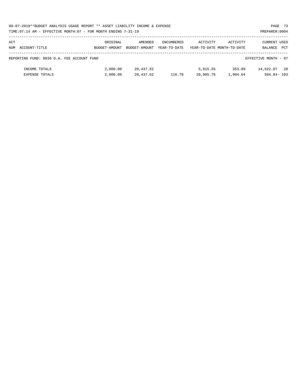|     | 08-07-2019**BUDGET ANALYSIS USAGE REPORT ** ASSET LIABILITY INCOME & EXPENSE |               |               |                   |           |                            |                      | PAGE 73 |
|-----|------------------------------------------------------------------------------|---------------|---------------|-------------------|-----------|----------------------------|----------------------|---------|
|     | TIME:07:14 AM - EFFECTIVE MONTH:07 - FOR MONTH ENDING 7-31-19                |               |               |                   |           |                            | PREPARER: 0004       |         |
|     |                                                                              |               |               |                   |           |                            |                      |         |
| ACT |                                                                              | ORIGINAL      | AMENDED       | <b>ENCUMBERED</b> | ACTIVITY  | ACTIVITY                   | CURRENT USED         |         |
|     | NUM ACCOUNT-TITLE                                                            | BUDGET-AMOUNT | BUDGET-AMOUNT | YEAR-TO-DATE      |           | YEAR-TO-DATE MONTH-TO-DATE | BALANCE              | PCT     |
|     |                                                                              |               |               |                   |           |                            |                      |         |
|     | REPORTING FUND: 0036 D.A. FEE ACCOUNT FUND                                   |               |               |                   |           |                            | EFFECTIVE MONTH - 07 |         |
|     |                                                                              |               |               |                   |           |                            |                      |         |
|     | INCOME TOTALS                                                                | 2,000.00      | 20,437.62     |                   | 5,815.55  | 353.89                     | 14,622.07            | 28      |
|     | <b>EXPENSE TOTALS</b>                                                        | 2,000.00      | 20,437.62     | 116.70            | 20,905.76 | 1,904.64                   | $584.84 - 103$       |         |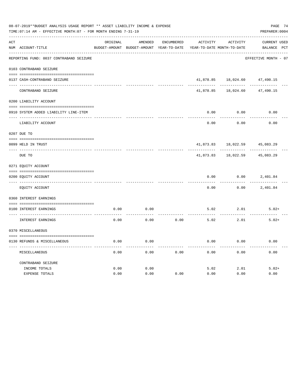|               | 08-07-2019**BUDGET ANALYSIS USAGE REPORT ** ASSET LIABILITY INCOME & EXPENSE<br>TIME: 07:14 AM - EFFECTIVE MONTH: 07 - FOR MONTH ENDING 7-31-19 |          |                                          |                   |           |                            | PAGE 74<br>PREPARER: 0004 |
|---------------|-------------------------------------------------------------------------------------------------------------------------------------------------|----------|------------------------------------------|-------------------|-----------|----------------------------|---------------------------|
| ACT           |                                                                                                                                                 | ORIGINAL | AMENDED                                  | <b>ENCUMBERED</b> | ACTIVITY  | <b>ACTIVITY</b>            | CURRENT USED              |
|               | NUM ACCOUNT-TITLE                                                                                                                               |          | BUDGET-AMOUNT BUDGET-AMOUNT YEAR-TO-DATE |                   |           | YEAR-TO-DATE MONTH-TO-DATE | BALANCE PCT               |
|               | REPORTING FUND: 0037 CONTRABAND SEIZURE                                                                                                         |          |                                          |                   |           |                            | EFFECTIVE MONTH - 07      |
|               | 0103 CONTRABAND SEIZURE                                                                                                                         |          |                                          |                   |           |                            |                           |
|               | 0137 CASH-CONTRABAND SEIZURE                                                                                                                    |          |                                          |                   | 41,878.85 | 18,024.60                  | 47,490.15                 |
|               | CONTRABAND SEIZURE                                                                                                                              |          |                                          |                   | 41,878.85 | 18,024.60                  | 47,490.15                 |
|               | 0200 LIABILITY ACCOUNT                                                                                                                          |          |                                          |                   |           |                            |                           |
|               | 0910 SYSTEM ADDED LIABILITY LINE-ITEM                                                                                                           |          |                                          |                   | 0.00      | 0.00                       | 0.00                      |
|               |                                                                                                                                                 |          |                                          |                   |           |                            |                           |
|               | LIABILITY ACCOUNT                                                                                                                               |          |                                          |                   | 0.00      | 0.00                       | 0.00                      |
|               | 0207 DUE TO                                                                                                                                     |          |                                          |                   |           |                            |                           |
|               | 0099 HELD IN TRUST                                                                                                                              |          |                                          |                   | 41,873.83 | 18,022.59                  | 45,083.29                 |
| $\frac{1}{2}$ | DUE TO                                                                                                                                          |          |                                          |                   | 41,873.83 | 18,022.59                  | 45,083.29                 |
|               | 0271 EQUITY ACCOUNT                                                                                                                             |          |                                          |                   |           |                            |                           |
|               | 0200 EQUITY ACCOUNT                                                                                                                             |          |                                          |                   | 0.00      | 0.00                       | 2,401.84                  |
|               | EQUITY ACCOUNT                                                                                                                                  |          |                                          |                   | 0.00      | 0.00                       | 2,401.84                  |
|               | 0360 INTEREST EARNINGS                                                                                                                          |          |                                          |                   |           |                            |                           |
|               | 0100 INTEREST EARNINGS                                                                                                                          | 0.00     | 0.00                                     |                   | 5.02      | 2.01                       | $5.02+$                   |
|               |                                                                                                                                                 |          |                                          |                   |           |                            |                           |
|               | INTEREST EARNINGS                                                                                                                               | 0.00     | 0.00                                     | 0.00              | 5.02      | 2.01                       | $5.02+$                   |
|               | 0370 MISCELLANEOUS                                                                                                                              |          |                                          |                   |           |                            |                           |
|               | 0130 REFUNDS & MISCELLANEOUS                                                                                                                    | 0.00     | 0.00                                     |                   | 0.00      | 0.00                       | 0.00                      |
|               | MISCELLANEOUS                                                                                                                                   | 0.00     | 0.00                                     | 0.00              | 0.00      | 0.00                       | 0.00                      |
|               | CONTRABAND SEIZURE                                                                                                                              |          |                                          |                   |           |                            |                           |
|               | INCOME TOTALS                                                                                                                                   | 0.00     | 0.00                                     |                   | 5.02      | 2.01                       | $5.02+$                   |
|               | EXPENSE TOTALS                                                                                                                                  | 0.00     | 0.00                                     | 0.00              | 0.00      | 0.00                       | 0.00                      |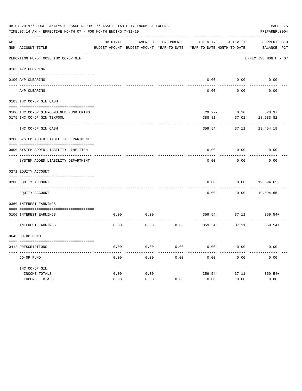|     | PAGE 75<br>08-07-2019**BUDGET ANALYSIS USAGE REPORT ** ASSET LIABILITY INCOME & EXPENSE<br>TIME: 07:14 AM - EFFECTIVE MONTH: 07 - FOR MONTH ENDING 7-31-19<br>PREPARER: 0004 |          |                                                     |                   |           |                                        |                                    |  |  |  |  |
|-----|------------------------------------------------------------------------------------------------------------------------------------------------------------------------------|----------|-----------------------------------------------------|-------------------|-----------|----------------------------------------|------------------------------------|--|--|--|--|
| ACT | NUM ACCOUNT-TITLE                                                                                                                                                            | ORIGINAL | AMENDED<br>BUDGET-AMOUNT BUDGET-AMOUNT YEAR-TO-DATE | <b>ENCUMBERED</b> | ACTIVITY  | ACTIVITY<br>YEAR-TO-DATE MONTH-TO-DATE | <b>CURRENT USED</b><br>BALANCE PCT |  |  |  |  |
|     | REPORTING FUND: 0038 IHC CO-OP GIN                                                                                                                                           |          |                                                     |                   |           |                                        | EFFECTIVE MONTH - 07               |  |  |  |  |
|     |                                                                                                                                                                              |          |                                                     |                   |           |                                        |                                    |  |  |  |  |
|     | 0102 A/P CLEARING                                                                                                                                                            |          |                                                     |                   |           |                                        |                                    |  |  |  |  |
|     |                                                                                                                                                                              |          |                                                     |                   |           |                                        |                                    |  |  |  |  |
|     | 0100 A/P CLEARING                                                                                                                                                            |          |                                                     |                   | 0.00      | 0.00                                   | 0.00                               |  |  |  |  |
|     | A/P CLEARING                                                                                                                                                                 |          |                                                     |                   | 0.00      | 0.00                                   | 0.00                               |  |  |  |  |
|     | 0103 IHC CO-OP GIN CASH                                                                                                                                                      |          |                                                     |                   |           |                                        |                                    |  |  |  |  |
|     |                                                                                                                                                                              |          |                                                     |                   |           |                                        |                                    |  |  |  |  |
|     | 0100 IHC CO-OP GIN-COMBINED FUND CKING                                                                                                                                       |          |                                                     |                   | $29.27 -$ | 0.10                                   | 520.37                             |  |  |  |  |
|     | 0175 IHC CO-OP GIN TEXPOOL                                                                                                                                                   |          |                                                     |                   | 388.81    | 37.01                                  | 18,933.82                          |  |  |  |  |
|     | IHC CO-OP GIN CASH                                                                                                                                                           |          |                                                     |                   | 359.54    | 37.11                                  | 19,454.19                          |  |  |  |  |
|     | 0200 SYSTEM ADDED LIABILITY DEPARTMENT                                                                                                                                       |          |                                                     |                   |           |                                        |                                    |  |  |  |  |
|     | 0900 SYSTEM ADDED LIABILITY LINE-ITEM                                                                                                                                        |          |                                                     |                   | 0.00      | 0.00                                   | 0.00                               |  |  |  |  |
|     |                                                                                                                                                                              |          |                                                     |                   |           |                                        |                                    |  |  |  |  |
|     | SYSTEM ADDED LIABILITY DEPARTMENT                                                                                                                                            |          |                                                     |                   | 0.00      | 0.00                                   | 0.00                               |  |  |  |  |
|     | 0271 EQUITY ACCOUNT                                                                                                                                                          |          |                                                     |                   |           |                                        |                                    |  |  |  |  |
|     |                                                                                                                                                                              |          |                                                     |                   |           |                                        |                                    |  |  |  |  |
|     | 0200 EQUITY ACCOUNT<br>---- ------------                                                                                                                                     |          |                                                     |                   | 0.00      | 0.00                                   | 19,094.65                          |  |  |  |  |
|     | EQUITY ACCOUNT                                                                                                                                                               |          |                                                     |                   | 0.00      | 0.00                                   | 19,094.65                          |  |  |  |  |
|     | 0360 INTEREST EARNINGS                                                                                                                                                       |          |                                                     |                   |           |                                        |                                    |  |  |  |  |
|     |                                                                                                                                                                              |          |                                                     |                   |           |                                        |                                    |  |  |  |  |
|     | 0100 INTEREST EARNINGS                                                                                                                                                       | 0.00     | 0.00                                                |                   | 359.54    | 37.11                                  | $359.54+$                          |  |  |  |  |
|     | INTEREST EARNINGS                                                                                                                                                            | 0.00     | 0.00                                                | 0.00              | 359.54    | 37.11                                  | $359.54+$                          |  |  |  |  |
|     | 0645 CO-OP FUND                                                                                                                                                              |          |                                                     |                   |           |                                        |                                    |  |  |  |  |
|     |                                                                                                                                                                              |          |                                                     |                   |           |                                        |                                    |  |  |  |  |
|     | 0412 PRESCRIPTIONS                                                                                                                                                           | 0.00     | 0.00                                                | 0.00              | 0.00      | 0.00                                   | 0.00                               |  |  |  |  |
|     | CO-OP FUND                                                                                                                                                                   | 0.00     | 0.00                                                | 0.00              | 0.00      | 0.00                                   | 0.00                               |  |  |  |  |
|     | IHC CO-OP GIN                                                                                                                                                                |          |                                                     |                   |           |                                        |                                    |  |  |  |  |
|     | INCOME TOTALS                                                                                                                                                                | 0.00     | 0.00                                                |                   | 359.54    | 37.11                                  | $359.54+$                          |  |  |  |  |
|     | <b>EXPENSE TOTALS</b>                                                                                                                                                        | 0.00     | 0.00                                                | 0.00              | 0.00      | 0.00                                   | 0.00                               |  |  |  |  |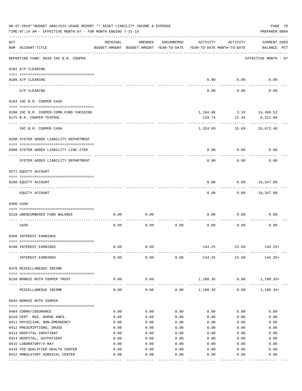|     | 08-07-2019**BUDGET ANALYSIS USAGE REPORT ** ASSET LIABILITY INCOME & EXPENSE<br>PAGE 76<br>TIME: 07:14 AM - EFFECTIVE MONTH: 07 - FOR MONTH ENDING 7-31-19<br>PREPARER: 0004 |          |                                                     |            |               |                                        |                                     |  |  |  |
|-----|------------------------------------------------------------------------------------------------------------------------------------------------------------------------------|----------|-----------------------------------------------------|------------|---------------|----------------------------------------|-------------------------------------|--|--|--|
| ACT | NUM ACCOUNT-TITLE                                                                                                                                                            | ORIGINAL | AMENDED<br>BUDGET-AMOUNT BUDGET-AMOUNT YEAR-TO-DATE | ENCUMBERED | ACTIVITY      | ACTIVITY<br>YEAR-TO-DATE MONTH-TO-DATE | <b>CURRENT USED</b><br>BALANCE PCT  |  |  |  |
|     | REPORTING FUND: 0039 IHC B.R. COOPER                                                                                                                                         |          |                                                     |            |               |                                        | EFFECTIVE MONTH - 07                |  |  |  |
|     | 0102 A/P CLEARING                                                                                                                                                            |          |                                                     |            |               |                                        |                                     |  |  |  |
|     | 0100 A/P CLEARING                                                                                                                                                            |          |                                                     |            | 0.00          | 0.00                                   | 0.00                                |  |  |  |
|     | ---- ---------<br>A/P CLEARING                                                                                                                                               |          |                                                     |            | 0.00          | 0.00                                   | 0.00                                |  |  |  |
|     | 0103 IHC B.R. COOPER CASH                                                                                                                                                    |          |                                                     |            |               |                                        |                                     |  |  |  |
|     | 0100 IHC B.R. COOPER-COMB.FUND CHECKING<br>0175 B.R. COOPER-TEXPOOL                                                                                                          |          |                                                     |            | 129.74        | 12.36                                  | 1,194.86 3.33 14,360.52<br>6,311.88 |  |  |  |
|     | IHC B.R. COOPER CASH                                                                                                                                                         |          |                                                     |            | 1,324.60      | 15.69                                  | 20,672.40                           |  |  |  |
|     | 0200 SYSTEM ADDED LIABILITY DEPARTMENT                                                                                                                                       |          |                                                     |            |               |                                        |                                     |  |  |  |
|     | 0900 SYSTEM ADDED LIABILITY LINE-ITEM                                                                                                                                        |          |                                                     |            | 0.00          | 0.00                                   | 0.00                                |  |  |  |
|     | SYSTEM ADDED LIABILITY DEPARTMENT                                                                                                                                            |          |                                                     |            | 0.00          | 0.00                                   | 0.00                                |  |  |  |
|     | 0271 EQUITY ACCOUNT                                                                                                                                                          |          |                                                     |            |               |                                        |                                     |  |  |  |
|     | 0200 EQUITY ACCOUNT                                                                                                                                                          |          |                                                     |            | 0.00          | 0.00                                   | 19,347.80                           |  |  |  |
|     | EQUITY ACCOUNT                                                                                                                                                               |          |                                                     |            | 0.00          |                                        | $0.00$ 19,347.80                    |  |  |  |
|     | 0300 CASH                                                                                                                                                                    |          |                                                     |            |               |                                        |                                     |  |  |  |
|     | 0110 UNENCUMBERED FUND BALANCE                                                                                                                                               | 0.00     | 0.00                                                |            | 0.00          | 0.00                                   | 0.00                                |  |  |  |
|     | CASH                                                                                                                                                                         | 0.00     | 0.00                                                | 0.00       | 0.00          | 0.00                                   | 0.00                                |  |  |  |
|     | 0360 INTEREST EARNINGS                                                                                                                                                       |          |                                                     |            |               |                                        |                                     |  |  |  |
|     | 0100 INTEREST EARNINGS                                                                                                                                                       | 0.00     | 0.00                                                |            | 144.25        | 15.69                                  | 144.25+                             |  |  |  |
|     | INTEREST EARNINGS                                                                                                                                                            | 0.00     | 0.00                                                | 0.00       | 144.25        | 15.69                                  | $144.25+$                           |  |  |  |
|     | 0370 MISCELLANEOUS INCOME                                                                                                                                                    |          |                                                     |            |               |                                        |                                     |  |  |  |
|     | 0150 BONNIE RUTH COOPER TRUST<br>.                                                                                                                                           | 0.00     | 0.00<br>$- - - - - -$                               |            | ------------- | 1,180.35 0.00<br>. <u>.</u> .          | 1,180.35+                           |  |  |  |
|     | MISCELLANEOUS INCOME                                                                                                                                                         | 0.00     | 0.00                                                |            |               | $0.00$ 1,180.35 0.00                   | $1,180.35+$                         |  |  |  |
|     | 0645 BONNIE RUTH COOPER                                                                                                                                                      |          |                                                     |            |               |                                        |                                     |  |  |  |
|     | 0404 COBRA/INSURANCE                                                                                                                                                         | 0.00     | 0.00                                                | 0.00       | 0.00          | 0.00                                   | 0.00                                |  |  |  |
|     | 0410 CERT. REG. NURSE ANES.                                                                                                                                                  | 0.00     | 0.00                                                | 0.00       | 0.00          | 0.00                                   | 0.00                                |  |  |  |
|     | 0411 PHYSICIAN, NON-EMERGENCY                                                                                                                                                | 0.00     | 0.00                                                | 0.00       | 0.00          | 0.00                                   | 0.00                                |  |  |  |
|     | 0412 PRESCRIPTIONS, DRUGS                                                                                                                                                    | 0.00     | 0.00                                                | 0.00       | 0.00          | 0.00                                   | 0.00                                |  |  |  |
|     | 0413 HOSPITAL-INPATIENT                                                                                                                                                      | 0.00     | 0.00                                                | 0.00       | 0.00          | 0.00                                   | 0.00                                |  |  |  |
|     | 0414 HOSPITAL, OUTPATIENT                                                                                                                                                    | 0.00     | 0.00                                                | 0.00       | 0.00          | 0.00                                   | 0.00                                |  |  |  |
|     | 0415 LABORATORY/X-RAY                                                                                                                                                        | 0.00     | 0.00                                                | 0.00       | 0.00          | 0.00                                   | 0.00                                |  |  |  |
|     | 0418 FED. QUALIFIED HEALTH CENTER                                                                                                                                            | 0.00     | 0.00                                                | 0.00       | 0.00          | 0.00                                   | 0.00                                |  |  |  |
|     | 0422 AMBULATORY SURGICAL CENTER                                                                                                                                              | 0.00     | 0.00                                                | 0.00       | 0.00          | 0.00                                   | 0.00<br>---------                   |  |  |  |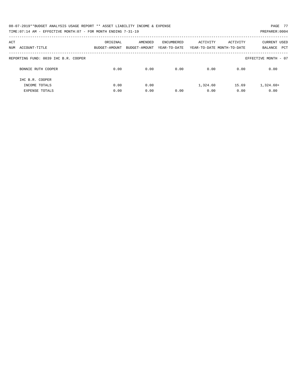| 08-07-2019**BUDGET ANALYSIS USAGE REPORT ** ASSET LIABILITY INCOME & EXPENSE | PAGE 77        |
|------------------------------------------------------------------------------|----------------|
| TIME: 07:14 AM - EFFECTIVE MONTH: 07 - FOR MONTH ENDING 7-31-19              | PREPARER: 0004 |

| ACT<br>NUM<br>ACCOUNT-TITLE          | ORIGINAL<br>BUDGET-AMOUNT | AMENDED<br>BUDGET-AMOUNT | ENCUMBERED<br>YEAR-TO-DATE | ACTIVITY | ACTIVITY<br>YEAR-TO-DATE MONTH-TO-DATE | <b>CURRENT USED</b><br>PCT<br>BALANCE |
|--------------------------------------|---------------------------|--------------------------|----------------------------|----------|----------------------------------------|---------------------------------------|
| REPORTING FUND: 0039 IHC B.R. COOPER |                           |                          |                            |          |                                        | EFFECTIVE MONTH - 07                  |
| BONNIE RUTH COOPER                   | 0.00                      | 0.00                     | 0.00                       | 0.00     | 0.00                                   | 0.00                                  |
| THC B.R. COOPER                      |                           |                          |                            |          |                                        |                                       |
| INCOME TOTALS                        | 0.00                      | 0.00                     |                            | 1,324.60 | 15.69                                  | $1,324.60+$                           |
| <b>EXPENSE TOTALS</b>                | 0.00                      | 0.00                     | 0.00                       | 0.00     | 0.00                                   | 0.00                                  |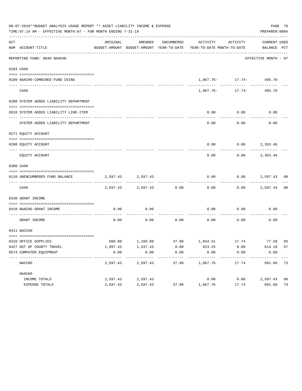|     | 08-07-2019**BUDGET ANALYSIS USAGE REPORT ** ASSET LIABILITY INCOME & EXPENSE<br>TIME: 07:14 AM - EFFECTIVE MONTH: 07 - FOR MONTH ENDING 7-31-19 |          |                   |       |                                                                                                                 |                          | PREPARER: 0004       | PAGE 78        |
|-----|-------------------------------------------------------------------------------------------------------------------------------------------------|----------|-------------------|-------|-----------------------------------------------------------------------------------------------------------------|--------------------------|----------------------|----------------|
| ACT | NUM ACCOUNT-TITLE                                                                                                                               | ORIGINAL | AMENDED           |       | ENCUMBERED ACTIVITY ACTIVITY<br>BUDGET-AMOUNT BUDGET-AMOUNT YEAR-TO-DATE YEAR-TO-DATE MONTH-TO-DATE BALANCE PCT |                          | CURRENT USED         |                |
|     | REPORTING FUND: 0040 NAACHO                                                                                                                     |          |                   |       |                                                                                                                 |                          | EFFECTIVE MONTH - 07 |                |
|     | 0103 CASH                                                                                                                                       |          |                   |       |                                                                                                                 |                          |                      |                |
|     | 0100 NAACHO-COMBINED FUND CKING                                                                                                                 |          |                   |       |                                                                                                                 | 1,867.76- 17.74- 495.70  |                      |                |
|     | CASH                                                                                                                                            |          |                   |       |                                                                                                                 | $1.867.76 - 17.74 -$     | 495.70               |                |
|     | 0200 SYSTEM ADDED LIABILITY DEPARTMENT                                                                                                          |          |                   |       |                                                                                                                 |                          |                      |                |
|     | 0910 SYSTEM ADDED LIABILITY LINE-ITEM                                                                                                           |          |                   |       | 0.00                                                                                                            | 0.00<br>.                | 0.00                 |                |
|     | SYSTEM ADDED LIABILITY DEPARTMENT                                                                                                               |          |                   |       | 0.00                                                                                                            | 0.00                     | 0.00                 |                |
|     | 0271 EOUITY ACCOUNT                                                                                                                             |          |                   |       |                                                                                                                 |                          |                      |                |
|     | 0200 EQUITY ACCOUNT                                                                                                                             |          |                   |       |                                                                                                                 | $0.00$ $0.00$ $2,363.46$ |                      |                |
|     | EQUITY ACCOUNT                                                                                                                                  |          |                   |       | 0.00                                                                                                            |                          | $0.00$ 2,363.46      |                |
|     | 0300 CASH                                                                                                                                       |          |                   |       |                                                                                                                 |                          |                      |                |
|     | 0110 UNENCUMBERED FUND BALANCE                                                                                                                  |          | 2,597.43 2,597.43 |       | 0.00                                                                                                            |                          | $0.00$ 2,597.43 00   |                |
|     | CASH                                                                                                                                            |          | 2,597.43 2,597.43 | 0.00  | 0.00                                                                                                            |                          | $0.00$ 2,597.43      | 0 <sub>0</sub> |
|     | 0330 GRANT INCOME                                                                                                                               |          |                   |       |                                                                                                                 |                          |                      |                |
|     | 0410 NAACHO GRANT INCOME                                                                                                                        | 0.00     | 0.00              |       | 0.00                                                                                                            | 0.00                     | 0.00                 |                |
|     | GRANT INCOME                                                                                                                                    | 0.00     | 0.00              |       | $0.00$ 0.00 0.00                                                                                                |                          | 0.00                 |                |
|     | 0411 NACCHO                                                                                                                                     |          |                   |       |                                                                                                                 |                          |                      |                |
|     | 0310 OFFICE SUPPLIES                                                                                                                            |          |                   |       | 600.00 1,160.00 37.99 1,044.51 17.74 77.50 93                                                                   |                          |                      |                |
|     | 0427 OUT OF COUNTY TRAVEL                                                                                                                       | 1,997.43 | 1,437.43          | 0.00  | 823.25                                                                                                          | 0.00                     | 614.18               | 57             |
|     | 0574 COMPUTER EOUIPMENT                                                                                                                         | 0.00     | 0.00              | 0.00  | 0.00<br>---------                                                                                               | 0.00                     | 0.00                 |                |
|     | NACCHO                                                                                                                                          | 2,597.43 | 2,597.43          | 37.99 | 1,867.76                                                                                                        | 17.74                    | 691.68               | 73             |
|     | NAACHO                                                                                                                                          |          |                   |       |                                                                                                                 |                          |                      |                |
|     | INCOME TOTALS                                                                                                                                   | 2,597.43 | 2,597.43          |       | 0.00                                                                                                            | 0.00                     | 2,597.43             | 0 <sub>0</sub> |
|     | EXPENSE TOTALS                                                                                                                                  | 2,597.43 | 2,597.43          | 37.99 | 1,867.76                                                                                                        | 17.74                    | 691.68               | 73             |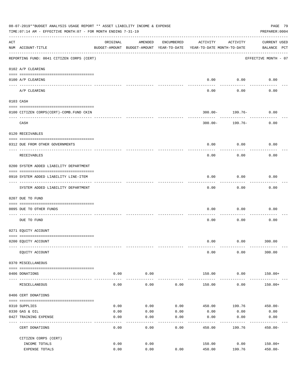| 08-07-2019**BUDGET ANALYSIS USAGE REPORT ** ASSET LIABILITY INCOME & EXPENSE<br>PAGE 79<br>TIME: 07:14 AM - EFFECTIVE MONTH: 07 - FOR MONTH ENDING 7-31-19<br>PREPARER: 0004 |                                           |                                                                                 |                      |            |                  |                                   |                                    |  |  |
|------------------------------------------------------------------------------------------------------------------------------------------------------------------------------|-------------------------------------------|---------------------------------------------------------------------------------|----------------------|------------|------------------|-----------------------------------|------------------------------------|--|--|
| ACT                                                                                                                                                                          | NUM ACCOUNT-TITLE                         | ORIGINAL<br>BUDGET-AMOUNT BUDGET-AMOUNT YEAR-TO-DATE YEAR-TO-DATE MONTH-TO-DATE | AMENDED              | ENCUMBERED | ACTIVITY         | ACTIVITY                          | <b>CURRENT USED</b><br>BALANCE PCT |  |  |
|                                                                                                                                                                              | REPORTING FUND: 0041 CITIZEN CORPS (CERT) |                                                                                 |                      |            |                  |                                   | EFFECTIVE MONTH - 07               |  |  |
|                                                                                                                                                                              | 0102 A/P CLEARING                         |                                                                                 |                      |            |                  |                                   |                                    |  |  |
|                                                                                                                                                                              | 0100 A/P CLEARING                         |                                                                                 |                      |            |                  | $0.00$ 0.00<br>----------         | 0.00                               |  |  |
|                                                                                                                                                                              | A/P CLEARING                              |                                                                                 |                      |            | 0.00             | 0.00                              | 0.00                               |  |  |
|                                                                                                                                                                              | 0103 CASH                                 |                                                                                 |                      |            |                  |                                   |                                    |  |  |
|                                                                                                                                                                              | 0100 CITIZEN CORPS (CERT)-COMB. FUND CKIN |                                                                                 |                      |            |                  | $300.00 - 199.76 -$               | 0.00                               |  |  |
|                                                                                                                                                                              | CASH                                      |                                                                                 |                      |            |                  | ----------<br>$300.00 - 199.76 -$ | 0.00                               |  |  |
|                                                                                                                                                                              | 0120 RECEIVABLES                          |                                                                                 |                      |            |                  |                                   |                                    |  |  |
|                                                                                                                                                                              | 0312 DUE FROM OTHER GOVERNMENTS           |                                                                                 |                      |            | 0.00             | 0.00                              | 0.00                               |  |  |
|                                                                                                                                                                              | RECEIVABLES                               |                                                                                 |                      |            | 0.00             | 0.00                              | 0.00                               |  |  |
|                                                                                                                                                                              | 0200 SYSTEM ADDED LIABILITY DEPARTMENT    |                                                                                 |                      |            |                  |                                   |                                    |  |  |
|                                                                                                                                                                              | 0910 SYSTEM ADDED LIABILITY LINE-ITEM     |                                                                                 |                      |            | 0.00             | 0.00<br>---------                 | 0.00                               |  |  |
|                                                                                                                                                                              | SYSTEM ADDED LIABILITY DEPARTMENT         |                                                                                 |                      |            | 0.00             | 0.00                              | 0.00                               |  |  |
|                                                                                                                                                                              | 0207 DUE TO FUND                          |                                                                                 |                      |            |                  |                                   |                                    |  |  |
|                                                                                                                                                                              | 0095 DUE TO OTHER FUNDS                   |                                                                                 |                      |            | 0.00             | 0.00                              | 0.00                               |  |  |
|                                                                                                                                                                              | DUE TO FUND                               |                                                                                 |                      |            | 0.00             | 0.00                              | 0.00                               |  |  |
|                                                                                                                                                                              | 0271 EQUITY ACCOUNT                       |                                                                                 |                      |            |                  |                                   |                                    |  |  |
|                                                                                                                                                                              | 0200 EQUITY ACCOUNT                       |                                                                                 |                      |            |                  |                                   | $0.00$ $0.00$ $300.00$             |  |  |
|                                                                                                                                                                              | EQUITY ACCOUNT                            |                                                                                 |                      |            | 0.00             | 0.00                              | 300.00                             |  |  |
|                                                                                                                                                                              | 0370 MISCELLANEOUS                        |                                                                                 |                      |            |                  |                                   |                                    |  |  |
|                                                                                                                                                                              | 0406 DONATIONS                            | 0.00                                                                            | 0.00                 |            | 150.00           | 0.00                              | 150.00+                            |  |  |
|                                                                                                                                                                              | MISCELLANEOUS                             | ------ --------------<br>0.00                                                   | . <u>.</u> .<br>0.00 | 0.00       | 150.00           | ----------<br>0.00                | $150.00+$                          |  |  |
|                                                                                                                                                                              | 0406 CERT DONATIONS                       |                                                                                 |                      |            |                  |                                   |                                    |  |  |
|                                                                                                                                                                              | 0310 SUPPLIES                             | 0.00                                                                            | 0.00                 | 0.00       | 450.00           | 199.76                            | $450.00 -$                         |  |  |
|                                                                                                                                                                              | 0330 GAS & OIL                            | 0.00                                                                            | 0.00                 | 0.00       | 0.00             | 0.00                              | 0.00                               |  |  |
|                                                                                                                                                                              | 0427 TRAINING EXPENSE                     | 0.00                                                                            | 0.00                 | 0.00       | 0.00             | 0.00                              | 0.00                               |  |  |
|                                                                                                                                                                              | CERT DONATIONS                            | 0.00                                                                            | 0.00                 | 0.00       | 450.00           | 199.76                            | $450.00 -$                         |  |  |
|                                                                                                                                                                              | CITIZEN CORPS (CERT)                      |                                                                                 |                      |            |                  |                                   |                                    |  |  |
|                                                                                                                                                                              | INCOME TOTALS<br>EXPENSE TOTALS           | 0.00<br>0.00                                                                    | 0.00<br>0.00         | 0.00       | 150.00<br>450.00 | 0.00<br>199.76                    | $150.00+$<br>$450.00 -$            |  |  |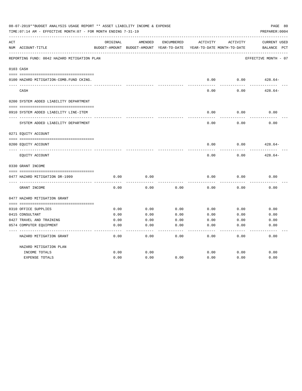| 08-07-2019**BUDGET ANALYSIS USAGE REPORT ** ASSET LIABILITY INCOME & EXPENSE<br>PAGE 80<br>TIME: 07:14 AM - EFFECTIVE MONTH: 07 - FOR MONTH ENDING 7-31-19<br>PREPARER: 0004 |                                             |          |                                                     |            |          |                                        |                                                |  |  |
|------------------------------------------------------------------------------------------------------------------------------------------------------------------------------|---------------------------------------------|----------|-----------------------------------------------------|------------|----------|----------------------------------------|------------------------------------------------|--|--|
| ACT                                                                                                                                                                          | NUM ACCOUNT-TITLE                           | ORIGINAL | AMENDED<br>BUDGET-AMOUNT BUDGET-AMOUNT YEAR-TO-DATE | ENCUMBERED | ACTIVITY | ACTIVITY<br>YEAR-TO-DATE MONTH-TO-DATE | <b>CURRENT USED</b><br>$_{\rm PCT}$<br>BALANCE |  |  |
|                                                                                                                                                                              | REPORTING FUND: 0042 HAZARD MITIGATION PLAN |          |                                                     |            |          |                                        | EFFECTIVE MONTH - 07                           |  |  |
|                                                                                                                                                                              | 0103 CASH                                   |          |                                                     |            |          |                                        |                                                |  |  |
|                                                                                                                                                                              | 0100 HAZARD MITIGATION-COMB.FUND CKING.     |          |                                                     |            | 0.00     | 0.00                                   | $428.64-$                                      |  |  |
|                                                                                                                                                                              | CASH                                        |          |                                                     |            | 0.00     | 0.00                                   | $428.64-$                                      |  |  |
|                                                                                                                                                                              | 0200 SYSTEM ADDED LIABILITY DEPARTMENT      |          |                                                     |            |          |                                        |                                                |  |  |
|                                                                                                                                                                              | 0910 SYSTEM ADDED LIABILITY LINE-ITEM       |          |                                                     |            | 0.00     | 0.00                                   | 0.00                                           |  |  |
|                                                                                                                                                                              | SYSTEM ADDED LIABILITY DEPARTMENT           |          |                                                     |            | 0.00     | 0.00                                   | 0.00                                           |  |  |
|                                                                                                                                                                              | 0271 EQUITY ACCOUNT                         |          |                                                     |            |          |                                        |                                                |  |  |
|                                                                                                                                                                              | 0200 EQUITY ACCOUNT                         |          |                                                     |            | 0.00     | 0.00                                   | $428.64-$                                      |  |  |
|                                                                                                                                                                              | EQUITY ACCOUNT                              |          |                                                     |            | 0.00     | 0.00                                   | $428.64-$                                      |  |  |
|                                                                                                                                                                              | 0330 GRANT INCOME                           |          |                                                     |            |          |                                        |                                                |  |  |
|                                                                                                                                                                              | 0477 HAZARD MITIGATION DR-1999              | 0.00     | 0.00                                                |            | 0.00     | 0.00                                   | 0.00                                           |  |  |
|                                                                                                                                                                              | GRANT INCOME                                | 0.00     | 0.00                                                | 0.00       | 0.00     | 0.00                                   | 0.00                                           |  |  |
|                                                                                                                                                                              | 0477 HAZARD MITIGATION GRANT                |          |                                                     |            |          |                                        |                                                |  |  |
|                                                                                                                                                                              | 0310 OFFICE SUPPLIES                        | 0.00     | 0.00                                                | 0.00       | 0.00     | 0.00                                   | 0.00                                           |  |  |
|                                                                                                                                                                              | 0415 CONSULTANT                             | 0.00     | 0.00                                                | 0.00       | 0.00     | 0.00                                   | 0.00                                           |  |  |
|                                                                                                                                                                              | 0427 TRAVEL AND TRAINING                    | 0.00     | 0.00                                                | 0.00       | 0.00     | 0.00                                   | 0.00                                           |  |  |
|                                                                                                                                                                              | 0574 COMPUTER EQUIPMENT                     | 0.00     | 0.00                                                | 0.00       | 0.00     | 0.00                                   | 0.00                                           |  |  |
|                                                                                                                                                                              | HAZARD MITIGATION GRANT                     | 0.00     | 0.00                                                | 0.00       | 0.00     | 0.00                                   | 0.00                                           |  |  |
|                                                                                                                                                                              | HAZARD MITIGATION PLAN                      |          |                                                     |            |          |                                        |                                                |  |  |
|                                                                                                                                                                              | INCOME TOTALS                               | 0.00     | 0.00                                                |            | 0.00     | 0.00                                   | 0.00                                           |  |  |
|                                                                                                                                                                              | <b>EXPENSE TOTALS</b>                       | 0.00     | 0.00                                                | 0.00       | 0.00     | 0.00                                   | 0.00                                           |  |  |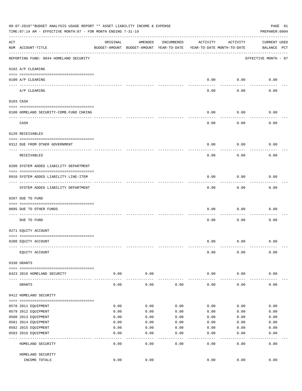|     | 08-07-2019**BUDGET ANALYSIS USAGE REPORT ** ASSET LIABILITY INCOME & EXPENSE<br>PAGE 81<br>TIME: 07:14 AM - EFFECTIVE MONTH: 07 - FOR MONTH ENDING 7-31-19<br>PREPARER: 0004 |          |                                                     |              |                                        |           |                                    |  |  |  |  |
|-----|------------------------------------------------------------------------------------------------------------------------------------------------------------------------------|----------|-----------------------------------------------------|--------------|----------------------------------------|-----------|------------------------------------|--|--|--|--|
| ACT | NUM ACCOUNT-TITLE                                                                                                                                                            | ORIGINAL | AMENDED<br>BUDGET-AMOUNT BUDGET-AMOUNT YEAR-TO-DATE | ENCUMBERED   | ACTIVITY<br>YEAR-TO-DATE MONTH-TO-DATE | ACTIVITY  | <b>CURRENT USED</b><br>BALANCE PCT |  |  |  |  |
|     | REPORTING FUND: 0044 HOMELAND SECURITY                                                                                                                                       |          |                                                     |              |                                        |           | EFFECTIVE MONTH - 07               |  |  |  |  |
|     | 0102 A/P CLEARING                                                                                                                                                            |          |                                                     |              |                                        |           |                                    |  |  |  |  |
|     | 0100 A/P CLEARING<br>---- ----------                                                                                                                                         |          |                                                     |              | 0.00                                   | 0.00      | 0.00                               |  |  |  |  |
|     | A/P CLEARING                                                                                                                                                                 |          |                                                     |              | 0.00                                   | 0.00      | 0.00                               |  |  |  |  |
|     | 0103 CASH                                                                                                                                                                    |          |                                                     |              |                                        |           |                                    |  |  |  |  |
|     | 0100 HOMELAND SECURITY-COMB.FUND CHKING                                                                                                                                      |          |                                                     |              | 0.00                                   | 0.00      | 0.00                               |  |  |  |  |
|     | CASH                                                                                                                                                                         |          |                                                     |              | 0.00                                   | 0.00      | 0.00                               |  |  |  |  |
|     | 0120 RECEIVABLES                                                                                                                                                             |          |                                                     |              |                                        |           |                                    |  |  |  |  |
|     | 0312 DUE FROM OTHER GOVERNMENT                                                                                                                                               |          |                                                     |              | 0.00                                   | 0.00      | 0.00                               |  |  |  |  |
|     |                                                                                                                                                                              |          |                                                     |              |                                        |           |                                    |  |  |  |  |
|     | RECEIVABLES                                                                                                                                                                  |          |                                                     |              | 0.00                                   | 0.00      | 0.00                               |  |  |  |  |
|     | 0200 SYSTEM ADDED LIABILITY DEPARTMENT                                                                                                                                       |          |                                                     |              |                                        |           |                                    |  |  |  |  |
|     | 0910 SYSTEM ADDED LIABILITY LINE-ITEM                                                                                                                                        |          |                                                     |              | 0.00                                   | 0.00      | 0.00                               |  |  |  |  |
|     | SYSTEM ADDED LIABILITY DEPARTMENT                                                                                                                                            |          |                                                     |              | 0.00                                   | 0.00      | 0.00                               |  |  |  |  |
|     | 0207 DUE TO FUND                                                                                                                                                             |          |                                                     |              |                                        |           |                                    |  |  |  |  |
|     | 0095 DUE TO OTHER FUNDS                                                                                                                                                      |          |                                                     |              | 0.00                                   | 0.00      | 0.00                               |  |  |  |  |
|     | DUE TO FUND                                                                                                                                                                  |          |                                                     |              | 0.00                                   | 0.00      | 0.00                               |  |  |  |  |
|     | 0271 EQUITY ACCOUNT                                                                                                                                                          |          |                                                     |              |                                        |           |                                    |  |  |  |  |
|     |                                                                                                                                                                              |          |                                                     |              |                                        |           |                                    |  |  |  |  |
|     | 0200 EQUITY ACCOUNT                                                                                                                                                          |          |                                                     |              | 0.00                                   | 0.00      | 0.00                               |  |  |  |  |
|     | EQUITY ACCOUNT                                                                                                                                                               |          |                                                     |              | 0.00                                   | 0.00      | 0.00                               |  |  |  |  |
|     | 0330 GRANTS                                                                                                                                                                  |          |                                                     |              |                                        |           |                                    |  |  |  |  |
|     | 0423 2016 HOMELAND SECURITY                                                                                                                                                  | 0.00     | 0.00                                                |              | 0.00                                   | 0.00      | 0.00                               |  |  |  |  |
|     |                                                                                                                                                                              |          |                                                     |              |                                        |           |                                    |  |  |  |  |
|     | GRANTS                                                                                                                                                                       | 0.00     | 0.00                                                | 0.00         | 0.00                                   | 0.00      | 0.00                               |  |  |  |  |
|     | 0412 HOMELAND SECURITY                                                                                                                                                       |          |                                                     |              |                                        |           |                                    |  |  |  |  |
|     | 0578 2011 EQUIPMENT                                                                                                                                                          | 0.00     | 0.00                                                | 0.00         | 0.00                                   | 0.00      | 0.00                               |  |  |  |  |
|     | 0579 2012 EQUIPMENT                                                                                                                                                          | 0.00     | 0.00                                                | 0.00         | 0.00                                   | 0.00      | 0.00                               |  |  |  |  |
|     | 0580 2013 EQUIPMENT                                                                                                                                                          | 0.00     | 0.00                                                | 0.00         | 0.00                                   | 0.00      | 0.00                               |  |  |  |  |
|     | 0581 2014 EQUIPMENT                                                                                                                                                          | 0.00     | 0.00                                                | 0.00         | 0.00                                   | 0.00      | 0.00                               |  |  |  |  |
|     | 0582 2015 EQUIPMENT                                                                                                                                                          | 0.00     | 0.00                                                | 0.00         | 0.00                                   | 0.00      | 0.00                               |  |  |  |  |
|     | 0583 2016 EQUIPMENT                                                                                                                                                          | 0.00     | 0.00                                                | 0.00         | 0.00                                   | 0.00      | 0.00                               |  |  |  |  |
|     | HOMELAND SECURITY                                                                                                                                                            | 0.00     | - - - -<br>0.00                                     | ----<br>0.00 | $---$<br>0.00                          | .<br>0.00 | -----<br>0.00                      |  |  |  |  |
|     | HOMELAND SECURITY                                                                                                                                                            |          |                                                     |              |                                        |           |                                    |  |  |  |  |
|     | INCOME TOTALS                                                                                                                                                                | 0.00     | 0.00                                                |              | 0.00                                   | 0.00      | 0.00                               |  |  |  |  |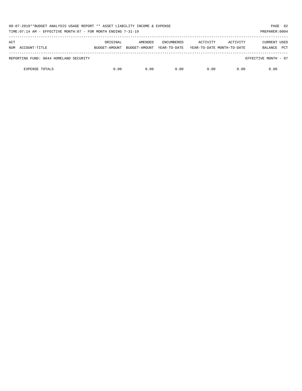| 08-07-2019**BUDGET ANALYSIS USAGE REPORT ** ASSET LIABILITY INCOME & EXPENSE<br>TIME: 07:14 AM - EFFECTIVE MONTH: 07 - FOR MONTH ENDING 7-31-19 |          |                                        |                                   |                                        |          | PAGE 82<br>PREPARER: 0004                    |
|-------------------------------------------------------------------------------------------------------------------------------------------------|----------|----------------------------------------|-----------------------------------|----------------------------------------|----------|----------------------------------------------|
| ACT<br>NUM ACCOUNT-TITLE                                                                                                                        | ORIGINAL | AMENDED<br>BUDGET-AMOUNT BUDGET-AMOUNT | <b>ENCUMBERED</b><br>YEAR-TO-DATE | ACTIVITY<br>YEAR-TO-DATE MONTH-TO-DATE | ACTIVITY | <b>CURRENT USED</b><br><b>PCT</b><br>BALANCE |
| REPORTING FUND: 0044 HOMELAND SECURITY                                                                                                          |          |                                        |                                   |                                        |          | EFFECTIVE MONTH - 07                         |
| <b>EXPENSE TOTALS</b>                                                                                                                           | 0.00     | 0.00                                   | 0.00                              | 0.00                                   | 0.00     | 0.00                                         |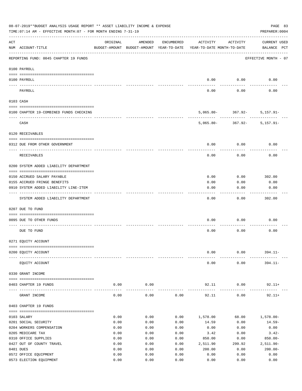| 08-07-2019**BUDGET ANALYSIS USAGE REPORT ** ASSET LIABILITY INCOME & EXPENSE<br>PAGE 83<br>TIME: 07:14 AM - EFFECTIVE MONTH: 07 - FOR MONTH ENDING 7-31-19<br>PREPARER: 0004 |                                         |          |                                                     |            |                                        |                                                |                                    |  |  |  |
|------------------------------------------------------------------------------------------------------------------------------------------------------------------------------|-----------------------------------------|----------|-----------------------------------------------------|------------|----------------------------------------|------------------------------------------------|------------------------------------|--|--|--|
| ACT                                                                                                                                                                          | NUM ACCOUNT-TITLE                       | ORIGINAL | AMENDED<br>BUDGET-AMOUNT BUDGET-AMOUNT YEAR-TO-DATE | ENCUMBERED | ACTIVITY<br>YEAR-TO-DATE MONTH-TO-DATE | ACTIVITY                                       | <b>CURRENT USED</b><br>BALANCE PCT |  |  |  |
|                                                                                                                                                                              | REPORTING FUND: 0045 CHAPTER 19 FUNDS   |          |                                                     |            |                                        |                                                | EFFECTIVE MONTH - 07               |  |  |  |
|                                                                                                                                                                              | 0100 PAYROLL                            |          |                                                     |            |                                        |                                                |                                    |  |  |  |
|                                                                                                                                                                              | 0100 PAYROLL                            |          |                                                     |            | 0.00                                   | 0.00                                           | 0.00                               |  |  |  |
|                                                                                                                                                                              | ---- -------<br>PAYROLL                 |          |                                                     |            | 0.00                                   | 0.00                                           | 0.00                               |  |  |  |
|                                                                                                                                                                              | 0103 CASH                               |          |                                                     |            |                                        |                                                |                                    |  |  |  |
|                                                                                                                                                                              | 0100 CHAPTER 19-COMBINED FUNDS CHECKING |          |                                                     |            |                                        | $5,065.80 - 367.92 - 5,157.91 -$               |                                    |  |  |  |
|                                                                                                                                                                              | CASH                                    |          |                                                     |            |                                        | ----------<br>$5,065.80 - 367.92 - 5,157.91 -$ |                                    |  |  |  |
|                                                                                                                                                                              | 0120 RECEIVABLES                        |          |                                                     |            |                                        |                                                |                                    |  |  |  |
|                                                                                                                                                                              | 0312 DUE FROM OTHER GOVERNMENT          |          |                                                     |            | 0.00                                   | 0.00                                           | 0.00                               |  |  |  |
|                                                                                                                                                                              | <b>RECEIVABLES</b>                      |          |                                                     |            | 0.00                                   | 0.00                                           | 0.00                               |  |  |  |
|                                                                                                                                                                              | 0200 SYSTEM ADDED LIABILITY DEPARTMENT  |          |                                                     |            |                                        |                                                |                                    |  |  |  |
|                                                                                                                                                                              |                                         |          |                                                     |            |                                        |                                                |                                    |  |  |  |
|                                                                                                                                                                              | 0150 ACCRUED SALARY PAYABLE             |          |                                                     |            | 0.00                                   | 0.00                                           | 302.00                             |  |  |  |
|                                                                                                                                                                              | 0155 ACCRUED FRINGE BENEFITS            |          |                                                     |            | 0.00                                   | 0.00                                           | 0.00                               |  |  |  |
|                                                                                                                                                                              | 0910 SYSTEM ADDED LIABILITY LINE-ITEM   |          |                                                     |            | 0.00                                   | 0.00                                           | 0.00                               |  |  |  |
|                                                                                                                                                                              | SYSTEM ADDED LIABILITY DEPARTMENT       |          |                                                     |            | 0.00                                   | 0.00                                           | 302.00                             |  |  |  |
|                                                                                                                                                                              | 0207 DUE TO FUND                        |          |                                                     |            |                                        |                                                |                                    |  |  |  |
|                                                                                                                                                                              | 0095 DUE TO OTHER FUNDS                 |          |                                                     |            | 0.00                                   | 0.00                                           | 0.00                               |  |  |  |
|                                                                                                                                                                              | DUE TO FUND                             |          |                                                     |            | 0.00                                   | 0.00                                           | 0.00                               |  |  |  |
|                                                                                                                                                                              | 0271 EQUITY ACCOUNT                     |          |                                                     |            |                                        |                                                |                                    |  |  |  |
|                                                                                                                                                                              | 0200 EQUITY ACCOUNT                     |          |                                                     |            | 0.00                                   | 0.00                                           | $394.11 -$                         |  |  |  |
|                                                                                                                                                                              | EQUITY ACCOUNT                          |          |                                                     |            | 0.00                                   | 0.00                                           | $394.11-$                          |  |  |  |
|                                                                                                                                                                              | 0330 GRANT INCOME                       |          |                                                     |            |                                        |                                                |                                    |  |  |  |
|                                                                                                                                                                              | 0403 CHAPTER 19 FUNDS                   | 0.00     | 0.00                                                |            | 92.11                                  | 0.00                                           | $92.11+$                           |  |  |  |
|                                                                                                                                                                              | GRANT INCOME                            | 0.00     | 0.00                                                | 0.00       | 92.11                                  | 0.00                                           | $92.11+$                           |  |  |  |
|                                                                                                                                                                              | 0403 CHAPTER 19 FUNDS                   |          |                                                     |            |                                        |                                                |                                    |  |  |  |
|                                                                                                                                                                              | 0103 SALARY                             | 0.00     | 0.00                                                | 0.00       | 1,578.00                               | 68.00                                          | $1,578.00 -$                       |  |  |  |
|                                                                                                                                                                              | 0201 SOCIAL SECURITY                    | 0.00     | 0.00                                                | 0.00       | 14.59                                  | 0.00                                           | $14.59-$                           |  |  |  |
|                                                                                                                                                                              | 0204 WORKERS COMPENSATION               | 0.00     | 0.00                                                | 0.00       | 0.00                                   | 0.00                                           | 0.00                               |  |  |  |
|                                                                                                                                                                              | 0205 MEDICARE TAX                       | 0.00     | 0.00                                                | 0.00       | 3.42                                   | 0.00                                           | $3.42-$                            |  |  |  |
|                                                                                                                                                                              | 0310 OFFICE SUPPLIES                    | 0.00     | 0.00                                                | 0.00       | 850.00                                 | 0.00                                           | $850.00 -$                         |  |  |  |
|                                                                                                                                                                              | 0427 OUT OF COUNTY TRAVEL               | 0.00     | 0.00                                                | 0.00       | 2,511.90                               | 299.92                                         | $2,511.90 -$                       |  |  |  |
|                                                                                                                                                                              | 0481 DUES                               | 0.00     | 0.00                                                | 0.00       | 200.00                                 | 0.00                                           | $200.00 -$                         |  |  |  |
|                                                                                                                                                                              | 0572 OFFICE EQUIPMENT                   | 0.00     | 0.00                                                | 0.00       | 0.00                                   | 0.00                                           | 0.00                               |  |  |  |
|                                                                                                                                                                              | 0573 ELECTION EQUIPMENT                 | 0.00     | 0.00                                                | 0.00       | 0.00                                   | 0.00                                           | 0.00                               |  |  |  |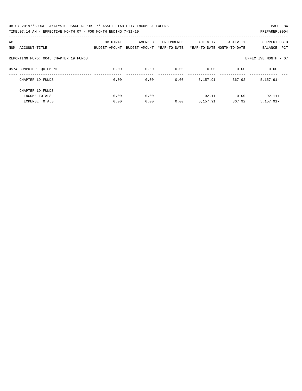| 08-07-2019**BUDGET ANALYSIS USAGE REPORT ** ASSET LIABILITY INCOME & EXPENSE | PAGE 84        |
|------------------------------------------------------------------------------|----------------|
| TIME:07:14 AM - EFFECTIVE MONTH:07 - FOR MONTH ENDING 7-31-19                | PREPARER: 0004 |

| ACT<br>ACCOUNT-TITLE<br>NUM           | ORIGINAL<br>BUDGET-AMOUNT | AMENDED<br>BUDGET-AMOUNT | ENCUMBERED<br>YEAR-TO-DATE | ACTIVITY | ACTIVITY<br>YEAR-TO-DATE MONTH-TO-DATE | <b>CURRENT USED</b><br><b>PCT</b><br>BALANCE |
|---------------------------------------|---------------------------|--------------------------|----------------------------|----------|----------------------------------------|----------------------------------------------|
| REPORTING FUND: 0045 CHAPTER 19 FUNDS |                           |                          |                            |          |                                        | EFFECTIVE MONTH - 07                         |
| 0574 COMPUTER EQUIPMENT               | 0.00                      | 0.00                     | 0.00                       | 0.00     | 0.00                                   | 0.00                                         |
| CHAPTER 19 FUNDS                      | 0.00                      | 0.00                     | 0.00                       | 5,157.91 | 367.92                                 | $5,157.91 -$                                 |
| CHAPTER 19 FUNDS<br>INCOME TOTALS     | 0.00                      | 0.00                     |                            | 92.11    | 0.00                                   | $92.11+$                                     |
| <b>EXPENSE TOTALS</b>                 | 0.00                      | 0.00                     | 0.00                       | 5,157.91 | 367.92                                 | $5,157.91 -$                                 |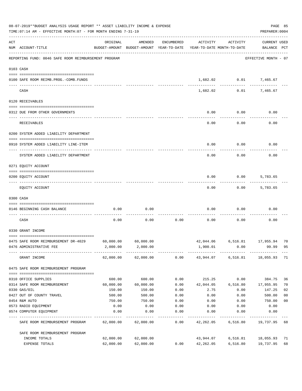|     | 08-07-2019**BUDGET ANALYSIS USAGE REPORT ** ASSET LIABILITY INCOME & EXPENSE<br>TIME: 07:14 AM - EFFECTIVE MONTH: 07 - FOR MONTH ENDING 7-31-19 |           |                                                                                |            |           |              |                                    |                |  |  |
|-----|-------------------------------------------------------------------------------------------------------------------------------------------------|-----------|--------------------------------------------------------------------------------|------------|-----------|--------------|------------------------------------|----------------|--|--|
| ACT | NUM ACCOUNT-TITLE                                                                                                                               | ORIGINAL  | AMENDED<br>BUDGET-AMOUNT BUDGET-AMOUNT YEAR-TO-DATE YEAR-TO-DATE MONTH-TO-DATE | ENCUMBERED | ACTIVITY  | ACTIVITY     | <b>CURRENT USED</b><br>BALANCE PCT |                |  |  |
|     | REPORTING FUND: 0046 SAFE ROOM REIMBURSEMENT PROGRAM                                                                                            |           |                                                                                |            |           |              | EFFECTIVE MONTH - 07               |                |  |  |
|     | 0103 CASH                                                                                                                                       |           |                                                                                |            |           |              |                                    |                |  |  |
|     | 0100 SAFE ROOM REIMB.PROG.-COMB.FUNDS                                                                                                           |           |                                                                                |            |           | ------------ | 1,682.02 0.01 7,465.67             |                |  |  |
|     | CASH                                                                                                                                            |           |                                                                                |            | 1,682.02  |              | 0.01<br>7,465.67                   |                |  |  |
|     | 0120 RECEIVABLES                                                                                                                                |           |                                                                                |            |           |              |                                    |                |  |  |
|     | 0312 DUE FROM OTHER GOVERNMENTS                                                                                                                 |           |                                                                                |            | 0.00      | 0.00         | 0.00                               |                |  |  |
|     | RECEIVABLES                                                                                                                                     |           |                                                                                |            | 0.00      | 0.00         | 0.00                               |                |  |  |
|     | 0200 SYSTEM ADDED LIABILITY DEPARTMENT                                                                                                          |           |                                                                                |            |           |              |                                    |                |  |  |
|     | 0910 SYSTEM ADDED LIABILITY LINE-ITEM                                                                                                           |           |                                                                                |            | 0.00      | 0.00         | 0.00                               |                |  |  |
|     | SYSTEM ADDED LIABILITY DEPARTMENT                                                                                                               |           |                                                                                |            | 0.00      | 0.00         | 0.00                               |                |  |  |
|     | 0271 EQUITY ACCOUNT                                                                                                                             |           |                                                                                |            |           |              |                                    |                |  |  |
|     | 0200 EQUITY ACCOUNT                                                                                                                             |           |                                                                                |            | 0.00      | 0.00         | 5,783.65                           |                |  |  |
|     | EQUITY ACCOUNT                                                                                                                                  |           |                                                                                |            | 0.00      | 0.00         | 5,783.65                           |                |  |  |
|     | 0300 CASH                                                                                                                                       |           |                                                                                |            |           |              |                                    |                |  |  |
|     | 0146 BEGINNING CASH BALANCE                                                                                                                     | 0.00      | 0.00                                                                           |            | 0.00      | 0.00         | 0.00                               |                |  |  |
|     | CASH                                                                                                                                            | 0.00      | 0.00                                                                           | 0.00       | 0.00      | 0.00         | 0.00                               |                |  |  |
|     | 0330 GRANT INCOME                                                                                                                               |           |                                                                                |            |           |              |                                    |                |  |  |
|     | 0475 SAFE ROOM REIMBURSEMENT DR-4029                                                                                                            | 60,000.00 | 60,000.00                                                                      |            | 42,044.06 |              | 6,516.81 17,955.94                 | 70             |  |  |
|     | 0476 ADMINISTRATIVE FEE                                                                                                                         | 2,000.00  | 2,000.00                                                                       |            | 1,900.01  | 0.00         | 99.99                              | 95             |  |  |
|     | GRANT INCOME                                                                                                                                    |           | 62,000.00 62,000.00                                                            |            |           |              | 0.00 43,944.07 6,516.81 18,055.93  | 71             |  |  |
|     | 0475 SAFE ROOM REIMBURSEMENT PROGRAM                                                                                                            |           |                                                                                |            |           |              |                                    |                |  |  |
|     | 0310 OFFICE SUPPLIES                                                                                                                            | 600.00    | 600.00                                                                         | 0.00       | 215.25    | 0.00         | 384.75                             | 36             |  |  |
|     | 0314 SAFE ROOM REIMBURSEMENT                                                                                                                    | 60,000.00 | 60,000.00                                                                      | 0.00       | 42,044.05 | 6,516.80     | 17,955.95                          | 70             |  |  |
|     | 0330 GAS/OIL                                                                                                                                    | 150.00    | 150.00                                                                         | 0.00       | 2.75      | 0.00         | 147.25                             | 02             |  |  |
|     | 0427 OUT OF COUNTY TRAVEL                                                                                                                       | 500.00    | 500.00                                                                         | 0.00       | 0.00      | 0.00         | 500.00                             | 0 <sub>0</sub> |  |  |
|     | 0454 R&M AUTO                                                                                                                                   | 750.00    | 750.00                                                                         | 0.00       | 0.00      | 0.00         | 750.00                             | 0 <sub>0</sub> |  |  |
|     | 0573 RADIO EQUIPMENT                                                                                                                            | 0.00      | 0.00                                                                           | 0.00       | 0.00      | 0.00         | 0.00                               |                |  |  |
|     | 0574 COMPUTER EQUIPMENT                                                                                                                         | 0.00      | 0.00                                                                           | 0.00       | 0.00      | 0.00         | 0.00                               |                |  |  |
|     | SAFE ROOM REIMBURSEMENT PROGRAM                                                                                                                 | 62,000.00 | 62,000.00                                                                      | 0.00       | 42,262.05 | 6,516.80     | 19,737.95                          | 68             |  |  |
|     | SAFE ROOM REIMBURSEMENT PROGRAM                                                                                                                 |           |                                                                                |            |           |              |                                    |                |  |  |
|     | INCOME TOTALS                                                                                                                                   | 62,000.00 | 62,000.00                                                                      |            | 43,944.07 | 6,516.81     | 18,055.93                          | 71             |  |  |
|     | EXPENSE TOTALS                                                                                                                                  | 62,000.00 | 62,000.00                                                                      | 0.00       | 42,262.05 | 6,516.80     | 19,737.95                          | 68             |  |  |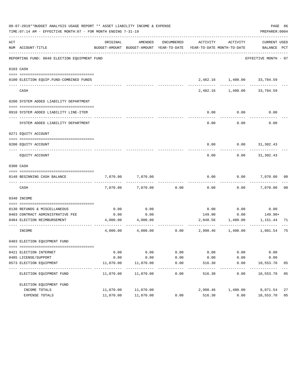|     | 08-07-2019**BUDGET ANALYSIS USAGE REPORT ** ASSET LIABILITY INCOME & EXPENSE<br>TIME: 07:14 AM - EFFECTIVE MONTH: 07 - FOR MONTH ENDING 7-31-19 |           |                                                                                |               |          |                              | PREPARER: 0004              | PAGE 86 |
|-----|-------------------------------------------------------------------------------------------------------------------------------------------------|-----------|--------------------------------------------------------------------------------|---------------|----------|------------------------------|-----------------------------|---------|
| ACT | NUM ACCOUNT-TITLE                                                                                                                               | ORIGINAL  | AMENDED<br>BUDGET-AMOUNT BUDGET-AMOUNT YEAR-TO-DATE YEAR-TO-DATE MONTH-TO-DATE | ENCUMBERED    | ACTIVITY | ACTIVITY                     | CURRENT USED<br>BALANCE PCT |         |
|     | REPORTING FUND: 0048 ELECTION EQUIPMENT FUND                                                                                                    |           |                                                                                |               |          |                              | EFFECTIVE MONTH - 07        |         |
|     | 0103 CASH                                                                                                                                       |           |                                                                                |               |          |                              |                             |         |
|     | 0100 ELECTION EQUIP. FUND-COMBINED FUNDS                                                                                                        |           |                                                                                |               |          | 2,482.16 1,400.00 33,784.59  |                             |         |
|     | CASH                                                                                                                                            |           |                                                                                |               |          | 2,482.16 1,400.00 33,784.59  |                             |         |
|     | 0200 SYSTEM ADDED LIABILITY DEPARTMENT                                                                                                          |           |                                                                                |               |          |                              |                             |         |
|     |                                                                                                                                                 |           |                                                                                |               |          |                              |                             |         |
|     | 0910 SYSTEM ADDED LIABILITY LINE-ITEM                                                                                                           |           |                                                                                |               | 0.00     | 0.00                         | 0.00                        |         |
|     | SYSTEM ADDED LIABILITY DEPARTMENT                                                                                                               |           |                                                                                |               | 0.00     | 0.00                         | 0.00                        |         |
|     | 0271 EQUITY ACCOUNT                                                                                                                             |           |                                                                                |               |          |                              |                             |         |
|     |                                                                                                                                                 |           |                                                                                |               |          |                              |                             |         |
|     | 0200 EOUITY ACCOUNT                                                                                                                             |           |                                                                                |               | 0.00     |                              | $0.00$ $31,302.43$          |         |
|     | EQUITY ACCOUNT                                                                                                                                  |           |                                                                                |               | 0.00     | 0.00                         | 31,302.43                   |         |
|     | 0300 CASH                                                                                                                                       |           |                                                                                |               |          |                              |                             |         |
|     | 0148 BEGINNING CASH BALANCE                                                                                                                     | 7,070.00  | 7,070.00                                                                       |               | 0.00     | 0.00                         | 7,070.00 00                 |         |
|     | CASH                                                                                                                                            | 7,070.00  | 7,070.00                                                                       | 0.00          | 0.00     | 0.00                         | 7,070.00                    | 00      |
|     | 0340 INCOME                                                                                                                                     |           |                                                                                |               |          |                              |                             |         |
|     | 0130 REFUNDS & MISCELLANEOUS                                                                                                                    | 0.00      | 0.00                                                                           |               | 0.00     | 0.00                         | 0.00                        |         |
|     | 0403 CONTRACT ADMINISTRATIVE FEE                                                                                                                | 0.00      | 0.00                                                                           |               | 149.90   | 0.00                         | 149.90+                     |         |
|     | 0484 ELECTION REIMBURSEMENT                                                                                                                     | 4,000.00  | 4,000.00                                                                       |               |          | 2,848.56 1,400.00 1,151.44   |                             | 71      |
|     | INCOME                                                                                                                                          | 4,000.00  | 4,000.00                                                                       |               |          | $0.00$ $2,998.46$ $1,400.00$ | 1,001.54                    | 75      |
|     | 0403 ELECTION EQUIPMENT FUND                                                                                                                    |           |                                                                                |               |          |                              |                             |         |
|     | 0421 ELECTION INTERNET                                                                                                                          | 0.00      | 0.00                                                                           | 0.00          | 0.00     | 0.00                         | 0.00                        |         |
|     | 0485 LICENSE/SUPPORT                                                                                                                            | 0.00      | 0.00                                                                           | 0.00          | 0.00     | 0.00                         | 0.00                        |         |
|     | 0573 ELECTION EQUIPMENT                                                                                                                         | 11,070.00 | 11,070.00                                                                      | 0.00          | 516.30   | 0.00                         | 10,553.70                   | 05      |
|     | ELECTION EQUIPMENT FUND                                                                                                                         | 11,070.00 | 11,070.00                                                                      | $---$<br>0.00 | 516.30   | 0.00                         | 10,553.70                   | 05      |
|     | ELECTION EQUIPMENT FUND                                                                                                                         |           |                                                                                |               |          |                              |                             |         |
|     | INCOME TOTALS                                                                                                                                   | 11,070.00 | 11,070.00                                                                      |               | 2,998.46 | 1,400.00                     | 8,071.54                    | 27      |
|     | EXPENSE TOTALS                                                                                                                                  | 11,070.00 | 11,070.00                                                                      | 0.00          | 516.30   | 0.00                         | 10,553.70                   | 05      |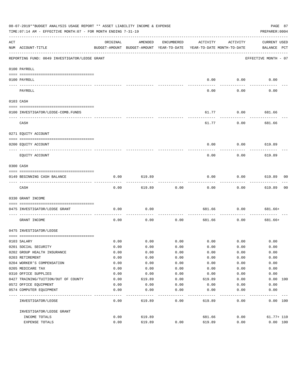|          | 08-07-2019**BUDGET ANALYSIS USAGE REPORT ** ASSET LIABILITY INCOME & EXPENSE<br>TIME: 07:14 AM - EFFECTIVE MONTH: 07 - FOR MONTH ENDING 7-31-19 |              |                                                     |              |                                        |                     | PAGE 87<br>PREPARER: 0004          |
|----------|-------------------------------------------------------------------------------------------------------------------------------------------------|--------------|-----------------------------------------------------|--------------|----------------------------------------|---------------------|------------------------------------|
| ACT      | NUM ACCOUNT-TITLE                                                                                                                               | ORIGINAL     | AMENDED<br>BUDGET-AMOUNT BUDGET-AMOUNT YEAR-TO-DATE | ENCUMBERED   | ACTIVITY<br>YEAR-TO-DATE MONTH-TO-DATE | ACTIVITY            | <b>CURRENT USED</b><br>BALANCE PCT |
|          | REPORTING FUND: 0049 INVESTIGATOR/LEOSE GRANT                                                                                                   |              |                                                     |              |                                        |                     | EFFECTIVE MONTH - 07               |
|          | 0100 PAYROLL                                                                                                                                    |              |                                                     |              |                                        |                     |                                    |
|          | 0100 PAYROLL                                                                                                                                    |              |                                                     |              | 0.00                                   | 0.00                | 0.00                               |
| ---- --- | PAYROLL                                                                                                                                         |              |                                                     |              | 0.00                                   | 0.00                | 0.00                               |
|          | 0103 CASH                                                                                                                                       |              |                                                     |              |                                        |                     |                                    |
|          |                                                                                                                                                 |              |                                                     |              |                                        |                     |                                    |
|          | 0100 INVESTIGATOR/LEOSE-COMB.FUNDS                                                                                                              |              |                                                     |              | 61.77                                  | 0.00                | 681.66                             |
|          | CASH                                                                                                                                            |              |                                                     |              | 61.77                                  | 0.00                | 681.66                             |
|          | 0271 EQUITY ACCOUNT                                                                                                                             |              |                                                     |              |                                        |                     |                                    |
|          | 0200 EQUITY ACCOUNT<br>---- -----------                                                                                                         |              |                                                     |              | 0.00                                   | 0.00                | 619.89                             |
|          | EQUITY ACCOUNT                                                                                                                                  |              |                                                     |              | 0.00                                   | 0.00                | 619.89                             |
|          | 0300 CASH                                                                                                                                       |              |                                                     |              |                                        |                     |                                    |
|          | 0149 BEGINNING CASH BALANCE                                                                                                                     | 0.00         | 619.89                                              |              | 0.00                                   | 0.00                | 619.89 00                          |
|          | CASH                                                                                                                                            | 0.00         | 619.89                                              | 0.00         | 0.00                                   | --------<br>0.00    | ---------<br>619.89<br>00          |
|          | 0330 GRANT INCOME                                                                                                                               |              |                                                     |              |                                        |                     |                                    |
|          | 0475 INVESTIGATOR/LEOSE GRANT                                                                                                                   | 0.00         | 0.00                                                |              | 681.66                                 | 0.00                | 681.66+                            |
|          | GRANT INCOME                                                                                                                                    | 0.00         | 0.00                                                | 0.00         | 681.66                                 | 0.00                | 681.66+                            |
|          | 0475 INVESTIGATOR/LEOSE                                                                                                                         |              |                                                     |              |                                        |                     |                                    |
|          |                                                                                                                                                 |              |                                                     | 0.00         |                                        |                     |                                    |
|          | 0103 SALARY<br>0201 SOCIAL SECURITY                                                                                                             | 0.00         | 0.00                                                |              |                                        | $0.00$ 0.00<br>0.00 | 0.00                               |
|          | 0202 GROUP HEALTH INSURANCE                                                                                                                     | 0.00<br>0.00 | 0.00<br>0.00                                        | 0.00<br>0.00 | 0.00<br>0.00                           | 0.00                | 0.00<br>0.00                       |
|          | 0203 RETIREMENT                                                                                                                                 | 0.00         | 0.00                                                | 0.00         | 0.00                                   | 0.00                | 0.00                               |
|          | 0204 WORKER'S COMPENSATION                                                                                                                      | 0.00         | 0.00                                                | 0.00         | 0.00                                   | 0.00                | 0.00                               |
|          | 0205 MEDICARE TAX                                                                                                                               | 0.00         | 0.00                                                | 0.00         | 0.00                                   | 0.00                | 0.00                               |
|          | 0310 OFFICE SUPPLIES                                                                                                                            | 0.00         | 0.00                                                | 0.00         | 0.00                                   | 0.00                | 0.00                               |
|          | 0427 TRAINING/TUITION/OUT OF COUNTY                                                                                                             | 0.00         | 619.89                                              | 0.00         | 619.89                                 | 0.00                | 0.00 100                           |
|          | 0572 OFFICE EQUIPMENT                                                                                                                           | 0.00         | 0.00                                                | 0.00         | 0.00                                   | 0.00                | 0.00                               |
|          | 0574 COMPUTER EQUIPMENT                                                                                                                         | 0.00         | 0.00                                                | 0.00         | 0.00                                   | 0.00                | 0.00                               |
| ----     | -----------<br>INVESTIGATOR/LEOSE                                                                                                               | 0.00         | 619.89                                              | 0.00         | 619.89                                 | 0.00                | 0.00 100                           |
|          | INVESTIGATOR/LEOSE GRANT                                                                                                                        |              |                                                     |              |                                        |                     |                                    |
|          | INCOME TOTALS                                                                                                                                   | 0.00         | 619.89                                              |              | 681.66                                 | 0.00                | $61.77 + 110$                      |
|          | EXPENSE TOTALS                                                                                                                                  | 0.00         | 619.89                                              | 0.00         | 619.89                                 | 0.00                | 0.00 100                           |
|          |                                                                                                                                                 |              |                                                     |              |                                        |                     |                                    |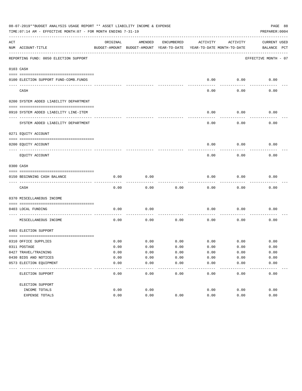|     | 08-07-2019**BUDGET ANALYSIS USAGE REPORT ** ASSET LIABILITY INCOME & EXPENSE<br>PAGE 88<br>TIME: 07:14 AM - EFFECTIVE MONTH: 07 - FOR MONTH ENDING 7-31-19<br>PREPARER: 0004 |          |                                                     |                 |                                        |          |                                    |  |  |  |  |  |
|-----|------------------------------------------------------------------------------------------------------------------------------------------------------------------------------|----------|-----------------------------------------------------|-----------------|----------------------------------------|----------|------------------------------------|--|--|--|--|--|
| ACT | NUM ACCOUNT-TITLE                                                                                                                                                            | ORIGINAL | AMENDED<br>BUDGET-AMOUNT BUDGET-AMOUNT YEAR-TO-DATE | ENCUMBERED      | ACTIVITY<br>YEAR-TO-DATE MONTH-TO-DATE | ACTIVITY | <b>CURRENT USED</b><br>BALANCE PCT |  |  |  |  |  |
|     | REPORTING FUND: 0050 ELECTION SUPPORT                                                                                                                                        |          |                                                     |                 |                                        |          | EFFECTIVE MONTH - 07               |  |  |  |  |  |
|     | 0103 CASH                                                                                                                                                                    |          |                                                     |                 |                                        |          |                                    |  |  |  |  |  |
|     | 0100 ELECTION SUPPORT FUND-COMB.FUNDS                                                                                                                                        |          |                                                     |                 | 0.00                                   | 0.00     | 0.00                               |  |  |  |  |  |
|     | CASH                                                                                                                                                                         |          |                                                     |                 | 0.00                                   | 0.00     | 0.00                               |  |  |  |  |  |
|     | 0200 SYSTEM ADDED LIABILITY DEPARTMENT                                                                                                                                       |          |                                                     |                 |                                        |          |                                    |  |  |  |  |  |
|     | 0910 SYSTEM ADDED LIABILITY LINE-ITEM                                                                                                                                        |          |                                                     |                 | 0.00                                   | 0.00     | 0.00                               |  |  |  |  |  |
|     | SYSTEM ADDED LIABILITY DEPARTMENT                                                                                                                                            |          |                                                     |                 | 0.00                                   | 0.00     | 0.00                               |  |  |  |  |  |
|     | 0271 EQUITY ACCOUNT                                                                                                                                                          |          |                                                     |                 |                                        |          |                                    |  |  |  |  |  |
|     | 0200 EQUITY ACCOUNT                                                                                                                                                          |          |                                                     |                 | 0.00                                   | 0.00     | 0.00                               |  |  |  |  |  |
|     | EQUITY ACCOUNT                                                                                                                                                               |          |                                                     |                 | 0.00                                   | 0.00     | 0.00                               |  |  |  |  |  |
|     | 0300 CASH                                                                                                                                                                    |          |                                                     |                 |                                        |          |                                    |  |  |  |  |  |
|     | 0150 BEGINNING CASH BALANCE                                                                                                                                                  | 0.00     | 0.00                                                |                 | 0.00                                   | 0.00     | 0.00                               |  |  |  |  |  |
|     | CASH                                                                                                                                                                         | 0.00     | 0.00                                                | 0.00            | 0.00                                   | 0.00     | 0.00                               |  |  |  |  |  |
|     | 0370 MISCELLANEOUS INCOME                                                                                                                                                    |          |                                                     |                 |                                        |          |                                    |  |  |  |  |  |
|     | 0403 LOCAL FUNDING                                                                                                                                                           | 0.00     | 0.00                                                |                 | 0.00                                   | 0.00     | 0.00                               |  |  |  |  |  |
|     | MISCELLANEOUS INCOME                                                                                                                                                         | 0.00     | 0.00                                                | 0.00            | 0.00                                   | 0.00     | 0.00                               |  |  |  |  |  |
|     | 0403 ELECTION SUPPORT                                                                                                                                                        |          |                                                     |                 |                                        |          |                                    |  |  |  |  |  |
|     | 0310 OFFICE SUPPLIES                                                                                                                                                         | 0.00     | 0.00                                                | 0.00            | 0.00                                   | 0.00     | 0.00                               |  |  |  |  |  |
|     | 0311 POSTAGE                                                                                                                                                                 | 0.00     | 0.00                                                | 0.00            | 0.00                                   | 0.00     | 0.00                               |  |  |  |  |  |
|     | 0427 TRAVEL/TRAINING                                                                                                                                                         | 0.00     | 0.00                                                | 0.00            | 0.00                                   | 0.00     | 0.00                               |  |  |  |  |  |
|     | 0430 BIDS AND NOTICES                                                                                                                                                        | 0.00     | 0.00                                                | 0.00            | 0.00                                   | 0.00     | 0.00                               |  |  |  |  |  |
|     | 0573 ELECTION EQUIPMENT                                                                                                                                                      | 0.00     | 0.00                                                | 0.00<br>$- - -$ | 0.00                                   | 0.00     | 0.00                               |  |  |  |  |  |
|     | ELECTION SUPPORT                                                                                                                                                             | 0.00     | 0.00                                                | 0.00            | 0.00                                   | 0.00     | 0.00                               |  |  |  |  |  |
|     | ELECTION SUPPORT                                                                                                                                                             |          |                                                     |                 |                                        |          |                                    |  |  |  |  |  |
|     | INCOME TOTALS                                                                                                                                                                | 0.00     | 0.00                                                |                 | 0.00                                   | 0.00     | 0.00                               |  |  |  |  |  |
|     | EXPENSE TOTALS                                                                                                                                                               | 0.00     | 0.00                                                | 0.00            | 0.00                                   | 0.00     | 0.00                               |  |  |  |  |  |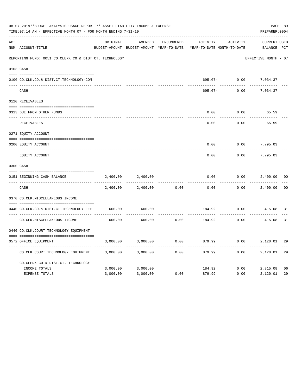|     | 08-07-2019**BUDGET ANALYSIS USAGE REPORT ** ASSET LIABILITY INCOME & EXPENSE<br>TIME: 07:14 AM - EFFECTIVE MONTH: 07 - FOR MONTH ENDING 7-31-19 |          |                                                     |            |                                        |                       |                             |                |  |  |
|-----|-------------------------------------------------------------------------------------------------------------------------------------------------|----------|-----------------------------------------------------|------------|----------------------------------------|-----------------------|-----------------------------|----------------|--|--|
| ACT | NUM ACCOUNT-TITLE                                                                                                                               | ORIGINAL | AMENDED<br>BUDGET-AMOUNT BUDGET-AMOUNT YEAR-TO-DATE | ENCUMBERED | ACTIVITY<br>YEAR-TO-DATE MONTH-TO-DATE | ACTIVITY              | CURRENT USED<br>BALANCE PCT |                |  |  |
|     | REPORTING FUND: 0051 CO.CLERK CO.& DIST.CT. TECHNOLOGY                                                                                          |          |                                                     |            |                                        |                       | EFFECTIVE MONTH - 07        |                |  |  |
|     | 0103 CASH                                                                                                                                       |          |                                                     |            |                                        |                       |                             |                |  |  |
|     | 0100 CO.CLK.CO.& DIST.CT.TECHNOLOGY-COM                                                                                                         |          |                                                     |            |                                        | 695.07- 0.00 7,034.37 |                             |                |  |  |
|     | CASH                                                                                                                                            |          |                                                     |            | 695.07-                                | 0.00                  | 7,034.37                    |                |  |  |
|     | 0120 RECEIVABLES                                                                                                                                |          |                                                     |            |                                        |                       |                             |                |  |  |
|     | 0313 DUE FROM OTHER FUNDS                                                                                                                       |          |                                                     |            | 0.00                                   | 0.00                  | 65.59                       |                |  |  |
|     | RECEIVABLES                                                                                                                                     |          |                                                     |            | 0.00                                   | 0.00                  | 65.59                       |                |  |  |
|     | 0271 EQUITY ACCOUNT                                                                                                                             |          |                                                     |            |                                        |                       |                             |                |  |  |
|     | 0200 EQUITY ACCOUNT                                                                                                                             |          |                                                     |            | 0.00                                   | 0.00                  | 7,795.03                    |                |  |  |
|     | ______________________________<br>EQUITY ACCOUNT                                                                                                |          |                                                     |            | ------<br>0.00                         | 0.00                  | 7,795.03                    |                |  |  |
|     | 0300 CASH                                                                                                                                       |          |                                                     |            |                                        |                       |                             |                |  |  |
|     | 0151 BEGINNING CASH BALANCE                                                                                                                     | 2,400.00 | 2,400.00                                            |            | 0.00                                   | 0.00                  | 2,400.00                    | 0 <sub>0</sub> |  |  |
|     | CASH                                                                                                                                            | 2,400.00 | 2,400.00                                            | 0.00       | 0.00                                   | 0.00                  | 2,400.00                    | 0 <sub>0</sub> |  |  |
|     | 0370 CO.CLK.MISCELLANEOUS INCOME                                                                                                                |          |                                                     |            |                                        |                       |                             |                |  |  |
|     | 0440 CO.CLK.CO.& DIST.CT.TECHNOLOGY FEE                                                                                                         | 600.00   | 600.00                                              |            | 184.92                                 | 0.00                  | 415.08 31                   |                |  |  |
|     | CO. CLK. MISCELLANEOUS INCOME                                                                                                                   | 600.00   | 600.00                                              | 0.00       | 184.92 0.00                            | .                     | 415.08                      | 31             |  |  |
|     | 0440 CO.CLK.COURT TECHNOLOGY EQUIPMENT                                                                                                          |          |                                                     |            |                                        |                       |                             |                |  |  |
|     | 0572 OFFICE EQUIPMENT                                                                                                                           | 3,000.00 | 3,000.00                                            | 0.00       | 879.99                                 | 0.00                  | 2,120.01                    | 29             |  |  |
|     | CO.CLK.COURT TECHNOLOGY EQUIPMENT                                                                                                               | 3,000.00 | 3,000.00                                            | 0.00       | 879.99                                 | 0.00                  | 2,120.01                    | 29             |  |  |
|     | CO.CLERK CO.& DIST.CT. TECHNOLOGY                                                                                                               |          |                                                     |            |                                        |                       |                             |                |  |  |
|     | INCOME TOTALS                                                                                                                                   | 3,000.00 | 3,000.00                                            |            |                                        |                       | 184.92 0.00 2,815.08        | 06             |  |  |
|     | <b>EXPENSE TOTALS</b>                                                                                                                           | 3,000.00 | 3,000.00                                            | 0.00       | 879.99                                 | 0.00                  | 2,120.01                    | 29             |  |  |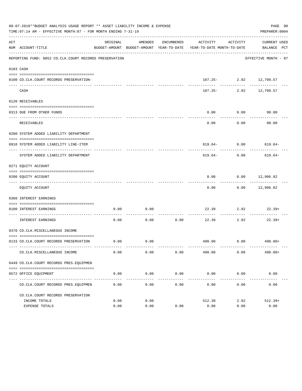|     | 08-07-2019**BUDGET ANALYSIS USAGE REPORT ** ASSET LIABILITY INCOME & EXPENSE<br>TIME: 07:14 AM - EFFECTIVE MONTH: 07 - FOR MONTH ENDING 7-31-19 |          |         |                       |                                                                                 |                    | PAGE 90<br>PREPARER: 0004   |
|-----|-------------------------------------------------------------------------------------------------------------------------------------------------|----------|---------|-----------------------|---------------------------------------------------------------------------------|--------------------|-----------------------------|
| ACT | NUM ACCOUNT-TITLE                                                                                                                               | ORIGINAL | AMENDED | ENCUMBERED            | ACTIVITY<br>BUDGET-AMOUNT BUDGET-AMOUNT YEAR-TO-DATE YEAR-TO-DATE MONTH-TO-DATE | ACTIVITY           | CURRENT USED<br>BALANCE PCT |
|     | REPORTING FUND: 0052 CO.CLK.COURT RECORDS PRESERVATION                                                                                          |          |         |                       |                                                                                 |                    | EFFECTIVE MONTH - 07        |
|     | 0103 CASH                                                                                                                                       |          |         |                       |                                                                                 |                    |                             |
|     | 0100 CO.CLK.COURT RECORDS PRESERVATION-                                                                                                         |          |         |                       |                                                                                 |                    | $107.25 - 2.92$ $12,709.57$ |
|     | CASH                                                                                                                                            |          |         |                       | $107.25-$                                                                       |                    | 2.92 12,709.57              |
|     | 0120 RECEIVABLES                                                                                                                                |          |         |                       |                                                                                 |                    |                             |
|     | 0313 DUE FROM OTHER FUNDS                                                                                                                       |          |         |                       | 0.00                                                                            | 0.00               | 90.00                       |
|     | <b>RECEIVABLES</b>                                                                                                                              |          |         |                       | 0.00                                                                            | ---------<br>0.00  | 90.00                       |
|     | 0200 SYSTEM ADDED LIABILITY DEPARTMENT                                                                                                          |          |         |                       |                                                                                 |                    |                             |
|     | 0910 SYSTEM ADDED LIABILITY LINE-ITEM                                                                                                           |          |         |                       |                                                                                 |                    | $619.64 - 0.00$ 619.64-     |
|     | SYSTEM ADDED LIABILITY DEPARTMENT                                                                                                               |          |         |                       | 619.64-                                                                         | 0.00               | 619.64-                     |
|     | 0271 EQUITY ACCOUNT                                                                                                                             |          |         |                       |                                                                                 |                    |                             |
|     | 0200 EQUITY ACCOUNT                                                                                                                             |          |         |                       | 0.00                                                                            |                    | $0.00$ 12,906.82            |
|     | EQUITY ACCOUNT                                                                                                                                  |          |         |                       | 0.00                                                                            |                    | $0.00$ 12,906.82            |
|     | 0360 INTEREST EARNINGS                                                                                                                          |          |         |                       |                                                                                 |                    |                             |
|     | 0100 INTEREST EARNINGS                                                                                                                          | 0.00     | 0.00    |                       | 22.39                                                                           | 2.92               | 22.39+                      |
|     | ------------------ ---<br>INTEREST EARNINGS                                                                                                     | 0.00     | 0.00    | -----------<br>0.00   | 22.39                                                                           | ----------<br>2.92 | $22.39+$                    |
|     | 0370 CO.CLK.MISCELLANEOUS INCOME                                                                                                                |          |         |                       |                                                                                 |                    |                             |
|     | 0133 CO.CLK.COURT RECORDS PRESERVATION                                                                                                          | 0.00     | 0.00    |                       |                                                                                 |                    | 490.00 0.00 490.00+         |
|     | CO. CLK. MISCELLANEOUS INCOME                                                                                                                   | 0.00     | 0.00    | 0.00                  | 490.00                                                                          | 0.00               | $490.00+$                   |
|     | 0449 CO.CLK.COURT RECORDS PRES.EQUIPMEN                                                                                                         |          |         |                       |                                                                                 |                    |                             |
|     | 0572 OFFICE EQUIPMENT                                                                                                                           | 0.00     | 0.00    | 0.00                  | 0.00                                                                            | 0.00               | 0.00                        |
|     | CO. CLK. COURT RECORDS PRES. EQUIPMEN                                                                                                           | 0.00     | 0.00    | -------------<br>0.00 | ------------- ------------ -----------<br>0.00                                  | 0.00               | 0.00                        |
|     | CO. CLK. COURT RECORDS PRESERVATION                                                                                                             |          |         |                       |                                                                                 |                    |                             |
|     | INCOME TOTALS                                                                                                                                   | 0.00     | 0.00    |                       | 512.39                                                                          | 2.92               | $512.39+$                   |
|     | EXPENSE TOTALS                                                                                                                                  | 0.00     | 0.00    | 0.00                  | 0.00                                                                            | 0.00               | 0.00                        |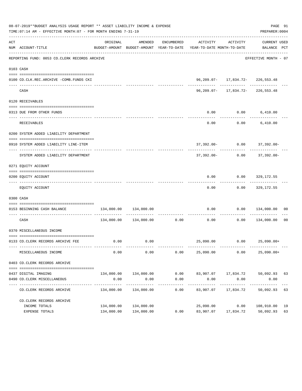|     | 08-07-2019**BUDGET ANALYSIS USAGE REPORT ** ASSET LIABILITY INCOME & EXPENSE<br>TIME: 07:14 AM - EFFECTIVE MONTH: 07 - FOR MONTH ENDING 7-31-19 |            |                        |                     |                                                                                                                 |                                            | PAGE 91<br>PREPARER: 0004     |                |
|-----|-------------------------------------------------------------------------------------------------------------------------------------------------|------------|------------------------|---------------------|-----------------------------------------------------------------------------------------------------------------|--------------------------------------------|-------------------------------|----------------|
| ACT | NUM ACCOUNT-TITLE                                                                                                                               | ORIGINAL   | AMENDED                |                     | ENCUMBERED ACTIVITY ACTIVITY<br>BUDGET-AMOUNT BUDGET-AMOUNT YEAR-TO-DATE YEAR-TO-DATE MONTH-TO-DATE BALANCE PCT |                                            | CURRENT USED                  |                |
|     | REPORTING FUND: 0053 CO.CLERK RECORDS ARCHIVE                                                                                                   |            |                        |                     |                                                                                                                 |                                            | EFFECTIVE MONTH - 07          |                |
|     | 0103 CASH                                                                                                                                       |            |                        |                     |                                                                                                                 |                                            |                               |                |
|     |                                                                                                                                                 |            |                        |                     |                                                                                                                 |                                            |                               |                |
|     | 0100 CO.CLK.REC.ARCHIVE -COMB.FUNDS CKI<br>--------------------------- ---                                                                      |            |                        |                     |                                                                                                                 | 96, 209.07-17, 834.72-226, 553.48          |                               |                |
|     | CASH                                                                                                                                            |            |                        |                     |                                                                                                                 | 96, 209.07- 17, 834.72- 226, 553.48        |                               |                |
|     | 0120 RECEIVABLES                                                                                                                                |            |                        |                     |                                                                                                                 |                                            |                               |                |
|     | 0313 DUE FROM OTHER FUNDS                                                                                                                       |            |                        |                     | 0.00                                                                                                            | $0.00$ 6,410.00                            |                               |                |
|     | RECEIVABLES                                                                                                                                     |            |                        |                     | ----------<br>0.00                                                                                              |                                            | $0.00$ 6,410.00               |                |
|     | 0200 SYSTEM ADDED LIABILITY DEPARTMENT                                                                                                          |            |                        |                     |                                                                                                                 |                                            |                               |                |
|     |                                                                                                                                                 |            |                        |                     |                                                                                                                 |                                            |                               |                |
|     | 0910 SYSTEM ADDED LIABILITY LINE-ITEM                                                                                                           |            |                        |                     |                                                                                                                 | 37,392.00- 0.00 37,392.00-<br>------------ |                               |                |
|     | SYSTEM ADDED LIABILITY DEPARTMENT                                                                                                               |            |                        |                     |                                                                                                                 | $37,392.00 - 0.00$ $37,392.00 -$           |                               |                |
|     | 0271 EQUITY ACCOUNT                                                                                                                             |            |                        |                     |                                                                                                                 |                                            |                               |                |
|     |                                                                                                                                                 |            |                        |                     |                                                                                                                 |                                            |                               |                |
|     | 0200 EQUITY ACCOUNT                                                                                                                             |            |                        |                     | 0.00                                                                                                            |                                            | $0.00$ 329,172.55             |                |
|     | EQUITY ACCOUNT                                                                                                                                  |            |                        |                     | -------<br>0.00                                                                                                 |                                            | $0.00$ 329,172.55             |                |
|     | 0300 CASH                                                                                                                                       |            |                        |                     |                                                                                                                 |                                            |                               |                |
|     | 0153 BEGINNING CASH BALANCE                                                                                                                     |            | 134,000.00  134,000.00 |                     | 0.00<br>----------------------------                                                                            |                                            | $0.00$ $134,000.00$ 00        |                |
|     | CASH                                                                                                                                            |            |                        |                     | $134,000.00$ $134,000.00$ $0.00$ $0.00$                                                                         |                                            | $0.00$ $134,000.00$           | 0 <sub>0</sub> |
|     | 0370 MISCELLANEOUS INCOME                                                                                                                       |            |                        |                     |                                                                                                                 |                                            |                               |                |
|     | 0133 CO.CLERK RECORDS ARCHIVE FEE                                                                                                               |            | $0.00$ $0.00$          |                     |                                                                                                                 | 25,090.00   0.00   25,090.00+              |                               |                |
|     | MISCELLANEOUS INCOME                                                                                                                            | 0.00       | 0.00                   | 0.00                | 25,090.00                                                                                                       | 0.00                                       | $25,090.00+$                  |                |
|     | 0403 CO.CLERK RECORDS ARCHIVE                                                                                                                   |            |                        |                     |                                                                                                                 |                                            |                               |                |
|     | 0437 DIGITAL IMAGING                                                                                                                            |            | 134,000.00 134,000.00  |                     | $0.00$ $83,907.07$ $17,834.72$ $50,092.93$ $63$                                                                 |                                            |                               |                |
|     | 0490 CO. CLERK MISCELLANEOUS                                                                                                                    | 0.00       | 0.00                   | 0.00                | 0.00                                                                                                            | 0.00                                       | 0.00                          |                |
|     | CO. CLERK RECORDS ARCHIVE                                                                                                                       |            | 134,000.00 134,000.00  | -----------<br>0.00 | -----------<br>83,907.07                                                                                        | ____________<br>17,834.72                  | -------------<br>50,092.93 63 |                |
|     | CO. CLERK RECORDS ARCHIVE                                                                                                                       |            |                        |                     |                                                                                                                 |                                            |                               |                |
|     | INCOME TOTALS                                                                                                                                   | 134,000.00 | 134,000.00             |                     | 25,090.00                                                                                                       | 0.00                                       | 108,910.00 19                 |                |
|     | EXPENSE TOTALS                                                                                                                                  |            | 134,000.00 134,000.00  | 0.00                | 83,907.07                                                                                                       |                                            | 17,834.72 50,092.93           | 63             |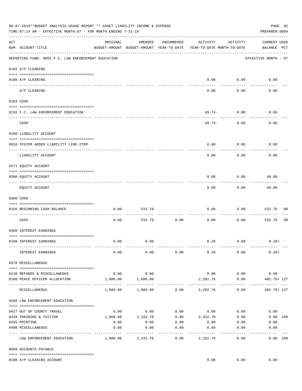|     | 08-07-2019**BUDGET ANALYSIS USAGE REPORT ** ASSET LIABILITY INCOME & EXPENSE<br>PREPARER: 0004<br>TIME:07:14 AM - EFFECTIVE MONTH:07 - FOR MONTH ENDING 7-31-19 |           |                   |                   |                                                                                 |                   |                                    |                |  |  |  |
|-----|-----------------------------------------------------------------------------------------------------------------------------------------------------------------|-----------|-------------------|-------------------|---------------------------------------------------------------------------------|-------------------|------------------------------------|----------------|--|--|--|
| ACT | NUM ACCOUNT-TITLE                                                                                                                                               | ORIGINAL  | AMENDED           | ENCUMBERED        | ACTIVITY<br>BUDGET-AMOUNT BUDGET-AMOUNT YEAR-TO-DATE YEAR-TO-DATE MONTH-TO-DATE | ACTIVITY          | <b>CURRENT USED</b><br>BALANCE PCT |                |  |  |  |
|     | REPORTING FUND: 0055 F.C. LAW ENFORCEMENT EDUCATION                                                                                                             |           |                   |                   |                                                                                 |                   | EFFECTIVE MONTH - 07               |                |  |  |  |
|     | 0102 A/P CLEARING                                                                                                                                               |           |                   |                   |                                                                                 |                   |                                    |                |  |  |  |
|     | 0100 A/P CLEARING                                                                                                                                               |           |                   |                   | 0.00                                                                            | 0.00              | 0.00                               |                |  |  |  |
|     | A/P CLEARING                                                                                                                                                    |           |                   |                   | 0.00                                                                            | 0.00              | 0.00                               |                |  |  |  |
|     | 0103 CASH                                                                                                                                                       |           |                   |                   |                                                                                 |                   |                                    |                |  |  |  |
|     | 0155 F.C. LAW ENFORCEMENT EDUCATION                                                                                                                             |           |                   |                   |                                                                                 | $49.74-0.00$      | 0.06                               |                |  |  |  |
|     | CASH                                                                                                                                                            |           |                   |                   | 49.74-                                                                          | 0.00              | 0.06                               |                |  |  |  |
|     | 0200 LIABILITY ACCOUNT                                                                                                                                          |           |                   |                   |                                                                                 |                   |                                    |                |  |  |  |
|     | 0910 SYSTEM ADDED LIABILITY LINE-ITEM                                                                                                                           |           |                   |                   | 0.00                                                                            | 0.00              | 0.00                               |                |  |  |  |
|     | LIABILITY ACCOUNT                                                                                                                                               |           |                   |                   | 0.00                                                                            | 0.00              | 0.00                               |                |  |  |  |
|     | 0271 EQUITY ACCOUNT                                                                                                                                             |           |                   |                   |                                                                                 |                   |                                    |                |  |  |  |
|     | 0200 EQUITY ACCOUNT                                                                                                                                             |           |                   |                   | 0.00                                                                            | 0.00              | 49.80                              |                |  |  |  |
|     | EQUITY ACCOUNT                                                                                                                                                  |           |                   |                   | 0.00                                                                            | ---------<br>0.00 | 49.80                              |                |  |  |  |
|     | 0300 CASH                                                                                                                                                       |           |                   |                   |                                                                                 |                   |                                    |                |  |  |  |
|     | 0156 BEGINNING CASH BALANCE                                                                                                                                     | 0.00      | 532.70            |                   | 0.00                                                                            | 0.00              | 532.70                             | 00             |  |  |  |
|     | ---------------------------- --<br>CASH                                                                                                                         | 0.00      | 532.70            | 0.00              | 0.00                                                                            | 0.00              | 532.70                             | 0 <sub>0</sub> |  |  |  |
|     | 0360 INTEREST EARNINGS                                                                                                                                          |           |                   |                   |                                                                                 |                   |                                    |                |  |  |  |
|     | 0100 INTEREST EARNINGS                                                                                                                                          | 0.00      | 0.00              |                   | 0.20                                                                            | 0.00              | $0.20+$                            |                |  |  |  |
|     | INTEREST EARNINGS                                                                                                                                               | 0.00      | 0.00              | 0.00              | 0.20                                                                            | 0.00              | $0.20+$                            |                |  |  |  |
|     | 0370 MISCELLANEOUS                                                                                                                                              |           |                   |                   |                                                                                 |                   |                                    |                |  |  |  |
|     | 0130 REFUNDS & MISCELLANEOUS                                                                                                                                    | 0.00      | 0.00              |                   |                                                                                 | $0.00$ 0.00       | 0.00                               |                |  |  |  |
|     | 0160 PEACE OFFICER ALLOCATION                                                                                                                                   | 1,800.00  | 1,800.00          |                   | 2,282.76                                                                        | 0.00              | 482.76+ 127                        |                |  |  |  |
|     | MISCELLANEOUS                                                                                                                                                   |           |                   |                   | $1,800.00$ $1,800.00$ $0.00$ $2,282.76$                                         | 0.00              | ----------------<br>482.76+ 127    |                |  |  |  |
|     | 0560 LAW ENFORCEMENT EDUCATION                                                                                                                                  |           |                   |                   |                                                                                 |                   |                                    |                |  |  |  |
|     | 0427 OUT OF COUNTY TRAVEL                                                                                                                                       | 0.00      | 0.00              |                   | $0.00$ $0.00$ $0.00$                                                            |                   | 0.00                               |                |  |  |  |
|     | 0428 TRAINING & TUITION                                                                                                                                         |           |                   |                   | $1,800.00$ $2,332.70$ $0.00$ $2,332.70$ $0.00$                                  |                   | 0.00 100                           |                |  |  |  |
|     | 0435 PRINTING                                                                                                                                                   | 0.00      | 0.00              | 0.00              | $0.00$ $0.00$                                                                   |                   | 0.00                               |                |  |  |  |
|     | 0490 MISCELLANEOUS                                                                                                                                              | 0.00<br>. | 0.00              | 0.00<br>--------- | 0.00<br>.                                                                       | 0.00              | 0.00                               |                |  |  |  |
|     | LAW ENFORCEMENT EDUCATION                                                                                                                                       |           | 1,800.00 2,332.70 | 0.00              | 2,332.70                                                                        | 0.00              | 0.00 100                           |                |  |  |  |
|     | 0999 ACCOUNTS PAYABLE                                                                                                                                           |           |                   |                   |                                                                                 |                   |                                    |                |  |  |  |
|     | 0100 A/P CLEARING ACCOUNT                                                                                                                                       |           |                   |                   |                                                                                 |                   | $0.00$ $0.00$ $0.00$               |                |  |  |  |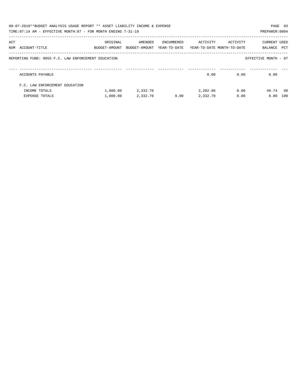|     | 08-07-2019**BUDGET ANALYSIS USAGE REPORT ** ASSET LIABILITY INCOME & EXPENSE<br>TIME: 07:14 AM - EFFECTIVE MONTH: 07 - FOR MONTH ENDING 7-31-19 |               |               |            |                                         |          | PREPARER: 0004       | PAGE 93 |
|-----|-------------------------------------------------------------------------------------------------------------------------------------------------|---------------|---------------|------------|-----------------------------------------|----------|----------------------|---------|
|     |                                                                                                                                                 |               |               |            |                                         |          |                      |         |
| ACT |                                                                                                                                                 | ORIGINAL      | AMENDED       | ENCUMBERED | ACTIVITY                                | ACTIVITY | CURRENT USED         |         |
|     | NUM ACCOUNT-TITLE                                                                                                                               | BUDGET-AMOUNT | BUDGET-AMOUNT |            | YEAR-TO-DATE YEAR-TO-DATE MONTH-TO-DATE |          | BALANCE              | PCT     |
|     | REPORTING FUND: 0055 F.C. LAW ENFORCEMENT EDUCATION                                                                                             |               |               |            |                                         |          | EFFECTIVE MONTH - 07 |         |
|     | ACCOUNTS PAYABLE                                                                                                                                |               |               |            | 0.00                                    | 0.00     | 0.00                 |         |
|     | F.C. LAW ENFORCEMENT EDUCATION                                                                                                                  |               |               |            |                                         |          |                      |         |
|     | INCOME TOTALS                                                                                                                                   | 1,800.00      | 2,332.70      |            | 2,282.96                                | 0.00     | 49.74 98             |         |
|     | EXPENSE TOTALS                                                                                                                                  | 1,800.00      | 2,332.70      | 0.00       | 2,332.70                                | 0.00     | 0.00                 | 100     |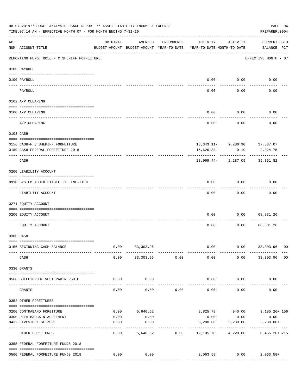|     | 08-07-2019**BUDGET ANALYSIS USAGE REPORT ** ASSET LIABILITY INCOME & EXPENSE<br>TIME: 07:14 AM - EFFECTIVE MONTH: 07 - FOR MONTH ENDING 7-31-19 |                                                      |                         |                |                                        |                                         | PAGE 94<br>PREPARER: 0004                              |
|-----|-------------------------------------------------------------------------------------------------------------------------------------------------|------------------------------------------------------|-------------------------|----------------|----------------------------------------|-----------------------------------------|--------------------------------------------------------|
| ACT | NUM ACCOUNT-TITLE                                                                                                                               | ORIGINAL<br>BUDGET-AMOUNT BUDGET-AMOUNT YEAR-TO-DATE | AMENDED                 | ENCUMBERED     | ACTIVITY<br>YEAR-TO-DATE MONTH-TO-DATE | ACTIVITY                                | <b>CURRENT USED</b><br>BALANCE PCT                     |
|     | REPORTING FUND: 0056 F C SHERIFF FORFEITURE                                                                                                     |                                                      |                         |                |                                        |                                         | EFFECTIVE MONTH - 07                                   |
|     | 0100 PAYROLL                                                                                                                                    |                                                      |                         |                |                                        |                                         |                                                        |
|     | 0100 PAYROLL                                                                                                                                    |                                                      |                         |                |                                        | $0.00$ 0.00                             | 0.00                                                   |
|     | PAYROLL                                                                                                                                         |                                                      |                         |                | 0.00                                   | 0.00                                    | 0.00                                                   |
|     | 0102 A/P CLEARING                                                                                                                               |                                                      |                         |                |                                        |                                         |                                                        |
|     | 0100 A/P CLEARING                                                                                                                               |                                                      |                         |                | 0.00                                   | 0.00                                    | 0.00                                                   |
|     | A/P CLEARING                                                                                                                                    |                                                      |                         |                | 0.00                                   | 0.00                                    | 0.00                                                   |
|     | 0103 CASH                                                                                                                                       |                                                      |                         |                |                                        |                                         |                                                        |
|     |                                                                                                                                                 |                                                      |                         |                |                                        |                                         |                                                        |
|     | 0156 CASH-F C SHERIFF FORFEITURE<br>0159 CASH-FEDERAL FORFEITURE 2018                                                                           |                                                      |                         |                | 15,626.33-                             | 13, 343.11-2, 286.90 37, 537.07<br>0.19 | 2,324.75                                               |
|     | CASH                                                                                                                                            |                                                      |                         |                |                                        | 28,969.44- 2,287.09                     | 39,861.82                                              |
|     | 0200 LIABILITY ACCOUNT                                                                                                                          |                                                      |                         |                |                                        |                                         |                                                        |
|     | 0910 SYSTEM ADDED LIABILITY LINE-ITEM                                                                                                           |                                                      |                         |                | 0.00                                   | 0.00                                    | 0.00                                                   |
|     | LIABILITY ACCOUNT                                                                                                                               |                                                      |                         |                | 0.00                                   | 0.00                                    | 0.00                                                   |
|     | 0271 EQUITY ACCOUNT                                                                                                                             |                                                      |                         |                |                                        |                                         |                                                        |
|     | 0200 EOUITY ACCOUNT                                                                                                                             |                                                      |                         |                | 0.00                                   | 0.00                                    | 68,831.26                                              |
|     | EQUITY ACCOUNT                                                                                                                                  |                                                      |                         |                | 0.00                                   | 0.00                                    | 68,831.26                                              |
|     | 0300 CASH                                                                                                                                       |                                                      |                         |                |                                        |                                         |                                                        |
|     | 0156 BEGINNING CASH BALANCE                                                                                                                     | 0.00                                                 | 33, 303.96              |                | 0.00                                   | 0.00                                    | 33,303.96 00                                           |
|     | CASH                                                                                                                                            | 0.00                                                 |                         | 33,303.96 0.00 | 0.00                                   |                                         | $0.00$ 33,303.96 00                                    |
|     | 0330 GRANTS                                                                                                                                     |                                                      |                         |                |                                        |                                         |                                                        |
|     | 0560 BULLETPROOF VEST PARTNERSHIP                                                                                                               | 0.00                                                 | 0.00                    |                | 0.00                                   | 0.00                                    | 0.00                                                   |
|     | GRANTS                                                                                                                                          | 0.00                                                 | 0.00                    | 0.00           | 0.00                                   | 0.00                                    | 0.00                                                   |
|     | 0352 OTHER FOREITURES                                                                                                                           |                                                      |                         |                |                                        |                                         |                                                        |
|     |                                                                                                                                                 |                                                      |                         |                |                                        |                                         |                                                        |
|     | 0200 CONTRABAND FOREITURE<br>0300 PLEA BARGAIN AGREEMENT                                                                                        | 0.00                                                 | $0.00$ 5,640.52<br>0.00 |                |                                        | $0.00$ 0.00                             | 8,825.78 940.00 3,185.26+156<br>0.00                   |
|     | 0432 LIVESTOCK SEIZURE                                                                                                                          | 0.00                                                 | 0.00                    |                | 3,280.00                               | 3,280.00                                | $3,280.00+$                                            |
|     | OTHER FOREITURES                                                                                                                                | 0.00                                                 | -----------             | 5,640.52 0.00  | ----------------------------           |                                         | -------------------<br>12,105.78 4,220.00 6,465.26+215 |
|     | 0355 FEDERAL FORFEITURE FUNDS 2018                                                                                                              |                                                      |                         |                |                                        |                                         |                                                        |
|     |                                                                                                                                                 | 0.00                                                 | 0.00                    |                |                                        |                                         | 2,063.58 0.00 2,063.58+                                |
|     | 0560 FEDERAL FORFEITURE FUNDS 2018                                                                                                              |                                                      |                         |                |                                        |                                         |                                                        |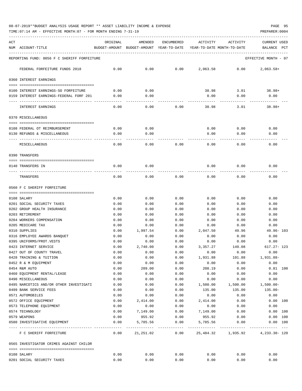TIME:07:14 AM - EFFECTIVE MONTH:07 - FOR MONTH ENDING 7-31-19 PREPARER:0004

| ACT<br>NUM | ACCOUNT-TITLE                                                 | ORIGINAL     | AMENDED<br>BUDGET-AMOUNT BUDGET-AMOUNT YEAR-TO-DATE | ENCUMBERED                       | ACTIVITY<br>YEAR-TO-DATE MONTH-TO-DATE | ACTIVITY                           | <b>CURRENT USED</b><br>$_{\rm PCT}$<br>BALANCE |
|------------|---------------------------------------------------------------|--------------|-----------------------------------------------------|----------------------------------|----------------------------------------|------------------------------------|------------------------------------------------|
|            | REPORTING FUND: 0056 F C SHERIFF FORFEITURE                   |              |                                                     |                                  |                                        |                                    | EFFECTIVE MONTH - 07                           |
|            | FEDERAL FORFEITURE FUNDS 2018                                 | 0.00         | 0.00                                                | 0.00                             | 2,063.58                               | 0.00                               | $2,063.58+$                                    |
|            | 0360 INTEREST EARNINGS                                        |              |                                                     |                                  |                                        |                                    |                                                |
|            | 0100 INTEREST EARNINGS-SO FORFEITURE                          | 0.00         | 0.00                                                |                                  | 38.98                                  | 3.01                               | 38.98+                                         |
|            | 0159 INTEREST EARNINGS-FEDERAL FORF 201                       | 0.00         | 0.00                                                |                                  | 0.00                                   | 0.00                               | 0.00                                           |
|            | INTEREST EARNINGS                                             | 0.00         | 0.00                                                | 0.00                             | 38.98                                  | 3.01                               | $38.98+$                                       |
|            | 0370 MISCELLANEOUS                                            |              |                                                     |                                  |                                        |                                    |                                                |
|            | 0108 FEDERAL OT REIMBURSEMENT                                 | 0.00         | 0.00                                                |                                  | 0.00                                   | 0.00                               | 0.00                                           |
|            | 0130 REFUNDS & MISCELLANEOUS                                  | 0.00         | 0.00                                                |                                  | 0.00                                   | 0.00                               | 0.00                                           |
|            |                                                               |              | ----                                                |                                  |                                        |                                    |                                                |
|            | MISCELLANEOUS                                                 | 0.00         | 0.00                                                | 0.00                             | 0.00                                   | 0.00                               | 0.00                                           |
|            | 0390 TRANSFERS                                                |              |                                                     |                                  |                                        |                                    |                                                |
|            | 0140 TRANSFERS IN                                             | 0.00         | 0.00                                                |                                  | 0.00                                   | 0.00                               | 0.00                                           |
|            | TRANSFERS                                                     | 0.00         | 0.00                                                | 0.00                             | 0.00                                   | 0.00                               | 0.00                                           |
|            | 0560 F C SHERIFF FORFEITURE                                   |              |                                                     |                                  |                                        |                                    |                                                |
|            |                                                               |              |                                                     |                                  |                                        |                                    |                                                |
|            | 0108 SALARY                                                   | 0.00         | 0.00                                                | 0.00                             | 0.00                                   | 0.00                               | 0.00                                           |
|            | 0201 SOCIAL SECURITY TAXES                                    | 0.00         | 0.00                                                | 0.00                             | 0.00                                   | 0.00                               | 0.00<br>0.00                                   |
|            | 0202 GROUP HEALTH INSURANCE<br>0203 RETIREMENT                | 0.00<br>0.00 | 0.00<br>0.00                                        | 0.00<br>0.00                     | 0.00<br>0.00                           | 0.00<br>0.00                       | 0.00                                           |
|            | 0204 WORKERS COMPENSATION                                     | 0.00         | 0.00                                                | 0.00                             | 0.00                                   | 0.00                               | 0.00                                           |
|            | 0205 MEDICARE TAX                                             | 0.00         | 0.00                                                | 0.00                             | 0.00                                   | 0.00                               | 0.00                                           |
|            | 0310 SUPPLIES                                                 | 0.00         | 1,997.54                                            | 0.00                             | 2,047.50                               | 49.96                              | $49.96 - 103$                                  |
|            | 0316 EMPLOYEE AWARDS BANQUET                                  | 0.00         | 0.00                                                | 0.00                             | 0.00                                   | 0.00                               | 0.00                                           |
|            | 0395 UNIFORMS/PROT.VESTS                                      | 0.00         | 0.00                                                | 0.00                             | 0.00                                   | 0.00                               | 0.00                                           |
|            | 0423 INTERNET SERVICE                                         | 0.00         | 2,740.00                                            | 0.00                             | 3,357.27                               | 149.08                             | $617.27 - 123$                                 |
|            | 0427 OUT OF COUNTY TRAVEL                                     | 0.00         | 0.00                                                | 0.00                             | 0.00                                   | 0.00                               | 0.00                                           |
|            | 0428 TRAINING & TUITION                                       | 0.00         | 0.00                                                | 0.00                             | 1,931.88                               | 101.88                             | 1,931.88-                                      |
|            | 0452 R & M EQUIPMENT                                          | 0.00         | 0.00                                                | 0.00                             | 0.00                                   | 0.00                               | 0.00                                           |
|            | 0454 R&M AUTO                                                 | 0.00         | 209.00                                              | 0.00                             | 208.19                                 | 0.00                               | $0.81$ 100                                     |
|            | 0460 EQUIPMENT RENTAL/LEASE                                   | 0.00         | 0.00                                                | 0.00                             | 0.00                                   | 0.00                               | 0.00                                           |
|            | 0490 MISCELLANEOUS<br>0495 NARCOTICS AND/OR OTHER INVESTIGATI | 0.00<br>0.00 | 0.00<br>0.00                                        | 0.00<br>0.00                     | 0.00<br>1,500.00                       | 0.00<br>1,500.00                   | 0.00<br>$1,500.00-$                            |
|            | 0499 BANK SERVICE FEES                                        | 0.00         | 0.00                                                | 0.00                             | 135.00                                 | 135.00                             | $135.00 -$                                     |
|            | 0571 AUTOMOBILES                                              | 0.00         | 0.00                                                | 0.00                             | 0.00                                   | 0.00                               | 0.00                                           |
|            | 0572 OFFICE EQUIPMENT                                         | 0.00         | 2,414.00                                            | 0.00                             | 2,414.00                               | 0.00                               | 0.00 100                                       |
|            | 0573 TELEPHONE EQUIPMENT                                      | 0.00         | 0.00                                                | 0.00                             | 0.00                                   | 0.00                               | 0.00                                           |
|            | 0574 TECHNOLOGY                                               | 0.00         | 7,149.00                                            | 0.00                             | 7,149.00                               | 0.00                               | 0.00 100                                       |
|            | 0579 WEAPONS                                                  | 0.00         | 955.92                                              | 0.00                             | 955.92                                 | 0.00                               | 0.00 100                                       |
|            | 0580 INVESTIGATIVE EQUIPMENT<br>-------------- -------------- | 0.00         | 5,785.56                                            | 0.00<br>----------- ------------ | 5,785.56                               | 0.00<br>-------------------------- | 0.00 100                                       |
|            | F C SHERIFF FORFEITURE                                        | 0.00         | 21,251.02                                           | 0.00                             |                                        | 25,484.32 1,935.92                 | 4, 233.30 - 120                                |
|            | 0565 INVESTIGATOR CRIMES AGAINST CHILDR                       |              |                                                     |                                  |                                        |                                    |                                                |
|            | 0108 SALARY                                                   | 0.00         | 0.00                                                | 0.00                             | 0.00                                   | 0.00                               | 0.00                                           |
|            | 0201 SOCIAL SECURITY TAXES                                    | 0.00         | 0.00                                                | 0.00                             | 0.00                                   | 0.00                               | 0.00                                           |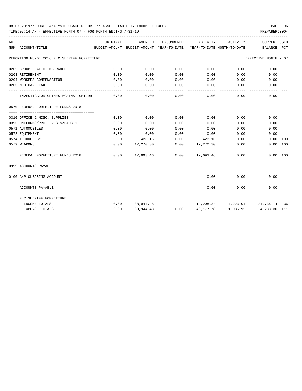TIME:07:14 AM - EFFECTIVE MONTH:07 - FOR MONTH ENDING 7-31-19 PREPARER:0004

| ACT |                                             | ORIGINAL | AMENDED |                    | ENCUMBERED ACTIVITY                          | ACTIVITY                   | <b>CURRENT USED</b>                                                             |
|-----|---------------------------------------------|----------|---------|--------------------|----------------------------------------------|----------------------------|---------------------------------------------------------------------------------|
|     | NUM ACCOUNT-TITLE                           |          |         |                    |                                              |                            | BUDGET-AMOUNT BUDGET-AMOUNT YEAR-TO-DATE YEAR-TO-DATE MONTH-TO-DATE BALANCE PCT |
|     | REPORTING FUND: 0056 F C SHERIFF FORFEITURE |          |         |                    |                                              |                            | EFFECTIVE MONTH - 07                                                            |
|     | 0202 GROUP HEALTH INSURANCE                 | 0.00     | 0.00    | 0.00               | $0.00$ 0.00                                  |                            | 0.00                                                                            |
|     | 0203 RETIREMENT                             | 0.00     | 0.00    | 0.00               | $0.00$ 0.00                                  |                            | 0.00                                                                            |
|     | 0204 WORKERS COMPENSATION                   | 0.00     | 0.00    | 0.00               | 0.00                                         | 0.00                       | 0.00                                                                            |
|     | 0205 MEDICARE TAX                           | 0.00     | 0.00    | 0.00               | $0.00$ 0.00                                  |                            | 0.00                                                                            |
|     | INVESTIGATOR CRIMES AGAINST CHILDR          | 0.00     | 0.00    | ----------<br>0.00 | -----------                                  | -----------<br>$0.00$ 0.00 | 0.00                                                                            |
|     | 0570 FEDERAL FORFEITURE FUNDS 2018          |          |         |                    |                                              |                            |                                                                                 |
|     |                                             |          |         |                    |                                              |                            |                                                                                 |
|     | 0310 OFFICE & MISC. SUPPLIES                | 0.00     | 0.00    | 0.00               | 0.00                                         | 0.00                       | 0.00                                                                            |
|     | 0395 UNIFORMS/PROT. VESTS/BADGES            | 0.00     | 0.00    | 0.00               | 0.00                                         | 0.00                       | 0.00                                                                            |
|     | 0571 AUTOMOBILES                            | 0.00     | 0.00    | 0.00               | 0.00                                         |                            | 0.00<br>0.00                                                                    |
|     | 0572 EOUIPMENT                              | 0.00     | 0.00    | 0.00               | 0.00                                         | 0.00                       | 0.00                                                                            |
|     | 0574 TECHNOLOGY                             | 0.00     |         |                    | 423.16 0.00 423.16                           | 0.00                       | $0.00$ 100                                                                      |
|     | 0579 WEAPONS                                | 0.00     |         |                    | $17,270.30$ $0.00$ $17,270.30$ $0.00$        |                            | 0.00 100                                                                        |
|     | FEDERAL FORFEITURE FUNDS 2018               |          |         |                    | $0.00$ $17.693.46$ $0.00$ $17.693.46$ $0.00$ |                            | 0.00 100                                                                        |
|     | 0999 ACCOUNTS PAYABLE                       |          |         |                    |                                              |                            |                                                                                 |
|     |                                             |          |         |                    |                                              |                            |                                                                                 |
|     | 0100 A/P CLEARING ACCOUNT                   |          |         |                    | 0.00                                         | 0.00<br>. <u>.</u> .       | 0.00                                                                            |
|     | ACCOUNTS PAYABLE                            |          |         |                    |                                              | $0.00$ 0.00                | 0.00                                                                            |
|     | F C SHERIFF FORFEITURE                      |          |         |                    |                                              |                            |                                                                                 |
|     | INCOME TOTALS                               |          |         |                    |                                              |                            | $0.00$ $38,944.48$ $14,208.34$ $4,223.01$ $24,736.14$ $36$                      |
|     | <b>EXPENSE TOTALS</b>                       | 0.00     |         |                    |                                              |                            | 38,944.48  0.00  43,177.78  1,935.92  4,233.30  111                             |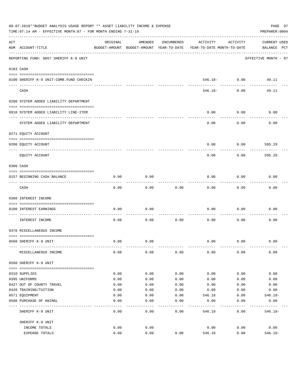|     | 08-07-2019**BUDGET ANALYSIS USAGE REPORT ** ASSET LIABILITY INCOME & EXPENSE<br>TIME: 07:14 AM - EFFECTIVE MONTH: 07 - FOR MONTH ENDING 7-31-19 |          |                                                     |            |                                        |                                | PAGE 97<br>PREPARER: 0004   |
|-----|-------------------------------------------------------------------------------------------------------------------------------------------------|----------|-----------------------------------------------------|------------|----------------------------------------|--------------------------------|-----------------------------|
| ACT | NUM ACCOUNT-TITLE                                                                                                                               | ORIGINAL | AMENDED<br>BUDGET-AMOUNT BUDGET-AMOUNT YEAR-TO-DATE | ENCUMBERED | ACTIVITY<br>YEAR-TO-DATE MONTH-TO-DATE | ACTIVITY                       | CURRENT USED<br>BALANCE PCT |
|     | REPORTING FUND: 0057 SHERIFF K-9 UNIT                                                                                                           |          |                                                     |            |                                        |                                | EFFECTIVE MONTH - 07        |
|     | 0103 CASH                                                                                                                                       |          |                                                     |            |                                        |                                |                             |
|     |                                                                                                                                                 |          |                                                     |            |                                        |                                |                             |
|     | 0100 SHERIFF K-9 UNIT-COMB. FUND CHECKIN                                                                                                        |          |                                                     |            |                                        | $546.18 - 0.00$<br>----------- | 49.11                       |
|     | CASH                                                                                                                                            |          |                                                     |            | 546.18-                                | 0.00                           | 49.11                       |
|     | 0200 SYSTEM ADDED LIABILITY DEPARTMENT                                                                                                          |          |                                                     |            |                                        |                                |                             |
|     | 0910 SYSTEM ADDED LIABILITY LINE-ITEM                                                                                                           |          |                                                     |            | 0.00                                   | 0.00                           | 0.00                        |
|     | SYSTEM ADDED LIABILITY DEPARTMENT                                                                                                               |          |                                                     |            | 0.00                                   | 0.00                           | 0.00                        |
|     | 0271 EQUITY ACCOUNT                                                                                                                             |          |                                                     |            |                                        |                                |                             |
|     | 0200 EQUITY ACCOUNT                                                                                                                             |          |                                                     |            | 0.00                                   | 0.00                           | 595.29                      |
|     | EQUITY ACCOUNT                                                                                                                                  |          |                                                     |            | 0.00                                   | 0.00                           | 595.29                      |
|     | 0300 CASH                                                                                                                                       |          |                                                     |            |                                        |                                |                             |
|     | 0157 BEGINNING CASH BALANCE                                                                                                                     | 0.00     | 0.00                                                |            | 0.00                                   | 0.00                           | 0.00                        |
|     | CASH                                                                                                                                            | 0.00     | 0.00                                                | 0.00       | 0.00                                   | 0.00                           | 0.00                        |
|     | 0360 INTEREST INCOME                                                                                                                            |          |                                                     |            |                                        |                                |                             |
|     | 0100 INTEREST EARNINGS                                                                                                                          | 0.00     | 0.00                                                |            | 0.00                                   | 0.00                           | 0.00                        |
|     | ------------------ -<br>INTEREST INCOME                                                                                                         | 0.00     | 0.00                                                | 0.00       | 0.00                                   | 0.00                           | 0.00                        |
|     | 0370 MISCELLANEOUS INCOME                                                                                                                       |          |                                                     |            |                                        |                                |                             |
|     |                                                                                                                                                 |          |                                                     |            |                                        |                                |                             |
|     | 0560 SHERIFF K-9 UNIT                                                                                                                           | 0.00     | 0.00                                                |            | 0.00                                   | 0.00                           | 0.00                        |
|     | MISCELLANEOUS INCOME                                                                                                                            | 0.00     | 0.00                                                | 0.00       | 0.00                                   | 0.00                           | 0.00                        |
|     | 0560 SHERIFF K-9 UNIT                                                                                                                           |          |                                                     |            |                                        |                                |                             |
|     | 0310 SUPPLIES                                                                                                                                   | 0.00     | 0.00                                                | 0.00       | 0.00                                   | 0.00                           | 0.00                        |
|     | 0395 UNIFORMS                                                                                                                                   | 0.00     | 0.00                                                | 0.00       | 0.00                                   | 0.00                           | 0.00                        |
|     | 0427 OUT OF COUNTY TRAVEL                                                                                                                       | 0.00     | 0.00                                                | 0.00       | 0.00                                   | 0.00                           | 0.00                        |
|     | 0428 TRAINING/TUITION                                                                                                                           | 0.00     | 0.00                                                | 0.00       | 0.00                                   | 0.00                           | 0.00                        |
|     | 0571 EQUIPMENT                                                                                                                                  | 0.00     | 0.00                                                | 0.00       | 546.18                                 | 0.00                           | $546.18-$                   |
|     | 0580 PURCHASE OF ANIMAL                                                                                                                         | 0.00     | 0.00                                                | 0.00       | 0.00                                   | 0.00                           | 0.00                        |
|     | SHERIFF K-9 UNIT                                                                                                                                | 0.00     | $---$<br>0.00                                       | .<br>0.00  | 546.18                                 | 0.00                           | $546.18-$                   |
|     | SHERIFF K-9 UNIT                                                                                                                                |          |                                                     |            |                                        |                                |                             |
|     | INCOME TOTALS                                                                                                                                   | 0.00     | 0.00                                                |            | 0.00                                   | 0.00                           | 0.00                        |
|     | EXPENSE TOTALS                                                                                                                                  | 0.00     | 0.00                                                | 0.00       | 546.18                                 | 0.00                           | $546.18 -$                  |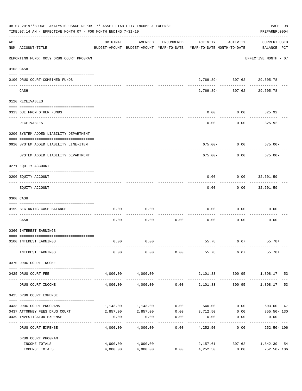|     | 08-07-2019**BUDGET ANALYSIS USAGE REPORT ** ASSET LIABILITY INCOME & EXPENSE<br>TIME: 07:14 AM - EFFECTIVE MONTH: 07 - FOR MONTH ENDING 7-31-19 |                    |                   |                      |                                                                                 |                                            | PAGE 98<br>PREPARER: 0004          |    |
|-----|-------------------------------------------------------------------------------------------------------------------------------------------------|--------------------|-------------------|----------------------|---------------------------------------------------------------------------------|--------------------------------------------|------------------------------------|----|
| ACT | NUM ACCOUNT-TITLE                                                                                                                               | ORIGINAL           | AMENDED           | ENCUMBERED           | ACTIVITY<br>BUDGET-AMOUNT BUDGET-AMOUNT YEAR-TO-DATE YEAR-TO-DATE MONTH-TO-DATE | ACTIVITY                                   | <b>CURRENT USED</b><br>BALANCE PCT |    |
|     | REPORTING FUND: 0059 DRUG COURT PROGRAM                                                                                                         |                    |                   |                      |                                                                                 |                                            | EFFECTIVE MONTH - 07               |    |
|     | 0103 CASH                                                                                                                                       |                    |                   |                      |                                                                                 |                                            |                                    |    |
|     | 0100 DRUG COURT-COMBINED FUNDS                                                                                                                  |                    |                   |                      |                                                                                 | $2,769.89 - 307.62$ 29,505.78              |                                    |    |
|     | CASH                                                                                                                                            |                    |                   |                      |                                                                                 | ------------<br>2,769.89- 307.62 29,505.78 | --------                           |    |
|     | 0120 RECEIVABLES                                                                                                                                |                    |                   |                      |                                                                                 |                                            |                                    |    |
|     | 0313 DUE FROM OTHER FUNDS                                                                                                                       |                    |                   |                      | 0.00                                                                            | 0.00                                       | 325.92                             |    |
|     | RECEIVABLES                                                                                                                                     |                    |                   |                      | 0.00                                                                            | 0.00                                       | 325.92                             |    |
|     | 0200 SYSTEM ADDED LIABILITY DEPARTMENT                                                                                                          |                    |                   |                      |                                                                                 |                                            |                                    |    |
|     | 0910 SYSTEM ADDED LIABILITY LINE-ITEM                                                                                                           |                    |                   |                      |                                                                                 | $675.00 - 0.00$                            | $675.00 -$                         |    |
|     | SYSTEM ADDED LIABILITY DEPARTMENT                                                                                                               |                    |                   |                      | 675.00-                                                                         | 0.00                                       | $675.00 -$                         |    |
|     | 0271 EQUITY ACCOUNT                                                                                                                             |                    |                   |                      |                                                                                 |                                            |                                    |    |
|     | 0200 EQUITY ACCOUNT                                                                                                                             |                    |                   |                      | 0.00                                                                            | $0.00$ 32,601.59                           |                                    |    |
|     | EQUITY ACCOUNT                                                                                                                                  |                    |                   |                      | 0.00                                                                            |                                            | $0.00$ 32,601.59                   |    |
|     | 0300 CASH                                                                                                                                       |                    |                   |                      |                                                                                 |                                            |                                    |    |
|     | 0159 BEGINNING CASH BALANCE                                                                                                                     | 0.00               | 0.00              |                      | 0.00                                                                            | 0.00                                       | 0.00                               |    |
|     | CASH                                                                                                                                            | 0.00               | 0.00              | 0.00                 | 0.00                                                                            | 0.00                                       | 0.00                               |    |
|     | 0360 INTEREST EARNINGS                                                                                                                          |                    |                   |                      |                                                                                 |                                            |                                    |    |
|     | 0100 INTEREST EARNINGS                                                                                                                          | 0.00               | 0.00              |                      |                                                                                 |                                            | 55.78 6.67 55.78+                  |    |
|     | INTEREST EARNINGS                                                                                                                               | 0.00               | 0.00              | 0.00                 | 55.78 6.67                                                                      |                                            | $55.78+$                           |    |
|     | 0370 DRUG COURT INCOME<br>--------------------------------------                                                                                |                    |                   |                      |                                                                                 |                                            |                                    |    |
|     | 0425 DRUG COURT FEE                                                                                                                             |                    | 4,000.00 4,000.00 |                      |                                                                                 |                                            | 2,101.83 300.95 1,898.17 53        |    |
|     | DRUG COURT INCOME                                                                                                                               | 4,000.00           | 4,000.00          |                      | $0.00$ 2,101.83                                                                 |                                            | 300.95 1,898.17                    | 53 |
|     | 0425 DRUG COURT EXPENSE                                                                                                                         |                    |                   |                      |                                                                                 |                                            |                                    |    |
|     | 0433 DRUG COURT PROGRAMS                                                                                                                        |                    | 1,143.00 1,143.00 |                      | $0.00$ 540.00                                                                   |                                            | $0.00$ 603.00 47                   |    |
|     | 0437 ATTORNEY FEES DRUG COURT                                                                                                                   |                    | 2,857.00 2,857.00 |                      | $0.00$ $3,712.50$                                                               | 0.00                                       | $855.50 - 130$                     |    |
|     | 0439 INVESTIGATOR EXPENSE                                                                                                                       | 0.00<br>---------- | 0.00              | 0.00<br>------------ | 0.00                                                                            | 0.00                                       | 0.00                               |    |
|     | DRUG COURT EXPENSE                                                                                                                              | 4,000.00           | 4,000.00          | 0.00                 | 4,252.50                                                                        | 0.00                                       | $252.50 - 106$                     |    |
|     | DRUG COURT PROGRAM<br>INCOME TOTALS                                                                                                             |                    | 4,000.00 4,000.00 |                      |                                                                                 |                                            | 2,157.61 307.62 1,842.39 54        |    |
|     | EXPENSE TOTALS                                                                                                                                  | 4,000.00           | 4,000.00          | 0.00                 | 4,252.50                                                                        | 0.00                                       | 252.50- 106                        |    |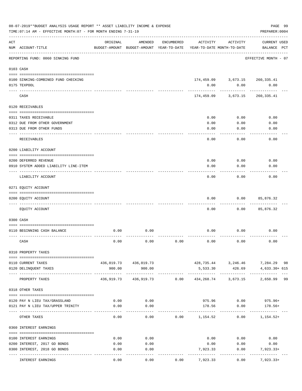|     | 08-07-2019**BUDGET ANALYSIS USAGE REPORT ** ASSET LIABILITY INCOME & EXPENSE<br>TIME: 07:14 AM - EFFECTIVE MONTH: 07 - FOR MONTH ENDING 7-31-19 |            |                                                     |            |                  |                                           | PAGE 99<br>PREPARER: 0004          |  |
|-----|-------------------------------------------------------------------------------------------------------------------------------------------------|------------|-----------------------------------------------------|------------|------------------|-------------------------------------------|------------------------------------|--|
| ACT | NUM ACCOUNT-TITLE                                                                                                                               | ORIGINAL   | AMENDED<br>BUDGET-AMOUNT BUDGET-AMOUNT YEAR-TO-DATE | ENCUMBERED | ACTIVITY         | ACTIVITY<br>YEAR-TO-DATE MONTH-TO-DATE    | <b>CURRENT USED</b><br>BALANCE PCT |  |
|     | REPORTING FUND: 0060 SINKING FUND                                                                                                               |            |                                                     |            |                  |                                           | EFFECTIVE MONTH - 07               |  |
|     | 0103 CASH                                                                                                                                       |            |                                                     |            |                  |                                           |                                    |  |
|     | 0100 SINKING-COMBINED FUND CHECKING                                                                                                             |            |                                                     |            |                  | 174,459.09 3,673.15 260,335.41            |                                    |  |
|     | 0175 TEXPOOL                                                                                                                                    |            |                                                     |            | 0.00             | 0.00                                      | 0.00                               |  |
|     | CASH                                                                                                                                            |            |                                                     |            | 174,459.09       | 3,673.15                                  | 260,335.41                         |  |
|     | 0120 RECEIVABLES                                                                                                                                |            |                                                     |            |                  |                                           |                                    |  |
|     | 0311 TAXES RECEIVABLE                                                                                                                           |            |                                                     |            | 0.00             | 0.00                                      | 0.00                               |  |
|     | 0312 DUE FROM OTHER GOVERNMENT                                                                                                                  |            |                                                     |            | 0.00             | 0.00                                      | 0.00                               |  |
|     | 0313 DUE FROM OTHER FUNDS                                                                                                                       |            |                                                     |            | 0.00             | 0.00                                      | 0.00                               |  |
|     | RECEIVABLES                                                                                                                                     |            |                                                     |            | 0.00             | 0.00                                      | 0.00                               |  |
|     | 0200 LIABILITY ACCOUNT                                                                                                                          |            |                                                     |            |                  |                                           |                                    |  |
|     | 0200 DEFERRED REVENUE                                                                                                                           |            |                                                     |            | 0.00             | 0.00                                      | 0.00                               |  |
|     | 0910 SYSTEM ADDED LIABILITY LINE-ITEM                                                                                                           |            |                                                     |            | 0.00             | 0.00                                      | 0.00                               |  |
|     | LIABILITY ACCOUNT                                                                                                                               |            |                                                     |            | 0.00             | 0.00                                      | 0.00                               |  |
|     | 0271 EQUITY ACCOUNT                                                                                                                             |            |                                                     |            |                  |                                           |                                    |  |
|     | 0200 EQUITY ACCOUNT                                                                                                                             |            |                                                     |            | 0.00             | 0.00                                      | 85,876.32                          |  |
|     | EQUITY ACCOUNT                                                                                                                                  |            |                                                     |            | 0.00             | 0.00                                      | --------<br>85,876.32              |  |
|     | 0300 CASH                                                                                                                                       |            |                                                     |            |                  |                                           |                                    |  |
|     | 0110 BEGINNING CASH BALANCE                                                                                                                     | 0.00       | 0.00                                                |            | 0.00             | 0.00                                      | 0.00                               |  |
|     |                                                                                                                                                 |            |                                                     |            |                  |                                           |                                    |  |
|     | CASH                                                                                                                                            | 0.00       | 0.00                                                | 0.00       | 0.00             | 0.00                                      | 0.00                               |  |
|     | 0310 PROPERTY TAXES                                                                                                                             |            |                                                     |            |                  |                                           |                                    |  |
|     | 0110 CURRENT TAXES                                                                                                                              |            | 436,019.73 436,019.73                               |            |                  |                                           | 428,735.44 3,246.46 7,284.29 98    |  |
|     | 0120 DELINQUENT TAXES                                                                                                                           | 900.00     | 900.00                                              |            | 5,533.30         | 426.69                                    | 4,633.30+ 615                      |  |
|     | PROPERTY TAXES                                                                                                                                  | 436,919.73 | 436,919.73                                          | 0.00       | 434,268.74       | -----------------------------<br>3,673.15 | 2,650.99 99                        |  |
|     | 0318 OTHER TAXES                                                                                                                                |            |                                                     |            |                  |                                           |                                    |  |
|     | 0120 PAY N LIEU TAX/GRASSLAND                                                                                                                   | 0.00       | 0.00                                                |            |                  | 975.96 0.00                               | $975.96+$                          |  |
|     | 0121 PAY N LIEU TAX/UPPER TRINITY                                                                                                               | 0.00       | 0.00                                                |            | 178.56           | 0.00                                      | 178.56+                            |  |
|     |                                                                                                                                                 |            |                                                     |            |                  |                                           |                                    |  |
|     | OTHER TAXES                                                                                                                                     | 0.00       | 0.00                                                |            | $0.00$ 1, 154.52 | 0.00                                      | 1,154.52+                          |  |
|     | 0360 INTEREST EARNINGS                                                                                                                          |            |                                                     |            |                  |                                           |                                    |  |
|     | 0100 INTEREST EARNINGS                                                                                                                          | 0.00       | 0.00                                                |            |                  | $0.00$ 0.00                               | 0.00                               |  |
|     | 0200 INTEREST, 2017 GO BONDS                                                                                                                    | 0.00       | 0.00                                                |            | 0.00             | 0.00                                      | 0.00                               |  |
|     | 0300 INTEREST, 2018 GO BONDS                                                                                                                    | 0.00       | 0.00                                                |            | 7,923.33         | 0.00                                      | 7,923.33+                          |  |
|     | INTEREST EARNINGS                                                                                                                               | 0.00       | 0.00                                                | 0.00       | 7,923.33         | 0.00                                      | $7,923.33+$                        |  |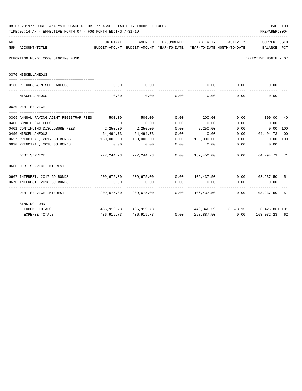|     | 08-07-2019**BUDGET ANALYSIS USAGE REPORT ** ASSET LIABILITY INCOME & EXPENSE<br>TIME: 07:14 AM - EFFECTIVE MONTH: 07 - FOR MONTH ENDING 7-31-19 |                       |                                |                      |                                                                                                 |                                    | PAGE 100<br>PREPARER: 0004 |    |
|-----|-------------------------------------------------------------------------------------------------------------------------------------------------|-----------------------|--------------------------------|----------------------|-------------------------------------------------------------------------------------------------|------------------------------------|----------------------------|----|
| ACT | NUM ACCOUNT-TITLE                                                                                                                               | ORIGINAL              | AMENDED                        | ENCUMBERED           | ACTIVITY<br>BUDGET-AMOUNT BUDGET-AMOUNT YEAR-TO-DATE YEAR-TO-DATE MONTH-TO-DATE     BALANCE PCT | ACTIVITY                           | CURRENT USED               |    |
|     | REPORTING FUND: 0060 SINKING FUND                                                                                                               |                       |                                |                      |                                                                                                 |                                    | EFFECTIVE MONTH - 07       |    |
|     | 0370 MISCELLANEOUS                                                                                                                              |                       |                                |                      |                                                                                                 |                                    |                            |    |
|     | 0130 REFUNDS & MISCELLANEOUS                                                                                                                    | 0.00                  | 0.00                           |                      | 0.00                                                                                            | 0.00                               | 0.00                       |    |
|     | MISCELLANEOUS                                                                                                                                   | 0.00                  | 0.00                           | 0.00                 | 0.00                                                                                            | .<br>0.00                          | 0.00                       |    |
|     | 0620 DEBT SERVICE                                                                                                                               |                       |                                |                      |                                                                                                 |                                    |                            |    |
|     | 0309 ANNUAL PAYING AGENT REGISTRAR FEES                                                                                                         | 500.00                | 500.00                         | 0.00                 | 200.00                                                                                          |                                    | $0.00$ 300.00              | 40 |
|     | 0400 BOND LEGAL FEES                                                                                                                            | 0.00                  | 0.00                           | 0.00                 | 0.00                                                                                            | 0.00                               | 0.00                       |    |
|     | 0401 CONTINUING DISCLOSURE FEES                                                                                                                 | 2,250.00              | 2,250.00                       | 0.00                 | 2,250.00                                                                                        | 0.00                               | 0.00 100                   |    |
|     | 0490 MISCELLANEOUS                                                                                                                              | 64,494.73             | 64,494.73                      | 0.00                 | 0.00                                                                                            | 0.00                               | 64,494.73 00               |    |
|     | 0627 PRINCIPAL, 2017 GO BONDS                                                                                                                   | 160,000.00            | 160,000.00                     |                      | $0.00$ $160,000.00$ $0.00$                                                                      |                                    | $0.00$ 100                 |    |
|     | 0630 PRINCIPAL, 2018 GO BONDS                                                                                                                   | 0.00<br>------------- | 0.00                           | 0.00                 | 0.00                                                                                            | 0.00                               | 0.00<br>-----------        |    |
|     | DEBT SERVICE                                                                                                                                    |                       | 227, 244, 73 227, 244, 73 0.00 |                      |                                                                                                 |                                    |                            |    |
|     | 0660 DEBT SERVICE INTEREST                                                                                                                      |                       |                                |                      |                                                                                                 |                                    |                            |    |
|     |                                                                                                                                                 |                       |                                |                      |                                                                                                 |                                    |                            |    |
|     | 0667 INTEREST, 2017 GO BONDS                                                                                                                    |                       |                                |                      | $209,675.00$ $209,675.00$ $0.00$ $106,437.50$ $0.00$ $103,237.50$                               |                                    |                            | 51 |
|     | 0670 INTEREST, 2018 GO BONDS                                                                                                                    | 0.00                  | 0.00                           | 0.00<br>------------ | 0.00<br>-------------                                                                           | 0.00                               | 0.00                       |    |
|     | DEBT SERVICE INTEREST                                                                                                                           |                       |                                |                      | 209,675.00 209,675.00 0.00 106,437.50 0.00 103,237.50 51                                        |                                    |                            |    |
|     | SINKING FUND                                                                                                                                    |                       |                                |                      |                                                                                                 |                                    |                            |    |
|     | INCOME TOTALS                                                                                                                                   |                       | 436,919.73 436,919.73          |                      |                                                                                                 | $443,346.59$ 3,673.15 6,426.86+101 |                            |    |
|     | <b>EXPENSE TOTALS</b>                                                                                                                           |                       |                                |                      | 436,919.73 436,919.73 0.00 268,887.50 0.00 168,032.23 62                                        |                                    |                            |    |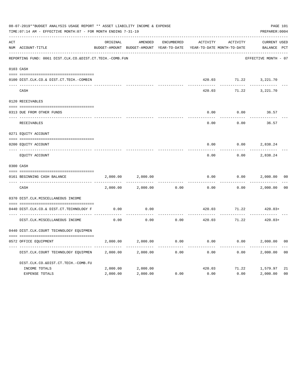|     | 08-07-2019**BUDGET ANALYSIS USAGE REPORT ** ASSET LIABILITY INCOME & EXPENSE<br>TIME: 07:14 AM - EFFECTIVE MONTH: 07 - FOR MONTH ENDING 7-31-19 |          |                                                     |            |          |                                        | PAGE 101<br>PREPARER: 0004         |                |
|-----|-------------------------------------------------------------------------------------------------------------------------------------------------|----------|-----------------------------------------------------|------------|----------|----------------------------------------|------------------------------------|----------------|
| ACT | NUM ACCOUNT-TITLE                                                                                                                               | ORIGINAL | AMENDED<br>BUDGET-AMOUNT BUDGET-AMOUNT YEAR-TO-DATE | ENCUMBERED | ACTIVITY | ACTIVITY<br>YEAR-TO-DATE MONTH-TO-DATE | <b>CURRENT USED</b><br>BALANCE PCT |                |
|     | REPORTING FUND: 0061 DIST.CLK.CO.&DIST.CT.TECH.-COMB.FUN                                                                                        |          |                                                     |            |          |                                        | EFFECTIVE MONTH - 07               |                |
|     | 0103 CASH                                                                                                                                       |          |                                                     |            |          |                                        |                                    |                |
|     | 0100 DIST.CLK.CO.& DIST.CT.TECH.-COMBIN                                                                                                         |          |                                                     |            |          |                                        | 420.03 71.22 3,221.70              |                |
|     | CASH                                                                                                                                            |          |                                                     |            | 420.03   | 71.22                                  | 3,221.70                           |                |
|     | 0120 RECEIVABLES                                                                                                                                |          |                                                     |            |          |                                        |                                    |                |
|     | 0313 DUE FROM OTHER FUNDS                                                                                                                       |          |                                                     |            | 0.00     | 0.00                                   | 36.57                              |                |
|     | RECEIVABLES                                                                                                                                     |          |                                                     |            | 0.00     | 0.00                                   | 36.57                              |                |
|     | 0271 EQUITY ACCOUNT                                                                                                                             |          |                                                     |            |          |                                        |                                    |                |
|     | 0200 EQUITY ACCOUNT                                                                                                                             |          |                                                     |            | 0.00     | 0.00                                   | 2,838.24                           |                |
|     | __________________<br>EQUITY ACCOUNT                                                                                                            |          |                                                     |            | 0.00     | 0.00                                   | 2,838.24                           |                |
|     | 0300 CASH                                                                                                                                       |          |                                                     |            |          |                                        |                                    |                |
|     | 0161 BEGINNING CASH BALANCE                                                                                                                     | 2,000.00 | 2,000.00                                            |            | 0.00     | 0.00                                   | 2,000.00                           | 0 <sup>0</sup> |
|     | CASH                                                                                                                                            | 2,000.00 | 2,000.00                                            | 0.00       | 0.00     | 0.00                                   | 2,000.00                           | 0 <sub>0</sub> |
|     | 0370 DIST.CLK.MISCELLANEOUS INCOME                                                                                                              |          |                                                     |            |          |                                        |                                    |                |
|     | 0440 DIST.CLK.CO.& DIST.CT.TECHNOLOGY F                                                                                                         | 0.00     | 0.00                                                |            | 420.03   | 71.22                                  | $420.03+$                          |                |
|     | DIST.CLK.MISCELLANEOUS INCOME                                                                                                                   | 0.00     | 0.00                                                | 0.00       | 420.03   | 71.22                                  | $420.03+$                          |                |
|     | 0440 DIST.CLK.COURT TECHNOLOGY EQUIPMEN                                                                                                         |          |                                                     |            |          |                                        |                                    |                |
|     | 0572 OFFICE EQUIPMENT                                                                                                                           | 2,000.00 | 2,000.00                                            | 0.00       | 0.00     |                                        | 0.00<br>2,000.00                   | 0 <sub>0</sub> |
|     | DIST.CLK.COURT TECHNOLOGY EQUIPMEN                                                                                                              | 2,000.00 | 2,000.00                                            | 0.00       | 0.00     | 0.00                                   | 2,000.00                           | 0 <sub>0</sub> |
|     | DIST.CLK.CO.&DIST.CT.TECH.-COMB.FU                                                                                                              |          |                                                     |            |          |                                        |                                    |                |
|     | INCOME TOTALS                                                                                                                                   | 2,000.00 | 2,000.00                                            |            | 420.03   |                                        | 71.22 1,579.97                     | 21             |
|     | <b>EXPENSE TOTALS</b>                                                                                                                           | 2,000.00 | 2,000.00                                            | 0.00       | 0.00     | 0.00                                   | 2,000.00                           | 0 <sub>0</sub> |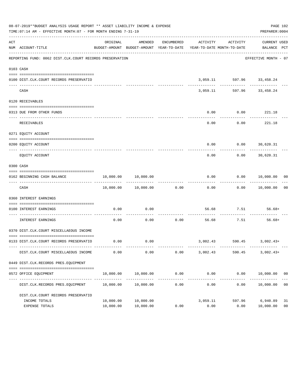|     | 08-07-2019**BUDGET ANALYSIS USAGE REPORT ** ASSET LIABILITY INCOME & EXPENSE<br>TIME: 07:14 AM - EFFECTIVE MONTH: 07 - FOR MONTH ENDING 7-31-19 |                        |                                |                     |                  |                                   | PAGE 102<br>PREPARER: 0004                                                                      |                      |
|-----|-------------------------------------------------------------------------------------------------------------------------------------------------|------------------------|--------------------------------|---------------------|------------------|-----------------------------------|-------------------------------------------------------------------------------------------------|----------------------|
| ACT | NUM ACCOUNT-TITLE                                                                                                                               | ORIGINAL               | AMENDED                        | ENCUMBERED          |                  | ACTIVITY ACTIVITY                 | CURRENT USED<br>BUDGET-AMOUNT BUDGET-AMOUNT YEAR-TO-DATE YEAR-TO-DATE MONTH-TO-DATE BALANCE PCT |                      |
|     | REPORTING FUND: 0062 DIST.CLK.COURT RECORDS PRESERVATION                                                                                        |                        |                                |                     |                  |                                   | EFFECTIVE MONTH - 07                                                                            |                      |
|     | 0103 CASH                                                                                                                                       |                        |                                |                     |                  |                                   |                                                                                                 |                      |
|     | 0100 DIST.CLK.COURT RECORDS PRESERVATIO                                                                                                         |                        |                                |                     |                  | 3,059.11 597.96 33,458.24         |                                                                                                 |                      |
|     | CASH                                                                                                                                            |                        |                                |                     | .                | 3,059.11 597.96 33,458.24         |                                                                                                 |                      |
|     | 0120 RECEIVABLES                                                                                                                                |                        |                                |                     |                  |                                   |                                                                                                 |                      |
|     | 0313 DUE FROM OTHER FUNDS                                                                                                                       |                        |                                |                     | 0.00             | $0.00$ 221.18                     |                                                                                                 |                      |
|     | RECEIVABLES                                                                                                                                     |                        |                                |                     | 0.00             | ----------<br>$0.00$ 221.18       | -----------                                                                                     |                      |
|     | 0271 EQUITY ACCOUNT                                                                                                                             |                        |                                |                     |                  |                                   |                                                                                                 |                      |
|     | 0200 EQUITY ACCOUNT                                                                                                                             |                        |                                |                     |                  | $0.00$ $0.00$ $30,620.31$         |                                                                                                 |                      |
|     | EQUITY ACCOUNT                                                                                                                                  |                        |                                |                     | 0.00             |                                   | -----------<br>$0.00$ 30,620.31                                                                 |                      |
|     | 0300 CASH                                                                                                                                       |                        |                                |                     |                  |                                   |                                                                                                 |                      |
|     | 0162 BEGINNING CASH BALANCE                                                                                                                     |                        | 10,000.00    10,000.00         |                     |                  |                                   | $0.00$ $0.00$ $10,000.00$ $00$                                                                  |                      |
|     | CASH                                                                                                                                            |                        | 10,000.00    10,000.00    0.00 |                     |                  | -----------                       | ------------<br>$0.00$ $0.00$ $10,000.00$                                                       | 0 <sub>0</sub>       |
|     | 0360 INTEREST EARNINGS                                                                                                                          |                        |                                |                     |                  |                                   |                                                                                                 |                      |
|     | 0100 INTEREST EARNINGS                                                                                                                          | 0.00                   | 0.00                           |                     |                  | 56.68 7.51 56.68+                 |                                                                                                 |                      |
|     | INTEREST EARNINGS                                                                                                                               | 0.00                   | 0.00                           | -----------<br>0.00 |                  | ------------<br>56.68 7.51 56.68+ |                                                                                                 |                      |
|     | 0370 DIST.CLK.COURT MISCELLAEOUS INCOME                                                                                                         |                        |                                |                     |                  |                                   |                                                                                                 |                      |
|     | 0133 DIST.CLK.COURT RECORDS PRESERVATIO                                                                                                         |                        | $0.00$ 0.00                    |                     |                  | $3,002.43$ $590.45$ $3,002.43+$   |                                                                                                 |                      |
|     | DIST.CLK.COURT MISCELLAEOUS INCOME                                                                                                              | 0.00                   | 0.00                           | 0.00                | 3,002.43         | 590.45                            | $3,002.43+$                                                                                     |                      |
|     | 0449 DIST.CLK.RECORDS PRES.EQUIPMENT                                                                                                            |                        |                                |                     |                  |                                   |                                                                                                 |                      |
|     | 0572 OFFICE EQUIPMENT                                                                                                                           | 10,000.00              | 10,000.00                      | 0.00                | 0.00             | 0.00                              | 10,000.00                                                                                       | 0 <sub>0</sub>       |
|     | DIST.CLK.RECORDS PRES.EQUIPMENT                                                                                                                 | 10,000.00              | 10,000.00                      | 0.00                | .<br>0.00        | ____________<br>0.00              | --------------<br>10,000.00                                                                     | 0 <sub>0</sub>       |
|     | DIST.CLK.COURT RECORDS PRESERVATIO                                                                                                              |                        |                                |                     |                  |                                   |                                                                                                 |                      |
|     | INCOME TOTALS<br>EXPENSE TOTALS                                                                                                                 | 10,000.00<br>10,000.00 | 10,000.00<br>10,000.00         | 0.00                | 3,059.11<br>0.00 | 597.96<br>0.00                    | 6,940.89<br>10,000.00                                                                           | 31<br>0 <sub>0</sub> |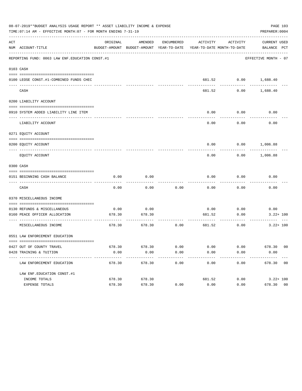|     | 08-07-2019**BUDGET ANALYSIS USAGE REPORT ** ASSET LIABILITY INCOME & EXPENSE<br>TIME: 07:14 AM - EFFECTIVE MONTH: 07 - FOR MONTH ENDING 7-31-19 |          |                                                     |                      |                                        |                          | PAGE 103<br>PREPARER: 0004  |
|-----|-------------------------------------------------------------------------------------------------------------------------------------------------|----------|-----------------------------------------------------|----------------------|----------------------------------------|--------------------------|-----------------------------|
| ACT | NUM ACCOUNT-TITLE                                                                                                                               | ORIGINAL | AMENDED<br>BUDGET-AMOUNT BUDGET-AMOUNT YEAR-TO-DATE | ENCUMBERED           | ACTIVITY<br>YEAR-TO-DATE MONTH-TO-DATE | ACTIVITY                 | CURRENT USED<br>BALANCE PCT |
|     | REPORTING FUND: 0063 LAW ENF. EDUCATION CONST.#1                                                                                                |          |                                                     |                      |                                        |                          | EFFECTIVE MONTH - 07        |
|     | 0103 CASH                                                                                                                                       |          |                                                     |                      |                                        |                          |                             |
|     | 0100 LEOSE CONST.#1-COMBINED FUNDS CHEC                                                                                                         |          |                                                     |                      |                                        | 681.52 0.00 1,688.40     |                             |
|     | CASH                                                                                                                                            |          |                                                     |                      | 681.52                                 | 0.00                     | 1,688.40                    |
|     | 0200 LIABILITY ACCOUNT                                                                                                                          |          |                                                     |                      |                                        |                          |                             |
|     | 0910 SYSTEM ADDED LIABILITY LINE ITEM                                                                                                           |          |                                                     |                      | 0.00                                   | 0.00<br>--------         | 0.00                        |
|     | LIABILITY ACCOUNT                                                                                                                               |          |                                                     |                      | 0.00                                   | 0.00                     | 0.00                        |
|     | 0271 EQUITY ACCOUNT                                                                                                                             |          |                                                     |                      |                                        |                          |                             |
|     | 0200 EQUITY ACCOUNT                                                                                                                             |          |                                                     |                      |                                        | $0.00$ $0.00$ $1,006.88$ |                             |
|     | EQUITY ACCOUNT                                                                                                                                  |          |                                                     |                      | 0.00                                   |                          | $0.00$ 1,006.88             |
|     | 0300 CASH                                                                                                                                       |          |                                                     |                      |                                        |                          |                             |
|     |                                                                                                                                                 |          |                                                     |                      |                                        |                          |                             |
|     | 0151 BEGINNING CASH BALANCE                                                                                                                     | 0.00     | 0.00                                                |                      | 0.00                                   | 0.00                     | 0.00                        |
|     | CASH                                                                                                                                            | 0.00     | 0.00                                                | 0.00                 | 0.00                                   | 0.00                     | 0.00                        |
|     | 0370 MISCELLANEOUS INCOME                                                                                                                       |          |                                                     |                      |                                        |                          |                             |
|     | 0130 REFUNDS & MISCELLANEOUS                                                                                                                    | 0.00     | 0.00                                                |                      |                                        | $0.00$ 0.00              | 0.00                        |
|     | 0160 PEACE OFFICER ALLOCATION                                                                                                                   | 678.30   | 678.30                                              |                      | 681.52                                 | 0.00                     | $3.22 + 100$                |
|     | MISCELLANEOUS INCOME                                                                                                                            | 678.30   | 678.30                                              | 0.00                 | 681.52                                 | ---------<br>0.00        | $3.22 + 100$                |
|     | 0551 LAW ENFORCEMENT EDUCATION                                                                                                                  |          |                                                     |                      |                                        |                          |                             |
|     | 0427 OUT OF COUNTY TRAVEL                                                                                                                       |          | 678.30 678.30                                       | 0.00                 | 0.00                                   |                          | $0.00$ 678.30 00            |
|     | 0428 TRAINING & TUITION                                                                                                                         | 0.00     | 0.00<br>-------------                               | 0.00<br>------------ | 0.00<br>-------------                  | 0.00<br>------------     | 0.00<br>-------------       |
|     | LAW ENFORCEMENT EDUCATION                                                                                                                       | 678.30   | 678.30                                              | 0.00                 | 0.00                                   |                          | 0.00 678.30 00              |
|     | LAW ENF. EDUCATION CONST. #1                                                                                                                    |          |                                                     |                      |                                        |                          |                             |
|     | INCOME TOTALS                                                                                                                                   | 678.30   | 678.30                                              |                      | 681.52                                 | 0.00                     | $3.22 + 100$                |
|     | EXPENSE TOTALS                                                                                                                                  | 678.30   | 678.30                                              | 0.00                 | 0.00                                   | 0.00                     | 678.30 00                   |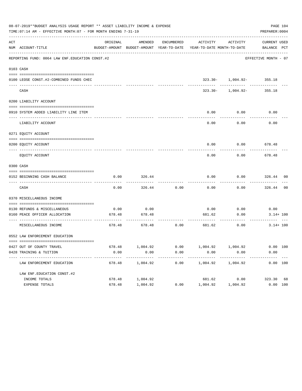|     | 08-07-2019**BUDGET ANALYSIS USAGE REPORT ** ASSET LIABILITY INCOME & EXPENSE<br>TIME: 07:14 AM - EFFECTIVE MONTH: 07 - FOR MONTH ENDING 7-31-19 |          |                       |                    |                                                                                 |                                                 | PAGE 104<br>PREPARER: 0004 |  |
|-----|-------------------------------------------------------------------------------------------------------------------------------------------------|----------|-----------------------|--------------------|---------------------------------------------------------------------------------|-------------------------------------------------|----------------------------|--|
| ACT | NUM ACCOUNT-TITLE                                                                                                                               | ORIGINAL |                       | AMENDED ENCUMBERED | BUDGET-AMOUNT BUDGET-AMOUNT YEAR-TO-DATE YEAR-TO-DATE MONTH-TO-DATE BALANCE PCT | ACTIVITY ACTIVITY                               | CURRENT USED               |  |
|     | REPORTING FUND: 0064 LAW ENF. EDUCATION CONST. #2                                                                                               |          |                       |                    |                                                                                 |                                                 | EFFECTIVE MONTH - 07       |  |
|     | 0103 CASH                                                                                                                                       |          |                       |                    |                                                                                 |                                                 |                            |  |
|     | 0100 LEOSE CONST.#2-COMBINED FUNDS CHEC                                                                                                         |          |                       |                    |                                                                                 | $323.30 - 1,004.92 - 355.18$                    |                            |  |
|     | CASH                                                                                                                                            |          |                       |                    |                                                                                 | ----------- ----------<br>$323.30 - 1,004.92 -$ | 355.18                     |  |
|     | 0200 LIABILITY ACCOUNT                                                                                                                          |          |                       |                    |                                                                                 |                                                 |                            |  |
|     | 0910 SYSTEM ADDED LIABILITY LINE ITEM                                                                                                           |          |                       |                    | 0.00                                                                            | 0.00                                            | 0.00                       |  |
|     | LIABILITY ACCOUNT                                                                                                                               |          |                       |                    | 0.00                                                                            | 0.00                                            | 0.00                       |  |
|     | 0271 EQUITY ACCOUNT                                                                                                                             |          |                       |                    |                                                                                 |                                                 |                            |  |
|     | 0200 EOUITY ACCOUNT                                                                                                                             |          |                       |                    | 0.00                                                                            | $0.00$ 678.48                                   |                            |  |
|     | EQUITY ACCOUNT                                                                                                                                  |          |                       |                    | 0.00                                                                            | 0.00                                            | 678.48                     |  |
|     | 0300 CASH                                                                                                                                       |          |                       |                    |                                                                                 |                                                 |                            |  |
|     | 0152 BEGINNING CASH BALANCE<br>-------------------------------                                                                                  | 0.00     | 326.44                |                    | 0.00                                                                            | 0.00                                            | 326.44 00                  |  |
|     | CASH                                                                                                                                            | 0.00     | 326.44                | 0.00               | 0.00                                                                            | 0.00                                            | 326.44 00                  |  |
|     | 0370 MISCELLANEOUS INCOME                                                                                                                       |          |                       |                    |                                                                                 |                                                 |                            |  |
|     | 0130 REFUNDS & MISCELLANEOUS                                                                                                                    | 0.00     | 0.00                  |                    | 0.00                                                                            | 0.00                                            | 0.00                       |  |
|     | 0160 PEACE OFFICER ALLOCATION<br>---------------------------------- ---                                                                         | 678.48   | 678.48<br>----------- |                    | 681.62<br>-----------------------------                                         | 0.00<br>---------                               | $3.14 + 100$               |  |
|     | MISCELLANEOUS INCOME                                                                                                                            |          | 678.48 678.48 0.00    |                    | 681.62                                                                          | 0.00                                            | $3.14 + 100$               |  |
|     | 0552 LAW ENFORCEMENT EDUCATION                                                                                                                  |          |                       |                    |                                                                                 |                                                 |                            |  |
|     | 0427 OUT OF COUNTY TRAVEL                                                                                                                       | 678.48   | 1,004.92              | 0.00               | 1,004.92                                                                        | 1,004.92                                        | 0.00 100                   |  |
|     | 0428 TRAINING & TUITION<br>--------------------------                                                                                           | 0.00     | 0.00<br>----------    | 0.00               | 0.00<br>---------                                                               | 0.00<br>------------                            | 0.00<br>------------       |  |
|     | LAW ENFORCEMENT EDUCATION                                                                                                                       | 678.48   | 1,004.92              | 0.00               | 1,004.92                                                                        | 1,004.92                                        | 0.00 100                   |  |
|     | LAW ENF. EDUCATION CONST. #2                                                                                                                    |          |                       |                    |                                                                                 |                                                 |                            |  |
|     | INCOME TOTALS                                                                                                                                   | 678.48   | 1,004.92              |                    | 681.62                                                                          | 0.00                                            | 323.30 68                  |  |
|     | EXPENSE TOTALS                                                                                                                                  | 678.48   | 1,004.92              | 0.00               | 1,004.92                                                                        | 1,004.92                                        | 0.00 100                   |  |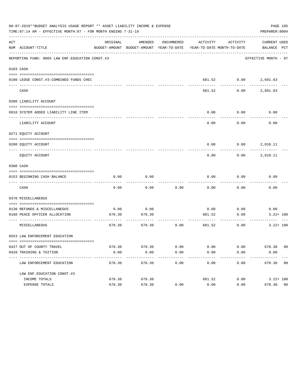|     | 08-07-2019**BUDGET ANALYSIS USAGE REPORT ** ASSET LIABILITY INCOME & EXPENSE<br>TIME: 07:14 AM - EFFECTIVE MONTH: 07 - FOR MONTH ENDING 7-31-19 |                |                                                                                            |              |                         |                   | PREPARER: 0004           | PAGE 105 |
|-----|-------------------------------------------------------------------------------------------------------------------------------------------------|----------------|--------------------------------------------------------------------------------------------|--------------|-------------------------|-------------------|--------------------------|----------|
| ACT | NUM ACCOUNT-TITLE                                                                                                                               | ORIGINAL       | AMENDED<br>BUDGET-AMOUNT BUDGET-AMOUNT YEAR-TO-DATE YEAR-TO-DATE MONTH-TO-DATE BALANCE PCT | ENCUMBERED   |                         | ACTIVITY ACTIVITY | CURRENT USED             |          |
|     | REPORTING FUND: 0065 LAW ENF. EDUCATION CONST.#3                                                                                                |                |                                                                                            |              |                         |                   | EFFECTIVE MONTH - 07     |          |
|     | 0103 CASH                                                                                                                                       |                |                                                                                            |              |                         |                   |                          |          |
|     | 0100 LEOSE CONST.#3-COMBINED FUNDS CHEC                                                                                                         |                |                                                                                            |              |                         |                   | 681.52 0.00 2,691.63     |          |
|     | --------------------------------<br>CASH                                                                                                        |                |                                                                                            |              | 681.52                  | ---------         | $0.00$ 2,691.63          |          |
|     | 0200 LIABILITY ACCOUNT                                                                                                                          |                |                                                                                            |              |                         |                   |                          |          |
|     | 0910 SYSTEM ADDED LIABILITY LINE ITEM                                                                                                           |                |                                                                                            |              | 0.00                    | 0.00              | 0.00                     |          |
|     | LIABILITY ACCOUNT                                                                                                                               |                |                                                                                            |              | 0.00                    | 0.00              | 0.00                     |          |
|     | 0271 EQUITY ACCOUNT                                                                                                                             |                |                                                                                            |              |                         |                   |                          |          |
|     | 0200 EQUITY ACCOUNT                                                                                                                             |                |                                                                                            |              |                         |                   | $0.00$ $0.00$ $2,010.11$ |          |
|     | EQUITY ACCOUNT                                                                                                                                  |                |                                                                                            |              | 0.00                    | 0.00              | 2,010.11                 |          |
|     | 0300 CASH                                                                                                                                       |                |                                                                                            |              |                         |                   |                          |          |
|     | 0153 BEGINNING CASH BALANCE                                                                                                                     | 0.00           | 0.00                                                                                       |              | 0.00                    | 0.00              | 0.00                     |          |
|     | CASH                                                                                                                                            | 0.00           | 0.00                                                                                       | 0.00         | 0.00                    | 0.00              | 0.00                     |          |
|     | 0370 MISCELLANEOUS                                                                                                                              |                |                                                                                            |              |                         |                   |                          |          |
|     | 0130 REFUNDS & MISCELLANEOUS                                                                                                                    | 0.00           | 0.00                                                                                       |              | 0.00                    | 0.00              | 0.00                     |          |
|     | 0160 PEACE OFFICER ALLOCATION                                                                                                                   | 678.30         | 678.30                                                                                     |              | 681.52<br>------------- | 0.00<br>--------- | $3.22 + 100$             |          |
|     | MISCELLANEOUS                                                                                                                                   | 678.30         | 678.30                                                                                     | 0.00         | 681.52                  | 0.00              | $3.22 + 100$             |          |
|     | 0553 LAW ENFORCEMENT EDUCATION                                                                                                                  |                |                                                                                            |              |                         |                   |                          |          |
|     |                                                                                                                                                 |                |                                                                                            |              |                         |                   |                          |          |
|     | 0427 OUT OF COUNTY TRAVEL<br>0428 TRAINING & TUITION                                                                                            | 678.30<br>0.00 | 678.30<br>0.00                                                                             | 0.00<br>0.00 | 0.00<br>0.00            | 0.00<br>0.00      | 678.30 00<br>0.00        |          |
|     | ----------------------------<br>LAW ENFORCEMENT EDUCATION                                                                                       | 678.30         | 678.30                                                                                     | 0.00         | 0.00                    | 0.00              | 678.30 00                |          |
|     | LAW ENF. EDUCATION CONST. #3                                                                                                                    |                |                                                                                            |              |                         |                   |                          |          |
|     | INCOME TOTALS                                                                                                                                   | 678.30         | 678.30                                                                                     |              | 681.52                  | 0.00              | $3.22 + 100$             |          |
|     | EXPENSE TOTALS                                                                                                                                  | 678.30         | 678.30                                                                                     | 0.00         | 0.00                    | 0.00              | 678.30 00                |          |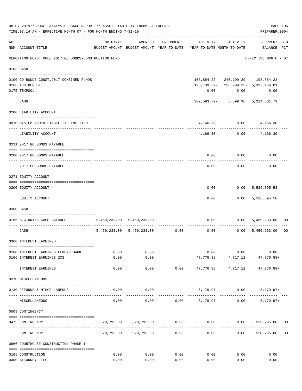| 08-07-2019**BUDGET ANALYSIS USAGE REPORT ** ASSET LIABILITY INCOME & EXPENSE<br>PAGE 106<br>PREPARER: 0004<br>TIME: 07:14 AM - EFFECTIVE MONTH: 07 - FOR MONTH ENDING 7-31-19 |                                                      |                       |                                    |                      |                                                                     |                                                |                                               |                |  |
|-------------------------------------------------------------------------------------------------------------------------------------------------------------------------------|------------------------------------------------------|-----------------------|------------------------------------|----------------------|---------------------------------------------------------------------|------------------------------------------------|-----------------------------------------------|----------------|--|
| ACT                                                                                                                                                                           | NUM ACCOUNT-TITLE                                    | ORIGINAL              | AMENDED                            | ENCUMBERED           | BUDGET-AMOUNT BUDGET-AMOUNT YEAR-TO-DATE YEAR-TO-DATE MONTH-TO-DATE | ACTIVITY ACTIVITY                              | <b>CURRENT USED</b><br>BALANCE PCT            |                |  |
|                                                                                                                                                                               | REPORTING FUND: 0066 2017 GO BONDS-CONSTRUCTION FUND |                       |                                    |                      |                                                                     |                                                | EFFECTIVE MONTH - 07                          |                |  |
|                                                                                                                                                                               | 0103 CASH                                            |                       |                                    |                      |                                                                     |                                                |                                               |                |  |
|                                                                                                                                                                               | 0100 GO BONDS CONST.2017-COMBINED FUNDS              |                       |                                    |                      |                                                                     |                                                | 108,854.22-240,199.29 108,854.22-             |                |  |
|                                                                                                                                                                               | 0166 ICS DEPOSIT                                     |                       |                                    |                      |                                                                     |                                                | 193, 739. 57 - 236, 799. 33 - 5, 333, 156. 01 |                |  |
|                                                                                                                                                                               | 0175 TEXPOOL                                         |                       |                                    |                      | 0.00                                                                | 0.00                                           | 0.00                                          |                |  |
|                                                                                                                                                                               | CASH                                                 |                       |                                    |                      |                                                                     |                                                | 302,593.79- 3,399.96 5,224,301.79             |                |  |
|                                                                                                                                                                               | 0200 LIABILITY ACCOUNT                               |                       |                                    |                      |                                                                     |                                                |                                               |                |  |
|                                                                                                                                                                               | 0910 SYSTEM ADDED LIABILITY LINE-ITEM                |                       |                                    |                      |                                                                     | $4,166.30 - 0.00$                              | $4,166.30-$                                   |                |  |
|                                                                                                                                                                               | LIABILITY ACCOUNT                                    |                       |                                    |                      |                                                                     | ----------- -------------<br>$4,166.30 - 0.00$ | $4,166.30-$                                   |                |  |
|                                                                                                                                                                               | 0231 2017 GO BONDS PAYABLE                           |                       |                                    |                      |                                                                     |                                                |                                               |                |  |
|                                                                                                                                                                               | 0200 2017 GO BONDS PAYABLE                           |                       |                                    |                      |                                                                     |                                                | $0.00$ $0.00$ $0.00$                          |                |  |
|                                                                                                                                                                               | 2017 GO BONDS PAYABLE                                |                       |                                    |                      |                                                                     | $0.00$ 0.00                                    | 0.00                                          |                |  |
|                                                                                                                                                                               | 0271 EQUITY ACCOUNT                                  |                       |                                    |                      |                                                                     |                                                |                                               |                |  |
|                                                                                                                                                                               | 0200 EQUITY ACCOUNT                                  |                       |                                    |                      | 0.00                                                                |                                                | 0.00 5,526,895.58                             |                |  |
|                                                                                                                                                                               | EQUITY ACCOUNT                                       |                       |                                    |                      | 0.00                                                                |                                                | ------------<br>$0.00$ 5,526,895.58           |                |  |
|                                                                                                                                                                               | 0300 CASH                                            |                       |                                    |                      |                                                                     |                                                |                                               |                |  |
|                                                                                                                                                                               | 0166 BEGINNING CASH BALANCE                          |                       | 5,450,233.00 5,450,233.00          |                      |                                                                     |                                                | $0.00$ $0.00$ $5,450,233.00$                  | 00             |  |
|                                                                                                                                                                               | CASH                                                 |                       | $5,450,233.00$ $5,450,233.00$ 0.00 |                      |                                                                     | . <u>.</u>                                     | $0.00$ $0.00$ $5,450,233.00$                  | 0 <sub>0</sub> |  |
|                                                                                                                                                                               | 0360 INTEREST EARNINGS                               |                       |                                    |                      |                                                                     |                                                |                                               |                |  |
|                                                                                                                                                                               | 0100 INTEREST EARNINGS LEGEND BANK                   | 0.00                  | 0.00                               |                      |                                                                     | 0.00<br>0.00                                   | 0.00                                          |                |  |
|                                                                                                                                                                               | 0166 INTEREST EARNINGS ICS                           | 0.00                  | 0.00                               |                      | 47,776.88                                                           | 4,717.12                                       | 47,776.88+                                    |                |  |
|                                                                                                                                                                               | INTEREST EARNINGS                                    | $- - - - - -$<br>0.00 | ----------<br>0.00                 | 0.00                 | --------------<br>47,776.88                                         | ------------<br>4,717.12                       | 47,776.88+                                    |                |  |
|                                                                                                                                                                               | 0370 MISCELLANEOUS                                   |                       |                                    |                      |                                                                     |                                                |                                               |                |  |
|                                                                                                                                                                               | 0130 REFUNDS & MISCELLANEOUS                         | 0.00                  | 0.00                               |                      |                                                                     | 5,179.97 0.00                                  | $5,179.97+$                                   |                |  |
|                                                                                                                                                                               | MISCELLANEOUS                                        | 0.00                  | 0.00                               | 0.00                 | 5,179.97                                                            | 0.00                                           | $5,179.97+$                                   |                |  |
|                                                                                                                                                                               | 0509 CONTINGENCY                                     |                       |                                    |                      |                                                                     |                                                |                                               |                |  |
|                                                                                                                                                                               | 0475 CONTINGENCY                                     |                       | 520,795.00 520,795.00              | 0.00                 |                                                                     |                                                | $0.00$ $0.00$ $520,795.00$ $00$               |                |  |
|                                                                                                                                                                               | CONTINGENCY                                          | 520,795.00            | 520,795.00                         | ------------<br>0.00 | -----------<br>0.00                                                 | 0.00                                           | 520,795.00                                    | 0 <sub>0</sub> |  |
|                                                                                                                                                                               | 0666 COURTHOUSE CONSTRUCTION PHASE 1                 |                       |                                    |                      |                                                                     |                                                |                                               |                |  |
|                                                                                                                                                                               | 0165 CONSTRUCTION                                    | 0.00                  | 0.00                               | 0.00                 | 0.00                                                                | 0.00                                           | 0.00                                          |                |  |
|                                                                                                                                                                               | 0400 ATTORNEY FEES                                   | 0.00                  | 0.00                               | 0.00                 | 0.00                                                                | 0.00                                           | 0.00                                          |                |  |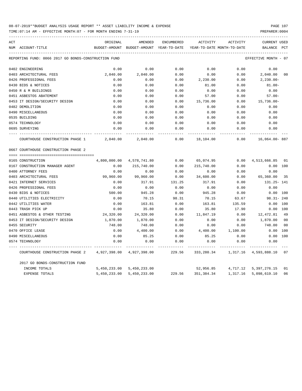TIME:07:14 AM - EFFECTIVE MONTH:07 - FOR MONTH ENDING 7-31-19 PREPARER:0004

| ACT |                                                      | ORIGINAL      | AMENDED       | <b>ENCUMBERED</b> | ACTIVITY    | ACTIVITY                   | <b>CURRENT USED</b>  |                |
|-----|------------------------------------------------------|---------------|---------------|-------------------|-------------|----------------------------|----------------------|----------------|
|     | NUM ACCOUNT-TITLE                                    | BUDGET-AMOUNT | BUDGET-AMOUNT | YEAR-TO-DATE      |             | YEAR-TO-DATE MONTH-TO-DATE | <b>BALANCE</b>       | PCT            |
|     | REPORTING FUND: 0066 2017 GO BONDS-CONSTRUCTION FUND |               |               |                   |             |                            | EFFECTIVE MONTH - 07 |                |
|     | 0402 ENGINEERING                                     | 0.00          | 0.00          | 0.00              | 0.00        | 0.00                       | 0.00                 |                |
|     | 0403 ARCHITECTURAL FEES                              | 2,040.00      | 2,040.00      | 0.00              | 0.00        | 0.00                       | 2,040.00             | 0 <sub>0</sub> |
|     | 0426 PROFESSIONAL FEES                               | 0.00          | 0.00          | 0.00              | 2,230.00    | 0.00                       | $2,230.00 -$         |                |
|     | 0430 BIDS & NOTICES                                  | 0.00          | 0.00          | 0.00              | 81.00       | 0.00                       | $81.00 -$            |                |
|     | 0450 R & M BUILDINGS                                 | 0.00          | 0.00          | 0.00              | 0.00        | 0.00                       | 0.00                 |                |
|     | 0451 ASBESTOS ABATEMENT                              | 0.00          | 0.00          | 0.00              | 57.00       | 0.00                       | $57.00 -$            |                |
|     | 0453 IT DESIGN/SECURITY DESIGN                       | 0.00          | 0.00          | 0.00              | 15,736.00   | 0.00                       | $15,736.00 -$        |                |
|     | 0482 DEMOLITION                                      | 0.00          | 0.00          | 0.00              | 0.00        | 0.00                       | 0.00                 |                |
|     | 0490 MISCELLANEOUS                                   | 0.00          | 0.00          | 0.00              | 0.00        | 0.00                       | 0.00                 |                |
|     | 0535 BUILDING                                        | 0.00          | 0.00          | 0.00              | 0.00        | 0.00                       | 0.00                 |                |
|     | 0574 TECHNOLOGY                                      | 0.00          | 0.00          | 0.00              | 0.00        | 0.00                       | 0.00                 |                |
|     | 0695 SURVEYING                                       | 0.00          | 0.00          | 0.00              | 0.00        | 0.00                       | 0.00                 |                |
|     | COURTHOUSE CONSTRUCTION PHASE 1                      | 2,040.00      | 2,040.00      | 0.00              | 18,104.00   | 0.00                       | 16,064.00-887        |                |
|     | 0667 COURTHOUSE CONSTRUCTION PHASE 2                 |               |               |                   |             |                            |                      |                |
|     | 0165 CONSTRUCTION                                    | 4,800,000.00  | 4,578,741.80  | 0.00              | 65,074.95   | 0.00                       | 4,513,666.85         | 01             |
|     | 0167 CONSTRUCTION MANAGER AGENT                      | 0.00          | 215,740.00    | 0.00              | 215,740.00  | 0.00                       | 0.00 100             |                |
|     | 0400 ATTORNEY FEES                                   | 0.00          | 0.00          | 0.00              | 0.00        | 0.00                       | 0.00                 |                |
|     | 0403 ARCHITECTURAL FEES                              | 99,960.00     | 99,960.00     | 0.00              | 34,600.00   | 0.00                       | 65,360.00            | 35             |
|     | 0421 INTERNET SERVICES                               | 0.00          | 317.91        | 131.25            | 317.91      | 0.00                       | 131.25- 141          |                |
|     | 0426 PROFESSIONAL FEES                               | 0.00          | 0.00          | 0.00              | 0.00        | 0.00                       | 0.00                 |                |
|     | 0430 BIDS & NOTICES                                  | 500.00        | 945.28        | 0.00              | 945.28      | 0.00                       | 0.00                 | 100            |
|     | 0440 UTILITIES ELECTRICITY                           | 0.00          | 70.15         | 98.31             | 70.15       | 63.67                      | $98.31 - 240$        |                |
|     | 0442 UTILITIES WATER                                 | 0.00          | 163.81        | 0.00              | 163.81      | 135.59                     | 0.00                 | 100            |
|     | 0443 TRASH PICK UP                                   | 0.00          | 35.80         | 0.00              | 35.80       | 17.90                      | 0.00                 | 100            |
|     | 0451 ASBESTOS & OTHER TESTING                        | 24,320.00     | 24,320.00     | 0.00              | 11,847.19   | 0.00                       | 12,472.81            | 49             |
|     | 0453 IT DESIGN/SECURITY DESIGN                       | 1,870.00      | 1,870.00      | 0.00              | 0.00        | 0.00                       | 1,870.00             | 0 <sub>0</sub> |
|     | 0455 SECURITY                                        | 748.00        | 748.00        | 0.00              | 0.00        | 0.00                       | 748.00               | 0 <sub>0</sub> |
|     | 0470 OFFICE LEASE                                    | 0.00          | 4,400.00      | 0.00              | 4,400.00    | 1,100.00                   | 0.00                 | 100            |
|     | 0490 MISCELLANEOUS                                   | 0.00          | 85.25         | 0.00              | 85.25       | 0.00                       | 0.00                 | 100            |
|     | 0574 TECHNOLOGY                                      | 0.00          | 0.00          | 0.00              | 0.00        | 0.00                       | 0.00                 |                |
|     | COURTHOUSE CONSTRUCTION PHASE 2                      | 4,927,398.00  | 4,927,398.00  | 229.56            | 333, 280.34 | 1,317.16                   | 4,593,888.10         | 07             |
|     | 2017 GO BONDS-CONSTRUCTION FUND                      |               |               |                   |             |                            |                      |                |
|     | INCOME TOTALS                                        | 5,450,233.00  | 5,450,233.00  |                   | 52,956.85   | 4,717.12                   | 5, 397, 276. 15      | 01             |
|     | <b>EXPENSE TOTALS</b>                                | 5,450,233.00  | 5,450,233.00  | 229.56            | 351,384.34  | 1,317.16                   | 5,098,619.10         | 06             |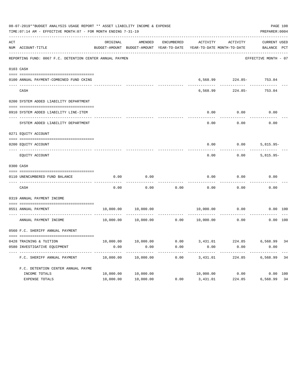|     | 08-07-2019**BUDGET ANALYSIS USAGE REPORT ** ASSET LIABILITY INCOME & EXPENSE<br>TIME: 07:14 AM - EFFECTIVE MONTH: 07 - FOR MONTH ENDING 7-31-19 |           |                                                     |                      |                                        |                                                                    | PREPARER: 0004                     | PAGE 108 |
|-----|-------------------------------------------------------------------------------------------------------------------------------------------------|-----------|-----------------------------------------------------|----------------------|----------------------------------------|--------------------------------------------------------------------|------------------------------------|----------|
| ACT | NUM ACCOUNT-TITLE                                                                                                                               | ORIGINAL  | AMENDED<br>BUDGET-AMOUNT BUDGET-AMOUNT YEAR-TO-DATE | ENCUMBERED           | ACTIVITY<br>YEAR-TO-DATE MONTH-TO-DATE | ACTIVITY                                                           | <b>CURRENT USED</b><br>BALANCE PCT |          |
|     | REPORTING FUND: 0067 F.C. DETENTION CENTER ANNUAL PAYMEN                                                                                        |           |                                                     |                      |                                        |                                                                    | EFFECTIVE MONTH - 07               |          |
|     | 0103 CASH                                                                                                                                       |           |                                                     |                      |                                        |                                                                    |                                    |          |
|     | 0100 ANNUAL PAYMENT-COMBINED FUND CKING                                                                                                         |           |                                                     |                      |                                        | 6,568.99 224.85- 753.04                                            |                                    |          |
|     | CASH                                                                                                                                            |           |                                                     |                      | 6,568.99                               | 224.85-                                                            | 753.04                             |          |
|     | 0200 SYSTEM ADDED LIABILITY DEPARTMENT                                                                                                          |           |                                                     |                      |                                        |                                                                    |                                    |          |
|     | 0910 SYSTEM ADDED LIABILITY LINE-ITEM                                                                                                           |           |                                                     |                      | 0.00                                   | 0.00                                                               | 0.00                               |          |
|     | SYSTEM ADDED LIABILITY DEPARTMENT                                                                                                               |           |                                                     |                      | 0.00                                   | 0.00                                                               | 0.00                               |          |
|     | 0271 EQUITY ACCOUNT                                                                                                                             |           |                                                     |                      |                                        |                                                                    |                                    |          |
|     | 0200 EQUITY ACCOUNT                                                                                                                             |           |                                                     |                      | 0.00                                   | 0.00                                                               | $5,815.95-$                        |          |
|     | EQUITY ACCOUNT                                                                                                                                  |           |                                                     |                      | 0.00                                   | 0.00                                                               | $5,815.95-$                        |          |
|     | 0300 CASH                                                                                                                                       |           |                                                     |                      |                                        |                                                                    |                                    |          |
|     | 0110 UNENCUMBERED FUND BALANCE                                                                                                                  | 0.00      | 0.00                                                |                      | 0.00                                   | 0.00                                                               | 0.00                               |          |
|     | CASH                                                                                                                                            | 0.00      | 0.00                                                | 0.00                 | 0.00                                   | 0.00                                                               | 0.00                               |          |
|     | 0319 ANNUAL PAYMENT INCOME                                                                                                                      |           |                                                     |                      |                                        |                                                                    |                                    |          |
|     | 0551 ANNUAL PAYMENT                                                                                                                             | 10,000.00 | 10,000.00                                           |                      | 10,000.00                              | 0.00                                                               | 0.00 100                           |          |
|     | --------------------- ------<br>ANNUAL PAYMENT INCOME                                                                                           | 10,000.00 | 10,000.00                                           | . <u>.</u> .<br>0.00 | 10,000.00                              | 0.00                                                               | $0.00$ 100                         |          |
|     | 0560 F.C. SHERIFF ANNUAL PAYMENT                                                                                                                |           |                                                     |                      |                                        |                                                                    |                                    |          |
|     |                                                                                                                                                 |           |                                                     |                      |                                        | $10,000.00$ $10,000.00$ $0.00$ $3,431.01$ $224.85$ $6,568.99$ $34$ |                                    |          |
|     | 0428 TRAINING & TUITION<br>0580 INVESTIGATIVE EQUIPMENT                                                                                         | 0.00      | 0.00                                                | 0.00                 | 0.00                                   | 0.00                                                               | 0.00                               |          |
|     | F.C. SHERIFF ANNUAL PAYMENT                                                                                                                     | 10,000.00 | 10,000.00                                           | 0.00                 | 3,431.01                               | 224.85                                                             | 6,568.99                           | 34       |
|     | F.C. DETENTION CENTER ANNUAL PAYME                                                                                                              |           |                                                     |                      |                                        |                                                                    |                                    |          |
|     | INCOME TOTALS                                                                                                                                   | 10,000.00 | 10,000.00                                           |                      | 10,000.00                              | 0.00                                                               | 0.00 100                           |          |
|     | EXPENSE TOTALS                                                                                                                                  | 10,000.00 | 10,000.00                                           | 0.00                 | 3,431.01                               | 224.85                                                             | 6,568.99                           | 34       |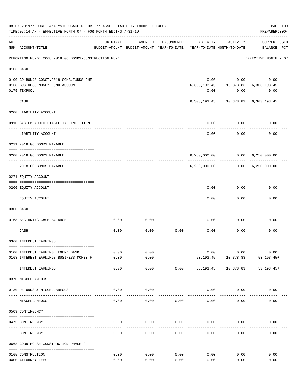|     | 08-07-2019**BUDGET ANALYSIS USAGE REPORT ** ASSET LIABILITY INCOME & EXPENSE<br>TIME: 07:14 AM - EFFECTIVE MONTH: 07 - FOR MONTH ENDING 7-31-19 |               |                                                     |            |             |                                        | PREPARER: 0004                                  | PAGE 109 |
|-----|-------------------------------------------------------------------------------------------------------------------------------------------------|---------------|-----------------------------------------------------|------------|-------------|----------------------------------------|-------------------------------------------------|----------|
| ACT | NUM ACCOUNT-TITLE                                                                                                                               | ORIGINAL      | AMENDED<br>BUDGET-AMOUNT BUDGET-AMOUNT YEAR-TO-DATE | ENCUMBERED | ACTIVITY    | ACTIVITY<br>YEAR-TO-DATE MONTH-TO-DATE | <b>CURRENT USED</b><br>BALANCE PCT              |          |
|     | REPORTING FUND: 0068 2018 GO BONDS-CONSTRUCTION FUND                                                                                            |               |                                                     |            |             |                                        | EFFECTIVE MONTH - 07                            |          |
|     | 0103 CASH                                                                                                                                       |               |                                                     |            |             |                                        |                                                 |          |
|     |                                                                                                                                                 |               |                                                     |            |             |                                        |                                                 |          |
|     | 0100 GO BONDS CONST. 2018-COMB. FUNDS CHE                                                                                                       |               |                                                     |            |             | $0.00$ $0.00$                          | 0.00                                            |          |
|     | 0168 BUSINESS MONEY FUND ACCOUNT                                                                                                                |               |                                                     |            |             |                                        | 6, 303, 193. 45   10, 378. 83   6, 303, 193. 45 |          |
|     | 0175 TEXPOOL                                                                                                                                    |               |                                                     |            | 0.00        | 0.00                                   | 0.00                                            |          |
|     | CASH                                                                                                                                            |               |                                                     |            |             |                                        | 6, 303, 193. 45 10, 378. 83 6, 303, 193. 45     |          |
|     | 0200 LIABILITY ACCOUNT                                                                                                                          |               |                                                     |            |             |                                        |                                                 |          |
|     |                                                                                                                                                 |               |                                                     |            |             |                                        |                                                 |          |
|     | 0910 SYSTEM ADDED LIABILITY LINE -ITEM                                                                                                          |               |                                                     |            | 0.00        | 0.00                                   | 0.00                                            |          |
|     | LIABILITY ACCOUNT                                                                                                                               |               |                                                     |            | 0.00        | 0.00                                   | 0.00                                            |          |
|     | 0231 2018 GO BONDS PAYABLE                                                                                                                      |               |                                                     |            |             |                                        |                                                 |          |
|     | 0200 2018 GO BONDS PAYABLE                                                                                                                      |               |                                                     |            |             |                                        | 6,250,000.00   0.00   6,250,000.00              |          |
|     | 2018 GO BONDS PAYABLE                                                                                                                           |               |                                                     |            |             | ------------                           | $6, 250, 000.00$ $0.00$ $6, 250, 000.00$        |          |
|     | 0271 EQUITY ACCOUNT                                                                                                                             |               |                                                     |            |             |                                        |                                                 |          |
|     | --------------------------------------                                                                                                          |               |                                                     |            |             |                                        |                                                 |          |
|     | 0200 EQUITY ACCOUNT<br>-------------------- --------                                                                                            |               |                                                     |            | 0.00        | 0.00                                   | 0.00                                            |          |
|     | EQUITY ACCOUNT                                                                                                                                  |               |                                                     |            | 0.00        | 0.00                                   | 0.00                                            |          |
|     | 0300 CASH                                                                                                                                       |               |                                                     |            |             |                                        |                                                 |          |
|     | 0168 BEGINNING CASH BALANCE                                                                                                                     | 0.00          | 0.00                                                |            | 0.00        | 0.00                                   | 0.00                                            |          |
|     |                                                                                                                                                 |               |                                                     |            |             |                                        |                                                 |          |
|     | CASH                                                                                                                                            | 0.00          | 0.00                                                | 0.00       | 0.00        | 0.00                                   | 0.00                                            |          |
|     | 0360 INTEREST EARNINGS                                                                                                                          |               |                                                     |            |             |                                        |                                                 |          |
|     |                                                                                                                                                 |               |                                                     |            |             |                                        |                                                 |          |
|     | 0100 INTEREST EARNING LEGEND BANK                                                                                                               | 0.00          | 0.00                                                |            | 0.00        | 0.00                                   | 0.00                                            |          |
|     | 0168 INTEREST EARNINGS BUSINESS MONEY F                                                                                                         | 0.00<br>----- | 0.00<br>-----                                       |            | 53, 193. 45 | 10,378.83<br>.                         | $53, 193.45+$                                   |          |
|     | INTEREST EARNINGS                                                                                                                               | 0.00          | 0.00                                                | 0.00       | 53,193.45   | 10,378.83                              | $53, 193.45+$                                   |          |
|     | 0370 MISCELLANEOUS                                                                                                                              |               |                                                     |            |             |                                        |                                                 |          |
|     | 0130 REFUNDS & MISCELLANEOUS                                                                                                                    | 0.00          | 0.00                                                |            | 0.00        | 0.00                                   | 0.00                                            |          |
|     | MISCELLANEOUS                                                                                                                                   | 0.00          | 0.00                                                | 0.00       | 0.00        | 0.00                                   | 0.00                                            |          |
|     | 0509 CONTINGENCY                                                                                                                                |               |                                                     |            |             |                                        |                                                 |          |
|     |                                                                                                                                                 |               |                                                     |            |             |                                        |                                                 |          |
|     | 0475 CONTINGENCY                                                                                                                                | 0.00          | 0.00                                                | 0.00       | 0.00        | 0.00                                   | 0.00                                            |          |
|     | CONTINGENCY                                                                                                                                     | 0.00          | 0.00                                                | 0.00       | 0.00        | 0.00                                   | 0.00                                            |          |
|     | 0668 COURTHOUSE CONSTRUCTION PHASE 2                                                                                                            |               |                                                     |            |             |                                        |                                                 |          |
|     | 0165 CONSTRUCTION                                                                                                                               | 0.00          | 0.00                                                | 0.00       | 0.00        | 0.00                                   | 0.00                                            |          |
|     | 0400 ATTORNEY FEES                                                                                                                              | 0.00          | 0.00                                                | 0.00       | 0.00        | 0.00                                   | 0.00                                            |          |
|     |                                                                                                                                                 |               |                                                     |            |             |                                        |                                                 |          |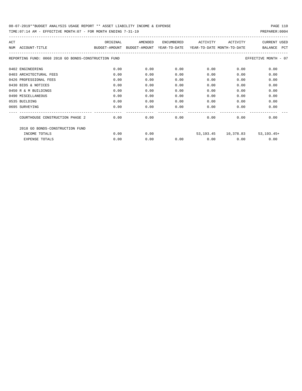|     | TIME: 07:14 AM - EFFECTIVE MONTH: 07 - FOR MONTH ENDING 7-31-19 |                                                                     |         |                       |          |                                          | PREPARER: 0004       |
|-----|-----------------------------------------------------------------|---------------------------------------------------------------------|---------|-----------------------|----------|------------------------------------------|----------------------|
| ACT |                                                                 | ORIGINAL                                                            | AMENDED | ENCUMBERED            | ACTIVITY | ACTIVITY                                 | CURRENT USED         |
|     | NUM ACCOUNT-TITLE                                               | BUDGET-AMOUNT BUDGET-AMOUNT YEAR-TO-DATE YEAR-TO-DATE MONTH-TO-DATE |         |                       |          |                                          | BALANCE PCT          |
|     | REPORTING FUND: 0068 2018 GO BONDS-CONSTRUCTION FUND            |                                                                     |         |                       |          |                                          | EFFECTIVE MONTH - 07 |
|     | 0402 ENGINEERING                                                | 0.00                                                                | 0.00    | 0.00                  | 0.00     | 0.00                                     | 0.00                 |
|     | 0403 ARCHITECTURAL FEES                                         | 0.00                                                                | 0.00    | 0.00                  | 0.00     | 0.00                                     | 0.00                 |
|     | 0426 PROFESSIONAL FEES                                          | 0.00                                                                | 0.00    | 0.00                  | 0.00     | 0.00                                     | 0.00                 |
|     | 0430 BIDS & NOTICES                                             | 0.00                                                                | 0.00    | 0.00                  | 0.00     | 0.00                                     | 0.00                 |
|     | 0450 R & M BUILDINGS                                            | 0.00                                                                | 0.00    | 0.00                  | 0.00     | 0.00                                     | 0.00                 |
|     | 0490 MISCELLANEOUS                                              | 0.00                                                                | 0.00    | 0.00                  | 0.00     | 0.00                                     | 0.00                 |
|     | 0535 BUILDING                                                   | 0.00                                                                | 0.00    | 0.00                  | 0.00     | 0.00                                     | 0.00                 |
|     | 0695 SURVEYING                                                  | 0.00                                                                | 0.00    | 0.00<br>------------- | 0.00     | 0.00                                     | 0.00                 |
|     | COURTHOUSE CONSTRUCTION PHASE 2                                 | 0.00                                                                | 0.00    | 0.00                  | 0.00     | 0.00                                     | 0.00                 |
|     | 2018 GO BONDS-CONSTRUCTION FUND                                 |                                                                     |         |                       |          |                                          |                      |
|     | INCOME TOTALS                                                   | 0.00                                                                | 0.00    |                       |          | 53, 193. 45   10, 378. 83   53, 193. 45+ |                      |
|     | <b>EXPENSE TOTALS</b>                                           | 0.00                                                                | 0.00    | 0.00                  | 0.00     | 0.00                                     | 0.00                 |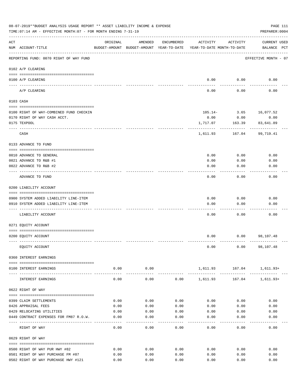|     | 08-07-2019**BUDGET ANALYSIS USAGE REPORT ** ASSET LIABILITY INCOME & EXPENSE<br>TIME: 07:14 AM - EFFECTIVE MONTH: 07 - FOR MONTH ENDING 7-31-19 |                |                                                                                |            |          |                     | PAGE 111<br>PREPARER: 0004         |
|-----|-------------------------------------------------------------------------------------------------------------------------------------------------|----------------|--------------------------------------------------------------------------------|------------|----------|---------------------|------------------------------------|
| ACT | NUM ACCOUNT-TITLE                                                                                                                               | ORIGINAL       | AMENDED<br>BUDGET-AMOUNT BUDGET-AMOUNT YEAR-TO-DATE YEAR-TO-DATE MONTH-TO-DATE | ENCUMBERED | ACTIVITY | ACTIVITY            | <b>CURRENT USED</b><br>BALANCE PCT |
|     | REPORTING FUND: 0070 RIGHT OF WAY FUND                                                                                                          |                |                                                                                |            |          |                     | EFFECTIVE MONTH - 07               |
|     | 0102 A/P CLEARING                                                                                                                               |                |                                                                                |            |          |                     |                                    |
|     | 0100 A/P CLEARING                                                                                                                               |                |                                                                                |            | 0.00     | 0.00                | 0.00                               |
|     | ---- ---------<br>A/P CLEARING                                                                                                                  |                |                                                                                |            | 0.00     | 0.00                | 0.00                               |
|     | 0103 CASH                                                                                                                                       |                |                                                                                |            |          |                     |                                    |
|     | 0100 RIGHT OF WAY-COMBINED FUND CHECKIN                                                                                                         |                |                                                                                |            |          |                     | 105.14- 3.65 16,077.52             |
|     | 0170 RIGHT OF WAY CASH ACCT.                                                                                                                    |                |                                                                                |            | 0.00     | 0.00                | 0.00                               |
|     | 0175 TEXPOOL                                                                                                                                    |                |                                                                                |            | 1,717.07 | 163.39              | 83,641.89                          |
|     | CASH                                                                                                                                            |                |                                                                                |            | 1,611.93 | ---------<br>167.04 | 99,719.41                          |
|     | 0133 ADVANCE TO FUND                                                                                                                            |                |                                                                                |            |          |                     |                                    |
|     | 0010 ADVANCE TO GENERAL                                                                                                                         |                |                                                                                |            | 0.00     | 0.00                | 0.00                               |
|     | 0021 ADVANCE TO R&B #1                                                                                                                          |                |                                                                                |            | 0.00     | 0.00                | 0.00                               |
|     | 0022 ADVANCE TO R&B #2                                                                                                                          |                |                                                                                |            | 0.00     | 0.00                | 0.00                               |
|     | ADVANCE TO FUND                                                                                                                                 |                |                                                                                |            | 0.00     | 0.00                | 0.00                               |
|     | 0200 LIABILITY ACCOUNT                                                                                                                          |                |                                                                                |            |          |                     |                                    |
|     |                                                                                                                                                 |                |                                                                                |            |          |                     |                                    |
|     | 0900 SYSTEM ADDED LIABILITY LINE-ITEM                                                                                                           |                |                                                                                |            | 0.00     | 0.00                | 0.00                               |
|     | 0910 SYSTEM ADDED LIABILITY LINE-ITEM                                                                                                           |                |                                                                                |            | 0.00     | 0.00                | 0.00                               |
|     |                                                                                                                                                 |                |                                                                                |            |          |                     |                                    |
|     | LIABILITY ACCOUNT                                                                                                                               |                |                                                                                |            | 0.00     | 0.00                | 0.00                               |
|     | 0271 EQUITY ACCOUNT                                                                                                                             |                |                                                                                |            |          |                     |                                    |
|     |                                                                                                                                                 |                |                                                                                |            |          |                     |                                    |
|     | 0200 EQUITY ACCOUNT                                                                                                                             |                |                                                                                |            | 0.00     |                     | $0.00$ 98,107.48                   |
|     | EQUITY ACCOUNT                                                                                                                                  |                |                                                                                |            | 0.00     | 0.00                | 98,107.48                          |
|     | 0360 INTEREST EARNINGS                                                                                                                          |                |                                                                                |            |          |                     |                                    |
|     | 0100 INTEREST EARNINGS                                                                                                                          | 0.00<br>------ | 0.00<br>----------                                                             |            |          | 1,611.93 167.04     | 1,611.93+                          |
|     | INTEREST EARNINGS                                                                                                                               | 0.00           | 0.00                                                                           | 0.00       | 1,611.93 |                     | 167.04 1,611.93+                   |
|     | 0622 RIGHT OF WAY                                                                                                                               |                |                                                                                |            |          |                     |                                    |
|     | 0399 CLAIM SETTLEMENTS                                                                                                                          | 0.00           | 0.00                                                                           | 0.00       | 0.00     | 0.00                | 0.00                               |
|     | 0426 APPRAISAL FEES                                                                                                                             | 0.00           | 0.00                                                                           | 0.00       | 0.00     | 0.00                | 0.00                               |
|     | 0429 RELOCATING UTILITIES                                                                                                                       | 0.00           | 0.00                                                                           | 0.00       | 0.00     | 0.00                | 0.00                               |
|     | 0449 CONTRACT EXPENSES FOR FM87 R.O.W.                                                                                                          | 0.00           | 0.00                                                                           | 0.00       | 0.00     | 0.00                | 0.00                               |
|     | RIGHT OF WAY                                                                                                                                    | 0.00           | 0.00                                                                           | 0.00       | 0.00     | 0.00                | 0.00                               |
|     | 0629 RIGHT OF WAY                                                                                                                               |                |                                                                                |            |          |                     |                                    |
|     | 0500 RIGHT OF WAY PUR HWY #82                                                                                                                   | 0.00           | 0.00                                                                           | 0.00       | 0.00     | 0.00                | 0.00                               |
|     | 0501 RIGHT OF WAY PURCHASE FM #87                                                                                                               | 0.00           | 0.00                                                                           | 0.00       | 0.00     | 0.00                | 0.00                               |
|     | 0502 RIGHT OF WAY PURCHASE HWY #121                                                                                                             | 0.00           | 0.00                                                                           | 0.00       | 0.00     | 0.00                | 0.00                               |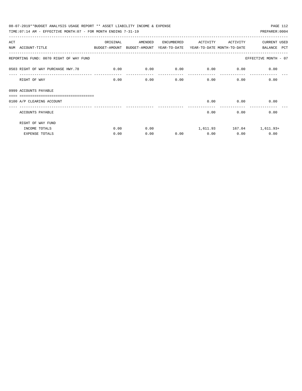| 08-07-2019**BUDGET ANALYSIS USAGE REPORT ** ASSET LIABILITY INCOME & EXPENSE             |          |         |            |             |                           | PAGE 112                        |
|------------------------------------------------------------------------------------------|----------|---------|------------|-------------|---------------------------|---------------------------------|
| TIME: 07:14 AM - EFFECTIVE MONTH: 07 - FOR MONTH ENDING 7-31-19                          |          |         |            |             |                           | PREPARER: 0004                  |
| ACT                                                                                      | ORIGINAL | AMENDED | ENCUMBERED | ACTIVITY    | ACTIVITY                  | CURRENT USED                    |
| NUM ACCOUNT-TITLE<br>BUDGET-AMOUNT BUDGET-AMOUNT YEAR-TO-DATE YEAR-TO-DATE_MONTH-TO-DATE |          |         |            |             |                           | BALANCE PCT                     |
| REPORTING FUND: 0070 RIGHT OF WAY FUND                                                   |          |         |            |             |                           | EFFECTIVE MONTH - 07            |
| 0503 RIGHT OF WAY PURCHASE HWY.78                                                        | 0.00     | 0.00    | 0.00       | $0.00$ 0.00 |                           | 0.00                            |
| RIGHT OF WAY                                                                             | 0.00     | 0.00    | 0.00       |             | $0.00$ and $0.00$<br>0.00 | 0.00                            |
| 0999 ACCOUNTS PAYABLE<br>=============================                                   |          |         |            |             |                           |                                 |
| 0100 A/P CLEARING ACCOUNT                                                                |          |         |            | 0.00        | 0.00                      | 0.00                            |
| ACCOUNTS PAYABLE                                                                         |          |         |            | 0.00        | 0.00                      | 0.00                            |
| RIGHT OF WAY FUND                                                                        |          |         |            |             |                           |                                 |
| INCOME TOTALS                                                                            | 0.00     | 0.00    |            |             |                           | 1,611.93    167.04    1,611.93+ |
| <b>EXPENSE TOTALS</b>                                                                    | 0.00     | 0.00    | 0.00       | 0.00        | 0.00                      | 0.00                            |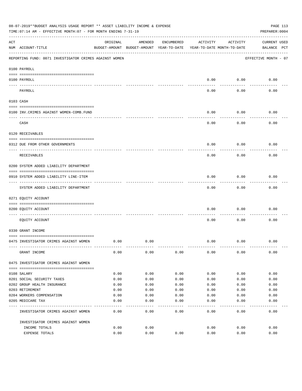|     | 08-07-2019**BUDGET ANALYSIS USAGE REPORT ** ASSET LIABILITY INCOME & EXPENSE<br>TIME: 07:14 AM - EFFECTIVE MONTH: 07 - FOR MONTH ENDING 7-31-19 |                                                      |         |            |          |                                        | PAGE 113<br>PREPARER: 0004         |
|-----|-------------------------------------------------------------------------------------------------------------------------------------------------|------------------------------------------------------|---------|------------|----------|----------------------------------------|------------------------------------|
| ACT | NUM ACCOUNT-TITLE                                                                                                                               | ORIGINAL<br>BUDGET-AMOUNT BUDGET-AMOUNT YEAR-TO-DATE | AMENDED | ENCUMBERED | ACTIVITY | ACTIVITY<br>YEAR-TO-DATE MONTH-TO-DATE | <b>CURRENT USED</b><br>BALANCE PCT |
|     | REPORTING FUND: 0071 INVESTIGATOR CRIMES AGAINST WOMEN                                                                                          |                                                      |         |            |          |                                        | EFFECTIVE MONTH - 07               |
|     | 0100 PAYROLL                                                                                                                                    |                                                      |         |            |          |                                        |                                    |
|     | 0100 PAYROLL                                                                                                                                    |                                                      |         |            | 0.00     | 0.00                                   | 0.00                               |
|     | ---- ----<br>PAYROLL                                                                                                                            |                                                      |         |            | 0.00     | 0.00                                   | 0.00                               |
|     | 0103 CASH                                                                                                                                       |                                                      |         |            |          |                                        |                                    |
|     | 0100 INV. CRIMES AGAINST WOMEN-COMB. FUND                                                                                                       |                                                      |         |            | 0.00     | 0.00                                   | 0.00                               |
|     | CASH                                                                                                                                            |                                                      |         |            | 0.00     | 0.00                                   | 0.00                               |
|     | 0120 RECEIVABLES                                                                                                                                |                                                      |         |            |          |                                        |                                    |
|     | 0312 DUE FROM OTHER GOVERNMENTS                                                                                                                 |                                                      |         |            | 0.00     | 0.00                                   | 0.00                               |
|     | RECEIVABLES                                                                                                                                     |                                                      |         |            | 0.00     | 0.00                                   | 0.00                               |
|     | 0200 SYSTEM ADDED LIABILITY DEPARTMENT                                                                                                          |                                                      |         |            |          |                                        |                                    |
|     | 0910 SYSTEM ADDED LIABILITY LINE-ITEM                                                                                                           |                                                      |         |            | 0.00     | 0.00                                   | 0.00                               |
|     | SYSTEM ADDED LIABILITY DEPARTMENT                                                                                                               |                                                      |         |            | 0.00     | 0.00                                   | 0.00                               |
|     | 0271 EQUITY ACCOUNT                                                                                                                             |                                                      |         |            |          |                                        |                                    |
|     | 0200 EQUITY ACCOUNT                                                                                                                             |                                                      |         |            | 0.00     | 0.00                                   | 0.00                               |
|     | EQUITY ACCOUNT                                                                                                                                  |                                                      |         |            | 0.00     | 0.00                                   | 0.00                               |
|     | 0330 GRANT INCOME                                                                                                                               |                                                      |         |            |          |                                        |                                    |
|     | 0475 INVESTIGATOR CRIMES AGAINST WOMEN                                                                                                          | 0.00                                                 | 0.00    |            | 0.00     | 0.00                                   | 0.00                               |
|     | GRANT INCOME                                                                                                                                    | 0.00                                                 | 0.00    | 0.00       | 0.00     | 0.00                                   | 0.00                               |
|     | 0475 INVESTIGATOR CRIMES AGAINST WOMEN                                                                                                          |                                                      |         |            |          |                                        |                                    |
|     | 0108 SALARY                                                                                                                                     | 0.00                                                 | 0.00    | 0.00       | 0.00     | 0.00                                   | 0.00                               |
|     | 0201 SOCIAL SECURITY TAXES                                                                                                                      | 0.00                                                 | 0.00    | 0.00       | 0.00     | 0.00                                   | 0.00                               |
|     | 0202 GROUP HEALTH INSURANCE                                                                                                                     | 0.00                                                 | 0.00    | 0.00       | 0.00     | 0.00                                   | 0.00                               |
|     | 0203 RETIREMENT                                                                                                                                 | 0.00                                                 | 0.00    | 0.00       | 0.00     | 0.00                                   | 0.00                               |
|     | 0204 WORKERS COMPENSATION                                                                                                                       | 0.00                                                 | 0.00    | 0.00       | 0.00     | 0.00                                   | 0.00                               |
|     | 0205 MEDICARE TAX                                                                                                                               | 0.00                                                 | 0.00    | 0.00       | 0.00     | 0.00                                   | 0.00                               |
|     | INVESTIGATOR CRIMES AGAINST WOMEN                                                                                                               | 0.00                                                 | 0.00    | 0.00       | 0.00     | 0.00                                   | 0.00                               |
|     | INVESTIGATOR CRIMES AGAINST WOMEN                                                                                                               |                                                      |         |            |          |                                        |                                    |
|     | INCOME TOTALS                                                                                                                                   | 0.00                                                 | 0.00    |            | 0.00     | 0.00                                   | 0.00                               |
|     | EXPENSE TOTALS                                                                                                                                  | 0.00                                                 | 0.00    | 0.00       | 0.00     | 0.00                                   | 0.00                               |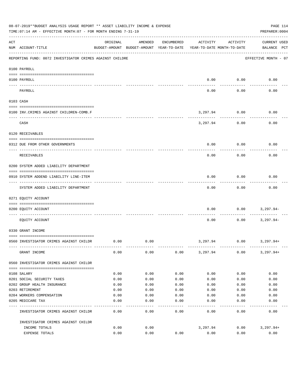|           | 08-07-2019**BUDGET ANALYSIS USAGE REPORT ** ASSET LIABILITY INCOME & EXPENSE<br>TIME: 07:14 AM - EFFECTIVE MONTH: 07 - FOR MONTH ENDING 7-31-19 |          |                                                     |            |          |                                        | PAGE 114<br>PREPARER: 0004         |
|-----------|-------------------------------------------------------------------------------------------------------------------------------------------------|----------|-----------------------------------------------------|------------|----------|----------------------------------------|------------------------------------|
| ACT       | NUM ACCOUNT-TITLE                                                                                                                               | ORIGINAL | AMENDED<br>BUDGET-AMOUNT BUDGET-AMOUNT YEAR-TO-DATE | ENCUMBERED | ACTIVITY | ACTIVITY<br>YEAR-TO-DATE MONTH-TO-DATE | <b>CURRENT USED</b><br>BALANCE PCT |
|           | REPORTING FUND: 0072 INVESTIGATOR CRIMES AGAINST CHILDRE                                                                                        |          |                                                     |            |          |                                        | EFFECTIVE MONTH - 07               |
|           | 0100 PAYROLL                                                                                                                                    |          |                                                     |            |          |                                        |                                    |
| ---- ---- | 0100 PAYROLL                                                                                                                                    |          |                                                     |            | 0.00     | 0.00                                   | 0.00                               |
|           | PAYROLL                                                                                                                                         |          |                                                     |            | 0.00     | 0.00                                   | 0.00                               |
|           | 0103 CASH                                                                                                                                       |          |                                                     |            |          |                                        |                                    |
|           | 0100 INV. CRIMES AGAINST CHILDREN-COMB.F                                                                                                        |          |                                                     |            | 3,297.94 | 0.00                                   | 0.00                               |
|           | CASH                                                                                                                                            |          |                                                     |            | 3,297.94 | 0.00                                   | 0.00                               |
|           | 0120 RECEIVABLES                                                                                                                                |          |                                                     |            |          |                                        |                                    |
|           | 0312 DUE FROM OTHER GOVERNMENTS                                                                                                                 |          |                                                     |            | 0.00     | 0.00                                   | 0.00                               |
|           | RECEIVABLES                                                                                                                                     |          |                                                     |            | 0.00     | 0.00                                   | 0.00                               |
|           | 0200 SYSTEM ADDED LIABILITY DEPARTMENT                                                                                                          |          |                                                     |            |          |                                        |                                    |
|           | 0910 SYSTEM ADDEND LIABILITY LINE-ITEM                                                                                                          |          |                                                     |            | 0.00     | 0.00                                   | 0.00                               |
|           | SYSTEM ADDED LIABILITY DEPARTMENT                                                                                                               |          |                                                     |            | 0.00     | 0.00                                   | 0.00                               |
|           | 0271 EQUITY ACCOUNT                                                                                                                             |          |                                                     |            |          |                                        |                                    |
|           | 0200 EQUITY ACCOUNT                                                                                                                             |          |                                                     |            | 0.00     | 0.00                                   | 3,297.94-                          |
|           | EQUITY ACCOUNT                                                                                                                                  |          |                                                     |            | 0.00     | 0.00                                   | $3,297.94-$                        |
|           | 0330 GRANT INCOME                                                                                                                               |          |                                                     |            |          |                                        |                                    |
|           | 0560 INVESTIGATOR CRIMES AGAINST CHILDR                                                                                                         | 0.00     | 0.00                                                |            | 3,297.94 | 0.00                                   | 3,297.94+                          |
|           | GRANT INCOME                                                                                                                                    | 0.00     | 0.00                                                | 0.00       | 3,297.94 | 0.00                                   | $3,297.94+$                        |
|           | 0560 INVESTIGATOR CRIMES AGAINST CHILDR                                                                                                         |          |                                                     |            |          |                                        |                                    |
|           | 0108 SALARY                                                                                                                                     | 0.00     | 0.00                                                | 0.00       | 0.00     | 0.00                                   | 0.00                               |
|           | 0201 SOCIAL SECURITY TAXES                                                                                                                      | 0.00     | 0.00                                                | 0.00       | 0.00     | 0.00                                   | 0.00                               |
|           | 0202 GROUP HEALTH INSURANCE                                                                                                                     | 0.00     | 0.00                                                | 0.00       | 0.00     | 0.00                                   | 0.00                               |
|           | 0203 RETIREMENT                                                                                                                                 | 0.00     | 0.00                                                | 0.00       | 0.00     | 0.00                                   | 0.00                               |
|           | 0204 WORKERS COMPENSATION                                                                                                                       | 0.00     | 0.00                                                | 0.00       | 0.00     | 0.00                                   | 0.00                               |
|           | 0205 MEDICARE TAX                                                                                                                               | 0.00     | 0.00                                                | 0.00       | 0.00     | 0.00                                   | 0.00                               |
|           | INVESTIGATOR CRIMES AGAINST CHILDR                                                                                                              | 0.00     | 0.00                                                | 0.00       | 0.00     | 0.00                                   | 0.00                               |
|           | INVESTIGATOR CRIMES AGAINST CHILDR                                                                                                              |          |                                                     |            |          |                                        |                                    |
|           | INCOME TOTALS                                                                                                                                   | 0.00     | 0.00                                                |            | 3,297.94 | 0.00                                   | $3,297.94+$                        |
|           | EXPENSE TOTALS                                                                                                                                  | 0.00     | 0.00                                                | 0.00       | 0.00     | 0.00                                   | 0.00                               |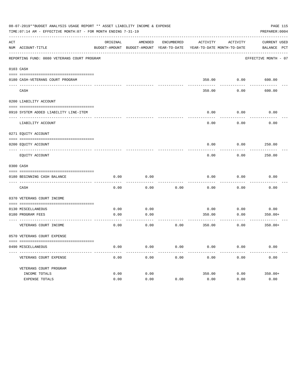|     | 08-07-2019**BUDGET ANALYSIS USAGE REPORT ** ASSET LIABILITY INCOME & EXPENSE<br>TIME: 07:14 AM - EFFECTIVE MONTH: 07 - FOR MONTH ENDING 7-31-19 |          |                                                     |            |                                        |                    | PAGE 115<br>PREPARER: 0004  |
|-----|-------------------------------------------------------------------------------------------------------------------------------------------------|----------|-----------------------------------------------------|------------|----------------------------------------|--------------------|-----------------------------|
| ACT | NUM ACCOUNT-TITLE                                                                                                                               | ORIGINAL | AMENDED<br>BUDGET-AMOUNT BUDGET-AMOUNT YEAR-TO-DATE | ENCUMBERED | ACTIVITY<br>YEAR-TO-DATE MONTH-TO-DATE | ACTIVITY           | CURRENT USED<br>BALANCE PCT |
|     |                                                                                                                                                 |          |                                                     |            |                                        |                    |                             |
|     | REPORTING FUND: 0080 VETERANS COURT PROGRAM                                                                                                     |          |                                                     |            |                                        |                    | EFFECTIVE MONTH - 07        |
|     | 0103 CASH                                                                                                                                       |          |                                                     |            |                                        |                    |                             |
|     | 0180 CASH-VETERANS COURT PROGRAM                                                                                                                |          |                                                     |            |                                        | 350.00 0.00 600.00 |                             |
|     | CASH                                                                                                                                            |          |                                                     |            | 350.00                                 | 0.00               | 600.00                      |
|     | 0200 LIABILITY ACCOUNT                                                                                                                          |          |                                                     |            |                                        |                    |                             |
|     | 0910 SYSTEM ADDED LIABILITY LINE-ITEM                                                                                                           |          |                                                     |            | 0.00                                   | 0.00               | 0.00                        |
|     | LIABILITY ACCOUNT                                                                                                                               |          |                                                     |            | 0.00                                   | 0.00               | 0.00                        |
|     | 0271 EQUITY ACCOUNT                                                                                                                             |          |                                                     |            |                                        |                    |                             |
|     | 0200 EOUITY ACCOUNT                                                                                                                             |          |                                                     |            | 0.00                                   | 0.00               | 250.00                      |
|     | EQUITY ACCOUNT                                                                                                                                  |          |                                                     |            | 0.00                                   | 0.00               | 250.00                      |
|     | 0300 CASH                                                                                                                                       |          |                                                     |            |                                        |                    |                             |
|     | 0180 BEGINNING CASH BALANCE                                                                                                                     | 0.00     | 0.00                                                |            | 0.00                                   | 0.00               | 0.00                        |
|     | CASH                                                                                                                                            | 0.00     | 0.00                                                | 0.00       | 0.00                                   | 0.00               | 0.00                        |
|     | 0370 VETERANS COURT INCOME                                                                                                                      |          |                                                     |            |                                        |                    |                             |
|     | 0130 MISCELLANEOUS                                                                                                                              | 0.00     | 0.00                                                |            | 0.00                                   | 0.00               | 0.00                        |
|     | 0180 PROGRAM FEES                                                                                                                               | 0.00     | 0.00                                                |            | 350.00                                 | 0.00               | $350.00+$                   |
|     | ----------------------------- ---<br>VETERANS COURT INCOME                                                                                      | 0.00     | 0.00                                                | 0.00       | 350.00                                 | 0.00               | $350.00+$                   |
|     | 0570 VETERANS COURT EXPENSE                                                                                                                     |          |                                                     |            |                                        |                    |                             |
|     | 0490 MISCELLANEOUS                                                                                                                              | 0.00     | 0.00                                                | 0.00       | 0.00                                   | 0.00               | 0.00                        |
|     | VETERANS COURT EXPENSE                                                                                                                          | 0.00     | 0.00                                                | 0.00       | 0.00                                   | 0.00               | 0.00                        |
|     | VETERANS COURT PROGRAM                                                                                                                          |          |                                                     |            |                                        |                    |                             |
|     | INCOME TOTALS                                                                                                                                   | 0.00     | 0.00                                                |            | 350.00                                 | 0.00               | $350.00+$                   |
|     | EXPENSE TOTALS                                                                                                                                  | 0.00     | 0.00                                                | 0.00       | 0.00                                   | 0.00               | 0.00                        |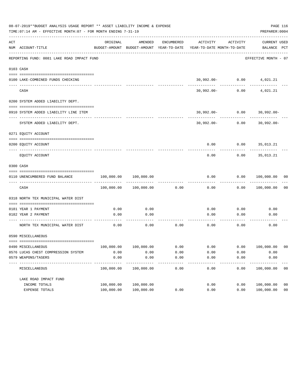|     | 08-07-2019**BUDGET ANALYSIS USAGE REPORT ** ASSET LIABILITY INCOME & EXPENSE<br>TIME: 07:14 AM - EFFECTIVE MONTH: 07 - FOR MONTH ENDING 7-31-19 |                          |                          |              |                                                                     |                      | PAGE 116<br>PREPARER: 0004       |                |
|-----|-------------------------------------------------------------------------------------------------------------------------------------------------|--------------------------|--------------------------|--------------|---------------------------------------------------------------------|----------------------|----------------------------------|----------------|
| ACT | NUM ACCOUNT-TITLE                                                                                                                               | ORIGINAL                 | AMENDED                  | ENCUMBERED   | BUDGET-AMOUNT BUDGET-AMOUNT YEAR-TO-DATE YEAR-TO-DATE MONTH-TO-DATE | ACTIVITY ACTIVITY    | CURRENT USED<br>BALANCE PCT      |                |
|     | REPORTING FUND: 0081 LAKE ROAD IMPACT FUND                                                                                                      |                          |                          |              |                                                                     |                      | EFFECTIVE MONTH - 07             |                |
|     | 0103 CASH                                                                                                                                       |                          |                          |              |                                                                     |                      |                                  |                |
|     |                                                                                                                                                 |                          |                          |              |                                                                     |                      |                                  |                |
|     | 0100 LAKE-COMBINED FUNDS CHECKING                                                                                                               |                          |                          |              |                                                                     |                      | $30,992.00 - 0.00$ 4,021.21      |                |
|     | CASH                                                                                                                                            |                          |                          |              | 30,992.00-                                                          | ------------<br>0.00 | 4,021.21                         |                |
|     | 0200 SYSTEM ADDED LIABILITY DEPT.                                                                                                               |                          |                          |              |                                                                     |                      |                                  |                |
|     | 0910 SYSTEM ADDED LIABILITY LINE ITEM                                                                                                           |                          |                          |              |                                                                     |                      | $30,992.00 - 0.00$ $30,992.00 -$ |                |
|     | SYSTEM ADDED LIABILITY DEPT.                                                                                                                    |                          |                          |              |                                                                     | $30,992.00 - 0.00$   | $30,992.00 -$                    |                |
|     | 0271 EQUITY ACCOUNT                                                                                                                             |                          |                          |              |                                                                     |                      |                                  |                |
|     | 0200 EQUITY ACCOUNT                                                                                                                             |                          |                          |              |                                                                     |                      | $0.00$ $0.00$ $35,013.21$        |                |
|     | EQUITY ACCOUNT                                                                                                                                  |                          |                          |              | 0.00                                                                | 0.00                 | 35,013.21                        |                |
|     | 0300 CASH                                                                                                                                       |                          |                          |              |                                                                     |                      |                                  |                |
|     | 0110 UNENCUMBERED FUND BALANCE                                                                                                                  | 100,000.00               | 100,000.00               |              | 0.00                                                                | 0.00                 | 100,000.00 00                    |                |
|     | CASH                                                                                                                                            | 100,000.00               | 100,000.00               | 0.00         | 0.00                                                                | 0.00                 | 100,000.00                       | 0 <sub>0</sub> |
|     | 0318 NORTH TEX MUNICIPAL WATER DIST                                                                                                             |                          |                          |              |                                                                     |                      |                                  |                |
|     | 0181 YEAR 1 PAYMENT                                                                                                                             | 0.00                     | 0.00                     |              | 0.00                                                                | 0.00                 | 0.00                             |                |
|     | 0182 YEAR 2 PAYMENT                                                                                                                             | 0.00                     | 0.00                     |              | 0.00                                                                | 0.00                 | 0.00                             |                |
|     |                                                                                                                                                 |                          | --------                 |              |                                                                     |                      |                                  |                |
|     | NORTH TEX MUNICIPAL WATER DIST                                                                                                                  | 0.00                     | 0.00                     | 0.00         | 0.00                                                                | 0.00                 | 0.00                             |                |
|     | 0590 MISCELLANEOUS                                                                                                                              |                          |                          |              |                                                                     |                      |                                  |                |
|     |                                                                                                                                                 |                          |                          |              |                                                                     |                      |                                  | - 00           |
|     | 0490 MISCELLANEOUS<br>0576 LUCAS CHEST COMPRESSION SYSTEM                                                                                       | 100,000.00<br>0.00       | 100,000.00<br>0.00       | 0.00<br>0.00 | 0.00<br>0.00                                                        | 0.00<br>0.00         | 100,000.00<br>0.00               |                |
|     | 0579 WEAPONS/TASERS                                                                                                                             | 0.00                     | 0.00                     | 0.00         | 0.00                                                                | 0.00                 | 0.00                             |                |
|     | -----------<br>MISCELLANEOUS                                                                                                                    | ----------<br>100,000.00 | ----------<br>100,000.00 | 0.00         | 0.00                                                                | 0.00                 | ----------<br>100,000.00         | 0 <sub>0</sub> |
|     | LAKE ROAD IMPACT FUND                                                                                                                           |                          |                          |              |                                                                     |                      |                                  |                |
|     | INCOME TOTALS                                                                                                                                   | 100,000.00               | 100,000.00               |              | 0.00                                                                | 0.00                 | 100,000.00                       | 0 <sub>0</sub> |
|     | EXPENSE TOTALS                                                                                                                                  | 100,000.00               | 100,000.00               | 0.00         | 0.00                                                                | 0.00                 | 100,000.00                       | 0 <sub>0</sub> |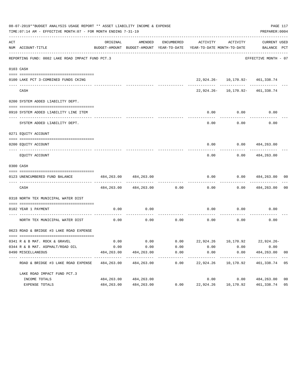|     | 08-07-2019**BUDGET ANALYSIS USAGE REPORT ** ASSET LIABILITY INCOME & EXPENSE<br>TIME: 07:14 AM - EFFECTIVE MONTH: 07 - FOR MONTH ENDING 7-31-19 |            |                             |                      |                                                                                 |                                  | PREPARER: 0004                  | PAGE 117       |
|-----|-------------------------------------------------------------------------------------------------------------------------------------------------|------------|-----------------------------|----------------------|---------------------------------------------------------------------------------|----------------------------------|---------------------------------|----------------|
| ACT | NUM ACCOUNT-TITLE                                                                                                                               | ORIGINAL   | AMENDED                     | ENCUMBERED           | ACTIVITY<br>BUDGET-AMOUNT BUDGET-AMOUNT YEAR-TO-DATE YEAR-TO-DATE MONTH-TO-DATE | ACTIVITY                         | CURRENT USED<br>BALANCE PCT     |                |
|     | REPORTING FUND: 0082 LAKE ROAD IMPACT FUND PCT.3                                                                                                |            |                             |                      |                                                                                 |                                  | EFFECTIVE MONTH - 07            |                |
|     | 0103 CASH                                                                                                                                       |            |                             |                      |                                                                                 |                                  |                                 |                |
|     | 0100 LAKE PCT 3-COMBINED FUNDS CKING                                                                                                            |            |                             |                      |                                                                                 | 22,924.26- 10,170.92- 461,338.74 |                                 |                |
|     | CASH                                                                                                                                            |            |                             |                      |                                                                                 | 22,924.26- 10,170.92- 461,338.74 |                                 |                |
|     | 0200 SYSTEM ADDED LIABILITY DEPT.                                                                                                               |            |                             |                      |                                                                                 |                                  |                                 |                |
|     | 0910 SYSTEM ADDED LIABILITY LINE ITEM                                                                                                           |            |                             |                      | 0.00                                                                            | 0.00                             | 0.00                            |                |
|     | SYSTEM ADDED LIABILITY DEPT.                                                                                                                    |            |                             |                      | 0.00                                                                            | 0.00                             | 0.00                            |                |
|     | 0271 EQUITY ACCOUNT                                                                                                                             |            |                             |                      |                                                                                 |                                  |                                 |                |
|     | 0200 EQUITY ACCOUNT                                                                                                                             |            |                             |                      |                                                                                 | $0.00$ $0.00$ $484,263.00$       |                                 |                |
|     | EOUITY ACCOUNT                                                                                                                                  |            |                             |                      | 0.00                                                                            | 0.00                             | 484,263.00                      |                |
|     | 0300 CASH                                                                                                                                       |            |                             |                      |                                                                                 |                                  |                                 |                |
|     | 0123 UNENCUMBERED FUND BALANCE                                                                                                                  | 484,263.00 | 484,263.00                  |                      | 0.00                                                                            | 0.00                             | 484,263.00                      | 00             |
|     | CASH                                                                                                                                            |            | 484, 263.00 484, 263.00     | 0.00                 | 0.00                                                                            |                                  | $0.00$ 484,263.00               | 00             |
|     | 0318 NORTH TEX MUNICIPAL WATER DIST                                                                                                             |            |                             |                      |                                                                                 |                                  |                                 |                |
|     | 0182 YEAR 1 PAYMENT                                                                                                                             | 0.00       | 0.00                        |                      | 0.00                                                                            | 0.00                             | 0.00                            |                |
|     | NORTH TEX MUNICIPAL WATER DIST                                                                                                                  | 0.00       | 0.00                        |                      | $0.00$ 0.00                                                                     | 0.00                             | 0.00                            |                |
|     | 0623 ROAD & BRIDGE #3 LAKE ROAD EXPENSE                                                                                                         |            |                             |                      |                                                                                 |                                  |                                 |                |
|     | 0341 R & B MAT. ROCK & GRAVEL                                                                                                                   | 0.00       |                             |                      | $0.00$ $0.00$ $22,924.26$ $10,170.92$ $22,924.26$                               |                                  |                                 |                |
|     | 0344 R & B MAT. ASPHALT/ROAD OIL                                                                                                                | 0.00       | 0.00                        | 0.00                 | 0.00                                                                            | 0.00                             | 0.00                            |                |
|     | 0490 MISCELLANEOUS                                                                                                                              | 484,263.00 | 484,263.00                  | 0.00                 | 0.00                                                                            | 0.00                             | 484,263.00                      | 00             |
|     | ROAD & BRIDGE #3 LAKE ROAD EXPENSE                                                                                                              | 484,263.00 | -------------<br>484,263.00 | ------------<br>0.00 | ------------<br>22,924.26                                                       | ------------<br>10,170.92        | -------------<br>461, 338.74 05 |                |
|     | LAKE ROAD IMPACT FUND PCT.3                                                                                                                     |            |                             |                      |                                                                                 |                                  |                                 |                |
|     | INCOME TOTALS                                                                                                                                   | 484,263.00 | 484,263.00                  |                      | 0.00                                                                            | 0.00                             | 484,263.00                      | 0 <sub>0</sub> |
|     | EXPENSE TOTALS                                                                                                                                  | 484,263.00 | 484,263.00                  | 0.00                 | 22,924.26                                                                       | 10,170.92                        | 461,338.74                      | 05             |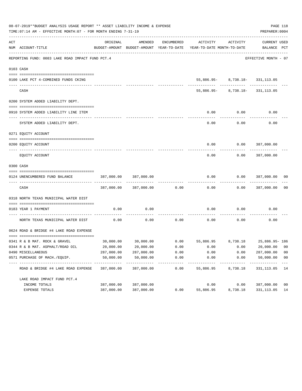|     | 08-07-2019**BUDGET ANALYSIS USAGE REPORT ** ASSET LIABILITY INCOME & EXPENSE<br>TIME: 07:14 AM - EFFECTIVE MONTH: 07 - FOR MONTH ENDING 7-31-19 |                         |                           |                     |                                                                                 |                                                                 | PREPARER: 0004              | PAGE 118             |
|-----|-------------------------------------------------------------------------------------------------------------------------------------------------|-------------------------|---------------------------|---------------------|---------------------------------------------------------------------------------|-----------------------------------------------------------------|-----------------------------|----------------------|
| ACT | NUM ACCOUNT-TITLE                                                                                                                               | ORIGINAL                | AMENDED                   | ENCUMBERED          | ACTIVITY<br>BUDGET-AMOUNT BUDGET-AMOUNT YEAR-TO-DATE YEAR-TO-DATE MONTH-TO-DATE | ACTIVITY                                                        | CURRENT USED<br>BALANCE PCT |                      |
|     | REPORTING FUND: 0083 LAKE ROAD IMPACT FUND PCT.4                                                                                                |                         |                           |                     |                                                                                 |                                                                 | EFFECTIVE MONTH - 07        |                      |
|     | 0103 CASH                                                                                                                                       |                         |                           |                     |                                                                                 |                                                                 |                             |                      |
|     |                                                                                                                                                 |                         |                           |                     |                                                                                 |                                                                 |                             |                      |
|     | 0100 LAKE PCT 4-COMBINED FUNDS CKING                                                                                                            |                         |                           |                     |                                                                                 | 55,886.95-8,738.18-331,113.05<br>-------- ------------ -------- |                             |                      |
|     | CASH                                                                                                                                            |                         |                           |                     |                                                                                 | 55,886.95- 8,738.18- 331,113.05                                 |                             |                      |
|     | 0200 SYSTEM ADDED LIABILITY DEPT.                                                                                                               |                         |                           |                     |                                                                                 |                                                                 |                             |                      |
|     | 0910 SYSTEM ADDED LIABILITY LINE ITEM                                                                                                           |                         |                           |                     | 0.00                                                                            | 0.00                                                            | 0.00                        |                      |
|     | SYSTEM ADDED LIABILITY DEPT.                                                                                                                    |                         |                           |                     | 0.00                                                                            | 0.00                                                            | 0.00                        |                      |
|     | 0271 EQUITY ACCOUNT                                                                                                                             |                         |                           |                     |                                                                                 |                                                                 |                             |                      |
|     | 0200 EQUITY ACCOUNT                                                                                                                             |                         |                           |                     |                                                                                 | $0.00$ $0.00$ $387,000.00$                                      |                             |                      |
|     | EQUITY ACCOUNT                                                                                                                                  |                         |                           |                     | 0.00                                                                            | 0.00                                                            | 387,000.00                  |                      |
|     | 0300 CASH                                                                                                                                       |                         |                           |                     |                                                                                 |                                                                 |                             |                      |
|     |                                                                                                                                                 |                         |                           |                     |                                                                                 |                                                                 |                             |                      |
|     | 0124 UNENCUMBERED FUND BALANCE                                                                                                                  | 387,000.00              | 387,000.00                |                     | 0.00                                                                            | 0.00                                                            | 387,000.00                  | 00                   |
|     | CASH                                                                                                                                            |                         | 387,000.00 387,000.00     | 0.00                | 0.00                                                                            |                                                                 | $0.00$ 387,000.00           | 0 <sub>0</sub>       |
|     | 0318 NORTH TEXAS MUNICIPAL WATER DIST                                                                                                           |                         |                           |                     |                                                                                 |                                                                 |                             |                      |
|     |                                                                                                                                                 |                         |                           |                     |                                                                                 |                                                                 |                             |                      |
|     | 0183 YEAR 1 PAYMENT                                                                                                                             | 0.00                    | 0.00                      |                     | 0.00                                                                            | 0.00                                                            | 0.00                        |                      |
|     | NORTH TEXAS MUNICIPAL WATER DIST                                                                                                                | 0.00                    | 0.00                      |                     | $0.00$ 0.00                                                                     | 0.00                                                            | 0.00                        |                      |
|     | 0624 ROAD & BRIDGE #4 LAKE ROAD EXPENSE                                                                                                         |                         |                           |                     |                                                                                 |                                                                 |                             |                      |
|     |                                                                                                                                                 |                         |                           |                     |                                                                                 |                                                                 |                             |                      |
|     | 0341 R & B MAT. ROCK & GRAVEL                                                                                                                   |                         |                           |                     | $30,000.00$ $30,000.00$ 0.00 55,886.95 8,738.18 25,886.95-186                   |                                                                 |                             |                      |
|     | 0344 R & B MAT. ASPHALT/ROAD OIL                                                                                                                | 20,000.00               | 20,000.00                 | 0.00                | 0.00                                                                            | 0.00                                                            | 20,000.00                   | 00<br>0 <sub>0</sub> |
|     | 0490 MISCELLANEOUS<br>0571 PURCHASE OF MACH./EQUIP.                                                                                             | 287,000.00<br>50,000.00 | 287,000.00<br>50,000.00   | 0.00<br>0.00        | 0.00<br>0.00                                                                    | 0.00<br>0.00                                                    | 287,000.00<br>50,000.00     | 0 <sub>0</sub>       |
|     | ROAD & BRIDGE #4 LAKE ROAD EXPENSE                                                                                                              | 387,000.00              | -----------<br>387,000.00 | -----------<br>0.00 | ---------<br>55,886.95                                                          | 8,738.18                                                        | -----------<br>331,113.05   | $---$<br>14          |
|     | LAKE ROAD IMPACT FUND PCT. 4                                                                                                                    |                         |                           |                     |                                                                                 |                                                                 |                             |                      |
|     | INCOME TOTALS                                                                                                                                   | 387,000.00              | 387,000.00                |                     | 0.00                                                                            | 0.00                                                            | 387,000.00                  | 0 <sub>0</sub>       |
|     | EXPENSE TOTALS                                                                                                                                  | 387,000.00              | 387,000.00                | 0.00                | 55,886.95                                                                       | 8,738.18                                                        | 331, 113.05                 | 14                   |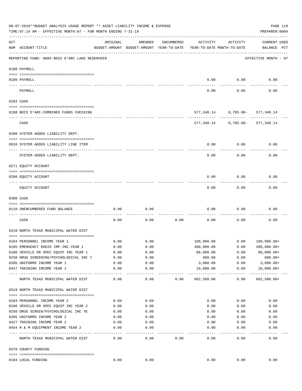| 08-07-2019**BUDGET ANALYSIS USAGE REPORT ** ASSET LIABILITY INCOME & EXPENSE<br>TIME: 07:14 AM - EFFECTIVE MONTH: 07 - FOR MONTH ENDING 7-31-19<br>PREPARER: 0004 |                                                |              |                                                     |            |                                          |                                 |                                             |  |  |  |
|-------------------------------------------------------------------------------------------------------------------------------------------------------------------|------------------------------------------------|--------------|-----------------------------------------------------|------------|------------------------------------------|---------------------------------|---------------------------------------------|--|--|--|
| ACT                                                                                                                                                               | NUM ACCOUNT-TITLE                              | ORIGINAL     | AMENDED<br>BUDGET-AMOUNT BUDGET-AMOUNT YEAR-TO-DATE | ENCUMBERED | ACTIVITY<br>YEAR-TO-DATE MONTH-TO-DATE   | ACTIVITY                        | <b>CURRENT USED</b><br>BALANCE PCT          |  |  |  |
|                                                                                                                                                                   | REPORTING FUND: 0084 BOIS D'ARC LAKE RESERVOIR |              |                                                     |            |                                          |                                 | EFFECTIVE MONTH - 07                        |  |  |  |
|                                                                                                                                                                   | 0100 PAYROLL                                   |              |                                                     |            |                                          |                                 |                                             |  |  |  |
|                                                                                                                                                                   | 0100 PAYROLL<br>---- ----                      |              |                                                     |            | 0.00                                     | 0.00                            | 0.00                                        |  |  |  |
|                                                                                                                                                                   | PAYROLL                                        |              |                                                     |            | 0.00                                     | 0.00                            | 0.00                                        |  |  |  |
|                                                                                                                                                                   | 0103 CASH                                      |              |                                                     |            |                                          |                                 |                                             |  |  |  |
|                                                                                                                                                                   | 0100 BOIS D'ARC-COMBINED FUNDS CHECKING        |              |                                                     |            |                                          | 577,340.14 8,705.08- 577,340.14 |                                             |  |  |  |
|                                                                                                                                                                   | CASH                                           |              |                                                     |            | 577,340.14                               |                                 | 8,705.08- 577,340.14                        |  |  |  |
|                                                                                                                                                                   | 0200 SYSTEM ADDED LIABILITY DEPT.              |              |                                                     |            |                                          |                                 |                                             |  |  |  |
|                                                                                                                                                                   | 0910 SYSTEM ADDED LIABILITY LINE ITEM          |              |                                                     |            | 0.00                                     | 0.00                            | 0.00                                        |  |  |  |
|                                                                                                                                                                   | SYSTEM ADDED LIABILITY DEPT.                   |              |                                                     |            | 0.00                                     | 0.00                            | 0.00                                        |  |  |  |
|                                                                                                                                                                   | 0271 EQUITY ACCOUNT                            |              |                                                     |            |                                          |                                 |                                             |  |  |  |
|                                                                                                                                                                   | 0200 EQUITY ACCOUNT                            |              |                                                     |            | 0.00                                     | 0.00                            | 0.00                                        |  |  |  |
|                                                                                                                                                                   | EQUITY ACCOUNT                                 |              |                                                     |            | 0.00                                     | 0.00                            | 0.00                                        |  |  |  |
|                                                                                                                                                                   | 0300 CASH                                      |              |                                                     |            |                                          |                                 |                                             |  |  |  |
|                                                                                                                                                                   | 0110 UNENCUMBERED FUND BALANCE                 | 0.00         | 0.00                                                |            | 0.00                                     | 0.00                            | 0.00                                        |  |  |  |
|                                                                                                                                                                   | CASH                                           | 0.00         | 0.00                                                | 0.00       | 0.00                                     | 0.00                            | 0.00                                        |  |  |  |
|                                                                                                                                                                   | 0318 NORTH TEXAS MUNICIPAL WATER DIST          |              |                                                     |            |                                          |                                 |                                             |  |  |  |
|                                                                                                                                                                   | 0184 PERSONNEL INCOME YEAR 1                   | 0.00         | 0.00                                                |            | 108,900.00                               |                                 | $0.00 108,900.00+$                          |  |  |  |
|                                                                                                                                                                   | 0185 EMERGENCY RADIO IMP. INC. YEAR 1          | 0.00         | 0.00                                                |            | 400,000.00                               | 0.00                            | $400,000.00+$                               |  |  |  |
|                                                                                                                                                                   | 0186 VEHICLE OR SPEC EQUIP INC YEAR 1          | 0.00         | 0.00                                                |            | 80,000.00                                | 0.00                            | 80,000.00+                                  |  |  |  |
|                                                                                                                                                                   | 0250 DRUG SCREENING/PSYCHOLOGICAL INC Y        | 0.00         | 0.00                                                |            | 600.00                                   | 0.00                            | $600.00+$                                   |  |  |  |
|                                                                                                                                                                   | 0395 UNIFORMS INCOME YEAR 1                    | 0.00         | 0.00                                                |            | 3,000.00                                 | 0.00                            | $3,000.00+$                                 |  |  |  |
|                                                                                                                                                                   | 0427 TRAINING INCOME YEAR 1                    |              |                                                     |            |                                          |                                 |                                             |  |  |  |
|                                                                                                                                                                   | NORTH TEXAS MUNICIPAL WATER DIST               | 0.00<br>0.00 | 0.00<br>-------<br>0.00                             | 0.00       | 10,000.00<br>-------------<br>602,500.00 | 0.00<br>------------<br>0.00    | $10,000.00+$<br>----------<br>$602,500.00+$ |  |  |  |
|                                                                                                                                                                   | 0319 NORTH TEXAS MUNICIPAL WATER DIST          |              |                                                     |            |                                          |                                 |                                             |  |  |  |
|                                                                                                                                                                   |                                                |              |                                                     |            |                                          |                                 |                                             |  |  |  |
|                                                                                                                                                                   |                                                |              |                                                     |            |                                          |                                 |                                             |  |  |  |
|                                                                                                                                                                   | 0184 PERSONNEL INCOME YEAR 2                   | 0.00         | 0.00                                                |            | 0.00                                     | 0.00                            | 0.00                                        |  |  |  |
|                                                                                                                                                                   | 0186 VEHICLE OR SPEC EQUIP INC YEAR 2          | 0.00         | 0.00                                                |            | 0.00                                     | 0.00                            | 0.00                                        |  |  |  |
|                                                                                                                                                                   | 0250 DRUG SCREEN/PSYCHOLOGICAL INC YE          | 0.00         | 0.00                                                |            | 0.00                                     | 0.00                            | 0.00                                        |  |  |  |
|                                                                                                                                                                   | 0395 UNIFORMS INCOME YEAR 2                    | 0.00         | 0.00                                                |            | 0.00                                     | 0.00                            | 0.00                                        |  |  |  |
|                                                                                                                                                                   | 0427 TRAINING INCOME YEAR 2                    | 0.00         | 0.00                                                |            | 0.00                                     | 0.00                            | 0.00                                        |  |  |  |
|                                                                                                                                                                   | 0454 R & M EQUIPMENT INCOME YEAR 2             | 0.00         | 0.00                                                |            | 0.00                                     | 0.00                            | 0.00                                        |  |  |  |
|                                                                                                                                                                   | NORTH TEXAS MUNICIPAL WATER DIST               | 0.00         | 0.00                                                | 0.00       | 0.00                                     | 0.00                            | 0.00                                        |  |  |  |
|                                                                                                                                                                   | 0370 COUNTY FUNDING                            |              |                                                     |            |                                          |                                 |                                             |  |  |  |
|                                                                                                                                                                   | 0184 LOCAL FUNDING                             | 0.00         | 0.00                                                |            | 0.00                                     | 0.00                            | 0.00                                        |  |  |  |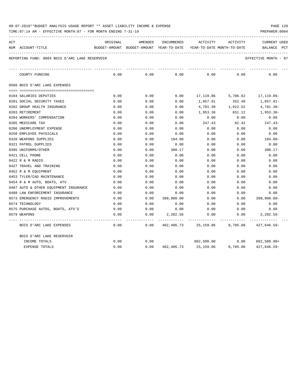| 08-07-2019**BUDGET ANALYSIS USAGE REPORT ** ASSET LIABILITY INCOME & EXPENSE |  |  |          |  |  |  |  |  |  |  |  |  |  |  |  |  |  |  |  |  |  |  |  |  |  |  |  |  |  |  |  |  |  |  |  |  |  |  |  |  |  |  |  |  |  |  |  |  |  |  |  |  |  |  |  |  |  |  |  |  |  |  |  |  |  |  |  |  |  |  |  |  |
|------------------------------------------------------------------------------|--|--|----------|--|--|--|--|--|--|--|--|--|--|--|--|--|--|--|--|--|--|--|--|--|--|--|--|--|--|--|--|--|--|--|--|--|--|--|--|--|--|--|--|--|--|--|--|--|--|--|--|--|--|--|--|--|--|--|--|--|--|--|--|--|--|--|--|--|--|--|--|--|
|                                                                              |  |  |          |  |  |  |  |  |  |  |  |  |  |  |  |  |  |  |  |  |  |  |  |  |  |  |  |  |  |  |  |  |  |  |  |  |  |  |  |  |  |  |  |  |  |  |  |  |  |  |  |  |  |  |  |  |  |  |  |  |  |  |  |  |  |  |  |  |  |  |  |  |
|                                                                              |  |  | PAGE 120 |  |  |  |  |  |  |  |  |  |  |  |  |  |  |  |  |  |  |  |  |  |  |  |  |  |  |  |  |  |  |  |  |  |  |  |  |  |  |  |  |  |  |  |  |  |  |  |  |  |  |  |  |  |  |  |  |  |  |  |  |  |  |  |  |  |  |  |  |  |

| ACT | NUM ACCOUNT-TITLE                              | ORIGINAL | AMENDED |                                            | ENCUMBERED ACTIVITY ACTIVITY |          | CURRENT USED<br>BUDGET-AMOUNT BUDGET-AMOUNT YEAR-TO-DATE YEAR-TO-DATE_MONTH-TO-DATE BALANCE PCT |
|-----|------------------------------------------------|----------|---------|--------------------------------------------|------------------------------|----------|-------------------------------------------------------------------------------------------------|
|     | REPORTING FUND: 0084 BOIS D'ARC LAKE RESERVOIR |          |         |                                            |                              |          | EFFECTIVE MONTH - 07                                                                            |
|     | COUNTY FUNDING                                 | 0.00     | 0.00    | 0.00                                       | 0.00                         | 0.00     | 0.00                                                                                            |
|     | 0560 BOIS D'ARC LAKE EXPENSES                  |          |         |                                            |                              |          |                                                                                                 |
|     | 0104 SALARIES DEPUTIES                         | 0.00     | 0.00    | 0.00                                       |                              |          | 17,119.86 5,706.62 17,119.86-                                                                   |
|     | 0201 SOCIAL SECURITY TAXES                     | 0.00     | 0.00    | 0.00                                       | 1,057.91                     | 352.40   | 1,057.91-                                                                                       |
|     | 0202 GROUP HEALTH INSURANCE                    | 0.00     | 0.00    | 0.00                                       | 4,781.30                     | 1,912.52 | 4,781.30-                                                                                       |
|     | 0203 RETIREMENT                                | 0.00     | 0.00    | 0.00                                       | 1,953.36                     | 651.12   | 1,953.36-                                                                                       |
|     | 0204 WORKERS' COMPENSATION                     | 0.00     | 0.00    | 0.00                                       | 0.00                         | 0.00     | 0.00                                                                                            |
|     | 0205 MEDICARE TAX                              | 0.00     | 0.00    | 0.00                                       | 247.43                       | 82.42    | $247.43-$                                                                                       |
|     | 0206 UNEMPLOYMENT EXPENSE                      | 0.00     | 0.00    | 0.00                                       | 0.00                         | 0.00     | 0.00                                                                                            |
|     | 0250 EMPLOYEE PHYSICALS                        | 0.00     | 0.00    | 0.00                                       | 0.00                         | 0.00     | 0.00                                                                                            |
|     | 0320 WEAPONS SUPPLIES                          | 0.00     | 0.00    | 104.00                                     | 0.00                         | 0.00     | 104.00-                                                                                         |
|     | 0321 PATROL SUPPLIES                           | 0.00     | 0.00    | 0.00                                       | 0.00                         | 0.00     | 0.00                                                                                            |
|     | 0395 UNIFORMS/OTHER                            | 0.00     | 0.00    | 300.17                                     | 0.00                         | 0.00     | $300.17 -$                                                                                      |
|     | 0421 CELL PHONE                                | 0.00     | 0.00    | 0.00                                       | 0.00                         | 0.00     | 0.00                                                                                            |
|     | 0422 R & M RADIO                               | 0.00     | 0.00    | 0.00                                       | 0.00                         | 0.00     | 0.00                                                                                            |
|     | 0427 TRAVEL AND TRAINING                       | 0.00     | 0.00    | 0.00                                       | 0.00                         | 0.00     | 0.00                                                                                            |
|     | 0452 R & M EOUIPMENT                           | 0.00     | 0.00    | 0.00                                       | 0.00                         | 0.00     | 0.00                                                                                            |
|     | 0453 TYLER/CAD MAINTENANCE                     | 0.00     | 0.00    | 0.00                                       | 0.00                         | 0.00     | 0.00                                                                                            |
|     | 0454 R & M AUTO, BOATS, ATV                    | 0.00     | 0.00    | 0.00                                       | 0.00                         | 0.00     | 0.00                                                                                            |
|     | 0487 AUTO & OTHER EQUIPMENT INSURANCE          | 0.00     | 0.00    | 0.00                                       | 0.00                         | 0.00     | 0.00                                                                                            |
|     | 0488 LAW ENFORCEMENT INSURANCE                 | 0.00     | 0.00    | 0.00                                       | 0.00                         | 0.00     | 0.00                                                                                            |
|     | 0573 EMERGENCY RADIO IMPROVEMENTS              | 0.00     | 0.00    | 399,800.00                                 | 0.00                         | 0.00     | 399,800.00-                                                                                     |
|     | 0574 TECHNOLOGY                                | 0.00     | 0.00    | 0.00                                       | 0.00                         | 0.00     | 0.00                                                                                            |
|     | 0575 PURCHASE AUTOS, BOATS, ATV'S              | 0.00     | 0.00    | 0.00                                       | 0.00                         | 0.00     | 0.00                                                                                            |
|     | 0579 WEAPONS                                   | 0.00     | 0.00    |                                            |                              |          | $2,282.56$ $0.00$ $0.00$ $2,282.56$                                                             |
|     | BOIS D'ARC LAKE EXPENSES                       | 0.00     | 0.00    |                                            |                              |          |                                                                                                 |
|     | BOIS D'ARC LAKE RESERVOIR                      |          |         |                                            |                              |          |                                                                                                 |
|     | INCOME TOTALS                                  | 0.00     | 0.00    |                                            |                              |          |                                                                                                 |
|     | <b>EXPENSE TOTALS</b>                          | 0.00     |         | $0.00$ $402,486.73$ $25,159.86$ $8,705.08$ |                              |          | 427,646.59-                                                                                     |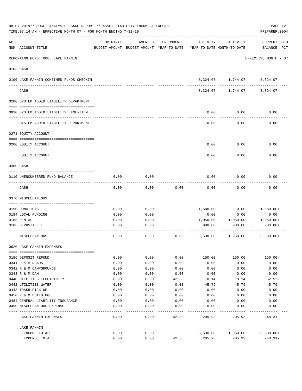|     | 08-07-2019**BUDGET ANALYSIS USAGE REPORT ** ASSET LIABILITY INCOME & EXPENSE<br>TIME: 07:14 AM - EFFECTIVE MONTH: 07 - FOR MONTH ENDING 7-31-19 |          |                                                     |            |                                        |                                  | PAGE 121<br>PREPARER: 0004         |
|-----|-------------------------------------------------------------------------------------------------------------------------------------------------|----------|-----------------------------------------------------|------------|----------------------------------------|----------------------------------|------------------------------------|
| ACT | NUM ACCOUNT-TITLE                                                                                                                               | ORIGINAL | AMENDED<br>BUDGET-AMOUNT BUDGET-AMOUNT YEAR-TO-DATE | ENCUMBERED | ACTIVITY<br>YEAR-TO-DATE MONTH-TO-DATE | ACTIVITY                         | <b>CURRENT USED</b><br>BALANCE PCT |
|     | REPORTING FUND: 0085 LAKE FANNIN                                                                                                                |          |                                                     |            |                                        |                                  | EFFECTIVE MONTH - 07               |
|     | 0103 CASH                                                                                                                                       |          |                                                     |            |                                        |                                  |                                    |
|     | 0100 LAKE FANNIN-COMBINED FUNDS CHECKIN                                                                                                         |          |                                                     |            |                                        | 3,324.07    1,744.07    3,324.07 |                                    |
|     | CASH                                                                                                                                            |          |                                                     |            | 3,324.07                               | 1,744.07                         | 3,324.07                           |
|     | 0200 SYSTEM ADDED LIABILITY DEPARTMENT                                                                                                          |          |                                                     |            |                                        |                                  |                                    |
|     | 0910 SYSTEM ADDED LIABILITY LINE-ITEM                                                                                                           |          |                                                     |            | 0.00                                   | 0.00                             | 0.00                               |
|     | SYSTEM ADDED LIABILITY DEPARTMENT                                                                                                               |          |                                                     |            | 0.00                                   | 0.00                             | 0.00                               |
|     | 0271 EQUITY ACCOUNT                                                                                                                             |          |                                                     |            |                                        |                                  |                                    |
|     | 0200 EQUITY ACCOUNT                                                                                                                             |          |                                                     |            | 0.00                                   | 0.00                             | 0.00                               |
|     | EQUITY ACCOUNT                                                                                                                                  |          |                                                     |            | 0.00                                   | 0.00                             | 0.00                               |
|     | 0300 CASH                                                                                                                                       |          |                                                     |            |                                        |                                  |                                    |
|     | 0110 UNENCUMBERED FUND BALANCE                                                                                                                  | 0.00     | 0.00                                                |            | 0.00                                   | 0.00                             | 0.00                               |
|     | CASH                                                                                                                                            | 0.00     | 0.00                                                | 0.00       | 0.00                                   | 0.00                             | 0.00                               |
|     | 0370 MISCELLANEOUS                                                                                                                              |          |                                                     |            |                                        |                                  |                                    |
|     | 0150 DONATIONS                                                                                                                                  | 0.00     | 0.00                                                |            | 1,580.00                               | 0.00                             | 1,580.00+                          |
|     | 0184 LOCAL FUNDING                                                                                                                              | 0.00     | 0.00                                                |            | 0.00                                   | 0.00                             | 0.00                               |
|     | 0185 RENTAL FEE                                                                                                                                 | 0.00     | 0.00                                                |            | 1,050.00                               | 1,050.00                         | $1,050.00+$                        |
|     | 0186 DEPOSIT FEE                                                                                                                                | 0.00     | 0.00                                                |            | 900.00                                 | 900.00                           | 900.00+                            |
|     | MISCELLANEOUS                                                                                                                                   | 0.00     | 0.00                                                | 0.00       | 3,530.00                               | 1,950.00                         | $3,530.00+$                        |
|     | 0520 LAKE FANNIN EXPENSES                                                                                                                       |          |                                                     |            |                                        |                                  |                                    |
|     | 0186 DEPOSIT REFUND                                                                                                                             | 0.00     | 0.00                                                | 0.00       | 150.00                                 | 150.00                           | $150.00 -$                         |
|     | 0341 R & M ROADS                                                                                                                                | 0.00     | 0.00                                                | 0.00       | 0.00                                   | 0.00                             | 0.00                               |
|     | 0342 R & M CAMPGROUNDS                                                                                                                          | 0.00     | 0.00                                                | 0.00       | 0.00                                   | 0.00                             | 0.00                               |
|     | 0343 R & M DAM                                                                                                                                  | 0.00     | 0.00                                                | 0.00       | 0.00                                   | 0.00                             | 0.00                               |
|     | 0440 UTILITIES ELECTRICITY                                                                                                                      | 0.00     | 0.00                                                | 42.38      | 10.14                                  | 10.14                            | $52.52-$                           |
|     | 0442 UTILITIES WATER                                                                                                                            | 0.00     | 0.00                                                | 0.00       | 45.79                                  | 45.79                            | $45.79-$                           |
|     | 0443 TRASH PICK-UP                                                                                                                              | 0.00     | 0.00                                                | 0.00       | 0.00                                   | 0.00                             | 0.00                               |
|     | 0450 R & M BUILDINGS                                                                                                                            | 0.00     | 0.00                                                | 0.00       | 0.00                                   | 0.00                             | 0.00                               |
|     | 0484 GENERAL LIABILITY INSURANCE                                                                                                                | 0.00     | 0.00                                                | 0.00       | 0.00                                   | 0.00                             | 0.00                               |
|     | 0490 MISCELLANEOUS EXPENSE                                                                                                                      | 0.00     | 0.00                                                | 0.00       | 0.00                                   | 0.00                             | 0.00                               |
|     | LAKE FANNIN EXPENSES                                                                                                                            | 0.00     | 0.00                                                | 42.38      | 205.93                                 | 205.93                           | $248.31-$                          |
|     | LAKE FANNIN<br>INCOME TOTALS                                                                                                                    | 0.00     | 0.00                                                |            | 3,530.00                               | 1,950.00                         | $3,530.00+$                        |
|     | EXPENSE TOTALS                                                                                                                                  | 0.00     | 0.00                                                | 42.38      | 205.93                                 | 205.93                           | $248.31-$                          |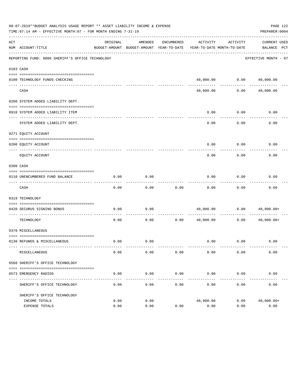|     | 08-07-2019**BUDGET ANALYSIS USAGE REPORT ** ASSET LIABILITY INCOME & EXPENSE<br>TIME: 07:14 AM - EFFECTIVE MONTH: 07 - FOR MONTH ENDING 7-31-19 |                       |           |                     |                                                                                 |                              | PAGE 122<br>PREPARER: 0004  |
|-----|-------------------------------------------------------------------------------------------------------------------------------------------------|-----------------------|-----------|---------------------|---------------------------------------------------------------------------------|------------------------------|-----------------------------|
| ACT | NUM ACCOUNT-TITLE                                                                                                                               | ORIGINAL              | AMENDED   | ENCUMBERED          | ACTIVITY<br>BUDGET-AMOUNT BUDGET-AMOUNT YEAR-TO-DATE YEAR-TO-DATE MONTH-TO-DATE | ACTIVITY                     | CURRENT USED<br>BALANCE PCT |
|     | REPORTING FUND: 0086 SHERIFF'S OFFICE TECHNOLOGY                                                                                                |                       |           |                     |                                                                                 |                              | EFFECTIVE MONTH - 07        |
|     | 0103 CASH                                                                                                                                       |                       |           |                     |                                                                                 |                              |                             |
|     | 0100 TECHNOLOGY FUNDS CHECKING                                                                                                                  |                       |           |                     |                                                                                 | 40,000.00   0.00   40,000.00 |                             |
|     | CASH                                                                                                                                            |                       |           |                     | 40,000.00                                                                       | 0.00                         | ------<br>40,000.00         |
|     | 0200 SYSTEM ADDED LIABILITY DEPT.                                                                                                               |                       |           |                     |                                                                                 |                              |                             |
|     | 0910 SYSTEM ADDED LIABILITY ITEM                                                                                                                |                       |           |                     | 0.00                                                                            | 0.00                         | 0.00                        |
|     | SYSTEM ADDED LIABILITY DEPT.                                                                                                                    |                       |           |                     | 0.00                                                                            | 0.00                         | 0.00                        |
|     | 0271 EQUITY ACCOUNT                                                                                                                             |                       |           |                     |                                                                                 |                              |                             |
|     | 0200 EQUITY ACCOUNT                                                                                                                             |                       |           |                     | 0.00                                                                            | 0.00                         | 0.00                        |
|     | EQUITY ACCOUNT                                                                                                                                  |                       |           |                     | 0.00                                                                            | 0.00                         | 0.00                        |
|     | 0300 CASH                                                                                                                                       |                       |           |                     |                                                                                 |                              |                             |
|     | 0110 UNENCUMBERED FUND BALANCE                                                                                                                  | 0.00                  | 0.00      |                     | 0.00                                                                            | 0.00                         | 0.00                        |
|     | CASH                                                                                                                                            | 0.00                  | 0.00      | 0.00                | 0.00                                                                            | 0.00                         | 0.00                        |
|     | 0319 TECHNOLOGY                                                                                                                                 |                       |           |                     |                                                                                 |                              |                             |
|     | 0420 SECURUS SIGNING BONUS                                                                                                                      | 0.00                  | 0.00      |                     | 40,000.00                                                                       | 0.00                         | 40,000.00+                  |
|     | TECHNOLOGY                                                                                                                                      | 0.00                  | 0.00      | 0.00                | 40,000.00                                                                       | 0.00                         | 40,000.00+                  |
|     | 0370 MISCELLANEOUS                                                                                                                              |                       |           |                     |                                                                                 |                              |                             |
|     | 0130 REFUNDS & MISCELLANEOUS                                                                                                                    | 0.00                  | 0.00      |                     |                                                                                 | $0.00$ 0.00                  | 0.00                        |
|     | MISCELLANEOUS                                                                                                                                   | 0.00                  | 0.00      | 0.00                | 0.00                                                                            | 0.00                         | 0.00                        |
|     | 0560 SHERIFF'S OFFICE TECHNOLOGY                                                                                                                |                       |           |                     |                                                                                 |                              |                             |
|     | 0573 EMERGENCY RADIOS                                                                                                                           | 0.00                  | 0.00      | 0.00                | 0.00                                                                            | 0.00                         | 0.00                        |
|     | SHERIFF'S OFFICE TECHNOLOGY                                                                                                                     | $- - - - - -$<br>0.00 | .<br>0.00 | -----------<br>0.00 | ------------<br>0.00                                                            | -----------<br>0.00          | 0.00                        |
|     | SHERIFF'S OFFICE TECHNOLOGY                                                                                                                     |                       |           |                     |                                                                                 |                              |                             |
|     | INCOME TOTALS                                                                                                                                   | 0.00                  | 0.00      |                     | 40,000.00                                                                       | 0.00                         | $40,000.00+$                |
|     | EXPENSE TOTALS                                                                                                                                  | 0.00                  | 0.00      | 0.00                | 0.00                                                                            | 0.00                         | 0.00                        |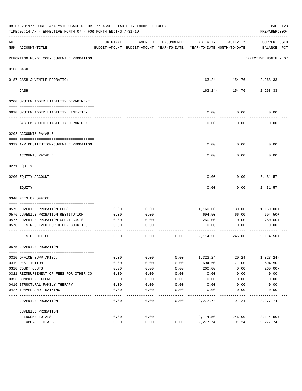|     | 08-07-2019**BUDGET ANALYSIS USAGE REPORT ** ASSET LIABILITY INCOME & EXPENSE<br>TIME: 07:14 AM - EFFECTIVE MONTH: 07 - FOR MONTH ENDING 7-31-19 |          |                                                     |            |                                        |                        | PAGE 123<br>PREPARER: 0004         |
|-----|-------------------------------------------------------------------------------------------------------------------------------------------------|----------|-----------------------------------------------------|------------|----------------------------------------|------------------------|------------------------------------|
| ACT | NUM ACCOUNT-TITLE                                                                                                                               | ORIGINAL | AMENDED<br>BUDGET-AMOUNT BUDGET-AMOUNT YEAR-TO-DATE | ENCUMBERED | ACTIVITY<br>YEAR-TO-DATE MONTH-TO-DATE | ACTIVITY               | <b>CURRENT USED</b><br>BALANCE PCT |
|     | REPORTING FUND: 0087 JUVENILE PROBATION                                                                                                         |          |                                                     |            |                                        |                        | EFFECTIVE MONTH - 07               |
|     | 0103 CASH                                                                                                                                       |          |                                                     |            |                                        |                        |                                    |
|     | 0187 CASH-JUVENILE PROBATION                                                                                                                    |          |                                                     |            |                                        | 163.24- 154.76         | 2,268.33                           |
|     | CASH                                                                                                                                            |          |                                                     |            | 163.24-                                | ------------<br>154.76 | 2,268.33                           |
|     | 0200 SYSTEM ADDED LIABILITY DEPARTMENT                                                                                                          |          |                                                     |            |                                        |                        |                                    |
|     | 0910 SYSTEM ADDED LIABILITY LINE-ITEM                                                                                                           |          |                                                     |            | 0.00                                   | 0.00                   | 0.00                               |
|     | SYSTEM ADDED LIABILITY DEPARTMENT                                                                                                               |          |                                                     |            | 0.00                                   | 0.00                   | 0.00                               |
|     | 0202 ACCOUNTS PAYABLE                                                                                                                           |          |                                                     |            |                                        |                        |                                    |
|     | 0319 A/P RESTITUTION-JUVENILE PROBATION                                                                                                         |          |                                                     |            | 0.00                                   | 0.00                   | 0.00                               |
|     | ACCOUNTS PAYABLE                                                                                                                                |          |                                                     |            | 0.00                                   | 0.00                   | 0.00                               |
|     | 0271 EOUITY                                                                                                                                     |          |                                                     |            |                                        |                        |                                    |
|     | 0200 EQUITY ACCOUNT                                                                                                                             |          |                                                     |            | 0.00                                   | 0.00                   | 2,431.57                           |
|     | EQUITY                                                                                                                                          |          |                                                     |            | 0.00                                   | 0.00                   | 2,431.57                           |
|     | 0340 FEES OF OFFICE                                                                                                                             |          |                                                     |            |                                        |                        |                                    |
|     | 0575 JUVENILE PROBATION FEES                                                                                                                    | 0.00     | 0.00                                                |            | 1,160.00                               | 180.00                 | 1,160.00+                          |
|     | 0576 JUVENILE PROBATION RESTITUTION                                                                                                             | 0.00     | 0.00                                                |            | 694.50                                 | 66.00                  | 694.50+                            |
|     | 0577 JUVENILE PROBATION COURT COSTS                                                                                                             | 0.00     | 0.00                                                |            | 260.00                                 | 0.00                   | $260.00+$                          |
|     | 0578 FEES RECEIVED FOR OTHER COUNTIES                                                                                                           | 0.00     | 0.00                                                |            | 0.00                                   | 0.00                   | 0.00                               |
|     | FEES OF OFFICE                                                                                                                                  | 0.00     | 0.00                                                | 0.00       | 2,114.50                               | 246.00                 | $2,114.50+$                        |
|     | 0575 JUVENILE PROBATION                                                                                                                         |          |                                                     |            |                                        |                        |                                    |
|     |                                                                                                                                                 |          |                                                     |            |                                        |                        |                                    |
|     | 0310 OFFICE SUPP./MISC.                                                                                                                         | 0.00     | 0.00                                                | 0.00       | 1,323.24                               | 20.24                  | $1,323.24-$<br>$694.50 -$          |
|     | 0319 RESTITUTION                                                                                                                                | 0.00     | 0.00                                                | 0.00       | 694.50                                 | 71.00                  |                                    |
|     | 0320 COURT COSTS                                                                                                                                | 0.00     | 0.00                                                | 0.00       | 260.00                                 | 0.00                   | $260.00 -$                         |
|     | 0321 REIMBURSEMENT OF FEES FOR OTHER CO                                                                                                         | 0.00     | 0.00                                                | 0.00       | 0.00                                   | 0.00                   | 0.00                               |
|     | 0353 COMPUTER EXPENSE                                                                                                                           | 0.00     | 0.00                                                | 0.00       | 0.00                                   | 0.00                   | 0.00                               |
|     | 0416 STRUCTURAL FAMILY THERAPY                                                                                                                  | 0.00     | 0.00                                                | 0.00       | 0.00                                   | 0.00                   | 0.00                               |
|     | 0427 TRAVEL AND TRAINING                                                                                                                        | 0.00     | 0.00                                                | 0.00       | 0.00                                   | 0.00                   | 0.00                               |
|     | JUVENILE PROBATION                                                                                                                              | 0.00     | 0.00                                                | 0.00       | 2,277.74                               | 91.24                  | $2,277.74-$                        |
|     | JUVENILE PROBATION                                                                                                                              |          |                                                     |            |                                        |                        |                                    |
|     | INCOME TOTALS                                                                                                                                   | 0.00     | 0.00                                                |            | 2,114.50                               | 246.00                 | $2,114.50+$                        |
|     | EXPENSE TOTALS                                                                                                                                  | 0.00     | 0.00                                                | 0.00       | 2,277.74                               | 91.24                  | $2,277.74-$                        |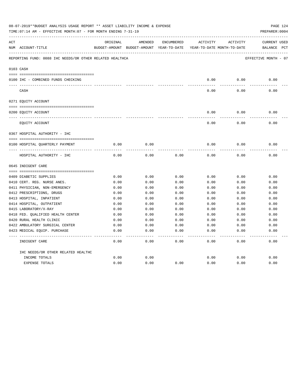|     | 08-07-2019**BUDGET ANALYSIS USAGE REPORT ** ASSET LIABILITY INCOME & EXPENSE<br>TIME: 07:14 AM - EFFECTIVE MONTH: 07 - FOR MONTH ENDING 7-31-19 |          |                                                                     |                   |          |          | PAGE 124<br>PREPARER: 0004 |
|-----|-------------------------------------------------------------------------------------------------------------------------------------------------|----------|---------------------------------------------------------------------|-------------------|----------|----------|----------------------------|
| ACT |                                                                                                                                                 | ORIGINAL | AMENDED                                                             | ENCUMBERED        | ACTIVITY | ACTIVITY | <b>CURRENT USED</b>        |
|     | NUM ACCOUNT-TITLE                                                                                                                               |          | BUDGET-AMOUNT BUDGET-AMOUNT YEAR-TO-DATE YEAR-TO-DATE MONTH-TO-DATE |                   |          |          | BALANCE PCT                |
|     | REPORTING FUND: 0088 IHC NEEDS/OR OTHER RELATED HEALTHCA                                                                                        |          |                                                                     |                   |          |          | EFFECTIVE MONTH - 07       |
|     | 0103 CASH                                                                                                                                       |          |                                                                     |                   |          |          |                            |
|     |                                                                                                                                                 |          |                                                                     |                   | 0.00     | 0.00     | 0.00                       |
|     | 0100 IHC - COMBINED FUNDS CHECKING                                                                                                              |          |                                                                     |                   |          |          |                            |
|     | CASH                                                                                                                                            |          |                                                                     |                   | 0.00     | 0.00     | 0.00                       |
|     | 0271 EQUITY ACCOUNT                                                                                                                             |          |                                                                     |                   |          |          |                            |
|     | 0200 EQUITY ACCOUNT                                                                                                                             |          |                                                                     |                   | 0.00     | 0.00     | 0.00                       |
|     | EQUITY ACCOUNT                                                                                                                                  |          |                                                                     |                   | 0.00     | 0.00     | 0.00                       |
|     | 0367 HOSPITAL AUTHORITY - IHC                                                                                                                   |          |                                                                     |                   |          |          |                            |
|     |                                                                                                                                                 |          |                                                                     |                   |          |          |                            |
|     | 0100 HOSPITAL QUARTERLY PAYMENT                                                                                                                 | 0.00     | 0.00                                                                |                   | 0.00     | 0.00     | 0.00                       |
|     | HOSPITAL AUTHORITY - IHC                                                                                                                        | 0.00     | 0.00                                                                | 0.00              | 0.00     | 0.00     | 0.00                       |
|     | 0645 INDIGENT CARE                                                                                                                              |          |                                                                     |                   |          |          |                            |
|     |                                                                                                                                                 |          |                                                                     |                   |          |          |                            |
|     | 0409 DIABETIC SUPPLIES                                                                                                                          | 0.00     | 0.00                                                                | 0.00              | 0.00     | 0.00     | 0.00                       |
|     | 0410 CERT. REG. NURSE ANES.                                                                                                                     | 0.00     | 0.00                                                                | 0.00              | 0.00     | 0.00     | 0.00                       |
|     | 0411 PHYSICIAN, NON-EMERGENCY                                                                                                                   | 0.00     | 0.00                                                                | 0.00              | 0.00     | 0.00     | 0.00                       |
|     | 0412 PRESCRIPTIONS, DRUGS                                                                                                                       | 0.00     | 0.00                                                                | 0.00              | 0.00     | 0.00     | 0.00                       |
|     | 0413 HOSPITAL, INPATIENT                                                                                                                        | 0.00     | 0.00                                                                | 0.00              | 0.00     | 0.00     | 0.00                       |
|     | 0414 HOSPITAL, OUTPATIENT                                                                                                                       | 0.00     | 0.00                                                                | 0.00              | 0.00     | 0.00     | 0.00                       |
|     | 0415 LABORATORY/X-RAY                                                                                                                           | 0.00     | 0.00                                                                | 0.00              | 0.00     | 0.00     | 0.00                       |
|     | 0418 FED. OUALIFIED HEALTH CENTER                                                                                                               | 0.00     | 0.00                                                                | 0.00              | 0.00     | 0.00     | 0.00                       |
|     | 0420 RURAL HEALTH CLINIC                                                                                                                        | 0.00     | 0.00                                                                | 0.00              | 0.00     | 0.00     | 0.00                       |
|     | 0422 AMBULATORY SURGICAL CENTER                                                                                                                 | 0.00     | 0.00                                                                | 0.00              | 0.00     | 0.00     | 0.00                       |
|     | 0423 MEDICAL EQUIP. PURCHASE                                                                                                                    | 0.00     | 0.00                                                                | 0.00              | 0.00     | 0.00     | 0.00                       |
|     | INDIGENT CARE                                                                                                                                   | 0.00     | 0.00                                                                | $- - - -$<br>0.00 | 0.00     | 0.00     | -----<br>0.00              |
|     | IHC NEEDS/OR OTHER RELATED HEALTHC                                                                                                              |          |                                                                     |                   |          |          |                            |
|     | INCOME TOTALS                                                                                                                                   | 0.00     | 0.00                                                                |                   | 0.00     | 0.00     | 0.00                       |
|     | <b>EXPENSE TOTALS</b>                                                                                                                           | 0.00     | 0.00                                                                | 0.00              | 0.00     | 0.00     | 0.00                       |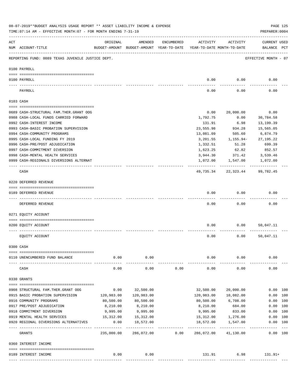|                | 08-07-2019**BUDGET ANALYSIS USAGE REPORT ** ASSET LIABILITY INCOME & EXPENSE<br>TIME: 07:14 AM - EFFECTIVE MONTH: 07 - FOR MONTH ENDING 7-31-19 |             |                                                     |            |                                        |                                   | PREPARER: 0004                     | PAGE 125 |
|----------------|-------------------------------------------------------------------------------------------------------------------------------------------------|-------------|-----------------------------------------------------|------------|----------------------------------------|-----------------------------------|------------------------------------|----------|
| $\mathtt{ACT}$ | NUM ACCOUNT-TITLE                                                                                                                               | ORIGINAL    | AMENDED<br>BUDGET-AMOUNT BUDGET-AMOUNT YEAR-TO-DATE | ENCUMBERED | ACTIVITY<br>YEAR-TO-DATE MONTH-TO-DATE | ACTIVITY                          | <b>CURRENT USED</b><br>BALANCE PCT |          |
|                | REPORTING FUND: 0089 TEXAS JUVENILE JUSTICE DEPT.                                                                                               |             |                                                     |            |                                        |                                   | EFFECTIVE MONTH - 07               |          |
|                | 0100 PAYROLL                                                                                                                                    |             |                                                     |            |                                        |                                   |                                    |          |
|                |                                                                                                                                                 |             |                                                     |            |                                        |                                   |                                    |          |
|                | 0100 PAYROLL                                                                                                                                    |             |                                                     |            | 0.00                                   | 0.00                              | 0.00                               |          |
|                | PAYROLL                                                                                                                                         |             |                                                     |            | 0.00                                   | 0.00                              | 0.00                               |          |
|                | 0103 CASH                                                                                                                                       |             |                                                     |            |                                        |                                   |                                    |          |
|                | 0689 CASH-STRUCTURAL FAM.THER.GRANT OOG                                                                                                         |             |                                                     |            | 0.00                                   | 20,000.00                         | 0.00                               |          |
|                | 0988 CASH-LOCAL FUNDS CARRIED FORWARD                                                                                                           |             |                                                     |            | 1,792.75                               | 0.00                              | 30,784.58                          |          |
|                | 0992 CASH-INTEREST INCOME                                                                                                                       |             |                                                     |            | 131.91                                 | 6.98                              | 13,199.39                          |          |
|                | 0993 CASH-BASIC PROBATION SUPERVISION                                                                                                           |             |                                                     |            | 23,555.98                              | 934.28                            | 15,565.05                          |          |
|                | 0994 CASH-COMMUNITY PROGRAMS                                                                                                                    |             |                                                     |            | 13,081.09                              |                                   |                                    |          |
|                |                                                                                                                                                 |             |                                                     |            |                                        | 505.60                            | 6,874.79                           |          |
|                | 0995 CASH-LOCAL FUNDING FY 2019                                                                                                                 |             |                                                     |            | 3,201.55                               | 1,155.94-                         | 27, 195. 22                        |          |
|                | 0996 CASH-PRE/POST ADJUDICATION                                                                                                                 |             |                                                     |            | 1,332.51                               | 51.28                             | 699.39                             |          |
|                | 0997 CASH-COMMITMENT DIVERSION                                                                                                                  |             |                                                     |            | 1,623.25                               | 62.82                             | 852.57                             |          |
|                | 0998 CASH-MENTAL HEALTH SERVICES                                                                                                                |             |                                                     |            | 3,944.30                               | 371.42                            | 3,539.46                           |          |
|                | 0999 CASH-REGIONALS DIVERSIONS ALTERNAT                                                                                                         |             |                                                     |            |                                        | 1,072.00 1,547.00<br>------------ | 1,072.00<br>------------           |          |
|                | CASH                                                                                                                                            |             |                                                     |            | 49,735.34                              | 22,323.44                         | 99,782.45                          |          |
|                | 0220 DEFERRED REVENUE                                                                                                                           |             |                                                     |            |                                        |                                   |                                    |          |
|                |                                                                                                                                                 |             |                                                     |            |                                        |                                   |                                    |          |
|                | 0189 DEFERRED REVENUE<br>---- -------------                                                                                                     |             |                                                     |            | 0.00                                   | 0.00                              | 0.00                               |          |
|                | DEFERRED REVENUE                                                                                                                                |             |                                                     |            | 0.00                                   | 0.00                              | 0.00                               |          |
|                | 0271 EQUITY ACCOUNT                                                                                                                             |             |                                                     |            |                                        |                                   |                                    |          |
|                | 0200 EQUITY ACCOUNT                                                                                                                             |             |                                                     |            | 0.00                                   | 0.00                              | 50,047.11                          |          |
|                |                                                                                                                                                 |             |                                                     |            |                                        |                                   |                                    |          |
|                | EQUITY ACCOUNT                                                                                                                                  |             |                                                     |            | 0.00                                   | 0.00                              | 50,047.11                          |          |
|                | 0300 CASH                                                                                                                                       |             |                                                     |            |                                        |                                   |                                    |          |
|                | 0110 UNENCUMBERED FUND BALANCE                                                                                                                  | 0.00        | 0.00                                                |            | 0.00                                   | 0.00                              | 0.00                               |          |
|                |                                                                                                                                                 |             | -------                                             |            |                                        |                                   |                                    |          |
|                | CASH                                                                                                                                            | 0.00        | 0.00                                                | 0.00       | 0.00                                   | 0.00                              | 0.00                               |          |
|                | 0330 GRANTS                                                                                                                                     |             |                                                     |            |                                        |                                   |                                    |          |
|                | 0908 STRUCTURAL FAM.THER.GRANT OOG                                                                                                              | 0.00        | 32,500.00                                           |            | 32,500.00                              | 20,000.00                         | 0.00 100                           |          |
|                | 0915 BASIC PROBATION SUPERVISION                                                                                                                | 120,983.00  | 120,983.00                                          |            | 120,983.00                             | 10,082.00                         | 0.00 100                           |          |
|                | 0916 COMMUNITY PROGRAMS                                                                                                                         | 80,500.00   | 80,500.00                                           |            | 80,500.00                              | 6,708.00                          | 0.00 100                           |          |
|                | 0917 PRE/POST ADJUDICATION                                                                                                                      | 8,210.00    | 8,210.00                                            |            | 8,210.00                               | 684.00                            | 0.00 100                           |          |
|                | 0918 COMMITMENT DIVERSION                                                                                                                       | 9,995.00    | 9,995.00                                            |            | 9,995.00                               | 833.00                            | 0.00 100                           |          |
|                | 0919 MENTAL HEALTH SERVICES                                                                                                                     | 15,312.00   | 15,312.00                                           |            | 15,312.00                              | 1,276.00                          | 0.00 100                           |          |
|                | 0920 REGIONAL DIVERSIONS ALTERNATIVES                                                                                                           | 0.00        | 18,572.00                                           |            | 18,572.00                              | 1,547.00                          | 0.00 100                           |          |
|                |                                                                                                                                                 | ----------- | .                                                   |            | . <u>.</u> .                           | -----------                       | ----------                         | $---$    |
|                | GRANTS                                                                                                                                          | 235,000.00  | 286,072.00                                          | 0.00       | 286,072.00                             | 41,130.00                         | 0.00 100                           |          |
|                | 0360 INTEREST INCOME                                                                                                                            |             |                                                     |            |                                        |                                   |                                    |          |
|                |                                                                                                                                                 |             |                                                     |            |                                        |                                   |                                    |          |
|                | 0189 INTEREST INCOME                                                                                                                            | 0.00        | 0.00                                                |            |                                        | 131.91<br>6.98                    | $131.91+$                          |          |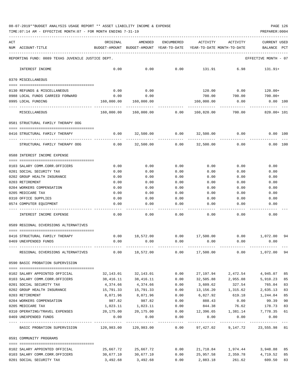| ACT |                                                   | ORIGINAL   | AMENDED                                                             | ENCUMBERED     | ACTIVITY               | ACTIVITY                        | <b>CURRENT USED</b>  |     |
|-----|---------------------------------------------------|------------|---------------------------------------------------------------------|----------------|------------------------|---------------------------------|----------------------|-----|
|     | NUM ACCOUNT-TITLE                                 |            | BUDGET-AMOUNT BUDGET-AMOUNT YEAR-TO-DATE YEAR-TO-DATE MONTH-TO-DATE |                |                        |                                 | BALANCE              | PCT |
|     | REPORTING FUND: 0089 TEXAS JUVENILE JUSTICE DEPT. |            |                                                                     |                |                        |                                 | EFFECTIVE MONTH - 07 |     |
|     | INTEREST INCOME                                   | 0.00       | 0.00                                                                | 0.00           | 131.91                 | 6.98                            | $131.91+$            |     |
|     | 0370 MISCELLANEOUS                                |            |                                                                     |                |                        |                                 |                      |     |
|     | 0130 REFUNDS & MISCELLANEOUS                      | 0.00       | 0.00                                                                |                | 120.00                 | 0.00                            | 120.00+              |     |
|     | 0988 LOCAL FUNDS CARRIED FORWARD                  | 0.00       | 0.00                                                                |                | 700.00                 | 700.00                          | 700.00+              |     |
|     | 0995 LOCAL FUNDING                                | 160,000.00 | 160,000.00                                                          |                | 160,000.00             | 0.00                            | $0.00$ $100$         |     |
|     | MISCELLANEOUS                                     | 160,000.00 | 160,000.00                                                          | 0.00           | 160,820.00             | 700.00                          | 820.00+ 101          |     |
|     | 0581 STRUCTURAL FAMILY THERAPY OOG                |            |                                                                     |                |                        |                                 |                      |     |
|     | 0416 STRUCTURAL FAMILY THERAPY                    | 0.00       |                                                                     | 32,500.00 0.00 | 32,500.00              | 0.00                            | 0.00 100             |     |
|     |                                                   |            |                                                                     | --------       |                        |                                 |                      |     |
|     | STRUCTURAL FAMILY THERAPY OOG                     | 0.00       | 32,500.00                                                           | 0.00           | 32,500.00              | 0.00                            | 0.00 100             |     |
|     | 0588 INTEREST INCOME EXPENSE                      |            |                                                                     |                |                        |                                 |                      |     |
|     | 0103 SALARY COMM.CORR.OFFICERS                    | 0.00       | 0.00                                                                | 0.00           | 0.00                   | 0.00                            | 0.00                 |     |
|     | 0201 SOCIAL SECURITY TAX                          | 0.00       | 0.00                                                                | 0.00           | 0.00                   | 0.00                            | 0.00                 |     |
|     | 0202 GROUP HEALTH INSURANCE                       | 0.00       | 0.00                                                                | 0.00           | 0.00                   | 0.00                            | 0.00                 |     |
|     | 0203 RETIREMENT                                   | 0.00       | 0.00                                                                | 0.00           | 0.00                   | 0.00                            | 0.00                 |     |
|     | 0204 WORKERS COMPENSATION                         | 0.00       | 0.00                                                                | 0.00           | 0.00                   | 0.00                            | 0.00                 |     |
|     | 0205 MEDICARE TAX                                 | 0.00       | 0.00                                                                | 0.00           | 0.00                   | 0.00                            | 0.00                 |     |
|     | 0310 OFFICE SUPPLIES                              | 0.00       | 0.00                                                                | 0.00           | 0.00                   | 0.00                            | 0.00                 |     |
|     | 0574 COMPUTER EQUIPMENT                           | 0.00       | 0.00                                                                | 0.00           | 0.00                   | 0.00                            | 0.00                 |     |
|     | INTEREST INCOME EXPENSE                           | 0.00       | 0.00                                                                | 0.00           | 0.00                   | 0.00                            | 0.00                 |     |
|     | 0589 REGIONAL DIVERSIONS ALTERNATIVES             |            |                                                                     |                |                        |                                 |                      |     |
|     |                                                   |            |                                                                     |                |                        |                                 |                      |     |
|     | 0416 STRUCTURAL FAMILY THERAPY                    |            | $0.00$ 18,572.00                                                    |                | $0.00$ 17,500.00       |                                 | $0.00$ 1,072.00      | 94  |
|     | 0469 UNEXPENDED FUNDS                             | 0.00       | 0.00                                                                | 0.00           | 0.00                   | 0.00                            | 0.00                 |     |
|     | REGIONAL DIVERSIONS ALTERNATIVES                  | 0.00       | 18,572.00                                                           | 0.00           | 17,500.00              | 0.00                            | 1,072.00             | 94  |
|     | 0590 BASIC PROBATION SUPERVISION                  |            |                                                                     |                |                        |                                 |                      |     |
|     | 0102 SALARY APPOINTED OFFICIAL                    | 32,143.01  | 32,143.01                                                           | 0.00           | 27,197.94              | 2,472.54                        | 4,945.07             | 85  |
|     | 0103 SALARY COMM.CORR.OFFICERS                    | 38,416.11  | 38,416.11                                                           | 0.00           |                        | 32,505.88 2,955.08              | 5,910.23             | 85  |
|     | 0201 SOCIAL SECURITY TAX                          | 4,374.66   | 4,374.66                                                            | 0.00           | 3,609.62               | 327.54                          | 765.04               | 83  |
|     | 0202 GROUP HEALTH INSURANCE                       | 15,791.33  | 15,791.33                                                           | 0.00           | 13, 156. 20 1, 315. 62 |                                 | 2,635.13             | 83  |
|     | 0203 RETIREMENT                                   | 8,071.96   | 8,071.96                                                            | 0.00           | 6,827.92               | 619.18                          | 1,244.04             | 85  |
|     | 0204 WORKERS COMPENSATION                         | 987.82     | 987.82                                                              | 0.00           | 888.43                 | 0.00                            | 99.39                | 90  |
|     | 0205 MEDICARE TAX                                 | 1,023.11   | 1,023.11                                                            | 0.00           | 844.38                 | 76.62                           | 178.73               | 83  |
|     | 0310 OPERATING/TRAVEL EXPENSES                    | 20,175.00  | 20,175.00                                                           | 0.00           |                        | 12,396.65 1,381.14              | 7,778.35             | 61  |
|     | 0469 UNEXPENDED FUNDS                             | 0.00       | 0.00                                                                | 0.00           | 0.00<br>-----------    | 0.00<br>-------------           | 0.00                 |     |
|     | BASIC PROBATION SUPERVISION                       |            | 120,983.00 120,983.00                                               | 0.00           |                        | 97,427.02 9,147.72 23,555.98 81 |                      |     |
|     | 0591 COMMUNITY PROGRAMS                           |            |                                                                     |                |                        |                                 |                      |     |
|     |                                                   |            |                                                                     |                |                        |                                 |                      |     |
|     | 0102 SALARY APPOINTED OFFICIAL                    | 25,667.72  | 25,667.72                                                           | 0.00           |                        | 21,718.84 1,974.44              | 3,948.88             | 85  |
|     | 0103 SALARY COMM.CORR.OFFICERS                    | 30,677.10  | 30,677.10                                                           | 0.00           | 25,957.58              | 2,359.78                        | 4,719.52             | 85  |
|     | 0201 SOCIAL SECURITY TAX                          | 3,492.68   | 3,492.68                                                            | 0.00           | 2,883.18               | 261.62                          | 609.50               | 83  |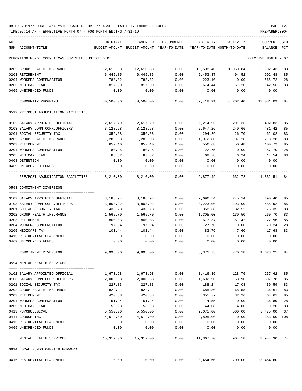| ACT<br>NUM ACCOUNT-TITLE                          | ORIGINAL     | AMENDED<br>BUDGET-AMOUNT BUDGET-AMOUNT YEAR-TO-DATE | ENCUMBERED            | ACTIVITY               | ACTIVITY<br>YEAR-TO-DATE MONTH-TO-DATE | CURRENT USED<br>BALANCE | PCT |
|---------------------------------------------------|--------------|-----------------------------------------------------|-----------------------|------------------------|----------------------------------------|-------------------------|-----|
| REPORTING FUND: 0089 TEXAS JUVENILE JUSTICE DEPT. |              |                                                     |                       |                        |                                        | EFFECTIVE MONTH - 07    |     |
| 0202 GROUP HEALTH INSURANCE                       | 12,610.83    | 12,610.83                                           | 0.00                  |                        | 10,508.40  1,050.84  2,102.43          |                         | 83  |
| 0203 RETIREMENT                                   | 6,445.85     | 6,445.85                                            | 0.00                  | 5,453.37               | 494.52                                 | 992.48                  | 85  |
| 0204 WORKERS COMPENSATION                         | 788.82       | 788.82                                              | 0.00                  | 223.10                 | 0.00                                   | 565.72                  | 28  |
| 0205 MEDICARE TAX                                 | 817.00       | 817.00                                              | 0.00                  | 674.44                 | 61.20                                  | 142.56                  | 83  |
| 0469 UNEXPENDED FUNDS                             | 0.00         | 0.00                                                | 0.00                  | 0.00                   | 0.00                                   | 0.00                    |     |
| COMMUNITY PROGRAMS                                |              | 80,500.00 80,500.00 0.00                            |                       |                        | 67,418.91    6,202.40    13,081.09     |                         | 84  |
| 0592 PRE/POST ADJUDICATION FACILITIES             |              |                                                     |                       |                        |                                        |                         |     |
| 0102 SALARY APPOINTED OFFICIAL                    |              | 2,617.79 2,617.79                                   |                       |                        | $0.00$ 2,214.96 201.36 402.83          |                         | 85  |
|                                                   |              |                                                     |                       |                        |                                        |                         |     |
| 0103 SALARY COMM.CORR.OFFICERS                    | 3,128.68     | 3,128.68                                            | 0.00                  | 2,647.26               | 240.66                                 | 481.42                  | 85  |
| 0201 SOCIAL SECURITY TAX                          | 356.28       | 356.28                                              | 0.00                  | 294.26                 | 26.70                                  | 62.02                   | 83  |
| 0202 GROUP HEALTH INSURANCE                       | 1,286.08     | 1,286.08                                            | 0.00                  | 1,072.80               | 107.28                                 | 213.28                  | 83  |
| 0203 RETIREMENT                                   | 657.40       | 657.40                                              | 0.00                  | 556.68                 | 50.48                                  | 100.72                  | 85  |
| 0204 WORKERS COMPENSATION                         | 80.45        | 80.45                                               | 0.00                  | 22.75                  | 0.00                                   | 57.70                   | 28  |
| 0205 MEDICARE TAX                                 | 83.32        | 83.32                                               | 0.00                  | 68.78                  | 6.24                                   | 14.54                   | 83  |
| 0408 DETENTION<br>0469 UNEXPENDED FUNDS           | 0.00<br>0.00 | 0.00<br>0.00                                        | 0.00<br>0.00          | 0.00<br>0.00           | 0.00<br>0.00                           | 0.00<br>0.00            |     |
| PRE/POST ADJUDICATION FACILITIES                  | 8,210.00     | 8,210.00                                            | 0.00                  | 6,877.49               |                                        | 632.72 1,332.51         | 84  |
| 0593 COMMITMENT DIVERSION                         |              |                                                     |                       |                        |                                        |                         |     |
|                                                   |              |                                                     |                       |                        |                                        |                         |     |
| 0102 SALARY APPOINTED OFFICIAL                    | 3,186.94     | 3,186.94                                            | 0.00                  | 2,696.54               | 245.14                                 | 490.40                  | 85  |
| 0103 SALARY COMM.CORR.OFFICERS                    | 3,808.92     | 3,808.92                                            | 0.00                  | 3,223.00               | 293.00                                 | 585.92                  | 85  |
| 0201 SOCIAL SECURITY TAX                          | 433.73       | 433.73                                              | 0.00                  | 358.38                 | 32.52                                  | 75.35                   | 83  |
| 0202 GROUP HEALTH INSURANCE                       | 1,565.70     | 1,565.70                                            | 0.00                  | 1,305.00               | 130.50                                 | 260.70                  | 83  |
| 0203 RETIREMENT                                   | 800.33       | 800.33                                              | 0.00                  | 677.37                 | 61.42                                  | 122.96                  | 85  |
| 0204 WORKERS COMPENSATION                         | 97.94        | 97.94                                               | 0.00                  | 27.70                  | 0.00                                   | 70.24                   | 28  |
| 0205 MEDICARE TAX                                 | 101.44       | 101.44                                              | 0.00                  | 83.76                  | 7.60                                   | 17.68                   | 83  |
| 0415 RESIDENTIAL PLACEMENT                        | 0.00         | 0.00                                                | 0.00                  | 0.00                   | 0.00                                   | 0.00                    |     |
| 0469 UNEXPENDED FUNDS                             | 0.00         | 0.00                                                | 0.00                  | 0.00                   | 0.00                                   | 0.00                    |     |
| COMMITMENT DIVERSION                              | 9,995.00     | 9,995.00                                            | 0.00                  | 8,371.75               | 770.18                                 | 1,623.25                | 84  |
| 0594 MENTAL HEALTH SERVICES                       |              |                                                     |                       |                        |                                        |                         |     |
| 0102 SALARY APPOINTED OFFICIAL                    | 1,673.98     | 1,673.98                                            | 0.00                  | 1,416.36               | 128.76                                 | 257.62                  | 85  |
| 0103 SALARY COMM.CORR.OFFICERS                    | 2,000.68     | 2,000.68                                            | 0.00                  | 1,692.90               | 153.90                                 | 307.78                  | 85  |
| 0201 SOCIAL SECURITY TAX                          | 227.83       | 227.83                                              | 0.00                  | 188.24                 | 17.08                                  | 39.59                   | 83  |
| 0202 GROUP HEALTH INSURANCE                       | 822.41       | 822.41                                              | 0.00                  | 685.80                 | 68.58                                  | 136.61                  | 83  |
| 0203 RETIREMENT                                   | 420.38       | 420.38                                              | 0.00                  | 355.77                 | 32.26                                  | 64.61                   | 85  |
| 0204 WORKERS COMPENSATION                         | 51.44        | 51.44                                               | 0.00                  | 14.55                  | 0.00                                   | 36.89                   | 28  |
| 0205 MEDICARE TAX                                 | 53.28        | 53.28                                               | 0.00                  | 44.08                  | 4.00                                   | 9.20                    | 83  |
| 0413 PSYCHOLOGICAL                                | 5,550.00     | 5,550.00                                            | 0.00                  | 2,075.00               | 500.00                                 | 3,475.00                | 37  |
| 0414 COUNSELING                                   | 4,512.00     | 4,512.00                                            | 0.00                  | 4,895.00               | 0.00                                   | 383.00-108              |     |
| 0415 RESIDENTIAL PLACEMENT                        |              |                                                     |                       |                        |                                        |                         |     |
| 0469 UNEXPENDED FUNDS                             | 0.00<br>0.00 | 0.00<br>0.00                                        | 0.00<br>0.00          | 0.00<br>0.00           | 0.00<br>0.00                           | 0.00<br>0.00            |     |
| MENTAL HEALTH SERVICES                            |              | 15,312.00 15,312.00                                 | $- - - - - -$<br>0.00 | ---------<br>11,367.70 | 904.58                                 | 3,944.30                | 74  |
| 0994 LOCAL FUNDS CARRIED FORWARD                  |              |                                                     |                       |                        |                                        |                         |     |
|                                                   |              |                                                     |                       |                        |                                        |                         |     |
| 0415 RESIDENTIAL PLACEMENT                        | 0.00         | 0.00                                                | 0.00                  | 23,454.60              | 700.00                                 | $23,454.60-$            |     |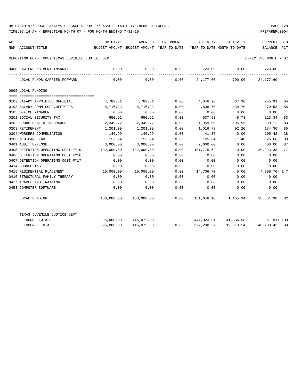| <b>ACT</b> | NUM ACCOUNT-TITLE                                 | ORIGINAL<br>BUDGET-AMOUNT BUDGET-AMOUNT YEAR-TO-DATE YEAR-TO-DATE MONTH-TO-DATE | AMENDED               |             |                   | ENCUMBERED ACTIVITY ACTIVITY                                     | <b>CURRENT USED</b><br>BALANCE PCT |    |
|------------|---------------------------------------------------|---------------------------------------------------------------------------------|-----------------------|-------------|-------------------|------------------------------------------------------------------|------------------------------------|----|
|            |                                                   |                                                                                 |                       |             |                   |                                                                  |                                    |    |
|            | REPORTING FUND: 0089 TEXAS JUVENILE JUSTICE DEPT. |                                                                                 |                       |             |                   |                                                                  | EFFECTIVE MONTH - 07               |    |
|            | 0488 LAW ENFORCEMENT INSURANCE                    | 0.00<br>--------- --------------                                                | 0.00                  |             |                   | $0.00$ $723.00$ $0.00$ $723.00$<br>_____________________________ |                                    |    |
|            | LOCAL FUNDS CARRIED FORWARD                       | 0.00                                                                            |                       | ----------- |                   | $0.00$ $0.00$ $24,177.60$ $700.00$ $24,177.60$ $100$             |                                    |    |
|            | 0995 LOCAL FUNDING                                |                                                                                 |                       |             |                   |                                                                  |                                    |    |
|            | 0102 SALARY APPOINTED OFFICIAL                    | 4,782.81                                                                        | 4,782.81              | 0.00        | 4,046.90          | 367.90                                                           | 735.91 85                          |    |
|            | 0103 SALARY COMM.CORR.OFFICERS                    | 5,716.23                                                                        | 5,716.23              | 0.00        | 4,836.70          | 439.70                                                           | 879.53                             | 85 |
|            | 0105 OFFICE MANAGER                               | 0.00                                                                            | 0.00                  | 0.00        | 0.00              | 0.00                                                             | 0.00                               |    |
|            | 0201 SOCIAL SECURITY TAX                          | 650.92                                                                          | 650.92                | 0.00        | 537.58            | 48.78                                                            | 113.34                             | 83 |
|            | 0202 GROUP HEALTH INSURANCE                       |                                                                                 | 2,349.72 2,349.72     | 0.00        | 1,959.60          | 195.96                                                           | 390.12                             | 83 |
|            | 0203 RETIREMENT                                   |                                                                                 |                       | 0.00        |                   | 1,016.79 92.20                                                   | 184.30                             | 85 |
|            | 0204 WORKERS COMPENSATION                         | 146.99                                                                          | 146.99                | 0.00        | 41.57             | 0.00                                                             | 105.42                             | 28 |
|            | 0205 MEDICARE TAX                                 | 152.24                                                                          | 152.24                | 0.00        | 125.64            | 11.40                                                            | 26.60                              | 83 |
|            | 0401 AUDIT EXPENSE                                | 3,000.00                                                                        | 3,000.00              | 0.00        | 2,600.00          | 0.00                                                             | 400.00                             | 87 |
|            | 0405 DETENTION OPERATING COST FY19                | 132,000.00                                                                      | 132,000.00            | 0.00        | 101,776.62        | 0.00                                                             | 30,223.38                          | 77 |
|            | 0406 DETENTION OPERATING COST FY18                | 0.00                                                                            | 0.00                  | 0.00        | 0.00              | 0.00                                                             | 0.00                               |    |
|            | 0407 DETENTION OPERATING COST FY17                | 0.00                                                                            | 0.00                  | 0.00        | 0.00              | 0.00                                                             | 0.00                               |    |
|            | 0414 COUNSELING                                   | 0.00                                                                            | 0.00                  | 0.00        | 0.00              | 0.00                                                             | 0.00                               |    |
|            | 0415 RESIDENTIAL PLACEMENT                        | 10,000.00                                                                       | 10,000.00             | 0.00        | 14,706.70         | 0.00                                                             | 4,706.70- 147                      |    |
|            | 0416 STRUCTURAL FAMILY THERAPY                    | 0.00                                                                            | 0.00                  | 0.00        | 0.00              | 0.00                                                             | 0.00                               |    |
|            | 0427 TRAVEL AND TRAINING                          | 0.00                                                                            | 0.00                  | 0.00        | 0.00              | 0.00                                                             | 0.00                               |    |
|            | 0453 COMPUTER SOFTWARE                            | 0.00                                                                            | 0.00                  | 0.00        | 0.00              | 0.00<br>------------ -------------                               | 0.00                               |    |
|            | LOCAL FUNDING                                     |                                                                                 |                       |             |                   | 160,000.00 160,000.00 0.00 131,648.10 1,155.94 28,351.90 82      |                                    |    |
|            | TEXAS JUVENILE JUSTICE DEPT.                      |                                                                                 |                       |             |                   |                                                                  |                                    |    |
|            | INCOME TOTALS                                     |                                                                                 | 395,000.00 446,072.00 |             |                   | 447,023.91 41,836.98 951.91+100                                  |                                    |    |
|            | <b>EXPENSE TOTALS</b>                             | 395,000.00                                                                      | 446,072.00            |             | $0.00$ 397,288.57 | 19,513.54                                                        | 48,783.43 89                       |    |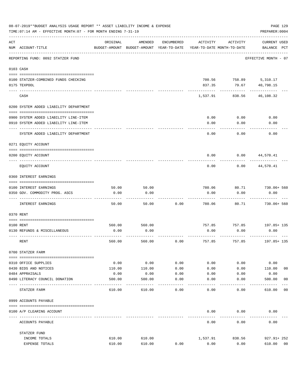|     | 08-07-2019**BUDGET ANALYSIS USAGE REPORT ** ASSET LIABILITY INCOME & EXPENSE<br>TIME: 07:14 AM - EFFECTIVE MONTH: 07 - FOR MONTH ENDING 7-31-19 |          |                                                     |               |                                        |               | PAGE 129<br>PREPARER: 0004         |                |
|-----|-------------------------------------------------------------------------------------------------------------------------------------------------|----------|-----------------------------------------------------|---------------|----------------------------------------|---------------|------------------------------------|----------------|
| ACT | NUM ACCOUNT-TITLE                                                                                                                               | ORIGINAL | AMENDED<br>BUDGET-AMOUNT BUDGET-AMOUNT YEAR-TO-DATE | ENCUMBERED    | ACTIVITY<br>YEAR-TO-DATE MONTH-TO-DATE | ACTIVITY      | <b>CURRENT USED</b><br>BALANCE PCT |                |
|     | REPORTING FUND: 0092 STATZER FUND                                                                                                               |          |                                                     |               |                                        |               | EFFECTIVE MONTH - 07               |                |
|     | 0103 CASH                                                                                                                                       |          |                                                     |               |                                        |               |                                    |                |
|     |                                                                                                                                                 |          |                                                     |               |                                        |               |                                    |                |
|     | 0100 STATZER-COMBINED FUNDS CHECKING                                                                                                            |          |                                                     |               | 700.56                                 | 758.89        | 5,310.17                           |                |
|     | 0175 TEXPOOL                                                                                                                                    |          |                                                     |               | 837.35                                 | 79.67         | 40,798.15                          |                |
|     | CASH                                                                                                                                            |          |                                                     |               | 1,537.91                               | 838.56        | 46,108.32                          |                |
|     | 0200 SYSTEM ADDED LIABILITY DEPARTMENT                                                                                                          |          |                                                     |               |                                        |               |                                    |                |
|     | 0900 SYSTEM ADDED LIABILITY LINE-ITEM                                                                                                           |          |                                                     |               | 0.00                                   | 0.00          | 0.00                               |                |
|     | 0910 SYSTEM ADDED LIABILITY LINE-ITEM                                                                                                           |          |                                                     |               | 0.00                                   | 0.00          | 0.00                               |                |
|     |                                                                                                                                                 |          |                                                     |               |                                        |               |                                    |                |
|     | SYSTEM ADDED LIABILITY DEPARTMENT                                                                                                               |          |                                                     |               | 0.00                                   | 0.00          | 0.00                               |                |
|     | 0271 EQUITY ACCOUNT                                                                                                                             |          |                                                     |               |                                        |               |                                    |                |
|     | 0200 EQUITY ACCOUNT                                                                                                                             |          |                                                     |               | 0.00                                   | 0.00          | 44,570.41                          |                |
|     | EOUITY ACCOUNT                                                                                                                                  |          |                                                     |               | 0.00                                   | 0.00          | 44,570.41                          |                |
|     | 0360 INTEREST EARNINGS                                                                                                                          |          |                                                     |               |                                        |               |                                    |                |
|     | 0100 INTEREST EARNINGS                                                                                                                          | 50.00    | 50.00                                               |               | 780.06                                 | 80.71         | 730.06+ 560                        |                |
|     | 0350 GOV. COMMODITY PROG. ASCS                                                                                                                  | 0.00     | 0.00                                                |               | 0.00                                   | 0.00          | 0.00                               |                |
|     | INTEREST EARNINGS                                                                                                                               | 50.00    | 50.00                                               | 0.00          | 780.06                                 | 80.71         | 730.06+ 560                        |                |
|     | 0370 RENT                                                                                                                                       |          |                                                     |               |                                        |               |                                    |                |
|     |                                                                                                                                                 |          |                                                     |               |                                        |               |                                    |                |
|     | 0100 RENT                                                                                                                                       | 560.00   | 560.00                                              |               |                                        | 757.85 757.85 | 197.85+ 135                        |                |
|     | 0130 REFUNDS & MISCELLANEOUS                                                                                                                    | 0.00     | 0.00                                                |               | 0.00                                   | 0.00          | 0.00                               |                |
|     | RENT                                                                                                                                            | 560.00   | 560.00                                              | 0.00          | 757.85                                 | 757.85        | 197.85+ 135                        |                |
|     | 0700 STATZER FARM                                                                                                                               |          |                                                     |               |                                        |               |                                    |                |
|     | 0310 OFFICE SUPPLIES                                                                                                                            | 0.00     | 0.00                                                | 0.00          | 0.00                                   | 0.00          | 0.00                               |                |
|     | 0430 BIDS AND NOTICES                                                                                                                           | 110.00   | 110.00                                              | 0.00          | 0.00                                   | 0.00          | 110.00                             | 0 <sub>0</sub> |
|     | 0484 APPRAISALS                                                                                                                                 | 0.00     | 0.00                                                | 0.00          | 0.00                                   | 0.00          | 0.00                               |                |
|     | 0490 LITERACY COUNCIL DONATION                                                                                                                  | 500.00   | 500.00                                              | 0.00          | 0.00                                   | 0.00          | 500.00                             | 0 <sub>0</sub> |
|     | -----------------------<br>STATZER FARM                                                                                                         | 610.00   | 610.00                                              | $---$<br>0.00 | 0.00                                   | 0.00          | 610.00                             | 00             |
|     | 0999 ACCOUNTS PAYABLE                                                                                                                           |          |                                                     |               |                                        |               |                                    |                |
|     |                                                                                                                                                 |          |                                                     |               |                                        |               |                                    |                |
|     | 0100 A/P CLEARING ACCOUNT                                                                                                                       |          |                                                     |               | 0.00                                   | 0.00          | 0.00                               |                |
|     | ACCOUNTS PAYABLE                                                                                                                                |          |                                                     |               | 0.00                                   | 0.00          | 0.00                               |                |
|     | STATZER FUND                                                                                                                                    |          |                                                     |               |                                        |               |                                    |                |
|     | INCOME TOTALS                                                                                                                                   | 610.00   | 610.00                                              |               | 1,537.91                               | 838.56        | 927.91+ 252                        |                |
|     | EXPENSE TOTALS                                                                                                                                  | 610.00   | 610.00                                              | 0.00          | 0.00                                   | 0.00          | 610.00                             | 0 <sub>0</sub> |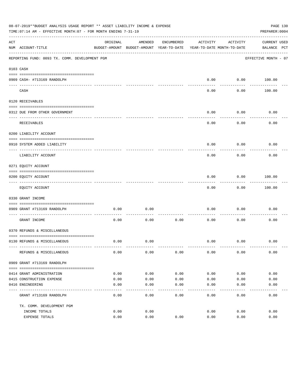|     | 08-07-2019**BUDGET ANALYSIS USAGE REPORT ** ASSET LIABILITY INCOME & EXPENSE<br>TIME: 07:14 AM - EFFECTIVE MONTH: 07 - FOR MONTH ENDING 7-31-19 |          |                                          |            |                            |           | PAGE 130<br>PREPARER: 0004 |  |
|-----|-------------------------------------------------------------------------------------------------------------------------------------------------|----------|------------------------------------------|------------|----------------------------|-----------|----------------------------|--|
| ACT |                                                                                                                                                 | ORIGINAL | AMENDED                                  | ENCUMBERED | ACTIVITY                   | ACTIVITY  | <b>CURRENT USED</b>        |  |
|     | NUM ACCOUNT-TITLE                                                                                                                               |          | BUDGET-AMOUNT BUDGET-AMOUNT YEAR-TO-DATE |            | YEAR-TO-DATE MONTH-TO-DATE |           | BALANCE PCT                |  |
|     | REPORTING FUND: 0093 TX. COMM. DEVELOPMENT PGM                                                                                                  |          |                                          |            |                            |           | EFFECTIVE MONTH - 07       |  |
|     | 0103 CASH                                                                                                                                       |          |                                          |            |                            |           |                            |  |
|     |                                                                                                                                                 |          |                                          |            |                            |           |                            |  |
|     | 0909 CASH- #713169 RANDOLPH                                                                                                                     |          |                                          |            | 0.00                       | --------- | $0.00$ 100.00              |  |
|     | CASH                                                                                                                                            |          |                                          |            | 0.00                       | 0.00      | 100.00                     |  |
|     | 0120 RECEIVABLES                                                                                                                                |          |                                          |            |                            |           |                            |  |
|     | 0312 DUE FROM OTHER GOVERNMENT                                                                                                                  |          |                                          |            | 0.00                       | 0.00      | 0.00                       |  |
|     |                                                                                                                                                 |          |                                          |            |                            | --------  |                            |  |
|     | RECEIVABLES                                                                                                                                     |          |                                          |            | 0.00                       | 0.00      | 0.00                       |  |
|     | 0200 LIABILITY ACCOUNT                                                                                                                          |          |                                          |            |                            |           |                            |  |
|     | 0910 SYSTEM ADDED LIABILITY                                                                                                                     |          |                                          |            | 0.00                       | 0.00      | 0.00                       |  |
|     | LIABILITY ACCOUNT                                                                                                                               |          |                                          |            | 0.00                       | 0.00      | 0.00                       |  |
|     | 0271 EQUITY ACCOUNT                                                                                                                             |          |                                          |            |                            |           |                            |  |
|     | 0200 EQUITY ACCOUNT                                                                                                                             |          |                                          |            | 0.00                       | 0.00      | 100.00                     |  |
|     | EQUITY ACCOUNT                                                                                                                                  |          |                                          |            | 0.00                       | 0.00      | 100.00                     |  |
|     | 0330 GRANT INCOME                                                                                                                               |          |                                          |            |                            |           |                            |  |
|     |                                                                                                                                                 |          |                                          |            |                            |           |                            |  |
|     | 0909 GRANT #713169 RANDOLPH<br>---------------------- -----                                                                                     | 0.00     | 0.00                                     |            | 0.00                       | 0.00      | 0.00                       |  |
|     | GRANT INCOME                                                                                                                                    | 0.00     | 0.00                                     | 0.00       | 0.00                       | 0.00      | 0.00                       |  |
|     | 0370 REFUNDS & MISCELLANEOUS                                                                                                                    |          |                                          |            |                            |           |                            |  |
|     |                                                                                                                                                 |          |                                          |            |                            |           |                            |  |
|     | 0130 REFUNDS & MISCELLANEOUS                                                                                                                    | 0.00     | 0.00                                     |            | 0.00                       | 0.00      | 0.00                       |  |
|     | REFUNDS & MISCELLANEOUS                                                                                                                         | 0.00     | 0.00                                     | 0.00       | 0.00                       | 0.00      | 0.00                       |  |
|     | 0909 GRANT #713169 RANDOLPH                                                                                                                     |          |                                          |            |                            |           |                            |  |
|     |                                                                                                                                                 |          |                                          |            |                            |           |                            |  |
|     | 0414 GRANT ADMINISTRATION                                                                                                                       | 0.00     | 0.00                                     | 0.00       | 0.00                       | 0.00      | 0.00                       |  |
|     | 0415 CONSTRUCTION EXPENSE                                                                                                                       | 0.00     | 0.00                                     | 0.00       | 0.00                       | 0.00      | 0.00                       |  |
|     | 0416 ENGINEERING                                                                                                                                | 0.00     | 0.00                                     | 0.00       | 0.00                       | 0.00      | 0.00                       |  |
|     | GRANT #713169 RANDOLPH                                                                                                                          | 0.00     | 0.00                                     | 0.00       | 0.00                       | 0.00      | 0.00                       |  |
|     | TX. COMM. DEVELOPMENT PGM                                                                                                                       |          |                                          |            |                            |           |                            |  |
|     | INCOME TOTALS                                                                                                                                   | 0.00     | 0.00                                     |            | 0.00                       | 0.00      | 0.00                       |  |
|     | EXPENSE TOTALS                                                                                                                                  | 0.00     | 0.00                                     | 0.00       | 0.00                       | 0.00      | 0.00                       |  |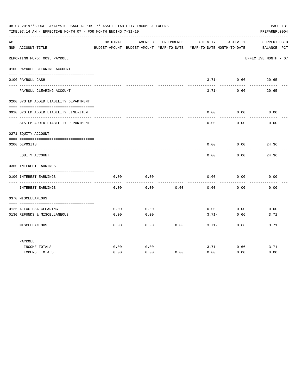| 08-07-2019**BUDGET ANALYSIS USAGE REPORT ** ASSET LIABILITY INCOME & EXPENSE<br>PAGE 131<br>TIME: 07:14 AM - EFFECTIVE MONTH: 07 - FOR MONTH ENDING 7-31-19<br>PREPARER: 0004 |                                        |          |         |            |                                                                                 |                            |                                    |  |
|-------------------------------------------------------------------------------------------------------------------------------------------------------------------------------|----------------------------------------|----------|---------|------------|---------------------------------------------------------------------------------|----------------------------|------------------------------------|--|
| ACT                                                                                                                                                                           | NUM ACCOUNT-TITLE                      | ORIGINAL | AMENDED | ENCUMBERED | ACTIVITY<br>BUDGET-AMOUNT BUDGET-AMOUNT YEAR-TO-DATE YEAR-TO-DATE MONTH-TO-DATE | ACTIVITY                   | <b>CURRENT USED</b><br>BALANCE PCT |  |
|                                                                                                                                                                               | REPORTING FUND: 0095 PAYROLL           |          |         |            |                                                                                 |                            | EFFECTIVE MONTH - 07               |  |
|                                                                                                                                                                               | 0100 PAYROLL CLEARING ACCOUNT          |          |         |            |                                                                                 |                            |                                    |  |
|                                                                                                                                                                               | 0100 PAYROLL CASH                      |          |         |            | ------                                                                          | $3.71 - 0.66$<br>--------- | 20.65                              |  |
|                                                                                                                                                                               | PAYROLL CLEARING ACCOUNT               |          |         |            | $3.71-$                                                                         | 0.66                       | 20.65                              |  |
|                                                                                                                                                                               | 0200 SYSTEM ADDED LIABILITY DEPARTMENT |          |         |            |                                                                                 |                            |                                    |  |
|                                                                                                                                                                               | 0910 SYSTEM ADDED LIABILITY LINE-ITEM  |          |         |            | 0.00                                                                            | 0.00                       | 0.00                               |  |
|                                                                                                                                                                               | SYSTEM ADDED LIABILITY DEPARTMENT      |          |         |            | 0.00                                                                            | 0.00                       | 0.00                               |  |
|                                                                                                                                                                               | 0271 EQUITY ACCOUNT                    |          |         |            |                                                                                 |                            |                                    |  |
|                                                                                                                                                                               | 0200 DEPOSITS                          |          |         |            | 0.00                                                                            | 0.00                       | 24.36                              |  |
|                                                                                                                                                                               | EQUITY ACCOUNT                         |          |         |            | 0.00                                                                            | 0.00                       | 24.36                              |  |
|                                                                                                                                                                               | 0360 INTEREST EARNINGS                 |          |         |            |                                                                                 |                            |                                    |  |
|                                                                                                                                                                               | 0100 INTEREST EARNINGS                 | 0.00     | 0.00    |            | 0.00                                                                            | 0.00                       | 0.00                               |  |
|                                                                                                                                                                               | INTEREST EARNINGS                      | 0.00     | 0.00    | 0.00       | 0.00                                                                            | 0.00                       | 0.00                               |  |
|                                                                                                                                                                               | 0370 MISCELLANEOUS                     |          |         |            |                                                                                 |                            |                                    |  |
|                                                                                                                                                                               | 0125 AFLAC FSA CLEARING                | 0.00     | 0.00    |            | 0.00                                                                            | 0.00                       | 0.00                               |  |
|                                                                                                                                                                               | 0130 REFUNDS & MISCELLANEOUS           | 0.00     | 0.00    |            | $3.71-$                                                                         | 0.66                       | 3.71                               |  |
|                                                                                                                                                                               | MISCELLANEOUS                          | 0.00     | 0.00    | 0.00       | $3.71-$                                                                         | 0.66                       | 3.71                               |  |
|                                                                                                                                                                               | PAYROLL                                |          |         |            |                                                                                 |                            |                                    |  |
|                                                                                                                                                                               | INCOME TOTALS                          | 0.00     | 0.00    |            | $3.71-$                                                                         | 0.66                       | 3.71                               |  |
|                                                                                                                                                                               | <b>EXPENSE TOTALS</b>                  | 0.00     | 0.00    | 0.00       | 0.00                                                                            | 0.00                       | 0.00                               |  |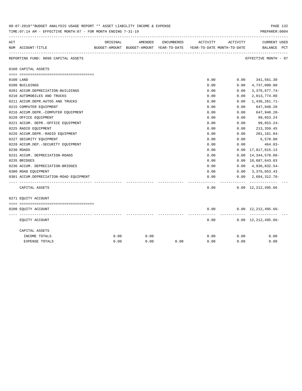|     | 08-07-2019**BUDGET ANALYSIS USAGE REPORT ** ASSET LIABILITY INCOME & EXPENSE<br>PAGE 132<br>TIME: 07:14 AM - EFFECTIVE MONTH: 07 - FOR MONTH ENDING 7-31-19<br>PREPARER: 0004 |          |         |            |                                                                     |           |                                              |  |  |
|-----|-------------------------------------------------------------------------------------------------------------------------------------------------------------------------------|----------|---------|------------|---------------------------------------------------------------------|-----------|----------------------------------------------|--|--|
| ACT |                                                                                                                                                                               | ORIGINAL | AMENDED | ENCUMBERED | ACTIVITY                                                            | ACTIVITY  | <b>CURRENT USED</b>                          |  |  |
|     | NUM ACCOUNT-TITLE                                                                                                                                                             |          |         |            | BUDGET-AMOUNT BUDGET-AMOUNT YEAR-TO-DATE YEAR-TO-DATE MONTH-TO-DATE |           | BALANCE PCT                                  |  |  |
|     | REPORTING FUND: 0098 CAPITAL ASSETS                                                                                                                                           |          |         |            |                                                                     |           | EFFECTIVE MONTH - 07                         |  |  |
|     | 0160 CAPITAL ASSETS                                                                                                                                                           |          |         |            |                                                                     |           |                                              |  |  |
|     |                                                                                                                                                                               |          |         |            |                                                                     |           |                                              |  |  |
|     | 0100 LAND<br>0200 BUILDINGS                                                                                                                                                   |          |         |            | 0.00<br>0.00                                                        | 0.00      | $0.00$ $341,561.30$<br>4,737,000.00          |  |  |
|     | 0201 ACCUM.DEPRECIATION-BUILDINGS                                                                                                                                             |          |         |            | 0.00                                                                | 0.00      | $3,376,677.74-$                              |  |  |
|     | 0210 AUTOMOBILES AND TRUCKS                                                                                                                                                   |          |         |            | 0.00                                                                | 0.00      | 2,013,774.80                                 |  |  |
|     | 0211 ACCUM.DEPR.AUTOS AND TRUCKS                                                                                                                                              |          |         |            | 0.00                                                                | 0.00      | 1,436,261.71-                                |  |  |
|     | 0215 COMPUTER EQUIPMENT                                                                                                                                                       |          |         |            | 0.00                                                                | 0.00      | 647,940.20                                   |  |  |
|     | 0216 ACCUM.DEPR.-COMPUTER EQUIPMENT                                                                                                                                           |          |         |            | 0.00                                                                | 0.00      | 647,940.20-                                  |  |  |
|     | 0220 OFFICE EQUIPMENT                                                                                                                                                         |          |         |            | 0.00                                                                | 0.00      | 99,653.24                                    |  |  |
|     | 0221 ACCUM. DEPR. - OFFICE EQUIPMENT                                                                                                                                          |          |         |            | 0.00                                                                | 0.00      | 99,653.24-                                   |  |  |
|     | 0225 RADIO EQUIPMENT                                                                                                                                                          |          |         |            | 0.00                                                                | 0.00      | 213, 359.45                                  |  |  |
|     | 0226 ACCUM.DEPR.-RADIO EQUIPMENT                                                                                                                                              |          |         |            | 0.00                                                                | 0.00      | 201,161.84-                                  |  |  |
|     | 0227 SECURITY EQUIPMENT                                                                                                                                                       |          |         |            | 0.00                                                                | 0.00      | 5,578.00                                     |  |  |
|     | 0228 ACCUM.DEP. - SECURITY EQUIPMENT                                                                                                                                          |          |         |            | 0.00                                                                | 0.00      | 464.83-                                      |  |  |
|     | 0230 ROADS                                                                                                                                                                    |          |         |            | 0.00                                                                | 0.00      | 17,817,815.13                                |  |  |
|     | 0231 ACCUM. DEPRECIATION-ROADS                                                                                                                                                |          |         |            | 0.00                                                                | 0.00      | 14,344,578.06-                               |  |  |
|     | 0235 BRIDGES                                                                                                                                                                  |          |         |            | 0.00                                                                |           | 0.00 10,687,643.03                           |  |  |
|     | 0236 ACCUM. DEPRECIATION-BRIDGES                                                                                                                                              |          |         |            | 0.00                                                                |           | $0.00 \quad 4,936,832.54-$                   |  |  |
|     | 0300 ROAD EQUIPMENT                                                                                                                                                           |          |         |            | 0.00                                                                |           | $0.00 \quad 3,376,053.43$                    |  |  |
|     | 0301 ACCUM.DEPRECIATION-ROAD EQUIPMENT                                                                                                                                        |          |         |            | 0.00<br>-----                                                       | --------- | $0.00 \quad 2.684.312.76 -$<br>------------- |  |  |
|     | CAPITAL ASSETS                                                                                                                                                                |          |         |            | 0.00                                                                |           | $0.00 \quad 12,212,495.66$                   |  |  |
|     | 0271 EQUITY ACCOUNT                                                                                                                                                           |          |         |            |                                                                     |           |                                              |  |  |
|     |                                                                                                                                                                               |          |         |            |                                                                     |           |                                              |  |  |
|     | 0200 EQUITY ACCOUNT                                                                                                                                                           |          |         |            | 0.00                                                                |           | $0.00 \quad 12,212,495.66-$                  |  |  |
|     | EQUITY ACCOUNT                                                                                                                                                                |          |         |            | 0.00                                                                |           | $0.00 \quad 12,212,495.66-$                  |  |  |
|     | CAPITAL ASSETS                                                                                                                                                                |          |         |            |                                                                     |           |                                              |  |  |
|     | INCOME TOTALS                                                                                                                                                                 | 0.00     | 0.00    |            | 0.00                                                                | 0.00      | 0.00                                         |  |  |
|     | EXPENSE TOTALS                                                                                                                                                                | 0.00     | 0.00    | 0.00       | 0.00                                                                | 0.00      | 0.00                                         |  |  |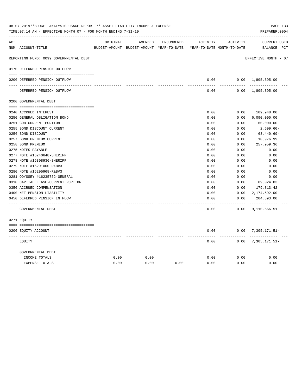| ACT |                                        | ORIGINAL | AMENDED                                  | ENCUMBERED | ACTIVITY                   | ACTIVITY | <b>CURRENT USED</b>       |  |
|-----|----------------------------------------|----------|------------------------------------------|------------|----------------------------|----------|---------------------------|--|
|     | NUM ACCOUNT-TITLE                      |          | BUDGET-AMOUNT BUDGET-AMOUNT YEAR-TO-DATE |            | YEAR-TO-DATE MONTH-TO-DATE |          | BALANCE PCT               |  |
|     | REPORTING FUND: 0099 GOVERNMENTAL DEBT |          |                                          |            |                            |          | EFFECTIVE MONTH - 07      |  |
|     | 0170 DEFERRED PENSION OUTFLOW          |          |                                          |            |                            |          |                           |  |
|     | 0200 DEFERRED PENSION OUTFLOW          |          |                                          |            | 0.00                       |          | $0.00 \quad 1,805,395.00$ |  |
|     |                                        |          |                                          |            |                            |          |                           |  |
|     | DEFERRED PENSION OUTFLOW               |          |                                          |            | 0.00                       |          | $0.00 \quad 1,805,395.00$ |  |
|     | 0200 GOVERNMENTAL DEBT                 |          |                                          |            |                            |          |                           |  |
|     |                                        |          |                                          |            |                            |          |                           |  |
|     | 0240 ACCRUED INTEREST                  |          |                                          |            | 0.00                       | 0.00     | 109,948.00                |  |
|     | 0250 GENERAL OBLIGATION BOND           |          |                                          |            | 0.00                       | 0.00     | 6,090,000.00              |  |
|     | 0251 GOB-CURRENT PORTION               |          |                                          |            | 0.00                       | 0.00     | 60,000.00                 |  |
|     | 0255 BOND DISCOUNT CURRENT             |          |                                          |            | 0.00                       | 0.00     | $2,699.60-$               |  |
|     | 0256 BOND DISCOUNT                     |          |                                          |            | 0.00                       | 0.00     | $63,440.69-$              |  |
|     | 0257 BOND PREMIUM CURRENT              |          |                                          |            | 0.00                       | 0.00     | 10,976.99                 |  |
|     | 0258 BOND PREMIUM                      |          |                                          |            | 0.00                       | 0.00     | 257,959.36                |  |
|     | 0275 NOTES PAYABLE                     |          |                                          |            | 0.00                       | 0.00     | 0.00                      |  |
|     | 0277 NOTE #16240648-SHERIFF            |          |                                          |            | 0.00                       | 0.00     | 0.00                      |  |
|     | 0278 NOTE #16308936-SHERIFF            |          |                                          |            | 0.00                       | 0.00     | 0.00                      |  |
|     | 0279 NOTE #16291000-R&B#3              |          |                                          |            | 0.00                       | 0.00     | 0.00                      |  |
|     | 0280 NOTE #16295968-R&B#3              |          |                                          |            | 0.00                       | 0.00     | 0.00                      |  |
|     | 0281 ODYSSEY #16235752-GENERAL         |          |                                          |            | 0.00                       | 0.00     | 0.00                      |  |
|     | 0310 CAPITAL LEASE-CURRENT PORTION     |          |                                          |            | 0.00                       | 0.00     | 89,024.03                 |  |
|     | 0350 ACCRUED COMPENSATION              |          |                                          |            | 0.00                       | 0.00     | 179,813.42                |  |
|     | 0400 NET PENSION LIABILITY             |          |                                          |            | 0.00                       | 0.00     | 2,174,592.00              |  |
|     | 0450 DEFERRED PENSION IN FLOW          |          |                                          |            | 0.00                       | 0.00     | 204,393.00<br>----------- |  |
|     | GOVERNMENTAL DEBT                      |          |                                          |            | 0.00                       | 0.00     | 9,110,566.51              |  |
|     | 0271 EOUITY                            |          |                                          |            |                            |          |                           |  |
|     | 0200 EQUITY ACCOUNT                    |          |                                          |            | 0.00                       |          | $0.00$ 7, 305, 171.51-    |  |
|     | EQUITY                                 |          |                                          |            | 0.00                       | 0.00     | 7,305,171.51-             |  |
|     | GOVERNMENTAL DEBT                      |          |                                          |            |                            |          |                           |  |
|     | INCOME TOTALS                          | 0.00     | 0.00                                     |            | 0.00                       | 0.00     | 0.00                      |  |
|     | <b>EXPENSE TOTALS</b>                  | 0.00     | 0.00                                     | 0.00       | 0.00                       | 0.00     | 0.00                      |  |